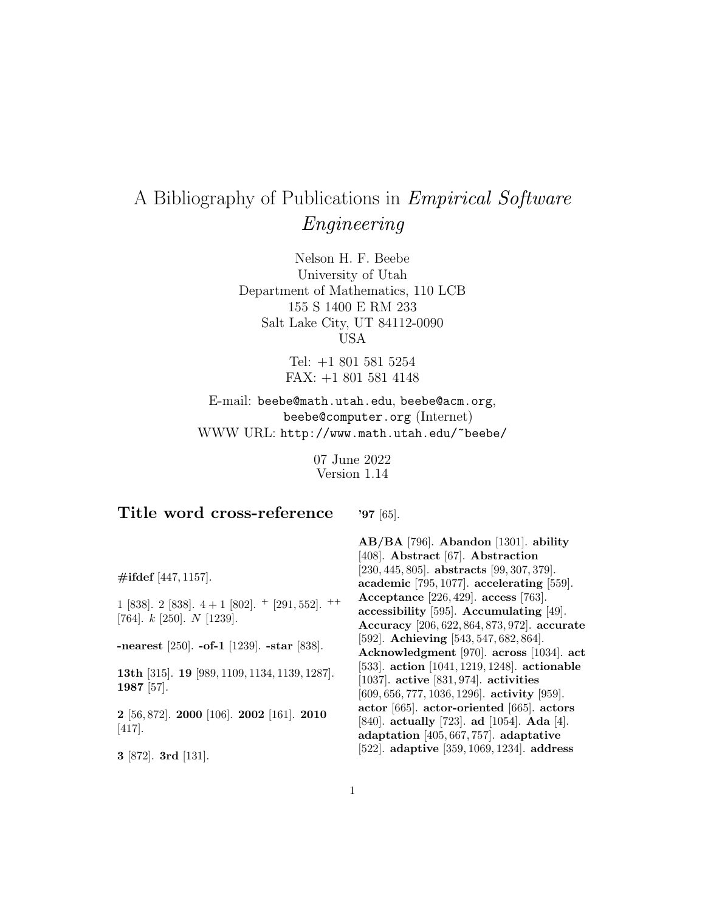# A Bibliography of Publications in Empirical Software Engineering

Nelson H. F. Beebe University of Utah Department of Mathematics, 110 LCB 155 S 1400 E RM 233 Salt Lake City, UT 84112-0090 USA

> Tel: +1 801 581 5254 FAX: +1 801 581 4148

E-mail: beebe@math.utah.edu, beebe@acm.org, beebe@computer.org (Internet) WWW URL: http://www.math.utah.edu/~beebe/

> 07 June 2022 Version 1.14

# **Title word cross-reference**

**'97** [65].

**AB/BA** [796]. **Abandon** [1301]. **ability**

**#ifdef** [447, 1157]. 1 [838]. 2 [838].  $4+1$  [802].  $+$  [291, 552].  $++$ [764]. k [250]. N [1239]. **-nearest** [250]. **-of-1** [1239]. **-star** [838]. **13th** [315]. **19** [989, 1109, 1134, 1139, 1287]. **1987** [57]. **2** [56, 872]. **2000** [106]. **2002** [161]. **2010** [417]. **3** [872]. **3rd** [131]. [408]. **Abstract** [67]. **Abstraction** [230, 445, 805]. **abstracts** [99, 307, 379]. **academic** [795, 1077]. **accelerating** [559]. **Acceptance** [226, 429]. **access** [763]. **accessibility** [595]. **Accumulating** [49]. **Accuracy** [206, 622, 864, 873, 972]. **accurate** [592]. **Achieving** [543, 547, 682, 864]. **Acknowledgment** [970]. **across** [1034]. **act** [533]. **action** [1041, 1219, 1248]. **actionable** [1037]. **active** [831, 974]. **activities** [609, 656, 777, 1036, 1296]. **activity** [959]. **actor** [665]. **actor-oriented** [665]. **actors** [840]. **actually** [723]. **ad** [1054]. **Ada** [4]. **adaptation** [405, 667, 757]. **adaptative** [522]. **adaptive** [359, 1069, 1234]. **address**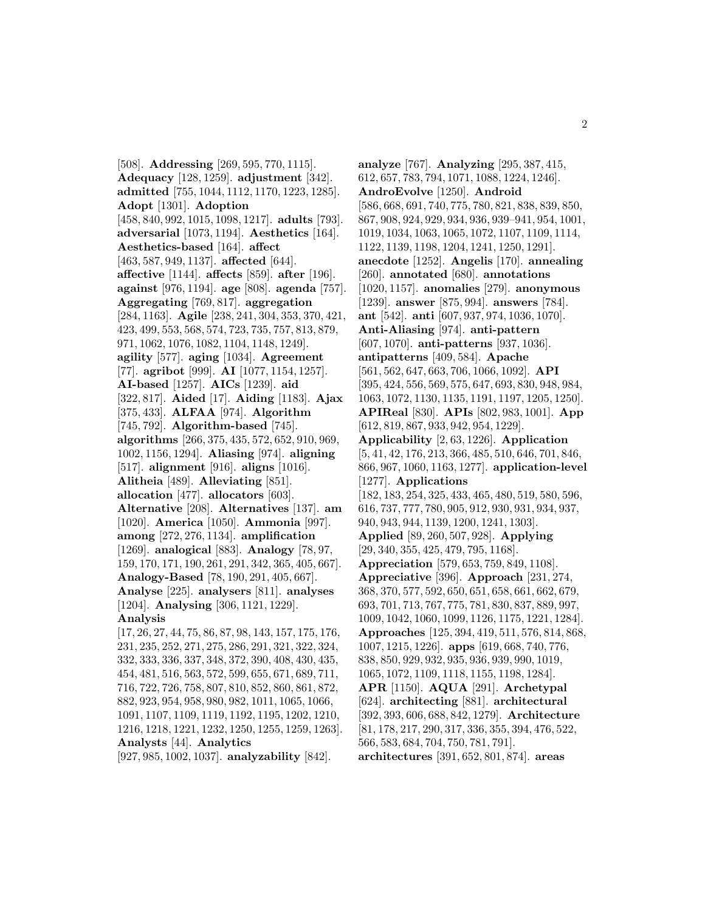[508]. **Addressing** [269, 595, 770, 1115]. **Adequacy** [128, 1259]. **adjustment** [342]. **admitted** [755, 1044, 1112, 1170, 1223, 1285]. **Adopt** [1301]. **Adoption** [458, 840, 992, 1015, 1098, 1217]. **adults** [793]. **adversarial** [1073, 1194]. **Aesthetics** [164]. **Aesthetics-based** [164]. **affect** [463, 587, 949, 1137]. **affected** [644]. **affective** [1144]. **affects** [859]. **after** [196]. **against** [976, 1194]. **age** [808]. **agenda** [757]. **Aggregating** [769, 817]. **aggregation** [284, 1163]. **Agile** [238, 241, 304, 353, 370, 421, 423, 499, 553, 568, 574, 723, 735, 757, 813, 879, 971, 1062, 1076, 1082, 1104, 1148, 1249]. **agility** [577]. **aging** [1034]. **Agreement** [77]. **agribot** [999]. **AI** [1077, 1154, 1257]. **AI-based** [1257]. **AICs** [1239]. **aid** [322, 817]. **Aided** [17]. **Aiding** [1183]. **Ajax** [375, 433]. **ALFAA** [974]. **Algorithm** [745, 792]. **Algorithm-based** [745]. **algorithms** [266, 375, 435, 572, 652, 910, 969, 1002, 1156, 1294]. **Aliasing** [974]. **aligning** [517]. **alignment** [916]. **aligns** [1016]. **Alitheia** [489]. **Alleviating** [851]. **allocation** [477]. **allocators** [603]. **Alternative** [208]. **Alternatives** [137]. **am** [1020]. **America** [1050]. **Ammonia** [997]. **among** [272, 276, 1134]. **amplification** [1269]. **analogical** [883]. **Analogy** [78, 97, 159, 170, 171, 190, 261, 291, 342, 365, 405, 667]. **Analogy-Based** [78, 190, 291, 405, 667]. **Analyse** [225]. **analysers** [811]. **analyses** [1204]. **Analysing** [306, 1121, 1229]. **Analysis** [17, 26, 27, 44, 75, 86, 87, 98, 143, 157, 175, 176, 231, 235, 252, 271, 275, 286, 291, 321, 322, 324, 332, 333, 336, 337, 348, 372, 390, 408, 430, 435, 454, 481, 516, 563, 572, 599, 655, 671, 689, 711, 716, 722, 726, 758, 807, 810, 852, 860, 861, 872, 882, 923, 954, 958, 980, 982, 1011, 1065, 1066,

1216, 1218, 1221, 1232, 1250, 1255, 1259, 1263]. **Analysts** [44]. **Analytics**

[927, 985, 1002, 1037]. **analyzability** [842].

1091, 1107, 1109, 1119, 1192, 1195, 1202, 1210,

**analyze** [767]. **Analyzing** [295, 387, 415, 612, 657, 783, 794, 1071, 1088, 1224, 1246]. **AndroEvolve** [1250]. **Android** [586, 668, 691, 740, 775, 780, 821, 838, 839, 850, 867, 908, 924, 929, 934, 936, 939–941, 954, 1001, 1019, 1034, 1063, 1065, 1072, 1107, 1109, 1114, 1122, 1139, 1198, 1204, 1241, 1250, 1291]. **anecdote** [1252]. **Angelis** [170]. **annealing** [260]. **annotated** [680]. **annotations** [1020, 1157]. **anomalies** [279]. **anonymous** [1239]. **answer** [875, 994]. **answers** [784]. **ant** [542]. **anti** [607, 937, 974, 1036, 1070]. **Anti-Aliasing** [974]. **anti-pattern** [607, 1070]. **anti-patterns** [937, 1036]. **antipatterns** [409, 584]. **Apache** [561, 562, 647, 663, 706, 1066, 1092]. **API** [395, 424, 556, 569, 575, 647, 693, 830, 948, 984, 1063, 1072, 1130, 1135, 1191, 1197, 1205, 1250]. **APIReal** [830]. **APIs** [802, 983, 1001]. **App** [612, 819, 867, 933, 942, 954, 1229]. **Applicability** [2, 63, 1226]. **Application** [5, 41, 42, 176, 213, 366, 485, 510, 646, 701, 846, 866, 967, 1060, 1163, 1277]. **application-level** [1277]. **Applications** [182, 183, 254, 325, 433, 465, 480, 519, 580, 596, 616, 737, 777, 780, 905, 912, 930, 931, 934, 937, 940, 943, 944, 1139, 1200, 1241, 1303]. **Applied** [89, 260, 507, 928]. **Applying** [29, 340, 355, 425, 479, 795, 1168]. **Appreciation** [579, 653, 759, 849, 1108]. **Appreciative** [396]. **Approach** [231, 274, 368, 370, 577, 592, 650, 651, 658, 661, 662, 679, 693, 701, 713, 767, 775, 781, 830, 837, 889, 997, 1009, 1042, 1060, 1099, 1126, 1175, 1221, 1284]. **Approaches** [125, 394, 419, 511, 576, 814, 868, 1007, 1215, 1226]. **apps** [619, 668, 740, 776, 838, 850, 929, 932, 935, 936, 939, 990, 1019, 1065, 1072, 1109, 1118, 1155, 1198, 1284]. **APR** [1150]. **AQUA** [291]. **Archetypal** [624]. **architecting** [881]. **architectural** [392, 393, 606, 688, 842, 1279]. **Architecture** [81, 178, 217, 290, 317, 336, 355, 394, 476, 522, 566, 583, 684, 704, 750, 781, 791]. **architectures** [391, 652, 801, 874]. **areas**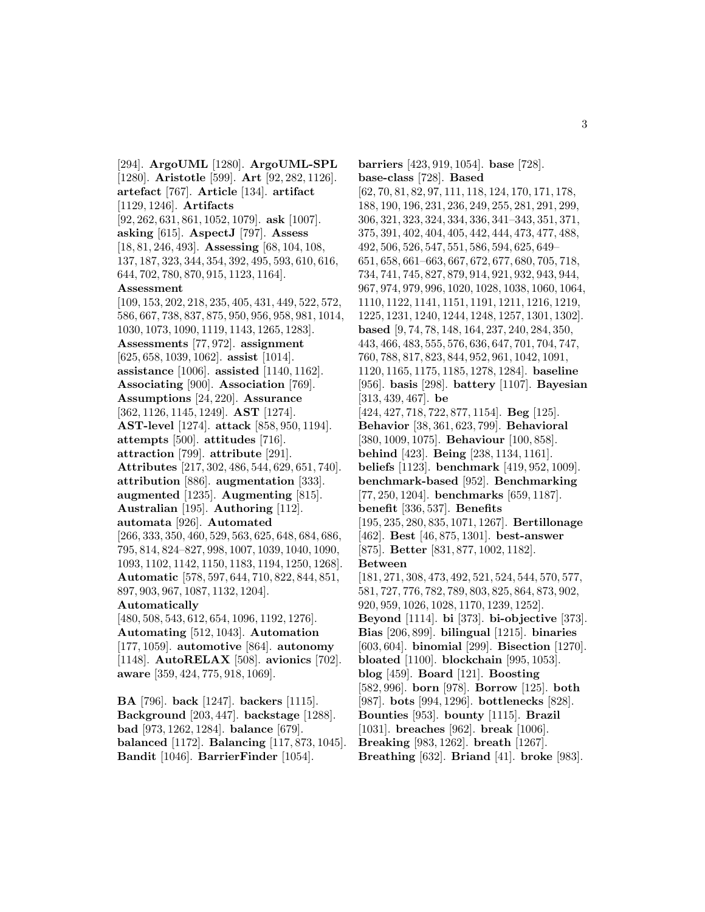[294]. **ArgoUML** [1280]. **ArgoUML-SPL** [1280]. **Aristotle** [599]. **Art** [92, 282, 1126]. **artefact** [767]. **Article** [134]. **artifact** [1129, 1246]. **Artifacts** [92, 262, 631, 861, 1052, 1079]. **ask** [1007]. **asking** [615]. **AspectJ** [797]. **Assess** [18, 81, 246, 493]. **Assessing** [68, 104, 108, 137, 187, 323, 344, 354, 392, 495, 593, 610, 616, 644, 702, 780, 870, 915, 1123, 1164]. **Assessment** [109, 153, 202, 218, 235, 405, 431, 449, 522, 572, 586, 667, 738, 837, 875, 950, 956, 958, 981, 1014, 1030, 1073, 1090, 1119, 1143, 1265, 1283]. **Assessments** [77, 972]. **assignment** [625, 658, 1039, 1062]. **assist** [1014]. **assistance** [1006]. **assisted** [1140, 1162]. **Associating** [900]. **Association** [769]. **Assumptions** [24, 220]. **Assurance** [362, 1126, 1145, 1249]. **AST** [1274]. **AST-level** [1274]. **attack** [858, 950, 1194]. **attempts** [500]. **attitudes** [716]. **attraction** [799]. **attribute** [291]. **Attributes** [217, 302, 486, 544, 629, 651, 740]. **attribution** [886]. **augmentation** [333]. **augmented** [1235]. **Augmenting** [815]. **Australian** [195]. **Authoring** [112]. **automata** [926]. **Automated** [266, 333, 350, 460, 529, 563, 625, 648, 684, 686, 795, 814, 824–827, 998, 1007, 1039, 1040, 1090,

1093, 1102, 1142, 1150, 1183, 1194, 1250, 1268]. **Automatic** [578, 597, 644, 710, 822, 844, 851, 897, 903, 967, 1087, 1132, 1204]. **Automatically**

[480, 508, 543, 612, 654, 1096, 1192, 1276]. **Automating** [512, 1043]. **Automation** [177, 1059]. **automotive** [864]. **autonomy** [1148]. **AutoRELAX** [508]. **avionics** [702]. **aware** [359, 424, 775, 918, 1069].

**BA** [796]. **back** [1247]. **backers** [1115]. **Background** [203, 447]. **backstage** [1288]. **bad** [973, 1262, 1284]. **balance** [679]. **balanced** [1172]. **Balancing** [117, 873, 1045]. **Bandit** [1046]. **BarrierFinder** [1054].

**barriers** [423, 919, 1054]. **base** [728]. **base-class** [728]. **Based** [62, 70, 81, 82, 97, 111, 118, 124, 170, 171, 178, 188, 190, 196, 231, 236, 249, 255, 281, 291, 299, 306, 321, 323, 324, 334, 336, 341–343, 351, 371, 375, 391, 402, 404, 405, 442, 444, 473, 477, 488, 492, 506, 526, 547, 551, 586, 594, 625, 649– 651, 658, 661–663, 667, 672, 677, 680, 705, 718, 734, 741, 745, 827, 879, 914, 921, 932, 943, 944, 967, 974, 979, 996, 1020, 1028, 1038, 1060, 1064, 1110, 1122, 1141, 1151, 1191, 1211, 1216, 1219, 1225, 1231, 1240, 1244, 1248, 1257, 1301, 1302]. **based** [9, 74, 78, 148, 164, 237, 240, 284, 350, 443, 466, 483, 555, 576, 636, 647, 701, 704, 747, 760, 788, 817, 823, 844, 952, 961, 1042, 1091, 1120, 1165, 1175, 1185, 1278, 1284]. **baseline** [956]. **basis** [298]. **battery** [1107]. **Bayesian** [313, 439, 467]. **be** [424, 427, 718, 722, 877, 1154]. **Beg** [125]. **Behavior** [38, 361, 623, 799]. **Behavioral** [380, 1009, 1075]. **Behaviour** [100, 858]. **behind** [423]. **Being** [238, 1134, 1161]. **beliefs** [1123]. **benchmark** [419, 952, 1009]. **benchmark-based** [952]. **Benchmarking** [77, 250, 1204]. **benchmarks** [659, 1187]. **benefit** [336, 537]. **Benefits** [195, 235, 280, 835, 1071, 1267]. **Bertillonage** [462]. **Best** [46, 875, 1301]. **best-answer** [875]. **Better** [831, 877, 1002, 1182]. **Between** [181, 271, 308, 473, 492, 521, 524, 544, 570, 577, 581, 727, 776, 782, 789, 803, 825, 864, 873, 902, 920, 959, 1026, 1028, 1170, 1239, 1252]. **Beyond** [1114]. **bi** [373]. **bi-objective** [373]. **Bias** [206, 899]. **bilingual** [1215]. **binaries** [603, 604]. **binomial** [299]. **Bisection** [1270]. **bloated** [1100]. **blockchain** [995, 1053]. **blog** [459]. **Board** [121]. **Boosting** [582, 996]. **born** [978]. **Borrow** [125]. **both** [987]. **bots** [994, 1296]. **bottlenecks** [828]. **Bounties** [953]. **bounty** [1115]. **Brazil** [1031]. **breaches** [962]. **break** [1006]. **Breaking** [983, 1262]. **breath** [1267]. **Breathing** [632]. **Briand** [41]. **broke** [983].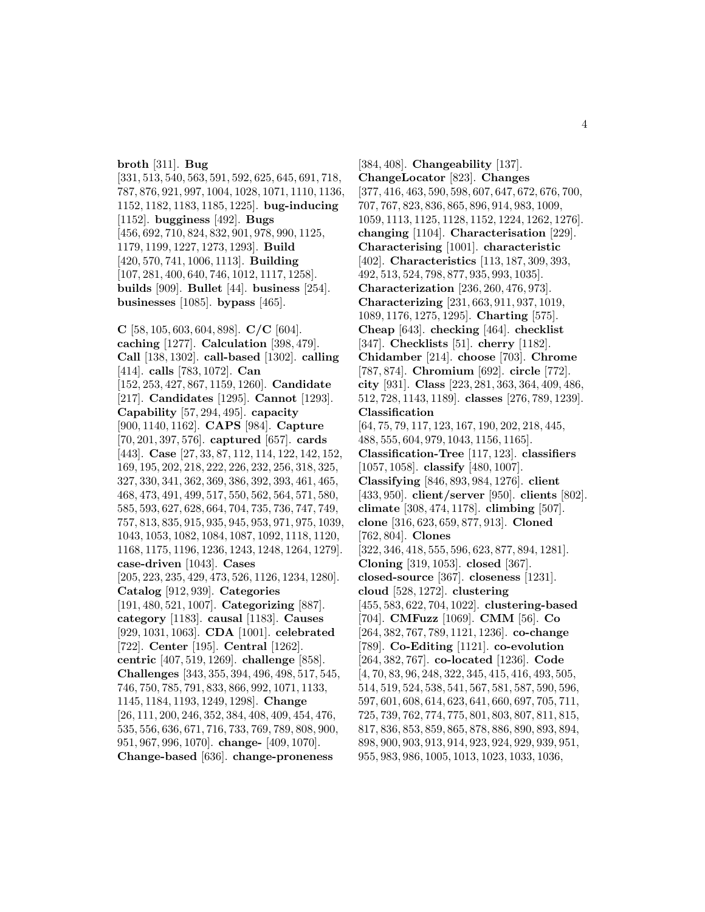**broth** [311]. **Bug**

[331, 513, 540, 563, 591, 592, 625, 645, 691, 718, 787, 876, 921, 997, 1004, 1028, 1071, 1110, 1136, 1152, 1182, 1183, 1185, 1225]. **bug-inducing** [1152]. **bugginess** [492]. **Bugs** [456, 692, 710, 824, 832, 901, 978, 990, 1125, 1179, 1199, 1227, 1273, 1293]. **Build** [420, 570, 741, 1006, 1113]. **Building** [107, 281, 400, 640, 746, 1012, 1117, 1258]. **builds** [909]. **Bullet** [44]. **business** [254]. **businesses** [1085]. **bypass** [465].

**C** [58, 105, 603, 604, 898]. **C/C** [604]. **caching** [1277]. **Calculation** [398, 479]. **Call** [138, 1302]. **call-based** [1302]. **calling** [414]. **calls** [783, 1072]. **Can** [152, 253, 427, 867, 1159, 1260]. **Candidate** [217]. **Candidates** [1295]. **Cannot** [1293]. **Capability** [57, 294, 495]. **capacity** [900, 1140, 1162]. **CAPS** [984]. **Capture** [70, 201, 397, 576]. **captured** [657]. **cards** [443]. **Case** [27, 33, 87, 112, 114, 122, 142, 152, 169, 195, 202, 218, 222, 226, 232, 256, 318, 325, 327, 330, 341, 362, 369, 386, 392, 393, 461, 465, 468, 473, 491, 499, 517, 550, 562, 564, 571, 580, 585, 593, 627, 628, 664, 704, 735, 736, 747, 749, 757, 813, 835, 915, 935, 945, 953, 971, 975, 1039, 1043, 1053, 1082, 1084, 1087, 1092, 1118, 1120, 1168, 1175, 1196, 1236, 1243, 1248, 1264, 1279]. **case-driven** [1043]. **Cases** [205, 223, 235, 429, 473, 526, 1126, 1234, 1280]. **Catalog** [912, 939]. **Categories** [191, 480, 521, 1007]. **Categorizing** [887]. **category** [1183]. **causal** [1183]. **Causes** [929, 1031, 1063]. **CDA** [1001]. **celebrated** [722]. **Center** [195]. **Central** [1262]. **centric** [407, 519, 1269]. **challenge** [858]. **Challenges** [343, 355, 394, 496, 498, 517, 545, 746, 750, 785, 791, 833, 866, 992, 1071, 1133, 1145, 1184, 1193, 1249, 1298]. **Change** [26, 111, 200, 246, 352, 384, 408, 409, 454, 476, 535, 556, 636, 671, 716, 733, 769, 789, 808, 900, 951, 967, 996, 1070]. **change-** [409, 1070]. **Change-based** [636]. **change-proneness**

[384, 408]. **Changeability** [137]. **ChangeLocator** [823]. **Changes** [377, 416, 463, 590, 598, 607, 647, 672, 676, 700, 707, 767, 823, 836, 865, 896, 914, 983, 1009, 1059, 1113, 1125, 1128, 1152, 1224, 1262, 1276]. **changing** [1104]. **Characterisation** [229]. **Characterising** [1001]. **characteristic** [402]. **Characteristics** [113, 187, 309, 393, 492, 513, 524, 798, 877, 935, 993, 1035]. **Characterization** [236, 260, 476, 973]. **Characterizing** [231, 663, 911, 937, 1019, 1089, 1176, 1275, 1295]. **Charting** [575]. **Cheap** [643]. **checking** [464]. **checklist** [347]. **Checklists** [51]. **cherry** [1182]. **Chidamber** [214]. **choose** [703]. **Chrome** [787, 874]. **Chromium** [692]. **circle** [772]. **city** [931]. **Class** [223, 281, 363, 364, 409, 486, 512, 728, 1143, 1189]. **classes** [276, 789, 1239]. **Classification** [64, 75, 79, 117, 123, 167, 190, 202, 218, 445, 488, 555, 604, 979, 1043, 1156, 1165]. **Classification-Tree** [117, 123]. **classifiers** [1057, 1058]. **classify** [480, 1007]. **Classifying** [846, 893, 984, 1276]. **client** [433, 950]. **client/server** [950]. **clients** [802]. **climate** [308, 474, 1178]. **climbing** [507]. **clone** [316, 623, 659, 877, 913]. **Cloned** [762, 804]. **Clones** [322, 346, 418, 555, 596, 623, 877, 894, 1281]. **Cloning** [319, 1053]. **closed** [367]. **closed-source** [367]. **closeness** [1231]. **cloud** [528, 1272]. **clustering** [455, 583, 622, 704, 1022]. **clustering-based** [704]. **CMFuzz** [1069]. **CMM** [56]. **Co** [264, 382, 767, 789, 1121, 1236]. **co-change** [789]. **Co-Editing** [1121]. **co-evolution** [264, 382, 767]. **co-located** [1236]. **Code** [4, 70, 83, 96, 248, 322, 345, 415, 416, 493, 505, 514, 519, 524, 538, 541, 567, 581, 587, 590, 596, 597, 601, 608, 614, 623, 641, 660, 697, 705, 711, 725, 739, 762, 774, 775, 801, 803, 807, 811, 815, 817, 836, 853, 859, 865, 878, 886, 890, 893, 894, 898, 900, 903, 913, 914, 923, 924, 929, 939, 951, 955, 983, 986, 1005, 1013, 1023, 1033, 1036,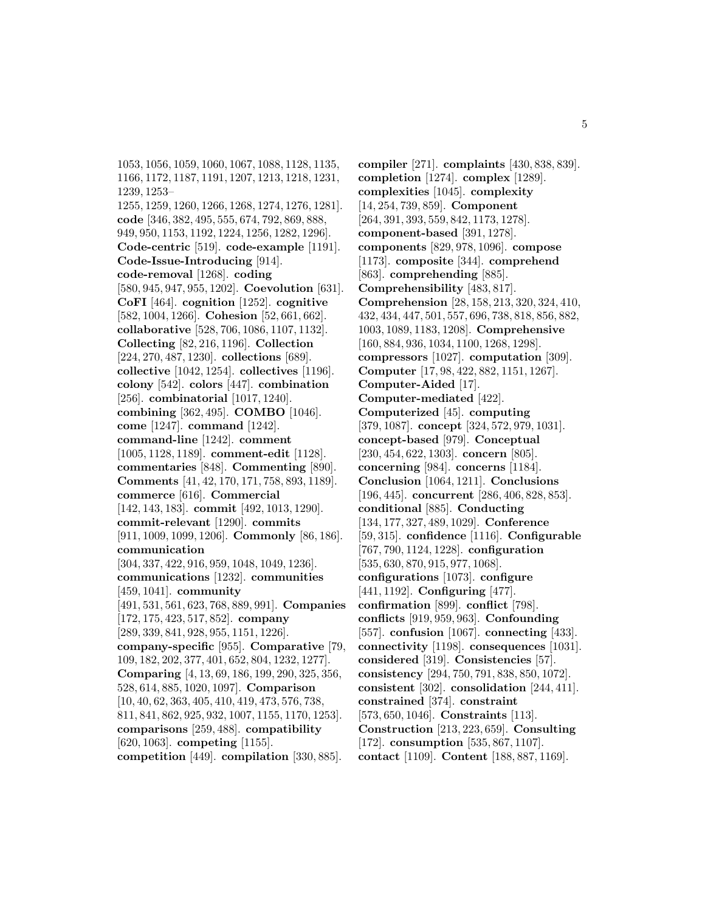1053, 1056, 1059, 1060, 1067, 1088, 1128, 1135, 1166, 1172, 1187, 1191, 1207, 1213, 1218, 1231, 1239, 1253– 1255, 1259, 1260, 1266, 1268, 1274, 1276, 1281]. **code** [346, 382, 495, 555, 674, 792, 869, 888, 949, 950, 1153, 1192, 1224, 1256, 1282, 1296]. **Code-centric** [519]. **code-example** [1191]. **Code-Issue-Introducing** [914]. **code-removal** [1268]. **coding** [580, 945, 947, 955, 1202]. **Coevolution** [631]. **CoFI** [464]. **cognition** [1252]. **cognitive** [582, 1004, 1266]. **Cohesion** [52, 661, 662]. **collaborative** [528, 706, 1086, 1107, 1132]. **Collecting** [82, 216, 1196]. **Collection** [224, 270, 487, 1230]. **collections** [689]. **collective** [1042, 1254]. **collectives** [1196]. **colony** [542]. **colors** [447]. **combination** [256]. **combinatorial** [1017, 1240]. **combining** [362, 495]. **COMBO** [1046]. **come** [1247]. **command** [1242]. **command-line** [1242]. **comment** [1005, 1128, 1189]. **comment-edit** [1128]. **commentaries** [848]. **Commenting** [890]. **Comments** [41, 42, 170, 171, 758, 893, 1189]. **commerce** [616]. **Commercial** [142, 143, 183]. **commit** [492, 1013, 1290]. **commit-relevant** [1290]. **commits** [911, 1009, 1099, 1206]. **Commonly** [86, 186]. **communication** [304, 337, 422, 916, 959, 1048, 1049, 1236]. **communications** [1232]. **communities** [459, 1041]. **community** [491, 531, 561, 623, 768, 889, 991]. **Companies** [172, 175, 423, 517, 852]. **company** [289, 339, 841, 928, 955, 1151, 1226]. **company-specific** [955]. **Comparative** [79, 109, 182, 202, 377, 401, 652, 804, 1232, 1277]. **Comparing** [4, 13, 69, 186, 199, 290, 325, 356, 528, 614, 885, 1020, 1097]. **Comparison** [10, 40, 62, 363, 405, 410, 419, 473, 576, 738, 811, 841, 862, 925, 932, 1007, 1155, 1170, 1253]. **comparisons** [259, 488]. **compatibility** [620, 1063]. **competing** [1155]. **competition** [449]. **compilation** [330, 885].

**compiler** [271]. **complaints** [430, 838, 839]. **completion** [1274]. **complex** [1289]. **complexities** [1045]. **complexity** [14, 254, 739, 859]. **Component** [264, 391, 393, 559, 842, 1173, 1278]. **component-based** [391, 1278]. **components** [829, 978, 1096]. **compose** [1173]. **composite** [344]. **comprehend** [863]. **comprehending** [885]. **Comprehensibility** [483, 817]. **Comprehension** [28, 158, 213, 320, 324, 410, 432, 434, 447, 501, 557, 696, 738, 818, 856, 882, 1003, 1089, 1183, 1208]. **Comprehensive** [160, 884, 936, 1034, 1100, 1268, 1298]. **compressors** [1027]. **computation** [309]. **Computer** [17, 98, 422, 882, 1151, 1267]. **Computer-Aided** [17]. **Computer-mediated** [422]. **Computerized** [45]. **computing** [379, 1087]. **concept** [324, 572, 979, 1031]. **concept-based** [979]. **Conceptual** [230, 454, 622, 1303]. **concern** [805]. **concerning** [984]. **concerns** [1184]. **Conclusion** [1064, 1211]. **Conclusions** [196, 445]. **concurrent** [286, 406, 828, 853]. **conditional** [885]. **Conducting** [134, 177, 327, 489, 1029]. **Conference** [59, 315]. **confidence** [1116]. **Configurable** [767, 790, 1124, 1228]. **configuration** [535, 630, 870, 915, 977, 1068]. **configurations** [1073]. **configure** [441, 1192]. **Configuring** [477]. **confirmation** [899]. **conflict** [798]. **conflicts** [919, 959, 963]. **Confounding** [557]. **confusion** [1067]. **connecting** [433]. **connectivity** [1198]. **consequences** [1031]. **considered** [319]. **Consistencies** [57]. **consistency** [294, 750, 791, 838, 850, 1072]. **consistent** [302]. **consolidation** [244, 411]. **constrained** [374]. **constraint** [573, 650, 1046]. **Constraints** [113]. **Construction** [213, 223, 659]. **Consulting** [172]. **consumption** [535, 867, 1107]. **contact** [1109]. **Content** [188, 887, 1169].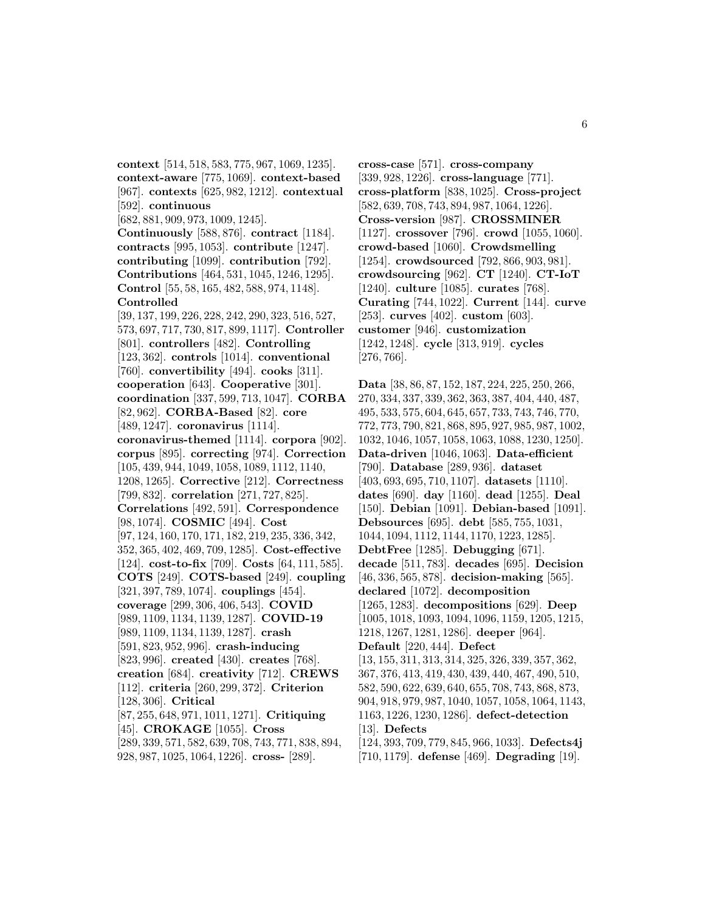**context** [514, 518, 583, 775, 967, 1069, 1235]. **context-aware** [775, 1069]. **context-based** [967]. **contexts** [625, 982, 1212]. **contextual** [592]. **continuous** [682, 881, 909, 973, 1009, 1245]. **Continuously** [588, 876]. **contract** [1184]. **contracts** [995, 1053]. **contribute** [1247]. **contributing** [1099]. **contribution** [792]. **Contributions** [464, 531, 1045, 1246, 1295]. **Control** [55, 58, 165, 482, 588, 974, 1148]. **Controlled** [39, 137, 199, 226, 228, 242, 290, 323, 516, 527, 573, 697, 717, 730, 817, 899, 1117]. **Controller** [801]. **controllers** [482]. **Controlling** [123, 362]. **controls** [1014]. **conventional** [760]. **convertibility** [494]. **cooks** [311]. **cooperation** [643]. **Cooperative** [301]. **coordination** [337, 599, 713, 1047]. **CORBA** [82, 962]. **CORBA-Based** [82]. **core** [489, 1247]. **coronavirus** [1114]. **coronavirus-themed** [1114]. **corpora** [902]. **corpus** [895]. **correcting** [974]. **Correction** [105, 439, 944, 1049, 1058, 1089, 1112, 1140, 1208, 1265]. **Corrective** [212]. **Correctness** [799, 832]. **correlation** [271, 727, 825]. **Correlations** [492, 591]. **Correspondence** [98, 1074]. **COSMIC** [494]. **Cost** [97, 124, 160, 170, 171, 182, 219, 235, 336, 342, 352, 365, 402, 469, 709, 1285]. **Cost-effective** [124]. **cost-to-fix** [709]. **Costs** [64, 111, 585]. **COTS** [249]. **COTS-based** [249]. **coupling** [321, 397, 789, 1074]. **couplings** [454]. **coverage** [299, 306, 406, 543]. **COVID** [989, 1109, 1134, 1139, 1287]. **COVID-19** [989, 1109, 1134, 1139, 1287]. **crash** [591, 823, 952, 996]. **crash-inducing** [823, 996]. **created** [430]. **creates** [768]. **creation** [684]. **creativity** [712]. **CREWS** [112]. **criteria** [260, 299, 372]. **Criterion** [128, 306]. **Critical** [87, 255, 648, 971, 1011, 1271]. **Critiquing** [45]. **CROKAGE** [1055]. **Cross** [289, 339, 571, 582, 639, 708, 743, 771, 838, 894, 928, 987, 1025, 1064, 1226]. **cross-** [289].

**cross-case** [571]. **cross-company** [339, 928, 1226]. **cross-language** [771]. **cross-platform** [838, 1025]. **Cross-project** [582, 639, 708, 743, 894, 987, 1064, 1226]. **Cross-version** [987]. **CROSSMINER** [1127]. **crossover** [796]. **crowd** [1055, 1060]. **crowd-based** [1060]. **Crowdsmelling** [1254]. **crowdsourced** [792, 866, 903, 981]. **crowdsourcing** [962]. **CT** [1240]. **CT-IoT** [1240]. **culture** [1085]. **curates** [768]. **Curating** [744, 1022]. **Current** [144]. **curve** [253]. **curves** [402]. **custom** [603]. **customer** [946]. **customization** [1242, 1248]. **cycle** [313, 919]. **cycles** [276, 766].

**Data** [38, 86, 87, 152, 187, 224, 225, 250, 266, 270, 334, 337, 339, 362, 363, 387, 404, 440, 487, 495, 533, 575, 604, 645, 657, 733, 743, 746, 770, 772, 773, 790, 821, 868, 895, 927, 985, 987, 1002, 1032, 1046, 1057, 1058, 1063, 1088, 1230, 1250]. **Data-driven** [1046, 1063]. **Data-efficient** [790]. **Database** [289, 936]. **dataset** [403, 693, 695, 710, 1107]. **datasets** [1110]. **dates** [690]. **day** [1160]. **dead** [1255]. **Deal** [150]. **Debian** [1091]. **Debian-based** [1091]. **Debsources** [695]. **debt** [585, 755, 1031, 1044, 1094, 1112, 1144, 1170, 1223, 1285]. **DebtFree** [1285]. **Debugging** [671]. **decade** [511, 783]. **decades** [695]. **Decision** [46, 336, 565, 878]. **decision-making** [565]. **declared** [1072]. **decomposition** [1265, 1283]. **decompositions** [629]. **Deep** [1005, 1018, 1093, 1094, 1096, 1159, 1205, 1215, 1218, 1267, 1281, 1286]. **deeper** [964]. **Default** [220, 444]. **Defect** [13, 155, 311, 313, 314, 325, 326, 339, 357, 362, 367, 376, 413, 419, 430, 439, 440, 467, 490, 510, 582, 590, 622, 639, 640, 655, 708, 743, 868, 873, 904, 918, 979, 987, 1040, 1057, 1058, 1064, 1143, 1163, 1226, 1230, 1286]. **defect-detection** [13]. **Defects** [124, 393, 709, 779, 845, 966, 1033]. **Defects4j** [710, 1179]. **defense** [469]. **Degrading** [19].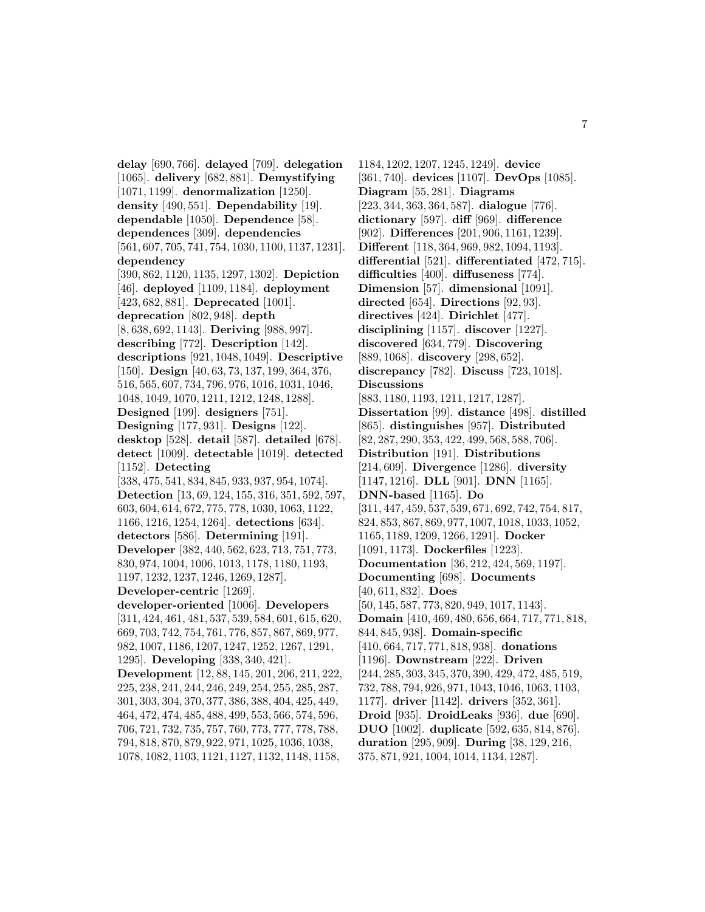**delay** [690, 766]. **delayed** [709]. **delegation** [1065]. **delivery** [682, 881]. **Demystifying** [1071, 1199]. **denormalization** [1250]. **density** [490, 551]. **Dependability** [19]. **dependable** [1050]. **Dependence** [58]. **dependences** [309]. **dependencies** [561, 607, 705, 741, 754, 1030, 1100, 1137, 1231]. **dependency** [390, 862, 1120, 1135, 1297, 1302]. **Depiction** [46]. **deployed** [1109, 1184]. **deployment** [423, 682, 881]. **Deprecated** [1001]. **deprecation** [802, 948]. **depth** [8, 638, 692, 1143]. **Deriving** [988, 997]. **describing** [772]. **Description** [142]. **descriptions** [921, 1048, 1049]. **Descriptive** [150]. **Design** [40, 63, 73, 137, 199, 364, 376, 516, 565, 607, 734, 796, 976, 1016, 1031, 1046, 1048, 1049, 1070, 1211, 1212, 1248, 1288]. **Designed** [199]. **designers** [751]. **Designing** [177, 931]. **Designs** [122]. **desktop** [528]. **detail** [587]. **detailed** [678]. **detect** [1009]. **detectable** [1019]. **detected** [1152]. **Detecting** [338, 475, 541, 834, 845, 933, 937, 954, 1074]. **Detection** [13, 69, 124, 155, 316, 351, 592, 597, 603, 604, 614, 672, 775, 778, 1030, 1063, 1122, 1166, 1216, 1254, 1264]. **detections** [634]. **detectors** [586]. **Determining** [191]. **Developer** [382, 440, 562, 623, 713, 751, 773, 830, 974, 1004, 1006, 1013, 1178, 1180, 1193, 1197, 1232, 1237, 1246, 1269, 1287]. **Developer-centric** [1269]. **developer-oriented** [1006]. **Developers** [311, 424, 461, 481, 537, 539, 584, 601, 615, 620, 669, 703, 742, 754, 761, 776, 857, 867, 869, 977, 982, 1007, 1186, 1207, 1247, 1252, 1267, 1291, 1295]. **Developing** [338, 340, 421]. **Development** [12, 88, 145, 201, 206, 211, 222, 225, 238, 241, 244, 246, 249, 254, 255, 285, 287, 301, 303, 304, 370, 377, 386, 388, 404, 425, 449, 464, 472, 474, 485, 488, 499, 553, 566, 574, 596, 706, 721, 732, 735, 757, 760, 773, 777, 778, 788, 794, 818, 870, 879, 922, 971, 1025, 1036, 1038, 1078, 1082, 1103, 1121, 1127, 1132, 1148, 1158,

1184, 1202, 1207, 1245, 1249]. **device** [361, 740]. **devices** [1107]. **DevOps** [1085]. **Diagram** [55, 281]. **Diagrams** [223, 344, 363, 364, 587]. **dialogue** [776]. **dictionary** [597]. **diff** [969]. **difference** [902]. **Differences** [201, 906, 1161, 1239]. **Different** [118, 364, 969, 982, 1094, 1193]. **differential** [521]. **differentiated** [472, 715]. **difficulties** [400]. **diffuseness** [774]. **Dimension** [57]. **dimensional** [1091]. **directed** [654]. **Directions** [92, 93]. **directives** [424]. **Dirichlet** [477]. **disciplining** [1157]. **discover** [1227]. **discovered** [634, 779]. **Discovering** [889, 1068]. **discovery** [298, 652]. **discrepancy** [782]. **Discuss** [723, 1018]. **Discussions** [883, 1180, 1193, 1211, 1217, 1287]. **Dissertation** [99]. **distance** [498]. **distilled** [865]. **distinguishes** [957]. **Distributed** [82, 287, 290, 353, 422, 499, 568, 588, 706]. **Distribution** [191]. **Distributions** [214, 609]. **Divergence** [1286]. **diversity** [1147, 1216]. **DLL** [901]. **DNN** [1165]. **DNN-based** [1165]. **Do** [311, 447, 459, 537, 539, 671, 692, 742, 754, 817, 824, 853, 867, 869, 977, 1007, 1018, 1033, 1052, 1165, 1189, 1209, 1266, 1291]. **Docker** [1091, 1173]. **Dockerfiles** [1223]. **Documentation** [36, 212, 424, 569, 1197]. **Documenting** [698]. **Documents** [40, 611, 832]. **Does** [50, 145, 587, 773, 820, 949, 1017, 1143]. **Domain** [410, 469, 480, 656, 664, 717, 771, 818, 844, 845, 938]. **Domain-specific** [410, 664, 717, 771, 818, 938]. **donations** [1196]. **Downstream** [222]. **Driven** [244, 285, 303, 345, 370, 390, 429, 472, 485, 519, 732, 788, 794, 926, 971, 1043, 1046, 1063, 1103, 1177]. **driver** [1142]. **drivers** [352, 361]. **Droid** [935]. **DroidLeaks** [936]. **due** [690]. **DUO** [1002]. **duplicate** [592, 635, 814, 876]. **duration** [295, 909]. **During** [38, 129, 216, 375, 871, 921, 1004, 1014, 1134, 1287].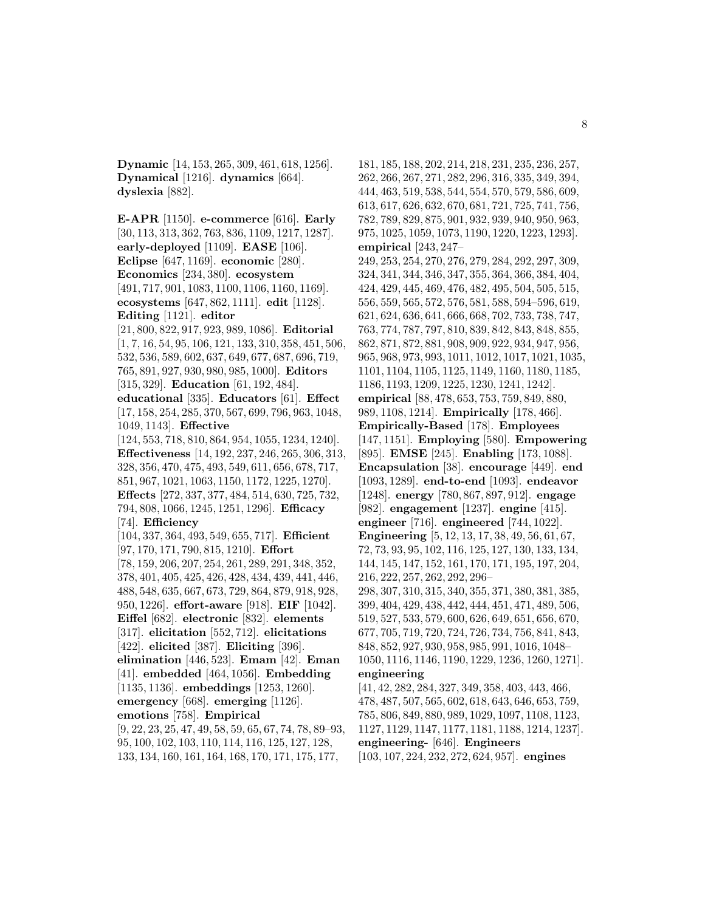**Dynamic** [14, 153, 265, 309, 461, 618, 1256]. **Dynamical** [1216]. **dynamics** [664]. **dyslexia** [882].

**E-APR** [1150]. **e-commerce** [616]. **Early** [30, 113, 313, 362, 763, 836, 1109, 1217, 1287]. **early-deployed** [1109]. **EASE** [106]. **Eclipse** [647, 1169]. **economic** [280]. **Economics** [234, 380]. **ecosystem** [491, 717, 901, 1083, 1100, 1106, 1160, 1169]. **ecosystems** [647, 862, 1111]. **edit** [1128]. **Editing** [1121]. **editor** [21, 800, 822, 917, 923, 989, 1086]. **Editorial** [1, 7, 16, 54, 95, 106, 121, 133, 310, 358, 451, 506, 532, 536, 589, 602, 637, 649, 677, 687, 696, 719, 765, 891, 927, 930, 980, 985, 1000]. **Editors** [315, 329]. **Education** [61, 192, 484]. **educational** [335]. **Educators** [61]. **Effect** [17, 158, 254, 285, 370, 567, 699, 796, 963, 1048, 1049, 1143]. **Effective** [124, 553, 718, 810, 864, 954, 1055, 1234, 1240]. **Effectiveness** [14, 192, 237, 246, 265, 306, 313, 328, 356, 470, 475, 493, 549, 611, 656, 678, 717, 851, 967, 1021, 1063, 1150, 1172, 1225, 1270]. **Effects** [272, 337, 377, 484, 514, 630, 725, 732, 794, 808, 1066, 1245, 1251, 1296]. **Efficacy** [74]. **Efficiency** [104, 337, 364, 493, 549, 655, 717]. **Efficient** [97, 170, 171, 790, 815, 1210]. **Effort** [78, 159, 206, 207, 254, 261, 289, 291, 348, 352, 378, 401, 405, 425, 426, 428, 434, 439, 441, 446, 488, 548, 635, 667, 673, 729, 864, 879, 918, 928, 950, 1226]. **effort-aware** [918]. **EIF** [1042]. **Eiffel** [682]. **electronic** [832]. **elements** [317]. **elicitation** [552, 712]. **elicitations** [422]. **elicited** [387]. **Eliciting** [396]. **elimination** [446, 523]. **Emam** [42]. **Eman** [41]. **embedded** [464, 1056]. **Embedding** [1135, 1136]. **embeddings** [1253, 1260]. **emergency** [668]. **emerging** [1126]. **emotions** [758]. **Empirical** [9, 22, 23, 25, 47, 49, 58, 59, 65, 67, 74, 78, 89–93, 95, 100, 102, 103, 110, 114, 116, 125, 127, 128, 133, 134, 160, 161, 164, 168, 170, 171, 175, 177,

181, 185, 188, 202, 214, 218, 231, 235, 236, 257, 262, 266, 267, 271, 282, 296, 316, 335, 349, 394, 444, 463, 519, 538, 544, 554, 570, 579, 586, 609, 613, 617, 626, 632, 670, 681, 721, 725, 741, 756, 782, 789, 829, 875, 901, 932, 939, 940, 950, 963, 975, 1025, 1059, 1073, 1190, 1220, 1223, 1293]. **empirical** [243, 247– 249, 253, 254, 270, 276, 279, 284, 292, 297, 309, 324, 341, 344, 346, 347, 355, 364, 366, 384, 404, 424, 429, 445, 469, 476, 482, 495, 504, 505, 515, 556, 559, 565, 572, 576, 581, 588, 594–596, 619, 621, 624, 636, 641, 666, 668, 702, 733, 738, 747, 763, 774, 787, 797, 810, 839, 842, 843, 848, 855, 862, 871, 872, 881, 908, 909, 922, 934, 947, 956, 965, 968, 973, 993, 1011, 1012, 1017, 1021, 1035, 1101, 1104, 1105, 1125, 1149, 1160, 1180, 1185, 1186, 1193, 1209, 1225, 1230, 1241, 1242]. **empirical** [88, 478, 653, 753, 759, 849, 880, 989, 1108, 1214]. **Empirically** [178, 466]. **Empirically-Based** [178]. **Employees** [147, 1151]. **Employing** [580]. **Empowering** [895]. **EMSE** [245]. **Enabling** [173, 1088]. **Encapsulation** [38]. **encourage** [449]. **end** [1093, 1289]. **end-to-end** [1093]. **endeavor** [1248]. **energy** [780, 867, 897, 912]. **engage** [982]. **engagement** [1237]. **engine** [415]. **engineer** [716]. **engineered** [744, 1022]. **Engineering** [5, 12, 13, 17, 38, 49, 56, 61, 67, 72, 73, 93, 95, 102, 116, 125, 127, 130, 133, 134, 144, 145, 147, 152, 161, 170, 171, 195, 197, 204, 216, 222, 257, 262, 292, 296– 298, 307, 310, 315, 340, 355, 371, 380, 381, 385, 399, 404, 429, 438, 442, 444, 451, 471, 489, 506, 519, 527, 533, 579, 600, 626, 649, 651, 656, 670, 677, 705, 719, 720, 724, 726, 734, 756, 841, 843, 848, 852, 927, 930, 958, 985, 991, 1016, 1048– 1050, 1116, 1146, 1190, 1229, 1236, 1260, 1271]. **engineering** [41, 42, 282, 284, 327, 349, 358, 403, 443, 466, 478, 487, 507, 565, 602, 618, 643, 646, 653, 759, 785, 806, 849, 880, 989, 1029, 1097, 1108, 1123, 1127, 1129, 1147, 1177, 1181, 1188, 1214, 1237].

**engineering-** [646]. **Engineers**

[103, 107, 224, 232, 272, 624, 957]. **engines**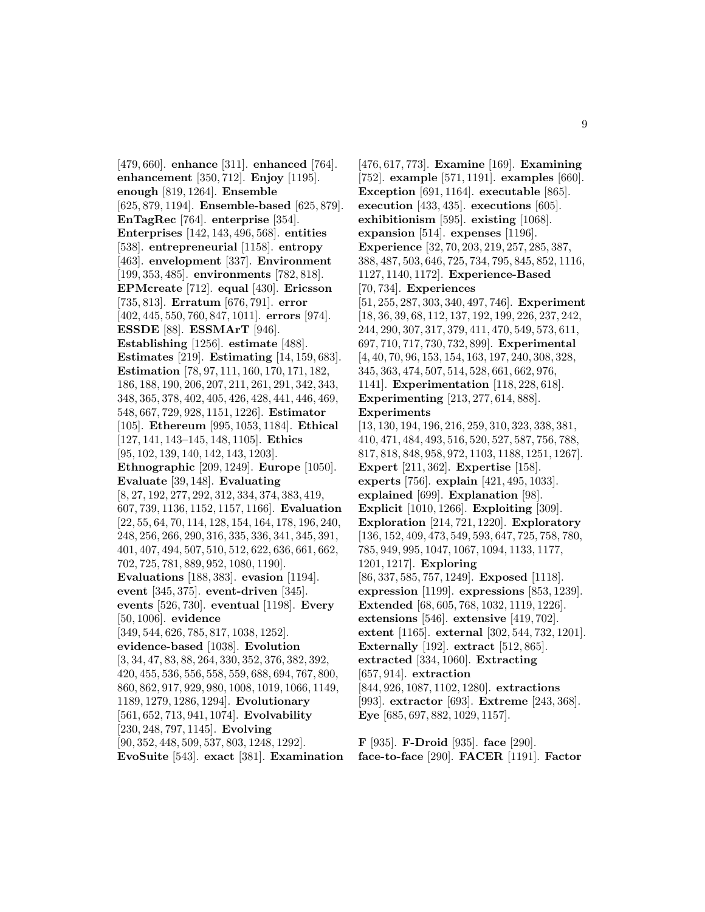[479, 660]. **enhance** [311]. **enhanced** [764]. **enhancement** [350, 712]. **Enjoy** [1195]. **enough** [819, 1264]. **Ensemble** [625, 879, 1194]. **Ensemble-based** [625, 879]. **EnTagRec** [764]. **enterprise** [354]. **Enterprises** [142, 143, 496, 568]. **entities** [538]. **entrepreneurial** [1158]. **entropy** [463]. **envelopment** [337]. **Environment** [199, 353, 485]. **environments** [782, 818]. **EPMcreate** [712]. **equal** [430]. **Ericsson** [735, 813]. **Erratum** [676, 791]. **error** [402, 445, 550, 760, 847, 1011]. **errors** [974]. **ESSDE** [88]. **ESSMArT** [946]. **Establishing** [1256]. **estimate** [488]. **Estimates** [219]. **Estimating** [14, 159, 683]. **Estimation** [78, 97, 111, 160, 170, 171, 182, 186, 188, 190, 206, 207, 211, 261, 291, 342, 343, 348, 365, 378, 402, 405, 426, 428, 441, 446, 469, 548, 667, 729, 928, 1151, 1226]. **Estimator** [105]. **Ethereum** [995, 1053, 1184]. **Ethical** [127, 141, 143–145, 148, 1105]. **Ethics** [95, 102, 139, 140, 142, 143, 1203]. **Ethnographic** [209, 1249]. **Europe** [1050]. **Evaluate** [39, 148]. **Evaluating** [8, 27, 192, 277, 292, 312, 334, 374, 383, 419, 607, 739, 1136, 1152, 1157, 1166]. **Evaluation** [22, 55, 64, 70, 114, 128, 154, 164, 178, 196, 240, 248, 256, 266, 290, 316, 335, 336, 341, 345, 391, 401, 407, 494, 507, 510, 512, 622, 636, 661, 662, 702, 725, 781, 889, 952, 1080, 1190]. **Evaluations** [188, 383]. **evasion** [1194]. **event** [345, 375]. **event-driven** [345]. **events** [526, 730]. **eventual** [1198]. **Every** [50, 1006]. **evidence** [349, 544, 626, 785, 817, 1038, 1252]. **evidence-based** [1038]. **Evolution** [3, 34, 47, 83, 88, 264, 330, 352, 376, 382, 392, 420, 455, 536, 556, 558, 559, 688, 694, 767, 800, 860, 862, 917, 929, 980, 1008, 1019, 1066, 1149, 1189, 1279, 1286, 1294]. **Evolutionary** [561, 652, 713, 941, 1074]. **Evolvability** [230, 248, 797, 1145]. **Evolving** [90, 352, 448, 509, 537, 803, 1248, 1292]. **EvoSuite** [543]. **exact** [381]. **Examination**

[476, 617, 773]. **Examine** [169]. **Examining** [752]. **example** [571, 1191]. **examples** [660]. **Exception** [691, 1164]. **executable** [865]. **execution** [433, 435]. **executions** [605]. **exhibitionism** [595]. **existing** [1068]. **expansion** [514]. **expenses** [1196]. **Experience** [32, 70, 203, 219, 257, 285, 387, 388, 487, 503, 646, 725, 734, 795, 845, 852, 1116, 1127, 1140, 1172]. **Experience-Based** [70, 734]. **Experiences** [51, 255, 287, 303, 340, 497, 746]. **Experiment** [18, 36, 39, 68, 112, 137, 192, 199, 226, 237, 242, 244, 290, 307, 317, 379, 411, 470, 549, 573, 611, 697, 710, 717, 730, 732, 899]. **Experimental** [4, 40, 70, 96, 153, 154, 163, 197, 240, 308, 328, 345, 363, 474, 507, 514, 528, 661, 662, 976, 1141]. **Experimentation** [118, 228, 618]. **Experimenting** [213, 277, 614, 888]. **Experiments** [13, 130, 194, 196, 216, 259, 310, 323, 338, 381, 410, 471, 484, 493, 516, 520, 527, 587, 756, 788, 817, 818, 848, 958, 972, 1103, 1188, 1251, 1267]. **Expert** [211, 362]. **Expertise** [158]. **experts** [756]. **explain** [421, 495, 1033]. **explained** [699]. **Explanation** [98]. **Explicit** [1010, 1266]. **Exploiting** [309]. **Exploration** [214, 721, 1220]. **Exploratory** [136, 152, 409, 473, 549, 593, 647, 725, 758, 780, 785, 949, 995, 1047, 1067, 1094, 1133, 1177, 1201, 1217]. **Exploring** [86, 337, 585, 757, 1249]. **Exposed** [1118]. **expression** [1199]. **expressions** [853, 1239]. **Extended** [68, 605, 768, 1032, 1119, 1226]. **extensions** [546]. **extensive** [419, 702]. **extent** [1165]. **external** [302, 544, 732, 1201]. **Externally** [192]. **extract** [512, 865]. **extracted** [334, 1060]. **Extracting** [657, 914]. **extraction** [844, 926, 1087, 1102, 1280]. **extractions** [993]. **extractor** [693]. **Extreme** [243, 368]. **Eye** [685, 697, 882, 1029, 1157].

**F** [935]. **F-Droid** [935]. **face** [290]. **face-to-face** [290]. **FACER** [1191]. **Factor**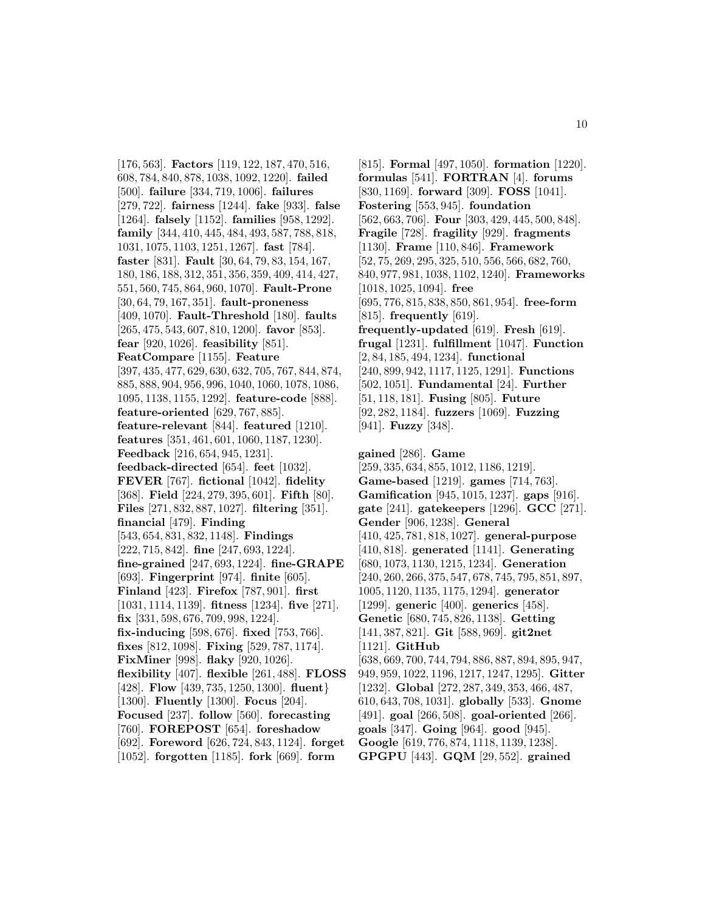[176, 563]. **Factors** [119, 122, 187, 470, 516, 608, 784, 840, 878, 1038, 1092, 1220]. **failed** [500]. **failure** [334, 719, 1006]. **failures** [279, 722]. **fairness** [1244]. **fake** [933]. **false** [1264]. **falsely** [1152]. **families** [958, 1292]. **family** [344, 410, 445, 484, 493, 587, 788, 818, 1031, 1075, 1103, 1251, 1267]. **fast** [784]. **faster** [831]. **Fault** [30, 64, 79, 83, 154, 167, 180, 186, 188, 312, 351, 356, 359, 409, 414, 427, 551, 560, 745, 864, 960, 1070]. **Fault-Prone** [30, 64, 79, 167, 351]. **fault-proneness** [409, 1070]. **Fault-Threshold** [180]. **faults** [265, 475, 543, 607, 810, 1200]. **favor** [853]. **fear** [920, 1026]. **feasibility** [851]. **FeatCompare** [1155]. **Feature** [397, 435, 477, 629, 630, 632, 705, 767, 844, 874, 885, 888, 904, 956, 996, 1040, 1060, 1078, 1086, 1095, 1138, 1155, 1292]. **feature-code** [888]. **feature-oriented** [629, 767, 885]. **feature-relevant** [844]. **featured** [1210]. **features** [351, 461, 601, 1060, 1187, 1230]. **Feedback** [216, 654, 945, 1231]. **feedback-directed** [654]. **feet** [1032]. **FEVER** [767]. **fictional** [1042]. **fidelity** [368]. **Field** [224, 279, 395, 601]. **Fifth** [80]. **Files** [271, 832, 887, 1027]. **filtering** [351]. **financial** [479]. **Finding** [543, 654, 831, 832, 1148]. **Findings** [222, 715, 842]. **fine** [247, 693, 1224]. **fine-grained** [247, 693, 1224]. **fine-GRAPE** [693]. **Fingerprint** [974]. **finite** [605]. **Finland** [423]. **Firefox** [787, 901]. **first** [1031, 1114, 1139]. **fitness** [1234]. **five** [271]. **fix** [331, 598, 676, 709, 998, 1224]. **fix-inducing** [598, 676]. **fixed** [753, 766]. **fixes** [812, 1098]. **Fixing** [529, 787, 1174]. **FixMiner** [998]. **flaky** [920, 1026]. **flexibility** [407]. **flexible** [261, 488]. **FLOSS** [428]. **Flow** [439, 735, 1250, 1300]. **fluent**} [1300]. **Fluently** [1300]. **Focus** [204]. **Focused** [237]. **follow** [560]. **forecasting** [760]. **FOREPOST** [654]. **foreshadow** [692]. **Foreword** [626, 724, 843, 1124]. **forget** [1052]. **forgotten** [1185]. **fork** [669]. **form**

[815]. **Formal** [497, 1050]. **formation** [1220]. **formulas** [541]. **FORTRAN** [4]. **forums** [830, 1169]. **forward** [309]. **FOSS** [1041]. **Fostering** [553, 945]. **foundation** [562, 663, 706]. **Four** [303, 429, 445, 500, 848]. **Fragile** [728]. **fragility** [929]. **fragments** [1130]. **Frame** [110, 846]. **Framework** [52, 75, 269, 295, 325, 510, 556, 566, 682, 760, 840, 977, 981, 1038, 1102, 1240]. **Frameworks** [1018, 1025, 1094]. **free** [695, 776, 815, 838, 850, 861, 954]. **free-form** [815]. **frequently** [619]. **frequently-updated** [619]. **Fresh** [619]. **frugal** [1231]. **fulfillment** [1047]. **Function** [2, 84, 185, 494, 1234]. **functional** [240, 899, 942, 1117, 1125, 1291]. **Functions** [502, 1051]. **Fundamental** [24]. **Further** [51, 118, 181]. **Fusing** [805]. **Future** [92, 282, 1184]. **fuzzers** [1069]. **Fuzzing** [941]. **Fuzzy** [348].

**gained** [286]. **Game** [259, 335, 634, 855, 1012, 1186, 1219]. **Game-based** [1219]. **games** [714, 763]. **Gamification** [945, 1015, 1237]. **gaps** [916]. **gate** [241]. **gatekeepers** [1296]. **GCC** [271]. **Gender** [906, 1238]. **General** [410, 425, 781, 818, 1027]. **general-purpose** [410, 818]. **generated** [1141]. **Generating** [680, 1073, 1130, 1215, 1234]. **Generation** [240, 260, 266, 375, 547, 678, 745, 795, 851, 897, 1005, 1120, 1135, 1175, 1294]. **generator** [1299]. **generic** [400]. **generics** [458]. **Genetic** [680, 745, 826, 1138]. **Getting** [141, 387, 821]. **Git** [588, 969]. **git2net** [1121]. **GitHub** [638, 669, 700, 744, 794, 886, 887, 894, 895, 947, 949, 959, 1022, 1196, 1217, 1247, 1295]. **Gitter**

[1232]. **Global** [272, 287, 349, 353, 466, 487, 610, 643, 708, 1031]. **globally** [533]. **Gnome** [491]. **goal** [266, 508]. **goal-oriented** [266]. **goals** [347]. **Going** [964]. **good** [945]. **Google** [619, 776, 874, 1118, 1139, 1238]. **GPGPU** [443]. **GQM** [29, 552]. **grained**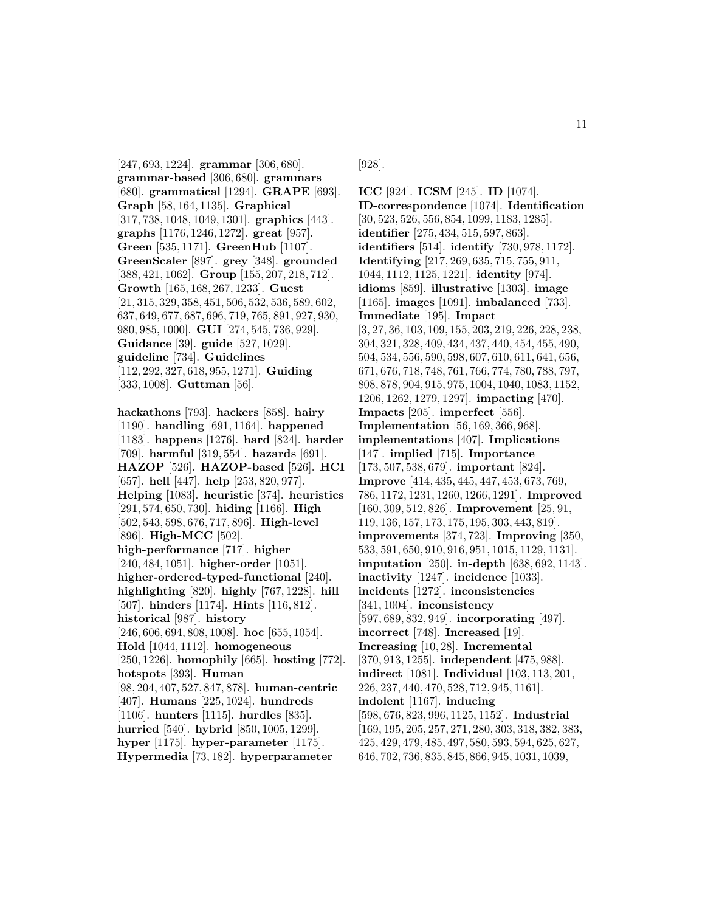[247, 693, 1224]. **grammar** [306, 680]. **grammar-based** [306, 680]. **grammars** [680]. **grammatical** [1294]. **GRAPE** [693]. **Graph** [58, 164, 1135]. **Graphical** [317, 738, 1048, 1049, 1301]. **graphics** [443]. **graphs** [1176, 1246, 1272]. **great** [957]. **Green** [535, 1171]. **GreenHub** [1107]. **GreenScaler** [897]. **grey** [348]. **grounded** [388, 421, 1062]. **Group** [155, 207, 218, 712]. **Growth** [165, 168, 267, 1233]. **Guest** [21, 315, 329, 358, 451, 506, 532, 536, 589, 602, 637, 649, 677, 687, 696, 719, 765, 891, 927, 930, 980, 985, 1000]. **GUI** [274, 545, 736, 929]. **Guidance** [39]. **guide** [527, 1029]. **guideline** [734]. **Guidelines** [112, 292, 327, 618, 955, 1271]. **Guiding** [333, 1008]. **Guttman** [56].

**hackathons** [793]. **hackers** [858]. **hairy** [1190]. **handling** [691, 1164]. **happened** [1183]. **happens** [1276]. **hard** [824]. **harder** [709]. **harmful** [319, 554]. **hazards** [691]. **HAZOP** [526]. **HAZOP-based** [526]. **HCI** [657]. **hell** [447]. **help** [253, 820, 977]. **Helping** [1083]. **heuristic** [374]. **heuristics** [291, 574, 650, 730]. **hiding** [1166]. **High** [502, 543, 598, 676, 717, 896]. **High-level** [896]. **High-MCC** [502]. **high-performance** [717]. **higher** [240, 484, 1051]. **higher-order** [1051]. **higher-ordered-typed-functional** [240]. **highlighting** [820]. **highly** [767, 1228]. **hill** [507]. **hinders** [1174]. **Hints** [116, 812]. **historical** [987]. **history** [246, 606, 694, 808, 1008]. **hoc** [655, 1054]. **Hold** [1044, 1112]. **homogeneous** [250, 1226]. **homophily** [665]. **hosting** [772]. **hotspots** [393]. **Human** [98, 204, 407, 527, 847, 878]. **human-centric** [407]. **Humans** [225, 1024]. **hundreds** [1106]. **hunters** [1115]. **hurdles** [835]. **hurried** [540]. **hybrid** [850, 1005, 1299]. **hyper** [1175]. **hyper-parameter** [1175].

**Hypermedia** [73, 182]. **hyperparameter**

[928].

**ICC** [924]. **ICSM** [245]. **ID** [1074]. **ID-correspondence** [1074]. **Identification** [30, 523, 526, 556, 854, 1099, 1183, 1285]. **identifier** [275, 434, 515, 597, 863]. **identifiers** [514]. **identify** [730, 978, 1172]. **Identifying** [217, 269, 635, 715, 755, 911, 1044, 1112, 1125, 1221]. **identity** [974]. **idioms** [859]. **illustrative** [1303]. **image** [1165]. **images** [1091]. **imbalanced** [733]. **Immediate** [195]. **Impact** [3, 27, 36, 103, 109, 155, 203, 219, 226, 228, 238, 304, 321, 328, 409, 434, 437, 440, 454, 455, 490, 504, 534, 556, 590, 598, 607, 610, 611, 641, 656, 671, 676, 718, 748, 761, 766, 774, 780, 788, 797, 808, 878, 904, 915, 975, 1004, 1040, 1083, 1152, 1206, 1262, 1279, 1297]. **impacting** [470]. **Impacts** [205]. **imperfect** [556]. **Implementation** [56, 169, 366, 968]. **implementations** [407]. **Implications** [147]. **implied** [715]. **Importance** [173, 507, 538, 679]. **important** [824]. **Improve** [414, 435, 445, 447, 453, 673, 769, 786, 1172, 1231, 1260, 1266, 1291]. **Improved** [160, 309, 512, 826]. **Improvement** [25, 91, 119, 136, 157, 173, 175, 195, 303, 443, 819]. **improvements** [374, 723]. **Improving** [350, 533, 591, 650, 910, 916, 951, 1015, 1129, 1131]. **imputation** [250]. **in-depth** [638, 692, 1143]. **inactivity** [1247]. **incidence** [1033]. **incidents** [1272]. **inconsistencies** [341, 1004]. **inconsistency** [597, 689, 832, 949]. **incorporating** [497]. **incorrect** [748]. **Increased** [19]. **Increasing** [10, 28]. **Incremental** [370, 913, 1255]. **independent** [475, 988]. **indirect** [1081]. **Individual** [103, 113, 201, 226, 237, 440, 470, 528, 712, 945, 1161]. **indolent** [1167]. **inducing** [598, 676, 823, 996, 1125, 1152]. **Industrial** [169, 195, 205, 257, 271, 280, 303, 318, 382, 383, 425, 429, 479, 485, 497, 580, 593, 594, 625, 627, 646, 702, 736, 835, 845, 866, 945, 1031, 1039,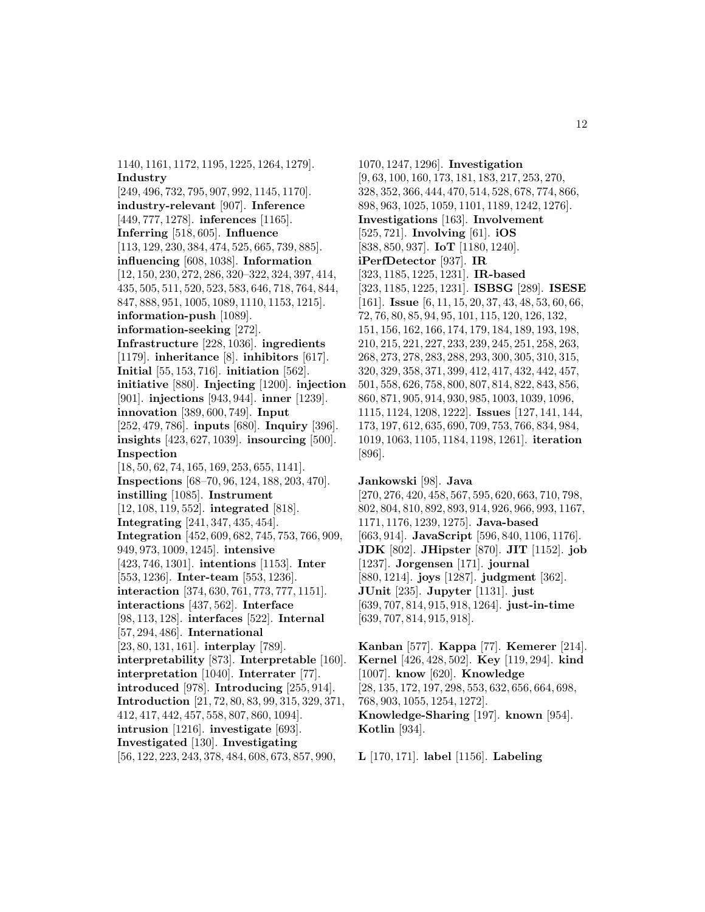1140, 1161, 1172, 1195, 1225, 1264, 1279]. **Industry**

[249, 496, 732, 795, 907, 992, 1145, 1170]. **industry-relevant** [907]. **Inference** [449, 777, 1278]. **inferences** [1165]. **Inferring** [518, 605]. **Influence** [113, 129, 230, 384, 474, 525, 665, 739, 885]. **influencing** [608, 1038]. **Information** [12, 150, 230, 272, 286, 320–322, 324, 397, 414, 435, 505, 511, 520, 523, 583, 646, 718, 764, 844, 847, 888, 951, 1005, 1089, 1110, 1153, 1215]. **information-push** [1089]. **information-seeking** [272]. **Infrastructure** [228, 1036]. **ingredients** [1179]. **inheritance** [8]. **inhibitors** [617]. **Initial** [55, 153, 716]. **initiation** [562]. **initiative** [880]. **Injecting** [1200]. **injection** [901]. **injections** [943, 944]. **inner** [1239]. **innovation** [389, 600, 749]. **Input** [252, 479, 786]. **inputs** [680]. **Inquiry** [396]. **insights** [423, 627, 1039]. **insourcing** [500]. **Inspection** [18, 50, 62, 74, 165, 169, 253, 655, 1141]. **Inspections** [68–70, 96, 124, 188, 203, 470]. **instilling** [1085]. **Instrument** [12, 108, 119, 552]. **integrated** [818]. **Integrating** [241, 347, 435, 454]. **Integration** [452, 609, 682, 745, 753, 766, 909, 949, 973, 1009, 1245]. **intensive** [423, 746, 1301]. **intentions** [1153]. **Inter** [553, 1236]. **Inter-team** [553, 1236]. **interaction** [374, 630, 761, 773, 777, 1151]. **interactions** [437, 562]. **Interface** [98, 113, 128]. **interfaces** [522]. **Internal** [57, 294, 486]. **International** [23, 80, 131, 161]. **interplay** [789]. **interpretability** [873]. **Interpretable** [160]. **interpretation** [1040]. **Interrater** [77]. **introduced** [978]. **Introducing** [255, 914]. **Introduction** [21, 72, 80, 83, 99, 315, 329, 371, 412, 417, 442, 457, 558, 807, 860, 1094]. **intrusion** [1216]. **investigate** [693]. **Investigated** [130]. **Investigating**

[56, 122, 223, 243, 378, 484, 608, 673, 857, 990,

1070, 1247, 1296]. **Investigation** [9, 63, 100, 160, 173, 181, 183, 217, 253, 270, 328, 352, 366, 444, 470, 514, 528, 678, 774, 866, 898, 963, 1025, 1059, 1101, 1189, 1242, 1276]. **Investigations** [163]. **Involvement** [525, 721]. **Involving** [61]. **iOS** [838, 850, 937]. **IoT** [1180, 1240]. **iPerfDetector** [937]. **IR** [323, 1185, 1225, 1231]. **IR-based** [323, 1185, 1225, 1231]. **ISBSG** [289]. **ISESE** [161]. **Issue** [6, 11, 15, 20, 37, 43, 48, 53, 60, 66, 72, 76, 80, 85, 94, 95, 101, 115, 120, 126, 132, 151, 156, 162, 166, 174, 179, 184, 189, 193, 198, 210, 215, 221, 227, 233, 239, 245, 251, 258, 263, 268, 273, 278, 283, 288, 293, 300, 305, 310, 315, 320, 329, 358, 371, 399, 412, 417, 432, 442, 457, 501, 558, 626, 758, 800, 807, 814, 822, 843, 856, 860, 871, 905, 914, 930, 985, 1003, 1039, 1096, 1115, 1124, 1208, 1222]. **Issues** [127, 141, 144, 173, 197, 612, 635, 690, 709, 753, 766, 834, 984, 1019, 1063, 1105, 1184, 1198, 1261]. **iteration** [896].

**Jankowski** [98]. **Java** [270, 276, 420, 458, 567, 595, 620, 663, 710, 798, 802, 804, 810, 892, 893, 914, 926, 966, 993, 1167, 1171, 1176, 1239, 1275]. **Java-based** [663, 914]. **JavaScript** [596, 840, 1106, 1176]. **JDK** [802]. **JHipster** [870]. **JIT** [1152]. **job** [1237]. **Jorgensen** [171]. **journal** [880, 1214]. **joys** [1287]. **judgment** [362]. **JUnit** [235]. **Jupyter** [1131]. **just** [639, 707, 814, 915, 918, 1264]. **just-in-time** [639, 707, 814, 915, 918].

**Kanban** [577]. **Kappa** [77]. **Kemerer** [214]. **Kernel** [426, 428, 502]. **Key** [119, 294]. **kind** [1007]. **know** [620]. **Knowledge** [28, 135, 172, 197, 298, 553, 632, 656, 664, 698, 768, 903, 1055, 1254, 1272]. **Knowledge-Sharing** [197]. **known** [954]. **Kotlin** [934].

**L** [170, 171]. **label** [1156]. **Labeling**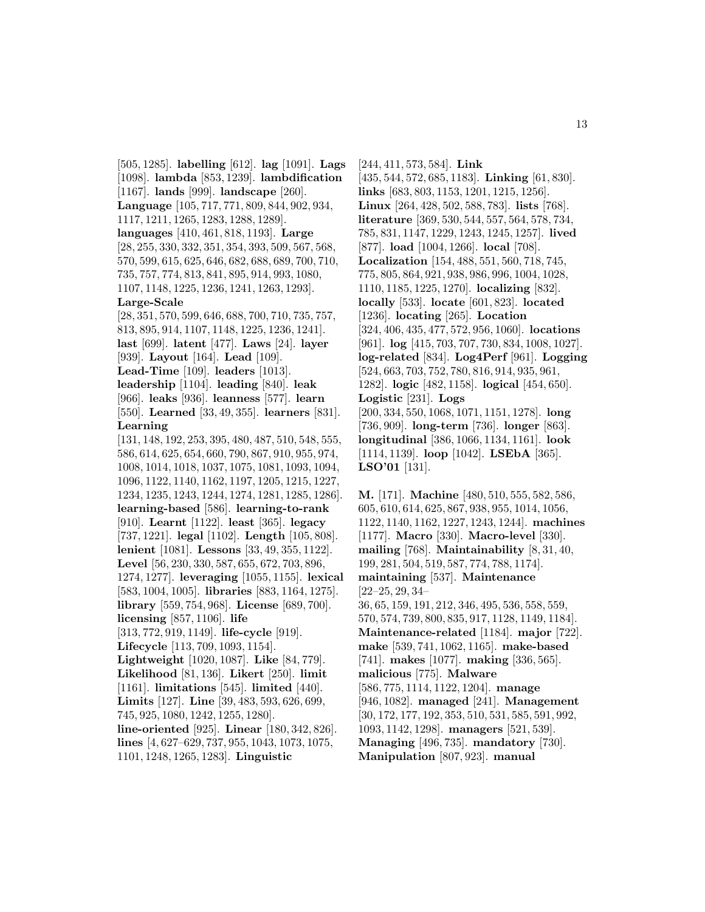[505, 1285]. **labelling** [612]. **lag** [1091]. **Lags** [1098]. **lambda** [853, 1239]. **lambdification** [1167]. **lands** [999]. **landscape** [260]. **Language** [105, 717, 771, 809, 844, 902, 934, 1117, 1211, 1265, 1283, 1288, 1289]. **languages** [410, 461, 818, 1193]. **Large** [28, 255, 330, 332, 351, 354, 393, 509, 567, 568, 570, 599, 615, 625, 646, 682, 688, 689, 700, 710, 735, 757, 774, 813, 841, 895, 914, 993, 1080, 1107, 1148, 1225, 1236, 1241, 1263, 1293]. **Large-Scale** [28, 351, 570, 599, 646, 688, 700, 710, 735, 757, 813, 895, 914, 1107, 1148, 1225, 1236, 1241]. **last** [699]. **latent** [477]. **Laws** [24]. **layer** [939]. **Layout** [164]. **Lead** [109]. **Lead-Time** [109]. **leaders** [1013]. **leadership** [1104]. **leading** [840]. **leak** [966]. **leaks** [936]. **leanness** [577]. **learn** [550]. **Learned** [33, 49, 355]. **learners** [831]. **Learning** [131, 148, 192, 253, 395, 480, 487, 510, 548, 555, 586, 614, 625, 654, 660, 790, 867, 910, 955, 974, 1008, 1014, 1018, 1037, 1075, 1081, 1093, 1094, 1096, 1122, 1140, 1162, 1197, 1205, 1215, 1227, 1234, 1235, 1243, 1244, 1274, 1281, 1285, 1286]. **learning-based** [586]. **learning-to-rank** [910]. **Learnt** [1122]. **least** [365]. **legacy** [737, 1221]. **legal** [1102]. **Length** [105, 808]. **lenient** [1081]. **Lessons** [33, 49, 355, 1122]. **Level** [56, 230, 330, 587, 655, 672, 703, 896, 1274, 1277]. **leveraging** [1055, 1155]. **lexical** [583, 1004, 1005]. **libraries** [883, 1164, 1275]. **library** [559, 754, 968]. **License** [689, 700]. **licensing** [857, 1106]. **life** [313, 772, 919, 1149]. **life-cycle** [919]. **Lifecycle** [113, 709, 1093, 1154]. **Lightweight** [1020, 1087]. **Like** [84, 779]. **Likelihood** [81, 136]. **Likert** [250]. **limit** [1161]. **limitations** [545]. **limited** [440]. **Limits** [127]. **Line** [39, 483, 593, 626, 699, 745, 925, 1080, 1242, 1255, 1280]. **line-oriented** [925]. **Linear** [180, 342, 826]. **lines** [4, 627–629, 737, 955, 1043, 1073, 1075, 1101, 1248, 1265, 1283]. **Linguistic**

[244, 411, 573, 584]. **Link** [435, 544, 572, 685, 1183]. **Linking** [61, 830]. **links** [683, 803, 1153, 1201, 1215, 1256]. **Linux** [264, 428, 502, 588, 783]. **lists** [768]. **literature** [369, 530, 544, 557, 564, 578, 734, 785, 831, 1147, 1229, 1243, 1245, 1257]. **lived** [877]. **load** [1004, 1266]. **local** [708]. **Localization** [154, 488, 551, 560, 718, 745, 775, 805, 864, 921, 938, 986, 996, 1004, 1028, 1110, 1185, 1225, 1270]. **localizing** [832]. **locally** [533]. **locate** [601, 823]. **located** [1236]. **locating** [265]. **Location** [324, 406, 435, 477, 572, 956, 1060]. **locations** [961]. **log** [415, 703, 707, 730, 834, 1008, 1027]. **log-related** [834]. **Log4Perf** [961]. **Logging** [524, 663, 703, 752, 780, 816, 914, 935, 961, 1282]. **logic** [482, 1158]. **logical** [454, 650]. **Logistic** [231]. **Logs** [200, 334, 550, 1068, 1071, 1151, 1278]. **long** [736, 909]. **long-term** [736]. **longer** [863]. **longitudinal** [386, 1066, 1134, 1161]. **look** [1114, 1139]. **loop** [1042]. **LSEbA** [365]. **LSO'01** [131].

**M.** [171]. **Machine** [480, 510, 555, 582, 586, 605, 610, 614, 625, 867, 938, 955, 1014, 1056, 1122, 1140, 1162, 1227, 1243, 1244]. **machines** [1177]. **Macro** [330]. **Macro-level** [330]. **mailing** [768]. **Maintainability** [8, 31, 40, 199, 281, 504, 519, 587, 774, 788, 1174]. **maintaining** [537]. **Maintenance** [22–25, 29, 34– 36, 65, 159, 191, 212, 346, 495, 536, 558, 559, 570, 574, 739, 800, 835, 917, 1128, 1149, 1184]. **Maintenance-related** [1184]. **major** [722]. **make** [539, 741, 1062, 1165]. **make-based** [741]. **makes** [1077]. **making** [336, 565]. **malicious** [775]. **Malware** [586, 775, 1114, 1122, 1204]. **manage** [946, 1082]. **managed** [241]. **Management** [30, 172, 177, 192, 353, 510, 531, 585, 591, 992, 1093, 1142, 1298]. **managers** [521, 539]. **Managing** [496, 735]. **mandatory** [730]. **Manipulation** [807, 923]. **manual**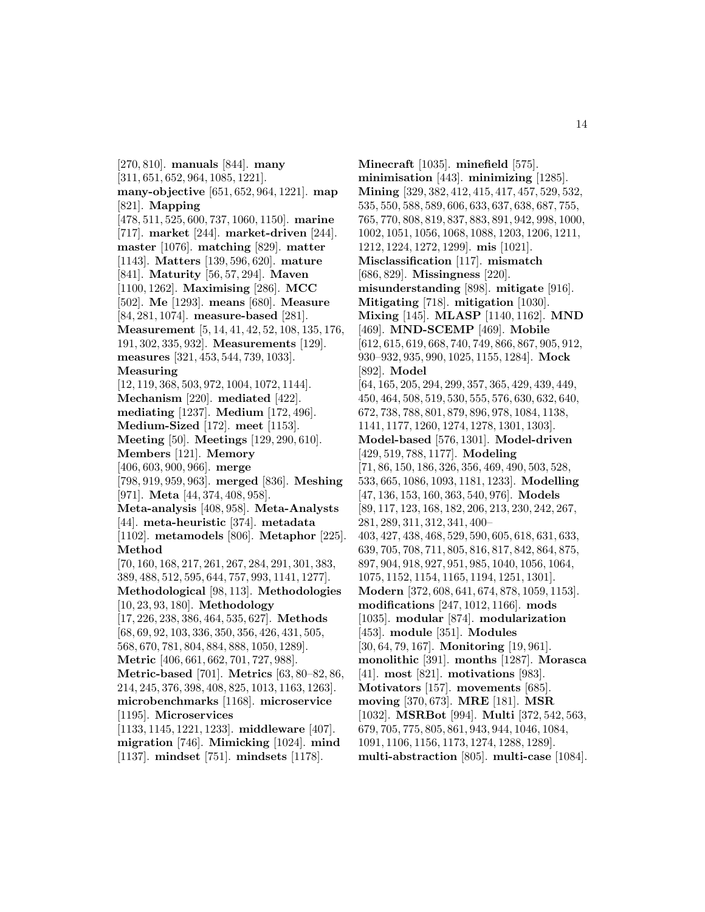[270, 810]. **manuals** [844]. **many** [311, 651, 652, 964, 1085, 1221]. **many-objective** [651, 652, 964, 1221]. **map** [821]. **Mapping** [478, 511, 525, 600, 737, 1060, 1150]. **marine** [717]. **market** [244]. **market-driven** [244]. **master** [1076]. **matching** [829]. **matter** [1143]. **Matters** [139, 596, 620]. **mature** [841]. **Maturity** [56, 57, 294]. **Maven** [1100, 1262]. **Maximising** [286]. **MCC** [502]. **Me** [1293]. **means** [680]. **Measure** [84, 281, 1074]. **measure-based** [281]. **Measurement** [5, 14, 41, 42, 52, 108, 135, 176, 191, 302, 335, 932]. **Measurements** [129]. **measures** [321, 453, 544, 739, 1033]. **Measuring** [12, 119, 368, 503, 972, 1004, 1072, 1144]. **Mechanism** [220]. **mediated** [422]. **mediating** [1237]. **Medium** [172, 496]. **Medium-Sized** [172]. **meet** [1153]. **Meeting** [50]. **Meetings** [129, 290, 610]. **Members** [121]. **Memory** [406, 603, 900, 966]. **merge** [798, 919, 959, 963]. **merged** [836]. **Meshing** [971]. **Meta** [44, 374, 408, 958]. **Meta-analysis** [408, 958]. **Meta-Analysts** [44]. **meta-heuristic** [374]. **metadata** [1102]. **metamodels** [806]. **Metaphor** [225]. **Method** [70, 160, 168, 217, 261, 267, 284, 291, 301, 383, 389, 488, 512, 595, 644, 757, 993, 1141, 1277]. **Methodological** [98, 113]. **Methodologies** [10, 23, 93, 180]. **Methodology** [17, 226, 238, 386, 464, 535, 627]. **Methods** [68, 69, 92, 103, 336, 350, 356, 426, 431, 505, 568, 670, 781, 804, 884, 888, 1050, 1289]. **Metric** [406, 661, 662, 701, 727, 988]. **Metric-based** [701]. **Metrics** [63, 80–82, 86, 214, 245, 376, 398, 408, 825, 1013, 1163, 1263]. **microbenchmarks** [1168]. **microservice** [1195]. **Microservices** [1133, 1145, 1221, 1233]. **middleware** [407]. **migration** [746]. **Mimicking** [1024]. **mind** [1137]. **mindset** [751]. **mindsets** [1178].

**Minecraft** [1035]. **minefield** [575]. **minimisation** [443]. **minimizing** [1285]. **Mining** [329, 382, 412, 415, 417, 457, 529, 532, 535, 550, 588, 589, 606, 633, 637, 638, 687, 755, 765, 770, 808, 819, 837, 883, 891, 942, 998, 1000, 1002, 1051, 1056, 1068, 1088, 1203, 1206, 1211, 1212, 1224, 1272, 1299]. **mis** [1021]. **Misclassification** [117]. **mismatch** [686, 829]. **Missingness** [220]. **misunderstanding** [898]. **mitigate** [916]. **Mitigating** [718]. **mitigation** [1030]. **Mixing** [145]. **MLASP** [1140, 1162]. **MND** [469]. **MND-SCEMP** [469]. **Mobile** [612, 615, 619, 668, 740, 749, 866, 867, 905, 912, 930–932, 935, 990, 1025, 1155, 1284]. **Mock** [892]. **Model** [64, 165, 205, 294, 299, 357, 365, 429, 439, 449, 450, 464, 508, 519, 530, 555, 576, 630, 632, 640, 672, 738, 788, 801, 879, 896, 978, 1084, 1138, 1141, 1177, 1260, 1274, 1278, 1301, 1303]. **Model-based** [576, 1301]. **Model-driven** [429, 519, 788, 1177]. **Modeling** [71, 86, 150, 186, 326, 356, 469, 490, 503, 528, 533, 665, 1086, 1093, 1181, 1233]. **Modelling** [47, 136, 153, 160, 363, 540, 976]. **Models** [89, 117, 123, 168, 182, 206, 213, 230, 242, 267, 281, 289, 311, 312, 341, 400– 403, 427, 438, 468, 529, 590, 605, 618, 631, 633, 639, 705, 708, 711, 805, 816, 817, 842, 864, 875, 897, 904, 918, 927, 951, 985, 1040, 1056, 1064, 1075, 1152, 1154, 1165, 1194, 1251, 1301]. **Modern** [372, 608, 641, 674, 878, 1059, 1153]. **modifications** [247, 1012, 1166]. **mods** [1035]. **modular** [874]. **modularization** [453]. **module** [351]. **Modules** [30, 64, 79, 167]. **Monitoring** [19, 961]. **monolithic** [391]. **months** [1287]. **Morasca** [41]. **most** [821]. **motivations** [983]. **Motivators** [157]. **movements** [685]. **moving** [370, 673]. **MRE** [181]. **MSR** [1032]. **MSRBot** [994]. **Multi** [372, 542, 563, 679, 705, 775, 805, 861, 943, 944, 1046, 1084, 1091, 1106, 1156, 1173, 1274, 1288, 1289]. **multi-abstraction** [805]. **multi-case** [1084].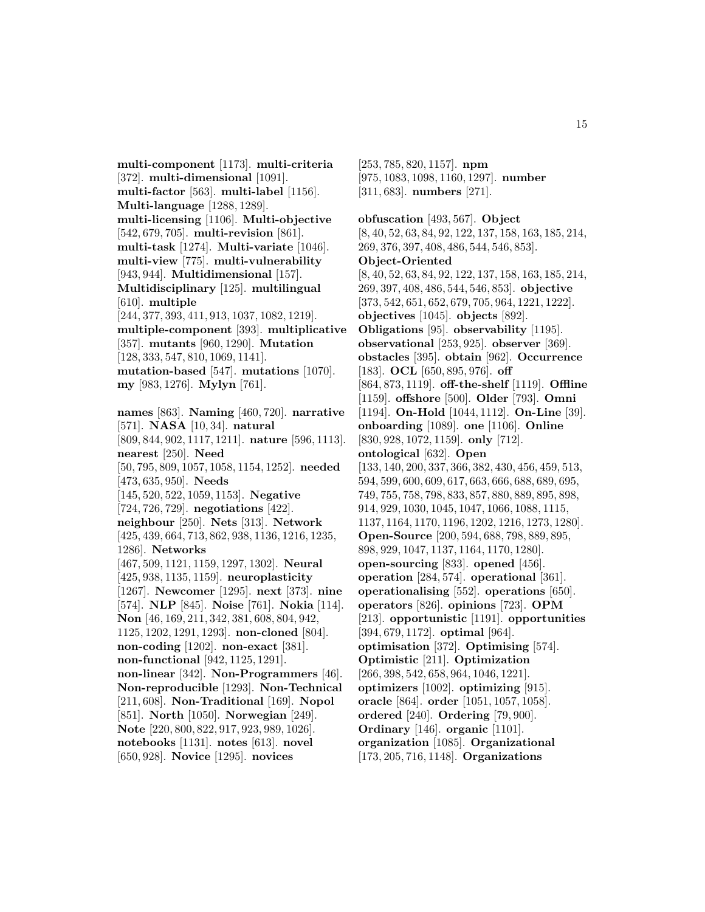**multi-component** [1173]. **multi-criteria** [372]. **multi-dimensional** [1091]. **multi-factor** [563]. **multi-label** [1156]. **Multi-language** [1288, 1289]. **multi-licensing** [1106]. **Multi-objective** [542, 679, 705]. **multi-revision** [861]. **multi-task** [1274]. **Multi-variate** [1046]. **multi-view** [775]. **multi-vulnerability** [943, 944]. **Multidimensional** [157]. **Multidisciplinary** [125]. **multilingual** [610]. **multiple** [244, 377, 393, 411, 913, 1037, 1082, 1219]. **multiple-component** [393]. **multiplicative** [357]. **mutants** [960, 1290]. **Mutation** [128, 333, 547, 810, 1069, 1141]. **mutation-based** [547]. **mutations** [1070]. **my** [983, 1276]. **Mylyn** [761]. **names** [863]. **Naming** [460, 720]. **narrative** [571]. **NASA** [10, 34]. **natural** [809, 844, 902, 1117, 1211]. **nature** [596, 1113]. **nearest** [250]. **Need** [50, 795, 809, 1057, 1058, 1154, 1252]. **needed** [473, 635, 950]. **Needs** [145, 520, 522, 1059, 1153]. **Negative** [724, 726, 729]. **negotiations** [422]. **neighbour** [250]. **Nets** [313]. **Network** [425, 439, 664, 713, 862, 938, 1136, 1216, 1235, 1286]. **Networks** [467, 509, 1121, 1159, 1297, 1302]. **Neural** [425, 938, 1135, 1159]. **neuroplasticity** [1267]. **Newcomer** [1295]. **next** [373]. **nine** [574]. **NLP** [845]. **Noise** [761]. **Nokia** [114]. **Non** [46, 169, 211, 342, 381, 608, 804, 942, 1125, 1202, 1291, 1293]. **non-cloned** [804]. **non-coding** [1202]. **non-exact** [381]. **non-functional** [942, 1125, 1291]. **non-linear** [342]. **Non-Programmers** [46]. **Non-reproducible** [1293]. **Non-Technical** [211, 608]. **Non-Traditional** [169]. **Nopol** [851]. **North** [1050]. **Norwegian** [249]. **Note** [220, 800, 822, 917, 923, 989, 1026]. **notebooks** [1131]. **notes** [613]. **novel** [650, 928]. **Novice** [1295]. **novices**

[253, 785, 820, 1157]. **npm** [975, 1083, 1098, 1160, 1297]. **number** [311, 683]. **numbers** [271].

**obfuscation** [493, 567]. **Object** [8, 40, 52, 63, 84, 92, 122, 137, 158, 163, 185, 214, 269, 376, 397, 408, 486, 544, 546, 853]. **Object-Oriented** [8, 40, 52, 63, 84, 92, 122, 137, 158, 163, 185, 214, 269, 397, 408, 486, 544, 546, 853]. **objective** [373, 542, 651, 652, 679, 705, 964, 1221, 1222]. **objectives** [1045]. **objects** [892]. **Obligations** [95]. **observability** [1195]. **observational** [253, 925]. **observer** [369]. **obstacles** [395]. **obtain** [962]. **Occurrence** [183]. **OCL** [650, 895, 976]. **off** [864, 873, 1119]. **off-the-shelf** [1119]. **Offline** [1159]. **offshore** [500]. **Older** [793]. **Omni** [1194]. **On-Hold** [1044, 1112]. **On-Line** [39]. **onboarding** [1089]. **one** [1106]. **Online** [830, 928, 1072, 1159]. **only** [712]. **ontological** [632]. **Open** [133, 140, 200, 337, 366, 382, 430, 456, 459, 513, 594, 599, 600, 609, 617, 663, 666, 688, 689, 695, 749, 755, 758, 798, 833, 857, 880, 889, 895, 898, 914, 929, 1030, 1045, 1047, 1066, 1088, 1115, 1137, 1164, 1170, 1196, 1202, 1216, 1273, 1280]. **Open-Source** [200, 594, 688, 798, 889, 895, 898, 929, 1047, 1137, 1164, 1170, 1280]. **open-sourcing** [833]. **opened** [456]. **operation** [284, 574]. **operational** [361]. **operationalising** [552]. **operations** [650]. **operators** [826]. **opinions** [723]. **OPM** [213]. **opportunistic** [1191]. **opportunities** [394, 679, 1172]. **optimal** [964]. **optimisation** [372]. **Optimising** [574]. **Optimistic** [211]. **Optimization** [266, 398, 542, 658, 964, 1046, 1221]. **optimizers** [1002]. **optimizing** [915]. **oracle** [864]. **order** [1051, 1057, 1058]. **ordered** [240]. **Ordering** [79, 900]. **Ordinary** [146]. **organic** [1101]. **organization** [1085]. **Organizational** [173, 205, 716, 1148]. **Organizations**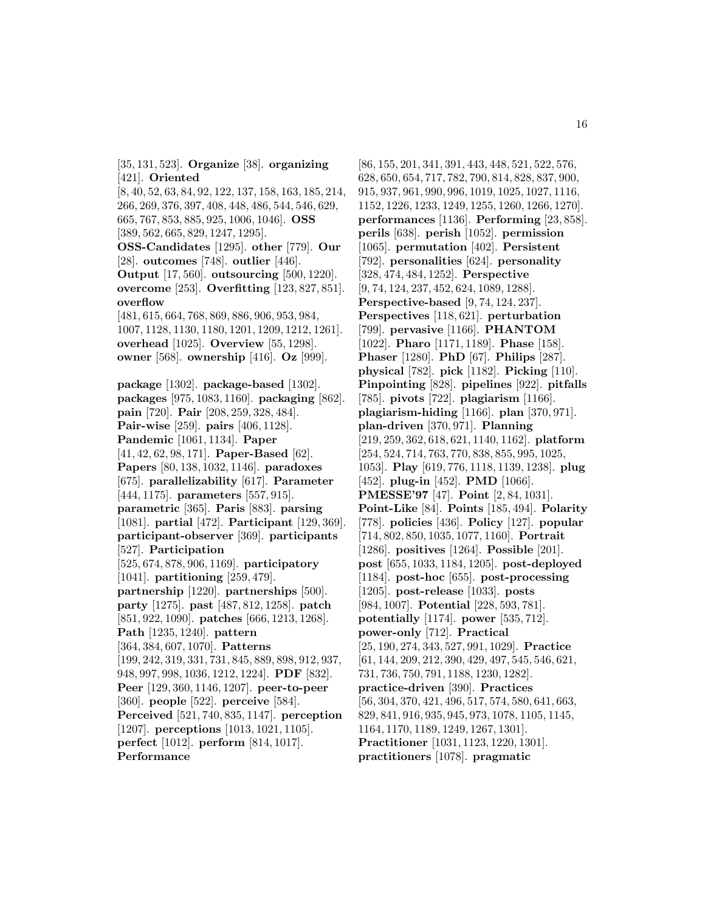[35, 131, 523]. **Organize** [38]. **organizing** [421]. **Oriented** [8, 40, 52, 63, 84, 92, 122, 137, 158, 163, 185, 214, 266, 269, 376, 397, 408, 448, 486, 544, 546, 629, 665, 767, 853, 885, 925, 1006, 1046]. **OSS** [389, 562, 665, 829, 1247, 1295]. **OSS-Candidates** [1295]. **other** [779]. **Our** [28]. **outcomes** [748]. **outlier** [446]. **Output** [17, 560]. **outsourcing** [500, 1220]. **overcome** [253]. **Overfitting** [123, 827, 851]. **overflow** [481, 615, 664, 768, 869, 886, 906, 953, 984, 1007, 1128, 1130, 1180, 1201, 1209, 1212, 1261]. **overhead** [1025]. **Overview** [55, 1298]. **owner** [568]. **ownership** [416]. **Oz** [999]. **package** [1302]. **package-based** [1302]. **packages** [975, 1083, 1160]. **packaging** [862]. **pain** [720]. **Pair** [208, 259, 328, 484]. **Pair-wise** [259]. **pairs** [406, 1128]. **Pandemic** [1061, 1134]. **Paper** [41, 42, 62, 98, 171]. **Paper-Based** [62]. **Papers** [80, 138, 1032, 1146]. **paradoxes** [675]. **parallelizability** [617]. **Parameter** [444, 1175]. **parameters** [557, 915]. **parametric** [365]. **Paris** [883]. **parsing**

**participant-observer** [369]. **participants** [527]. **Participation** [525, 674, 878, 906, 1169]. **participatory** [1041]. **partitioning** [259, 479]. **partnership** [1220]. **partnerships** [500]. **party** [1275]. **past** [487, 812, 1258]. **patch** [851, 922, 1090]. **patches** [666, 1213, 1268]. **Path** [1235, 1240]. **pattern** [364, 384, 607, 1070]. **Patterns** [199, 242, 319, 331, 731, 845, 889, 898, 912, 937, 948, 997, 998, 1036, 1212, 1224]. **PDF** [832]. **Peer** [129, 360, 1146, 1207]. **peer-to-peer** [360]. **people** [522]. **perceive** [584]. **Perceived** [521, 740, 835, 1147]. **perception** [1207]. **perceptions** [1013, 1021, 1105]. **perfect** [1012]. **perform** [814, 1017]. **Performance**

[1081]. **partial** [472]. **Participant** [129, 369].

[86, 155, 201, 341, 391, 443, 448, 521, 522, 576, 628, 650, 654, 717, 782, 790, 814, 828, 837, 900, 915, 937, 961, 990, 996, 1019, 1025, 1027, 1116, 1152, 1226, 1233, 1249, 1255, 1260, 1266, 1270]. **performances** [1136]. **Performing** [23, 858]. **perils** [638]. **perish** [1052]. **permission** [1065]. **permutation** [402]. **Persistent** [792]. **personalities** [624]. **personality** [328, 474, 484, 1252]. **Perspective** [9, 74, 124, 237, 452, 624, 1089, 1288]. **Perspective-based** [9, 74, 124, 237]. **Perspectives** [118, 621]. **perturbation** [799]. **pervasive** [1166]. **PHANTOM** [1022]. **Pharo** [1171, 1189]. **Phase** [158]. **Phaser** [1280]. **PhD** [67]. **Philips** [287]. **physical** [782]. **pick** [1182]. **Picking** [110]. **Pinpointing** [828]. **pipelines** [922]. **pitfalls** [785]. **pivots** [722]. **plagiarism** [1166]. **plagiarism-hiding** [1166]. **plan** [370, 971]. **plan-driven** [370, 971]. **Planning** [219, 259, 362, 618, 621, 1140, 1162]. **platform** [254, 524, 714, 763, 770, 838, 855, 995, 1025, 1053]. **Play** [619, 776, 1118, 1139, 1238]. **plug** [452]. **plug-in** [452]. **PMD** [1066]. **PMESSE'97** [47]. **Point** [2, 84, 1031]. **Point-Like** [84]. **Points** [185, 494]. **Polarity** [778]. **policies** [436]. **Policy** [127]. **popular** [714, 802, 850, 1035, 1077, 1160]. **Portrait** [1286]. **positives** [1264]. **Possible** [201]. **post** [655, 1033, 1184, 1205]. **post-deployed** [1184]. **post-hoc** [655]. **post-processing** [1205]. **post-release** [1033]. **posts** [984, 1007]. **Potential** [228, 593, 781]. **potentially** [1174]. **power** [535, 712]. **power-only** [712]. **Practical** [25, 190, 274, 343, 527, 991, 1029]. **Practice** [61, 144, 209, 212, 390, 429, 497, 545, 546, 621, 731, 736, 750, 791, 1188, 1230, 1282]. **practice-driven** [390]. **Practices** [56, 304, 370, 421, 496, 517, 574, 580, 641, 663, 829, 841, 916, 935, 945, 973, 1078, 1105, 1145, 1164, 1170, 1189, 1249, 1267, 1301]. **Practitioner** [1031, 1123, 1220, 1301]. **practitioners** [1078]. **pragmatic**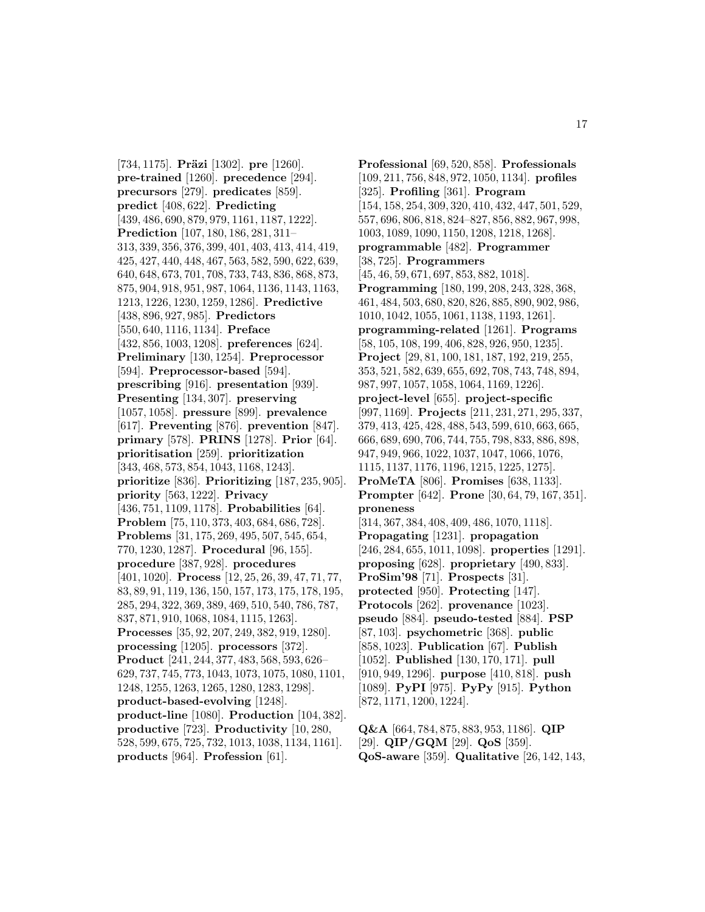[734, 1175]. **Präzi** [1302]. **pre** [1260]. **pre-trained** [1260]. **precedence** [294]. **precursors** [279]. **predicates** [859]. **predict** [408, 622]. **Predicting** [439, 486, 690, 879, 979, 1161, 1187, 1222]. **Prediction** [107, 180, 186, 281, 311– 313, 339, 356, 376, 399, 401, 403, 413, 414, 419, 425, 427, 440, 448, 467, 563, 582, 590, 622, 639, 640, 648, 673, 701, 708, 733, 743, 836, 868, 873, 875, 904, 918, 951, 987, 1064, 1136, 1143, 1163, 1213, 1226, 1230, 1259, 1286]. **Predictive** [438, 896, 927, 985]. **Predictors** [550, 640, 1116, 1134]. **Preface** [432, 856, 1003, 1208]. **preferences** [624]. **Preliminary** [130, 1254]. **Preprocessor** [594]. **Preprocessor-based** [594]. **prescribing** [916]. **presentation** [939]. **Presenting** [134, 307]. **preserving** [1057, 1058]. **pressure** [899]. **prevalence** [617]. **Preventing** [876]. **prevention** [847]. **primary** [578]. **PRINS** [1278]. **Prior** [64]. **prioritisation** [259]. **prioritization** [343, 468, 573, 854, 1043, 1168, 1243]. **prioritize** [836]. **Prioritizing** [187, 235, 905]. **priority** [563, 1222]. **Privacy** [436, 751, 1109, 1178]. **Probabilities** [64]. **Problem** [75, 110, 373, 403, 684, 686, 728]. **Problems** [31, 175, 269, 495, 507, 545, 654, 770, 1230, 1287]. **Procedural** [96, 155]. **procedure** [387, 928]. **procedures** [401, 1020]. **Process** [12, 25, 26, 39, 47, 71, 77, 83, 89, 91, 119, 136, 150, 157, 173, 175, 178, 195, 285, 294, 322, 369, 389, 469, 510, 540, 786, 787, 837, 871, 910, 1068, 1084, 1115, 1263]. **Processes** [35, 92, 207, 249, 382, 919, 1280]. **processing** [1205]. **processors** [372]. **Product** [241, 244, 377, 483, 568, 593, 626– 629, 737, 745, 773, 1043, 1073, 1075, 1080, 1101, 1248, 1255, 1263, 1265, 1280, 1283, 1298]. **product-based-evolving** [1248]. **product-line** [1080]. **Production** [104, 382]. **productive** [723]. **Productivity** [10, 280, 528, 599, 675, 725, 732, 1013, 1038, 1134, 1161]. **products** [964]. **Profession** [61].

**Professional** [69, 520, 858]. **Professionals** [109, 211, 756, 848, 972, 1050, 1134]. **profiles** [325]. **Profiling** [361]. **Program** [154, 158, 254, 309, 320, 410, 432, 447, 501, 529, 557, 696, 806, 818, 824–827, 856, 882, 967, 998, 1003, 1089, 1090, 1150, 1208, 1218, 1268]. **programmable** [482]. **Programmer** [38, 725]. **Programmers** [45, 46, 59, 671, 697, 853, 882, 1018]. **Programming** [180, 199, 208, 243, 328, 368, 461, 484, 503, 680, 820, 826, 885, 890, 902, 986, 1010, 1042, 1055, 1061, 1138, 1193, 1261]. **programming-related** [1261]. **Programs** [58, 105, 108, 199, 406, 828, 926, 950, 1235]. **Project** [29, 81, 100, 181, 187, 192, 219, 255, 353, 521, 582, 639, 655, 692, 708, 743, 748, 894, 987, 997, 1057, 1058, 1064, 1169, 1226]. **project-level** [655]. **project-specific** [997, 1169]. **Projects** [211, 231, 271, 295, 337, 379, 413, 425, 428, 488, 543, 599, 610, 663, 665, 666, 689, 690, 706, 744, 755, 798, 833, 886, 898, 947, 949, 966, 1022, 1037, 1047, 1066, 1076, 1115, 1137, 1176, 1196, 1215, 1225, 1275]. **ProMeTA** [806]. **Promises** [638, 1133]. **Prompter** [642]. **Prone** [30, 64, 79, 167, 351]. **proneness** [314, 367, 384, 408, 409, 486, 1070, 1118]. **Propagating** [1231]. **propagation** [246, 284, 655, 1011, 1098]. **properties** [1291]. **proposing** [628]. **proprietary** [490, 833]. **ProSim'98** [71]. **Prospects** [31]. **protected** [950]. **Protecting** [147]. **Protocols** [262]. **provenance** [1023]. **pseudo** [884]. **pseudo-tested** [884]. **PSP** [87, 103]. **psychometric** [368]. **public** [858, 1023]. **Publication** [67]. **Publish** [1052]. **Published** [130, 170, 171]. **pull** [910, 949, 1296]. **purpose** [410, 818]. **push** [1089]. **PyPI** [975]. **PyPy** [915]. **Python** [872, 1171, 1200, 1224].

**Q&A** [664, 784, 875, 883, 953, 1186]. **QIP** [29]. **QIP/GQM** [29]. **QoS** [359]. **QoS-aware** [359]. **Qualitative** [26, 142, 143,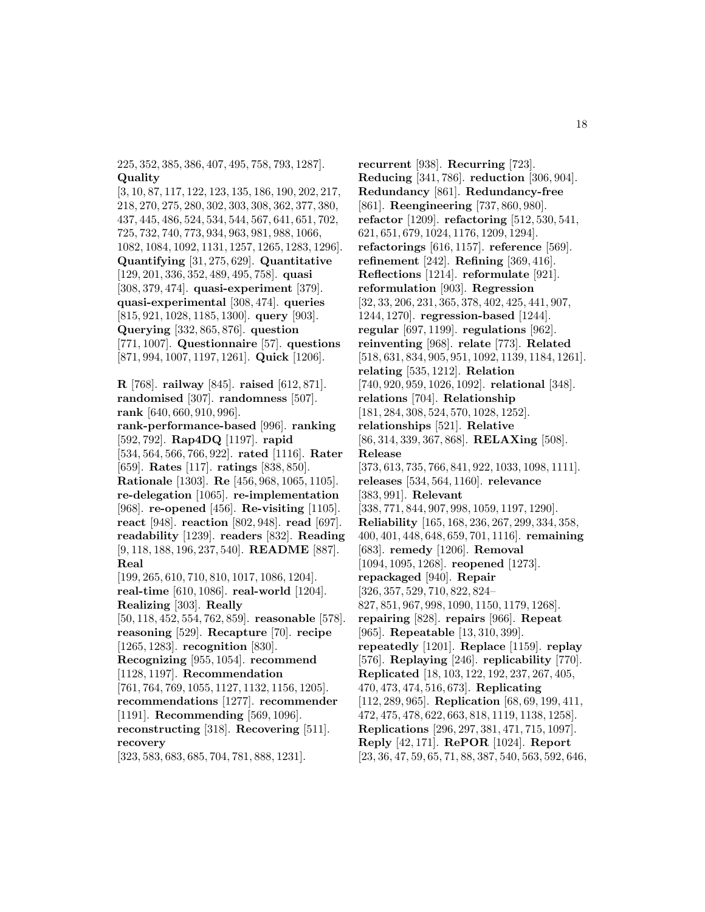225, 352, 385, 386, 407, 495, 758, 793, 1287]. **Quality**

[3, 10, 87, 117, 122, 123, 135, 186, 190, 202, 217, 218, 270, 275, 280, 302, 303, 308, 362, 377, 380, 437, 445, 486, 524, 534, 544, 567, 641, 651, 702, 725, 732, 740, 773, 934, 963, 981, 988, 1066, 1082, 1084, 1092, 1131, 1257, 1265, 1283, 1296]. **Quantifying** [31, 275, 629]. **Quantitative** [129, 201, 336, 352, 489, 495, 758]. **quasi** [308, 379, 474]. **quasi-experiment** [379]. **quasi-experimental** [308, 474]. **queries** [815, 921, 1028, 1185, 1300]. **query** [903]. **Querying** [332, 865, 876]. **question** [771, 1007]. **Questionnaire** [57]. **questions** [871, 994, 1007, 1197, 1261]. **Quick** [1206].

**R** [768]. **railway** [845]. **raised** [612, 871]. **randomised** [307]. **randomness** [507]. **rank** [640, 660, 910, 996]. **rank-performance-based** [996]. **ranking** [592, 792]. **Rap4DQ** [1197]. **rapid** [534, 564, 566, 766, 922]. **rated** [1116]. **Rater** [659]. **Rates** [117]. **ratings** [838, 850]. **Rationale** [1303]. **Re** [456, 968, 1065, 1105]. **re-delegation** [1065]. **re-implementation** [968]. **re-opened** [456]. **Re-visiting** [1105]. **react** [948]. **reaction** [802, 948]. **read** [697]. **readability** [1239]. **readers** [832]. **Reading** [9, 118, 188, 196, 237, 540]. **README** [887]. **Real** [199, 265, 610, 710, 810, 1017, 1086, 1204]. **real-time** [610, 1086]. **real-world** [1204]. **Realizing** [303]. **Really** [50, 118, 452, 554, 762, 859]. **reasonable** [578]. **reasoning** [529]. **Recapture** [70]. **recipe** [1265, 1283]. **recognition** [830]. **Recognizing** [955, 1054]. **recommend** [1128, 1197]. **Recommendation** [761, 764, 769, 1055, 1127, 1132, 1156, 1205]. **recommendations** [1277]. **recommender** [1191]. **Recommending** [569, 1096]. **reconstructing** [318]. **Recovering** [511]. **recovery** [323, 583, 683, 685, 704, 781, 888, 1231].

**recurrent** [938]. **Recurring** [723]. **Reducing** [341, 786]. **reduction** [306, 904]. **Redundancy** [861]. **Redundancy-free** [861]. **Reengineering** [737, 860, 980]. **refactor** [1209]. **refactoring** [512, 530, 541, 621, 651, 679, 1024, 1176, 1209, 1294]. **refactorings** [616, 1157]. **reference** [569]. **refinement** [242]. **Refining** [369, 416]. **Reflections** [1214]. **reformulate** [921]. **reformulation** [903]. **Regression** [32, 33, 206, 231, 365, 378, 402, 425, 441, 907, 1244, 1270]. **regression-based** [1244]. **regular** [697, 1199]. **regulations** [962]. **reinventing** [968]. **relate** [773]. **Related** [518, 631, 834, 905, 951, 1092, 1139, 1184, 1261]. **relating** [535, 1212]. **Relation** [740, 920, 959, 1026, 1092]. **relational** [348]. **relations** [704]. **Relationship** [181, 284, 308, 524, 570, 1028, 1252]. **relationships** [521]. **Relative** [86, 314, 339, 367, 868]. **RELAXing** [508]. **Release** [373, 613, 735, 766, 841, 922, 1033, 1098, 1111]. **releases** [534, 564, 1160]. **relevance** [383, 991]. **Relevant** [338, 771, 844, 907, 998, 1059, 1197, 1290]. **Reliability** [165, 168, 236, 267, 299, 334, 358, 400, 401, 448, 648, 659, 701, 1116]. **remaining** [683]. **remedy** [1206]. **Removal** [1094, 1095, 1268]. **reopened** [1273]. **repackaged** [940]. **Repair** [326, 357, 529, 710, 822, 824– 827, 851, 967, 998, 1090, 1150, 1179, 1268]. **repairing** [828]. **repairs** [966]. **Repeat** [965]. **Repeatable** [13, 310, 399]. **repeatedly** [1201]. **Replace** [1159]. **replay** [576]. **Replaying** [246]. **replicability** [770]. **Replicated** [18, 103, 122, 192, 237, 267, 405, 470, 473, 474, 516, 673]. **Replicating** [112, 289, 965]. **Replication** [68, 69, 199, 411, 472, 475, 478, 622, 663, 818, 1119, 1138, 1258]. **Replications** [296, 297, 381, 471, 715, 1097]. **Reply** [42, 171]. **RePOR** [1024]. **Report** [23, 36, 47, 59, 65, 71, 88, 387, 540, 563, 592, 646,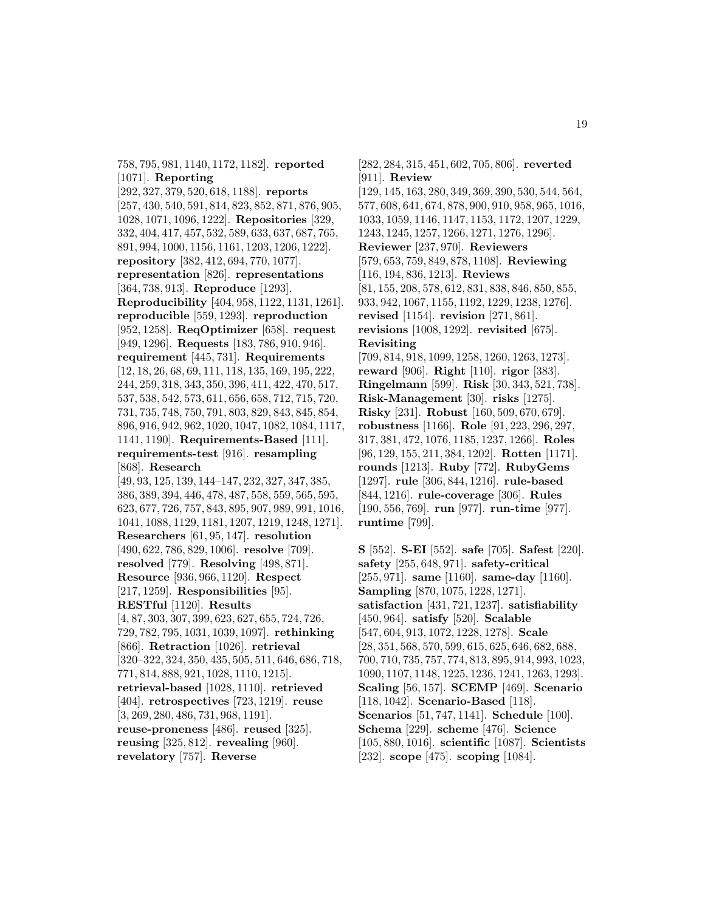758, 795, 981, 1140, 1172, 1182]. **reported** [1071]. **Reporting**

[292, 327, 379, 520, 618, 1188]. **reports** [257, 430, 540, 591, 814, 823, 852, 871, 876, 905, 1028, 1071, 1096, 1222]. **Repositories** [329, 332, 404, 417, 457, 532, 589, 633, 637, 687, 765, 891, 994, 1000, 1156, 1161, 1203, 1206, 1222]. **repository** [382, 412, 694, 770, 1077]. **representation** [826]. **representations** [364, 738, 913]. **Reproduce** [1293]. **Reproducibility** [404, 958, 1122, 1131, 1261]. **reproducible** [559, 1293]. **reproduction** [952, 1258]. **ReqOptimizer** [658]. **request** [949, 1296]. **Requests** [183, 786, 910, 946]. **requirement** [445, 731]. **Requirements** [12, 18, 26, 68, 69, 111, 118, 135, 169, 195, 222, 244, 259, 318, 343, 350, 396, 411, 422, 470, 517, 537, 538, 542, 573, 611, 656, 658, 712, 715, 720, 731, 735, 748, 750, 791, 803, 829, 843, 845, 854, 896, 916, 942, 962, 1020, 1047, 1082, 1084, 1117, 1141, 1190]. **Requirements-Based** [111]. **requirements-test** [916]. **resampling** [868]. **Research** [49, 93, 125, 139, 144–147, 232, 327, 347, 385, 386, 389, 394, 446, 478, 487, 558, 559, 565, 595, 623, 677, 726, 757, 843, 895, 907, 989, 991, 1016, 1041, 1088, 1129, 1181, 1207, 1219, 1248, 1271]. **Researchers** [61, 95, 147]. **resolution** [490, 622, 786, 829, 1006]. **resolve** [709]. **resolved** [779]. **Resolving** [498, 871]. **Resource** [936, 966, 1120]. **Respect** [217, 1259]. **Responsibilities** [95]. **RESTful** [1120]. **Results** [4, 87, 303, 307, 399, 623, 627, 655, 724, 726, 729, 782, 795, 1031, 1039, 1097]. **rethinking** [866]. **Retraction** [1026]. **retrieval** [320–322, 324, 350, 435, 505, 511, 646, 686, 718, 771, 814, 888, 921, 1028, 1110, 1215].

**retrieval-based** [1028, 1110]. **retrieved** [404]. **retrospectives** [723, 1219]. **reuse** [3, 269, 280, 486, 731, 968, 1191]. **reuse-proneness** [486]. **reused** [325].

**reusing** [325, 812]. **revealing** [960]. **revelatory** [757]. **Reverse**

[911]. **Review** [129, 145, 163, 280, 349, 369, 390, 530, 544, 564, 577, 608, 641, 674, 878, 900, 910, 958, 965, 1016, 1033, 1059, 1146, 1147, 1153, 1172, 1207, 1229, 1243, 1245, 1257, 1266, 1271, 1276, 1296]. **Reviewer** [237, 970]. **Reviewers**

[282, 284, 315, 451, 602, 705, 806]. **reverted**

[579, 653, 759, 849, 878, 1108]. **Reviewing** [116, 194, 836, 1213]. **Reviews** [81, 155, 208, 578, 612, 831, 838, 846, 850, 855, 933, 942, 1067, 1155, 1192, 1229, 1238, 1276]. **revised** [1154]. **revision** [271, 861]. **revisions** [1008, 1292]. **revisited** [675]. **Revisiting**

# [709, 814, 918, 1099, 1258, 1260, 1263, 1273]. **reward** [906]. **Right** [110]. **rigor** [383]. **Ringelmann** [599]. **Risk** [30, 343, 521, 738]. **Risk-Management** [30]. **risks** [1275]. **Risky** [231]. **Robust** [160, 509, 670, 679]. **robustness** [1166]. **Role** [91, 223, 296, 297, 317, 381, 472, 1076, 1185, 1237, 1266]. **Roles** [96, 129, 155, 211, 384, 1202]. **Rotten** [1171]. **rounds** [1213]. **Ruby** [772]. **RubyGems** [1297]. **rule** [306, 844, 1216]. **rule-based** [844, 1216]. **rule-coverage** [306]. **Rules** [190, 556, 769]. **run** [977]. **run-time** [977]. **runtime** [799].

**S** [552]. **S-EI** [552]. **safe** [705]. **Safest** [220]. **safety** [255, 648, 971]. **safety-critical** [255, 971]. **same** [1160]. **same-day** [1160]. **Sampling** [870, 1075, 1228, 1271]. **satisfaction** [431, 721, 1237]. **satisfiability** [450, 964]. **satisfy** [520]. **Scalable** [547, 604, 913, 1072, 1228, 1278]. **Scale** [28, 351, 568, 570, 599, 615, 625, 646, 682, 688, 700, 710, 735, 757, 774, 813, 895, 914, 993, 1023, 1090, 1107, 1148, 1225, 1236, 1241, 1263, 1293]. **Scaling** [56, 157]. **SCEMP** [469]. **Scenario** [118, 1042]. **Scenario-Based** [118]. **Scenarios** [51, 747, 1141]. **Schedule** [100]. **Schema** [229]. **scheme** [476]. **Science** [105, 880, 1016]. **scientific** [1087]. **Scientists** [232]. **scope** [475]. **scoping** [1084].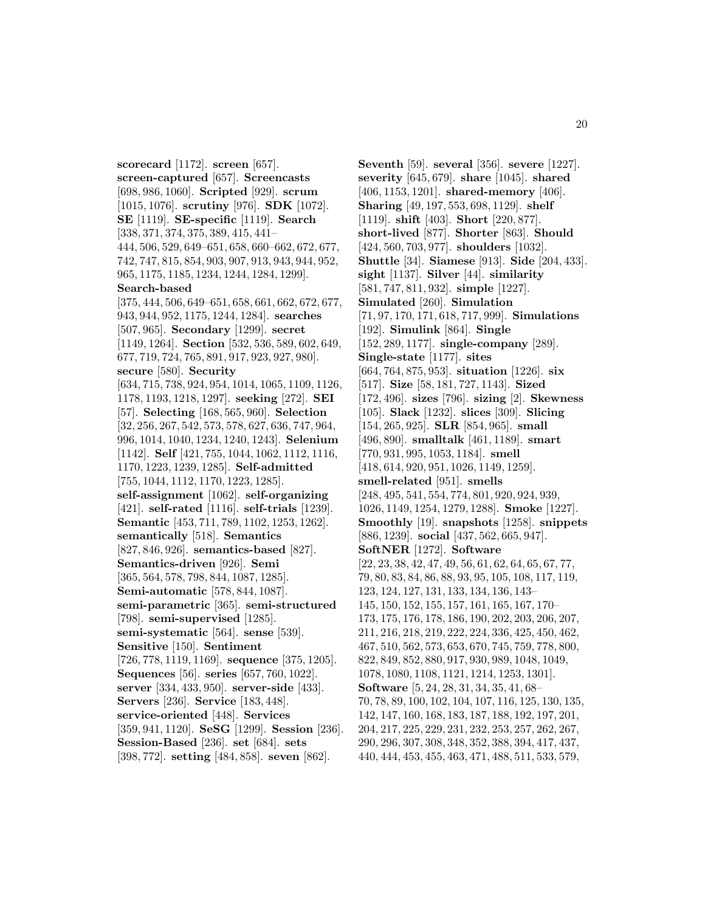**scorecard** [1172]. **screen** [657]. **screen-captured** [657]. **Screencasts** [698, 986, 1060]. **Scripted** [929]. **scrum** [1015, 1076]. **scrutiny** [976]. **SDK** [1072]. **SE** [1119]. **SE-specific** [1119]. **Search** [338, 371, 374, 375, 389, 415, 441– 444, 506, 529, 649–651, 658, 660–662, 672, 677, 742, 747, 815, 854, 903, 907, 913, 943, 944, 952, 965, 1175, 1185, 1234, 1244, 1284, 1299]. **Search-based** [375, 444, 506, 649–651, 658, 661, 662, 672, 677, 943, 944, 952, 1175, 1244, 1284]. **searches** [507, 965]. **Secondary** [1299]. **secret** [1149, 1264]. **Section** [532, 536, 589, 602, 649, 677, 719, 724, 765, 891, 917, 923, 927, 980]. **secure** [580]. **Security** [634, 715, 738, 924, 954, 1014, 1065, 1109, 1126, 1178, 1193, 1218, 1297]. **seeking** [272]. **SEI** [57]. **Selecting** [168, 565, 960]. **Selection** [32, 256, 267, 542, 573, 578, 627, 636, 747, 964, 996, 1014, 1040, 1234, 1240, 1243]. **Selenium** [1142]. **Self** [421, 755, 1044, 1062, 1112, 1116, 1170, 1223, 1239, 1285]. **Self-admitted** [755, 1044, 1112, 1170, 1223, 1285]. **self-assignment** [1062]. **self-organizing** [421]. **self-rated** [1116]. **self-trials** [1239]. **Semantic** [453, 711, 789, 1102, 1253, 1262]. **semantically** [518]. **Semantics** [827, 846, 926]. **semantics-based** [827]. **Semantics-driven** [926]. **Semi** [365, 564, 578, 798, 844, 1087, 1285]. **Semi-automatic** [578, 844, 1087]. **semi-parametric** [365]. **semi-structured** [798]. **semi-supervised** [1285]. **semi-systematic** [564]. **sense** [539]. **Sensitive** [150]. **Sentiment** [726, 778, 1119, 1169]. **sequence** [375, 1205]. **Sequences** [56]. **series** [657, 760, 1022]. **server** [334, 433, 950]. **server-side** [433]. **Servers** [236]. **Service** [183, 448]. **service-oriented** [448]. **Services** [359, 941, 1120]. **SeSG** [1299]. **Session** [236]. **Session-Based** [236]. **set** [684]. **sets** [398, 772]. **setting** [484, 858]. **seven** [862].

**Seventh** [59]. **several** [356]. **severe** [1227]. **severity** [645, 679]. **share** [1045]. **shared** [406, 1153, 1201]. **shared-memory** [406]. **Sharing** [49, 197, 553, 698, 1129]. **shelf** [1119]. **shift** [403]. **Short** [220, 877]. **short-lived** [877]. **Shorter** [863]. **Should** [424, 560, 703, 977]. **shoulders** [1032]. **Shuttle** [34]. **Siamese** [913]. **Side** [204, 433]. **sight** [1137]. **Silver** [44]. **similarity** [581, 747, 811, 932]. **simple** [1227]. **Simulated** [260]. **Simulation** [71, 97, 170, 171, 618, 717, 999]. **Simulations** [192]. **Simulink** [864]. **Single** [152, 289, 1177]. **single-company** [289]. **Single-state** [1177]. **sites** [664, 764, 875, 953]. **situation** [1226]. **six** [517]. **Size** [58, 181, 727, 1143]. **Sized** [172, 496]. **sizes** [796]. **sizing** [2]. **Skewness** [105]. **Slack** [1232]. **slices** [309]. **Slicing** [154, 265, 925]. **SLR** [854, 965]. **small** [496, 890]. **smalltalk** [461, 1189]. **smart** [770, 931, 995, 1053, 1184]. **smell** [418, 614, 920, 951, 1026, 1149, 1259]. **smell-related** [951]. **smells** [248, 495, 541, 554, 774, 801, 920, 924, 939, 1026, 1149, 1254, 1279, 1288]. **Smoke** [1227]. **Smoothly** [19]. **snapshots** [1258]. **snippets** [886, 1239]. **social** [437, 562, 665, 947]. **SoftNER** [1272]. **Software** [22, 23, 38, 42, 47, 49, 56, 61, 62, 64, 65, 67, 77, 79, 80, 83, 84, 86, 88, 93, 95, 105, 108, 117, 119, 123, 124, 127, 131, 133, 134, 136, 143– 145, 150, 152, 155, 157, 161, 165, 167, 170– 173, 175, 176, 178, 186, 190, 202, 203, 206, 207, 211, 216, 218, 219, 222, 224, 336, 425, 450, 462, 467, 510, 562, 573, 653, 670, 745, 759, 778, 800, 822, 849, 852, 880, 917, 930, 989, 1048, 1049, 1078, 1080, 1108, 1121, 1214, 1253, 1301]. **Software** [5, 24, 28, 31, 34, 35, 41, 68– 70, 78, 89, 100, 102, 104, 107, 116, 125, 130, 135, 142, 147, 160, 168, 183, 187, 188, 192, 197, 201, 204, 217, 225, 229, 231, 232, 253, 257, 262, 267, 290, 296, 307, 308, 348, 352, 388, 394, 417, 437, 440, 444, 453, 455, 463, 471, 488, 511, 533, 579,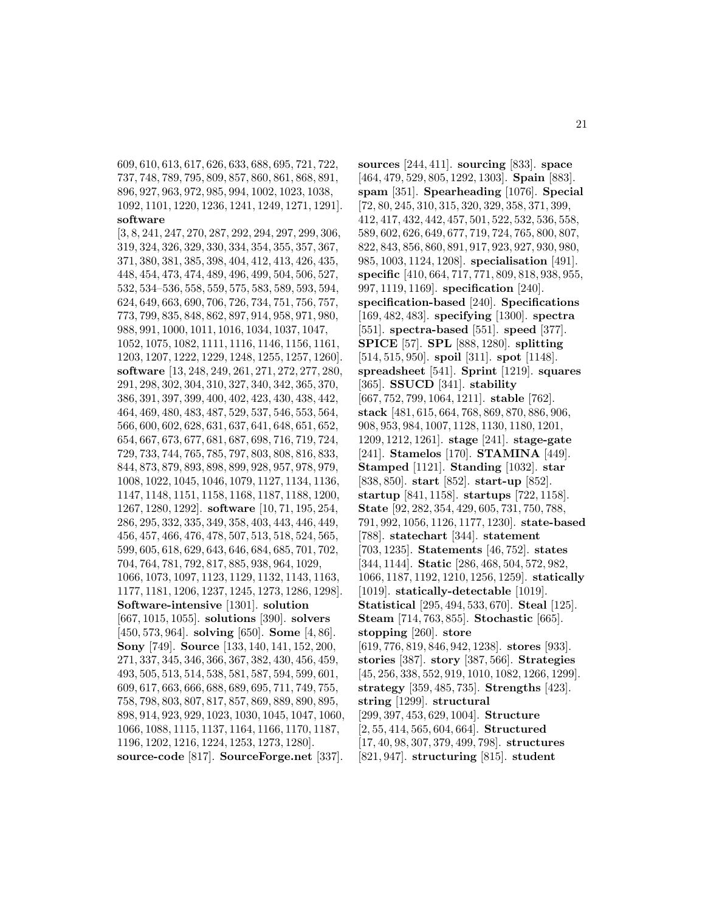609, 610, 613, 617, 626, 633, 688, 695, 721, 722, 737, 748, 789, 795, 809, 857, 860, 861, 868, 891, 896, 927, 963, 972, 985, 994, 1002, 1023, 1038, 1092, 1101, 1220, 1236, 1241, 1249, 1271, 1291]. **software**

[3, 8, 241, 247, 270, 287, 292, 294, 297, 299, 306, 319, 324, 326, 329, 330, 334, 354, 355, 357, 367, 371, 380, 381, 385, 398, 404, 412, 413, 426, 435, 448, 454, 473, 474, 489, 496, 499, 504, 506, 527, 532, 534–536, 558, 559, 575, 583, 589, 593, 594, 624, 649, 663, 690, 706, 726, 734, 751, 756, 757, 773, 799, 835, 848, 862, 897, 914, 958, 971, 980, 988, 991, 1000, 1011, 1016, 1034, 1037, 1047, 1052, 1075, 1082, 1111, 1116, 1146, 1156, 1161, 1203, 1207, 1222, 1229, 1248, 1255, 1257, 1260]. **software** [13, 248, 249, 261, 271, 272, 277, 280, 291, 298, 302, 304, 310, 327, 340, 342, 365, 370, 386, 391, 397, 399, 400, 402, 423, 430, 438, 442, 464, 469, 480, 483, 487, 529, 537, 546, 553, 564, 566, 600, 602, 628, 631, 637, 641, 648, 651, 652, 654, 667, 673, 677, 681, 687, 698, 716, 719, 724, 729, 733, 744, 765, 785, 797, 803, 808, 816, 833, 844, 873, 879, 893, 898, 899, 928, 957, 978, 979, 1008, 1022, 1045, 1046, 1079, 1127, 1134, 1136, 1147, 1148, 1151, 1158, 1168, 1187, 1188, 1200, 1267, 1280, 1292]. **software** [10, 71, 195, 254, 286, 295, 332, 335, 349, 358, 403, 443, 446, 449, 456, 457, 466, 476, 478, 507, 513, 518, 524, 565, 599, 605, 618, 629, 643, 646, 684, 685, 701, 702, 704, 764, 781, 792, 817, 885, 938, 964, 1029, 1066, 1073, 1097, 1123, 1129, 1132, 1143, 1163, 1177, 1181, 1206, 1237, 1245, 1273, 1286, 1298]. **Software-intensive** [1301]. **solution** [667, 1015, 1055]. **solutions** [390]. **solvers** [450, 573, 964]. **solving** [650]. **Some** [4, 86]. **Sony** [749]. **Source** [133, 140, 141, 152, 200, 271, 337, 345, 346, 366, 367, 382, 430, 456, 459, 493, 505, 513, 514, 538, 581, 587, 594, 599, 601, 609, 617, 663, 666, 688, 689, 695, 711, 749, 755, 758, 798, 803, 807, 817, 857, 869, 889, 890, 895, 898, 914, 923, 929, 1023, 1030, 1045, 1047, 1060, 1066, 1088, 1115, 1137, 1164, 1166, 1170, 1187, 1196, 1202, 1216, 1224, 1253, 1273, 1280]. **source-code** [817]. **SourceForge.net** [337].

**sources** [244, 411]. **sourcing** [833]. **space** [464, 479, 529, 805, 1292, 1303]. **Spain** [883]. **spam** [351]. **Spearheading** [1076]. **Special** [72, 80, 245, 310, 315, 320, 329, 358, 371, 399, 412, 417, 432, 442, 457, 501, 522, 532, 536, 558, 589, 602, 626, 649, 677, 719, 724, 765, 800, 807, 822, 843, 856, 860, 891, 917, 923, 927, 930, 980, 985, 1003, 1124, 1208]. **specialisation** [491]. **specific** [410, 664, 717, 771, 809, 818, 938, 955, 997, 1119, 1169]. **specification** [240]. **specification-based** [240]. **Specifications** [169, 482, 483]. **specifying** [1300]. **spectra** [551]. **spectra-based** [551]. **speed** [377]. **SPICE** [57]. **SPL** [888, 1280]. **splitting** [514, 515, 950]. **spoil** [311]. **spot** [1148]. **spreadsheet** [541]. **Sprint** [1219]. **squares** [365]. **SSUCD** [341]. **stability** [667, 752, 799, 1064, 1211]. **stable** [762]. **stack** [481, 615, 664, 768, 869, 870, 886, 906, 908, 953, 984, 1007, 1128, 1130, 1180, 1201, 1209, 1212, 1261]. **stage** [241]. **stage-gate** [241]. **Stamelos** [170]. **STAMINA** [449]. **Stamped** [1121]. **Standing** [1032]. **star** [838, 850]. **start** [852]. **start-up** [852]. **startup** [841, 1158]. **startups** [722, 1158]. **State** [92, 282, 354, 429, 605, 731, 750, 788, 791, 992, 1056, 1126, 1177, 1230]. **state-based** [788]. **statechart** [344]. **statement** [703, 1235]. **Statements** [46, 752]. **states** [344, 1144]. **Static** [286, 468, 504, 572, 982, 1066, 1187, 1192, 1210, 1256, 1259]. **statically** [1019]. **statically-detectable** [1019]. **Statistical** [295, 494, 533, 670]. **Steal** [125]. **Steam** [714, 763, 855]. **Stochastic** [665]. **stopping** [260]. **store** [619, 776, 819, 846, 942, 1238]. **stores** [933]. **stories** [387]. **story** [387, 566]. **Strategies** [45, 256, 338, 552, 919, 1010, 1082, 1266, 1299]. **strategy** [359, 485, 735]. **Strengths** [423]. **string** [1299]. **structural** [299, 397, 453, 629, 1004]. **Structure** [2, 55, 414, 565, 604, 664]. **Structured** [17, 40, 98, 307, 379, 499, 798]. **structures** [821, 947]. **structuring** [815]. **student**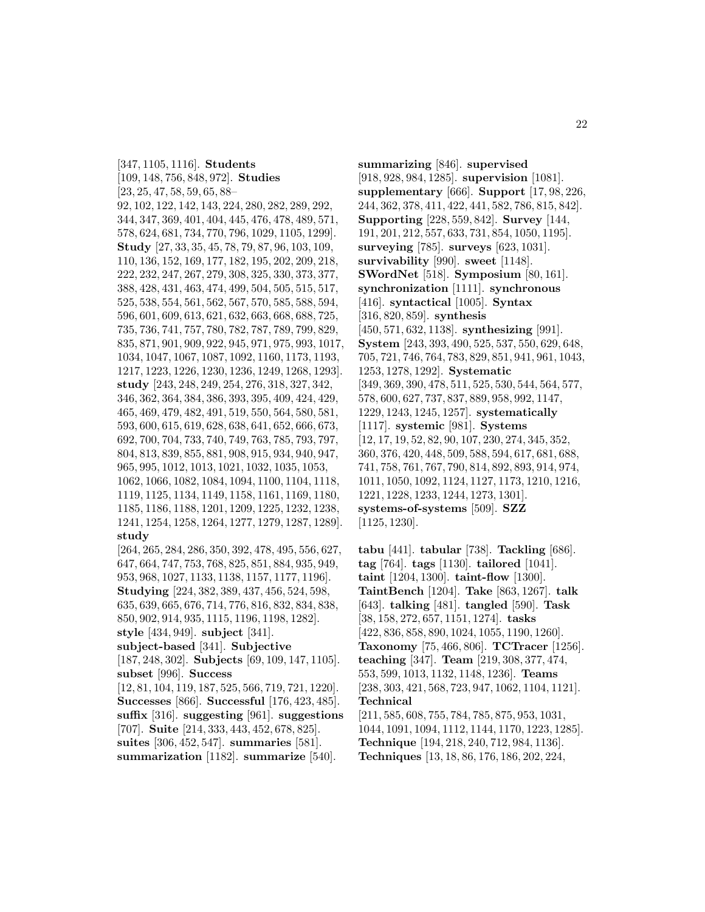[347, 1105, 1116]. **Students** [109, 148, 756, 848, 972]. **Studies** [23, 25, 47, 58, 59, 65, 88– 92, 102, 122, 142, 143, 224, 280, 282, 289, 292, 344, 347, 369, 401, 404, 445, 476, 478, 489, 571, 578, 624, 681, 734, 770, 796, 1029, 1105, 1299]. **Study** [27, 33, 35, 45, 78, 79, 87, 96, 103, 109, 110, 136, 152, 169, 177, 182, 195, 202, 209, 218, 222, 232, 247, 267, 279, 308, 325, 330, 373, 377, 388, 428, 431, 463, 474, 499, 504, 505, 515, 517, 525, 538, 554, 561, 562, 567, 570, 585, 588, 594, 596, 601, 609, 613, 621, 632, 663, 668, 688, 725, 735, 736, 741, 757, 780, 782, 787, 789, 799, 829, 835, 871, 901, 909, 922, 945, 971, 975, 993, 1017, 1034, 1047, 1067, 1087, 1092, 1160, 1173, 1193, 1217, 1223, 1226, 1230, 1236, 1249, 1268, 1293]. **study** [243, 248, 249, 254, 276, 318, 327, 342, 346, 362, 364, 384, 386, 393, 395, 409, 424, 429, 465, 469, 479, 482, 491, 519, 550, 564, 580, 581, 593, 600, 615, 619, 628, 638, 641, 652, 666, 673, 692, 700, 704, 733, 740, 749, 763, 785, 793, 797, 804, 813, 839, 855, 881, 908, 915, 934, 940, 947, 965, 995, 1012, 1013, 1021, 1032, 1035, 1053, 1062, 1066, 1082, 1084, 1094, 1100, 1104, 1118, 1119, 1125, 1134, 1149, 1158, 1161, 1169, 1180, 1185, 1186, 1188, 1201, 1209, 1225, 1232, 1238, 1241, 1254, 1258, 1264, 1277, 1279, 1287, 1289]. **study** [264, 265, 284, 286, 350, 392, 478, 495, 556, 627, 647, 664, 747, 753, 768, 825, 851, 884, 935, 949, 953, 968, 1027, 1133, 1138, 1157, 1177, 1196]. **Studying** [224, 382, 389, 437, 456, 524, 598, 635, 639, 665, 676, 714, 776, 816, 832, 834, 838, 850, 902, 914, 935, 1115, 1196, 1198, 1282]. **style** [434, 949]. **subject** [341]. **subject-based** [341]. **Subjective** [187, 248, 302]. **Subjects** [69, 109, 147, 1105]. **subset** [996]. **Success** [12, 81, 104, 119, 187, 525, 566, 719, 721, 1220]. **Successes** [866]. **Successful** [176, 423, 485]. **suffix** [316]. **suggesting** [961]. **suggestions** [707]. **Suite** [214, 333, 443, 452, 678, 825].

**suites** [306, 452, 547]. **summaries** [581]. **summarization** [1182]. **summarize** [540].

**summarizing** [846]. **supervised** [918, 928, 984, 1285]. **supervision** [1081]. **supplementary** [666]. **Support** [17, 98, 226, 244, 362, 378, 411, 422, 441, 582, 786, 815, 842]. **Supporting** [228, 559, 842]. **Survey** [144, 191, 201, 212, 557, 633, 731, 854, 1050, 1195]. **surveying** [785]. **surveys** [623, 1031]. **survivability** [990]. **sweet** [1148]. **SWordNet** [518]. **Symposium** [80, 161]. **synchronization** [1111]. **synchronous** [416]. **syntactical** [1005]. **Syntax** [316, 820, 859]. **synthesis** [450, 571, 632, 1138]. **synthesizing** [991]. **System** [243, 393, 490, 525, 537, 550, 629, 648, 705, 721, 746, 764, 783, 829, 851, 941, 961, 1043, 1253, 1278, 1292]. **Systematic** [349, 369, 390, 478, 511, 525, 530, 544, 564, 577, 578, 600, 627, 737, 837, 889, 958, 992, 1147, 1229, 1243, 1245, 1257]. **systematically** [1117]. **systemic** [981]. **Systems** [12, 17, 19, 52, 82, 90, 107, 230, 274, 345, 352, 360, 376, 420, 448, 509, 588, 594, 617, 681, 688, 741, 758, 761, 767, 790, 814, 892, 893, 914, 974, 1011, 1050, 1092, 1124, 1127, 1173, 1210, 1216, 1221, 1228, 1233, 1244, 1273, 1301]. **systems-of-systems** [509]. **SZZ** [1125, 1230].

**tabu** [441]. **tabular** [738]. **Tackling** [686]. **tag** [764]. **tags** [1130]. **tailored** [1041]. **taint** [1204, 1300]. **taint-flow** [1300]. **TaintBench** [1204]. **Take** [863, 1267]. **talk** [643]. **talking** [481]. **tangled** [590]. **Task** [38, 158, 272, 657, 1151, 1274]. **tasks** [422, 836, 858, 890, 1024, 1055, 1190, 1260]. **Taxonomy** [75, 466, 806]. **TCTracer** [1256]. **teaching** [347]. **Team** [219, 308, 377, 474, 553, 599, 1013, 1132, 1148, 1236]. **Teams** [238, 303, 421, 568, 723, 947, 1062, 1104, 1121]. **Technical** [211, 585, 608, 755, 784, 785, 875, 953, 1031, 1044, 1091, 1094, 1112, 1144, 1170, 1223, 1285]. **Technique** [194, 218, 240, 712, 984, 1136].

**Techniques** [13, 18, 86, 176, 186, 202, 224,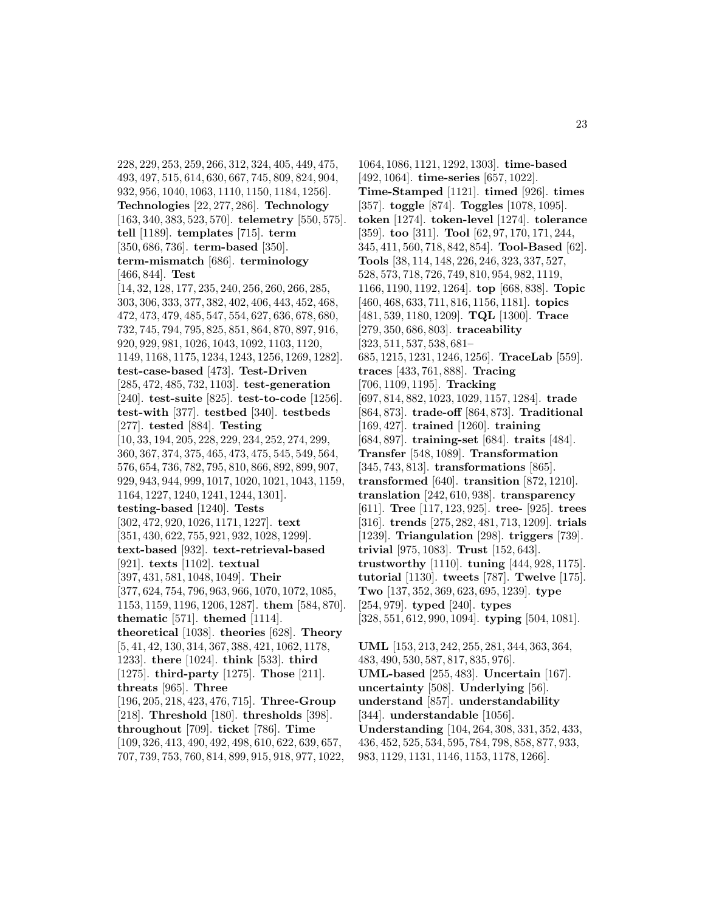228, 229, 253, 259, 266, 312, 324, 405, 449, 475, 493, 497, 515, 614, 630, 667, 745, 809, 824, 904, 932, 956, 1040, 1063, 1110, 1150, 1184, 1256]. **Technologies** [22, 277, 286]. **Technology** [163, 340, 383, 523, 570]. **telemetry** [550, 575]. **tell** [1189]. **templates** [715]. **term** [350, 686, 736]. **term-based** [350]. **term-mismatch** [686]. **terminology** [466, 844]. **Test** [14, 32, 128, 177, 235, 240, 256, 260, 266, 285, 303, 306, 333, 377, 382, 402, 406, 443, 452, 468, 472, 473, 479, 485, 547, 554, 627, 636, 678, 680, 732, 745, 794, 795, 825, 851, 864, 870, 897, 916, 920, 929, 981, 1026, 1043, 1092, 1103, 1120, 1149, 1168, 1175, 1234, 1243, 1256, 1269, 1282]. **test-case-based** [473]. **Test-Driven** [285, 472, 485, 732, 1103]. **test-generation** [240]. **test-suite** [825]. **test-to-code** [1256]. **test-with** [377]. **testbed** [340]. **testbeds** [277]. **tested** [884]. **Testing** [10, 33, 194, 205, 228, 229, 234, 252, 274, 299, 360, 367, 374, 375, 465, 473, 475, 545, 549, 564, 576, 654, 736, 782, 795, 810, 866, 892, 899, 907, 929, 943, 944, 999, 1017, 1020, 1021, 1043, 1159, 1164, 1227, 1240, 1241, 1244, 1301]. **testing-based** [1240]. **Tests** [302, 472, 920, 1026, 1171, 1227]. **text** [351, 430, 622, 755, 921, 932, 1028, 1299]. **text-based** [932]. **text-retrieval-based** [921]. **texts** [1102]. **textual** [397, 431, 581, 1048, 1049]. **Their** [377, 624, 754, 796, 963, 966, 1070, 1072, 1085, 1153, 1159, 1196, 1206, 1287]. **them** [584, 870]. **thematic** [571]. **themed** [1114]. **theoretical** [1038]. **theories** [628]. **Theory** [5, 41, 42, 130, 314, 367, 388, 421, 1062, 1178, 1233]. **there** [1024]. **think** [533]. **third** [1275]. **third-party** [1275]. **Those** [211]. **threats** [965]. **Three** [196, 205, 218, 423, 476, 715]. **Three-Group** [218]. **Threshold** [180]. **thresholds** [398]. **throughout** [709]. **ticket** [786]. **Time** [109, 326, 413, 490, 492, 498, 610, 622, 639, 657, 707, 739, 753, 760, 814, 899, 915, 918, 977, 1022,

1064, 1086, 1121, 1292, 1303]. **time-based** [492, 1064]. **time-series** [657, 1022]. **Time-Stamped** [1121]. **timed** [926]. **times** [357]. **toggle** [874]. **Toggles** [1078, 1095]. **token** [1274]. **token-level** [1274]. **tolerance** [359]. **too** [311]. **Tool** [62, 97, 170, 171, 244, 345, 411, 560, 718, 842, 854]. **Tool-Based** [62]. **Tools** [38, 114, 148, 226, 246, 323, 337, 527, 528, 573, 718, 726, 749, 810, 954, 982, 1119, 1166, 1190, 1192, 1264]. **top** [668, 838]. **Topic** [460, 468, 633, 711, 816, 1156, 1181]. **topics** [481, 539, 1180, 1209]. **TQL** [1300]. **Trace** [279, 350, 686, 803]. **traceability** [323, 511, 537, 538, 681– 685, 1215, 1231, 1246, 1256]. **TraceLab** [559]. **traces** [433, 761, 888]. **Tracing** [706, 1109, 1195]. **Tracking** [697, 814, 882, 1023, 1029, 1157, 1284]. **trade** [864, 873]. **trade-off** [864, 873]. **Traditional** [169, 427]. **trained** [1260]. **training** [684, 897]. **training-set** [684]. **traits** [484]. **Transfer** [548, 1089]. **Transformation** [345, 743, 813]. **transformations** [865]. **transformed** [640]. **transition** [872, 1210]. **translation** [242, 610, 938]. **transparency** [611]. **Tree** [117, 123, 925]. **tree-** [925]. **trees** [316]. **trends** [275, 282, 481, 713, 1209]. **trials** [1239]. **Triangulation** [298]. **triggers** [739]. **trivial** [975, 1083]. **Trust** [152, 643]. **trustworthy** [1110]. **tuning** [444, 928, 1175]. **tutorial** [1130]. **tweets** [787]. **Twelve** [175]. **Two** [137, 352, 369, 623, 695, 1239]. **type** [254, 979]. **typed** [240]. **types** [328, 551, 612, 990, 1094]. **typing** [504, 1081]. **UML** [153, 213, 242, 255, 281, 344, 363, 364, 483, 490, 530, 587, 817, 835, 976]. **UML-based** [255, 483]. **Uncertain** [167]. **uncertainty** [508]. **Underlying** [56]. **understand** [857]. **understandability**

- [344]. **understandable** [1056].
- **Understanding** [104, 264, 308, 331, 352, 433, 436, 452, 525, 534, 595, 784, 798, 858, 877, 933,
- 983, 1129, 1131, 1146, 1153, 1178, 1266].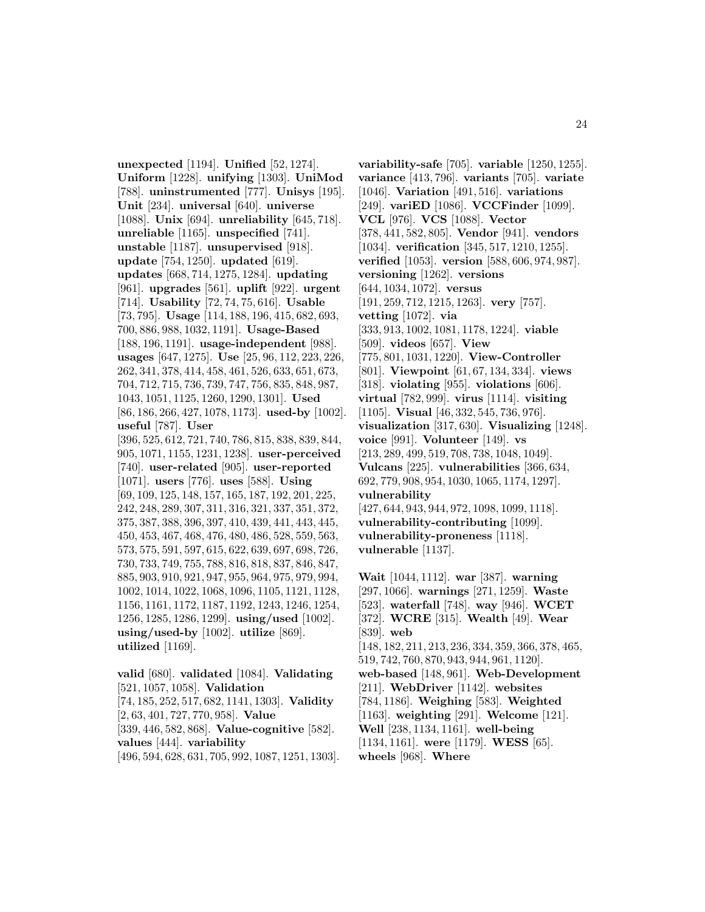**unexpected** [1194]. **Unified** [52, 1274]. **Uniform** [1228]. **unifying** [1303]. **UniMod** [788]. **uninstrumented** [777]. **Unisys** [195]. **Unit** [234]. **universal** [640]. **universe** [1088]. **Unix** [694]. **unreliability** [645, 718]. **unreliable** [1165]. **unspecified** [741]. **unstable** [1187]. **unsupervised** [918]. **update** [754, 1250]. **updated** [619]. **updates** [668, 714, 1275, 1284]. **updating** [961]. **upgrades** [561]. **uplift** [922]. **urgent** [714]. **Usability** [72, 74, 75, 616]. **Usable** [73, 795]. **Usage** [114, 188, 196, 415, 682, 693, 700, 886, 988, 1032, 1191]. **Usage-Based** [188, 196, 1191]. **usage-independent** [988]. **usages** [647, 1275]. **Use** [25, 96, 112, 223, 226, 262, 341, 378, 414, 458, 461, 526, 633, 651, 673, 704, 712, 715, 736, 739, 747, 756, 835, 848, 987, 1043, 1051, 1125, 1260, 1290, 1301]. **Used** [86, 186, 266, 427, 1078, 1173]. **used-by** [1002]. **useful** [787]. **User** [396, 525, 612, 721, 740, 786, 815, 838, 839, 844, 905, 1071, 1155, 1231, 1238]. **user-perceived** [740]. **user-related** [905]. **user-reported** [1071]. **users** [776]. **uses** [588]. **Using** [69, 109, 125, 148, 157, 165, 187, 192, 201, 225, 242, 248, 289, 307, 311, 316, 321, 337, 351, 372, 375, 387, 388, 396, 397, 410, 439, 441, 443, 445, 450, 453, 467, 468, 476, 480, 486, 528, 559, 563, 573, 575, 591, 597, 615, 622, 639, 697, 698, 726, 730, 733, 749, 755, 788, 816, 818, 837, 846, 847, 885, 903, 910, 921, 947, 955, 964, 975, 979, 994, 1002, 1014, 1022, 1068, 1096, 1105, 1121, 1128, 1156, 1161, 1172, 1187, 1192, 1243, 1246, 1254, 1256, 1285, 1286, 1299]. **using/used** [1002]. **using/used-by** [1002]. **utilize** [869]. **utilized** [1169].

**valid** [680]. **validated** [1084]. **Validating** [521, 1057, 1058]. **Validation** [74, 185, 252, 517, 682, 1141, 1303]. **Validity** [2, 63, 401, 727, 770, 958]. **Value** [339, 446, 582, 868]. **Value-cognitive** [582]. **values** [444]. **variability**

[496, 594, 628, 631, 705, 992, 1087, 1251, 1303].

**variability-safe** [705]. **variable** [1250, 1255]. **variance** [413, 796]. **variants** [705]. **variate** [1046]. **Variation** [491, 516]. **variations** [249]. **variED** [1086]. **VCCFinder** [1099]. **VCL** [976]. **VCS** [1088]. **Vector** [378, 441, 582, 805]. **Vendor** [941]. **vendors** [1034]. **verification** [345, 517, 1210, 1255]. **verified** [1053]. **version** [588, 606, 974, 987]. **versioning** [1262]. **versions** [644, 1034, 1072]. **versus** [191, 259, 712, 1215, 1263]. **very** [757]. **vetting** [1072]. **via** [333, 913, 1002, 1081, 1178, 1224]. **viable** [509]. **videos** [657]. **View** [775, 801, 1031, 1220]. **View-Controller** [801]. **Viewpoint** [61, 67, 134, 334]. **views** [318]. **violating** [955]. **violations** [606]. **virtual** [782, 999]. **virus** [1114]. **visiting** [1105]. **Visual** [46, 332, 545, 736, 976]. **visualization** [317, 630]. **Visualizing** [1248]. **voice** [991]. **Volunteer** [149]. **vs** [213, 289, 499, 519, 708, 738, 1048, 1049]. **Vulcans** [225]. **vulnerabilities** [366, 634, 692, 779, 908, 954, 1030, 1065, 1174, 1297]. **vulnerability** [427, 644, 943, 944, 972, 1098, 1099, 1118]. **vulnerability-contributing** [1099]. **vulnerability-proneness** [1118]. **vulnerable** [1137].

**Wait** [1044, 1112]. **war** [387]. **warning** [297, 1066]. **warnings** [271, 1259]. **Waste** [523]. **waterfall** [748]. **way** [946]. **WCET** [372]. **WCRE** [315]. **Wealth** [49]. **Wear** [839]. **web** [148, 182, 211, 213, 236, 334, 359, 366, 378, 465, 519, 742, 760, 870, 943, 944, 961, 1120]. **web-based** [148, 961]. **Web-Development** [211]. **WebDriver** [1142]. **websites** [784, 1186]. **Weighing** [583]. **Weighted** [1163]. **weighting** [291]. **Welcome** [121]. **Well** [238, 1134, 1161]. **well-being** [1134, 1161]. **were** [1179]. **WESS** [65]. **wheels** [968]. **Where**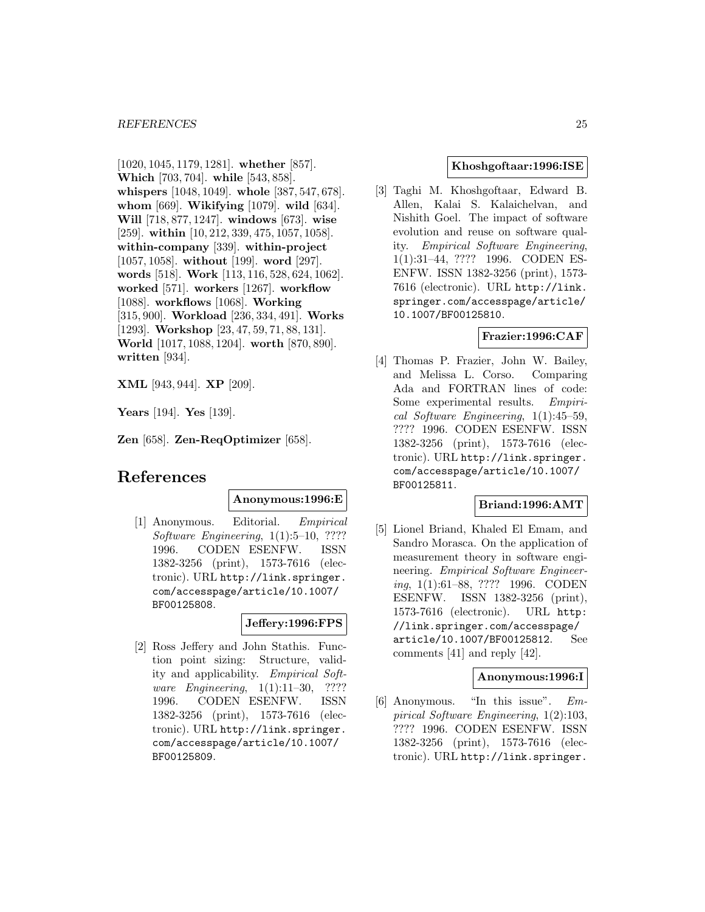[1020, 1045, 1179, 1281]. **whether** [857]. **Which** [703, 704]. **while** [543, 858]. **whispers** [1048, 1049]. **whole** [387, 547, 678]. **whom** [669]. **Wikifying** [1079]. **wild** [634]. **Will** [718, 877, 1247]. **windows** [673]. **wise** [259]. **within** [10, 212, 339, 475, 1057, 1058]. **within-company** [339]. **within-project** [1057, 1058]. **without** [199]. **word** [297]. **words** [518]. **Work** [113, 116, 528, 624, 1062]. **worked** [571]. **workers** [1267]. **workflow** [1088]. **workflows** [1068]. **Working** [315, 900]. **Workload** [236, 334, 491]. **Works** [1293]. **Workshop** [23, 47, 59, 71, 88, 131]. **World** [1017, 1088, 1204]. **worth** [870, 890]. **written** [934].

**XML** [943, 944]. **XP** [209].

**Years** [194]. **Yes** [139].

**Zen** [658]. **Zen-ReqOptimizer** [658].

# **References**

#### **Anonymous:1996:E**

[1] Anonymous. Editorial. Empirical Software Engineering, 1(1):5–10, ???? 1996. CODEN ESENFW. ISSN 1382-3256 (print), 1573-7616 (electronic). URL http://link.springer. com/accesspage/article/10.1007/ BF00125808.

### **Jeffery:1996:FPS**

[2] Ross Jeffery and John Stathis. Function point sizing: Structure, validity and applicability. Empirical Software Engineering, 1(1):11–30, ???? 1996. CODEN ESENFW. ISSN 1382-3256 (print), 1573-7616 (electronic). URL http://link.springer. com/accesspage/article/10.1007/ BF00125809.

### **Khoshgoftaar:1996:ISE**

[3] Taghi M. Khoshgoftaar, Edward B. Allen, Kalai S. Kalaichelvan, and Nishith Goel. The impact of software evolution and reuse on software quality. Empirical Software Engineering, 1(1):31–44, ???? 1996. CODEN ES-ENFW. ISSN 1382-3256 (print), 1573- 7616 (electronic). URL http://link. springer.com/accesspage/article/ 10.1007/BF00125810.

# **Frazier:1996:CAF**

[4] Thomas P. Frazier, John W. Bailey, and Melissa L. Corso. Comparing Ada and FORTRAN lines of code: Some experimental results. Empirical Software Engineering, 1(1):45–59, ???? 1996. CODEN ESENFW. ISSN 1382-3256 (print), 1573-7616 (electronic). URL http://link.springer. com/accesspage/article/10.1007/ BF00125811.

### **Briand:1996:AMT**

[5] Lionel Briand, Khaled El Emam, and Sandro Morasca. On the application of measurement theory in software engineering. Empirical Software Engineering, 1(1):61–88, ???? 1996. CODEN ESENFW. ISSN 1382-3256 (print), 1573-7616 (electronic). URL http: //link.springer.com/accesspage/ article/10.1007/BF00125812. See comments [41] and reply [42].

### **Anonymous:1996:I**

[6] Anonymous. "In this issue". Empirical Software Engineering, 1(2):103, ???? 1996. CODEN ESENFW. ISSN 1382-3256 (print), 1573-7616 (electronic). URL http://link.springer.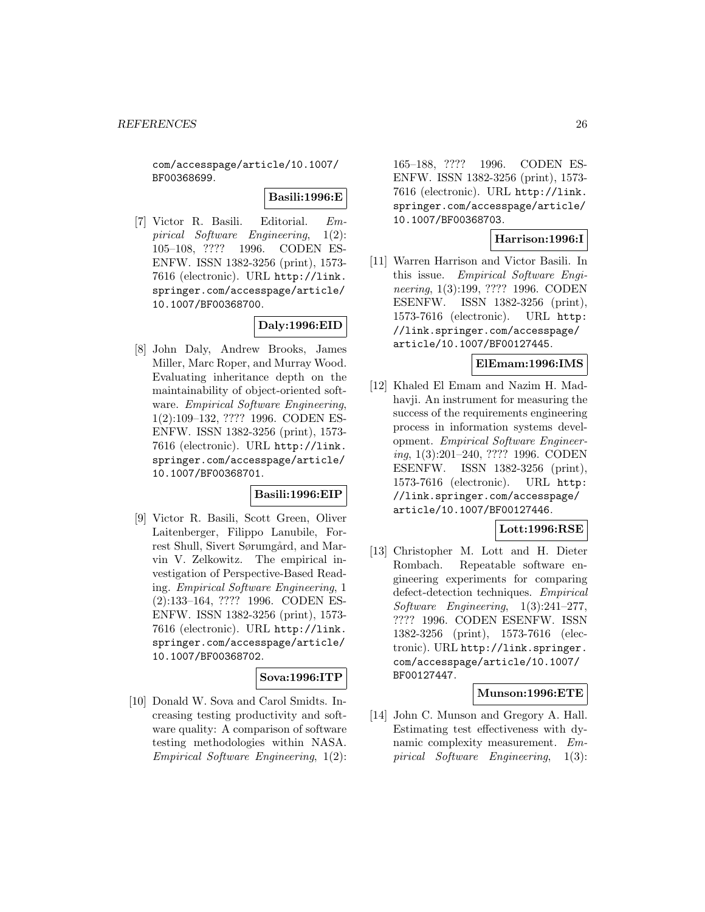com/accesspage/article/10.1007/ BF00368699.

### **Basili:1996:E**

[7] Victor R. Basili. Editorial. Empirical Software Engineering, 1(2): 105–108, ???? 1996. CODEN ES-ENFW. ISSN 1382-3256 (print), 1573- 7616 (electronic). URL http://link. springer.com/accesspage/article/ 10.1007/BF00368700.

# **Daly:1996:EID**

[8] John Daly, Andrew Brooks, James Miller, Marc Roper, and Murray Wood. Evaluating inheritance depth on the maintainability of object-oriented software. Empirical Software Engineering, 1(2):109–132, ???? 1996. CODEN ES-ENFW. ISSN 1382-3256 (print), 1573- 7616 (electronic). URL http://link. springer.com/accesspage/article/ 10.1007/BF00368701.

### **Basili:1996:EIP**

[9] Victor R. Basili, Scott Green, Oliver Laitenberger, Filippo Lanubile, Forrest Shull, Sivert Sørumgård, and Marvin V. Zelkowitz. The empirical investigation of Perspective-Based Reading. Empirical Software Engineering, 1 (2):133–164, ???? 1996. CODEN ES-ENFW. ISSN 1382-3256 (print), 1573- 7616 (electronic). URL http://link. springer.com/accesspage/article/ 10.1007/BF00368702.

# **Sova:1996:ITP**

[10] Donald W. Sova and Carol Smidts. Increasing testing productivity and software quality: A comparison of software testing methodologies within NASA. Empirical Software Engineering, 1(2):

165–188, ???? 1996. CODEN ES-ENFW. ISSN 1382-3256 (print), 1573- 7616 (electronic). URL http://link. springer.com/accesspage/article/ 10.1007/BF00368703.

### **Harrison:1996:I**

[11] Warren Harrison and Victor Basili. In this issue. Empirical Software Engineering, 1(3):199, ???? 1996. CODEN ESENFW. ISSN 1382-3256 (print), 1573-7616 (electronic). URL http: //link.springer.com/accesspage/ article/10.1007/BF00127445.

### **ElEmam:1996:IMS**

[12] Khaled El Emam and Nazim H. Madhavji. An instrument for measuring the success of the requirements engineering process in information systems development. Empirical Software Engineering, 1(3):201–240, ???? 1996. CODEN ESENFW. ISSN 1382-3256 (print), 1573-7616 (electronic). URL http: //link.springer.com/accesspage/ article/10.1007/BF00127446.

### **Lott:1996:RSE**

[13] Christopher M. Lott and H. Dieter Rombach. Repeatable software engineering experiments for comparing defect-detection techniques. Empirical Software Engineering, 1(3):241–277, ???? 1996. CODEN ESENFW. ISSN 1382-3256 (print), 1573-7616 (electronic). URL http://link.springer. com/accesspage/article/10.1007/ BF00127447.

### **Munson:1996:ETE**

[14] John C. Munson and Gregory A. Hall. Estimating test effectiveness with dynamic complexity measurement. Empirical Software Engineering, 1(3):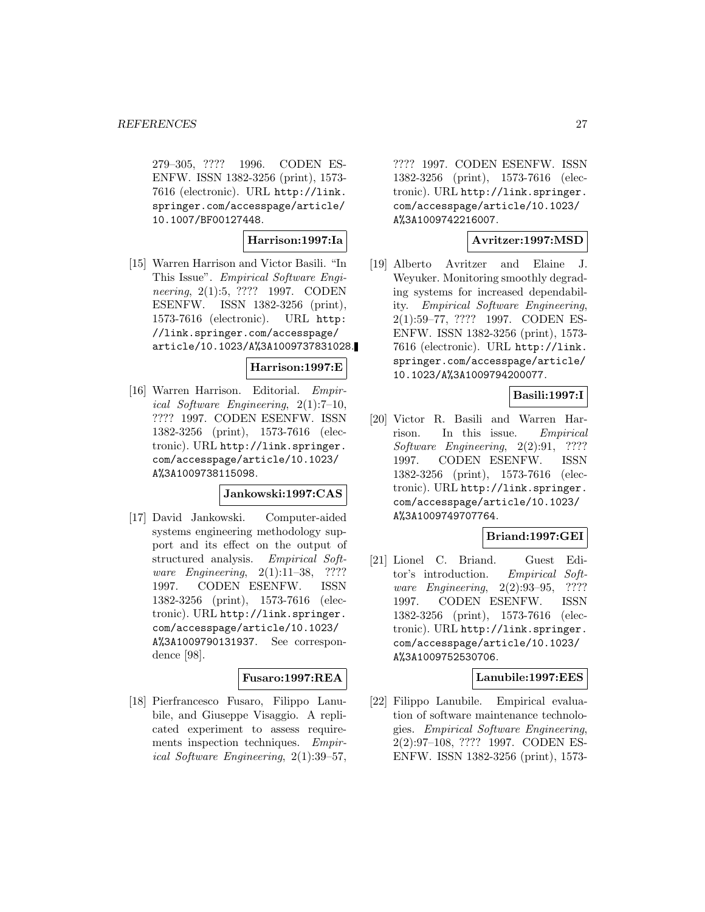279–305, ???? 1996. CODEN ES-ENFW. ISSN 1382-3256 (print), 1573- 7616 (electronic). URL http://link. springer.com/accesspage/article/ 10.1007/BF00127448.

# **Harrison:1997:Ia**

[15] Warren Harrison and Victor Basili. "In This Issue". Empirical Software Engineering, 2(1):5, ???? 1997. CODEN ESENFW. ISSN 1382-3256 (print), 1573-7616 (electronic). URL http: //link.springer.com/accesspage/ article/10.1023/A%3A1009737831028.

### **Harrison:1997:E**

[16] Warren Harrison. Editorial. Empirical Software Engineering, 2(1):7–10, ???? 1997. CODEN ESENFW. ISSN 1382-3256 (print), 1573-7616 (electronic). URL http://link.springer. com/accesspage/article/10.1023/ A%3A1009738115098.

### **Jankowski:1997:CAS**

[17] David Jankowski. Computer-aided systems engineering methodology support and its effect on the output of structured analysis. Empirical Software Engineering, 2(1):11–38, ???? 1997. CODEN ESENFW. ISSN 1382-3256 (print), 1573-7616 (electronic). URL http://link.springer. com/accesspage/article/10.1023/ A%3A1009790131937. See correspondence [98].

### **Fusaro:1997:REA**

[18] Pierfrancesco Fusaro, Filippo Lanubile, and Giuseppe Visaggio. A replicated experiment to assess requirements inspection techniques. Empirical Software Engineering, 2(1):39–57,

???? 1997. CODEN ESENFW. ISSN 1382-3256 (print), 1573-7616 (electronic). URL http://link.springer. com/accesspage/article/10.1023/ A%3A1009742216007.

### **Avritzer:1997:MSD**

[19] Alberto Avritzer and Elaine J. Weyuker. Monitoring smoothly degrading systems for increased dependability. Empirical Software Engineering, 2(1):59–77, ???? 1997. CODEN ES-ENFW. ISSN 1382-3256 (print), 1573- 7616 (electronic). URL http://link. springer.com/accesspage/article/ 10.1023/A%3A1009794200077.

### **Basili:1997:I**

[20] Victor R. Basili and Warren Harrison. In this issue. Empirical Software Engineering, 2(2):91, ???? 1997. CODEN ESENFW. ISSN 1382-3256 (print), 1573-7616 (electronic). URL http://link.springer. com/accesspage/article/10.1023/ A%3A1009749707764.

### **Briand:1997:GEI**

[21] Lionel C. Briand. Guest Editor's introduction. Empirical Software Engineering, 2(2):93–95, ???? 1997. CODEN ESENFW. ISSN 1382-3256 (print), 1573-7616 (electronic). URL http://link.springer. com/accesspage/article/10.1023/ A%3A1009752530706.

### **Lanubile:1997:EES**

[22] Filippo Lanubile. Empirical evaluation of software maintenance technologies. Empirical Software Engineering, 2(2):97–108, ???? 1997. CODEN ES-ENFW. ISSN 1382-3256 (print), 1573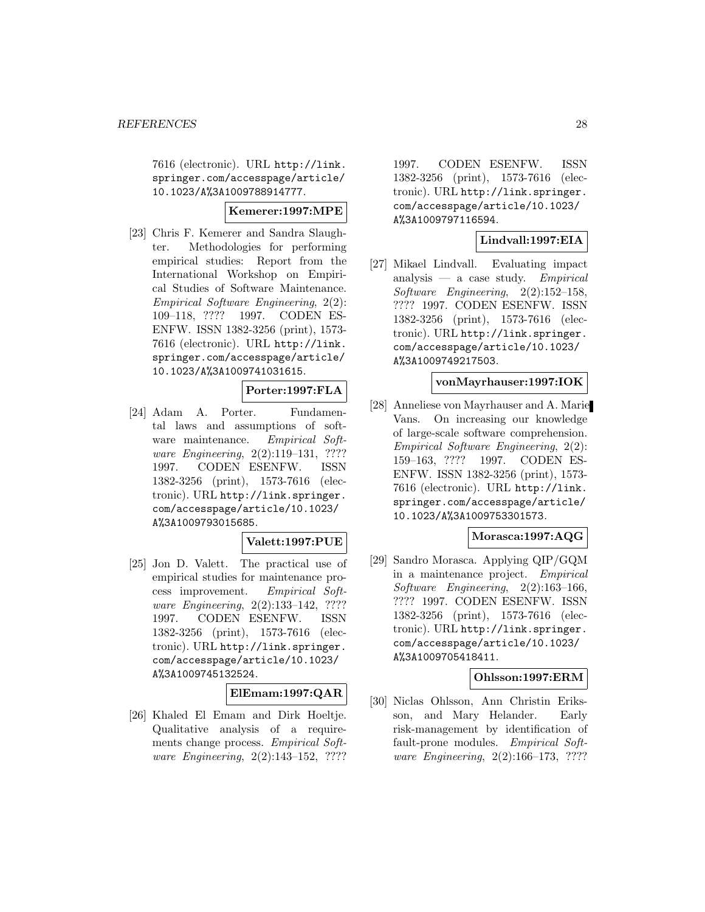7616 (electronic). URL http://link. springer.com/accesspage/article/ 10.1023/A%3A1009788914777.

### **Kemerer:1997:MPE**

[23] Chris F. Kemerer and Sandra Slaughter. Methodologies for performing empirical studies: Report from the International Workshop on Empirical Studies of Software Maintenance. Empirical Software Engineering, 2(2): 109–118, ???? 1997. CODEN ES-ENFW. ISSN 1382-3256 (print), 1573- 7616 (electronic). URL http://link. springer.com/accesspage/article/ 10.1023/A%3A1009741031615.

# **Porter:1997:FLA**

[24] Adam A. Porter. Fundamental laws and assumptions of software maintenance. Empirical Software Engineering, 2(2):119–131, ???? 1997. CODEN ESENFW. ISSN 1382-3256 (print), 1573-7616 (electronic). URL http://link.springer. com/accesspage/article/10.1023/ A%3A1009793015685.

### **Valett:1997:PUE**

[25] Jon D. Valett. The practical use of empirical studies for maintenance process improvement. Empirical Software Engineering, 2(2):133–142, ???? 1997. CODEN ESENFW. ISSN 1382-3256 (print), 1573-7616 (electronic). URL http://link.springer. com/accesspage/article/10.1023/ A%3A1009745132524.

# **ElEmam:1997:QAR**

[26] Khaled El Emam and Dirk Hoeltje. Qualitative analysis of a requirements change process. Empirical Software Engineering, 2(2):143–152, ????

1997. CODEN ESENFW. ISSN 1382-3256 (print), 1573-7616 (electronic). URL http://link.springer. com/accesspage/article/10.1023/ A%3A1009797116594.

# **Lindvall:1997:EIA**

[27] Mikael Lindvall. Evaluating impact analysis — a case study. Empirical Software Engineering, 2(2):152–158, ???? 1997. CODEN ESENFW. ISSN 1382-3256 (print), 1573-7616 (electronic). URL http://link.springer. com/accesspage/article/10.1023/ A%3A1009749217503.

# **vonMayrhauser:1997:IOK**

[28] Anneliese von Mayrhauser and A. Marie Vans. On increasing our knowledge of large-scale software comprehension. Empirical Software Engineering, 2(2): 159–163, ???? 1997. CODEN ES-ENFW. ISSN 1382-3256 (print), 1573- 7616 (electronic). URL http://link. springer.com/accesspage/article/ 10.1023/A%3A1009753301573.

### **Morasca:1997:AQG**

[29] Sandro Morasca. Applying QIP/GQM in a maintenance project. Empirical Software Engineering, 2(2):163–166, ???? 1997. CODEN ESENFW. ISSN 1382-3256 (print), 1573-7616 (electronic). URL http://link.springer. com/accesspage/article/10.1023/ A%3A1009705418411.

# **Ohlsson:1997:ERM**

[30] Niclas Ohlsson, Ann Christin Eriksson, and Mary Helander. Early risk-management by identification of fault-prone modules. Empirical Software Engineering, 2(2):166–173, ????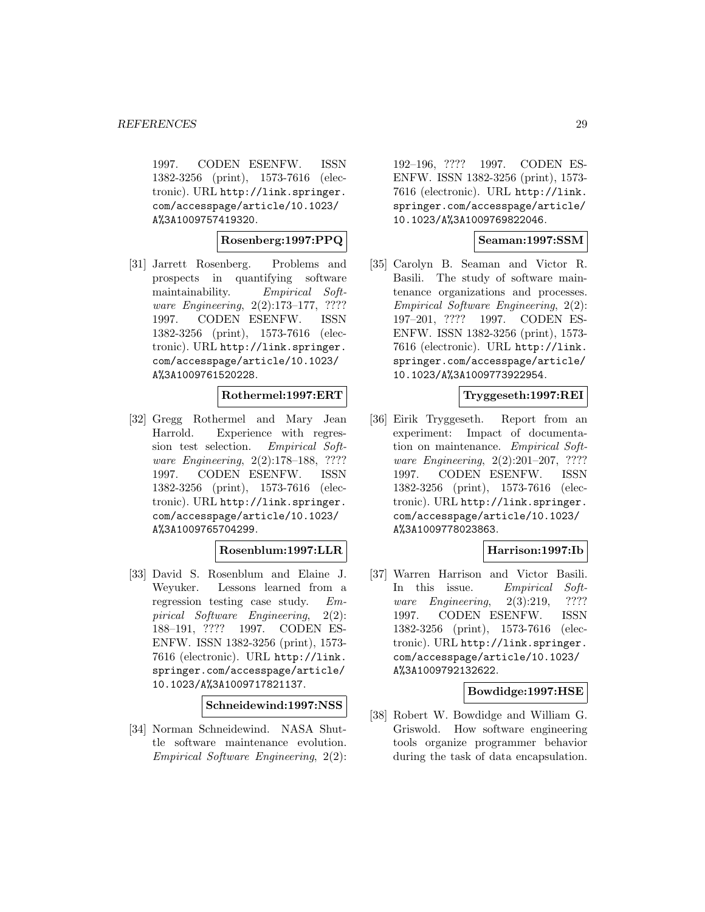1997. CODEN ESENFW. ISSN 1382-3256 (print), 1573-7616 (electronic). URL http://link.springer. com/accesspage/article/10.1023/ A%3A1009757419320.

### **Rosenberg:1997:PPQ**

[31] Jarrett Rosenberg. Problems and prospects in quantifying software maintainability. Empirical Software Engineering, 2(2):173–177, ???? 1997. CODEN ESENFW. ISSN 1382-3256 (print), 1573-7616 (electronic). URL http://link.springer. com/accesspage/article/10.1023/ A%3A1009761520228.

### **Rothermel:1997:ERT**

[32] Gregg Rothermel and Mary Jean Harrold. Experience with regression test selection. Empirical Software Engineering, 2(2):178–188, ???? 1997. CODEN ESENFW. ISSN 1382-3256 (print), 1573-7616 (electronic). URL http://link.springer. com/accesspage/article/10.1023/ A%3A1009765704299.

# **Rosenblum:1997:LLR**

[33] David S. Rosenblum and Elaine J. Weyuker. Lessons learned from a regression testing case study. Empirical Software Engineering, 2(2): 188–191, ???? 1997. CODEN ES-ENFW. ISSN 1382-3256 (print), 1573- 7616 (electronic). URL http://link. springer.com/accesspage/article/ 10.1023/A%3A1009717821137.

**Schneidewind:1997:NSS**

[34] Norman Schneidewind. NASA Shuttle software maintenance evolution. Empirical Software Engineering, 2(2): 192–196, ???? 1997. CODEN ES-ENFW. ISSN 1382-3256 (print), 1573- 7616 (electronic). URL http://link. springer.com/accesspage/article/ 10.1023/A%3A1009769822046.

### **Seaman:1997:SSM**

[35] Carolyn B. Seaman and Victor R. Basili. The study of software maintenance organizations and processes. Empirical Software Engineering, 2(2): 197–201, ???? 1997. CODEN ES-ENFW. ISSN 1382-3256 (print), 1573- 7616 (electronic). URL http://link. springer.com/accesspage/article/ 10.1023/A%3A1009773922954.

### **Tryggeseth:1997:REI**

[36] Eirik Tryggeseth. Report from an experiment: Impact of documentation on maintenance. Empirical Software Engineering, 2(2):201–207, ???? 1997. CODEN ESENFW. ISSN 1382-3256 (print), 1573-7616 (electronic). URL http://link.springer. com/accesspage/article/10.1023/ A%3A1009778023863.

# **Harrison:1997:Ib**

[37] Warren Harrison and Victor Basili. In this issue. Empirical Software *Engineering*, 2(3):219, ???? 1997. CODEN ESENFW. ISSN 1382-3256 (print), 1573-7616 (electronic). URL http://link.springer. com/accesspage/article/10.1023/ A%3A1009792132622.

### **Bowdidge:1997:HSE**

[38] Robert W. Bowdidge and William G. Griswold. How software engineering tools organize programmer behavior during the task of data encapsulation.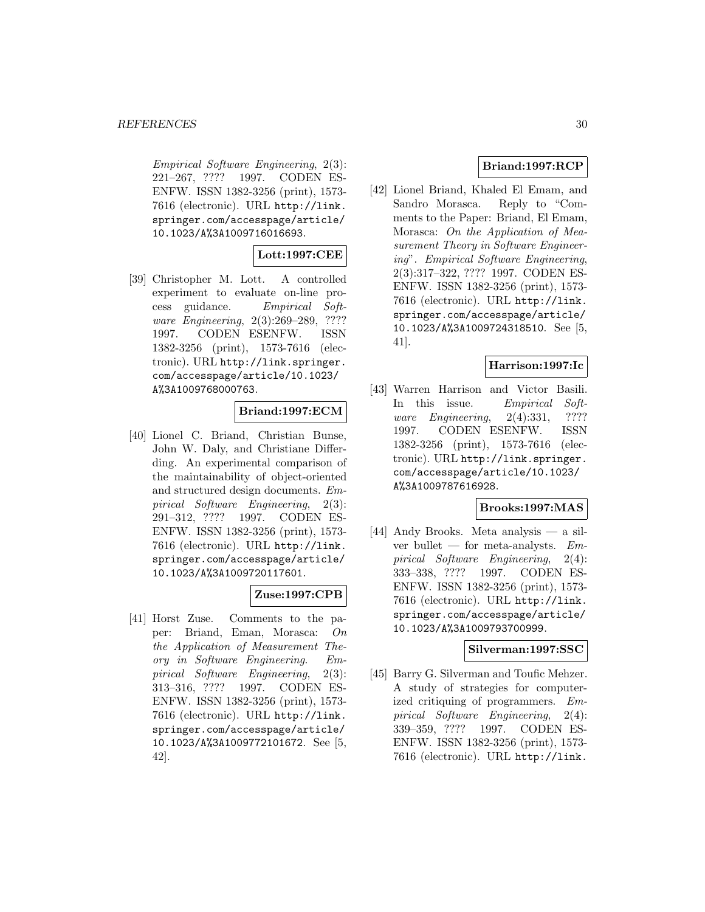Empirical Software Engineering, 2(3): 221–267, ???? 1997. CODEN ES-ENFW. ISSN 1382-3256 (print), 1573- 7616 (electronic). URL http://link. springer.com/accesspage/article/ 10.1023/A%3A1009716016693.

# **Lott:1997:CEE**

[39] Christopher M. Lott. A controlled experiment to evaluate on-line process guidance. Empirical Software Engineering, 2(3):269–289, ???? 1997. CODEN ESENFW. ISSN 1382-3256 (print), 1573-7616 (electronic). URL http://link.springer. com/accesspage/article/10.1023/ A%3A1009768000763.

### **Briand:1997:ECM**

[40] Lionel C. Briand, Christian Bunse, John W. Daly, and Christiane Differding. An experimental comparison of the maintainability of object-oriented and structured design documents. Empirical Software Engineering, 2(3): 291–312, ???? 1997. CODEN ES-ENFW. ISSN 1382-3256 (print), 1573- 7616 (electronic). URL http://link. springer.com/accesspage/article/ 10.1023/A%3A1009720117601.

### **Zuse:1997:CPB**

[41] Horst Zuse. Comments to the paper: Briand, Eman, Morasca: On the Application of Measurement Theory in Software Engineering. Empirical Software Engineering, 2(3): 313–316, ???? 1997. CODEN ES-ENFW. ISSN 1382-3256 (print), 1573- 7616 (electronic). URL http://link. springer.com/accesspage/article/ 10.1023/A%3A1009772101672. See [5, 42].

# **Briand:1997:RCP**

[42] Lionel Briand, Khaled El Emam, and Sandro Morasca. Reply to "Comments to the Paper: Briand, El Emam, Morasca: On the Application of Measurement Theory in Software Engineering". Empirical Software Engineering, 2(3):317–322, ???? 1997. CODEN ES-ENFW. ISSN 1382-3256 (print), 1573- 7616 (electronic). URL http://link. springer.com/accesspage/article/ 10.1023/A%3A1009724318510. See [5, 41].

# **Harrison:1997:Ic**

[43] Warren Harrison and Victor Basili. In this issue. Empirical Software *Engineering*, 2(4):331, ???? 1997. CODEN ESENFW. ISSN 1382-3256 (print), 1573-7616 (electronic). URL http://link.springer. com/accesspage/article/10.1023/ A%3A1009787616928.

### **Brooks:1997:MAS**

[44] Andy Brooks. Meta analysis — a silver bullet — for meta-analysts.  $Em$ pirical Software Engineering, 2(4): 333–338, ???? 1997. CODEN ES-ENFW. ISSN 1382-3256 (print), 1573- 7616 (electronic). URL http://link. springer.com/accesspage/article/ 10.1023/A%3A1009793700999.

### **Silverman:1997:SSC**

[45] Barry G. Silverman and Toufic Mehzer. A study of strategies for computerized critiquing of programmers. Empirical Software Engineering, 2(4): 339–359, ???? 1997. CODEN ES-ENFW. ISSN 1382-3256 (print), 1573- 7616 (electronic). URL http://link.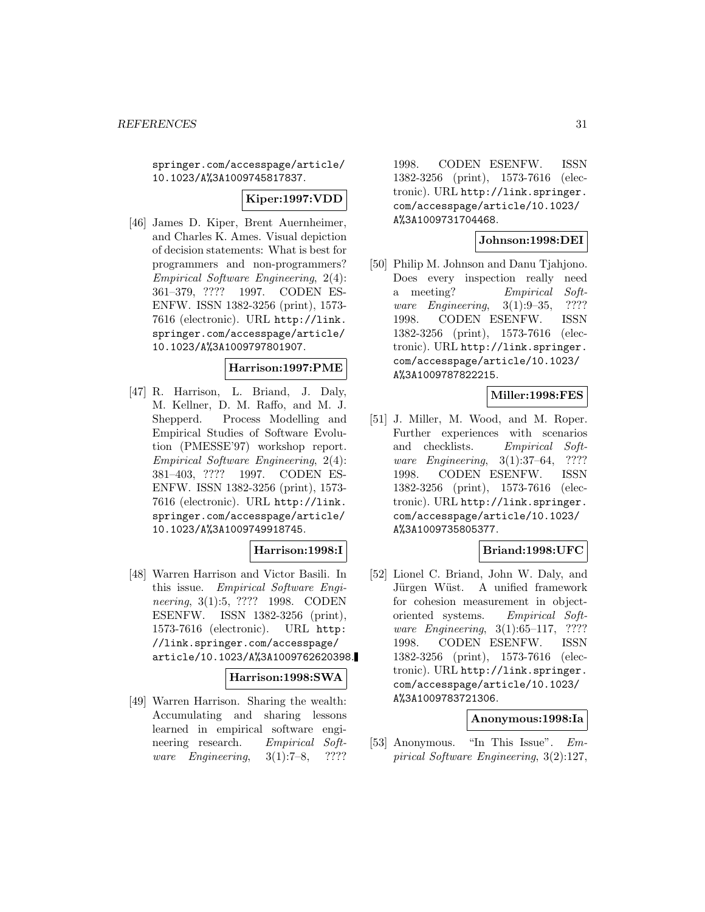springer.com/accesspage/article/ 10.1023/A%3A1009745817837.

# **Kiper:1997:VDD**

[46] James D. Kiper, Brent Auernheimer, and Charles K. Ames. Visual depiction of decision statements: What is best for programmers and non-programmers? Empirical Software Engineering, 2(4): 361–379, ???? 1997. CODEN ES-ENFW. ISSN 1382-3256 (print), 1573- 7616 (electronic). URL http://link. springer.com/accesspage/article/ 10.1023/A%3A1009797801907.

### **Harrison:1997:PME**

[47] R. Harrison, L. Briand, J. Daly, M. Kellner, D. M. Raffo, and M. J. Shepperd. Process Modelling and Empirical Studies of Software Evolution (PMESSE'97) workshop report. Empirical Software Engineering, 2(4): 381–403, ???? 1997. CODEN ES-ENFW. ISSN 1382-3256 (print), 1573- 7616 (electronic). URL http://link. springer.com/accesspage/article/ 10.1023/A%3A1009749918745.

# **Harrison:1998:I**

[48] Warren Harrison and Victor Basili. In this issue. Empirical Software Engineering, 3(1):5, ???? 1998. CODEN ESENFW. ISSN 1382-3256 (print), 1573-7616 (electronic). URL http: //link.springer.com/accesspage/ article/10.1023/A%3A1009762620398.

### **Harrison:1998:SWA**

[49] Warren Harrison. Sharing the wealth: Accumulating and sharing lessons learned in empirical software engineering research. Empirical Software Engineering, 3(1):7–8, ????

1998. CODEN ESENFW. ISSN 1382-3256 (print), 1573-7616 (electronic). URL http://link.springer. com/accesspage/article/10.1023/ A%3A1009731704468.

### **Johnson:1998:DEI**

[50] Philip M. Johnson and Danu Tjahjono. Does every inspection really need a meeting? Empirical Software Engineering, 3(1):9–35, ???? 1998. CODEN ESENFW. ISSN 1382-3256 (print), 1573-7616 (electronic). URL http://link.springer. com/accesspage/article/10.1023/ A%3A1009787822215.

### **Miller:1998:FES**

[51] J. Miller, M. Wood, and M. Roper. Further experiences with scenarios and checklists. Empirical Software Engineering, 3(1):37–64, ???? 1998. CODEN ESENFW. ISSN 1382-3256 (print), 1573-7616 (electronic). URL http://link.springer. com/accesspage/article/10.1023/ A%3A1009735805377.

# **Briand:1998:UFC**

[52] Lionel C. Briand, John W. Daly, and Jürgen Wüst. A unified framework for cohesion measurement in objectoriented systems. Empirical Software Engineering, 3(1):65–117, ???? 1998. CODEN ESENFW. ISSN 1382-3256 (print), 1573-7616 (electronic). URL http://link.springer. com/accesspage/article/10.1023/ A%3A1009783721306.

#### **Anonymous:1998:Ia**

[53] Anonymous. "In This Issue". Empirical Software Engineering, 3(2):127,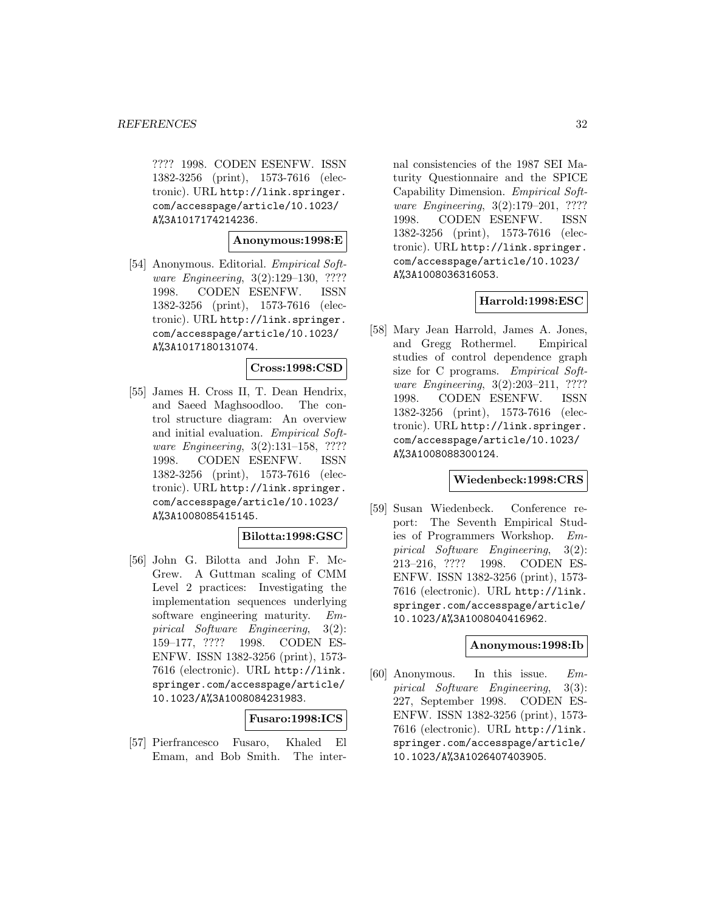???? 1998. CODEN ESENFW. ISSN 1382-3256 (print), 1573-7616 (electronic). URL http://link.springer. com/accesspage/article/10.1023/ A%3A1017174214236.

### **Anonymous:1998:E**

[54] Anonymous. Editorial. *Empirical Soft*ware Engineering, 3(2):129–130, ???? 1998. CODEN ESENFW. ISSN 1382-3256 (print), 1573-7616 (electronic). URL http://link.springer. com/accesspage/article/10.1023/ A%3A1017180131074.

### **Cross:1998:CSD**

[55] James H. Cross II, T. Dean Hendrix, and Saeed Maghsoodloo. The control structure diagram: An overview and initial evaluation. Empirical Software Engineering, 3(2):131–158, ???? 1998. CODEN ESENFW. ISSN 1382-3256 (print), 1573-7616 (electronic). URL http://link.springer. com/accesspage/article/10.1023/ A%3A1008085415145.

# **Bilotta:1998:GSC**

[56] John G. Bilotta and John F. Mc-Grew. A Guttman scaling of CMM Level 2 practices: Investigating the implementation sequences underlying software engineering maturity. Empirical Software Engineering, 3(2): 159–177, ???? 1998. CODEN ES-ENFW. ISSN 1382-3256 (print), 1573- 7616 (electronic). URL http://link. springer.com/accesspage/article/ 10.1023/A%3A1008084231983.

### **Fusaro:1998:ICS**

[57] Pierfrancesco Fusaro, Khaled El Emam, and Bob Smith. The internal consistencies of the 1987 SEI Maturity Questionnaire and the SPICE Capability Dimension. Empirical Software Engineering, 3(2):179–201, ???? 1998. CODEN ESENFW. ISSN 1382-3256 (print), 1573-7616 (electronic). URL http://link.springer. com/accesspage/article/10.1023/ A%3A1008036316053.

### **Harrold:1998:ESC**

[58] Mary Jean Harrold, James A. Jones, and Gregg Rothermel. Empirical studies of control dependence graph size for C programs. Empirical Software Engineering, 3(2):203–211, ???? 1998. CODEN ESENFW. ISSN 1382-3256 (print), 1573-7616 (electronic). URL http://link.springer. com/accesspage/article/10.1023/ A%3A1008088300124.

### **Wiedenbeck:1998:CRS**

[59] Susan Wiedenbeck. Conference report: The Seventh Empirical Studies of Programmers Workshop. Empirical Software Engineering, 3(2): 213–216, ???? 1998. CODEN ES-ENFW. ISSN 1382-3256 (print), 1573- 7616 (electronic). URL http://link. springer.com/accesspage/article/ 10.1023/A%3A1008040416962.

# **Anonymous:1998:Ib**

[60] Anonymous. In this issue. Empirical Software Engineering, 3(3): 227, September 1998. CODEN ES-ENFW. ISSN 1382-3256 (print), 1573- 7616 (electronic). URL http://link. springer.com/accesspage/article/ 10.1023/A%3A1026407403905.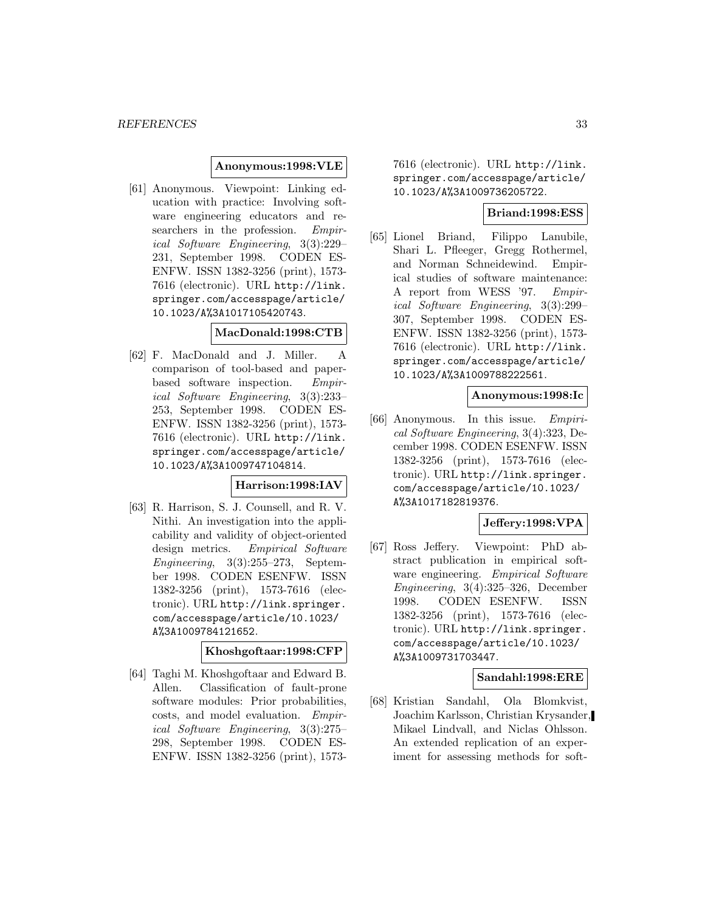### **Anonymous:1998:VLE**

[61] Anonymous. Viewpoint: Linking education with practice: Involving software engineering educators and researchers in the profession. Empirical Software Engineering, 3(3):229– 231, September 1998. CODEN ES-ENFW. ISSN 1382-3256 (print), 1573- 7616 (electronic). URL http://link. springer.com/accesspage/article/ 10.1023/A%3A1017105420743.

### **MacDonald:1998:CTB**

[62] F. MacDonald and J. Miller. A comparison of tool-based and paperbased software inspection. Empirical Software Engineering, 3(3):233– 253, September 1998. CODEN ES-ENFW. ISSN 1382-3256 (print), 1573- 7616 (electronic). URL http://link. springer.com/accesspage/article/ 10.1023/A%3A1009747104814.

#### **Harrison:1998:IAV**

[63] R. Harrison, S. J. Counsell, and R. V. Nithi. An investigation into the applicability and validity of object-oriented design metrics. Empirical Software Engineering,  $3(3):255-273$ , September 1998. CODEN ESENFW. ISSN 1382-3256 (print), 1573-7616 (electronic). URL http://link.springer. com/accesspage/article/10.1023/ A%3A1009784121652.

### **Khoshgoftaar:1998:CFP**

[64] Taghi M. Khoshgoftaar and Edward B. Allen. Classification of fault-prone software modules: Prior probabilities, costs, and model evaluation. Empirical Software Engineering, 3(3):275– 298, September 1998. CODEN ES-ENFW. ISSN 1382-3256 (print), 15737616 (electronic). URL http://link. springer.com/accesspage/article/ 10.1023/A%3A1009736205722.

# **Briand:1998:ESS**

[65] Lionel Briand, Filippo Lanubile, Shari L. Pfleeger, Gregg Rothermel, and Norman Schneidewind. Empirical studies of software maintenance: A report from WESS '97. Empirical Software Engineering, 3(3):299– 307, September 1998. CODEN ES-ENFW. ISSN 1382-3256 (print), 1573- 7616 (electronic). URL http://link. springer.com/accesspage/article/ 10.1023/A%3A1009788222561.

### **Anonymous:1998:Ic**

[66] Anonymous. In this issue. Empirical Software Engineering, 3(4):323, December 1998. CODEN ESENFW. ISSN 1382-3256 (print), 1573-7616 (electronic). URL http://link.springer. com/accesspage/article/10.1023/ A%3A1017182819376.

### **Jeffery:1998:VPA**

[67] Ross Jeffery. Viewpoint: PhD abstract publication in empirical software engineering. *Empirical Software* Engineering, 3(4):325–326, December 1998. CODEN ESENFW. ISSN 1382-3256 (print), 1573-7616 (electronic). URL http://link.springer. com/accesspage/article/10.1023/ A%3A1009731703447.

### **Sandahl:1998:ERE**

[68] Kristian Sandahl, Ola Blomkvist, Joachim Karlsson, Christian Krysander, Mikael Lindvall, and Niclas Ohlsson. An extended replication of an experiment for assessing methods for soft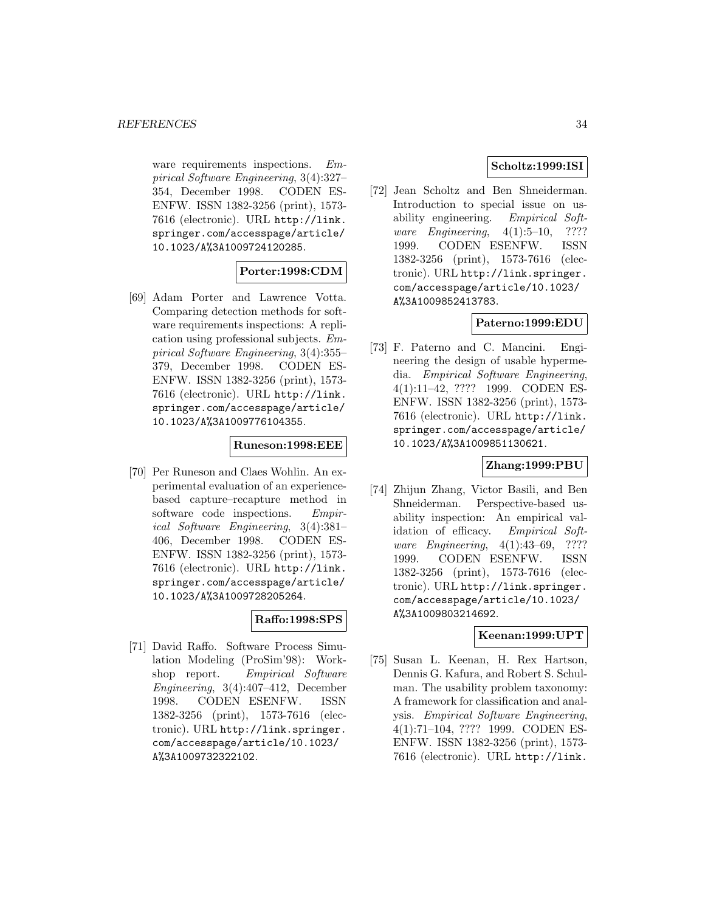ware requirements inspections. Empirical Software Engineering, 3(4):327– 354, December 1998. CODEN ES-ENFW. ISSN 1382-3256 (print), 1573- 7616 (electronic). URL http://link. springer.com/accesspage/article/ 10.1023/A%3A1009724120285.

# **Porter:1998:CDM**

[69] Adam Porter and Lawrence Votta. Comparing detection methods for software requirements inspections: A replication using professional subjects. Empirical Software Engineering, 3(4):355– 379, December 1998. CODEN ES-ENFW. ISSN 1382-3256 (print), 1573- 7616 (electronic). URL http://link. springer.com/accesspage/article/ 10.1023/A%3A1009776104355.

### **Runeson:1998:EEE**

[70] Per Runeson and Claes Wohlin. An experimental evaluation of an experiencebased capture–recapture method in software code inspections. Empirical Software Engineering, 3(4):381– 406, December 1998. CODEN ES-ENFW. ISSN 1382-3256 (print), 1573- 7616 (electronic). URL http://link. springer.com/accesspage/article/ 10.1023/A%3A1009728205264.

### **Raffo:1998:SPS**

[71] David Raffo. Software Process Simulation Modeling (ProSim'98): Workshop report. Empirical Software Engineering, 3(4):407–412, December 1998. CODEN ESENFW. ISSN 1382-3256 (print), 1573-7616 (electronic). URL http://link.springer. com/accesspage/article/10.1023/ A%3A1009732322102.

# **Scholtz:1999:ISI**

[72] Jean Scholtz and Ben Shneiderman. Introduction to special issue on usability engineering. Empirical Software Engineering, 4(1):5–10, ???? 1999. CODEN ESENFW. ISSN 1382-3256 (print), 1573-7616 (electronic). URL http://link.springer. com/accesspage/article/10.1023/ A%3A1009852413783.

# **Paterno:1999:EDU**

[73] F. Paterno and C. Mancini. Engineering the design of usable hypermedia. Empirical Software Engineering, 4(1):11–42, ???? 1999. CODEN ES-ENFW. ISSN 1382-3256 (print), 1573- 7616 (electronic). URL http://link. springer.com/accesspage/article/ 10.1023/A%3A1009851130621.

### **Zhang:1999:PBU**

[74] Zhijun Zhang, Victor Basili, and Ben Shneiderman. Perspective-based usability inspection: An empirical validation of efficacy. Empirical Software Engineering, 4(1):43–69, ???? 1999. CODEN ESENFW. ISSN 1382-3256 (print), 1573-7616 (electronic). URL http://link.springer. com/accesspage/article/10.1023/ A%3A1009803214692.

### **Keenan:1999:UPT**

[75] Susan L. Keenan, H. Rex Hartson, Dennis G. Kafura, and Robert S. Schulman. The usability problem taxonomy: A framework for classification and analysis. Empirical Software Engineering, 4(1):71–104, ???? 1999. CODEN ES-ENFW. ISSN 1382-3256 (print), 1573- 7616 (electronic). URL http://link.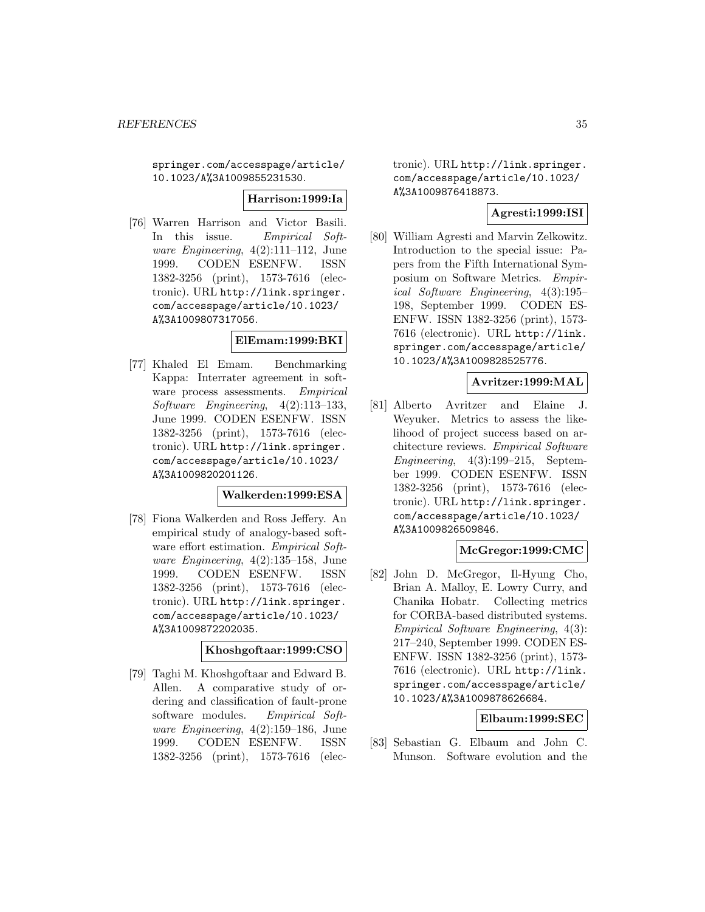springer.com/accesspage/article/ 10.1023/A%3A1009855231530.

**Harrison:1999:Ia**

[76] Warren Harrison and Victor Basili. In this issue. Empirical Software Engineering,  $4(2):111-112$ , June 1999. CODEN ESENFW. ISSN 1382-3256 (print), 1573-7616 (electronic). URL http://link.springer. com/accesspage/article/10.1023/ A%3A1009807317056.

### **ElEmam:1999:BKI**

[77] Khaled El Emam. Benchmarking Kappa: Interrater agreement in software process assessments. Empirical Software Engineering, 4(2):113–133, June 1999. CODEN ESENFW. ISSN 1382-3256 (print), 1573-7616 (electronic). URL http://link.springer. com/accesspage/article/10.1023/ A%3A1009820201126.

### **Walkerden:1999:ESA**

[78] Fiona Walkerden and Ross Jeffery. An empirical study of analogy-based software effort estimation. *Empirical Soft*ware Engineering, 4(2):135–158, June 1999. CODEN ESENFW. ISSN 1382-3256 (print), 1573-7616 (electronic). URL http://link.springer. com/accesspage/article/10.1023/ A%3A1009872202035.

### **Khoshgoftaar:1999:CSO**

[79] Taghi M. Khoshgoftaar and Edward B. Allen. A comparative study of ordering and classification of fault-prone software modules. Empirical Soft*ware Engineering*,  $4(2):159-186$ , June 1999. CODEN ESENFW. ISSN 1382-3256 (print), 1573-7616 (electronic). URL http://link.springer. com/accesspage/article/10.1023/ A%3A1009876418873.

# **Agresti:1999:ISI**

[80] William Agresti and Marvin Zelkowitz. Introduction to the special issue: Papers from the Fifth International Symposium on Software Metrics. Empirical Software Engineering, 4(3):195– 198, September 1999. CODEN ES-ENFW. ISSN 1382-3256 (print), 1573- 7616 (electronic). URL http://link. springer.com/accesspage/article/ 10.1023/A%3A1009828525776.

# **Avritzer:1999:MAL**

[81] Alberto Avritzer and Elaine J. Weyuker. Metrics to assess the likelihood of project success based on architecture reviews. Empirical Software Engineering, 4(3):199–215, September 1999. CODEN ESENFW. ISSN 1382-3256 (print), 1573-7616 (electronic). URL http://link.springer. com/accesspage/article/10.1023/ A%3A1009826509846.

# **McGregor:1999:CMC**

[82] John D. McGregor, Il-Hyung Cho, Brian A. Malloy, E. Lowry Curry, and Chanika Hobatr. Collecting metrics for CORBA-based distributed systems. Empirical Software Engineering, 4(3): 217–240, September 1999. CODEN ES-ENFW. ISSN 1382-3256 (print), 1573- 7616 (electronic). URL http://link. springer.com/accesspage/article/ 10.1023/A%3A1009878626684.

### **Elbaum:1999:SEC**

[83] Sebastian G. Elbaum and John C. Munson. Software evolution and the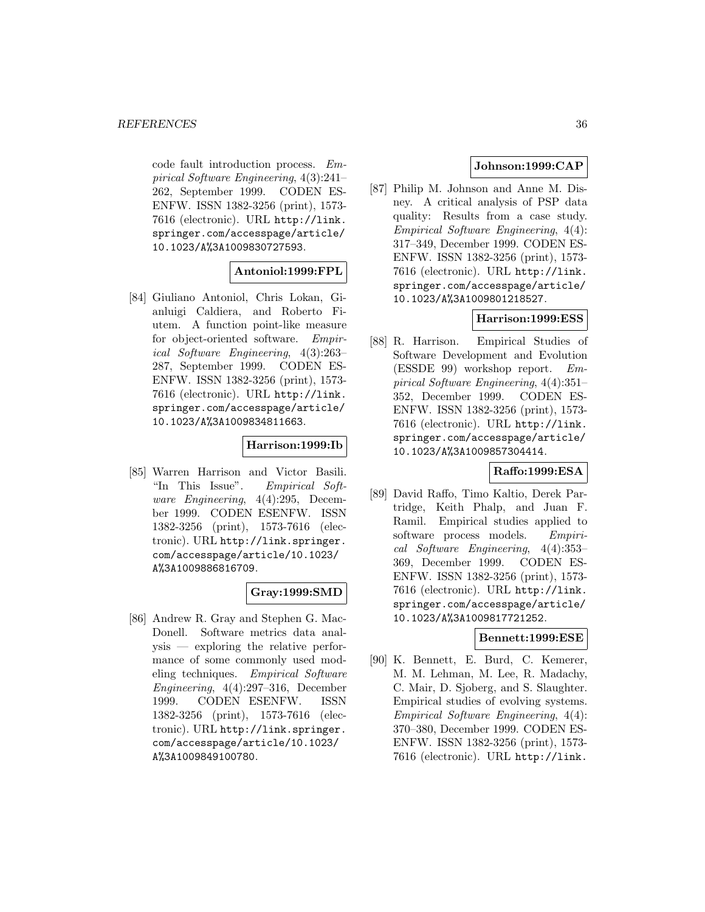code fault introduction process. Empirical Software Engineering, 4(3):241– 262, September 1999. CODEN ES-ENFW. ISSN 1382-3256 (print), 1573- 7616 (electronic). URL http://link. springer.com/accesspage/article/ 10.1023/A%3A1009830727593.

### **Antoniol:1999:FPL**

[84] Giuliano Antoniol, Chris Lokan, Gianluigi Caldiera, and Roberto Fiutem. A function point-like measure for object-oriented software. Empirical Software Engineering, 4(3):263– 287, September 1999. CODEN ES-ENFW. ISSN 1382-3256 (print), 1573- 7616 (electronic). URL http://link. springer.com/accesspage/article/ 10.1023/A%3A1009834811663.

### **Harrison:1999:Ib**

[85] Warren Harrison and Victor Basili. "In This Issue". Empirical Software Engineering, 4(4):295, December 1999. CODEN ESENFW. ISSN 1382-3256 (print), 1573-7616 (electronic). URL http://link.springer. com/accesspage/article/10.1023/ A%3A1009886816709.

### **Gray:1999:SMD**

[86] Andrew R. Gray and Stephen G. Mac-Donell. Software metrics data analysis — exploring the relative performance of some commonly used modeling techniques. *Empirical Software* Engineering, 4(4):297–316, December 1999. CODEN ESENFW. ISSN 1382-3256 (print), 1573-7616 (electronic). URL http://link.springer. com/accesspage/article/10.1023/ A%3A1009849100780.

# **Johnson:1999:CAP**

[87] Philip M. Johnson and Anne M. Disney. A critical analysis of PSP data quality: Results from a case study. Empirical Software Engineering, 4(4): 317–349, December 1999. CODEN ES-ENFW. ISSN 1382-3256 (print), 1573- 7616 (electronic). URL http://link. springer.com/accesspage/article/ 10.1023/A%3A1009801218527.

# **Harrison:1999:ESS**

[88] R. Harrison. Empirical Studies of Software Development and Evolution (ESSDE 99) workshop report. Empirical Software Engineering, 4(4):351– 352, December 1999. CODEN ES-ENFW. ISSN 1382-3256 (print), 1573- 7616 (electronic). URL http://link. springer.com/accesspage/article/ 10.1023/A%3A1009857304414.

# **Raffo:1999:ESA**

[89] David Raffo, Timo Kaltio, Derek Partridge, Keith Phalp, and Juan F. Ramil. Empirical studies applied to software process models. Empirical Software Engineering, 4(4):353– 369, December 1999. CODEN ES-ENFW. ISSN 1382-3256 (print), 1573- 7616 (electronic). URL http://link. springer.com/accesspage/article/ 10.1023/A%3A1009817721252.

### **Bennett:1999:ESE**

[90] K. Bennett, E. Burd, C. Kemerer, M. M. Lehman, M. Lee, R. Madachy, C. Mair, D. Sjoberg, and S. Slaughter. Empirical studies of evolving systems. Empirical Software Engineering, 4(4): 370–380, December 1999. CODEN ES-ENFW. ISSN 1382-3256 (print), 1573- 7616 (electronic). URL http://link.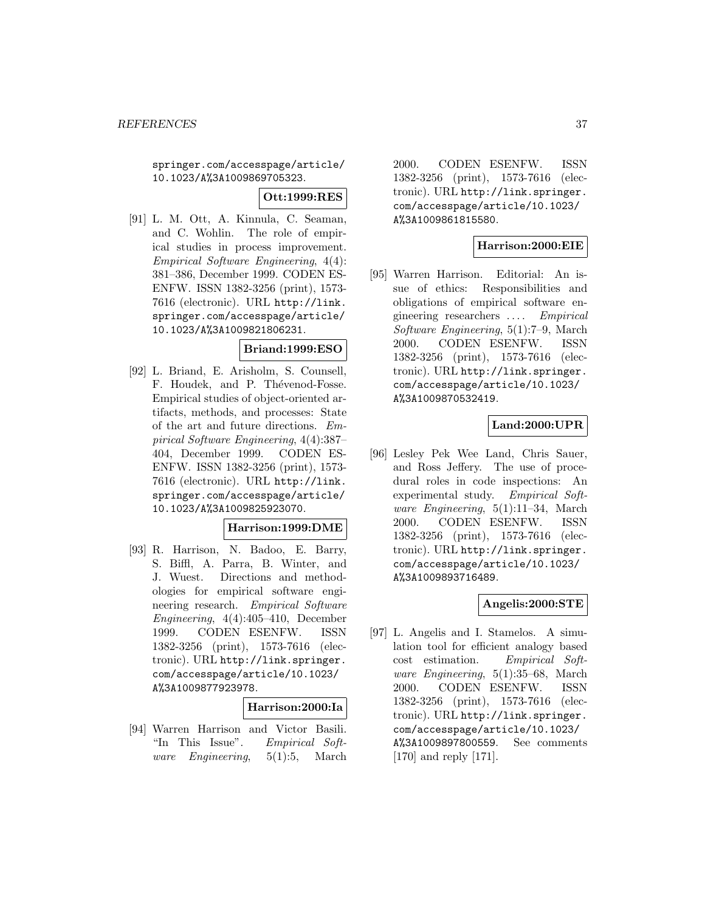springer.com/accesspage/article/ 10.1023/A%3A1009869705323.

**Ott:1999:RES**

[91] L. M. Ott, A. Kinnula, C. Seaman, and C. Wohlin. The role of empirical studies in process improvement. Empirical Software Engineering, 4(4): 381–386, December 1999. CODEN ES-ENFW. ISSN 1382-3256 (print), 1573- 7616 (electronic). URL http://link. springer.com/accesspage/article/ 10.1023/A%3A1009821806231.

## **Briand:1999:ESO**

[92] L. Briand, E. Arisholm, S. Counsell, F. Houdek, and P. Thévenod-Fosse. Empirical studies of object-oriented artifacts, methods, and processes: State of the art and future directions. Empirical Software Engineering, 4(4):387– 404, December 1999. CODEN ES-ENFW. ISSN 1382-3256 (print), 1573- 7616 (electronic). URL http://link. springer.com/accesspage/article/ 10.1023/A%3A1009825923070.

#### **Harrison:1999:DME**

[93] R. Harrison, N. Badoo, E. Barry, S. Biffl, A. Parra, B. Winter, and J. Wuest. Directions and methodologies for empirical software engineering research. Empirical Software Engineering, 4(4):405–410, December 1999. CODEN ESENFW. ISSN 1382-3256 (print), 1573-7616 (electronic). URL http://link.springer. com/accesspage/article/10.1023/ A%3A1009877923978.

## **Harrison:2000:Ia**

[94] Warren Harrison and Victor Basili. "In This Issue". Empirical Software Engineering, 5(1):5, March

2000. CODEN ESENFW. ISSN 1382-3256 (print), 1573-7616 (electronic). URL http://link.springer. com/accesspage/article/10.1023/ A%3A1009861815580.

## **Harrison:2000:EIE**

[95] Warren Harrison. Editorial: An issue of ethics: Responsibilities and obligations of empirical software engineering researchers ... . Empirical Software Engineering, 5(1):7–9, March 2000. CODEN ESENFW. ISSN 1382-3256 (print), 1573-7616 (electronic). URL http://link.springer. com/accesspage/article/10.1023/ A%3A1009870532419.

## **Land:2000:UPR**

[96] Lesley Pek Wee Land, Chris Sauer, and Ross Jeffery. The use of procedural roles in code inspections: An experimental study. Empirical Software Engineering, 5(1):11–34, March 2000. CODEN ESENFW. ISSN 1382-3256 (print), 1573-7616 (electronic). URL http://link.springer. com/accesspage/article/10.1023/ A%3A1009893716489.

## **Angelis:2000:STE**

[97] L. Angelis and I. Stamelos. A simulation tool for efficient analogy based cost estimation. Empirical Software Engineering, 5(1):35–68, March 2000. CODEN ESENFW. ISSN 1382-3256 (print), 1573-7616 (electronic). URL http://link.springer. com/accesspage/article/10.1023/ A%3A1009897800559. See comments [170] and reply [171].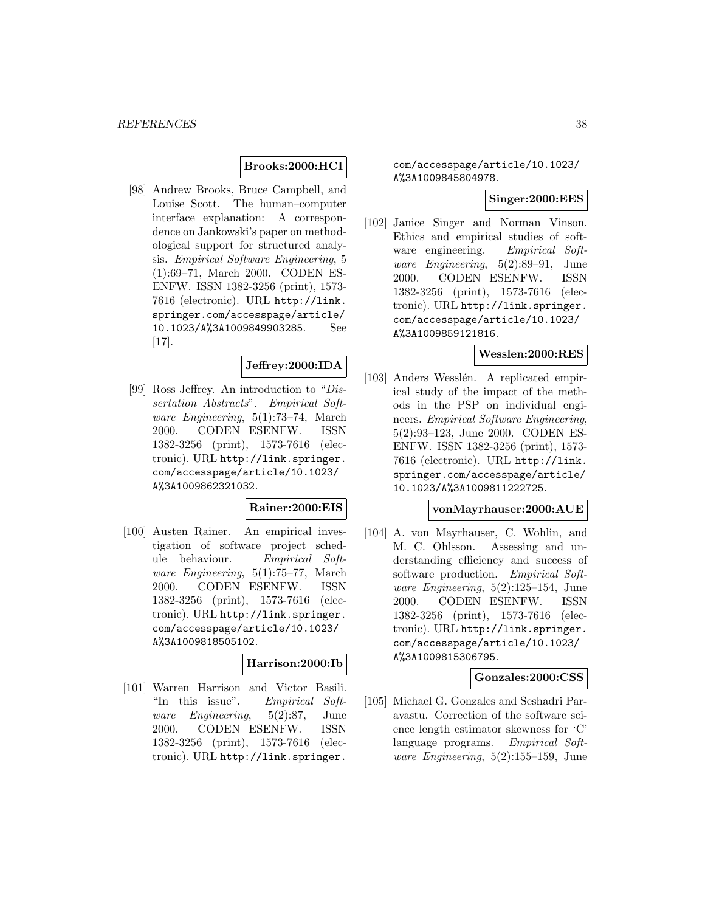## **Brooks:2000:HCI**

[98] Andrew Brooks, Bruce Campbell, and Louise Scott. The human–computer interface explanation: A correspondence on Jankowski's paper on methodological support for structured analysis. Empirical Software Engineering, 5 (1):69–71, March 2000. CODEN ES-ENFW. ISSN 1382-3256 (print), 1573- 7616 (electronic). URL http://link. springer.com/accesspage/article/ 10.1023/A%3A1009849903285. See [17].

# **Jeffrey:2000:IDA**

[99] Ross Jeffrey. An introduction to "Dissertation Abstracts". Empirical Software Engineering, 5(1):73–74, March 2000. CODEN ESENFW. ISSN 1382-3256 (print), 1573-7616 (electronic). URL http://link.springer. com/accesspage/article/10.1023/ A%3A1009862321032.

#### **Rainer:2000:EIS**

[100] Austen Rainer. An empirical investigation of software project schedule behaviour. Empirical Software Engineering, 5(1):75–77, March 2000. CODEN ESENFW. ISSN 1382-3256 (print), 1573-7616 (electronic). URL http://link.springer. com/accesspage/article/10.1023/ A%3A1009818505102.

# **Harrison:2000:Ib**

[101] Warren Harrison and Victor Basili. "In this issue". Empirical Software Engineering, 5(2):87, June 2000. CODEN ESENFW. ISSN 1382-3256 (print), 1573-7616 (electronic). URL http://link.springer.

com/accesspage/article/10.1023/ A%3A1009845804978.

#### **Singer:2000:EES**

[102] Janice Singer and Norman Vinson. Ethics and empirical studies of software engineering. Empirical Software Engineering, 5(2):89–91, June 2000. CODEN ESENFW. ISSN 1382-3256 (print), 1573-7616 (electronic). URL http://link.springer. com/accesspage/article/10.1023/ A%3A1009859121816.

# **Wesslen:2000:RES**

[103] Anders Wesslén. A replicated empirical study of the impact of the methods in the PSP on individual engineers. Empirical Software Engineering, 5(2):93–123, June 2000. CODEN ES-ENFW. ISSN 1382-3256 (print), 1573- 7616 (electronic). URL http://link. springer.com/accesspage/article/ 10.1023/A%3A1009811222725.

#### **vonMayrhauser:2000:AUE**

[104] A. von Mayrhauser, C. Wohlin, and M. C. Ohlsson. Assessing and understanding efficiency and success of software production. Empirical Software Engineering, 5(2):125–154, June 2000. CODEN ESENFW. ISSN 1382-3256 (print), 1573-7616 (electronic). URL http://link.springer. com/accesspage/article/10.1023/ A%3A1009815306795.

### **Gonzales:2000:CSS**

[105] Michael G. Gonzales and Seshadri Paravastu. Correction of the software science length estimator skewness for 'C' language programs. Empirical Software Engineering,  $5(2):155-159$ , June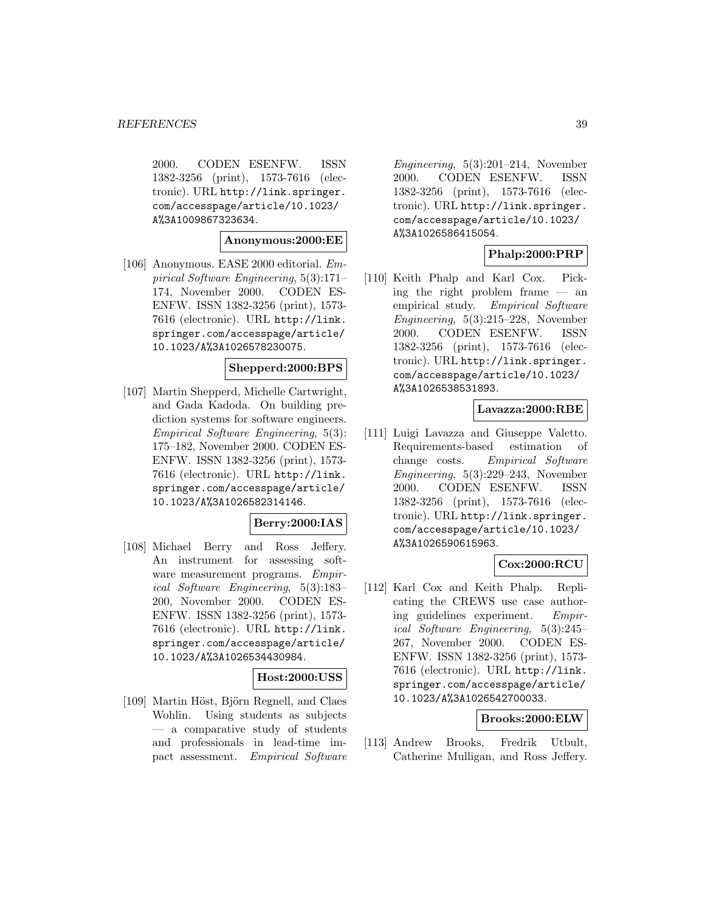2000. CODEN ESENFW. ISSN 1382-3256 (print), 1573-7616 (electronic). URL http://link.springer. com/accesspage/article/10.1023/ A%3A1009867323634.

#### **Anonymous:2000:EE**

[106] Anonymous. EASE 2000 editorial. Empirical Software Engineering, 5(3):171– 174, November 2000. CODEN ES-ENFW. ISSN 1382-3256 (print), 1573- 7616 (electronic). URL http://link. springer.com/accesspage/article/ 10.1023/A%3A1026578230075.

### **Shepperd:2000:BPS**

[107] Martin Shepperd, Michelle Cartwright, and Gada Kadoda. On building prediction systems for software engineers. Empirical Software Engineering, 5(3): 175–182, November 2000. CODEN ES-ENFW. ISSN 1382-3256 (print), 1573- 7616 (electronic). URL http://link. springer.com/accesspage/article/ 10.1023/A%3A1026582314146.

## **Berry:2000:IAS**

[108] Michael Berry and Ross Jeffery. An instrument for assessing software measurement programs. Empirical Software Engineering, 5(3):183– 200, November 2000. CODEN ES-ENFW. ISSN 1382-3256 (print), 1573- 7616 (electronic). URL http://link. springer.com/accesspage/article/ 10.1023/A%3A1026534430984.

## **Host:2000:USS**

[109] Martin Höst, Björn Regnell, and Claes Wohlin. Using students as subjects — a comparative study of students and professionals in lead-time impact assessment. Empirical Software

Engineering, 5(3):201–214, November 2000. CODEN ESENFW. ISSN 1382-3256 (print), 1573-7616 (electronic). URL http://link.springer. com/accesspage/article/10.1023/ A%3A1026586415054.

## **Phalp:2000:PRP**

[110] Keith Phalp and Karl Cox. Picking the right problem frame — an empirical study. Empirical Software Engineering, 5(3):215–228, November 2000. CODEN ESENFW. ISSN 1382-3256 (print), 1573-7616 (electronic). URL http://link.springer. com/accesspage/article/10.1023/ A%3A1026538531893.

## **Lavazza:2000:RBE**

[111] Luigi Lavazza and Giuseppe Valetto. Requirements-based estimation of change costs. Empirical Software Engineering, 5(3):229–243, November 2000. CODEN ESENFW. ISSN 1382-3256 (print), 1573-7616 (electronic). URL http://link.springer. com/accesspage/article/10.1023/ A%3A1026590615963.

# **Cox:2000:RCU**

[112] Karl Cox and Keith Phalp. Replicating the CREWS use case authoring guidelines experiment. Empirical Software Engineering, 5(3):245– 267, November 2000. CODEN ES-ENFW. ISSN 1382-3256 (print), 1573- 7616 (electronic). URL http://link. springer.com/accesspage/article/ 10.1023/A%3A1026542700033.

## **Brooks:2000:ELW**

[113] Andrew Brooks, Fredrik Utbult, Catherine Mulligan, and Ross Jeffery.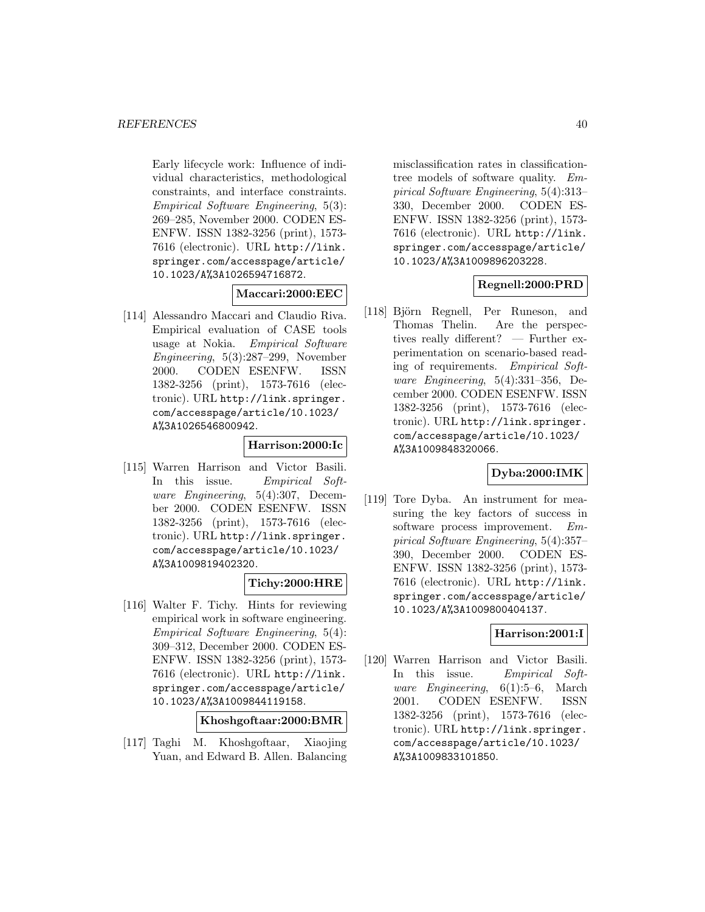Early lifecycle work: Influence of individual characteristics, methodological constraints, and interface constraints. Empirical Software Engineering, 5(3): 269–285, November 2000. CODEN ES-ENFW. ISSN 1382-3256 (print), 1573- 7616 (electronic). URL http://link. springer.com/accesspage/article/ 10.1023/A%3A1026594716872.

## **Maccari:2000:EEC**

[114] Alessandro Maccari and Claudio Riva. Empirical evaluation of CASE tools usage at Nokia. Empirical Software Engineering, 5(3):287–299, November 2000. CODEN ESENFW. ISSN 1382-3256 (print), 1573-7616 (electronic). URL http://link.springer. com/accesspage/article/10.1023/ A%3A1026546800942.

## **Harrison:2000:Ic**

[115] Warren Harrison and Victor Basili. In this issue. Empirical Software Engineering, 5(4):307, December 2000. CODEN ESENFW. ISSN 1382-3256 (print), 1573-7616 (electronic). URL http://link.springer. com/accesspage/article/10.1023/ A%3A1009819402320.

## **Tichy:2000:HRE**

[116] Walter F. Tichy. Hints for reviewing empirical work in software engineering. Empirical Software Engineering, 5(4): 309–312, December 2000. CODEN ES-ENFW. ISSN 1382-3256 (print), 1573- 7616 (electronic). URL http://link. springer.com/accesspage/article/ 10.1023/A%3A1009844119158.

**Khoshgoftaar:2000:BMR**

[117] Taghi M. Khoshgoftaar, Xiaojing Yuan, and Edward B. Allen. Balancing

misclassification rates in classificationtree models of software quality. Empirical Software Engineering, 5(4):313– 330, December 2000. CODEN ES-ENFW. ISSN 1382-3256 (print), 1573- 7616 (electronic). URL http://link. springer.com/accesspage/article/ 10.1023/A%3A1009896203228.

# **Regnell:2000:PRD**

[118] Björn Regnell, Per Runeson, and Thomas Thelin. Are the perspectives really different? — Further experimentation on scenario-based reading of requirements. Empirical Software Engineering, 5(4):331–356, December 2000. CODEN ESENFW. ISSN 1382-3256 (print), 1573-7616 (electronic). URL http://link.springer. com/accesspage/article/10.1023/ A%3A1009848320066.

## **Dyba:2000:IMK**

[119] Tore Dyba. An instrument for measuring the key factors of success in software process improvement. Empirical Software Engineering, 5(4):357– 390, December 2000. CODEN ES-ENFW. ISSN 1382-3256 (print), 1573- 7616 (electronic). URL http://link. springer.com/accesspage/article/ 10.1023/A%3A1009800404137.

# **Harrison:2001:I**

[120] Warren Harrison and Victor Basili. In this issue. Empirical Software Engineering, 6(1):5–6, March 2001. CODEN ESENFW. ISSN 1382-3256 (print), 1573-7616 (electronic). URL http://link.springer. com/accesspage/article/10.1023/ A%3A1009833101850.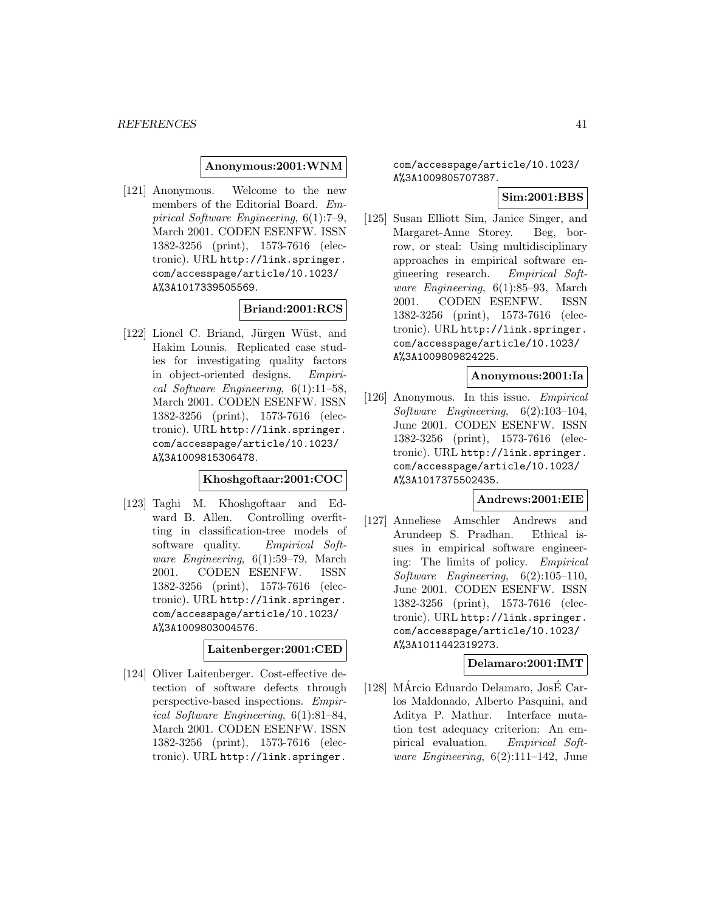#### **Anonymous:2001:WNM**

[121] Anonymous. Welcome to the new members of the Editorial Board. Empirical Software Engineering, 6(1):7–9, March 2001. CODEN ESENFW. ISSN 1382-3256 (print), 1573-7616 (electronic). URL http://link.springer. com/accesspage/article/10.1023/ A%3A1017339505569.

#### **Briand:2001:RCS**

[122] Lionel C. Briand, Jürgen Wüst, and Hakim Lounis. Replicated case studies for investigating quality factors in object-oriented designs. Empirical Software Engineering, 6(1):11–58, March 2001. CODEN ESENFW. ISSN 1382-3256 (print), 1573-7616 (electronic). URL http://link.springer. com/accesspage/article/10.1023/ A%3A1009815306478.

## **Khoshgoftaar:2001:COC**

[123] Taghi M. Khoshgoftaar and Edward B. Allen. Controlling overfitting in classification-tree models of software quality. Empirical Software Engineering, 6(1):59–79, March 2001. CODEN ESENFW. ISSN 1382-3256 (print), 1573-7616 (electronic). URL http://link.springer. com/accesspage/article/10.1023/ A%3A1009803004576.

### **Laitenberger:2001:CED**

[124] Oliver Laitenberger. Cost-effective detection of software defects through perspective-based inspections. Empirical Software Engineering, 6(1):81–84, March 2001. CODEN ESENFW. ISSN 1382-3256 (print), 1573-7616 (electronic). URL http://link.springer.

com/accesspage/article/10.1023/ A%3A1009805707387.

## **Sim:2001:BBS**

[125] Susan Elliott Sim, Janice Singer, and Margaret-Anne Storey. Beg, borrow, or steal: Using multidisciplinary approaches in empirical software engineering research. Empirical Software Engineering, 6(1):85–93, March 2001. CODEN ESENFW. ISSN 1382-3256 (print), 1573-7616 (electronic). URL http://link.springer. com/accesspage/article/10.1023/ A%3A1009809824225.

#### **Anonymous:2001:Ia**

[126] Anonymous. In this issue. Empirical Software Engineering, 6(2):103–104, June 2001. CODEN ESENFW. ISSN 1382-3256 (print), 1573-7616 (electronic). URL http://link.springer. com/accesspage/article/10.1023/ A%3A1017375502435.

### **Andrews:2001:EIE**

[127] Anneliese Amschler Andrews and Arundeep S. Pradhan. Ethical issues in empirical software engineering: The limits of policy. Empirical Software Engineering, 6(2):105–110, June 2001. CODEN ESENFW. ISSN 1382-3256 (print), 1573-7616 (electronic). URL http://link.springer. com/accesspage/article/10.1023/ A%3A1011442319273.

## **Delamaro:2001:IMT**

 $[128]$  MÁrcio Eduardo Delamaro, JosÉ Carlos Maldonado, Alberto Pasquini, and Aditya P. Mathur. Interface mutation test adequacy criterion: An empirical evaluation. Empirical Software Engineering,  $6(2):111-142$ , June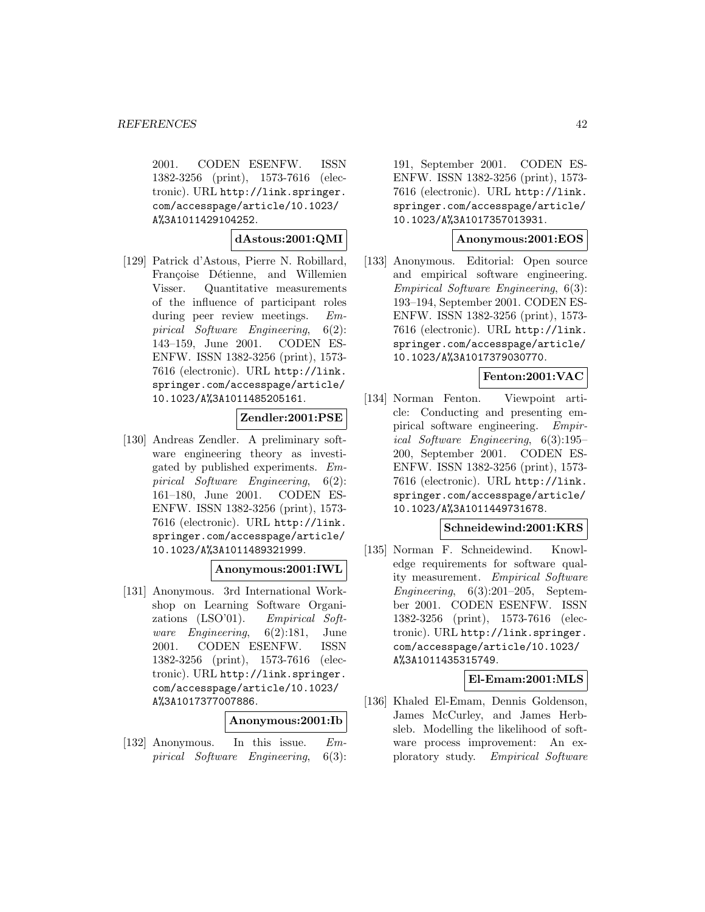2001. CODEN ESENFW. ISSN 1382-3256 (print), 1573-7616 (electronic). URL http://link.springer. com/accesspage/article/10.1023/ A%3A1011429104252.

#### **dAstous:2001:QMI**

[129] Patrick d'Astous, Pierre N. Robillard, Françoise Détienne, and Willemien Visser. Quantitative measurements of the influence of participant roles during peer review meetings. Empirical Software Engineering, 6(2): 143–159, June 2001. CODEN ES-ENFW. ISSN 1382-3256 (print), 1573- 7616 (electronic). URL http://link. springer.com/accesspage/article/ 10.1023/A%3A1011485205161.

**Zendler:2001:PSE**

[130] Andreas Zendler. A preliminary software engineering theory as investigated by published experiments. Empirical Software Engineering, 6(2): 161–180, June 2001. CODEN ES-ENFW. ISSN 1382-3256 (print), 1573- 7616 (electronic). URL http://link. springer.com/accesspage/article/ 10.1023/A%3A1011489321999.

## **Anonymous:2001:IWL**

[131] Anonymous. 3rd International Workshop on Learning Software Organizations (LSO'01). Empirical Software Engineering, 6(2):181, June 2001. CODEN ESENFW. ISSN 1382-3256 (print), 1573-7616 (electronic). URL http://link.springer. com/accesspage/article/10.1023/ A%3A1017377007886.

## **Anonymous:2001:Ib**

[132] Anonymous. In this issue. Empirical Software Engineering, 6(3):

191, September 2001. CODEN ES-ENFW. ISSN 1382-3256 (print), 1573- 7616 (electronic). URL http://link. springer.com/accesspage/article/ 10.1023/A%3A1017357013931.

### **Anonymous:2001:EOS**

[133] Anonymous. Editorial: Open source and empirical software engineering. Empirical Software Engineering, 6(3): 193–194, September 2001. CODEN ES-ENFW. ISSN 1382-3256 (print), 1573- 7616 (electronic). URL http://link. springer.com/accesspage/article/ 10.1023/A%3A1017379030770.

## **Fenton:2001:VAC**

[134] Norman Fenton. Viewpoint article: Conducting and presenting empirical software engineering. Empirical Software Engineering, 6(3):195– 200, September 2001. CODEN ES-ENFW. ISSN 1382-3256 (print), 1573- 7616 (electronic). URL http://link. springer.com/accesspage/article/ 10.1023/A%3A1011449731678.

#### **Schneidewind:2001:KRS**

[135] Norman F. Schneidewind. Knowledge requirements for software quality measurement. Empirical Software Engineering,  $6(3):201-205$ , September 2001. CODEN ESENFW. ISSN 1382-3256 (print), 1573-7616 (electronic). URL http://link.springer. com/accesspage/article/10.1023/ A%3A1011435315749.

## **El-Emam:2001:MLS**

[136] Khaled El-Emam, Dennis Goldenson, James McCurley, and James Herbsleb. Modelling the likelihood of software process improvement: An exploratory study. Empirical Software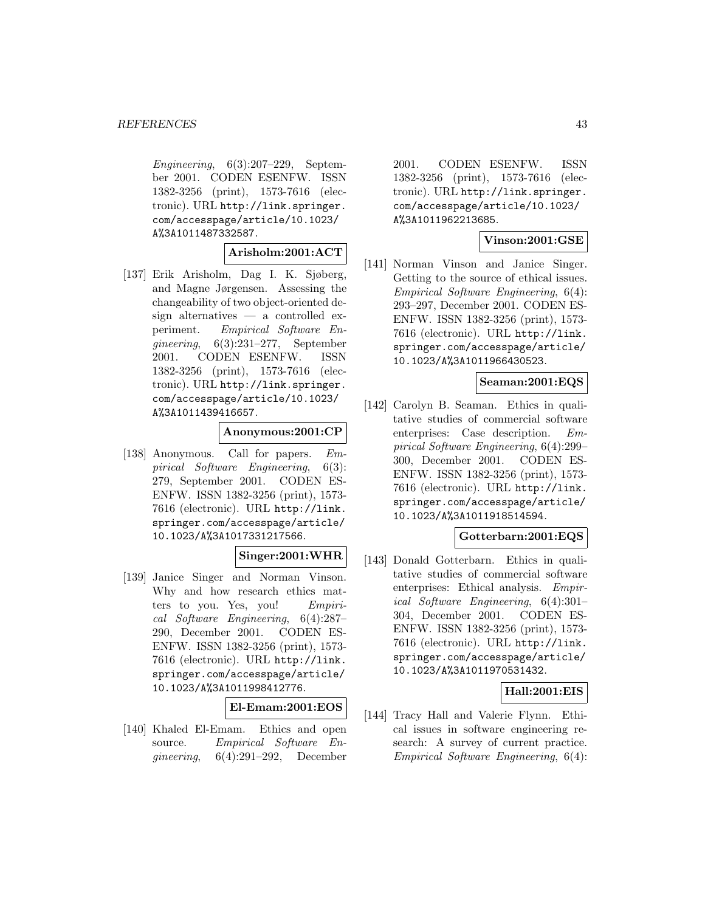Engineering, 6(3):207–229, September 2001. CODEN ESENFW. ISSN 1382-3256 (print), 1573-7616 (electronic). URL http://link.springer. com/accesspage/article/10.1023/ A%3A1011487332587.

## **Arisholm:2001:ACT**

[137] Erik Arisholm, Dag I. K. Sjøberg, and Magne Jørgensen. Assessing the changeability of two object-oriented design alternatives — a controlled experiment. Empirical Software Engineering, 6(3):231–277, September 2001. CODEN ESENFW. ISSN 1382-3256 (print), 1573-7616 (electronic). URL http://link.springer. com/accesspage/article/10.1023/ A%3A1011439416657.

#### **Anonymous:2001:CP**

[138] Anonymous. Call for papers. Empirical Software Engineering, 6(3): 279, September 2001. CODEN ES-ENFW. ISSN 1382-3256 (print), 1573- 7616 (electronic). URL http://link. springer.com/accesspage/article/ 10.1023/A%3A1017331217566.

# **Singer:2001:WHR**

[139] Janice Singer and Norman Vinson. Why and how research ethics matters to you. Yes, you! Empirical Software Engineering, 6(4):287– 290, December 2001. CODEN ES-ENFW. ISSN 1382-3256 (print), 1573- 7616 (electronic). URL http://link. springer.com/accesspage/article/ 10.1023/A%3A1011998412776.

# **El-Emam:2001:EOS**

[140] Khaled El-Emam. Ethics and open source. Empirical Software Enqineering,  $6(4):291-292$ , December

2001. CODEN ESENFW. ISSN 1382-3256 (print), 1573-7616 (electronic). URL http://link.springer. com/accesspage/article/10.1023/ A%3A1011962213685.

## **Vinson:2001:GSE**

[141] Norman Vinson and Janice Singer. Getting to the source of ethical issues. Empirical Software Engineering, 6(4): 293–297, December 2001. CODEN ES-ENFW. ISSN 1382-3256 (print), 1573- 7616 (electronic). URL http://link. springer.com/accesspage/article/ 10.1023/A%3A1011966430523.

## **Seaman:2001:EQS**

[142] Carolyn B. Seaman. Ethics in qualitative studies of commercial software enterprises: Case description. Empirical Software Engineering, 6(4):299– 300, December 2001. CODEN ES-ENFW. ISSN 1382-3256 (print), 1573- 7616 (electronic). URL http://link. springer.com/accesspage/article/ 10.1023/A%3A1011918514594.

### **Gotterbarn:2001:EQS**

[143] Donald Gotterbarn. Ethics in qualitative studies of commercial software enterprises: Ethical analysis. Empirical Software Engineering, 6(4):301– 304, December 2001. CODEN ES-ENFW. ISSN 1382-3256 (print), 1573- 7616 (electronic). URL http://link. springer.com/accesspage/article/ 10.1023/A%3A1011970531432.

## **Hall:2001:EIS**

[144] Tracy Hall and Valerie Flynn. Ethical issues in software engineering research: A survey of current practice. Empirical Software Engineering, 6(4):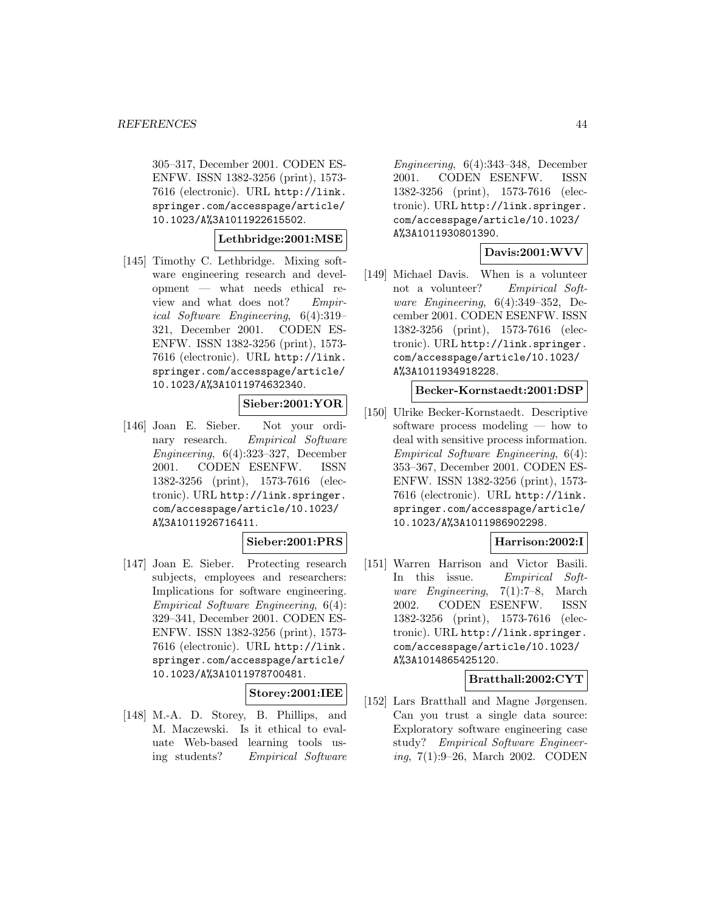305–317, December 2001. CODEN ES-ENFW. ISSN 1382-3256 (print), 1573- 7616 (electronic). URL http://link. springer.com/accesspage/article/ 10.1023/A%3A1011922615502.

## **Lethbridge:2001:MSE**

[145] Timothy C. Lethbridge. Mixing software engineering research and development — what needs ethical review and what does not? Empirical Software Engineering, 6(4):319– 321, December 2001. CODEN ES-ENFW. ISSN 1382-3256 (print), 1573- 7616 (electronic). URL http://link. springer.com/accesspage/article/ 10.1023/A%3A1011974632340.

# **Sieber:2001:YOR**

[146] Joan E. Sieber. Not your ordinary research. Empirical Software Engineering, 6(4):323–327, December 2001. CODEN ESENFW. ISSN 1382-3256 (print), 1573-7616 (electronic). URL http://link.springer. com/accesspage/article/10.1023/ A%3A1011926716411.

## **Sieber:2001:PRS**

[147] Joan E. Sieber. Protecting research subjects, employees and researchers: Implications for software engineering. Empirical Software Engineering, 6(4): 329–341, December 2001. CODEN ES-ENFW. ISSN 1382-3256 (print), 1573- 7616 (electronic). URL http://link. springer.com/accesspage/article/ 10.1023/A%3A1011978700481.

## **Storey:2001:IEE**

[148] M.-A. D. Storey, B. Phillips, and M. Maczewski. Is it ethical to evaluate Web-based learning tools using students? Empirical Software

Engineering, 6(4):343–348, December 2001. CODEN ESENFW. ISSN 1382-3256 (print), 1573-7616 (electronic). URL http://link.springer. com/accesspage/article/10.1023/ A%3A1011930801390.

## **Davis:2001:WVV**

[149] Michael Davis. When is a volunteer not a volunteer? Empirical Software Engineering, 6(4):349–352, December 2001. CODEN ESENFW. ISSN 1382-3256 (print), 1573-7616 (electronic). URL http://link.springer. com/accesspage/article/10.1023/ A%3A1011934918228.

### **Becker-Kornstaedt:2001:DSP**

[150] Ulrike Becker-Kornstaedt. Descriptive software process modeling — how to deal with sensitive process information. Empirical Software Engineering, 6(4): 353–367, December 2001. CODEN ES-ENFW. ISSN 1382-3256 (print), 1573- 7616 (electronic). URL http://link. springer.com/accesspage/article/ 10.1023/A%3A1011986902298.

## **Harrison:2002:I**

[151] Warren Harrison and Victor Basili. In this issue. Empirical Software Engineering, 7(1):7–8, March 2002. CODEN ESENFW. ISSN 1382-3256 (print), 1573-7616 (electronic). URL http://link.springer. com/accesspage/article/10.1023/ A%3A1014865425120.

## **Bratthall:2002:CYT**

[152] Lars Bratthall and Magne Jørgensen. Can you trust a single data source: Exploratory software engineering case study? Empirical Software Engineering, 7(1):9–26, March 2002. CODEN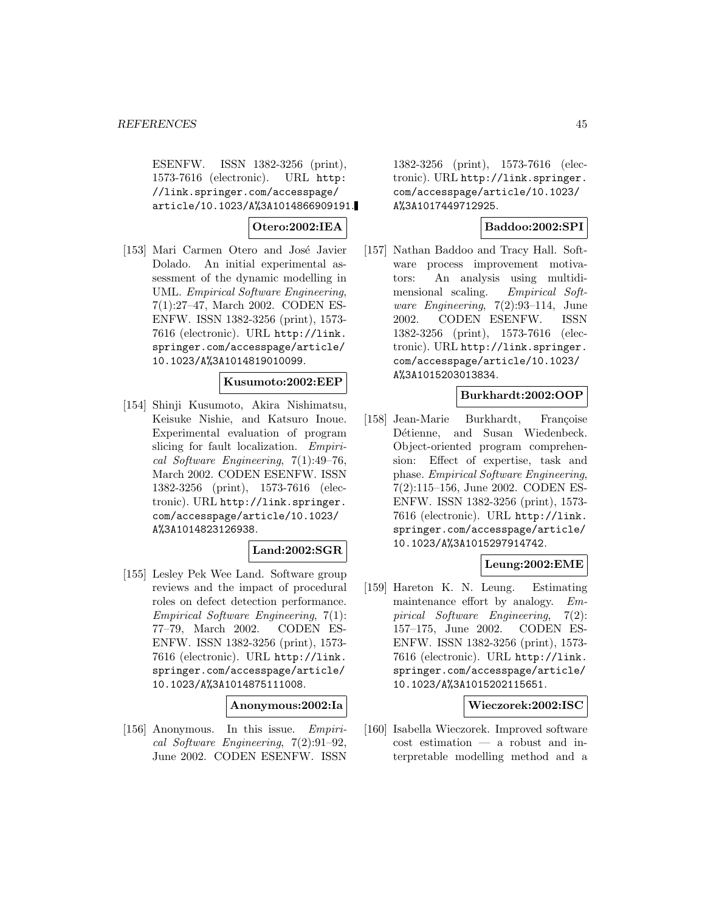ESENFW. ISSN 1382-3256 (print), 1573-7616 (electronic). URL http: //link.springer.com/accesspage/ article/10.1023/A%3A1014866909191.

## **Otero:2002:IEA**

[153] Mari Carmen Otero and José Javier Dolado. An initial experimental assessment of the dynamic modelling in UML. Empirical Software Engineering, 7(1):27–47, March 2002. CODEN ES-ENFW. ISSN 1382-3256 (print), 1573- 7616 (electronic). URL http://link. springer.com/accesspage/article/ 10.1023/A%3A1014819010099.

## **Kusumoto:2002:EEP**

[154] Shinji Kusumoto, Akira Nishimatsu, Keisuke Nishie, and Katsuro Inoue. Experimental evaluation of program slicing for fault localization. Empirical Software Engineering, 7(1):49–76, March 2002. CODEN ESENFW. ISSN 1382-3256 (print), 1573-7616 (electronic). URL http://link.springer. com/accesspage/article/10.1023/ A%3A1014823126938.

# **Land:2002:SGR**

[155] Lesley Pek Wee Land. Software group reviews and the impact of procedural roles on defect detection performance. Empirical Software Engineering, 7(1): 77–79, March 2002. CODEN ES-ENFW. ISSN 1382-3256 (print), 1573- 7616 (electronic). URL http://link. springer.com/accesspage/article/ 10.1023/A%3A1014875111008.

#### **Anonymous:2002:Ia**

[156] Anonymous. In this issue. Empirical Software Engineering, 7(2):91–92, June 2002. CODEN ESENFW. ISSN

1382-3256 (print), 1573-7616 (electronic). URL http://link.springer. com/accesspage/article/10.1023/ A%3A1017449712925.

### **Baddoo:2002:SPI**

[157] Nathan Baddoo and Tracy Hall. Software process improvement motivators: An analysis using multidimensional scaling. Empirical Soft*ware Engineering*,  $7(2):93-114$ , June 2002. CODEN ESENFW. ISSN 1382-3256 (print), 1573-7616 (electronic). URL http://link.springer. com/accesspage/article/10.1023/ A%3A1015203013834.

#### **Burkhardt:2002:OOP**

[158] Jean-Marie Burkhardt, Françoise Détienne, and Susan Wiedenbeck. Object-oriented program comprehension: Effect of expertise, task and phase. Empirical Software Engineering, 7(2):115–156, June 2002. CODEN ES-ENFW. ISSN 1382-3256 (print), 1573- 7616 (electronic). URL http://link. springer.com/accesspage/article/ 10.1023/A%3A1015297914742.

## **Leung:2002:EME**

[159] Hareton K. N. Leung. Estimating maintenance effort by analogy. Empirical Software Engineering, 7(2): 157–175, June 2002. CODEN ES-ENFW. ISSN 1382-3256 (print), 1573- 7616 (electronic). URL http://link. springer.com/accesspage/article/ 10.1023/A%3A1015202115651.

#### **Wieczorek:2002:ISC**

[160] Isabella Wieczorek. Improved software cost estimation — a robust and interpretable modelling method and a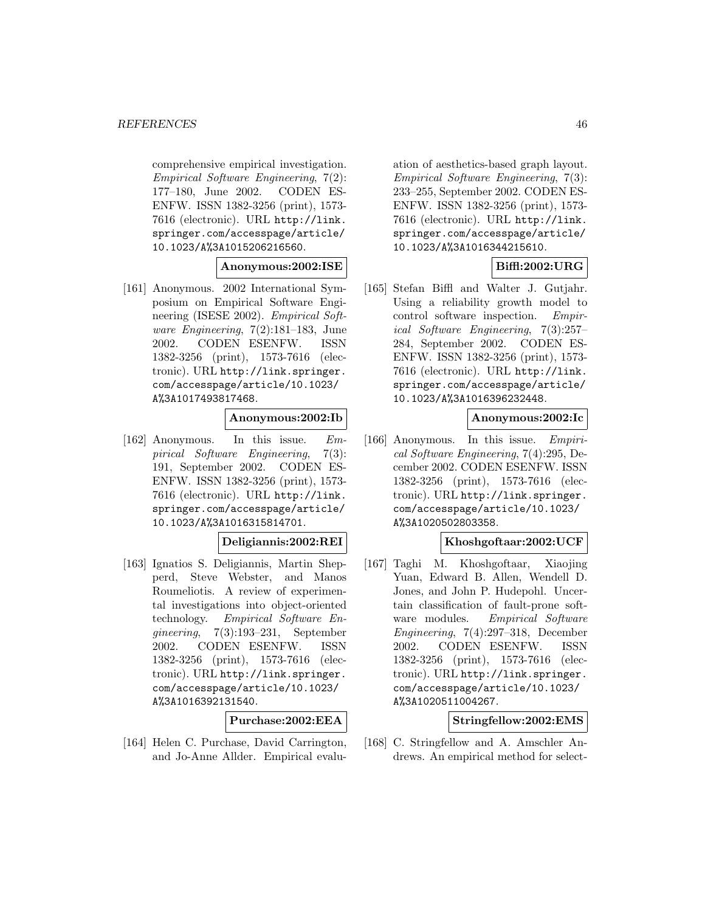comprehensive empirical investigation. Empirical Software Engineering, 7(2): 177–180, June 2002. CODEN ES-ENFW. ISSN 1382-3256 (print), 1573- 7616 (electronic). URL http://link. springer.com/accesspage/article/ 10.1023/A%3A1015206216560.

# **Anonymous:2002:ISE**

[161] Anonymous. 2002 International Symposium on Empirical Software Engineering (ISESE 2002). Empirical Software Engineering, 7(2):181–183, June 2002. CODEN ESENFW. ISSN 1382-3256 (print), 1573-7616 (electronic). URL http://link.springer. com/accesspage/article/10.1023/ A%3A1017493817468.

## **Anonymous:2002:Ib**

[162] Anonymous. In this issue. Empirical Software Engineering, 7(3): 191, September 2002. CODEN ES-ENFW. ISSN 1382-3256 (print), 1573- 7616 (electronic). URL http://link. springer.com/accesspage/article/ 10.1023/A%3A1016315814701.

## **Deligiannis:2002:REI**

[163] Ignatios S. Deligiannis, Martin Shepperd, Steve Webster, and Manos Roumeliotis. A review of experimental investigations into object-oriented technology. Empirical Software Engineering, 7(3):193–231, September 2002. CODEN ESENFW. ISSN 1382-3256 (print), 1573-7616 (electronic). URL http://link.springer. com/accesspage/article/10.1023/ A%3A1016392131540.

## **Purchase:2002:EEA**

[164] Helen C. Purchase, David Carrington, and Jo-Anne Allder. Empirical evalu-

ation of aesthetics-based graph layout. Empirical Software Engineering, 7(3): 233–255, September 2002. CODEN ES-ENFW. ISSN 1382-3256 (print), 1573- 7616 (electronic). URL http://link. springer.com/accesspage/article/ 10.1023/A%3A1016344215610.

# **Biffl:2002:URG**

[165] Stefan Biffl and Walter J. Gutjahr. Using a reliability growth model to control software inspection. Empirical Software Engineering, 7(3):257– 284, September 2002. CODEN ES-ENFW. ISSN 1382-3256 (print), 1573- 7616 (electronic). URL http://link. springer.com/accesspage/article/ 10.1023/A%3A1016396232448.

## **Anonymous:2002:Ic**

[166] Anonymous. In this issue. Empirical Software Engineering, 7(4):295, December 2002. CODEN ESENFW. ISSN 1382-3256 (print), 1573-7616 (electronic). URL http://link.springer. com/accesspage/article/10.1023/ A%3A1020502803358.

## **Khoshgoftaar:2002:UCF**

[167] Taghi M. Khoshgoftaar, Xiaojing Yuan, Edward B. Allen, Wendell D. Jones, and John P. Hudepohl. Uncertain classification of fault-prone software modules. Empirical Software Engineering, 7(4):297–318, December 2002. CODEN ESENFW. ISSN 1382-3256 (print), 1573-7616 (electronic). URL http://link.springer. com/accesspage/article/10.1023/ A%3A1020511004267.

## **Stringfellow:2002:EMS**

[168] C. Stringfellow and A. Amschler Andrews. An empirical method for select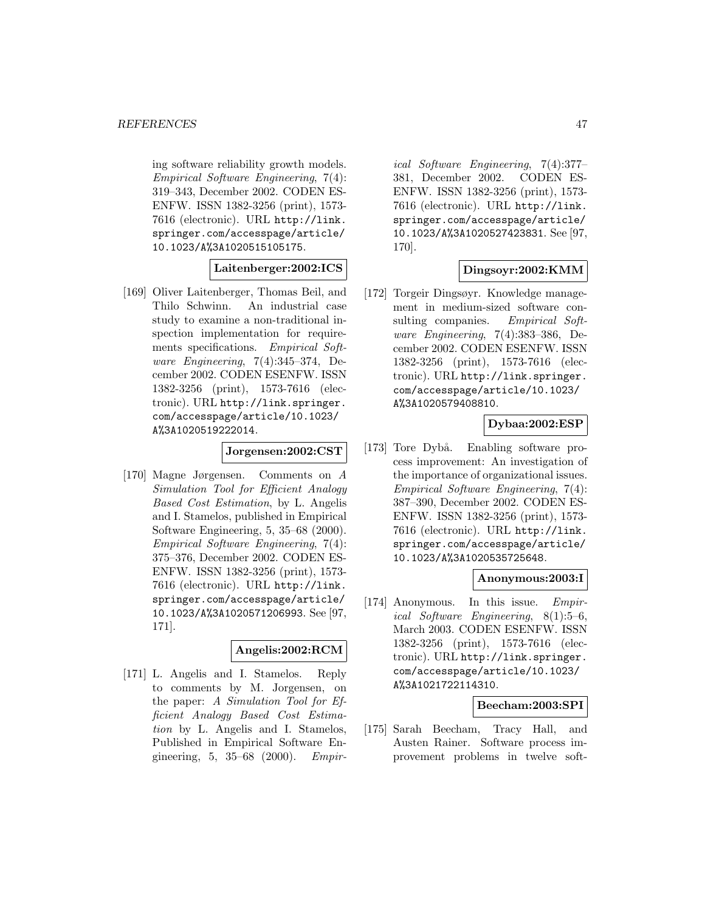ing software reliability growth models. Empirical Software Engineering, 7(4): 319–343, December 2002. CODEN ES-ENFW. ISSN 1382-3256 (print), 1573- 7616 (electronic). URL http://link. springer.com/accesspage/article/ 10.1023/A%3A1020515105175.

#### **Laitenberger:2002:ICS**

[169] Oliver Laitenberger, Thomas Beil, and Thilo Schwinn. An industrial case study to examine a non-traditional inspection implementation for requirements specifications. Empirical Software Engineering, 7(4):345–374, December 2002. CODEN ESENFW. ISSN 1382-3256 (print), 1573-7616 (electronic). URL http://link.springer. com/accesspage/article/10.1023/ A%3A1020519222014.

## **Jorgensen:2002:CST**

[170] Magne Jørgensen. Comments on A Simulation Tool for Efficient Analogy Based Cost Estimation, by L. Angelis and I. Stamelos, published in Empirical Software Engineering, 5, 35–68 (2000). Empirical Software Engineering, 7(4): 375–376, December 2002. CODEN ES-ENFW. ISSN 1382-3256 (print), 1573- 7616 (electronic). URL http://link. springer.com/accesspage/article/ 10.1023/A%3A1020571206993. See [97, 171].

## **Angelis:2002:RCM**

[171] L. Angelis and I. Stamelos. Reply to comments by M. Jorgensen, on the paper: A Simulation Tool for Efficient Analogy Based Cost Estimation by L. Angelis and I. Stamelos, Published in Empirical Software Engineering, 5, 35–68 (2000). Empir-

ical Software Engineering, 7(4):377– 381, December 2002. CODEN ES-ENFW. ISSN 1382-3256 (print), 1573- 7616 (electronic). URL http://link. springer.com/accesspage/article/ 10.1023/A%3A1020527423831. See [97, 170].

## **Dingsoyr:2002:KMM**

[172] Torgeir Dingsøyr. Knowledge management in medium-sized software consulting companies. Empirical Software Engineering, 7(4):383–386, December 2002. CODEN ESENFW. ISSN 1382-3256 (print), 1573-7616 (electronic). URL http://link.springer. com/accesspage/article/10.1023/ A%3A1020579408810.

### **Dybaa:2002:ESP**

[173] Tore Dybå. Enabling software process improvement: An investigation of the importance of organizational issues. Empirical Software Engineering, 7(4): 387–390, December 2002. CODEN ES-ENFW. ISSN 1382-3256 (print), 1573- 7616 (electronic). URL http://link. springer.com/accesspage/article/ 10.1023/A%3A1020535725648.

#### **Anonymous:2003:I**

[174] Anonymous. In this issue. Empirical Software Engineering, 8(1):5–6, March 2003. CODEN ESENFW. ISSN 1382-3256 (print), 1573-7616 (electronic). URL http://link.springer. com/accesspage/article/10.1023/ A%3A1021722114310.

## **Beecham:2003:SPI**

[175] Sarah Beecham, Tracy Hall, and Austen Rainer. Software process improvement problems in twelve soft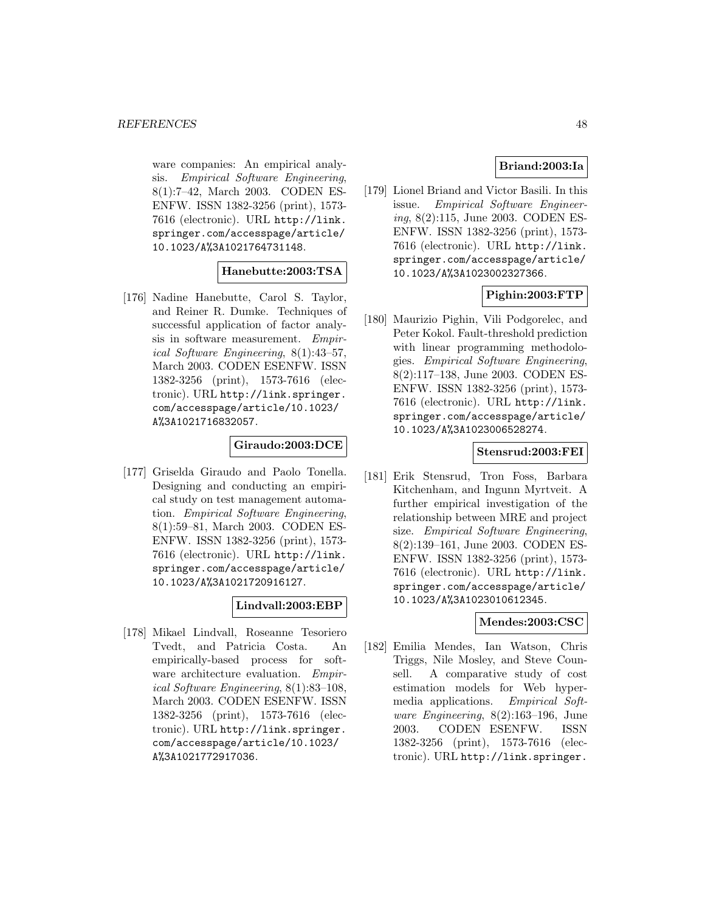ware companies: An empirical analysis. Empirical Software Engineering, 8(1):7–42, March 2003. CODEN ES-ENFW. ISSN 1382-3256 (print), 1573- 7616 (electronic). URL http://link. springer.com/accesspage/article/ 10.1023/A%3A1021764731148.

## **Hanebutte:2003:TSA**

[176] Nadine Hanebutte, Carol S. Taylor, and Reiner R. Dumke. Techniques of successful application of factor analysis in software measurement. Empirical Software Engineering, 8(1):43–57, March 2003. CODEN ESENFW. ISSN 1382-3256 (print), 1573-7616 (electronic). URL http://link.springer. com/accesspage/article/10.1023/ A%3A1021716832057.

## **Giraudo:2003:DCE**

[177] Griselda Giraudo and Paolo Tonella. Designing and conducting an empirical study on test management automation. Empirical Software Engineering, 8(1):59–81, March 2003. CODEN ES-ENFW. ISSN 1382-3256 (print), 1573- 7616 (electronic). URL http://link. springer.com/accesspage/article/ 10.1023/A%3A1021720916127.

# **Lindvall:2003:EBP**

[178] Mikael Lindvall, Roseanne Tesoriero Tvedt, and Patricia Costa. An empirically-based process for software architecture evaluation. Empirical Software Engineering, 8(1):83–108, March 2003. CODEN ESENFW. ISSN 1382-3256 (print), 1573-7616 (electronic). URL http://link.springer. com/accesspage/article/10.1023/ A%3A1021772917036.

## **Briand:2003:Ia**

[179] Lionel Briand and Victor Basili. In this issue. Empirical Software Engineering, 8(2):115, June 2003. CODEN ES-ENFW. ISSN 1382-3256 (print), 1573- 7616 (electronic). URL http://link. springer.com/accesspage/article/ 10.1023/A%3A1023002327366.

## **Pighin:2003:FTP**

[180] Maurizio Pighin, Vili Podgorelec, and Peter Kokol. Fault-threshold prediction with linear programming methodologies. Empirical Software Engineering, 8(2):117–138, June 2003. CODEN ES-ENFW. ISSN 1382-3256 (print), 1573- 7616 (electronic). URL http://link. springer.com/accesspage/article/ 10.1023/A%3A1023006528274.

#### **Stensrud:2003:FEI**

[181] Erik Stensrud, Tron Foss, Barbara Kitchenham, and Ingunn Myrtveit. A further empirical investigation of the relationship between MRE and project size. Empirical Software Engineering, 8(2):139–161, June 2003. CODEN ES-ENFW. ISSN 1382-3256 (print), 1573- 7616 (electronic). URL http://link. springer.com/accesspage/article/ 10.1023/A%3A1023010612345.

# **Mendes:2003:CSC**

[182] Emilia Mendes, Ian Watson, Chris Triggs, Nile Mosley, and Steve Counsell. A comparative study of cost estimation models for Web hypermedia applications. Empirical Software Engineering, 8(2):163–196, June 2003. CODEN ESENFW. ISSN 1382-3256 (print), 1573-7616 (electronic). URL http://link.springer.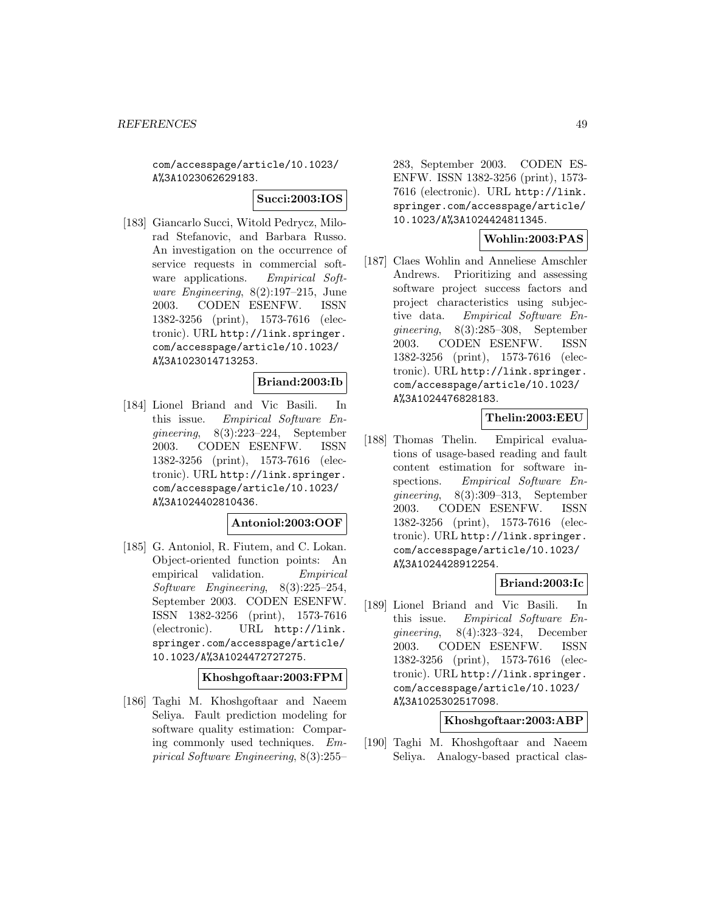com/accesspage/article/10.1023/ A%3A1023062629183.

**Succi:2003:IOS**

[183] Giancarlo Succi, Witold Pedrycz, Milorad Stefanovic, and Barbara Russo. An investigation on the occurrence of service requests in commercial software applications. Empirical Software Engineering, 8(2):197–215, June 2003. CODEN ESENFW. ISSN 1382-3256 (print), 1573-7616 (electronic). URL http://link.springer. com/accesspage/article/10.1023/ A%3A1023014713253.

## **Briand:2003:Ib**

[184] Lionel Briand and Vic Basili. In this issue. Empirical Software Engineering, 8(3):223–224, September 2003. CODEN ESENFW. ISSN 1382-3256 (print), 1573-7616 (electronic). URL http://link.springer. com/accesspage/article/10.1023/ A%3A1024402810436.

## **Antoniol:2003:OOF**

[185] G. Antoniol, R. Fiutem, and C. Lokan. Object-oriented function points: An empirical validation. Empirical Software Engineering, 8(3):225–254, September 2003. CODEN ESENFW. ISSN 1382-3256 (print), 1573-7616 (electronic). URL http://link. springer.com/accesspage/article/ 10.1023/A%3A1024472727275.

## **Khoshgoftaar:2003:FPM**

[186] Taghi M. Khoshgoftaar and Naeem Seliya. Fault prediction modeling for software quality estimation: Comparing commonly used techniques. Empirical Software Engineering, 8(3):255–

283, September 2003. CODEN ES-ENFW. ISSN 1382-3256 (print), 1573- 7616 (electronic). URL http://link. springer.com/accesspage/article/ 10.1023/A%3A1024424811345.

# **Wohlin:2003:PAS**

[187] Claes Wohlin and Anneliese Amschler Andrews. Prioritizing and assessing software project success factors and project characteristics using subjective data. Empirical Software Engineering, 8(3):285–308, September 2003. CODEN ESENFW. ISSN 1382-3256 (print), 1573-7616 (electronic). URL http://link.springer. com/accesspage/article/10.1023/ A%3A1024476828183.

## **Thelin:2003:EEU**

[188] Thomas Thelin. Empirical evaluations of usage-based reading and fault content estimation for software inspections. Empirical Software Engineering, 8(3):309–313, September 2003. CODEN ESENFW. ISSN 1382-3256 (print), 1573-7616 (electronic). URL http://link.springer. com/accesspage/article/10.1023/ A%3A1024428912254.

## **Briand:2003:Ic**

[189] Lionel Briand and Vic Basili. In this issue. Empirical Software Engineering, 8(4):323–324, December 2003. CODEN ESENFW. ISSN 1382-3256 (print), 1573-7616 (electronic). URL http://link.springer. com/accesspage/article/10.1023/ A%3A1025302517098.

## **Khoshgoftaar:2003:ABP**

[190] Taghi M. Khoshgoftaar and Naeem Seliya. Analogy-based practical clas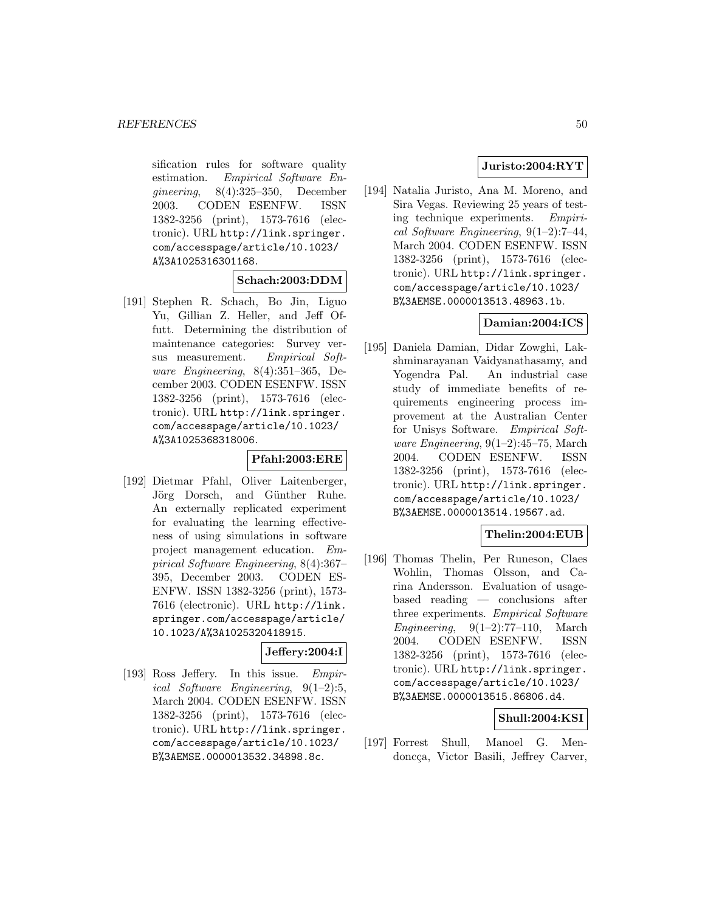sification rules for software quality estimation. Empirical Software Engineering, 8(4):325–350, December 2003. CODEN ESENFW. ISSN 1382-3256 (print), 1573-7616 (electronic). URL http://link.springer. com/accesspage/article/10.1023/ A%3A1025316301168.

## **Schach:2003:DDM**

[191] Stephen R. Schach, Bo Jin, Liguo Yu, Gillian Z. Heller, and Jeff Offutt. Determining the distribution of maintenance categories: Survey versus measurement. Empirical Software Engineering, 8(4):351–365, December 2003. CODEN ESENFW. ISSN 1382-3256 (print), 1573-7616 (electronic). URL http://link.springer. com/accesspage/article/10.1023/ A%3A1025368318006.

### **Pfahl:2003:ERE**

[192] Dietmar Pfahl, Oliver Laitenberger, Jörg Dorsch, and Günther Ruhe. An externally replicated experiment for evaluating the learning effectiveness of using simulations in software project management education. Empirical Software Engineering, 8(4):367– 395, December 2003. CODEN ES-ENFW. ISSN 1382-3256 (print), 1573- 7616 (electronic). URL http://link. springer.com/accesspage/article/ 10.1023/A%3A1025320418915.

### **Jeffery:2004:I**

[193] Ross Jeffery. In this issue. Empirical Software Engineering, 9(1–2):5, March 2004. CODEN ESENFW. ISSN 1382-3256 (print), 1573-7616 (electronic). URL http://link.springer. com/accesspage/article/10.1023/ B%3AEMSE.0000013532.34898.8c.

# **Juristo:2004:RYT**

[194] Natalia Juristo, Ana M. Moreno, and Sira Vegas. Reviewing 25 years of testing technique experiments. Empirical Software Engineering, 9(1–2):7–44, March 2004. CODEN ESENFW. ISSN 1382-3256 (print), 1573-7616 (electronic). URL http://link.springer. com/accesspage/article/10.1023/ B%3AEMSE.0000013513.48963.1b.

# **Damian:2004:ICS**

[195] Daniela Damian, Didar Zowghi, Lakshminarayanan Vaidyanathasamy, and Yogendra Pal. An industrial case study of immediate benefits of requirements engineering process improvement at the Australian Center for Unisys Software. Empirical Software Engineering,  $9(1-2):45-75$ , March 2004. CODEN ESENFW. ISSN 1382-3256 (print), 1573-7616 (electronic). URL http://link.springer. com/accesspage/article/10.1023/ B%3AEMSE.0000013514.19567.ad.

# **Thelin:2004:EUB**

[196] Thomas Thelin, Per Runeson, Claes Wohlin, Thomas Olsson, and Carina Andersson. Evaluation of usagebased reading — conclusions after three experiments. Empirical Software Engineering,  $9(1-2)$ :77-110, March 2004. CODEN ESENFW. ISSN 1382-3256 (print), 1573-7616 (electronic). URL http://link.springer. com/accesspage/article/10.1023/ B%3AEMSE.0000013515.86806.d4.

## **Shull:2004:KSI**

[197] Forrest Shull, Manoel G. Mendoncça, Victor Basili, Jeffrey Carver,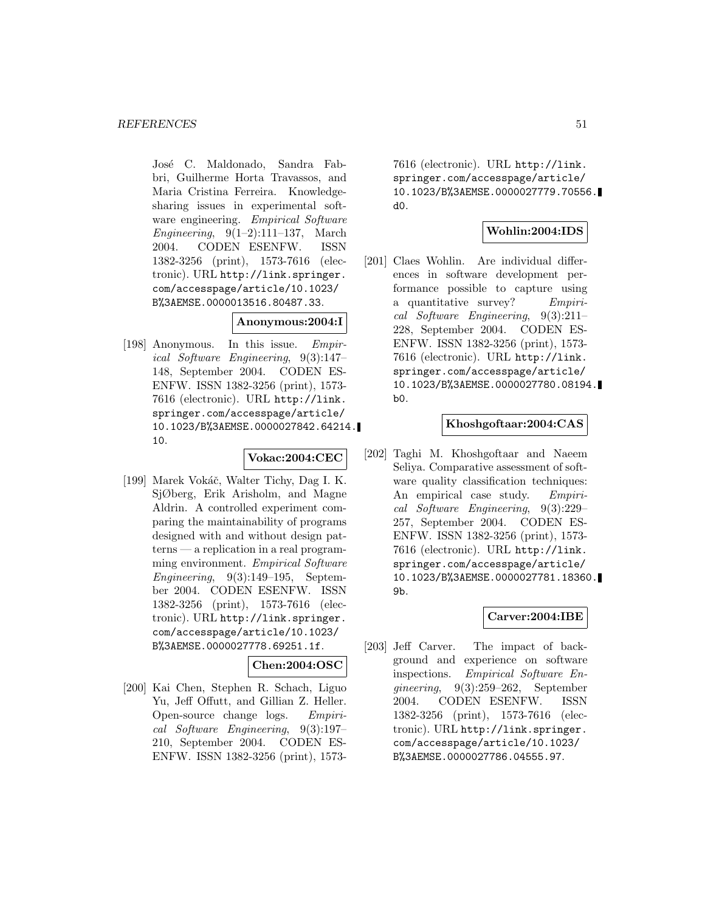José C. Maldonado, Sandra Fabbri, Guilherme Horta Travassos, and Maria Cristina Ferreira. Knowledgesharing issues in experimental software engineering. Empirical Software Engineering,  $9(1-2):111-137$ , March 2004. CODEN ESENFW. ISSN 1382-3256 (print), 1573-7616 (electronic). URL http://link.springer. com/accesspage/article/10.1023/ B%3AEMSE.0000013516.80487.33.

## **Anonymous:2004:I**

[198] Anonymous. In this issue. Empirical Software Engineering, 9(3):147– 148, September 2004. CODEN ES-ENFW. ISSN 1382-3256 (print), 1573- 7616 (electronic). URL http://link. springer.com/accesspage/article/ 10.1023/B%3AEMSE.0000027842.64214. 10.

#### **Vokac:2004:CEC**

[199] Marek Vokáč, Walter Tichy, Dag I. K. SjØberg, Erik Arisholm, and Magne Aldrin. A controlled experiment comparing the maintainability of programs designed with and without design patterns — a replication in a real programming environment. Empirical Software Engineering,  $9(3):149-195$ , September 2004. CODEN ESENFW. ISSN 1382-3256 (print), 1573-7616 (electronic). URL http://link.springer. com/accesspage/article/10.1023/ B%3AEMSE.0000027778.69251.1f.

# **Chen:2004:OSC**

[200] Kai Chen, Stephen R. Schach, Liguo Yu, Jeff Offutt, and Gillian Z. Heller. Open-source change logs. Empirical Software Engineering, 9(3):197– 210, September 2004. CODEN ES-ENFW. ISSN 1382-3256 (print), 1573-

7616 (electronic). URL http://link. springer.com/accesspage/article/ 10.1023/B%3AEMSE.0000027779.70556. d0.

## **Wohlin:2004:IDS**

[201] Claes Wohlin. Are individual differences in software development performance possible to capture using a quantitative survey? Empirical Software Engineering, 9(3):211– 228, September 2004. CODEN ES-ENFW. ISSN 1382-3256 (print), 1573- 7616 (electronic). URL http://link. springer.com/accesspage/article/ 10.1023/B%3AEMSE.0000027780.08194.  $b<sub>0</sub>$ .

# **Khoshgoftaar:2004:CAS**

[202] Taghi M. Khoshgoftaar and Naeem Seliya. Comparative assessment of software quality classification techniques: An empirical case study. Empirical Software Engineering, 9(3):229– 257, September 2004. CODEN ES-ENFW. ISSN 1382-3256 (print), 1573- 7616 (electronic). URL http://link. springer.com/accesspage/article/ 10.1023/B%3AEMSE.0000027781.18360. 9b.

#### **Carver:2004:IBE**

[203] Jeff Carver. The impact of background and experience on software inspections. Empirical Software Engineering, 9(3):259–262, September 2004. CODEN ESENFW. ISSN 1382-3256 (print), 1573-7616 (electronic). URL http://link.springer. com/accesspage/article/10.1023/ B%3AEMSE.0000027786.04555.97.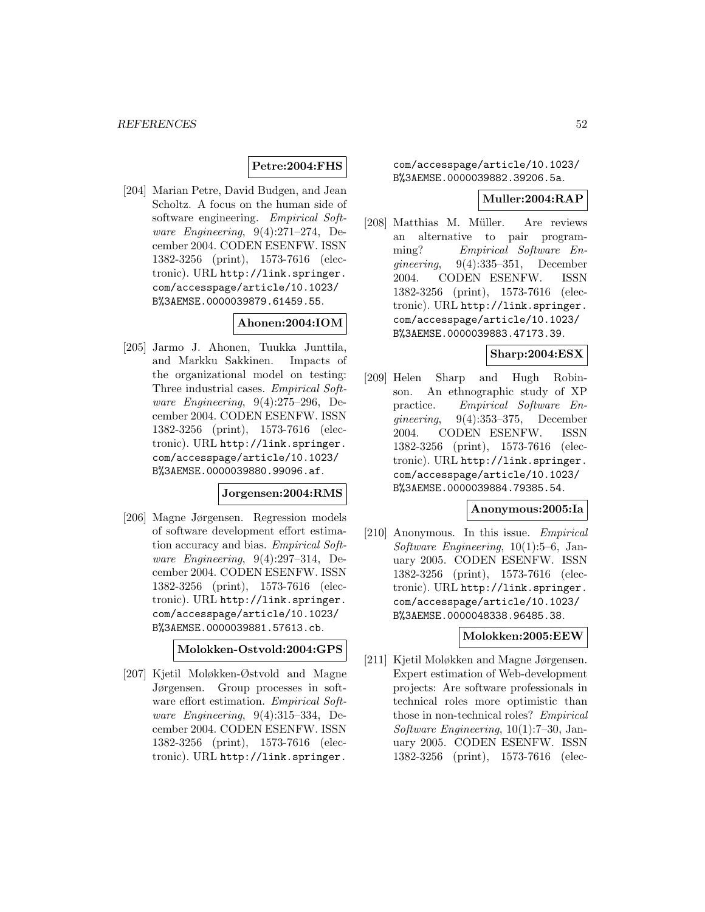## **Petre:2004:FHS**

[204] Marian Petre, David Budgen, and Jean Scholtz. A focus on the human side of software engineering. Empirical Software Engineering, 9(4):271–274, December 2004. CODEN ESENFW. ISSN 1382-3256 (print), 1573-7616 (electronic). URL http://link.springer. com/accesspage/article/10.1023/ B%3AEMSE.0000039879.61459.55.

# **Ahonen:2004:IOM**

[205] Jarmo J. Ahonen, Tuukka Junttila, and Markku Sakkinen. Impacts of the organizational model on testing: Three industrial cases. Empirical Software Engineering, 9(4):275–296, December 2004. CODEN ESENFW. ISSN 1382-3256 (print), 1573-7616 (electronic). URL http://link.springer. com/accesspage/article/10.1023/ B%3AEMSE.0000039880.99096.af.

## **Jorgensen:2004:RMS**

[206] Magne Jørgensen. Regression models of software development effort estimation accuracy and bias. Empirical Software Engineering, 9(4):297–314, December 2004. CODEN ESENFW. ISSN 1382-3256 (print), 1573-7616 (electronic). URL http://link.springer. com/accesspage/article/10.1023/ B%3AEMSE.0000039881.57613.cb.

## **Molokken-Ostvold:2004:GPS**

[207] Kjetil Moløkken-Østvold and Magne Jørgensen. Group processes in software effort estimation. Empirical Software Engineering, 9(4):315–334, December 2004. CODEN ESENFW. ISSN 1382-3256 (print), 1573-7616 (electronic). URL http://link.springer.

com/accesspage/article/10.1023/ B%3AEMSE.0000039882.39206.5a.

#### **Muller:2004:RAP**

[208] Matthias M. Müller. Are reviews an alternative to pair programming? Empirical Software Engineering, 9(4):335–351, December 2004. CODEN ESENFW. ISSN 1382-3256 (print), 1573-7616 (electronic). URL http://link.springer. com/accesspage/article/10.1023/ B%3AEMSE.0000039883.47173.39.

## **Sharp:2004:ESX**

[209] Helen Sharp and Hugh Robinson. An ethnographic study of XP practice. Empirical Software Engineering, 9(4):353–375, December 2004. CODEN ESENFW. ISSN 1382-3256 (print), 1573-7616 (electronic). URL http://link.springer. com/accesspage/article/10.1023/ B%3AEMSE.0000039884.79385.54.

#### **Anonymous:2005:Ia**

[210] Anonymous. In this issue. Empirical Software Engineering, 10(1):5–6, January 2005. CODEN ESENFW. ISSN 1382-3256 (print), 1573-7616 (electronic). URL http://link.springer. com/accesspage/article/10.1023/ B%3AEMSE.0000048338.96485.38.

#### **Molokken:2005:EEW**

[211] Kjetil Moløkken and Magne Jørgensen. Expert estimation of Web-development projects: Are software professionals in technical roles more optimistic than those in non-technical roles? Empirical Software Engineering, 10(1):7–30, January 2005. CODEN ESENFW. ISSN 1382-3256 (print), 1573-7616 (elec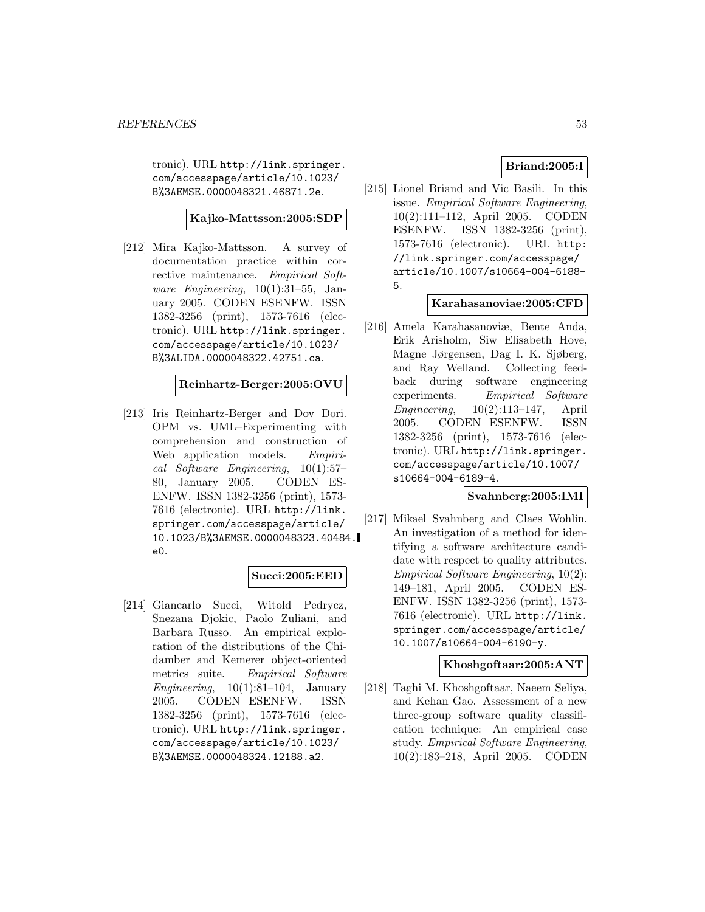tronic). URL http://link.springer. com/accesspage/article/10.1023/ B%3AEMSE.0000048321.46871.2e.

## **Kajko-Mattsson:2005:SDP**

[212] Mira Kajko-Mattsson. A survey of documentation practice within corrective maintenance. Empirical Software Engineering,  $10(1):31-55$ , January 2005. CODEN ESENFW. ISSN 1382-3256 (print), 1573-7616 (electronic). URL http://link.springer. com/accesspage/article/10.1023/ B%3ALIDA.0000048322.42751.ca.

## **Reinhartz-Berger:2005:OVU**

[213] Iris Reinhartz-Berger and Dov Dori. OPM vs. UML–Experimenting with comprehension and construction of Web application models. Empirical Software Engineering, 10(1):57– 80, January 2005. CODEN ES-ENFW. ISSN 1382-3256 (print), 1573- 7616 (electronic). URL http://link. springer.com/accesspage/article/ 10.1023/B%3AEMSE.0000048323.40484. e0.

## **Succi:2005:EED**

[214] Giancarlo Succi, Witold Pedrycz, Snezana Djokic, Paolo Zuliani, and Barbara Russo. An empirical exploration of the distributions of the Chidamber and Kemerer object-oriented metrics suite. Empirical Software Engineering,  $10(1):81-104$ , January 2005. CODEN ESENFW. ISSN 1382-3256 (print), 1573-7616 (electronic). URL http://link.springer. com/accesspage/article/10.1023/ B%3AEMSE.0000048324.12188.a2.

# **Briand:2005:I**

[215] Lionel Briand and Vic Basili. In this issue. Empirical Software Engineering, 10(2):111–112, April 2005. CODEN ESENFW. ISSN 1382-3256 (print), 1573-7616 (electronic). URL http: //link.springer.com/accesspage/ article/10.1007/s10664-004-6188- 5.

## **Karahasanoviae:2005:CFD**

[216] Amela Karahasanoviæ, Bente Anda, Erik Arisholm, Siw Elisabeth Hove, Magne Jørgensen, Dag I. K. Sjøberg, and Ray Welland. Collecting feedback during software engineering experiments. Empirical Software Engineering, 10(2):113–147, April 2005. CODEN ESENFW. ISSN 1382-3256 (print), 1573-7616 (electronic). URL http://link.springer. com/accesspage/article/10.1007/ s10664-004-6189-4.

## **Svahnberg:2005:IMI**

[217] Mikael Svahnberg and Claes Wohlin. An investigation of a method for identifying a software architecture candidate with respect to quality attributes. Empirical Software Engineering, 10(2): 149–181, April 2005. CODEN ES-ENFW. ISSN 1382-3256 (print), 1573- 7616 (electronic). URL http://link. springer.com/accesspage/article/ 10.1007/s10664-004-6190-y.

## **Khoshgoftaar:2005:ANT**

[218] Taghi M. Khoshgoftaar, Naeem Seliya, and Kehan Gao. Assessment of a new three-group software quality classification technique: An empirical case study. Empirical Software Engineering, 10(2):183–218, April 2005. CODEN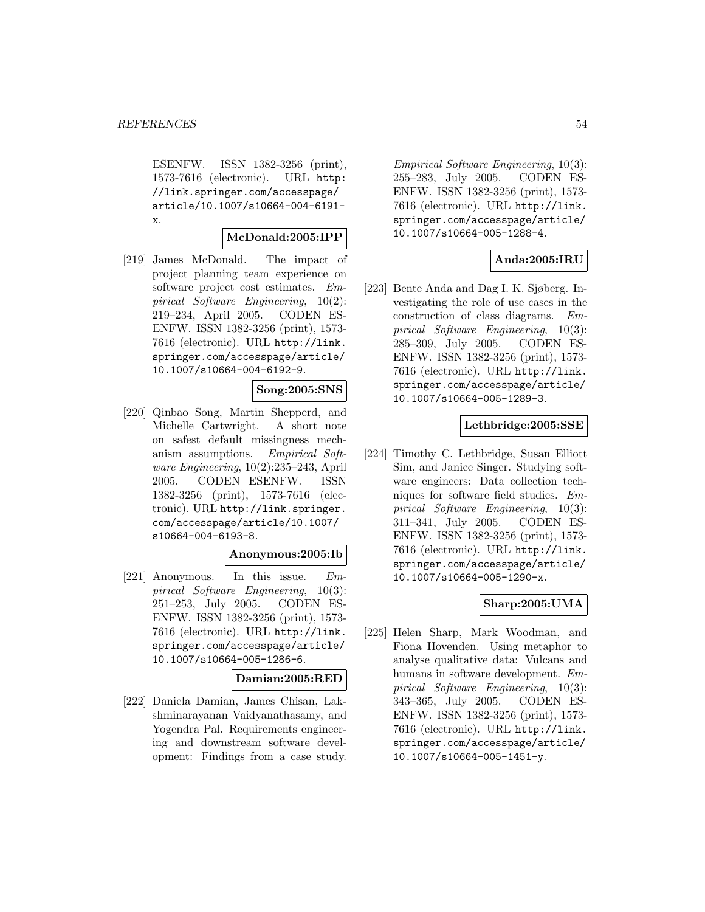ESENFW. ISSN 1382-3256 (print), 1573-7616 (electronic). URL http: //link.springer.com/accesspage/ article/10.1007/s10664-004-6191 x.

## **McDonald:2005:IPP**

[219] James McDonald. The impact of project planning team experience on software project cost estimates. Empirical Software Engineering, 10(2): 219–234, April 2005. CODEN ES-ENFW. ISSN 1382-3256 (print), 1573- 7616 (electronic). URL http://link. springer.com/accesspage/article/ 10.1007/s10664-004-6192-9.

## **Song:2005:SNS**

[220] Qinbao Song, Martin Shepperd, and Michelle Cartwright. A short note on safest default missingness mechanism assumptions. Empirical Software Engineering, 10(2):235–243, April 2005. CODEN ESENFW. ISSN 1382-3256 (print), 1573-7616 (electronic). URL http://link.springer. com/accesspage/article/10.1007/ s10664-004-6193-8.

#### **Anonymous:2005:Ib**

[221] Anonymous. In this issue. Empirical Software Engineering, 10(3): 251–253, July 2005. CODEN ES-ENFW. ISSN 1382-3256 (print), 1573- 7616 (electronic). URL http://link. springer.com/accesspage/article/ 10.1007/s10664-005-1286-6.

#### **Damian:2005:RED**

[222] Daniela Damian, James Chisan, Lakshminarayanan Vaidyanathasamy, and Yogendra Pal. Requirements engineering and downstream software development: Findings from a case study.

Empirical Software Engineering, 10(3): 255–283, July 2005. CODEN ES-ENFW. ISSN 1382-3256 (print), 1573- 7616 (electronic). URL http://link. springer.com/accesspage/article/ 10.1007/s10664-005-1288-4.

## **Anda:2005:IRU**

[223] Bente Anda and Dag I. K. Sjøberg. Investigating the role of use cases in the construction of class diagrams. Empirical Software Engineering, 10(3): 285–309, July 2005. CODEN ES-ENFW. ISSN 1382-3256 (print), 1573- 7616 (electronic). URL http://link. springer.com/accesspage/article/ 10.1007/s10664-005-1289-3.

#### **Lethbridge:2005:SSE**

[224] Timothy C. Lethbridge, Susan Elliott Sim, and Janice Singer. Studying software engineers: Data collection techniques for software field studies. Empirical Software Engineering, 10(3): 311–341, July 2005. CODEN ES-ENFW. ISSN 1382-3256 (print), 1573- 7616 (electronic). URL http://link. springer.com/accesspage/article/ 10.1007/s10664-005-1290-x.

## **Sharp:2005:UMA**

[225] Helen Sharp, Mark Woodman, and Fiona Hovenden. Using metaphor to analyse qualitative data: Vulcans and humans in software development. Empirical Software Engineering, 10(3): 343–365, July 2005. CODEN ES-ENFW. ISSN 1382-3256 (print), 1573- 7616 (electronic). URL http://link. springer.com/accesspage/article/ 10.1007/s10664-005-1451-y.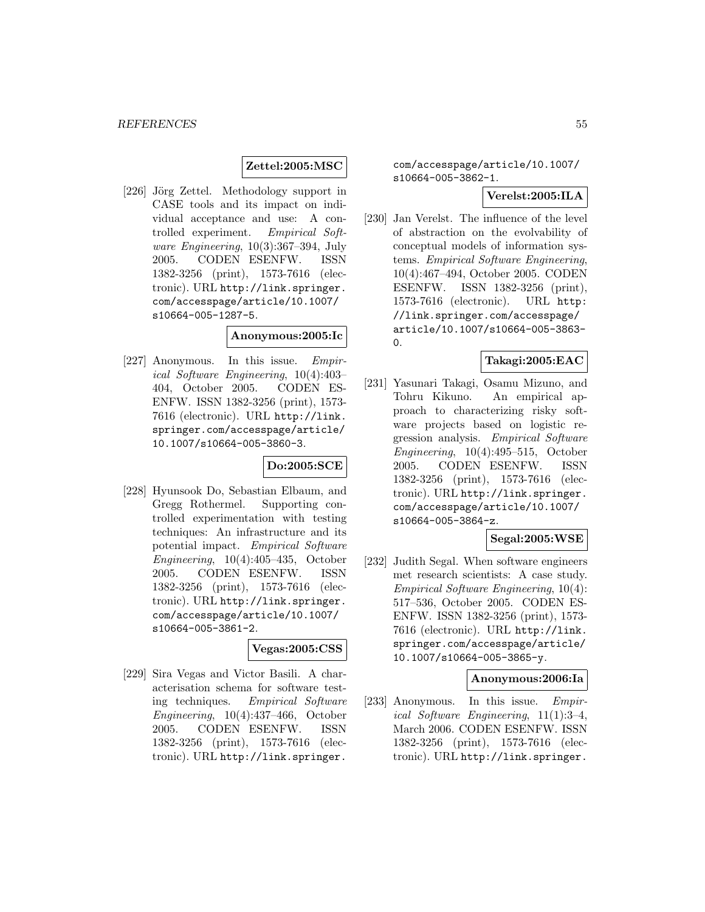## **Zettel:2005:MSC**

[226] Jörg Zettel. Methodology support in CASE tools and its impact on individual acceptance and use: A controlled experiment. Empirical Software Engineering, 10(3):367–394, July 2005. CODEN ESENFW. ISSN 1382-3256 (print), 1573-7616 (electronic). URL http://link.springer. com/accesspage/article/10.1007/ s10664-005-1287-5.

#### **Anonymous:2005:Ic**

[227] Anonymous. In this issue. Empirical Software Engineering, 10(4):403– 404, October 2005. CODEN ES-ENFW. ISSN 1382-3256 (print), 1573- 7616 (electronic). URL http://link. springer.com/accesspage/article/ 10.1007/s10664-005-3860-3.

## **Do:2005:SCE**

[228] Hyunsook Do, Sebastian Elbaum, and Gregg Rothermel. Supporting controlled experimentation with testing techniques: An infrastructure and its potential impact. Empirical Software Engineering, 10(4):405–435, October 2005. CODEN ESENFW. ISSN 1382-3256 (print), 1573-7616 (electronic). URL http://link.springer. com/accesspage/article/10.1007/ s10664-005-3861-2.

#### **Vegas:2005:CSS**

[229] Sira Vegas and Victor Basili. A characterisation schema for software testing techniques. Empirical Software Engineering, 10(4):437–466, October 2005. CODEN ESENFW. ISSN 1382-3256 (print), 1573-7616 (electronic). URL http://link.springer.

com/accesspage/article/10.1007/ s10664-005-3862-1.

# **Verelst:2005:ILA**

[230] Jan Verelst. The influence of the level of abstraction on the evolvability of conceptual models of information systems. Empirical Software Engineering, 10(4):467–494, October 2005. CODEN ESENFW. ISSN 1382-3256 (print), 1573-7616 (electronic). URL http: //link.springer.com/accesspage/ article/10.1007/s10664-005-3863-  $\Omega$ .

# **Takagi:2005:EAC**

[231] Yasunari Takagi, Osamu Mizuno, and Tohru Kikuno. An empirical approach to characterizing risky software projects based on logistic regression analysis. Empirical Software Engineering, 10(4):495–515, October 2005. CODEN ESENFW. ISSN 1382-3256 (print), 1573-7616 (electronic). URL http://link.springer. com/accesspage/article/10.1007/ s10664-005-3864-z.

## **Segal:2005:WSE**

[232] Judith Segal. When software engineers met research scientists: A case study. Empirical Software Engineering, 10(4): 517–536, October 2005. CODEN ES-ENFW. ISSN 1382-3256 (print), 1573- 7616 (electronic). URL http://link. springer.com/accesspage/article/ 10.1007/s10664-005-3865-y.

#### **Anonymous:2006:Ia**

[233] Anonymous. In this issue. Empirical Software Engineering, 11(1):3–4, March 2006. CODEN ESENFW. ISSN 1382-3256 (print), 1573-7616 (electronic). URL http://link.springer.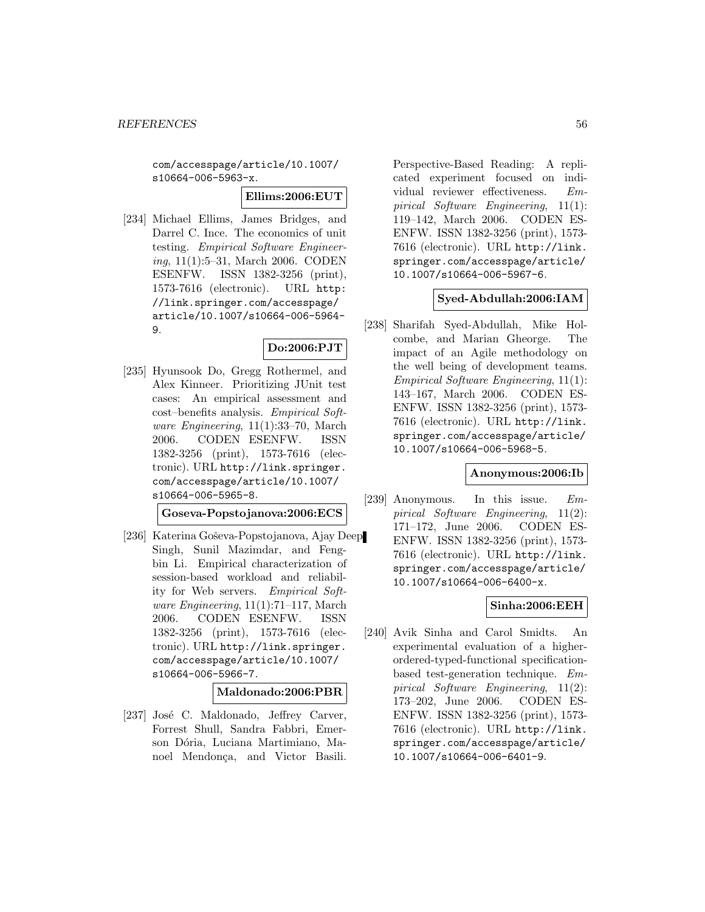com/accesspage/article/10.1007/ s10664-006-5963-x.

**Ellims:2006:EUT**

[234] Michael Ellims, James Bridges, and Darrel C. Ince. The economics of unit testing. Empirical Software Engineering, 11(1):5–31, March 2006. CODEN ESENFW. ISSN 1382-3256 (print), 1573-7616 (electronic). URL http: //link.springer.com/accesspage/ article/10.1007/s10664-006-5964- 9.

## **Do:2006:PJT**

[235] Hyunsook Do, Gregg Rothermel, and Alex Kinneer. Prioritizing JUnit test cases: An empirical assessment and cost–benefits analysis. Empirical Software Engineering,  $11(1):33-70$ , March 2006. CODEN ESENFW. ISSN 1382-3256 (print), 1573-7616 (electronic). URL http://link.springer. com/accesspage/article/10.1007/ s10664-006-5965-8.

**Goseva-Popstojanova:2006:ECS**

[236] Katerina Goševa-Popstojanova, Ajay Deep Singh, Sunil Mazimdar, and Fengbin Li. Empirical characterization of session-based workload and reliability for Web servers. Empirical Software Engineering, 11(1):71–117, March 2006. CODEN ESENFW. ISSN 1382-3256 (print), 1573-7616 (electronic). URL http://link.springer. com/accesspage/article/10.1007/ s10664-006-5966-7.

**Maldonado:2006:PBR**

[237] José C. Maldonado, Jeffrey Carver, Forrest Shull, Sandra Fabbri, Emerson Dória, Luciana Martimiano, Manoel Mendonça, and Victor Basili.

Perspective-Based Reading: A replicated experiment focused on individual reviewer effectiveness. Empirical Software Engineering, 11(1): 119–142, March 2006. CODEN ES-ENFW. ISSN 1382-3256 (print), 1573- 7616 (electronic). URL http://link. springer.com/accesspage/article/ 10.1007/s10664-006-5967-6.

## **Syed-Abdullah:2006:IAM**

[238] Sharifah Syed-Abdullah, Mike Holcombe, and Marian Gheorge. The impact of an Agile methodology on the well being of development teams. Empirical Software Engineering, 11(1): 143–167, March 2006. CODEN ES-ENFW. ISSN 1382-3256 (print), 1573- 7616 (electronic). URL http://link. springer.com/accesspage/article/ 10.1007/s10664-006-5968-5.

#### **Anonymous:2006:Ib**

[239] Anonymous. In this issue. Empirical Software Engineering, 11(2): 171–172, June 2006. CODEN ES-ENFW. ISSN 1382-3256 (print), 1573- 7616 (electronic). URL http://link. springer.com/accesspage/article/ 10.1007/s10664-006-6400-x.

# **Sinha:2006:EEH**

[240] Avik Sinha and Carol Smidts. An experimental evaluation of a higherordered-typed-functional specificationbased test-generation technique. Empirical Software Engineering, 11(2): 173–202, June 2006. CODEN ES-ENFW. ISSN 1382-3256 (print), 1573- 7616 (electronic). URL http://link. springer.com/accesspage/article/ 10.1007/s10664-006-6401-9.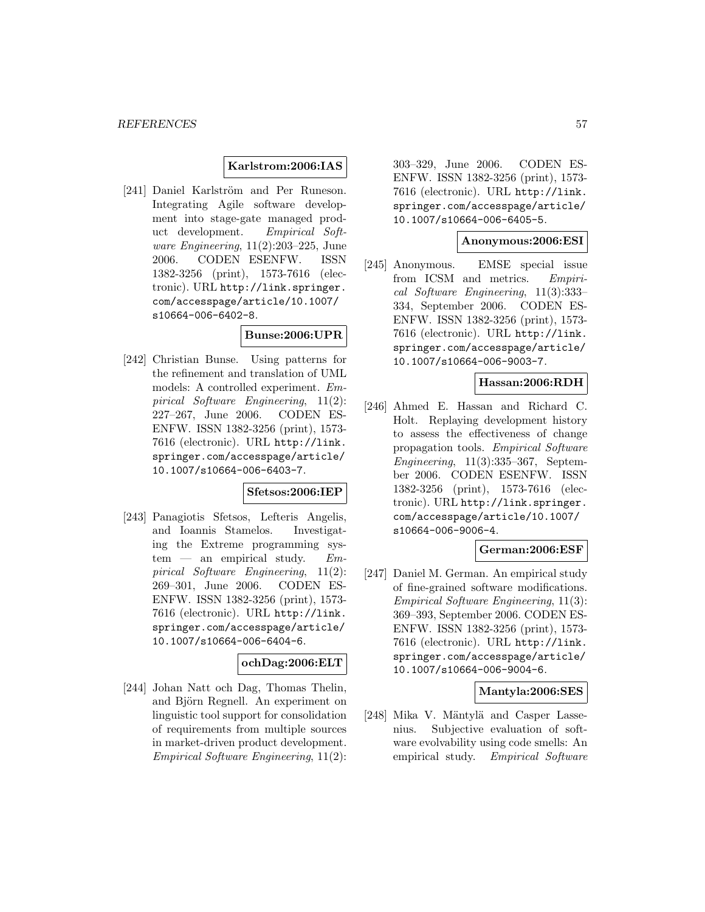## **Karlstrom:2006:IAS**

[241] Daniel Karlström and Per Runeson. Integrating Agile software development into stage-gate managed product development. Empirical Software Engineering,  $11(2):203-225$ , June 2006. CODEN ESENFW. ISSN 1382-3256 (print), 1573-7616 (electronic). URL http://link.springer. com/accesspage/article/10.1007/ s10664-006-6402-8.

## **Bunse:2006:UPR**

[242] Christian Bunse. Using patterns for the refinement and translation of UML models: A controlled experiment. Empirical Software Engineering, 11(2): 227–267, June 2006. CODEN ES-ENFW. ISSN 1382-3256 (print), 1573- 7616 (electronic). URL http://link. springer.com/accesspage/article/ 10.1007/s10664-006-6403-7.

#### **Sfetsos:2006:IEP**

[243] Panagiotis Sfetsos, Lefteris Angelis, and Ioannis Stamelos. Investigating the Extreme programming sys $tem$  — an empirical study.  $Em$ pirical Software Engineering, 11(2): 269–301, June 2006. CODEN ES-ENFW. ISSN 1382-3256 (print), 1573- 7616 (electronic). URL http://link. springer.com/accesspage/article/ 10.1007/s10664-006-6404-6.

## **ochDag:2006:ELT**

[244] Johan Natt och Dag, Thomas Thelin, and Björn Regnell. An experiment on linguistic tool support for consolidation of requirements from multiple sources in market-driven product development. Empirical Software Engineering, 11(2):

303–329, June 2006. CODEN ES-ENFW. ISSN 1382-3256 (print), 1573- 7616 (electronic). URL http://link. springer.com/accesspage/article/ 10.1007/s10664-006-6405-5.

#### **Anonymous:2006:ESI**

[245] Anonymous. EMSE special issue from ICSM and metrics. Empirical Software Engineering, 11(3):333– 334, September 2006. CODEN ES-ENFW. ISSN 1382-3256 (print), 1573- 7616 (electronic). URL http://link. springer.com/accesspage/article/ 10.1007/s10664-006-9003-7.

#### **Hassan:2006:RDH**

[246] Ahmed E. Hassan and Richard C. Holt. Replaying development history to assess the effectiveness of change propagation tools. Empirical Software Engineering, 11(3):335–367, September 2006. CODEN ESENFW. ISSN 1382-3256 (print), 1573-7616 (electronic). URL http://link.springer. com/accesspage/article/10.1007/ s10664-006-9006-4.

## **German:2006:ESF**

[247] Daniel M. German. An empirical study of fine-grained software modifications. Empirical Software Engineering, 11(3): 369–393, September 2006. CODEN ES-ENFW. ISSN 1382-3256 (print), 1573- 7616 (electronic). URL http://link. springer.com/accesspage/article/ 10.1007/s10664-006-9004-6.

### **Mantyla:2006:SES**

[248] Mika V. Mäntylä and Casper Lassenius. Subjective evaluation of software evolvability using code smells: An empirical study. Empirical Software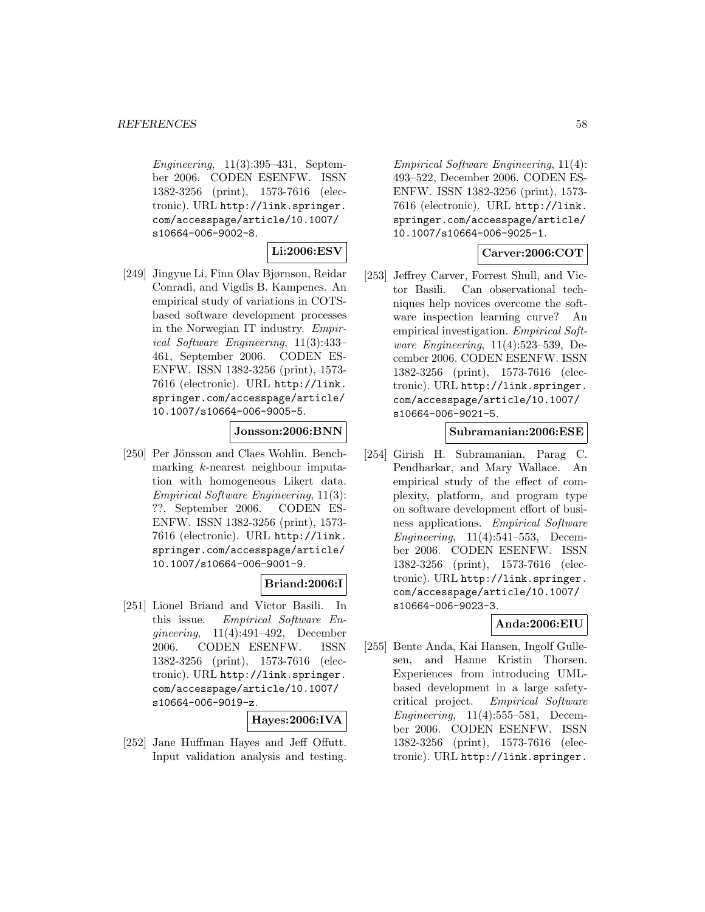Engineering, 11(3):395–431, September 2006. CODEN ESENFW. ISSN 1382-3256 (print), 1573-7616 (electronic). URL http://link.springer. com/accesspage/article/10.1007/ s10664-006-9002-8.

# **Li:2006:ESV**

[249] Jingyue Li, Finn Olav Bjørnson, Reidar Conradi, and Vigdis B. Kampenes. An empirical study of variations in COTSbased software development processes in the Norwegian IT industry. Empirical Software Engineering, 11(3):433– 461, September 2006. CODEN ES-ENFW. ISSN 1382-3256 (print), 1573- 7616 (electronic). URL http://link. springer.com/accesspage/article/ 10.1007/s10664-006-9005-5.

## **Jonsson:2006:BNN**

[250] Per Jönsson and Claes Wohlin. Benchmarking k-nearest neighbour imputation with homogeneous Likert data. Empirical Software Engineering, 11(3): ??, September 2006. CODEN ES-ENFW. ISSN 1382-3256 (print), 1573- 7616 (electronic). URL http://link. springer.com/accesspage/article/ 10.1007/s10664-006-9001-9.

# **Briand:2006:I**

[251] Lionel Briand and Victor Basili. In this issue. Empirical Software Engineering, 11(4):491–492, December 2006. CODEN ESENFW. ISSN 1382-3256 (print), 1573-7616 (electronic). URL http://link.springer. com/accesspage/article/10.1007/ s10664-006-9019-z.

## **Hayes:2006:IVA**

[252] Jane Huffman Hayes and Jeff Offutt. Input validation analysis and testing.

Empirical Software Engineering, 11(4): 493–522, December 2006. CODEN ES-ENFW. ISSN 1382-3256 (print), 1573- 7616 (electronic). URL http://link. springer.com/accesspage/article/ 10.1007/s10664-006-9025-1.

# **Carver:2006:COT**

[253] Jeffrey Carver, Forrest Shull, and Victor Basili. Can observational techniques help novices overcome the software inspection learning curve? An empirical investigation. Empirical Software Engineering, 11(4):523–539, December 2006. CODEN ESENFW. ISSN 1382-3256 (print), 1573-7616 (electronic). URL http://link.springer. com/accesspage/article/10.1007/ s10664-006-9021-5.

## **Subramanian:2006:ESE**

[254] Girish H. Subramanian, Parag C. Pendharkar, and Mary Wallace. An empirical study of the effect of complexity, platform, and program type on software development effort of business applications. Empirical Software Engineering, 11(4):541–553, December 2006. CODEN ESENFW. ISSN 1382-3256 (print), 1573-7616 (electronic). URL http://link.springer. com/accesspage/article/10.1007/ s10664-006-9023-3.

# **Anda:2006:EIU**

[255] Bente Anda, Kai Hansen, Ingolf Gullesen, and Hanne Kristin Thorsen. Experiences from introducing UMLbased development in a large safetycritical project. Empirical Software Engineering, 11(4):555–581, December 2006. CODEN ESENFW. ISSN 1382-3256 (print), 1573-7616 (electronic). URL http://link.springer.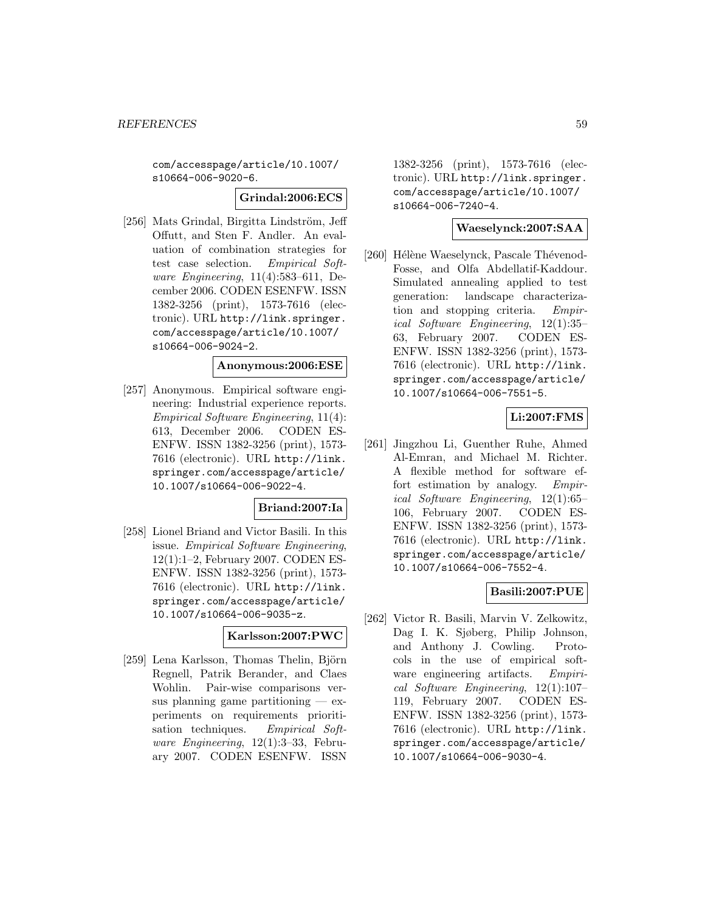com/accesspage/article/10.1007/ s10664-006-9020-6.

#### **Grindal:2006:ECS**

[256] Mats Grindal, Birgitta Lindström, Jeff Offutt, and Sten F. Andler. An evaluation of combination strategies for test case selection. Empirical Software Engineering, 11(4):583–611, December 2006. CODEN ESENFW. ISSN 1382-3256 (print), 1573-7616 (electronic). URL http://link.springer. com/accesspage/article/10.1007/ s10664-006-9024-2.

## **Anonymous:2006:ESE**

[257] Anonymous. Empirical software engineering: Industrial experience reports. Empirical Software Engineering, 11(4): 613, December 2006. CODEN ES-ENFW. ISSN 1382-3256 (print), 1573- 7616 (electronic). URL http://link. springer.com/accesspage/article/ 10.1007/s10664-006-9022-4.

## **Briand:2007:Ia**

[258] Lionel Briand and Victor Basili. In this issue. Empirical Software Engineering, 12(1):1–2, February 2007. CODEN ES-ENFW. ISSN 1382-3256 (print), 1573- 7616 (electronic). URL http://link. springer.com/accesspage/article/ 10.1007/s10664-006-9035-z.

# **Karlsson:2007:PWC**

[259] Lena Karlsson, Thomas Thelin, Björn Regnell, Patrik Berander, and Claes Wohlin. Pair-wise comparisons versus planning game partitioning  $-$  experiments on requirements prioritisation techniques. Empirical Software Engineering, 12(1):3–33, February 2007. CODEN ESENFW. ISSN

1382-3256 (print), 1573-7616 (electronic). URL http://link.springer. com/accesspage/article/10.1007/ s10664-006-7240-4.

## **Waeselynck:2007:SAA**

[260] Hélène Waeselynck, Pascale Thévenod-Fosse, and Olfa Abdellatif-Kaddour. Simulated annealing applied to test generation: landscape characterization and stopping criteria. Empirical Software Engineering, 12(1):35– 63, February 2007. CODEN ES-ENFW. ISSN 1382-3256 (print), 1573- 7616 (electronic). URL http://link. springer.com/accesspage/article/ 10.1007/s10664-006-7551-5.

# **Li:2007:FMS**

[261] Jingzhou Li, Guenther Ruhe, Ahmed Al-Emran, and Michael M. Richter. A flexible method for software effort estimation by analogy. Empirical Software Engineering, 12(1):65– 106, February 2007. CODEN ES-ENFW. ISSN 1382-3256 (print), 1573- 7616 (electronic). URL http://link. springer.com/accesspage/article/ 10.1007/s10664-006-7552-4.

# **Basili:2007:PUE**

[262] Victor R. Basili, Marvin V. Zelkowitz, Dag I. K. Sjøberg, Philip Johnson, and Anthony J. Cowling. Protocols in the use of empirical software engineering artifacts. Empirical Software Engineering, 12(1):107– 119, February 2007. CODEN ES-ENFW. ISSN 1382-3256 (print), 1573- 7616 (electronic). URL http://link. springer.com/accesspage/article/ 10.1007/s10664-006-9030-4.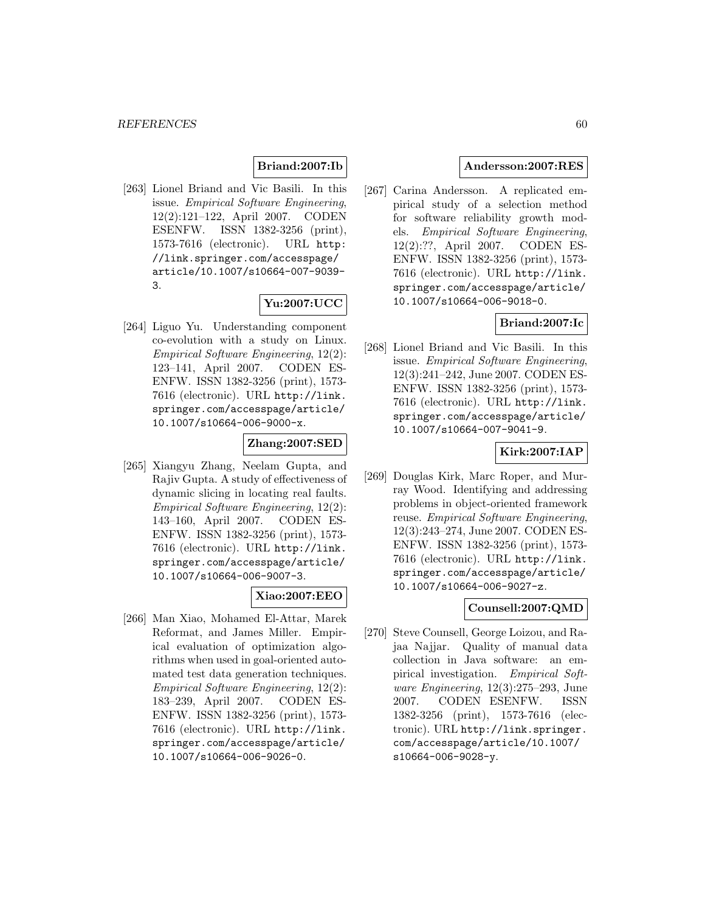# **Briand:2007:Ib**

[263] Lionel Briand and Vic Basili. In this issue. Empirical Software Engineering, 12(2):121–122, April 2007. CODEN ESENFW. ISSN 1382-3256 (print), 1573-7616 (electronic). URL http: //link.springer.com/accesspage/ article/10.1007/s10664-007-9039- 3.

## **Yu:2007:UCC**

[264] Liguo Yu. Understanding component co-evolution with a study on Linux. Empirical Software Engineering, 12(2): 123–141, April 2007. CODEN ES-ENFW. ISSN 1382-3256 (print), 1573- 7616 (electronic). URL http://link. springer.com/accesspage/article/ 10.1007/s10664-006-9000-x.

# **Zhang:2007:SED**

[265] Xiangyu Zhang, Neelam Gupta, and Rajiv Gupta. A study of effectiveness of dynamic slicing in locating real faults. Empirical Software Engineering, 12(2): 143–160, April 2007. CODEN ES-ENFW. ISSN 1382-3256 (print), 1573- 7616 (electronic). URL http://link. springer.com/accesspage/article/ 10.1007/s10664-006-9007-3.

## **Xiao:2007:EEO**

[266] Man Xiao, Mohamed El-Attar, Marek Reformat, and James Miller. Empirical evaluation of optimization algorithms when used in goal-oriented automated test data generation techniques. Empirical Software Engineering, 12(2): 183–239, April 2007. CODEN ES-ENFW. ISSN 1382-3256 (print), 1573- 7616 (electronic). URL http://link. springer.com/accesspage/article/ 10.1007/s10664-006-9026-0.

### **Andersson:2007:RES**

[267] Carina Andersson. A replicated empirical study of a selection method for software reliability growth models. Empirical Software Engineering, 12(2):??, April 2007. CODEN ES-ENFW. ISSN 1382-3256 (print), 1573- 7616 (electronic). URL http://link. springer.com/accesspage/article/ 10.1007/s10664-006-9018-0.

# **Briand:2007:Ic**

[268] Lionel Briand and Vic Basili. In this issue. Empirical Software Engineering, 12(3):241–242, June 2007. CODEN ES-ENFW. ISSN 1382-3256 (print), 1573- 7616 (electronic). URL http://link. springer.com/accesspage/article/ 10.1007/s10664-007-9041-9.

## **Kirk:2007:IAP**

[269] Douglas Kirk, Marc Roper, and Murray Wood. Identifying and addressing problems in object-oriented framework reuse. Empirical Software Engineering, 12(3):243–274, June 2007. CODEN ES-ENFW. ISSN 1382-3256 (print), 1573- 7616 (electronic). URL http://link. springer.com/accesspage/article/ 10.1007/s10664-006-9027-z.

## **Counsell:2007:QMD**

[270] Steve Counsell, George Loizou, and Rajaa Najjar. Quality of manual data collection in Java software: an empirical investigation. Empirical Software Engineering, 12(3):275–293, June 2007. CODEN ESENFW. ISSN 1382-3256 (print), 1573-7616 (electronic). URL http://link.springer. com/accesspage/article/10.1007/ s10664-006-9028-y.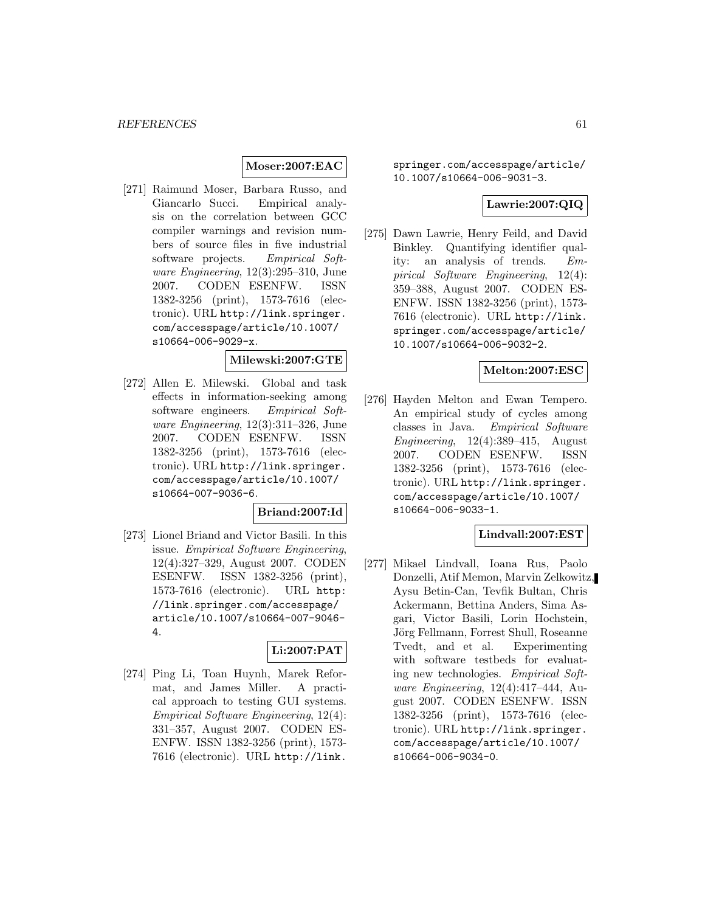## **Moser:2007:EAC**

[271] Raimund Moser, Barbara Russo, and Giancarlo Succi. Empirical analysis on the correlation between GCC compiler warnings and revision numbers of source files in five industrial software projects. Empirical Software Engineering, 12(3):295–310, June 2007. CODEN ESENFW. ISSN 1382-3256 (print), 1573-7616 (electronic). URL http://link.springer. com/accesspage/article/10.1007/ s10664-006-9029-x.

# **Milewski:2007:GTE**

[272] Allen E. Milewski. Global and task effects in information-seeking among software engineers. Empirical Software Engineering, 12(3):311–326, June 2007. CODEN ESENFW. ISSN 1382-3256 (print), 1573-7616 (electronic). URL http://link.springer. com/accesspage/article/10.1007/ s10664-007-9036-6.

## **Briand:2007:Id**

[273] Lionel Briand and Victor Basili. In this issue. Empirical Software Engineering, 12(4):327–329, August 2007. CODEN ESENFW. ISSN 1382-3256 (print), 1573-7616 (electronic). URL http: //link.springer.com/accesspage/ article/10.1007/s10664-007-9046- 4.

## **Li:2007:PAT**

[274] Ping Li, Toan Huynh, Marek Reformat, and James Miller. A practical approach to testing GUI systems. Empirical Software Engineering, 12(4): 331–357, August 2007. CODEN ES-ENFW. ISSN 1382-3256 (print), 1573- 7616 (electronic). URL http://link.

springer.com/accesspage/article/ 10.1007/s10664-006-9031-3.

## **Lawrie:2007:QIQ**

[275] Dawn Lawrie, Henry Feild, and David Binkley. Quantifying identifier quality: an analysis of trends. Empirical Software Engineering, 12(4): 359–388, August 2007. CODEN ES-ENFW. ISSN 1382-3256 (print), 1573- 7616 (electronic). URL http://link. springer.com/accesspage/article/ 10.1007/s10664-006-9032-2.

## **Melton:2007:ESC**

[276] Hayden Melton and Ewan Tempero. An empirical study of cycles among classes in Java. Empirical Software Engineering,  $12(4):389-415$ , August 2007. CODEN ESENFW. ISSN 1382-3256 (print), 1573-7616 (electronic). URL http://link.springer. com/accesspage/article/10.1007/ s10664-006-9033-1.

## **Lindvall:2007:EST**

[277] Mikael Lindvall, Ioana Rus, Paolo Donzelli, Atif Memon, Marvin Zelkowitz, Aysu Betin-Can, Tevfik Bultan, Chris Ackermann, Bettina Anders, Sima Asgari, Victor Basili, Lorin Hochstein, Jörg Fellmann, Forrest Shull, Roseanne Tvedt, and et al. Experimenting with software testbeds for evaluating new technologies. Empirical Software Engineering, 12(4):417–444, August 2007. CODEN ESENFW. ISSN 1382-3256 (print), 1573-7616 (electronic). URL http://link.springer. com/accesspage/article/10.1007/ s10664-006-9034-0.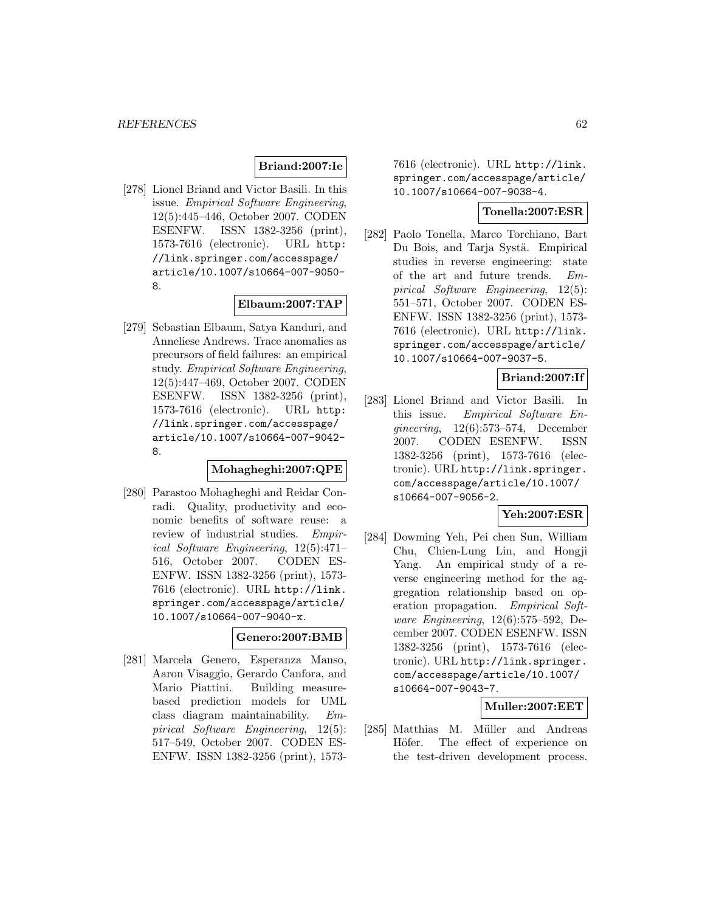## **Briand:2007:Ie**

[278] Lionel Briand and Victor Basili. In this issue. Empirical Software Engineering, 12(5):445–446, October 2007. CODEN ESENFW. ISSN 1382-3256 (print), 1573-7616 (electronic). URL http: //link.springer.com/accesspage/ article/10.1007/s10664-007-9050- 8.

## **Elbaum:2007:TAP**

[279] Sebastian Elbaum, Satya Kanduri, and Anneliese Andrews. Trace anomalies as precursors of field failures: an empirical study. Empirical Software Engineering, 12(5):447–469, October 2007. CODEN ESENFW. ISSN 1382-3256 (print), 1573-7616 (electronic). URL http: //link.springer.com/accesspage/ article/10.1007/s10664-007-9042- 8.

## **Mohagheghi:2007:QPE**

[280] Parastoo Mohagheghi and Reidar Conradi. Quality, productivity and economic benefits of software reuse: a review of industrial studies. Empirical Software Engineering, 12(5):471– 516, October 2007. CODEN ES-ENFW. ISSN 1382-3256 (print), 1573- 7616 (electronic). URL http://link. springer.com/accesspage/article/ 10.1007/s10664-007-9040-x.

## **Genero:2007:BMB**

[281] Marcela Genero, Esperanza Manso, Aaron Visaggio, Gerardo Canfora, and Mario Piattini. Building measurebased prediction models for UML class diagram maintainability. Empirical Software Engineering, 12(5): 517–549, October 2007. CODEN ES-ENFW. ISSN 1382-3256 (print), 15737616 (electronic). URL http://link. springer.com/accesspage/article/ 10.1007/s10664-007-9038-4.

## **Tonella:2007:ESR**

[282] Paolo Tonella, Marco Torchiano, Bart Du Bois, and Tarja Systä. Empirical studies in reverse engineering: state of the art and future trends. Empirical Software Engineering, 12(5): 551–571, October 2007. CODEN ES-ENFW. ISSN 1382-3256 (print), 1573- 7616 (electronic). URL http://link. springer.com/accesspage/article/ 10.1007/s10664-007-9037-5.

**Briand:2007:If**

[283] Lionel Briand and Victor Basili. In this issue. Empirical Software Engineering, 12(6):573–574, December 2007. CODEN ESENFW. ISSN 1382-3256 (print), 1573-7616 (electronic). URL http://link.springer. com/accesspage/article/10.1007/ s10664-007-9056-2.

## **Yeh:2007:ESR**

[284] Dowming Yeh, Pei chen Sun, William Chu, Chien-Lung Lin, and Hongji Yang. An empirical study of a reverse engineering method for the aggregation relationship based on operation propagation. Empirical Software Engineering, 12(6):575–592, December 2007. CODEN ESENFW. ISSN 1382-3256 (print), 1573-7616 (electronic). URL http://link.springer. com/accesspage/article/10.1007/ s10664-007-9043-7.

## **Muller:2007:EET**

[285] Matthias M. Müller and Andreas Höfer. The effect of experience on the test-driven development process.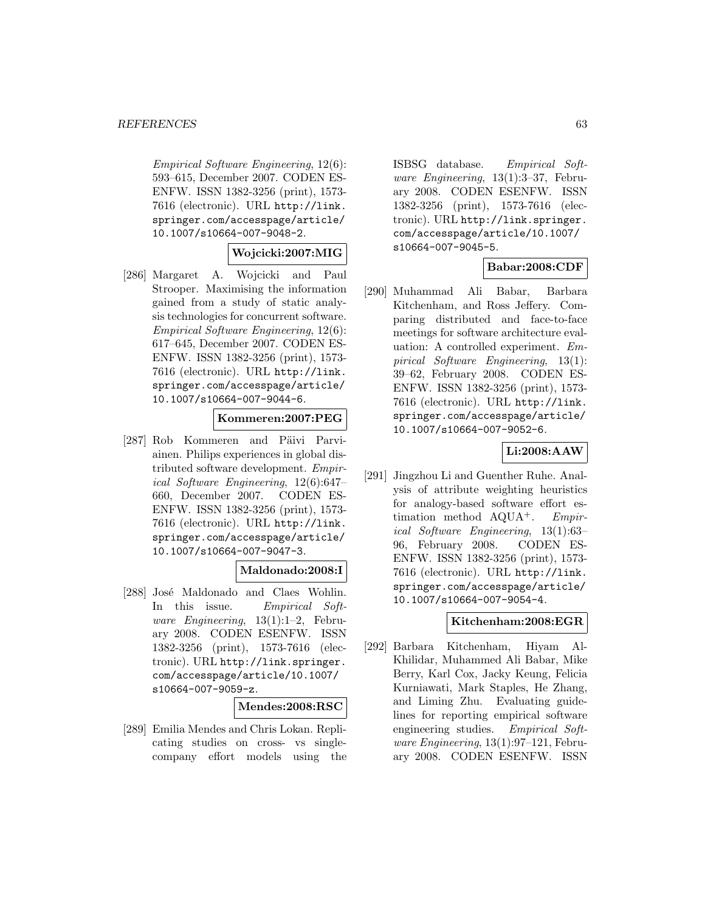Empirical Software Engineering, 12(6): 593–615, December 2007. CODEN ES-ENFW. ISSN 1382-3256 (print), 1573- 7616 (electronic). URL http://link. springer.com/accesspage/article/ 10.1007/s10664-007-9048-2.

## **Wojcicki:2007:MIG**

[286] Margaret A. Wojcicki and Paul Strooper. Maximising the information gained from a study of static analysis technologies for concurrent software. Empirical Software Engineering, 12(6): 617–645, December 2007. CODEN ES-ENFW. ISSN 1382-3256 (print), 1573- 7616 (electronic). URL http://link. springer.com/accesspage/article/ 10.1007/s10664-007-9044-6.

# **Kommeren:2007:PEG**

[287] Rob Kommeren and Päivi Parviainen. Philips experiences in global distributed software development. Empirical Software Engineering, 12(6):647– 660, December 2007. CODEN ES-ENFW. ISSN 1382-3256 (print), 1573- 7616 (electronic). URL http://link. springer.com/accesspage/article/ 10.1007/s10664-007-9047-3.

## **Maldonado:2008:I**

[288] José Maldonado and Claes Wohlin. In this issue. Empirical Software Engineering, 13(1):1–2, February 2008. CODEN ESENFW. ISSN 1382-3256 (print), 1573-7616 (electronic). URL http://link.springer. com/accesspage/article/10.1007/ s10664-007-9059-z.

#### **Mendes:2008:RSC**

[289] Emilia Mendes and Chris Lokan. Replicating studies on cross- vs singlecompany effort models using the ISBSG database. Empirical Software Engineering, 13(1):3–37, February 2008. CODEN ESENFW. ISSN 1382-3256 (print), 1573-7616 (electronic). URL http://link.springer. com/accesspage/article/10.1007/ s10664-007-9045-5.

## **Babar:2008:CDF**

[290] Muhammad Ali Babar, Barbara Kitchenham, and Ross Jeffery. Comparing distributed and face-to-face meetings for software architecture evaluation: A controlled experiment. Empirical Software Engineering, 13(1): 39–62, February 2008. CODEN ES-ENFW. ISSN 1382-3256 (print), 1573- 7616 (electronic). URL http://link. springer.com/accesspage/article/ 10.1007/s10664-007-9052-6.

# **Li:2008:AAW**

[291] Jingzhou Li and Guenther Ruhe. Analysis of attribute weighting heuristics for analogy-based software effort estimation method AQUA<sup>+</sup>. Empirical Software Engineering, 13(1):63– 96, February 2008. CODEN ES-ENFW. ISSN 1382-3256 (print), 1573- 7616 (electronic). URL http://link. springer.com/accesspage/article/ 10.1007/s10664-007-9054-4.

#### **Kitchenham:2008:EGR**

[292] Barbara Kitchenham, Hiyam Al-Khilidar, Muhammed Ali Babar, Mike Berry, Karl Cox, Jacky Keung, Felicia Kurniawati, Mark Staples, He Zhang, and Liming Zhu. Evaluating guidelines for reporting empirical software engineering studies. Empirical Software Engineering, 13(1):97–121, February 2008. CODEN ESENFW. ISSN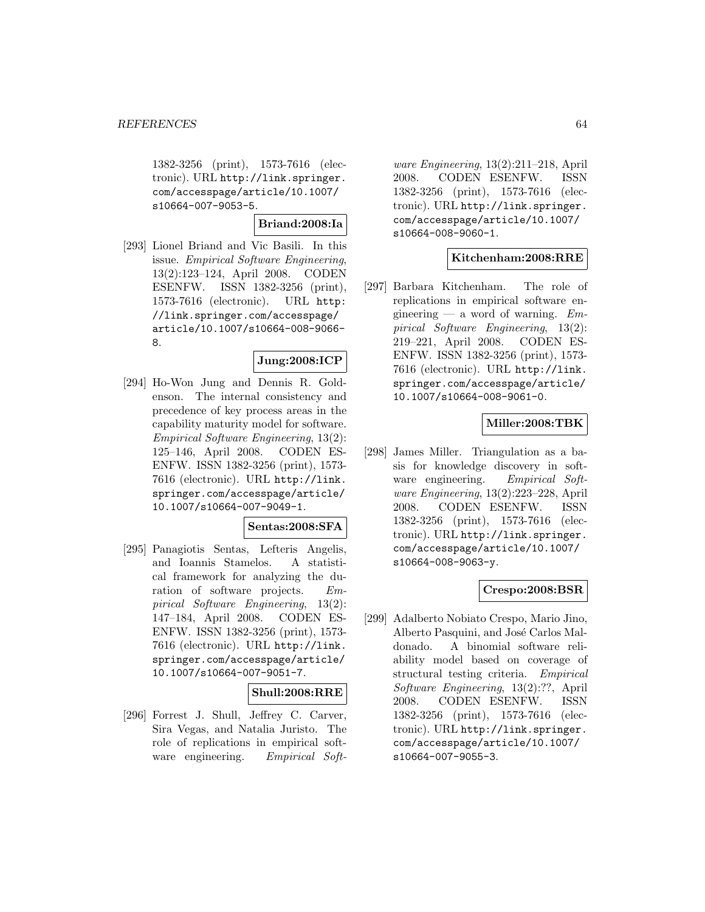1382-3256 (print), 1573-7616 (electronic). URL http://link.springer. com/accesspage/article/10.1007/ s10664-007-9053-5.

## **Briand:2008:Ia**

[293] Lionel Briand and Vic Basili. In this issue. Empirical Software Engineering, 13(2):123–124, April 2008. CODEN ESENFW. ISSN 1382-3256 (print), 1573-7616 (electronic). URL http: //link.springer.com/accesspage/ article/10.1007/s10664-008-9066- 8.

# **Jung:2008:ICP**

[294] Ho-Won Jung and Dennis R. Goldenson. The internal consistency and precedence of key process areas in the capability maturity model for software. Empirical Software Engineering, 13(2): 125–146, April 2008. CODEN ES-ENFW. ISSN 1382-3256 (print), 1573- 7616 (electronic). URL http://link. springer.com/accesspage/article/ 10.1007/s10664-007-9049-1.

## **Sentas:2008:SFA**

[295] Panagiotis Sentas, Lefteris Angelis, and Ioannis Stamelos. A statistical framework for analyzing the duration of software projects. Empirical Software Engineering, 13(2): 147–184, April 2008. CODEN ES-ENFW. ISSN 1382-3256 (print), 1573- 7616 (electronic). URL http://link. springer.com/accesspage/article/ 10.1007/s10664-007-9051-7.

#### **Shull:2008:RRE**

[296] Forrest J. Shull, Jeffrey C. Carver, Sira Vegas, and Natalia Juristo. The role of replications in empirical software engineering. Empirical Soft-

ware Engineering, 13(2):211–218, April 2008. CODEN ESENFW. ISSN 1382-3256 (print), 1573-7616 (electronic). URL http://link.springer. com/accesspage/article/10.1007/ s10664-008-9060-1.

## **Kitchenham:2008:RRE**

[297] Barbara Kitchenham. The role of replications in empirical software engineering — a word of warning.  $Em$ pirical Software Engineering, 13(2): 219–221, April 2008. CODEN ES-ENFW. ISSN 1382-3256 (print), 1573- 7616 (electronic). URL http://link. springer.com/accesspage/article/ 10.1007/s10664-008-9061-0.

## **Miller:2008:TBK**

[298] James Miller. Triangulation as a basis for knowledge discovery in software engineering. Empirical Software Engineering, 13(2):223–228, April 2008. CODEN ESENFW. ISSN 1382-3256 (print), 1573-7616 (electronic). URL http://link.springer. com/accesspage/article/10.1007/ s10664-008-9063-y.

## **Crespo:2008:BSR**

[299] Adalberto Nobiato Crespo, Mario Jino, Alberto Pasquini, and José Carlos Maldonado. A binomial software reliability model based on coverage of structural testing criteria. Empirical Software Engineering, 13(2):??, April 2008. CODEN ESENFW. ISSN 1382-3256 (print), 1573-7616 (electronic). URL http://link.springer. com/accesspage/article/10.1007/ s10664-007-9055-3.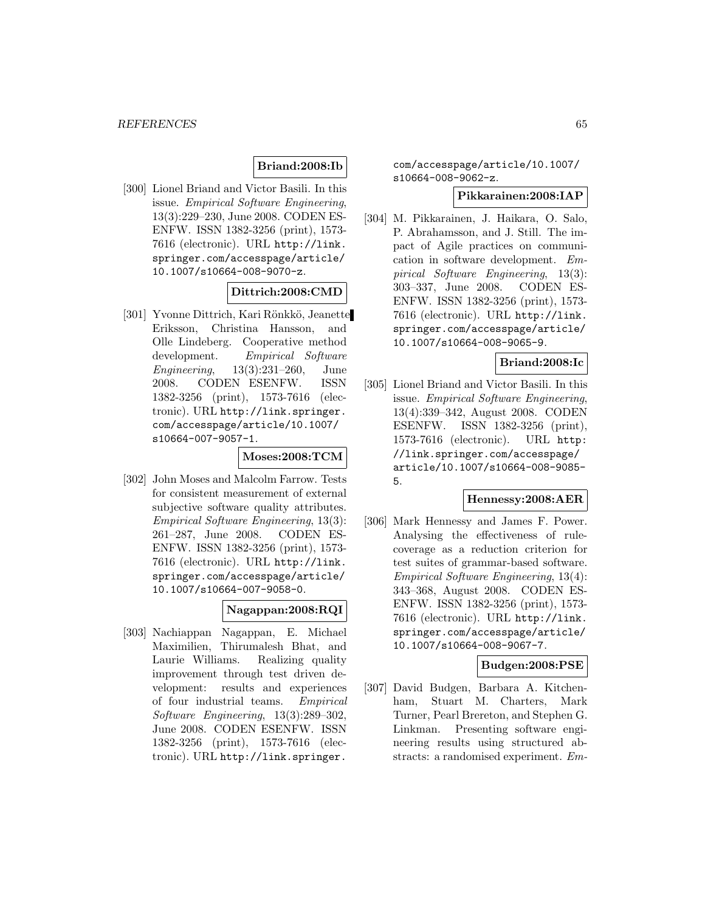## **Briand:2008:Ib**

[300] Lionel Briand and Victor Basili. In this issue. Empirical Software Engineering, 13(3):229–230, June 2008. CODEN ES-ENFW. ISSN 1382-3256 (print), 1573- 7616 (electronic). URL http://link. springer.com/accesspage/article/ 10.1007/s10664-008-9070-z.

## **Dittrich:2008:CMD**

[301] Yvonne Dittrich, Kari Rönkkö, Jeanette Eriksson, Christina Hansson, and Olle Lindeberg. Cooperative method development. Empirical Software Engineering, 13(3):231–260, June 2008. CODEN ESENFW. ISSN 1382-3256 (print), 1573-7616 (electronic). URL http://link.springer. com/accesspage/article/10.1007/ s10664-007-9057-1.

#### **Moses:2008:TCM**

[302] John Moses and Malcolm Farrow. Tests for consistent measurement of external subjective software quality attributes. Empirical Software Engineering, 13(3): 261–287, June 2008. CODEN ES-ENFW. ISSN 1382-3256 (print), 1573- 7616 (electronic). URL http://link. springer.com/accesspage/article/ 10.1007/s10664-007-9058-0.

## **Nagappan:2008:RQI**

[303] Nachiappan Nagappan, E. Michael Maximilien, Thirumalesh Bhat, and Laurie Williams. Realizing quality improvement through test driven development: results and experiences of four industrial teams. Empirical Software Engineering, 13(3):289–302, June 2008. CODEN ESENFW. ISSN 1382-3256 (print), 1573-7616 (electronic). URL http://link.springer.

com/accesspage/article/10.1007/ s10664-008-9062-z.

### **Pikkarainen:2008:IAP**

[304] M. Pikkarainen, J. Haikara, O. Salo, P. Abrahamsson, and J. Still. The impact of Agile practices on communication in software development. Empirical Software Engineering, 13(3): 303–337, June 2008. CODEN ES-ENFW. ISSN 1382-3256 (print), 1573- 7616 (electronic). URL http://link. springer.com/accesspage/article/ 10.1007/s10664-008-9065-9.

## **Briand:2008:Ic**

[305] Lionel Briand and Victor Basili. In this issue. Empirical Software Engineering, 13(4):339–342, August 2008. CODEN ESENFW. ISSN 1382-3256 (print), 1573-7616 (electronic). URL http: //link.springer.com/accesspage/ article/10.1007/s10664-008-9085- 5.

#### **Hennessy:2008:AER**

[306] Mark Hennessy and James F. Power. Analysing the effectiveness of rulecoverage as a reduction criterion for test suites of grammar-based software. Empirical Software Engineering, 13(4): 343–368, August 2008. CODEN ES-ENFW. ISSN 1382-3256 (print), 1573- 7616 (electronic). URL http://link. springer.com/accesspage/article/ 10.1007/s10664-008-9067-7.

### **Budgen:2008:PSE**

[307] David Budgen, Barbara A. Kitchenham, Stuart M. Charters, Mark Turner, Pearl Brereton, and Stephen G. Linkman. Presenting software engineering results using structured abstracts: a randomised experiment. Em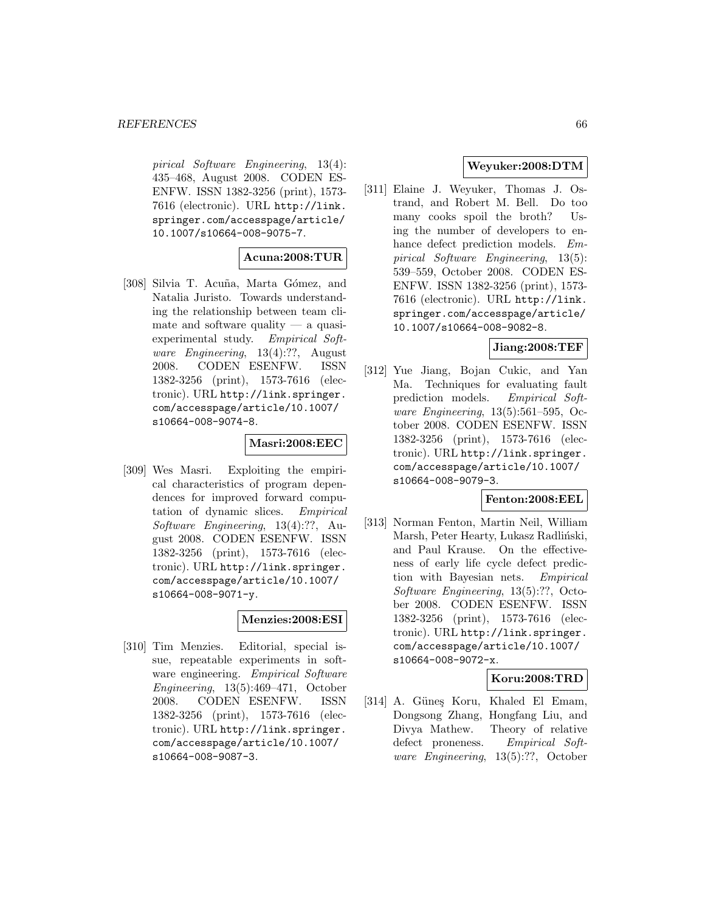pirical Software Engineering, 13(4): 435–468, August 2008. CODEN ES-ENFW. ISSN 1382-3256 (print), 1573- 7616 (electronic). URL http://link. springer.com/accesspage/article/ 10.1007/s10664-008-9075-7.

## **Acuna:2008:TUR**

[308] Silvia T. Acuña, Marta Gómez, and Natalia Juristo. Towards understanding the relationship between team climate and software quality — a quasiexperimental study. Empirical Software Engineering, 13(4):??, August 2008. CODEN ESENFW. ISSN 1382-3256 (print), 1573-7616 (electronic). URL http://link.springer. com/accesspage/article/10.1007/ s10664-008-9074-8.

### **Masri:2008:EEC**

[309] Wes Masri. Exploiting the empirical characteristics of program dependences for improved forward computation of dynamic slices. Empirical Software Engineering, 13(4):??, August 2008. CODEN ESENFW. ISSN 1382-3256 (print), 1573-7616 (electronic). URL http://link.springer. com/accesspage/article/10.1007/ s10664-008-9071-y.

## **Menzies:2008:ESI**

[310] Tim Menzies. Editorial, special issue, repeatable experiments in software engineering. *Empirical Software* Engineering, 13(5):469–471, October 2008. CODEN ESENFW. ISSN 1382-3256 (print), 1573-7616 (electronic). URL http://link.springer. com/accesspage/article/10.1007/ s10664-008-9087-3.

## **Weyuker:2008:DTM**

[311] Elaine J. Weyuker, Thomas J. Ostrand, and Robert M. Bell. Do too many cooks spoil the broth? Using the number of developers to enhance defect prediction models. Empirical Software Engineering, 13(5): 539–559, October 2008. CODEN ES-ENFW. ISSN 1382-3256 (print), 1573- 7616 (electronic). URL http://link. springer.com/accesspage/article/ 10.1007/s10664-008-9082-8.

# **Jiang:2008:TEF**

[312] Yue Jiang, Bojan Cukic, and Yan Ma. Techniques for evaluating fault prediction models. Empirical Software Engineering, 13(5):561–595, October 2008. CODEN ESENFW. ISSN 1382-3256 (print), 1573-7616 (electronic). URL http://link.springer. com/accesspage/article/10.1007/ s10664-008-9079-3.

## **Fenton:2008:EEL**

[313] Norman Fenton, Martin Neil, William Marsh, Peter Hearty, Lukasz Radliński, and Paul Krause. On the effectiveness of early life cycle defect prediction with Bayesian nets. Empirical Software Engineering, 13(5):??, October 2008. CODEN ESENFW. ISSN 1382-3256 (print), 1573-7616 (electronic). URL http://link.springer. com/accesspage/article/10.1007/ s10664-008-9072-x.

## **Koru:2008:TRD**

[314] A. Günes Koru, Khaled El Emam, Dongsong Zhang, Hongfang Liu, and Divya Mathew. Theory of relative defect proneness. Empirical Software Engineering, 13(5):??, October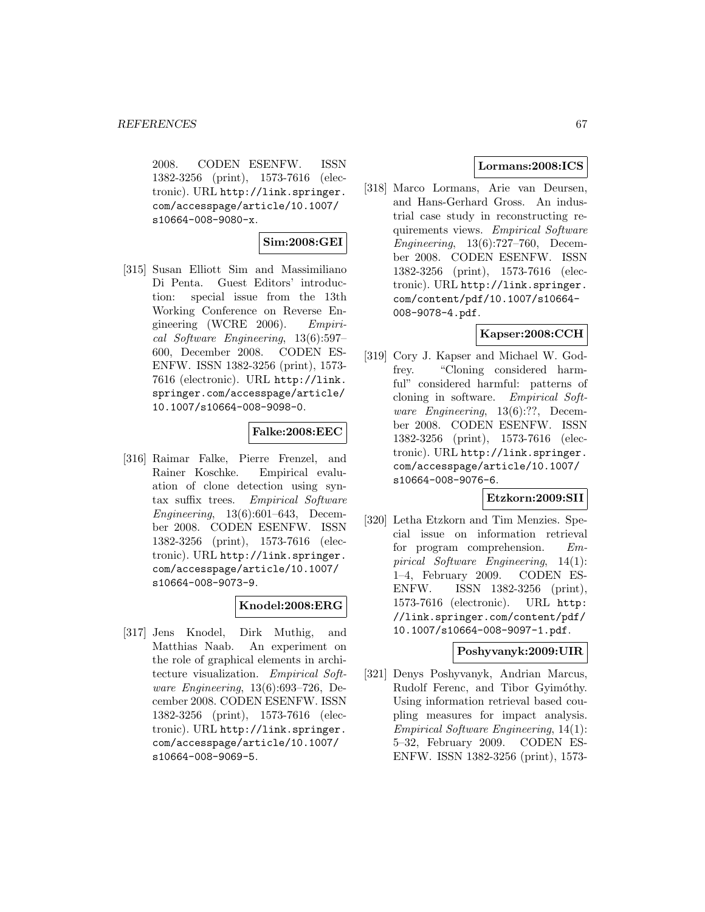2008. CODEN ESENFW. ISSN 1382-3256 (print), 1573-7616 (electronic). URL http://link.springer. com/accesspage/article/10.1007/ s10664-008-9080-x.

## **Sim:2008:GEI**

[315] Susan Elliott Sim and Massimiliano Di Penta. Guest Editors' introduction: special issue from the 13th Working Conference on Reverse Engineering (WCRE 2006). Empirical Software Engineering, 13(6):597– 600, December 2008. CODEN ES-ENFW. ISSN 1382-3256 (print), 1573- 7616 (electronic). URL http://link. springer.com/accesspage/article/ 10.1007/s10664-008-9098-0.

## **Falke:2008:EEC**

[316] Raimar Falke, Pierre Frenzel, and Rainer Koschke. Empirical evaluation of clone detection using syntax suffix trees. Empirical Software Engineering, 13(6):601–643, December 2008. CODEN ESENFW. ISSN 1382-3256 (print), 1573-7616 (electronic). URL http://link.springer. com/accesspage/article/10.1007/ s10664-008-9073-9.

# **Knodel:2008:ERG**

[317] Jens Knodel, Dirk Muthig, and Matthias Naab. An experiment on the role of graphical elements in architecture visualization. Empirical Software Engineering, 13(6):693–726, December 2008. CODEN ESENFW. ISSN 1382-3256 (print), 1573-7616 (electronic). URL http://link.springer. com/accesspage/article/10.1007/ s10664-008-9069-5.

# **Lormans:2008:ICS**

[318] Marco Lormans, Arie van Deursen, and Hans-Gerhard Gross. An industrial case study in reconstructing requirements views. Empirical Software Engineering, 13(6):727–760, December 2008. CODEN ESENFW. ISSN 1382-3256 (print), 1573-7616 (electronic). URL http://link.springer. com/content/pdf/10.1007/s10664- 008-9078-4.pdf.

## **Kapser:2008:CCH**

[319] Cory J. Kapser and Michael W. Godfrey. "Cloning considered harmful" considered harmful: patterns of cloning in software. Empirical Software Engineering, 13(6):??, December 2008. CODEN ESENFW. ISSN 1382-3256 (print), 1573-7616 (electronic). URL http://link.springer. com/accesspage/article/10.1007/ s10664-008-9076-6.

## **Etzkorn:2009:SII**

[320] Letha Etzkorn and Tim Menzies. Special issue on information retrieval for program comprehension. Empirical Software Engineering, 14(1): 1–4, February 2009. CODEN ES-ENFW. ISSN 1382-3256 (print), 1573-7616 (electronic). URL http: //link.springer.com/content/pdf/ 10.1007/s10664-008-9097-1.pdf.

## **Poshyvanyk:2009:UIR**

[321] Denys Poshyvanyk, Andrian Marcus, Rudolf Ferenc, and Tibor Gyimóthy. Using information retrieval based coupling measures for impact analysis. Empirical Software Engineering, 14(1): 5–32, February 2009. CODEN ES-ENFW. ISSN 1382-3256 (print), 1573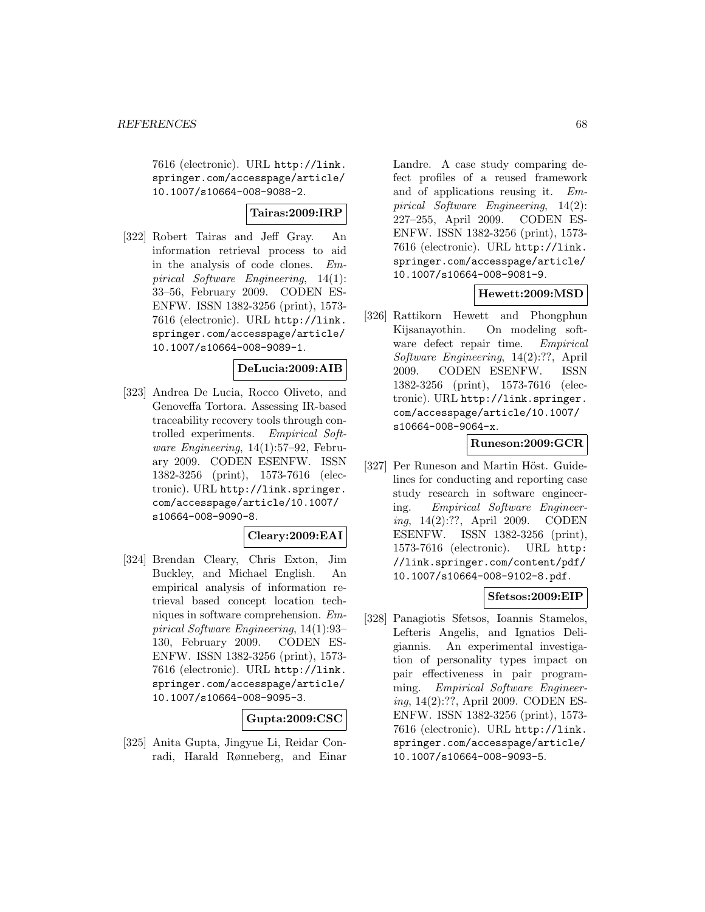7616 (electronic). URL http://link. springer.com/accesspage/article/ 10.1007/s10664-008-9088-2.

## **Tairas:2009:IRP**

[322] Robert Tairas and Jeff Gray. An information retrieval process to aid in the analysis of code clones. Empirical Software Engineering, 14(1): 33–56, February 2009. CODEN ES-ENFW. ISSN 1382-3256 (print), 1573- 7616 (electronic). URL http://link. springer.com/accesspage/article/ 10.1007/s10664-008-9089-1.

## **DeLucia:2009:AIB**

[323] Andrea De Lucia, Rocco Oliveto, and Genoveffa Tortora. Assessing IR-based traceability recovery tools through controlled experiments. Empirical Software Engineering, 14(1):57–92, February 2009. CODEN ESENFW. ISSN 1382-3256 (print), 1573-7616 (electronic). URL http://link.springer. com/accesspage/article/10.1007/ s10664-008-9090-8.

## **Cleary:2009:EAI**

[324] Brendan Cleary, Chris Exton, Jim Buckley, and Michael English. An empirical analysis of information retrieval based concept location techniques in software comprehension. Empirical Software Engineering, 14(1):93– 130, February 2009. CODEN ES-ENFW. ISSN 1382-3256 (print), 1573- 7616 (electronic). URL http://link. springer.com/accesspage/article/ 10.1007/s10664-008-9095-3.

# **Gupta:2009:CSC**

[325] Anita Gupta, Jingyue Li, Reidar Conradi, Harald Rønneberg, and Einar

Landre. A case study comparing defect profiles of a reused framework and of applications reusing it. Empirical Software Engineering, 14(2): 227–255, April 2009. CODEN ES-ENFW. ISSN 1382-3256 (print), 1573- 7616 (electronic). URL http://link. springer.com/accesspage/article/ 10.1007/s10664-008-9081-9.

## **Hewett:2009:MSD**

[326] Rattikorn Hewett and Phongphun Kijsanayothin. On modeling software defect repair time. Empirical Software Engineering, 14(2):??, April 2009. CODEN ESENFW. ISSN 1382-3256 (print), 1573-7616 (electronic). URL http://link.springer. com/accesspage/article/10.1007/ s10664-008-9064-x.

## **Runeson:2009:GCR**

[327] Per Runeson and Martin Höst. Guidelines for conducting and reporting case study research in software engineering. Empirical Software Engineering, 14(2):??, April 2009. CODEN ESENFW. ISSN 1382-3256 (print), 1573-7616 (electronic). URL http: //link.springer.com/content/pdf/ 10.1007/s10664-008-9102-8.pdf.

## **Sfetsos:2009:EIP**

[328] Panagiotis Sfetsos, Ioannis Stamelos, Lefteris Angelis, and Ignatios Deligiannis. An experimental investigation of personality types impact on pair effectiveness in pair programming. Empirical Software Engineering, 14(2):??, April 2009. CODEN ES-ENFW. ISSN 1382-3256 (print), 1573- 7616 (electronic). URL http://link. springer.com/accesspage/article/ 10.1007/s10664-008-9093-5.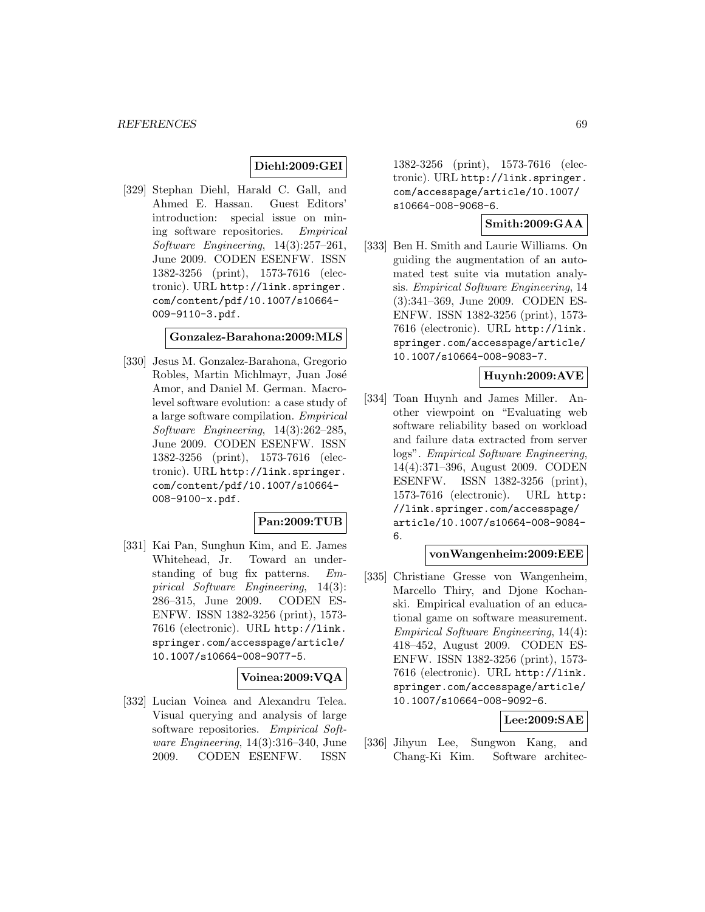## **Diehl:2009:GEI**

[329] Stephan Diehl, Harald C. Gall, and Ahmed E. Hassan. Guest Editors' introduction: special issue on mining software repositories. Empirical Software Engineering, 14(3):257–261, June 2009. CODEN ESENFW. ISSN 1382-3256 (print), 1573-7616 (electronic). URL http://link.springer. com/content/pdf/10.1007/s10664- 009-9110-3.pdf.

#### **Gonzalez-Barahona:2009:MLS**

[330] Jesus M. Gonzalez-Barahona, Gregorio Robles, Martin Michlmayr, Juan José Amor, and Daniel M. German. Macrolevel software evolution: a case study of a large software compilation. Empirical Software Engineering, 14(3):262–285, June 2009. CODEN ESENFW. ISSN 1382-3256 (print), 1573-7616 (electronic). URL http://link.springer. com/content/pdf/10.1007/s10664- 008-9100-x.pdf.

## **Pan:2009:TUB**

[331] Kai Pan, Sunghun Kim, and E. James Whitehead, Jr. Toward an understanding of bug fix patterns. Empirical Software Engineering, 14(3): 286–315, June 2009. CODEN ES-ENFW. ISSN 1382-3256 (print), 1573- 7616 (electronic). URL http://link. springer.com/accesspage/article/ 10.1007/s10664-008-9077-5.

## **Voinea:2009:VQA**

[332] Lucian Voinea and Alexandru Telea. Visual querying and analysis of large software repositories. Empirical Software Engineering, 14(3):316–340, June 2009. CODEN ESENFW. ISSN

1382-3256 (print), 1573-7616 (electronic). URL http://link.springer. com/accesspage/article/10.1007/ s10664-008-9068-6.

## **Smith:2009:GAA**

[333] Ben H. Smith and Laurie Williams. On guiding the augmentation of an automated test suite via mutation analysis. Empirical Software Engineering, 14 (3):341–369, June 2009. CODEN ES-ENFW. ISSN 1382-3256 (print), 1573- 7616 (electronic). URL http://link. springer.com/accesspage/article/ 10.1007/s10664-008-9083-7.

## **Huynh:2009:AVE**

[334] Toan Huynh and James Miller. Another viewpoint on "Evaluating web software reliability based on workload and failure data extracted from server logs". Empirical Software Engineering, 14(4):371–396, August 2009. CODEN ESENFW. ISSN 1382-3256 (print), 1573-7616 (electronic). URL http: //link.springer.com/accesspage/ article/10.1007/s10664-008-9084- 6.

#### **vonWangenheim:2009:EEE**

[335] Christiane Gresse von Wangenheim, Marcello Thiry, and Djone Kochanski. Empirical evaluation of an educational game on software measurement. Empirical Software Engineering, 14(4): 418–452, August 2009. CODEN ES-ENFW. ISSN 1382-3256 (print), 1573- 7616 (electronic). URL http://link. springer.com/accesspage/article/ 10.1007/s10664-008-9092-6.

## **Lee:2009:SAE**

[336] Jihyun Lee, Sungwon Kang, and Chang-Ki Kim. Software architec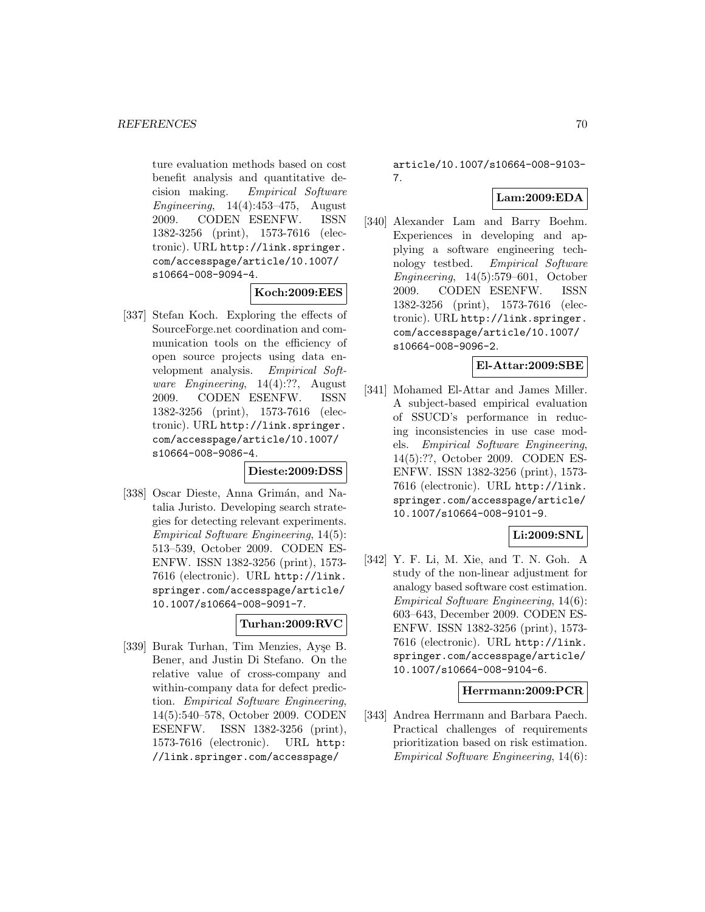ture evaluation methods based on cost benefit analysis and quantitative decision making. Empirical Software Engineering, 14(4):453–475, August 2009. CODEN ESENFW. ISSN 1382-3256 (print), 1573-7616 (electronic). URL http://link.springer. com/accesspage/article/10.1007/ s10664-008-9094-4.

## **Koch:2009:EES**

[337] Stefan Koch. Exploring the effects of SourceForge.net coordination and communication tools on the efficiency of open source projects using data envelopment analysis. Empirical Software Engineering, 14(4):??, August 2009. CODEN ESENFW. ISSN 1382-3256 (print), 1573-7616 (electronic). URL http://link.springer. com/accesspage/article/10.1007/ s10664-008-9086-4.

#### **Dieste:2009:DSS**

[338] Oscar Dieste, Anna Grimán, and Natalia Juristo. Developing search strategies for detecting relevant experiments. Empirical Software Engineering, 14(5): 513–539, October 2009. CODEN ES-ENFW. ISSN 1382-3256 (print), 1573- 7616 (electronic). URL http://link. springer.com/accesspage/article/ 10.1007/s10664-008-9091-7.

## **Turhan:2009:RVC**

[339] Burak Turhan, Tim Menzies, Ayşe B. Bener, and Justin Di Stefano. On the relative value of cross-company and within-company data for defect prediction. Empirical Software Engineering, 14(5):540–578, October 2009. CODEN ESENFW. ISSN 1382-3256 (print), 1573-7616 (electronic). URL http: //link.springer.com/accesspage/

article/10.1007/s10664-008-9103- 7.

# **Lam:2009:EDA**

[340] Alexander Lam and Barry Boehm. Experiences in developing and applying a software engineering technology testbed. Empirical Software Engineering, 14(5):579–601, October 2009. CODEN ESENFW. ISSN 1382-3256 (print), 1573-7616 (electronic). URL http://link.springer. com/accesspage/article/10.1007/ s10664-008-9096-2.

### **El-Attar:2009:SBE**

[341] Mohamed El-Attar and James Miller. A subject-based empirical evaluation of SSUCD's performance in reducing inconsistencies in use case models. Empirical Software Engineering, 14(5):??, October 2009. CODEN ES-ENFW. ISSN 1382-3256 (print), 1573- 7616 (electronic). URL http://link. springer.com/accesspage/article/ 10.1007/s10664-008-9101-9.

## **Li:2009:SNL**

[342] Y. F. Li, M. Xie, and T. N. Goh. A study of the non-linear adjustment for analogy based software cost estimation. Empirical Software Engineering, 14(6): 603–643, December 2009. CODEN ES-ENFW. ISSN 1382-3256 (print), 1573- 7616 (electronic). URL http://link. springer.com/accesspage/article/ 10.1007/s10664-008-9104-6.

## **Herrmann:2009:PCR**

[343] Andrea Herrmann and Barbara Paech. Practical challenges of requirements prioritization based on risk estimation. Empirical Software Engineering, 14(6):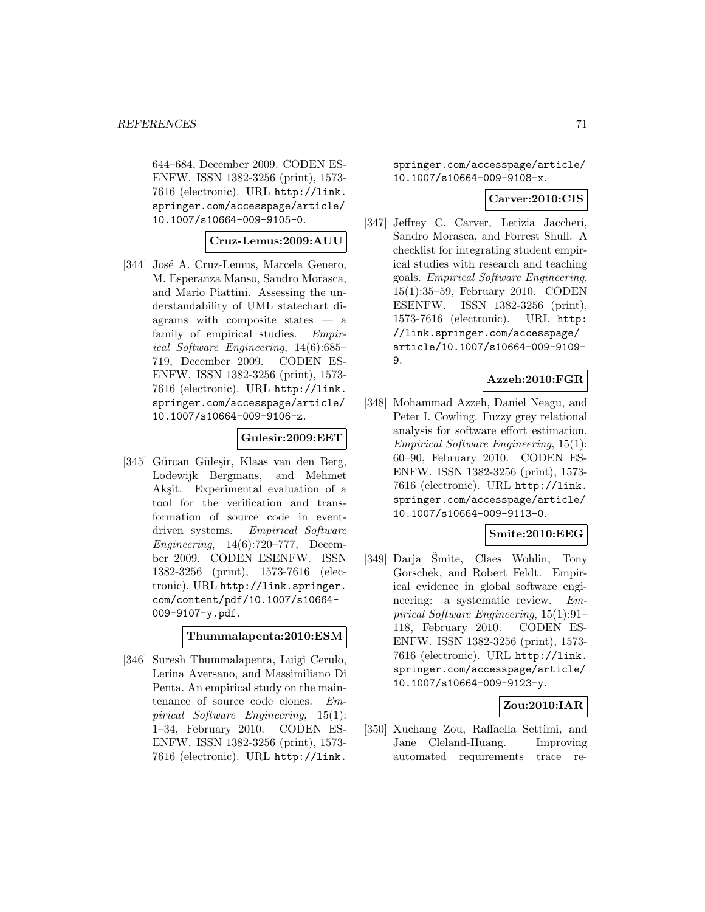644–684, December 2009. CODEN ES-ENFW. ISSN 1382-3256 (print), 1573- 7616 (electronic). URL http://link. springer.com/accesspage/article/ 10.1007/s10664-009-9105-0.

## **Cruz-Lemus:2009:AUU**

[344] José A. Cruz-Lemus, Marcela Genero, M. Esperanza Manso, Sandro Morasca, and Mario Piattini. Assessing the understandability of UML statechart diagrams with composite states — a family of empirical studies. Empirical Software Engineering, 14(6):685– 719, December 2009. CODEN ES-ENFW. ISSN 1382-3256 (print), 1573- 7616 (electronic). URL http://link. springer.com/accesspage/article/ 10.1007/s10664-009-9106-z.

## **Gulesir:2009:EET**

[345] Gürcan Güleşir, Klaas van den Berg, Lodewijk Bergmans, and Mehmet Aksit. Experimental evaluation of a tool for the verification and transformation of source code in eventdriven systems. Empirical Software Engineering, 14(6):720–777, December 2009. CODEN ESENFW. ISSN 1382-3256 (print), 1573-7616 (electronic). URL http://link.springer. com/content/pdf/10.1007/s10664- 009-9107-y.pdf.

### **Thummalapenta:2010:ESM**

[346] Suresh Thummalapenta, Luigi Cerulo, Lerina Aversano, and Massimiliano Di Penta. An empirical study on the maintenance of source code clones. Empirical Software Engineering, 15(1): 1–34, February 2010. CODEN ES-ENFW. ISSN 1382-3256 (print), 1573- 7616 (electronic). URL http://link.

springer.com/accesspage/article/ 10.1007/s10664-009-9108-x.

#### **Carver:2010:CIS**

[347] Jeffrey C. Carver, Letizia Jaccheri, Sandro Morasca, and Forrest Shull. A checklist for integrating student empirical studies with research and teaching goals. Empirical Software Engineering, 15(1):35–59, February 2010. CODEN ESENFW. ISSN 1382-3256 (print), 1573-7616 (electronic). URL http: //link.springer.com/accesspage/ article/10.1007/s10664-009-9109- 9.

## **Azzeh:2010:FGR**

[348] Mohammad Azzeh, Daniel Neagu, and Peter I. Cowling. Fuzzy grey relational analysis for software effort estimation. Empirical Software Engineering, 15(1): 60–90, February 2010. CODEN ES-ENFW. ISSN 1382-3256 (print), 1573- 7616 (electronic). URL http://link. springer.com/accesspage/article/ 10.1007/s10664-009-9113-0.

## **Smite:2010:EEG**

[349] Darja Smite, Claes Wohlin, Tony Gorschek, and Robert Feldt. Empirical evidence in global software engineering: a systematic review. Empirical Software Engineering, 15(1):91– 118, February 2010. CODEN ES-ENFW. ISSN 1382-3256 (print), 1573- 7616 (electronic). URL http://link. springer.com/accesspage/article/ 10.1007/s10664-009-9123-y.

## **Zou:2010:IAR**

[350] Xuchang Zou, Raffaella Settimi, and Jane Cleland-Huang. Improving automated requirements trace re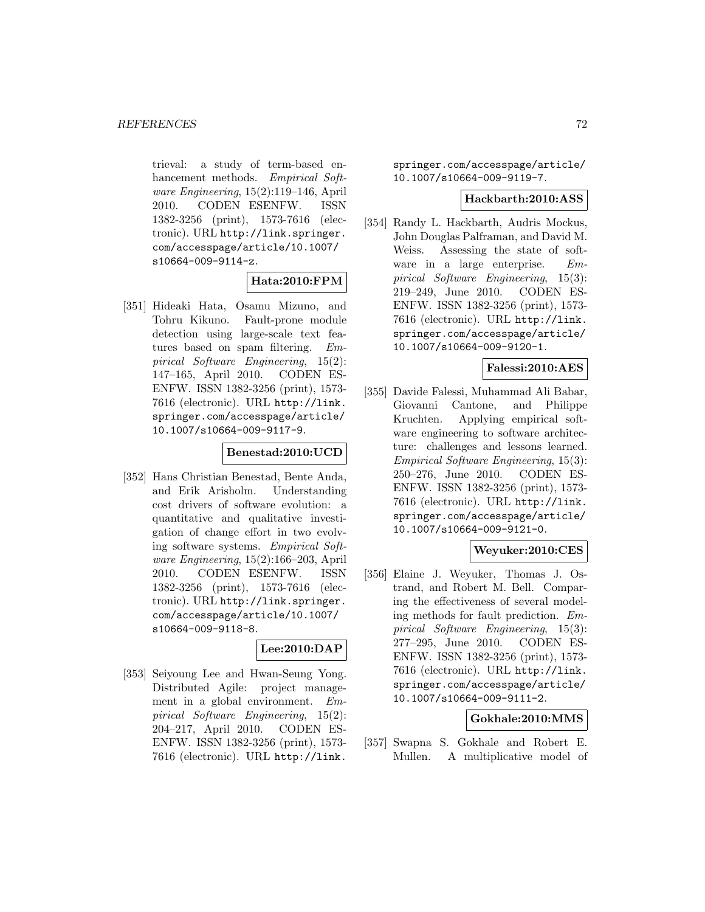trieval: a study of term-based enhancement methods. Empirical Software Engineering, 15(2):119–146, April 2010. CODEN ESENFW. ISSN 1382-3256 (print), 1573-7616 (electronic). URL http://link.springer. com/accesspage/article/10.1007/ s10664-009-9114-z.

#### **Hata:2010:FPM**

[351] Hideaki Hata, Osamu Mizuno, and Tohru Kikuno. Fault-prone module detection using large-scale text features based on spam filtering. Empirical Software Engineering, 15(2): 147–165, April 2010. CODEN ES-ENFW. ISSN 1382-3256 (print), 1573- 7616 (electronic). URL http://link. springer.com/accesspage/article/ 10.1007/s10664-009-9117-9.

#### **Benestad:2010:UCD**

[352] Hans Christian Benestad, Bente Anda, and Erik Arisholm. Understanding cost drivers of software evolution: a quantitative and qualitative investigation of change effort in two evolving software systems. Empirical Software Engineering, 15(2):166–203, April 2010. CODEN ESENFW. ISSN 1382-3256 (print), 1573-7616 (electronic). URL http://link.springer. com/accesspage/article/10.1007/ s10664-009-9118-8.

# **Lee:2010:DAP**

[353] Seiyoung Lee and Hwan-Seung Yong. Distributed Agile: project management in a global environment. Empirical Software Engineering, 15(2): 204–217, April 2010. CODEN ES-ENFW. ISSN 1382-3256 (print), 1573- 7616 (electronic). URL http://link.

springer.com/accesspage/article/ 10.1007/s10664-009-9119-7.

#### **Hackbarth:2010:ASS**

[354] Randy L. Hackbarth, Audris Mockus, John Douglas Palframan, and David M. Weiss. Assessing the state of software in a large enterprise. Empirical Software Engineering, 15(3): 219–249, June 2010. CODEN ES-ENFW. ISSN 1382-3256 (print), 1573- 7616 (electronic). URL http://link. springer.com/accesspage/article/ 10.1007/s10664-009-9120-1.

## **Falessi:2010:AES**

[355] Davide Falessi, Muhammad Ali Babar, Giovanni Cantone, and Philippe Kruchten. Applying empirical software engineering to software architecture: challenges and lessons learned. Empirical Software Engineering, 15(3): 250–276, June 2010. CODEN ES-ENFW. ISSN 1382-3256 (print), 1573- 7616 (electronic). URL http://link. springer.com/accesspage/article/ 10.1007/s10664-009-9121-0.

# **Weyuker:2010:CES**

[356] Elaine J. Weyuker, Thomas J. Ostrand, and Robert M. Bell. Comparing the effectiveness of several modeling methods for fault prediction. Empirical Software Engineering, 15(3): 277–295, June 2010. CODEN ES-ENFW. ISSN 1382-3256 (print), 1573- 7616 (electronic). URL http://link. springer.com/accesspage/article/ 10.1007/s10664-009-9111-2.

## **Gokhale:2010:MMS**

[357] Swapna S. Gokhale and Robert E. Mullen. A multiplicative model of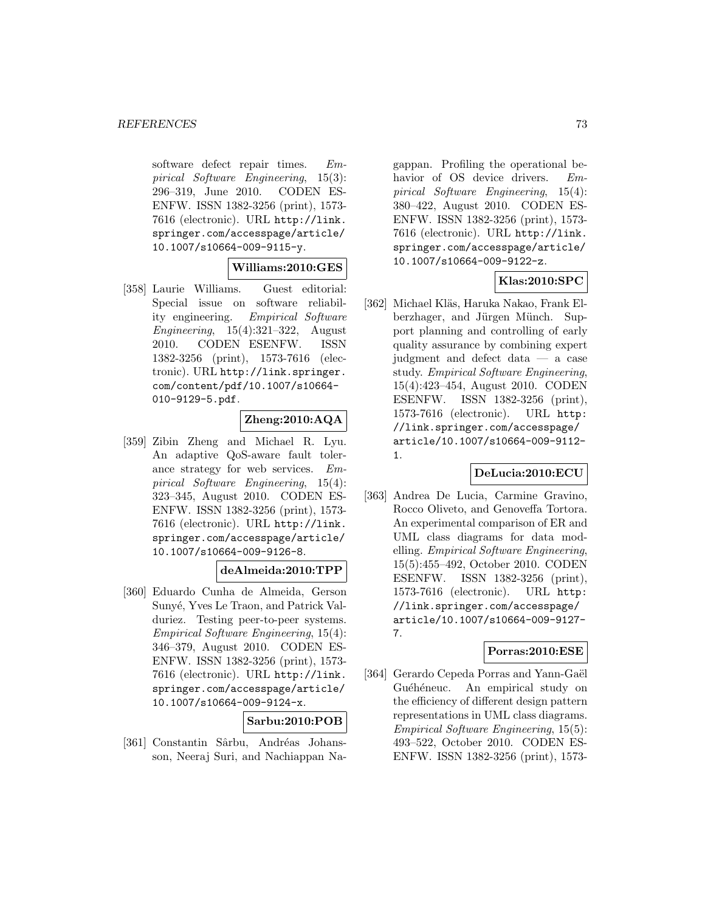software defect repair times. Empirical Software Engineering, 15(3): 296–319, June 2010. CODEN ES-ENFW. ISSN 1382-3256 (print), 1573- 7616 (electronic). URL http://link. springer.com/accesspage/article/ 10.1007/s10664-009-9115-y.

## **Williams:2010:GES**

[358] Laurie Williams. Guest editorial: Special issue on software reliability engineering. Empirical Software Engineering, 15(4):321–322, August 2010. CODEN ESENFW. ISSN 1382-3256 (print), 1573-7616 (electronic). URL http://link.springer. com/content/pdf/10.1007/s10664- 010-9129-5.pdf.

## **Zheng:2010:AQA**

[359] Zibin Zheng and Michael R. Lyu. An adaptive QoS-aware fault tolerance strategy for web services. Empirical Software Engineering, 15(4): 323–345, August 2010. CODEN ES-ENFW. ISSN 1382-3256 (print), 1573- 7616 (electronic). URL http://link. springer.com/accesspage/article/ 10.1007/s10664-009-9126-8.

## **deAlmeida:2010:TPP**

[360] Eduardo Cunha de Almeida, Gerson Sunyé, Yves Le Traon, and Patrick Valduriez. Testing peer-to-peer systems. Empirical Software Engineering, 15(4): 346–379, August 2010. CODEN ES-ENFW. ISSN 1382-3256 (print), 1573- 7616 (electronic). URL http://link. springer.com/accesspage/article/ 10.1007/s10664-009-9124-x.

## **Sarbu:2010:POB**

[361] Constantin Sârbu, Andréas Johansson, Neeraj Suri, and Nachiappan Na-

gappan. Profiling the operational behavior of OS device drivers. Empirical Software Engineering, 15(4): 380–422, August 2010. CODEN ES-ENFW. ISSN 1382-3256 (print), 1573- 7616 (electronic). URL http://link. springer.com/accesspage/article/ 10.1007/s10664-009-9122-z.

# **Klas:2010:SPC**

[362] Michael Kläs, Haruka Nakao, Frank Elberzhager, and Jürgen Münch. Support planning and controlling of early quality assurance by combining expert judgment and defect data — a case study. Empirical Software Engineering, 15(4):423–454, August 2010. CODEN ESENFW. ISSN 1382-3256 (print), 1573-7616 (electronic). URL http: //link.springer.com/accesspage/ article/10.1007/s10664-009-9112- 1.

## **DeLucia:2010:ECU**

[363] Andrea De Lucia, Carmine Gravino, Rocco Oliveto, and Genoveffa Tortora. An experimental comparison of ER and UML class diagrams for data modelling. Empirical Software Engineering, 15(5):455–492, October 2010. CODEN ESENFW. ISSN 1382-3256 (print), 1573-7616 (electronic). URL http: //link.springer.com/accesspage/ article/10.1007/s10664-009-9127- 7.

## **Porras:2010:ESE**

[364] Gerardo Cepeda Porras and Yann-Gaël Guéhéneuc. An empirical study on the efficiency of different design pattern representations in UML class diagrams. Empirical Software Engineering, 15(5): 493–522, October 2010. CODEN ES-ENFW. ISSN 1382-3256 (print), 1573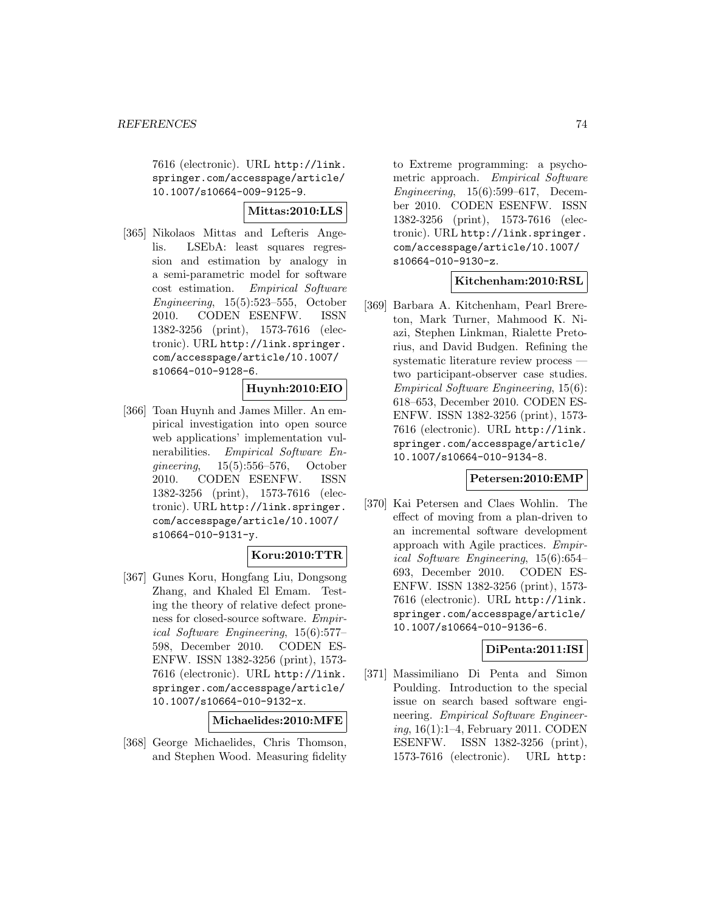7616 (electronic). URL http://link. springer.com/accesspage/article/ 10.1007/s10664-009-9125-9.

## **Mittas:2010:LLS**

[365] Nikolaos Mittas and Lefteris Angelis. LSEbA: least squares regression and estimation by analogy in a semi-parametric model for software cost estimation. Empirical Software Engineering, 15(5):523–555, October 2010. CODEN ESENFW. ISSN 1382-3256 (print), 1573-7616 (electronic). URL http://link.springer. com/accesspage/article/10.1007/ s10664-010-9128-6.

#### **Huynh:2010:EIO**

[366] Toan Huynh and James Miller. An empirical investigation into open source web applications' implementation vulnerabilities. *Empirical Software En*gineering, 15(5):556–576, October 2010. CODEN ESENFW. ISSN 1382-3256 (print), 1573-7616 (electronic). URL http://link.springer. com/accesspage/article/10.1007/ s10664-010-9131-y.

## **Koru:2010:TTR**

[367] Gunes Koru, Hongfang Liu, Dongsong Zhang, and Khaled El Emam. Testing the theory of relative defect proneness for closed-source software. Empirical Software Engineering, 15(6):577– 598, December 2010. CODEN ES-ENFW. ISSN 1382-3256 (print), 1573- 7616 (electronic). URL http://link. springer.com/accesspage/article/ 10.1007/s10664-010-9132-x.

**Michaelides:2010:MFE**

[368] George Michaelides, Chris Thomson, and Stephen Wood. Measuring fidelity

to Extreme programming: a psychometric approach. Empirical Software Engineering, 15(6):599–617, December 2010. CODEN ESENFW. ISSN 1382-3256 (print), 1573-7616 (electronic). URL http://link.springer. com/accesspage/article/10.1007/ s10664-010-9130-z.

## **Kitchenham:2010:RSL**

[369] Barbara A. Kitchenham, Pearl Brereton, Mark Turner, Mahmood K. Niazi, Stephen Linkman, Rialette Pretorius, and David Budgen. Refining the systematic literature review process two participant-observer case studies. Empirical Software Engineering, 15(6): 618–653, December 2010. CODEN ES-ENFW. ISSN 1382-3256 (print), 1573- 7616 (electronic). URL http://link. springer.com/accesspage/article/ 10.1007/s10664-010-9134-8.

## **Petersen:2010:EMP**

[370] Kai Petersen and Claes Wohlin. The effect of moving from a plan-driven to an incremental software development approach with Agile practices. Empirical Software Engineering, 15(6):654– 693, December 2010. CODEN ES-ENFW. ISSN 1382-3256 (print), 1573- 7616 (electronic). URL http://link. springer.com/accesspage/article/ 10.1007/s10664-010-9136-6.

## **DiPenta:2011:ISI**

[371] Massimiliano Di Penta and Simon Poulding. Introduction to the special issue on search based software engineering. Empirical Software Engineering, 16(1):1–4, February 2011. CODEN ESENFW. ISSN 1382-3256 (print), 1573-7616 (electronic). URL http: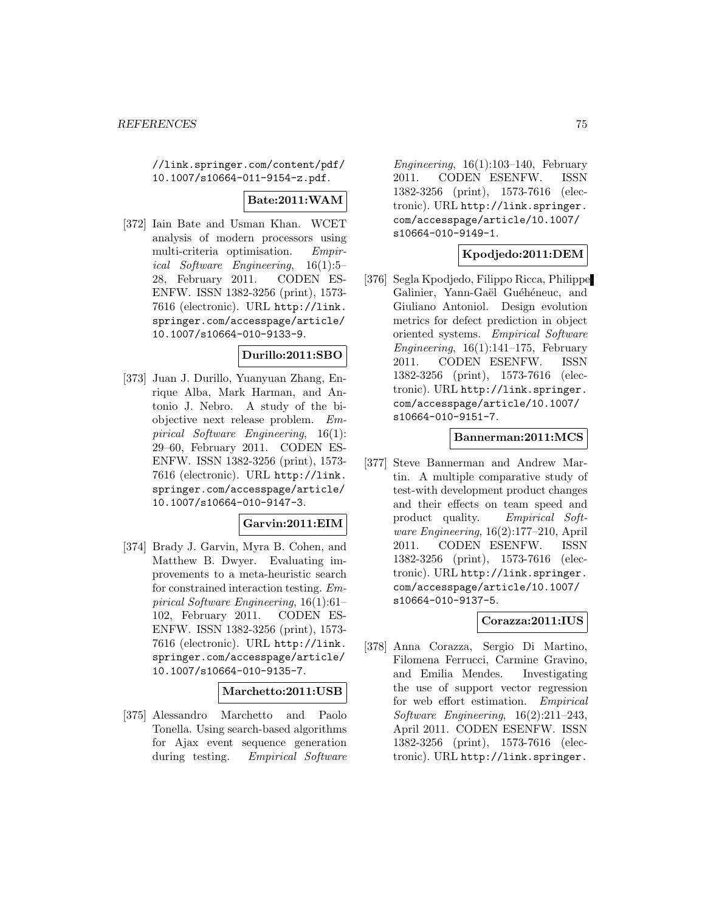//link.springer.com/content/pdf/ 10.1007/s10664-011-9154-z.pdf.

## **Bate:2011:WAM**

[372] Iain Bate and Usman Khan. WCET analysis of modern processors using multi-criteria optimisation. Empirical Software Engineering, 16(1):5– 28, February 2011. CODEN ES-ENFW. ISSN 1382-3256 (print), 1573- 7616 (electronic). URL http://link. springer.com/accesspage/article/ 10.1007/s10664-010-9133-9.

## **Durillo:2011:SBO**

[373] Juan J. Durillo, Yuanyuan Zhang, Enrique Alba, Mark Harman, and Antonio J. Nebro. A study of the biobjective next release problem. Empirical Software Engineering, 16(1): 29–60, February 2011. CODEN ES-ENFW. ISSN 1382-3256 (print), 1573- 7616 (electronic). URL http://link. springer.com/accesspage/article/ 10.1007/s10664-010-9147-3.

## **Garvin:2011:EIM**

[374] Brady J. Garvin, Myra B. Cohen, and Matthew B. Dwyer. Evaluating improvements to a meta-heuristic search for constrained interaction testing. Empirical Software Engineering, 16(1):61– 102, February 2011. CODEN ES-ENFW. ISSN 1382-3256 (print), 1573- 7616 (electronic). URL http://link. springer.com/accesspage/article/ 10.1007/s10664-010-9135-7.

## **Marchetto:2011:USB**

[375] Alessandro Marchetto and Paolo Tonella. Using search-based algorithms for Ajax event sequence generation during testing. Empirical Software

Engineering,  $16(1):103-140$ , February 2011. CODEN ESENFW. ISSN 1382-3256 (print), 1573-7616 (electronic). URL http://link.springer. com/accesspage/article/10.1007/ s10664-010-9149-1.

## **Kpodjedo:2011:DEM**

[376] Segla Kpodjedo, Filippo Ricca, Philippe Galinier, Yann-Gaël Guéhéneuc, and Giuliano Antoniol. Design evolution metrics for defect prediction in object oriented systems. Empirical Software Engineering,  $16(1):141-175$ , February 2011. CODEN ESENFW. ISSN 1382-3256 (print), 1573-7616 (electronic). URL http://link.springer. com/accesspage/article/10.1007/ s10664-010-9151-7.

### **Bannerman:2011:MCS**

[377] Steve Bannerman and Andrew Martin. A multiple comparative study of test-with development product changes and their effects on team speed and product quality. Empirical Software Engineering, 16(2):177–210, April 2011. CODEN ESENFW. ISSN 1382-3256 (print), 1573-7616 (electronic). URL http://link.springer. com/accesspage/article/10.1007/ s10664-010-9137-5.

## **Corazza:2011:IUS**

[378] Anna Corazza, Sergio Di Martino, Filomena Ferrucci, Carmine Gravino, and Emilia Mendes. Investigating the use of support vector regression for web effort estimation. Empirical Software Engineering, 16(2):211–243, April 2011. CODEN ESENFW. ISSN 1382-3256 (print), 1573-7616 (electronic). URL http://link.springer.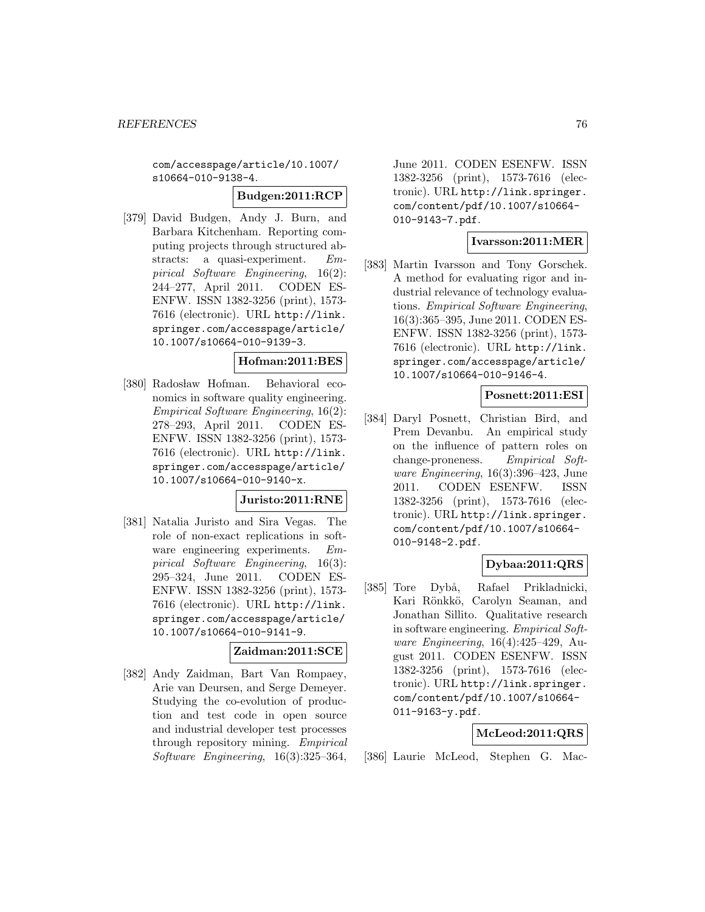com/accesspage/article/10.1007/ s10664-010-9138-4.

#### **Budgen:2011:RCP**

[379] David Budgen, Andy J. Burn, and Barbara Kitchenham. Reporting computing projects through structured abstracts: a quasi-experiment. Empirical Software Engineering, 16(2): 244–277, April 2011. CODEN ES-ENFW. ISSN 1382-3256 (print), 1573- 7616 (electronic). URL http://link. springer.com/accesspage/article/ 10.1007/s10664-010-9139-3.

## **Hofman:2011:BES**

[380] Radosław Hofman. Behavioral economics in software quality engineering. Empirical Software Engineering, 16(2): 278–293, April 2011. CODEN ES-ENFW. ISSN 1382-3256 (print), 1573- 7616 (electronic). URL http://link. springer.com/accesspage/article/ 10.1007/s10664-010-9140-x.

#### **Juristo:2011:RNE**

[381] Natalia Juristo and Sira Vegas. The role of non-exact replications in software engineering experiments. Empirical Software Engineering, 16(3): 295–324, June 2011. CODEN ES-ENFW. ISSN 1382-3256 (print), 1573- 7616 (electronic). URL http://link. springer.com/accesspage/article/ 10.1007/s10664-010-9141-9.

#### **Zaidman:2011:SCE**

[382] Andy Zaidman, Bart Van Rompaey, Arie van Deursen, and Serge Demeyer. Studying the co-evolution of production and test code in open source and industrial developer test processes through repository mining. Empirical Software Engineering, 16(3):325–364,

June 2011. CODEN ESENFW. ISSN 1382-3256 (print), 1573-7616 (electronic). URL http://link.springer. com/content/pdf/10.1007/s10664- 010-9143-7.pdf.

## **Ivarsson:2011:MER**

[383] Martin Ivarsson and Tony Gorschek. A method for evaluating rigor and industrial relevance of technology evaluations. Empirical Software Engineering, 16(3):365–395, June 2011. CODEN ES-ENFW. ISSN 1382-3256 (print), 1573- 7616 (electronic). URL http://link. springer.com/accesspage/article/ 10.1007/s10664-010-9146-4.

## **Posnett:2011:ESI**

[384] Daryl Posnett, Christian Bird, and Prem Devanbu. An empirical study on the influence of pattern roles on change-proneness. Empirical Software Engineering, 16(3):396–423, June 2011. CODEN ESENFW. ISSN 1382-3256 (print), 1573-7616 (electronic). URL http://link.springer. com/content/pdf/10.1007/s10664- 010-9148-2.pdf.

## **Dybaa:2011:QRS**

[385] Tore Dybå, Rafael Prikladnicki, Kari Rönkkö, Carolyn Seaman, and Jonathan Sillito. Qualitative research in software engineering. Empirical Software Engineering, 16(4):425–429, August 2011. CODEN ESENFW. ISSN 1382-3256 (print), 1573-7616 (electronic). URL http://link.springer. com/content/pdf/10.1007/s10664- 011-9163-y.pdf.

## **McLeod:2011:QRS**

[386] Laurie McLeod, Stephen G. Mac-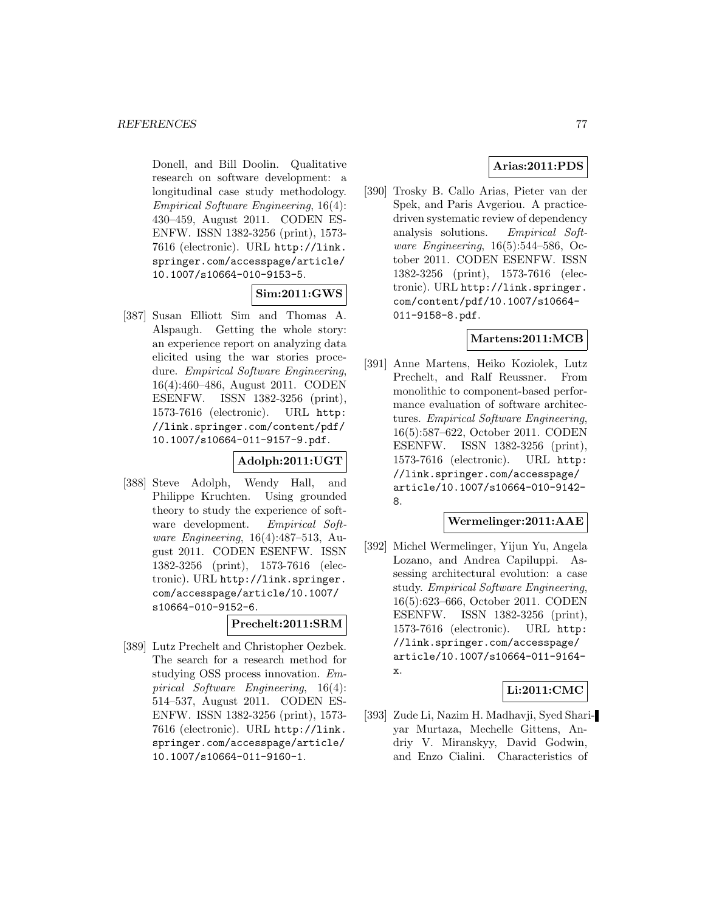Donell, and Bill Doolin. Qualitative research on software development: a longitudinal case study methodology. Empirical Software Engineering, 16(4): 430–459, August 2011. CODEN ES-ENFW. ISSN 1382-3256 (print), 1573- 7616 (electronic). URL http://link. springer.com/accesspage/article/ 10.1007/s10664-010-9153-5.

# **Sim:2011:GWS**

[387] Susan Elliott Sim and Thomas A. Alspaugh. Getting the whole story: an experience report on analyzing data elicited using the war stories procedure. Empirical Software Engineering, 16(4):460–486, August 2011. CODEN ESENFW. ISSN 1382-3256 (print), 1573-7616 (electronic). URL http: //link.springer.com/content/pdf/ 10.1007/s10664-011-9157-9.pdf.

## **Adolph:2011:UGT**

[388] Steve Adolph, Wendy Hall, and Philippe Kruchten. Using grounded theory to study the experience of software development. Empirical Software Engineering, 16(4):487–513, August 2011. CODEN ESENFW. ISSN 1382-3256 (print), 1573-7616 (electronic). URL http://link.springer. com/accesspage/article/10.1007/ s10664-010-9152-6.

## **Prechelt:2011:SRM**

[389] Lutz Prechelt and Christopher Oezbek. The search for a research method for studying OSS process innovation. Empirical Software Engineering, 16(4): 514–537, August 2011. CODEN ES-ENFW. ISSN 1382-3256 (print), 1573- 7616 (electronic). URL http://link. springer.com/accesspage/article/ 10.1007/s10664-011-9160-1.

## **Arias:2011:PDS**

[390] Trosky B. Callo Arias, Pieter van der Spek, and Paris Avgeriou. A practicedriven systematic review of dependency analysis solutions. Empirical Software Engineering, 16(5):544–586, October 2011. CODEN ESENFW. ISSN 1382-3256 (print), 1573-7616 (electronic). URL http://link.springer. com/content/pdf/10.1007/s10664- 011-9158-8.pdf.

## **Martens:2011:MCB**

[391] Anne Martens, Heiko Koziolek, Lutz Prechelt, and Ralf Reussner. From monolithic to component-based performance evaluation of software architectures. Empirical Software Engineering, 16(5):587–622, October 2011. CODEN ESENFW. ISSN 1382-3256 (print), 1573-7616 (electronic). URL http: //link.springer.com/accesspage/ article/10.1007/s10664-010-9142- 8.

## **Wermelinger:2011:AAE**

[392] Michel Wermelinger, Yijun Yu, Angela Lozano, and Andrea Capiluppi. Assessing architectural evolution: a case study. Empirical Software Engineering, 16(5):623–666, October 2011. CODEN ESENFW. ISSN 1382-3256 (print), 1573-7616 (electronic). URL http: //link.springer.com/accesspage/ article/10.1007/s10664-011-9164 x.

## **Li:2011:CMC**

[393] Zude Li, Nazim H. Madhavji, Syed Shariyar Murtaza, Mechelle Gittens, Andriy V. Miranskyy, David Godwin, and Enzo Cialini. Characteristics of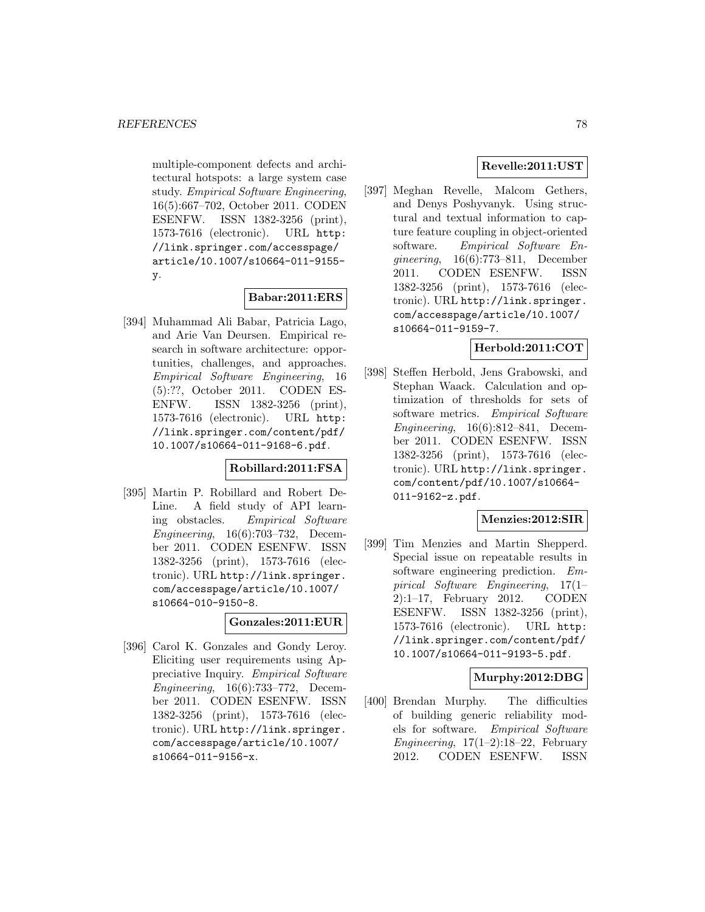multiple-component defects and architectural hotspots: a large system case study. Empirical Software Engineering, 16(5):667–702, October 2011. CODEN ESENFW. ISSN 1382-3256 (print), 1573-7616 (electronic). URL http: //link.springer.com/accesspage/ article/10.1007/s10664-011-9155 y.

## **Babar:2011:ERS**

[394] Muhammad Ali Babar, Patricia Lago, and Arie Van Deursen. Empirical research in software architecture: opportunities, challenges, and approaches. Empirical Software Engineering, 16 (5):??, October 2011. CODEN ES-ENFW. ISSN 1382-3256 (print), 1573-7616 (electronic). URL http: //link.springer.com/content/pdf/ 10.1007/s10664-011-9168-6.pdf.

## **Robillard:2011:FSA**

[395] Martin P. Robillard and Robert De-Line. A field study of API learning obstacles. Empirical Software Engineering, 16(6):703–732, December 2011. CODEN ESENFW. ISSN 1382-3256 (print), 1573-7616 (electronic). URL http://link.springer. com/accesspage/article/10.1007/ s10664-010-9150-8.

## **Gonzales:2011:EUR**

[396] Carol K. Gonzales and Gondy Leroy. Eliciting user requirements using Appreciative Inquiry. Empirical Software Engineering, 16(6):733–772, December 2011. CODEN ESENFW. ISSN 1382-3256 (print), 1573-7616 (electronic). URL http://link.springer. com/accesspage/article/10.1007/ s10664-011-9156-x.

# **Revelle:2011:UST**

[397] Meghan Revelle, Malcom Gethers, and Denys Poshyvanyk. Using structural and textual information to capture feature coupling in object-oriented software. Empirical Software Engineering, 16(6):773–811, December 2011. CODEN ESENFW. ISSN 1382-3256 (print), 1573-7616 (electronic). URL http://link.springer. com/accesspage/article/10.1007/ s10664-011-9159-7.

## **Herbold:2011:COT**

[398] Steffen Herbold, Jens Grabowski, and Stephan Waack. Calculation and optimization of thresholds for sets of software metrics. Empirical Software Engineering, 16(6):812–841, December 2011. CODEN ESENFW. ISSN 1382-3256 (print), 1573-7616 (electronic). URL http://link.springer. com/content/pdf/10.1007/s10664- 011-9162-z.pdf.

## **Menzies:2012:SIR**

[399] Tim Menzies and Martin Shepperd. Special issue on repeatable results in software engineering prediction. Empirical Software Engineering, 17(1– 2):1–17, February 2012. CODEN ESENFW. ISSN 1382-3256 (print), 1573-7616 (electronic). URL http: //link.springer.com/content/pdf/ 10.1007/s10664-011-9193-5.pdf.

## **Murphy:2012:DBG**

[400] Brendan Murphy. The difficulties of building generic reliability models for software. Empirical Software Engineering,  $17(1-2):18-22$ , February 2012. CODEN ESENFW. ISSN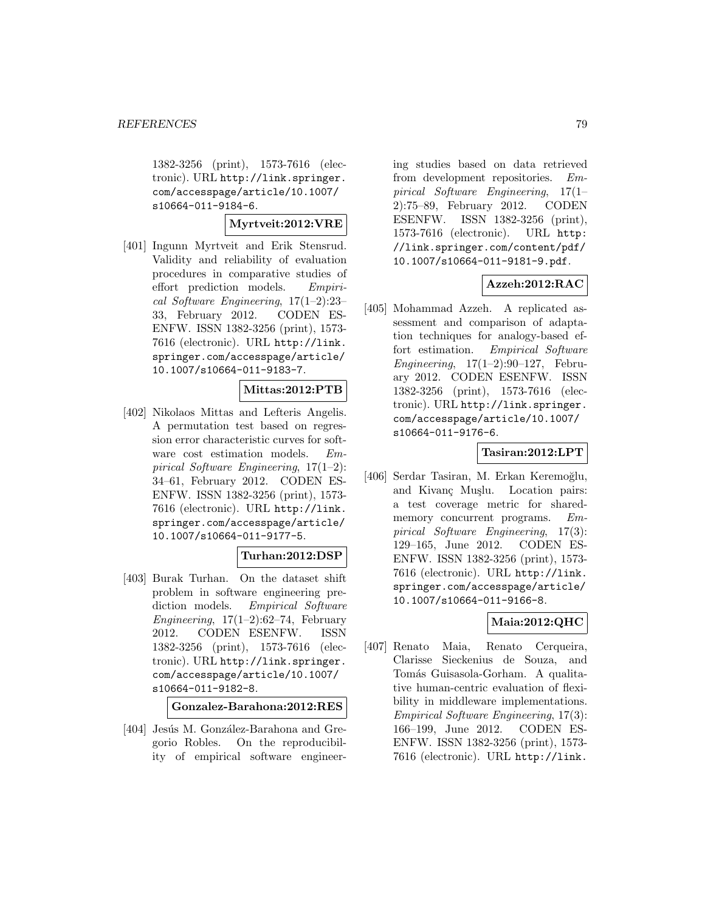1382-3256 (print), 1573-7616 (electronic). URL http://link.springer. com/accesspage/article/10.1007/ s10664-011-9184-6.

### **Myrtveit:2012:VRE**

[401] Ingunn Myrtveit and Erik Stensrud. Validity and reliability of evaluation procedures in comparative studies of effort prediction models. Empirical Software Engineering, 17(1–2):23– 33, February 2012. CODEN ES-ENFW. ISSN 1382-3256 (print), 1573- 7616 (electronic). URL http://link. springer.com/accesspage/article/ 10.1007/s10664-011-9183-7.

## **Mittas:2012:PTB**

[402] Nikolaos Mittas and Lefteris Angelis. A permutation test based on regression error characteristic curves for software cost estimation models. Empirical Software Engineering, 17(1–2): 34–61, February 2012. CODEN ES-ENFW. ISSN 1382-3256 (print), 1573- 7616 (electronic). URL http://link. springer.com/accesspage/article/ 10.1007/s10664-011-9177-5.

## **Turhan:2012:DSP**

[403] Burak Turhan. On the dataset shift problem in software engineering prediction models. Empirical Software Engineering,  $17(1-2):62-74$ , February 2012. CODEN ESENFW. ISSN 1382-3256 (print), 1573-7616 (electronic). URL http://link.springer. com/accesspage/article/10.1007/ s10664-011-9182-8.

**Gonzalez-Barahona:2012:RES**

[404] Jesús M. González-Barahona and Gregorio Robles. On the reproducibility of empirical software engineer-

ing studies based on data retrieved from development repositories. Empirical Software Engineering, 17(1– 2):75–89, February 2012. CODEN ESENFW. ISSN 1382-3256 (print), 1573-7616 (electronic). URL http: //link.springer.com/content/pdf/ 10.1007/s10664-011-9181-9.pdf.

## **Azzeh:2012:RAC**

[405] Mohammad Azzeh. A replicated assessment and comparison of adaptation techniques for analogy-based effort estimation. Empirical Software Engineering, 17(1–2):90–127, February 2012. CODEN ESENFW. ISSN 1382-3256 (print), 1573-7616 (electronic). URL http://link.springer. com/accesspage/article/10.1007/ s10664-011-9176-6.

### **Tasiran:2012:LPT**

[406] Serdar Tasiran, M. Erkan Keremoğlu, and Kivanç Muşlu. Location pairs: a test coverage metric for sharedmemory concurrent programs. Empirical Software Engineering, 17(3): 129–165, June 2012. CODEN ES-ENFW. ISSN 1382-3256 (print), 1573- 7616 (electronic). URL http://link. springer.com/accesspage/article/ 10.1007/s10664-011-9166-8.

## **Maia:2012:QHC**

[407] Renato Maia, Renato Cerqueira, Clarisse Sieckenius de Souza, and Tomás Guisasola-Gorham. A qualitative human-centric evaluation of flexibility in middleware implementations. Empirical Software Engineering, 17(3): 166–199, June 2012. CODEN ES-ENFW. ISSN 1382-3256 (print), 1573- 7616 (electronic). URL http://link.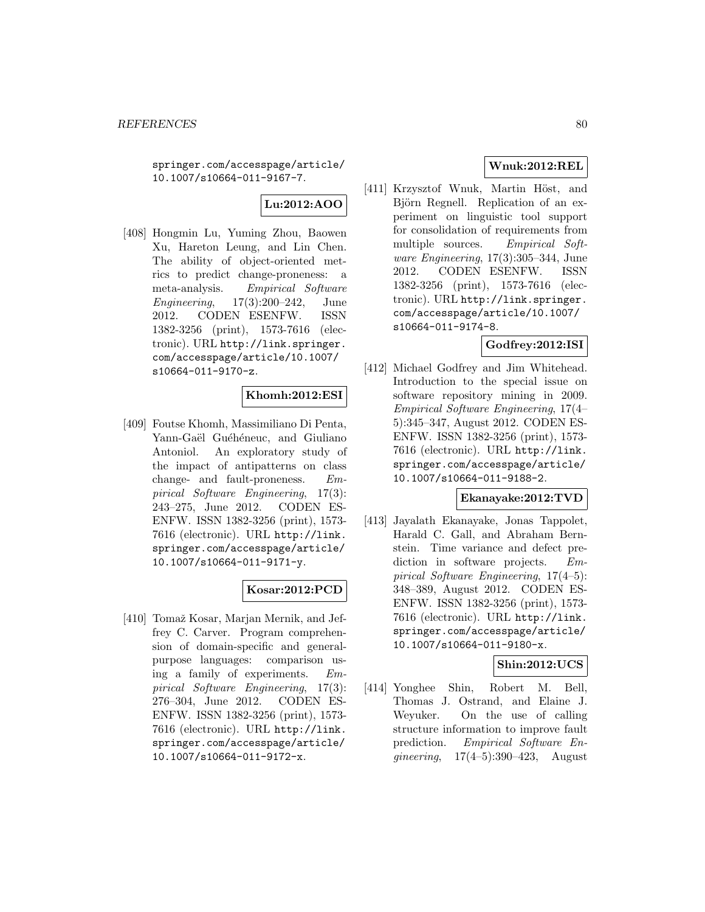springer.com/accesspage/article/ 10.1007/s10664-011-9167-7.

# **Lu:2012:AOO**

[408] Hongmin Lu, Yuming Zhou, Baowen Xu, Hareton Leung, and Lin Chen. The ability of object-oriented metrics to predict change-proneness: a meta-analysis. Empirical Software Engineering, 17(3):200–242, June 2012. CODEN ESENFW. ISSN 1382-3256 (print), 1573-7616 (electronic). URL http://link.springer. com/accesspage/article/10.1007/ s10664-011-9170-z.

## **Khomh:2012:ESI**

[409] Foutse Khomh, Massimiliano Di Penta, Yann-Gaël Guéhéneuc, and Giuliano Antoniol. An exploratory study of the impact of antipatterns on class change- and fault-proneness. Empirical Software Engineering, 17(3): 243–275, June 2012. CODEN ES-ENFW. ISSN 1382-3256 (print), 1573- 7616 (electronic). URL http://link. springer.com/accesspage/article/ 10.1007/s10664-011-9171-y.

## **Kosar:2012:PCD**

[410] Tomaž Kosar, Marjan Mernik, and Jeffrey C. Carver. Program comprehension of domain-specific and generalpurpose languages: comparison using a family of experiments. Empirical Software Engineering, 17(3): 276–304, June 2012. CODEN ES-ENFW. ISSN 1382-3256 (print), 1573- 7616 (electronic). URL http://link. springer.com/accesspage/article/ 10.1007/s10664-011-9172-x.

## **Wnuk:2012:REL**

[411] Krzysztof Wnuk, Martin Höst, and Björn Regnell. Replication of an experiment on linguistic tool support for consolidation of requirements from multiple sources. Empirical Software Engineering, 17(3):305–344, June 2012. CODEN ESENFW. ISSN 1382-3256 (print), 1573-7616 (electronic). URL http://link.springer. com/accesspage/article/10.1007/ s10664-011-9174-8.

## **Godfrey:2012:ISI**

[412] Michael Godfrey and Jim Whitehead. Introduction to the special issue on software repository mining in 2009. Empirical Software Engineering, 17(4– 5):345–347, August 2012. CODEN ES-ENFW. ISSN 1382-3256 (print), 1573- 7616 (electronic). URL http://link. springer.com/accesspage/article/ 10.1007/s10664-011-9188-2.

## **Ekanayake:2012:TVD**

[413] Jayalath Ekanayake, Jonas Tappolet, Harald C. Gall, and Abraham Bernstein. Time variance and defect prediction in software projects. Empirical Software Engineering, 17(4–5): 348–389, August 2012. CODEN ES-ENFW. ISSN 1382-3256 (print), 1573- 7616 (electronic). URL http://link. springer.com/accesspage/article/ 10.1007/s10664-011-9180-x.

# **Shin:2012:UCS**

[414] Yonghee Shin, Robert M. Bell, Thomas J. Ostrand, and Elaine J. Weyuker. On the use of calling structure information to improve fault prediction. Empirical Software Engineering, 17(4–5):390–423, August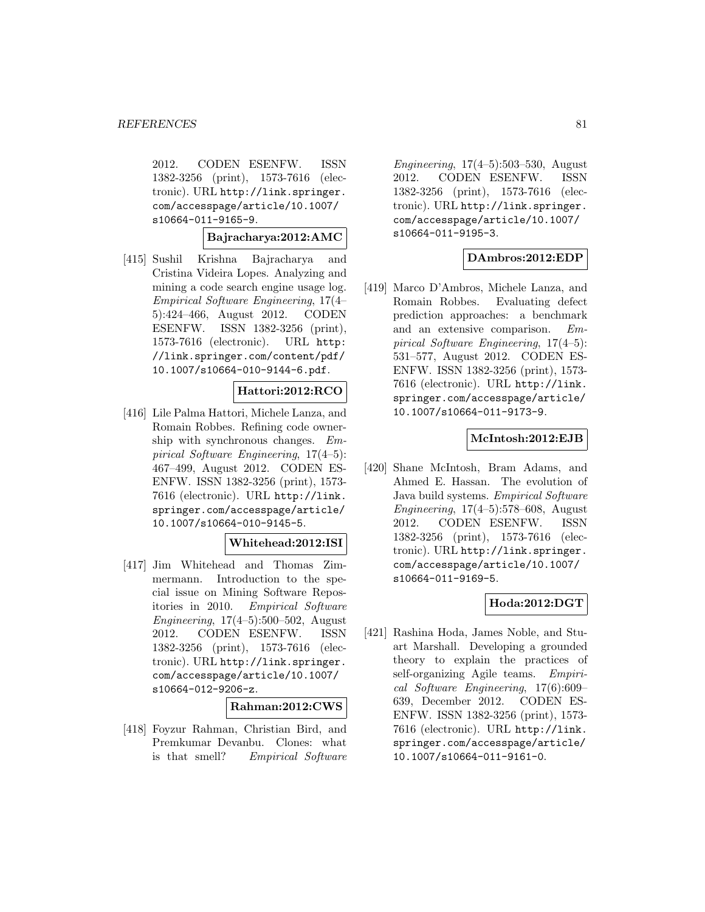2012. CODEN ESENFW. ISSN 1382-3256 (print), 1573-7616 (electronic). URL http://link.springer. com/accesspage/article/10.1007/ s10664-011-9165-9.

**Bajracharya:2012:AMC**

[415] Sushil Krishna Bajracharya and Cristina Videira Lopes. Analyzing and mining a code search engine usage log. Empirical Software Engineering, 17(4– 5):424–466, August 2012. CODEN ESENFW. ISSN 1382-3256 (print), 1573-7616 (electronic). URL http: //link.springer.com/content/pdf/ 10.1007/s10664-010-9144-6.pdf.

## **Hattori:2012:RCO**

[416] Lile Palma Hattori, Michele Lanza, and Romain Robbes. Refining code ownership with synchronous changes. Empirical Software Engineering, 17(4–5): 467–499, August 2012. CODEN ES-ENFW. ISSN 1382-3256 (print), 1573- 7616 (electronic). URL http://link. springer.com/accesspage/article/ 10.1007/s10664-010-9145-5.

#### **Whitehead:2012:ISI**

[417] Jim Whitehead and Thomas Zimmermann. Introduction to the special issue on Mining Software Repositories in 2010. Empirical Software Engineering, 17(4–5):500–502, August 2012. CODEN ESENFW. ISSN 1382-3256 (print), 1573-7616 (electronic). URL http://link.springer. com/accesspage/article/10.1007/ s10664-012-9206-z.

#### **Rahman:2012:CWS**

[418] Foyzur Rahman, Christian Bird, and Premkumar Devanbu. Clones: what is that smell? Empirical Software

*Engineering*,  $17(4-5):503-530$ , August 2012. CODEN ESENFW. ISSN 1382-3256 (print), 1573-7616 (electronic). URL http://link.springer. com/accesspage/article/10.1007/ s10664-011-9195-3.

## **DAmbros:2012:EDP**

[419] Marco D'Ambros, Michele Lanza, and Romain Robbes. Evaluating defect prediction approaches: a benchmark and an extensive comparison. Empirical Software Engineering, 17(4–5): 531–577, August 2012. CODEN ES-ENFW. ISSN 1382-3256 (print), 1573- 7616 (electronic). URL http://link. springer.com/accesspage/article/ 10.1007/s10664-011-9173-9.

## **McIntosh:2012:EJB**

[420] Shane McIntosh, Bram Adams, and Ahmed E. Hassan. The evolution of Java build systems. Empirical Software Engineering, 17(4–5):578–608, August 2012. CODEN ESENFW. ISSN 1382-3256 (print), 1573-7616 (electronic). URL http://link.springer. com/accesspage/article/10.1007/ s10664-011-9169-5.

## **Hoda:2012:DGT**

[421] Rashina Hoda, James Noble, and Stuart Marshall. Developing a grounded theory to explain the practices of self-organizing Agile teams. Empirical Software Engineering, 17(6):609– 639, December 2012. CODEN ES-ENFW. ISSN 1382-3256 (print), 1573- 7616 (electronic). URL http://link. springer.com/accesspage/article/ 10.1007/s10664-011-9161-0.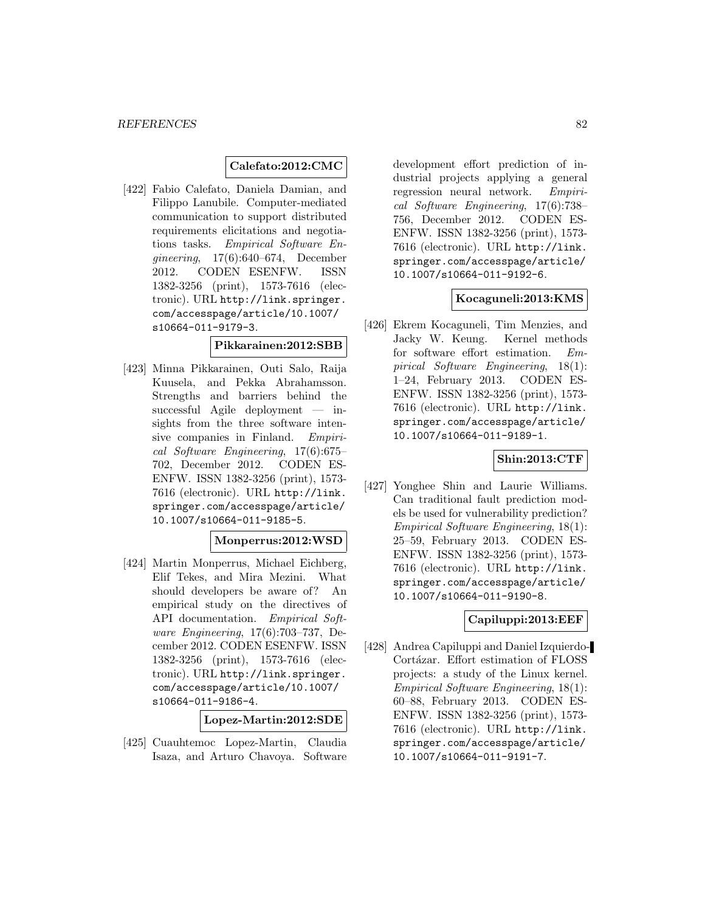## **Calefato:2012:CMC**

[422] Fabio Calefato, Daniela Damian, and Filippo Lanubile. Computer-mediated communication to support distributed requirements elicitations and negotiations tasks. Empirical Software Engineering, 17(6):640–674, December 2012. CODEN ESENFW. ISSN 1382-3256 (print), 1573-7616 (electronic). URL http://link.springer. com/accesspage/article/10.1007/ s10664-011-9179-3.

#### **Pikkarainen:2012:SBB**

[423] Minna Pikkarainen, Outi Salo, Raija Kuusela, and Pekka Abrahamsson. Strengths and barriers behind the successful Agile deployment — insights from the three software intensive companies in Finland. Empirical Software Engineering, 17(6):675– 702, December 2012. CODEN ES-ENFW. ISSN 1382-3256 (print), 1573- 7616 (electronic). URL http://link. springer.com/accesspage/article/ 10.1007/s10664-011-9185-5.

## **Monperrus:2012:WSD**

[424] Martin Monperrus, Michael Eichberg, Elif Tekes, and Mira Mezini. What should developers be aware of? An empirical study on the directives of API documentation. Empirical Software Engineering, 17(6):703–737, December 2012. CODEN ESENFW. ISSN 1382-3256 (print), 1573-7616 (electronic). URL http://link.springer. com/accesspage/article/10.1007/ s10664-011-9186-4.

**Lopez-Martin:2012:SDE**

[425] Cuauhtemoc Lopez-Martin, Claudia Isaza, and Arturo Chavoya. Software

development effort prediction of industrial projects applying a general regression neural network. Empirical Software Engineering, 17(6):738– 756, December 2012. CODEN ES-ENFW. ISSN 1382-3256 (print), 1573- 7616 (electronic). URL http://link. springer.com/accesspage/article/ 10.1007/s10664-011-9192-6.

## **Kocaguneli:2013:KMS**

[426] Ekrem Kocaguneli, Tim Menzies, and Jacky W. Keung. Kernel methods for software effort estimation. Empirical Software Engineering, 18(1): 1–24, February 2013. CODEN ES-ENFW. ISSN 1382-3256 (print), 1573- 7616 (electronic). URL http://link. springer.com/accesspage/article/ 10.1007/s10664-011-9189-1.

## **Shin:2013:CTF**

[427] Yonghee Shin and Laurie Williams. Can traditional fault prediction models be used for vulnerability prediction? Empirical Software Engineering, 18(1): 25–59, February 2013. CODEN ES-ENFW. ISSN 1382-3256 (print), 1573- 7616 (electronic). URL http://link. springer.com/accesspage/article/ 10.1007/s10664-011-9190-8.

## **Capiluppi:2013:EEF**

[428] Andrea Capiluppi and Daniel Izquierdo-Cortázar. Effort estimation of FLOSS projects: a study of the Linux kernel. Empirical Software Engineering, 18(1): 60–88, February 2013. CODEN ES-ENFW. ISSN 1382-3256 (print), 1573- 7616 (electronic). URL http://link. springer.com/accesspage/article/ 10.1007/s10664-011-9191-7.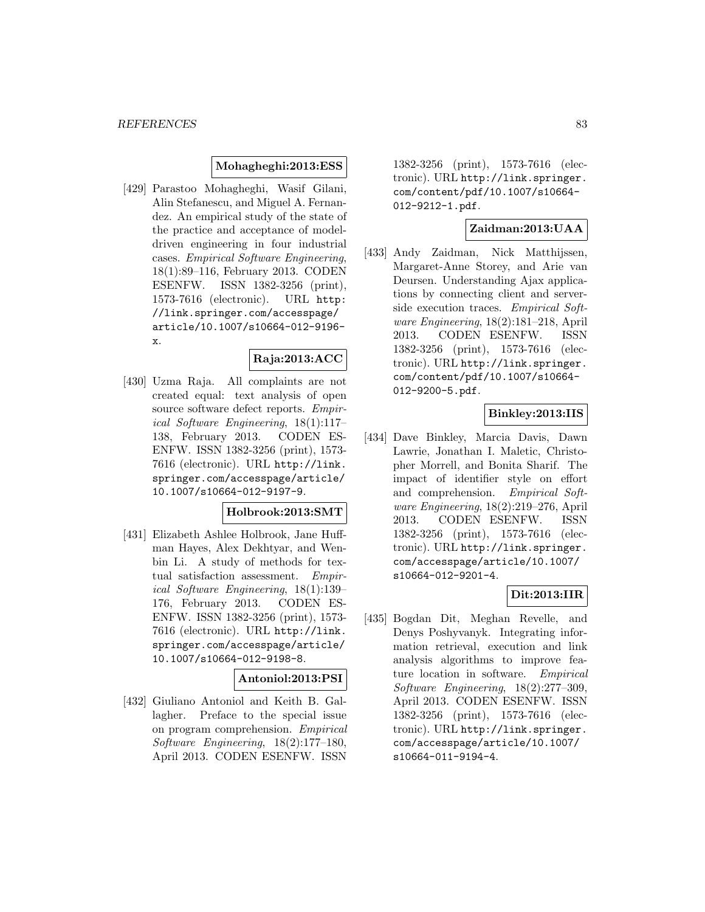#### **Mohagheghi:2013:ESS**

[429] Parastoo Mohagheghi, Wasif Gilani, Alin Stefanescu, and Miguel A. Fernandez. An empirical study of the state of the practice and acceptance of modeldriven engineering in four industrial cases. Empirical Software Engineering, 18(1):89–116, February 2013. CODEN ESENFW. ISSN 1382-3256 (print), 1573-7616 (electronic). URL http: //link.springer.com/accesspage/ article/10.1007/s10664-012-9196 x.

#### **Raja:2013:ACC**

[430] Uzma Raja. All complaints are not created equal: text analysis of open source software defect reports. Empirical Software Engineering, 18(1):117– 138, February 2013. CODEN ES-ENFW. ISSN 1382-3256 (print), 1573- 7616 (electronic). URL http://link. springer.com/accesspage/article/ 10.1007/s10664-012-9197-9.

## **Holbrook:2013:SMT**

[431] Elizabeth Ashlee Holbrook, Jane Huffman Hayes, Alex Dekhtyar, and Wenbin Li. A study of methods for textual satisfaction assessment. Empirical Software Engineering, 18(1):139– 176, February 2013. CODEN ES-ENFW. ISSN 1382-3256 (print), 1573- 7616 (electronic). URL http://link. springer.com/accesspage/article/ 10.1007/s10664-012-9198-8.

#### **Antoniol:2013:PSI**

[432] Giuliano Antoniol and Keith B. Gallagher. Preface to the special issue on program comprehension. Empirical Software Engineering, 18(2):177–180, April 2013. CODEN ESENFW. ISSN

1382-3256 (print), 1573-7616 (electronic). URL http://link.springer. com/content/pdf/10.1007/s10664- 012-9212-1.pdf.

## **Zaidman:2013:UAA**

[433] Andy Zaidman, Nick Matthijssen, Margaret-Anne Storey, and Arie van Deursen. Understanding Ajax applications by connecting client and serverside execution traces. Empirical Software Engineering, 18(2):181–218, April 2013. CODEN ESENFW. ISSN 1382-3256 (print), 1573-7616 (electronic). URL http://link.springer. com/content/pdf/10.1007/s10664- 012-9200-5.pdf.

## **Binkley:2013:IIS**

[434] Dave Binkley, Marcia Davis, Dawn Lawrie, Jonathan I. Maletic, Christopher Morrell, and Bonita Sharif. The impact of identifier style on effort and comprehension. Empirical Software Engineering, 18(2):219–276, April 2013. CODEN ESENFW. ISSN 1382-3256 (print), 1573-7616 (electronic). URL http://link.springer. com/accesspage/article/10.1007/ s10664-012-9201-4.

## **Dit:2013:IIR**

[435] Bogdan Dit, Meghan Revelle, and Denys Poshyvanyk. Integrating information retrieval, execution and link analysis algorithms to improve feature location in software. Empirical Software Engineering, 18(2):277–309, April 2013. CODEN ESENFW. ISSN 1382-3256 (print), 1573-7616 (electronic). URL http://link.springer. com/accesspage/article/10.1007/ s10664-011-9194-4.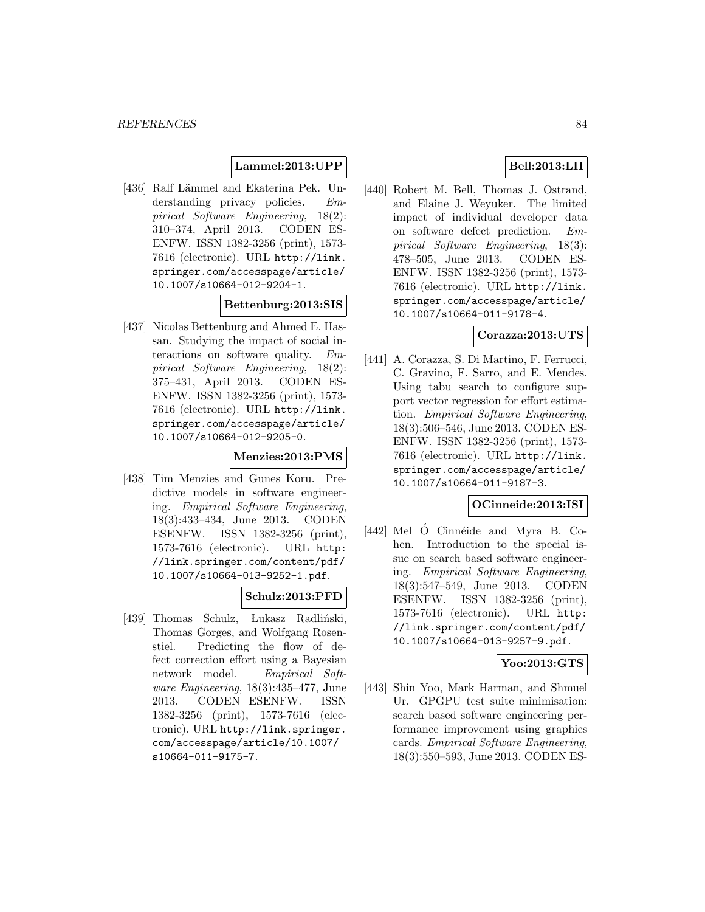## **Lammel:2013:UPP**

[436] Ralf Lämmel and Ekaterina Pek. Understanding privacy policies. Empirical Software Engineering, 18(2): 310–374, April 2013. CODEN ES-ENFW. ISSN 1382-3256 (print), 1573- 7616 (electronic). URL http://link. springer.com/accesspage/article/ 10.1007/s10664-012-9204-1.

## **Bettenburg:2013:SIS**

[437] Nicolas Bettenburg and Ahmed E. Hassan. Studying the impact of social interactions on software quality. Empirical Software Engineering, 18(2): 375–431, April 2013. CODEN ES-ENFW. ISSN 1382-3256 (print), 1573- 7616 (electronic). URL http://link. springer.com/accesspage/article/ 10.1007/s10664-012-9205-0.

## **Menzies:2013:PMS**

[438] Tim Menzies and Gunes Koru. Predictive models in software engineering. Empirical Software Engineering, 18(3):433–434, June 2013. CODEN ESENFW. ISSN 1382-3256 (print), 1573-7616 (electronic). URL http: //link.springer.com/content/pdf/ 10.1007/s10664-013-9252-1.pdf.

## **Schulz:2013:PFD**

[439] Thomas Schulz, Lukasz Radliński, Thomas Gorges, and Wolfgang Rosenstiel. Predicting the flow of defect correction effort using a Bayesian network model. Empirical Soft*ware Engineering*,  $18(3):435-477$ , June 2013. CODEN ESENFW. ISSN 1382-3256 (print), 1573-7616 (electronic). URL http://link.springer. com/accesspage/article/10.1007/ s10664-011-9175-7.

## **Bell:2013:LII**

[440] Robert M. Bell, Thomas J. Ostrand, and Elaine J. Weyuker. The limited impact of individual developer data on software defect prediction. Empirical Software Engineering, 18(3): 478–505, June 2013. CODEN ES-ENFW. ISSN 1382-3256 (print), 1573- 7616 (electronic). URL http://link. springer.com/accesspage/article/ 10.1007/s10664-011-9178-4.

## **Corazza:2013:UTS**

[441] A. Corazza, S. Di Martino, F. Ferrucci, C. Gravino, F. Sarro, and E. Mendes. Using tabu search to configure support vector regression for effort estimation. Empirical Software Engineering, 18(3):506–546, June 2013. CODEN ES-ENFW. ISSN 1382-3256 (print), 1573- 7616 (electronic). URL http://link. springer.com/accesspage/article/ 10.1007/s10664-011-9187-3.

#### **OCinneide:2013:ISI**

 $[442]$  Mel Ó Cinnéide and Myra B. Cohen. Introduction to the special issue on search based software engineering. Empirical Software Engineering, 18(3):547–549, June 2013. CODEN ESENFW. ISSN 1382-3256 (print), 1573-7616 (electronic). URL http: //link.springer.com/content/pdf/ 10.1007/s10664-013-9257-9.pdf.

## **Yoo:2013:GTS**

[443] Shin Yoo, Mark Harman, and Shmuel Ur. GPGPU test suite minimisation: search based software engineering performance improvement using graphics cards. Empirical Software Engineering, 18(3):550–593, June 2013. CODEN ES-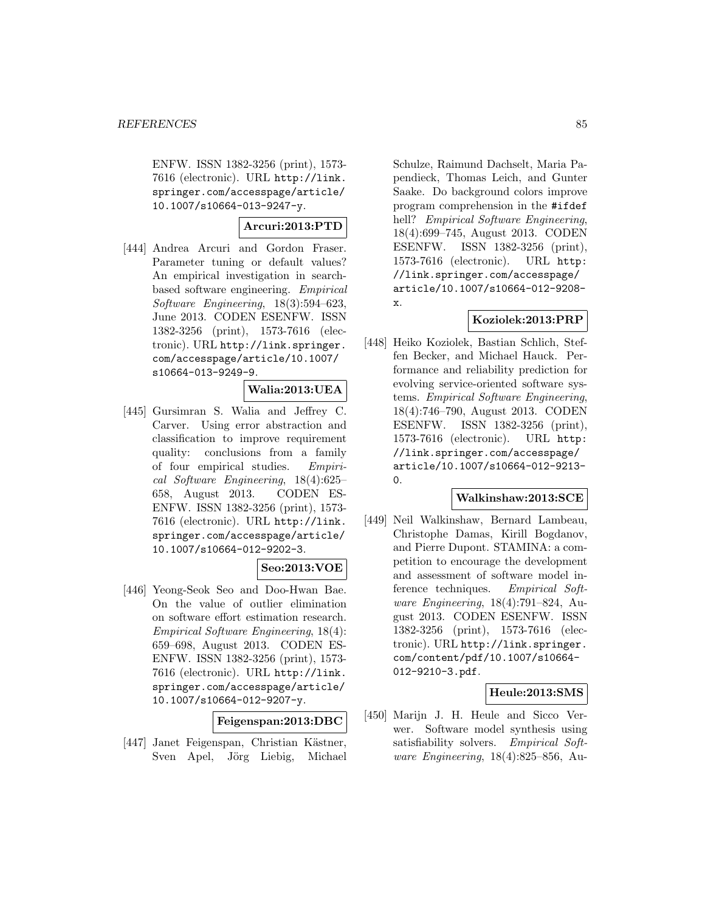ENFW. ISSN 1382-3256 (print), 1573- 7616 (electronic). URL http://link. springer.com/accesspage/article/ 10.1007/s10664-013-9247-y.

**Arcuri:2013:PTD**

[444] Andrea Arcuri and Gordon Fraser. Parameter tuning or default values? An empirical investigation in searchbased software engineering. Empirical Software Engineering, 18(3):594–623, June 2013. CODEN ESENFW. ISSN 1382-3256 (print), 1573-7616 (electronic). URL http://link.springer. com/accesspage/article/10.1007/ s10664-013-9249-9.

## **Walia:2013:UEA**

[445] Gursimran S. Walia and Jeffrey C. Carver. Using error abstraction and classification to improve requirement quality: conclusions from a family of four empirical studies. Empirical Software Engineering, 18(4):625– 658, August 2013. CODEN ES-ENFW. ISSN 1382-3256 (print), 1573- 7616 (electronic). URL http://link. springer.com/accesspage/article/ 10.1007/s10664-012-9202-3.

## **Seo:2013:VOE**

[446] Yeong-Seok Seo and Doo-Hwan Bae. On the value of outlier elimination on software effort estimation research. Empirical Software Engineering, 18(4): 659–698, August 2013. CODEN ES-ENFW. ISSN 1382-3256 (print), 1573- 7616 (electronic). URL http://link. springer.com/accesspage/article/ 10.1007/s10664-012-9207-y.

**Feigenspan:2013:DBC**

[447] Janet Feigenspan, Christian Kästner, Sven Apel, Jörg Liebig, Michael

Schulze, Raimund Dachselt, Maria Papendieck, Thomas Leich, and Gunter Saake. Do background colors improve program comprehension in the #ifdef hell? *Empirical Software Engineering*, 18(4):699–745, August 2013. CODEN ESENFW. ISSN 1382-3256 (print), 1573-7616 (electronic). URL http: //link.springer.com/accesspage/ article/10.1007/s10664-012-9208 x.

## **Koziolek:2013:PRP**

[448] Heiko Koziolek, Bastian Schlich, Steffen Becker, and Michael Hauck. Performance and reliability prediction for evolving service-oriented software systems. Empirical Software Engineering, 18(4):746–790, August 2013. CODEN ESENFW. ISSN 1382-3256 (print), 1573-7616 (electronic). URL http: //link.springer.com/accesspage/ article/10.1007/s10664-012-9213-  $\Omega$ .

## **Walkinshaw:2013:SCE**

[449] Neil Walkinshaw, Bernard Lambeau, Christophe Damas, Kirill Bogdanov, and Pierre Dupont. STAMINA: a competition to encourage the development and assessment of software model inference techniques. Empirical Software Engineering, 18(4):791–824, August 2013. CODEN ESENFW. ISSN 1382-3256 (print), 1573-7616 (electronic). URL http://link.springer. com/content/pdf/10.1007/s10664- 012-9210-3.pdf.

## **Heule:2013:SMS**

[450] Marijn J. H. Heule and Sicco Verwer. Software model synthesis using satisfiability solvers. Empirical Software Engineering, 18(4):825–856, Au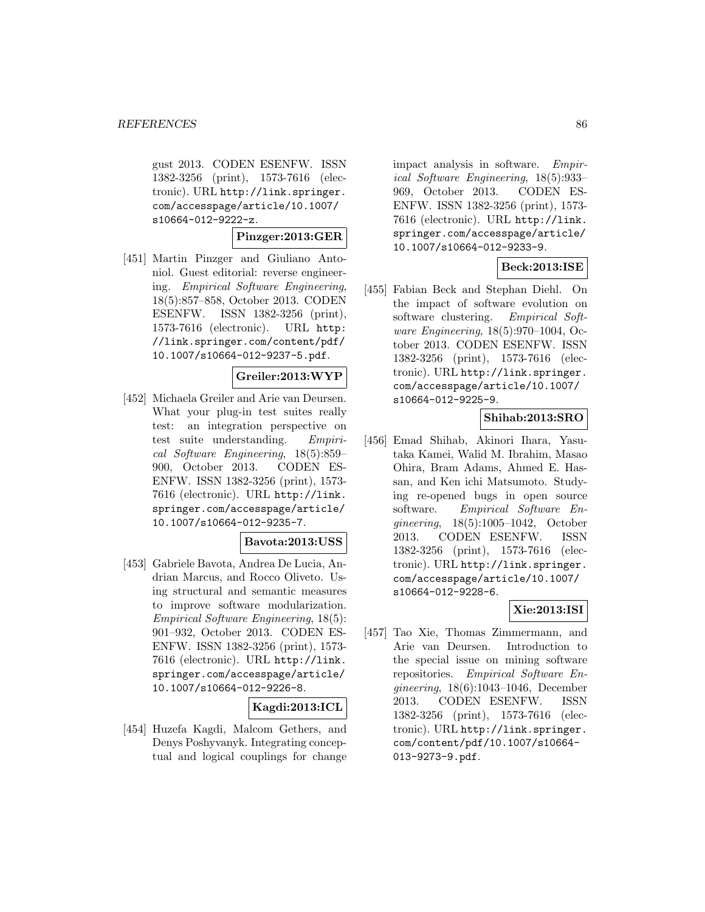gust 2013. CODEN ESENFW. ISSN 1382-3256 (print), 1573-7616 (electronic). URL http://link.springer. com/accesspage/article/10.1007/ s10664-012-9222-z.

## **Pinzger:2013:GER**

[451] Martin Pinzger and Giuliano Antoniol. Guest editorial: reverse engineering. Empirical Software Engineering, 18(5):857–858, October 2013. CODEN ESENFW. ISSN 1382-3256 (print), 1573-7616 (electronic). URL http: //link.springer.com/content/pdf/ 10.1007/s10664-012-9237-5.pdf.

#### **Greiler:2013:WYP**

[452] Michaela Greiler and Arie van Deursen. What your plug-in test suites really test: an integration perspective on test suite understanding. Empirical Software Engineering, 18(5):859– 900, October 2013. CODEN ES-ENFW. ISSN 1382-3256 (print), 1573- 7616 (electronic). URL http://link. springer.com/accesspage/article/ 10.1007/s10664-012-9235-7.

## **Bavota:2013:USS**

[453] Gabriele Bavota, Andrea De Lucia, Andrian Marcus, and Rocco Oliveto. Using structural and semantic measures to improve software modularization. Empirical Software Engineering, 18(5): 901–932, October 2013. CODEN ES-ENFW. ISSN 1382-3256 (print), 1573- 7616 (electronic). URL http://link. springer.com/accesspage/article/ 10.1007/s10664-012-9226-8.

## **Kagdi:2013:ICL**

[454] Huzefa Kagdi, Malcom Gethers, and Denys Poshyvanyk. Integrating conceptual and logical couplings for change

impact analysis in software. Empirical Software Engineering, 18(5):933– 969, October 2013. CODEN ES-ENFW. ISSN 1382-3256 (print), 1573- 7616 (electronic). URL http://link. springer.com/accesspage/article/ 10.1007/s10664-012-9233-9.

## **Beck:2013:ISE**

[455] Fabian Beck and Stephan Diehl. On the impact of software evolution on software clustering. Empirical Software Engineering, 18(5):970–1004, October 2013. CODEN ESENFW. ISSN 1382-3256 (print), 1573-7616 (electronic). URL http://link.springer. com/accesspage/article/10.1007/ s10664-012-9225-9.

# **Shihab:2013:SRO**

[456] Emad Shihab, Akinori Ihara, Yasutaka Kamei, Walid M. Ibrahim, Masao Ohira, Bram Adams, Ahmed E. Hassan, and Ken ichi Matsumoto. Studying re-opened bugs in open source software. Empirical Software Engineering, 18(5):1005–1042, October 2013. CODEN ESENFW. ISSN 1382-3256 (print), 1573-7616 (electronic). URL http://link.springer. com/accesspage/article/10.1007/ s10664-012-9228-6.

## **Xie:2013:ISI**

[457] Tao Xie, Thomas Zimmermann, and Arie van Deursen. Introduction to the special issue on mining software repositories. Empirical Software Engineering, 18(6):1043–1046, December 2013. CODEN ESENFW. ISSN 1382-3256 (print), 1573-7616 (electronic). URL http://link.springer. com/content/pdf/10.1007/s10664- 013-9273-9.pdf.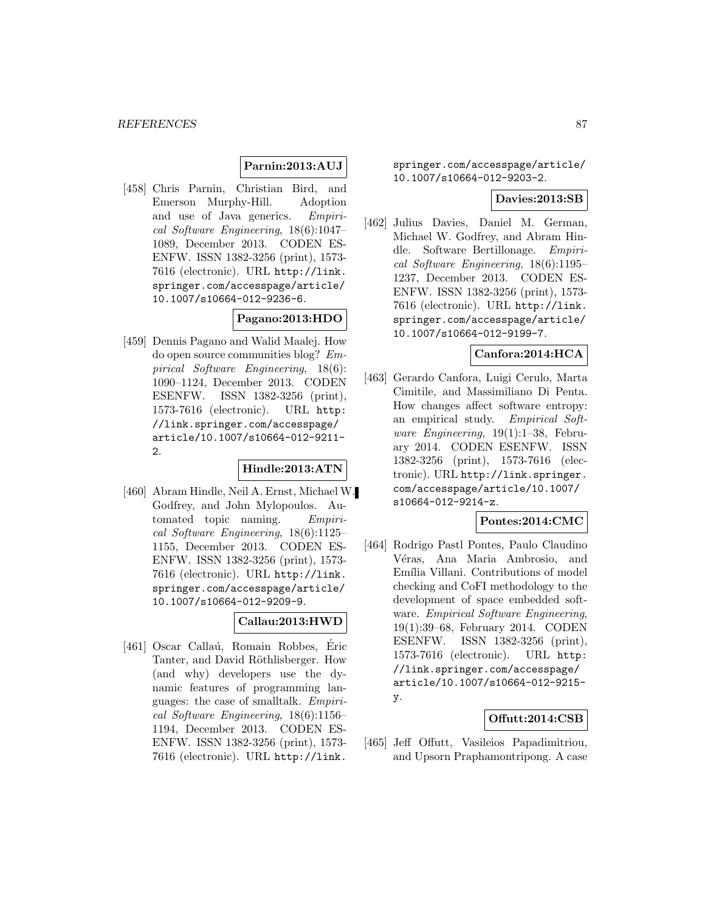## **Parnin:2013:AUJ**

[458] Chris Parnin, Christian Bird, and Emerson Murphy-Hill. Adoption and use of Java generics. Empirical Software Engineering, 18(6):1047– 1089, December 2013. CODEN ES-ENFW. ISSN 1382-3256 (print), 1573- 7616 (electronic). URL http://link. springer.com/accesspage/article/ 10.1007/s10664-012-9236-6.

## **Pagano:2013:HDO**

[459] Dennis Pagano and Walid Maalej. How do open source communities blog? Empirical Software Engineering, 18(6): 1090–1124, December 2013. CODEN ESENFW. ISSN 1382-3256 (print), 1573-7616 (electronic). URL http: //link.springer.com/accesspage/ article/10.1007/s10664-012-9211- 2.

# **Hindle:2013:ATN**

[460] Abram Hindle, Neil A. Ernst, Michael W. Godfrey, and John Mylopoulos. Automated topic naming. Empirical Software Engineering, 18(6):1125– 1155, December 2013. CODEN ES-ENFW. ISSN 1382-3256 (print), 1573- 7616 (electronic). URL http://link. springer.com/accesspage/article/ 10.1007/s10664-012-9209-9.

## **Callau:2013:HWD**

[461] Oscar Callaú, Romain Robbes, Éric Tanter, and David Röthlisberger. How (and why) developers use the dynamic features of programming languages: the case of smalltalk. Empirical Software Engineering, 18(6):1156– 1194, December 2013. CODEN ES-ENFW. ISSN 1382-3256 (print), 1573- 7616 (electronic). URL http://link.

springer.com/accesspage/article/ 10.1007/s10664-012-9203-2.

#### **Davies:2013:SB**

[462] Julius Davies, Daniel M. German, Michael W. Godfrey, and Abram Hindle. Software Bertillonage. Empirical Software Engineering, 18(6):1195– 1237, December 2013. CODEN ES-ENFW. ISSN 1382-3256 (print), 1573- 7616 (electronic). URL http://link. springer.com/accesspage/article/ 10.1007/s10664-012-9199-7.

## **Canfora:2014:HCA**

[463] Gerardo Canfora, Luigi Cerulo, Marta Cimitile, and Massimiliano Di Penta. How changes affect software entropy: an empirical study. Empirical Software Engineering, 19(1):1–38, February 2014. CODEN ESENFW. ISSN 1382-3256 (print), 1573-7616 (electronic). URL http://link.springer. com/accesspage/article/10.1007/ s10664-012-9214-z.

#### **Pontes:2014:CMC**

[464] Rodrigo Pastl Pontes, Paulo Claudino Véras, Ana Maria Ambrosio, and Emília Villani. Contributions of model checking and CoFI methodology to the development of space embedded software. Empirical Software Engineering, 19(1):39–68, February 2014. CODEN ESENFW. ISSN 1382-3256 (print), 1573-7616 (electronic). URL http: //link.springer.com/accesspage/ article/10.1007/s10664-012-9215 y.

## **Offutt:2014:CSB**

[465] Jeff Offutt, Vasileios Papadimitriou, and Upsorn Praphamontripong. A case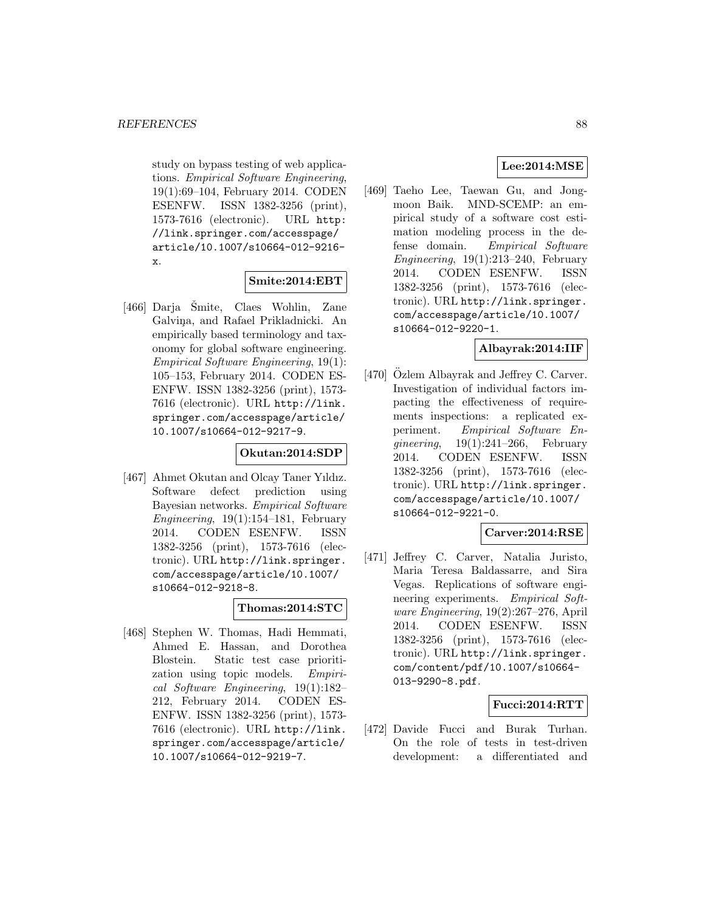study on bypass testing of web applications. Empirical Software Engineering, 19(1):69–104, February 2014. CODEN ESENFW. ISSN 1382-3256 (print), 1573-7616 (electronic). URL http: //link.springer.com/accesspage/ article/10.1007/s10664-012-9216 x.

#### **Smite:2014:EBT**

 $[466]$  Darja Smite, Claes Wohlin, Zane Galviņa, and Rafael Prikladnicki. An empirically based terminology and taxonomy for global software engineering. Empirical Software Engineering, 19(1): 105–153, February 2014. CODEN ES-ENFW. ISSN 1382-3256 (print), 1573- 7616 (electronic). URL http://link. springer.com/accesspage/article/ 10.1007/s10664-012-9217-9.

## **Okutan:2014:SDP**

[467] Ahmet Okutan and Olcay Taner Yıldız. Software defect prediction using Bayesian networks. Empirical Software Engineering,  $19(1):154-181$ , February 2014. CODEN ESENFW. ISSN 1382-3256 (print), 1573-7616 (electronic). URL http://link.springer. com/accesspage/article/10.1007/ s10664-012-9218-8.

#### **Thomas:2014:STC**

[468] Stephen W. Thomas, Hadi Hemmati, Ahmed E. Hassan, and Dorothea Blostein. Static test case prioritization using topic models. Empirical Software Engineering, 19(1):182– 212, February 2014. CODEN ES-ENFW. ISSN 1382-3256 (print), 1573- 7616 (electronic). URL http://link. springer.com/accesspage/article/ 10.1007/s10664-012-9219-7.

# **Lee:2014:MSE**

[469] Taeho Lee, Taewan Gu, and Jongmoon Baik. MND-SCEMP: an empirical study of a software cost estimation modeling process in the defense domain. Empirical Software Engineering,  $19(1):213-240$ , February 2014. CODEN ESENFW. ISSN 1382-3256 (print), 1573-7616 (electronic). URL http://link.springer. com/accesspage/article/10.1007/ s10664-012-9220-1.

## **Albayrak:2014:IIF**

[470] Özlem Albayrak and Jeffrey C. Carver. Investigation of individual factors impacting the effectiveness of requirements inspections: a replicated experiment. Empirical Software Enqineering,  $19(1):241-266$ , February 2014. CODEN ESENFW. ISSN 1382-3256 (print), 1573-7616 (electronic). URL http://link.springer. com/accesspage/article/10.1007/ s10664-012-9221-0.

# **Carver:2014:RSE**

[471] Jeffrey C. Carver, Natalia Juristo, Maria Teresa Baldassarre, and Sira Vegas. Replications of software engineering experiments. Empirical Software Engineering, 19(2):267–276, April 2014. CODEN ESENFW. ISSN 1382-3256 (print), 1573-7616 (electronic). URL http://link.springer. com/content/pdf/10.1007/s10664- 013-9290-8.pdf.

## **Fucci:2014:RTT**

[472] Davide Fucci and Burak Turhan. On the role of tests in test-driven development: a differentiated and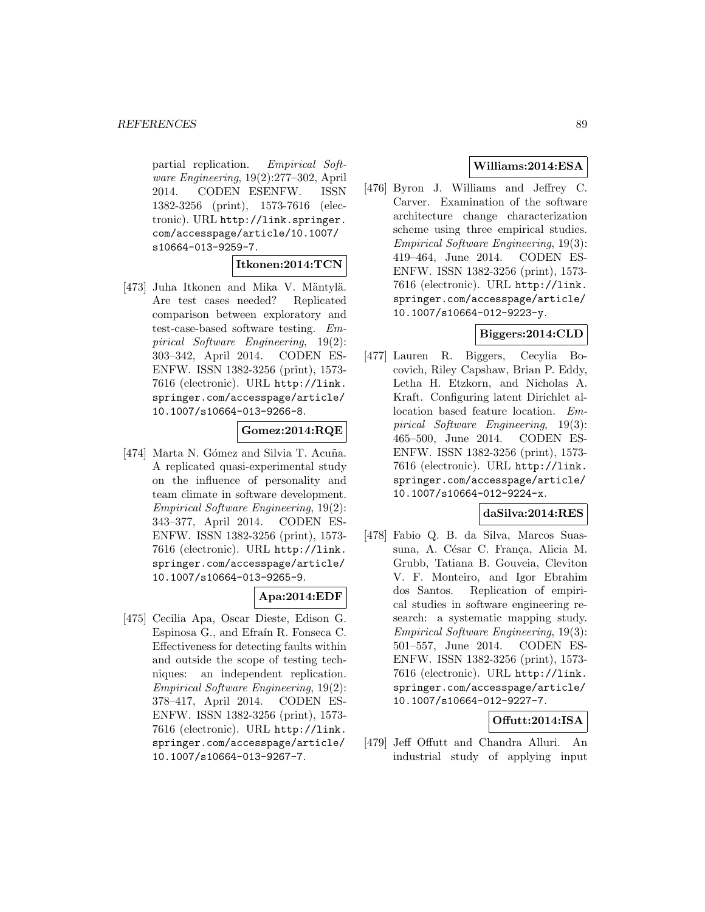partial replication. Empirical Software Engineering, 19(2):277–302, April 2014. CODEN ESENFW. ISSN 1382-3256 (print), 1573-7616 (electronic). URL http://link.springer. com/accesspage/article/10.1007/ s10664-013-9259-7.

#### **Itkonen:2014:TCN**

[473] Juha Itkonen and Mika V. Mäntylä. Are test cases needed? Replicated comparison between exploratory and test-case-based software testing. Empirical Software Engineering, 19(2): 303–342, April 2014. CODEN ES-ENFW. ISSN 1382-3256 (print), 1573- 7616 (electronic). URL http://link. springer.com/accesspage/article/ 10.1007/s10664-013-9266-8.

## **Gomez:2014:RQE**

[474] Marta N. Gómez and Silvia T. Acuña. A replicated quasi-experimental study on the influence of personality and team climate in software development. Empirical Software Engineering, 19(2): 343–377, April 2014. CODEN ES-ENFW. ISSN 1382-3256 (print), 1573- 7616 (electronic). URL http://link. springer.com/accesspage/article/ 10.1007/s10664-013-9265-9.

## **Apa:2014:EDF**

[475] Cecilia Apa, Oscar Dieste, Edison G. Espinosa G., and Efraín R. Fonseca C. Effectiveness for detecting faults within and outside the scope of testing techniques: an independent replication. Empirical Software Engineering, 19(2): 378–417, April 2014. CODEN ES-ENFW. ISSN 1382-3256 (print), 1573- 7616 (electronic). URL http://link. springer.com/accesspage/article/ 10.1007/s10664-013-9267-7.

## **Williams:2014:ESA**

[476] Byron J. Williams and Jeffrey C. Carver. Examination of the software architecture change characterization scheme using three empirical studies. Empirical Software Engineering, 19(3): 419–464, June 2014. CODEN ES-ENFW. ISSN 1382-3256 (print), 1573- 7616 (electronic). URL http://link. springer.com/accesspage/article/ 10.1007/s10664-012-9223-y.

## **Biggers:2014:CLD**

[477] Lauren R. Biggers, Cecylia Bocovich, Riley Capshaw, Brian P. Eddy, Letha H. Etzkorn, and Nicholas A. Kraft. Configuring latent Dirichlet allocation based feature location. Empirical Software Engineering, 19(3): 465–500, June 2014. CODEN ES-ENFW. ISSN 1382-3256 (print), 1573- 7616 (electronic). URL http://link. springer.com/accesspage/article/ 10.1007/s10664-012-9224-x.

## **daSilva:2014:RES**

[478] Fabio Q. B. da Silva, Marcos Suassuna, A. César C. França, Alicia M. Grubb, Tatiana B. Gouveia, Cleviton V. F. Monteiro, and Igor Ebrahim dos Santos. Replication of empirical studies in software engineering research: a systematic mapping study. Empirical Software Engineering, 19(3): 501–557, June 2014. CODEN ES-ENFW. ISSN 1382-3256 (print), 1573- 7616 (electronic). URL http://link. springer.com/accesspage/article/ 10.1007/s10664-012-9227-7.

# **Offutt:2014:ISA**

[479] Jeff Offutt and Chandra Alluri. An industrial study of applying input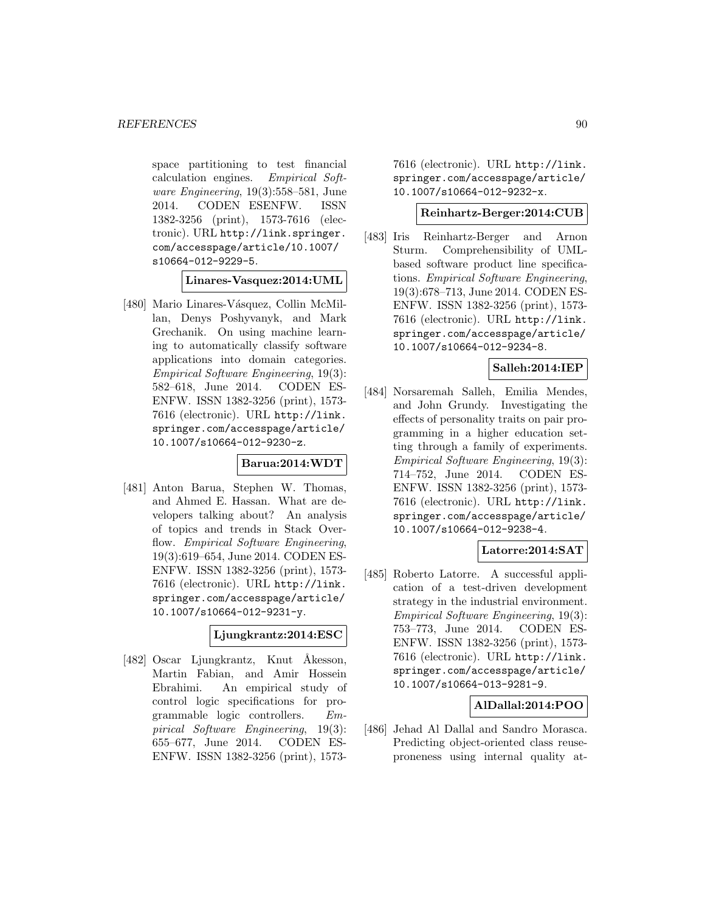space partitioning to test financial calculation engines. Empirical Software Engineering, 19(3):558–581, June 2014. CODEN ESENFW. ISSN 1382-3256 (print), 1573-7616 (electronic). URL http://link.springer. com/accesspage/article/10.1007/ s10664-012-9229-5.

**Linares-Vasquez:2014:UML**

[480] Mario Linares-Vásquez, Collin McMillan, Denys Poshyvanyk, and Mark Grechanik. On using machine learning to automatically classify software applications into domain categories. Empirical Software Engineering, 19(3): 582–618, June 2014. CODEN ES-ENFW. ISSN 1382-3256 (print), 1573- 7616 (electronic). URL http://link. springer.com/accesspage/article/ 10.1007/s10664-012-9230-z.

## **Barua:2014:WDT**

[481] Anton Barua, Stephen W. Thomas, and Ahmed E. Hassan. What are developers talking about? An analysis of topics and trends in Stack Overflow. Empirical Software Engineering, 19(3):619–654, June 2014. CODEN ES-ENFW. ISSN 1382-3256 (print), 1573- 7616 (electronic). URL http://link. springer.com/accesspage/article/ 10.1007/s10664-012-9231-y.

## **Ljungkrantz:2014:ESC**

[482] Oscar Ljungkrantz, Knut Åkesson, Martin Fabian, and Amir Hossein Ebrahimi. An empirical study of control logic specifications for programmable logic controllers. Empirical Software Engineering, 19(3): 655–677, June 2014. CODEN ES-ENFW. ISSN 1382-3256 (print), 15737616 (electronic). URL http://link. springer.com/accesspage/article/ 10.1007/s10664-012-9232-x.

## **Reinhartz-Berger:2014:CUB**

[483] Iris Reinhartz-Berger and Arnon Sturm. Comprehensibility of UMLbased software product line specifications. Empirical Software Engineering, 19(3):678–713, June 2014. CODEN ES-ENFW. ISSN 1382-3256 (print), 1573- 7616 (electronic). URL http://link. springer.com/accesspage/article/ 10.1007/s10664-012-9234-8.

## **Salleh:2014:IEP**

[484] Norsaremah Salleh, Emilia Mendes, and John Grundy. Investigating the effects of personality traits on pair programming in a higher education setting through a family of experiments. Empirical Software Engineering, 19(3): 714–752, June 2014. CODEN ES-ENFW. ISSN 1382-3256 (print), 1573- 7616 (electronic). URL http://link. springer.com/accesspage/article/ 10.1007/s10664-012-9238-4.

# **Latorre:2014:SAT**

[485] Roberto Latorre. A successful application of a test-driven development strategy in the industrial environment. Empirical Software Engineering, 19(3): 753–773, June 2014. CODEN ES-ENFW. ISSN 1382-3256 (print), 1573- 7616 (electronic). URL http://link. springer.com/accesspage/article/ 10.1007/s10664-013-9281-9.

## **AlDallal:2014:POO**

[486] Jehad Al Dallal and Sandro Morasca. Predicting object-oriented class reuseproneness using internal quality at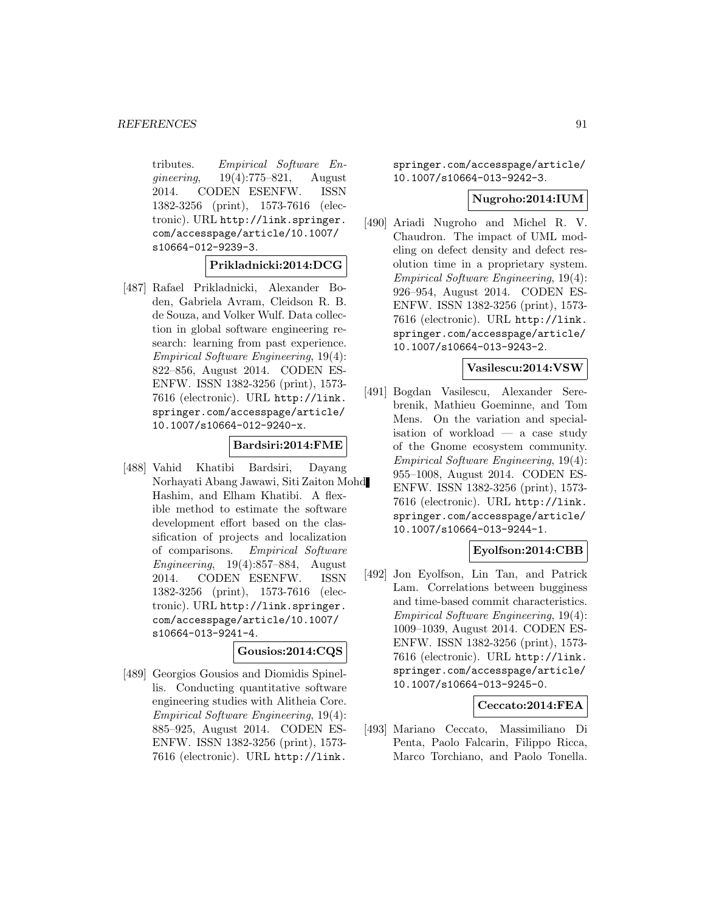tributes. Empirical Software Engineering, 19(4):775–821, August 2014. CODEN ESENFW. ISSN 1382-3256 (print), 1573-7616 (electronic). URL http://link.springer. com/accesspage/article/10.1007/ s10664-012-9239-3.

**Prikladnicki:2014:DCG**

[487] Rafael Prikladnicki, Alexander Boden, Gabriela Avram, Cleidson R. B. de Souza, and Volker Wulf. Data collection in global software engineering research: learning from past experience. Empirical Software Engineering, 19(4): 822–856, August 2014. CODEN ES-ENFW. ISSN 1382-3256 (print), 1573- 7616 (electronic). URL http://link. springer.com/accesspage/article/ 10.1007/s10664-012-9240-x.

## **Bardsiri:2014:FME**

[488] Vahid Khatibi Bardsiri, Dayang Norhayati Abang Jawawi, Siti Zaiton Mohd Hashim, and Elham Khatibi. A flexible method to estimate the software development effort based on the classification of projects and localization of comparisons. Empirical Software Engineering, 19(4):857–884, August 2014. CODEN ESENFW. ISSN 1382-3256 (print), 1573-7616 (electronic). URL http://link.springer. com/accesspage/article/10.1007/ s10664-013-9241-4.

## **Gousios:2014:CQS**

[489] Georgios Gousios and Diomidis Spinellis. Conducting quantitative software engineering studies with Alitheia Core. Empirical Software Engineering, 19(4): 885–925, August 2014. CODEN ES-ENFW. ISSN 1382-3256 (print), 1573- 7616 (electronic). URL http://link.

springer.com/accesspage/article/ 10.1007/s10664-013-9242-3.

## **Nugroho:2014:IUM**

[490] Ariadi Nugroho and Michel R. V. Chaudron. The impact of UML modeling on defect density and defect resolution time in a proprietary system. Empirical Software Engineering, 19(4): 926–954, August 2014. CODEN ES-ENFW. ISSN 1382-3256 (print), 1573- 7616 (electronic). URL http://link. springer.com/accesspage/article/ 10.1007/s10664-013-9243-2.

## **Vasilescu:2014:VSW**

[491] Bogdan Vasilescu, Alexander Serebrenik, Mathieu Goeminne, and Tom Mens. On the variation and specialisation of workload — a case study of the Gnome ecosystem community. Empirical Software Engineering, 19(4): 955–1008, August 2014. CODEN ES-ENFW. ISSN 1382-3256 (print), 1573- 7616 (electronic). URL http://link. springer.com/accesspage/article/ 10.1007/s10664-013-9244-1.

## **Eyolfson:2014:CBB**

[492] Jon Eyolfson, Lin Tan, and Patrick Lam. Correlations between bugginess and time-based commit characteristics. Empirical Software Engineering, 19(4): 1009–1039, August 2014. CODEN ES-ENFW. ISSN 1382-3256 (print), 1573- 7616 (electronic). URL http://link. springer.com/accesspage/article/ 10.1007/s10664-013-9245-0.

#### **Ceccato:2014:FEA**

[493] Mariano Ceccato, Massimiliano Di Penta, Paolo Falcarin, Filippo Ricca, Marco Torchiano, and Paolo Tonella.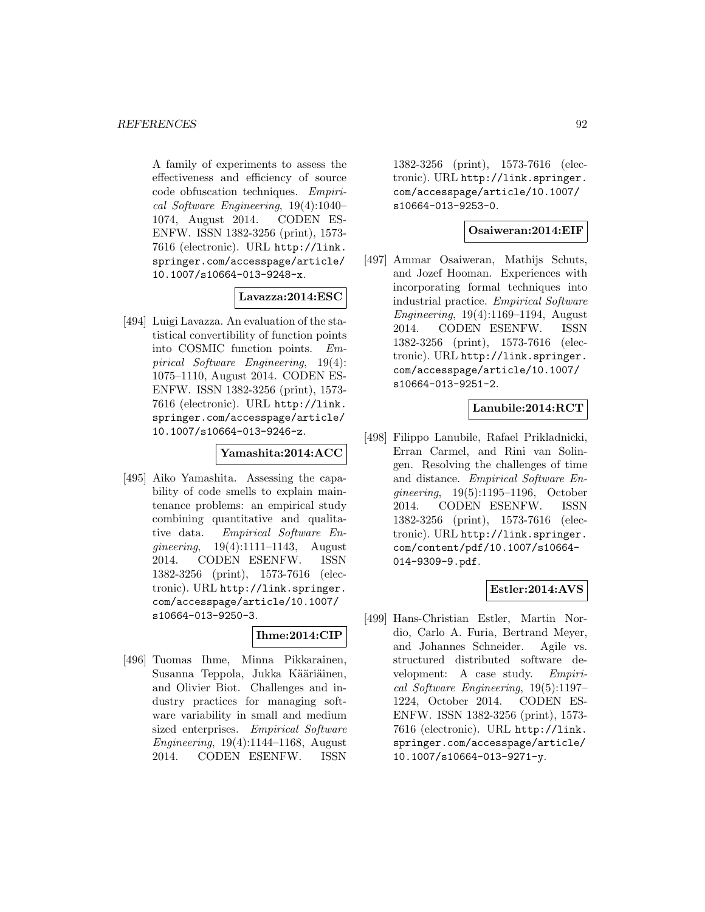A family of experiments to assess the effectiveness and efficiency of source code obfuscation techniques. Empirical Software Engineering, 19(4):1040– 1074, August 2014. CODEN ES-ENFW. ISSN 1382-3256 (print), 1573- 7616 (electronic). URL http://link. springer.com/accesspage/article/ 10.1007/s10664-013-9248-x.

## **Lavazza:2014:ESC**

[494] Luigi Lavazza. An evaluation of the statistical convertibility of function points into COSMIC function points. Empirical Software Engineering, 19(4): 1075–1110, August 2014. CODEN ES-ENFW. ISSN 1382-3256 (print), 1573- 7616 (electronic). URL http://link. springer.com/accesspage/article/ 10.1007/s10664-013-9246-z.

#### **Yamashita:2014:ACC**

[495] Aiko Yamashita. Assessing the capability of code smells to explain maintenance problems: an empirical study combining quantitative and qualitative data. Empirical Software Engineering, 19(4):1111–1143, August 2014. CODEN ESENFW. ISSN 1382-3256 (print), 1573-7616 (electronic). URL http://link.springer. com/accesspage/article/10.1007/ s10664-013-9250-3.

## **Ihme:2014:CIP**

[496] Tuomas Ihme, Minna Pikkarainen, Susanna Teppola, Jukka Kääriäinen, and Olivier Biot. Challenges and industry practices for managing software variability in small and medium sized enterprises. Empirical Software Engineering, 19(4):1144–1168, August 2014. CODEN ESENFW. ISSN

1382-3256 (print), 1573-7616 (electronic). URL http://link.springer. com/accesspage/article/10.1007/ s10664-013-9253-0.

## **Osaiweran:2014:EIF**

[497] Ammar Osaiweran, Mathijs Schuts, and Jozef Hooman. Experiences with incorporating formal techniques into industrial practice. Empirical Software Engineering, 19(4):1169–1194, August 2014. CODEN ESENFW. ISSN 1382-3256 (print), 1573-7616 (electronic). URL http://link.springer. com/accesspage/article/10.1007/ s10664-013-9251-2.

## **Lanubile:2014:RCT**

[498] Filippo Lanubile, Rafael Prikladnicki, Erran Carmel, and Rini van Solingen. Resolving the challenges of time and distance. Empirical Software Engineering, 19(5):1195–1196, October 2014. CODEN ESENFW. ISSN 1382-3256 (print), 1573-7616 (electronic). URL http://link.springer. com/content/pdf/10.1007/s10664- 014-9309-9.pdf.

# **Estler:2014:AVS**

[499] Hans-Christian Estler, Martin Nordio, Carlo A. Furia, Bertrand Meyer, and Johannes Schneider. Agile vs. structured distributed software development: A case study. Empirical Software Engineering, 19(5):1197– 1224, October 2014. CODEN ES-ENFW. ISSN 1382-3256 (print), 1573- 7616 (electronic). URL http://link. springer.com/accesspage/article/ 10.1007/s10664-013-9271-y.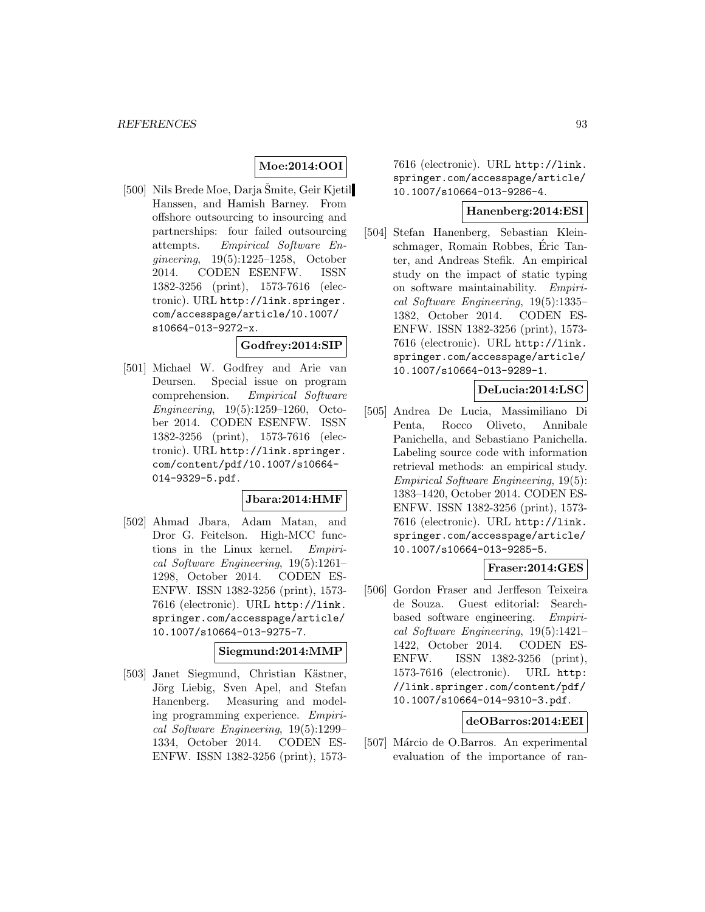## **Moe:2014:OOI**

[500] Nils Brede Moe, Darja Šmite, Geir Kjetil Hanssen, and Hamish Barney. From offshore outsourcing to insourcing and partnerships: four failed outsourcing attempts. Empirical Software Engineering, 19(5):1225–1258, October 2014. CODEN ESENFW. ISSN 1382-3256 (print), 1573-7616 (electronic). URL http://link.springer. com/accesspage/article/10.1007/ s10664-013-9272-x.

#### **Godfrey:2014:SIP**

[501] Michael W. Godfrey and Arie van Deursen. Special issue on program comprehension. Empirical Software Engineering, 19(5):1259–1260, October 2014. CODEN ESENFW. ISSN 1382-3256 (print), 1573-7616 (electronic). URL http://link.springer. com/content/pdf/10.1007/s10664- 014-9329-5.pdf.

## **Jbara:2014:HMF**

[502] Ahmad Jbara, Adam Matan, and Dror G. Feitelson. High-MCC functions in the Linux kernel. Empirical Software Engineering, 19(5):1261– 1298, October 2014. CODEN ES-ENFW. ISSN 1382-3256 (print), 1573- 7616 (electronic). URL http://link. springer.com/accesspage/article/ 10.1007/s10664-013-9275-7.

#### **Siegmund:2014:MMP**

[503] Janet Siegmund, Christian Kästner, Jörg Liebig, Sven Apel, and Stefan Hanenberg. Measuring and modeling programming experience. Empirical Software Engineering, 19(5):1299– 1334, October 2014. CODEN ES-ENFW. ISSN 1382-3256 (print), 15737616 (electronic). URL http://link. springer.com/accesspage/article/ 10.1007/s10664-013-9286-4.

## **Hanenberg:2014:ESI**

[504] Stefan Hanenberg, Sebastian Kleinschmager, Romain Robbes, Eric Tan- ´ ter, and Andreas Stefik. An empirical study on the impact of static typing on software maintainability. Empirical Software Engineering, 19(5):1335– 1382, October 2014. CODEN ES-ENFW. ISSN 1382-3256 (print), 1573- 7616 (electronic). URL http://link. springer.com/accesspage/article/ 10.1007/s10664-013-9289-1.

## **DeLucia:2014:LSC**

[505] Andrea De Lucia, Massimiliano Di Penta, Rocco Oliveto, Annibale Panichella, and Sebastiano Panichella. Labeling source code with information retrieval methods: an empirical study. Empirical Software Engineering, 19(5): 1383–1420, October 2014. CODEN ES-ENFW. ISSN 1382-3256 (print), 1573- 7616 (electronic). URL http://link. springer.com/accesspage/article/ 10.1007/s10664-013-9285-5.

#### **Fraser:2014:GES**

[506] Gordon Fraser and Jerffeson Teixeira de Souza. Guest editorial: Searchbased software engineering. Empirical Software Engineering, 19(5):1421– 1422, October 2014. CODEN ES-ENFW. ISSN 1382-3256 (print), 1573-7616 (electronic). URL http: //link.springer.com/content/pdf/ 10.1007/s10664-014-9310-3.pdf.

#### **deOBarros:2014:EEI**

[507] Márcio de O.Barros. An experimental evaluation of the importance of ran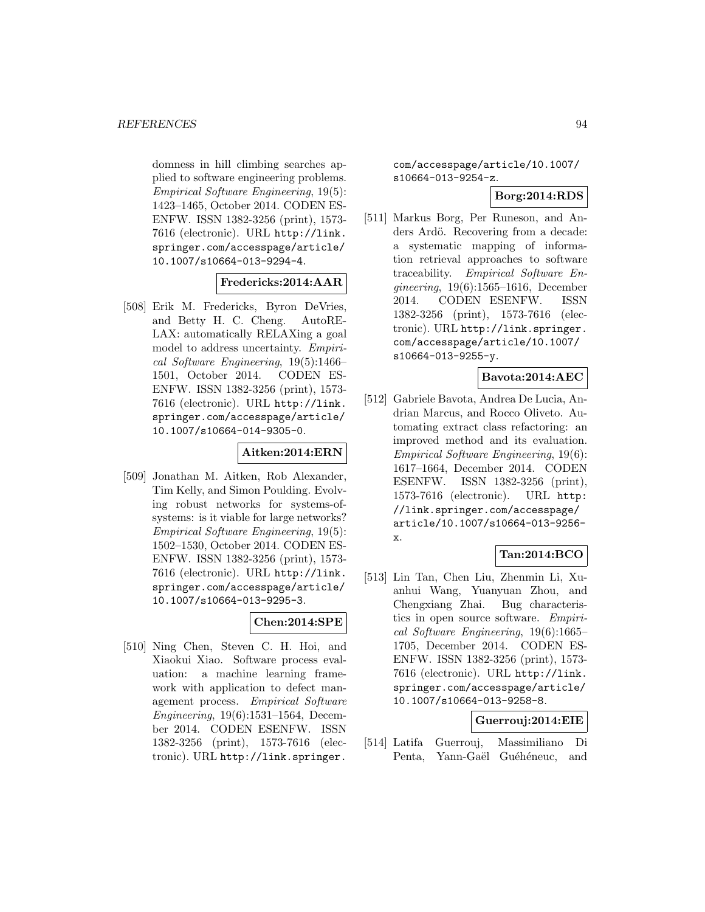domness in hill climbing searches applied to software engineering problems. Empirical Software Engineering, 19(5): 1423–1465, October 2014. CODEN ES-ENFW. ISSN 1382-3256 (print), 1573- 7616 (electronic). URL http://link. springer.com/accesspage/article/ 10.1007/s10664-013-9294-4.

#### **Fredericks:2014:AAR**

[508] Erik M. Fredericks, Byron DeVries, and Betty H. C. Cheng. AutoRE-LAX: automatically RELAXing a goal model to address uncertainty. Empirical Software Engineering, 19(5):1466– 1501, October 2014. CODEN ES-ENFW. ISSN 1382-3256 (print), 1573- 7616 (electronic). URL http://link. springer.com/accesspage/article/ 10.1007/s10664-014-9305-0.

## **Aitken:2014:ERN**

[509] Jonathan M. Aitken, Rob Alexander, Tim Kelly, and Simon Poulding. Evolving robust networks for systems-ofsystems: is it viable for large networks? Empirical Software Engineering, 19(5): 1502–1530, October 2014. CODEN ES-ENFW. ISSN 1382-3256 (print), 1573- 7616 (electronic). URL http://link. springer.com/accesspage/article/ 10.1007/s10664-013-9295-3.

## **Chen:2014:SPE**

[510] Ning Chen, Steven C. H. Hoi, and Xiaokui Xiao. Software process evaluation: a machine learning framework with application to defect management process. Empirical Software Engineering, 19(6):1531–1564, December 2014. CODEN ESENFW. ISSN 1382-3256 (print), 1573-7616 (electronic). URL http://link.springer.

com/accesspage/article/10.1007/ s10664-013-9254-z.

# **Borg:2014:RDS**

[511] Markus Borg, Per Runeson, and Anders Ardö. Recovering from a decade: a systematic mapping of information retrieval approaches to software traceability. Empirical Software Engineering, 19(6):1565–1616, December 2014. CODEN ESENFW. ISSN 1382-3256 (print), 1573-7616 (electronic). URL http://link.springer. com/accesspage/article/10.1007/ s10664-013-9255-y.

## **Bavota:2014:AEC**

[512] Gabriele Bavota, Andrea De Lucia, Andrian Marcus, and Rocco Oliveto. Automating extract class refactoring: an improved method and its evaluation. Empirical Software Engineering, 19(6): 1617–1664, December 2014. CODEN ESENFW. ISSN 1382-3256 (print), 1573-7616 (electronic). URL http: //link.springer.com/accesspage/ article/10.1007/s10664-013-9256 x.

# **Tan:2014:BCO**

[513] Lin Tan, Chen Liu, Zhenmin Li, Xuanhui Wang, Yuanyuan Zhou, and Chengxiang Zhai. Bug characteristics in open source software. Empirical Software Engineering, 19(6):1665– 1705, December 2014. CODEN ES-ENFW. ISSN 1382-3256 (print), 1573- 7616 (electronic). URL http://link. springer.com/accesspage/article/ 10.1007/s10664-013-9258-8.

# **Guerrouj:2014:EIE**

[514] Latifa Guerrouj, Massimiliano Di Penta, Yann-Gaël Guéhéneuc, and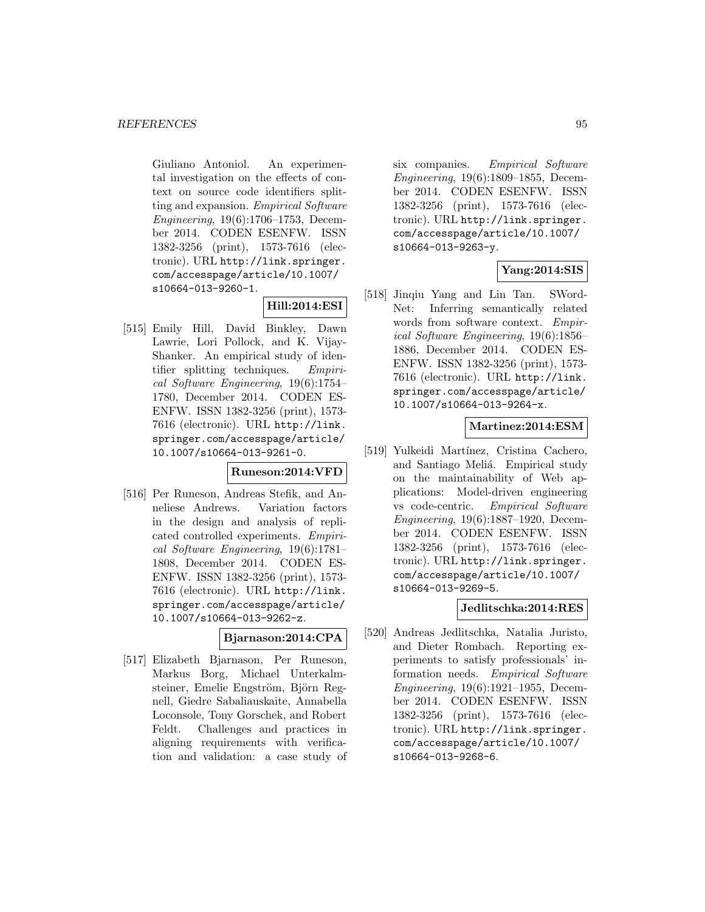Giuliano Antoniol. An experimental investigation on the effects of context on source code identifiers splitting and expansion. Empirical Software Engineering, 19(6):1706–1753, December 2014. CODEN ESENFW. ISSN 1382-3256 (print), 1573-7616 (electronic). URL http://link.springer. com/accesspage/article/10.1007/ s10664-013-9260-1.

## **Hill:2014:ESI**

[515] Emily Hill, David Binkley, Dawn Lawrie, Lori Pollock, and K. Vijay-Shanker. An empirical study of identifier splitting techniques. Empirical Software Engineering, 19(6):1754– 1780, December 2014. CODEN ES-ENFW. ISSN 1382-3256 (print), 1573- 7616 (electronic). URL http://link. springer.com/accesspage/article/ 10.1007/s10664-013-9261-0.

## **Runeson:2014:VFD**

[516] Per Runeson, Andreas Stefik, and Anneliese Andrews. Variation factors in the design and analysis of replicated controlled experiments. Empirical Software Engineering, 19(6):1781– 1808, December 2014. CODEN ES-ENFW. ISSN 1382-3256 (print), 1573- 7616 (electronic). URL http://link. springer.com/accesspage/article/ 10.1007/s10664-013-9262-z.

## **Bjarnason:2014:CPA**

[517] Elizabeth Bjarnason, Per Runeson, Markus Borg, Michael Unterkalmsteiner, Emelie Engström, Björn Regnell, Giedre Sabaliauskaite, Annabella Loconsole, Tony Gorschek, and Robert Feldt. Challenges and practices in aligning requirements with verification and validation: a case study of

six companies. Empirical Software Engineering, 19(6):1809–1855, December 2014. CODEN ESENFW. ISSN 1382-3256 (print), 1573-7616 (electronic). URL http://link.springer. com/accesspage/article/10.1007/ s10664-013-9263-y.

## **Yang:2014:SIS**

[518] Jinqiu Yang and Lin Tan. SWord-Net: Inferring semantically related words from software context. Empirical Software Engineering, 19(6):1856– 1886, December 2014. CODEN ES-ENFW. ISSN 1382-3256 (print), 1573- 7616 (electronic). URL http://link. springer.com/accesspage/article/ 10.1007/s10664-013-9264-x.

## **Martinez:2014:ESM**

[519] Yulkeidi Martínez, Cristina Cachero, and Santiago Meliá. Empirical study on the maintainability of Web applications: Model-driven engineering vs code-centric. Empirical Software Engineering, 19(6):1887–1920, December 2014. CODEN ESENFW. ISSN 1382-3256 (print), 1573-7616 (electronic). URL http://link.springer. com/accesspage/article/10.1007/ s10664-013-9269-5.

# **Jedlitschka:2014:RES**

[520] Andreas Jedlitschka, Natalia Juristo, and Dieter Rombach. Reporting experiments to satisfy professionals' information needs. Empirical Software Engineering, 19(6):1921–1955, December 2014. CODEN ESENFW. ISSN 1382-3256 (print), 1573-7616 (electronic). URL http://link.springer. com/accesspage/article/10.1007/ s10664-013-9268-6.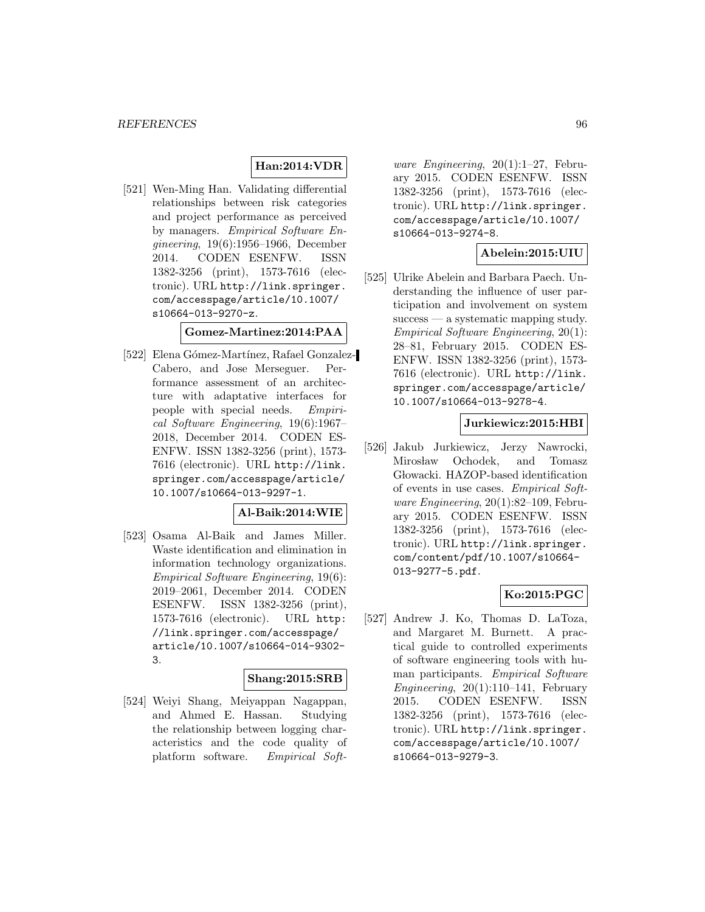# **Han:2014:VDR**

[521] Wen-Ming Han. Validating differential relationships between risk categories and project performance as perceived by managers. Empirical Software Engineering, 19(6):1956–1966, December 2014. CODEN ESENFW. ISSN 1382-3256 (print), 1573-7616 (electronic). URL http://link.springer. com/accesspage/article/10.1007/ s10664-013-9270-z.

## **Gomez-Martinez:2014:PAA**

[522] Elena Gómez-Martínez, Rafael Gonzalez-Cabero, and Jose Merseguer. Performance assessment of an architecture with adaptative interfaces for people with special needs. Empirical Software Engineering, 19(6):1967– 2018, December 2014. CODEN ES-ENFW. ISSN 1382-3256 (print), 1573- 7616 (electronic). URL http://link. springer.com/accesspage/article/ 10.1007/s10664-013-9297-1.

## **Al-Baik:2014:WIE**

[523] Osama Al-Baik and James Miller. Waste identification and elimination in information technology organizations. Empirical Software Engineering, 19(6): 2019–2061, December 2014. CODEN ESENFW. ISSN 1382-3256 (print), 1573-7616 (electronic). URL http: //link.springer.com/accesspage/ article/10.1007/s10664-014-9302- 3.

## **Shang:2015:SRB**

[524] Weiyi Shang, Meiyappan Nagappan, and Ahmed E. Hassan. Studying the relationship between logging characteristics and the code quality of platform software. Empirical Soft-

ware Engineering,  $20(1):1-27$ , February 2015. CODEN ESENFW. ISSN 1382-3256 (print), 1573-7616 (electronic). URL http://link.springer. com/accesspage/article/10.1007/ s10664-013-9274-8.

## **Abelein:2015:UIU**

[525] Ulrike Abelein and Barbara Paech. Understanding the influence of user participation and involvement on system success — a systematic mapping study. Empirical Software Engineering, 20(1): 28–81, February 2015. CODEN ES-ENFW. ISSN 1382-3256 (print), 1573- 7616 (electronic). URL http://link. springer.com/accesspage/article/ 10.1007/s10664-013-9278-4.

## **Jurkiewicz:2015:HBI**

[526] Jakub Jurkiewicz, Jerzy Nawrocki, Mirosław Ochodek, and Tomasz Głowacki. HAZOP-based identification of events in use cases. Empirical Software Engineering, 20(1):82–109, February 2015. CODEN ESENFW. ISSN 1382-3256 (print), 1573-7616 (electronic). URL http://link.springer. com/content/pdf/10.1007/s10664- 013-9277-5.pdf.

## **Ko:2015:PGC**

[527] Andrew J. Ko, Thomas D. LaToza, and Margaret M. Burnett. A practical guide to controlled experiments of software engineering tools with human participants. Empirical Software Engineering,  $20(1):110-141$ , February 2015. CODEN ESENFW. ISSN 1382-3256 (print), 1573-7616 (electronic). URL http://link.springer. com/accesspage/article/10.1007/ s10664-013-9279-3.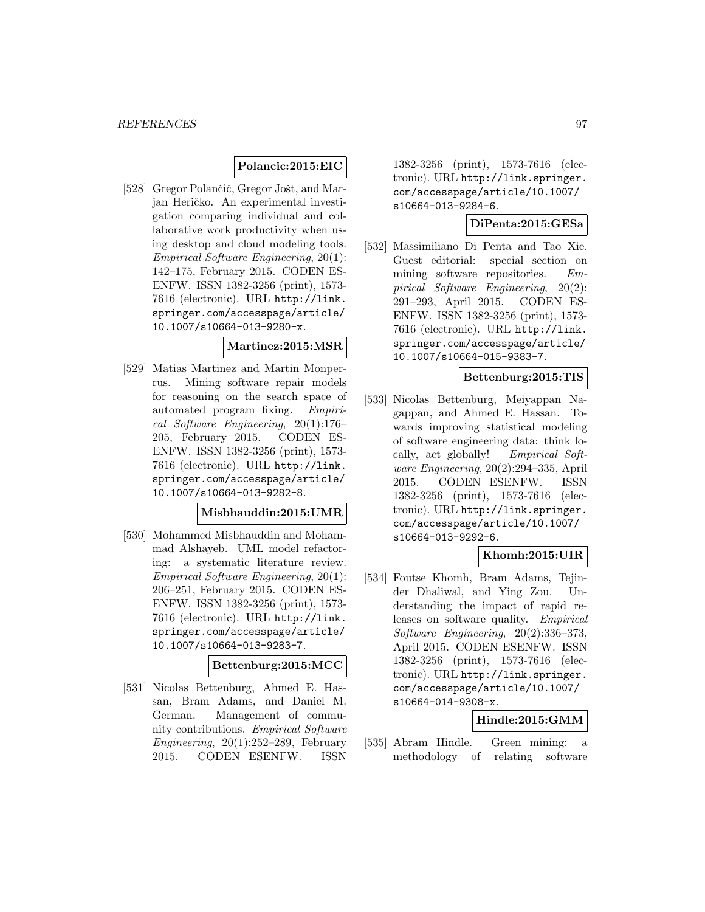#### **Polancic:2015:EIC**

[528] Gregor Polančič, Gregor Jošt, and Marjan Heričko. An experimental investigation comparing individual and collaborative work productivity when using desktop and cloud modeling tools. Empirical Software Engineering, 20(1): 142–175, February 2015. CODEN ES-ENFW. ISSN 1382-3256 (print), 1573- 7616 (electronic). URL http://link. springer.com/accesspage/article/ 10.1007/s10664-013-9280-x.

#### **Martinez:2015:MSR**

[529] Matias Martinez and Martin Monperrus. Mining software repair models for reasoning on the search space of automated program fixing. Empirical Software Engineering, 20(1):176– 205, February 2015. CODEN ES-ENFW. ISSN 1382-3256 (print), 1573- 7616 (electronic). URL http://link. springer.com/accesspage/article/ 10.1007/s10664-013-9282-8.

## **Misbhauddin:2015:UMR**

[530] Mohammed Misbhauddin and Mohammad Alshayeb. UML model refactoring: a systematic literature review. Empirical Software Engineering, 20(1): 206–251, February 2015. CODEN ES-ENFW. ISSN 1382-3256 (print), 1573- 7616 (electronic). URL http://link. springer.com/accesspage/article/ 10.1007/s10664-013-9283-7.

## **Bettenburg:2015:MCC**

[531] Nicolas Bettenburg, Ahmed E. Hassan, Bram Adams, and Daniel M. German. Management of community contributions. Empirical Software Engineering,  $20(1):252-289$ , February 2015. CODEN ESENFW. ISSN

1382-3256 (print), 1573-7616 (electronic). URL http://link.springer. com/accesspage/article/10.1007/ s10664-013-9284-6.

#### **DiPenta:2015:GESa**

[532] Massimiliano Di Penta and Tao Xie. Guest editorial: special section on mining software repositories. Empirical Software Engineering, 20(2): 291–293, April 2015. CODEN ES-ENFW. ISSN 1382-3256 (print), 1573- 7616 (electronic). URL http://link. springer.com/accesspage/article/ 10.1007/s10664-015-9383-7.

#### **Bettenburg:2015:TIS**

[533] Nicolas Bettenburg, Meiyappan Nagappan, and Ahmed E. Hassan. Towards improving statistical modeling of software engineering data: think locally, act globally! Empirical Software Engineering, 20(2):294–335, April 2015. CODEN ESENFW. ISSN 1382-3256 (print), 1573-7616 (electronic). URL http://link.springer. com/accesspage/article/10.1007/ s10664-013-9292-6.

## **Khomh:2015:UIR**

[534] Foutse Khomh, Bram Adams, Tejinder Dhaliwal, and Ying Zou. Understanding the impact of rapid releases on software quality. Empirical Software Engineering, 20(2):336–373, April 2015. CODEN ESENFW. ISSN 1382-3256 (print), 1573-7616 (electronic). URL http://link.springer. com/accesspage/article/10.1007/ s10664-014-9308-x.

## **Hindle:2015:GMM**

[535] Abram Hindle. Green mining: a methodology of relating software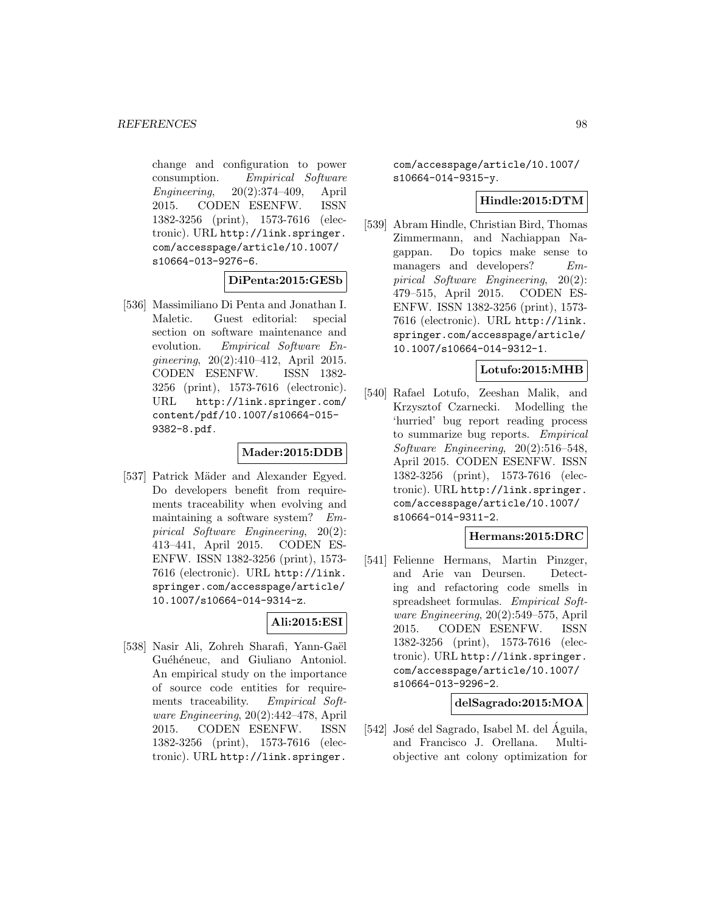change and configuration to power consumption. Empirical Software Engineering, 20(2):374–409, April 2015. CODEN ESENFW. ISSN 1382-3256 (print), 1573-7616 (electronic). URL http://link.springer. com/accesspage/article/10.1007/ s10664-013-9276-6.

#### **DiPenta:2015:GESb**

[536] Massimiliano Di Penta and Jonathan I. Maletic. Guest editorial: special section on software maintenance and evolution. Empirical Software Engineering, 20(2):410–412, April 2015. CODEN ESENFW. ISSN 1382- 3256 (print), 1573-7616 (electronic). URL http://link.springer.com/ content/pdf/10.1007/s10664-015- 9382-8.pdf.

## **Mader:2015:DDB**

[537] Patrick Mäder and Alexander Egyed. Do developers benefit from requirements traceability when evolving and maintaining a software system? Empirical Software Engineering, 20(2): 413–441, April 2015. CODEN ES-ENFW. ISSN 1382-3256 (print), 1573- 7616 (electronic). URL http://link. springer.com/accesspage/article/ 10.1007/s10664-014-9314-z.

## **Ali:2015:ESI**

[538] Nasir Ali, Zohreh Sharafi, Yann-Gaël Guéhéneuc, and Giuliano Antoniol. An empirical study on the importance of source code entities for requirements traceability. Empirical Software Engineering, 20(2):442–478, April 2015. CODEN ESENFW. ISSN 1382-3256 (print), 1573-7616 (electronic). URL http://link.springer.

com/accesspage/article/10.1007/ s10664-014-9315-y.

## **Hindle:2015:DTM**

[539] Abram Hindle, Christian Bird, Thomas Zimmermann, and Nachiappan Nagappan. Do topics make sense to managers and developers? Empirical Software Engineering, 20(2): 479–515, April 2015. CODEN ES-ENFW. ISSN 1382-3256 (print), 1573- 7616 (electronic). URL http://link. springer.com/accesspage/article/ 10.1007/s10664-014-9312-1.

#### **Lotufo:2015:MHB**

[540] Rafael Lotufo, Zeeshan Malik, and Krzysztof Czarnecki. Modelling the 'hurried' bug report reading process to summarize bug reports. Empirical Software Engineering, 20(2):516–548, April 2015. CODEN ESENFW. ISSN 1382-3256 (print), 1573-7616 (electronic). URL http://link.springer. com/accesspage/article/10.1007/ s10664-014-9311-2.

## **Hermans:2015:DRC**

[541] Felienne Hermans, Martin Pinzger, and Arie van Deursen. Detecting and refactoring code smells in spreadsheet formulas. Empirical Software Engineering, 20(2):549–575, April 2015. CODEN ESENFW. ISSN 1382-3256 (print), 1573-7616 (electronic). URL http://link.springer. com/accesspage/article/10.1007/ s10664-013-9296-2.

# **delSagrado:2015:MOA**

 $[542]$  José del Sagrado, Isabel M. del Águila, and Francisco J. Orellana. Multiobjective ant colony optimization for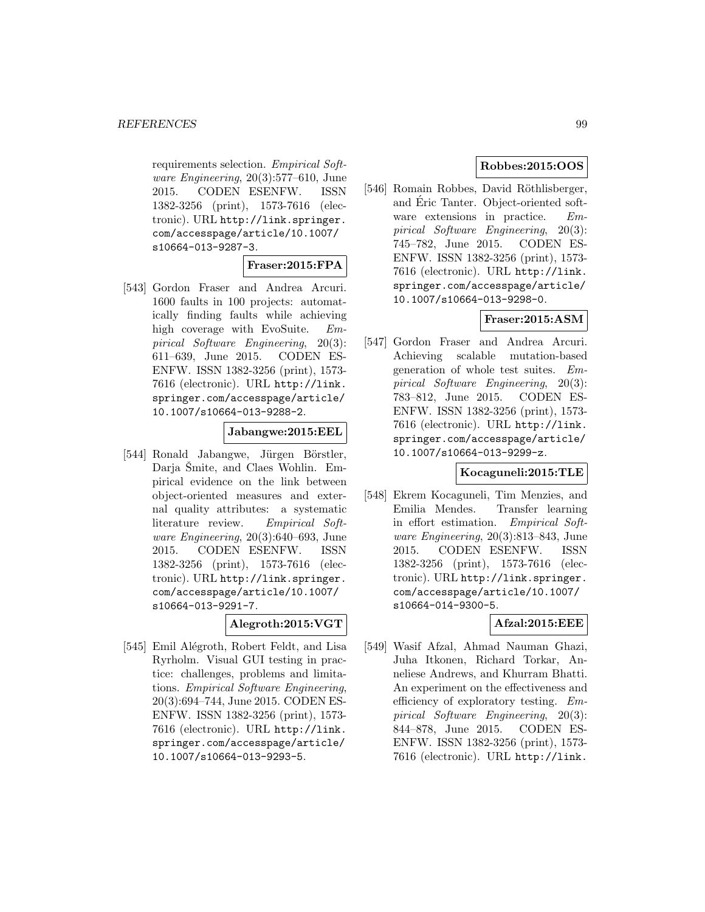requirements selection. Empirical Software Engineering, 20(3):577–610, June 2015. CODEN ESENFW. ISSN 1382-3256 (print), 1573-7616 (electronic). URL http://link.springer. com/accesspage/article/10.1007/ s10664-013-9287-3.

## **Fraser:2015:FPA**

[543] Gordon Fraser and Andrea Arcuri. 1600 faults in 100 projects: automatically finding faults while achieving high coverage with EvoSuite. Empirical Software Engineering, 20(3): 611–639, June 2015. CODEN ES-ENFW. ISSN 1382-3256 (print), 1573- 7616 (electronic). URL http://link. springer.com/accesspage/article/ 10.1007/s10664-013-9288-2.

#### **Jabangwe:2015:EEL**

[544] Ronald Jabangwe, Jürgen Börstler, Darja Šmite, and Claes Wohlin. Empirical evidence on the link between object-oriented measures and external quality attributes: a systematic literature review. Empirical Software Engineering, 20(3):640–693, June 2015. CODEN ESENFW. ISSN 1382-3256 (print), 1573-7616 (electronic). URL http://link.springer. com/accesspage/article/10.1007/ s10664-013-9291-7.

**Alegroth:2015:VGT**

[545] Emil Alégroth, Robert Feldt, and Lisa Ryrholm. Visual GUI testing in practice: challenges, problems and limitations. Empirical Software Engineering, 20(3):694–744, June 2015. CODEN ES-ENFW. ISSN 1382-3256 (print), 1573- 7616 (electronic). URL http://link. springer.com/accesspage/article/ 10.1007/s10664-013-9293-5.

## **Robbes:2015:OOS**

[546] Romain Robbes, David Röthlisberger, and Eric Tanter. Object-oriented software extensions in practice. Empirical Software Engineering, 20(3): 745–782, June 2015. CODEN ES-ENFW. ISSN 1382-3256 (print), 1573- 7616 (electronic). URL http://link. springer.com/accesspage/article/ 10.1007/s10664-013-9298-0.

## **Fraser:2015:ASM**

[547] Gordon Fraser and Andrea Arcuri. Achieving scalable mutation-based generation of whole test suites. Empirical Software Engineering, 20(3): 783–812, June 2015. CODEN ES-ENFW. ISSN 1382-3256 (print), 1573- 7616 (electronic). URL http://link. springer.com/accesspage/article/ 10.1007/s10664-013-9299-z.

## **Kocaguneli:2015:TLE**

[548] Ekrem Kocaguneli, Tim Menzies, and Emilia Mendes. Transfer learning in effort estimation. Empirical Software Engineering, 20(3):813–843, June 2015. CODEN ESENFW. ISSN 1382-3256 (print), 1573-7616 (electronic). URL http://link.springer. com/accesspage/article/10.1007/ s10664-014-9300-5.

# **Afzal:2015:EEE**

[549] Wasif Afzal, Ahmad Nauman Ghazi, Juha Itkonen, Richard Torkar, Anneliese Andrews, and Khurram Bhatti. An experiment on the effectiveness and efficiency of exploratory testing. Empirical Software Engineering, 20(3): 844–878, June 2015. CODEN ES-ENFW. ISSN 1382-3256 (print), 1573- 7616 (electronic). URL http://link.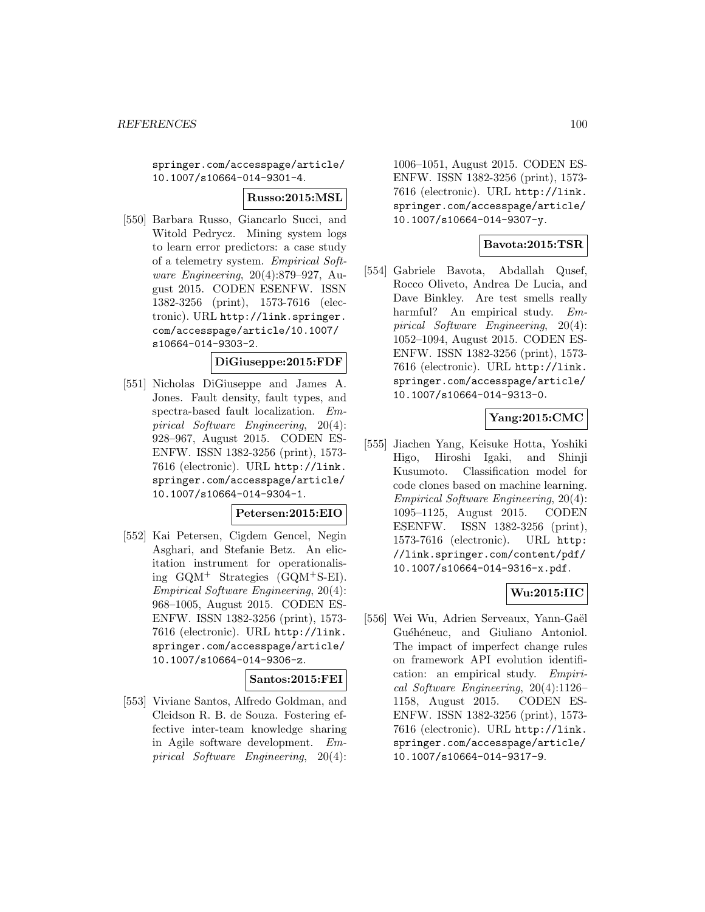springer.com/accesspage/article/ 10.1007/s10664-014-9301-4.

#### **Russo:2015:MSL**

[550] Barbara Russo, Giancarlo Succi, and Witold Pedrycz. Mining system logs to learn error predictors: a case study of a telemetry system. Empirical Software Engineering, 20(4):879–927, August 2015. CODEN ESENFW. ISSN 1382-3256 (print), 1573-7616 (electronic). URL http://link.springer. com/accesspage/article/10.1007/ s10664-014-9303-2.

## **DiGiuseppe:2015:FDF**

[551] Nicholas DiGiuseppe and James A. Jones. Fault density, fault types, and spectra-based fault localization. Empirical Software Engineering, 20(4): 928–967, August 2015. CODEN ES-ENFW. ISSN 1382-3256 (print), 1573- 7616 (electronic). URL http://link. springer.com/accesspage/article/ 10.1007/s10664-014-9304-1.

## **Petersen:2015:EIO**

[552] Kai Petersen, Cigdem Gencel, Negin Asghari, and Stefanie Betz. An elicitation instrument for operationalising GQM<sup>+</sup> Strategies (GQM<sup>+</sup>S-EI). Empirical Software Engineering, 20(4): 968–1005, August 2015. CODEN ES-ENFW. ISSN 1382-3256 (print), 1573- 7616 (electronic). URL http://link. springer.com/accesspage/article/ 10.1007/s10664-014-9306-z.

## **Santos:2015:FEI**

[553] Viviane Santos, Alfredo Goldman, and Cleidson R. B. de Souza. Fostering effective inter-team knowledge sharing in Agile software development. Empirical Software Engineering, 20(4):

1006–1051, August 2015. CODEN ES-ENFW. ISSN 1382-3256 (print), 1573- 7616 (electronic). URL http://link. springer.com/accesspage/article/ 10.1007/s10664-014-9307-y.

## **Bavota:2015:TSR**

[554] Gabriele Bavota, Abdallah Qusef, Rocco Oliveto, Andrea De Lucia, and Dave Binkley. Are test smells really harmful? An empirical study. Empirical Software Engineering, 20(4): 1052–1094, August 2015. CODEN ES-ENFW. ISSN 1382-3256 (print), 1573- 7616 (electronic). URL http://link. springer.com/accesspage/article/ 10.1007/s10664-014-9313-0.

# **Yang:2015:CMC**

[555] Jiachen Yang, Keisuke Hotta, Yoshiki Higo, Hiroshi Igaki, and Shinji Kusumoto. Classification model for code clones based on machine learning. Empirical Software Engineering, 20(4): 1095–1125, August 2015. CODEN ESENFW. ISSN 1382-3256 (print), 1573-7616 (electronic). URL http: //link.springer.com/content/pdf/ 10.1007/s10664-014-9316-x.pdf.

## **Wu:2015:IIC**

[556] Wei Wu, Adrien Serveaux, Yann-Gaël Guéhéneuc, and Giuliano Antoniol. The impact of imperfect change rules on framework API evolution identification: an empirical study. Empirical Software Engineering, 20(4):1126– 1158, August 2015. CODEN ES-ENFW. ISSN 1382-3256 (print), 1573- 7616 (electronic). URL http://link. springer.com/accesspage/article/ 10.1007/s10664-014-9317-9.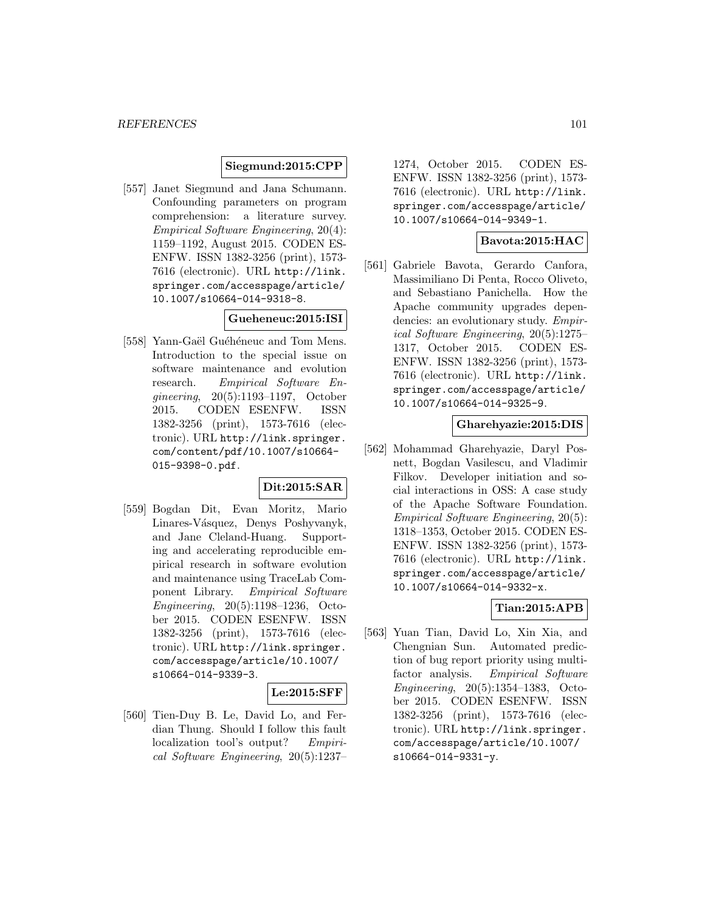### **Siegmund:2015:CPP**

[557] Janet Siegmund and Jana Schumann. Confounding parameters on program comprehension: a literature survey. Empirical Software Engineering, 20(4): 1159–1192, August 2015. CODEN ES-ENFW. ISSN 1382-3256 (print), 1573- 7616 (electronic). URL http://link. springer.com/accesspage/article/ 10.1007/s10664-014-9318-8.

## **Gueheneuc:2015:ISI**

[558] Yann-Gaël Guéhéneuc and Tom Mens. Introduction to the special issue on software maintenance and evolution research. Empirical Software Engineering, 20(5):1193–1197, October 2015. CODEN ESENFW. ISSN 1382-3256 (print), 1573-7616 (electronic). URL http://link.springer. com/content/pdf/10.1007/s10664- 015-9398-0.pdf.

## **Dit:2015:SAR**

[559] Bogdan Dit, Evan Moritz, Mario Linares-Vásquez, Denys Poshyvanyk, and Jane Cleland-Huang. Supporting and accelerating reproducible empirical research in software evolution and maintenance using TraceLab Component Library. Empirical Software Engineering, 20(5):1198–1236, October 2015. CODEN ESENFW. ISSN 1382-3256 (print), 1573-7616 (electronic). URL http://link.springer. com/accesspage/article/10.1007/ s10664-014-9339-3.

#### **Le:2015:SFF**

[560] Tien-Duy B. Le, David Lo, and Ferdian Thung. Should I follow this fault localization tool's output? Empirical Software Engineering, 20(5):1237– 1274, October 2015. CODEN ES-ENFW. ISSN 1382-3256 (print), 1573- 7616 (electronic). URL http://link. springer.com/accesspage/article/ 10.1007/s10664-014-9349-1.

## **Bavota:2015:HAC**

[561] Gabriele Bavota, Gerardo Canfora, Massimiliano Di Penta, Rocco Oliveto, and Sebastiano Panichella. How the Apache community upgrades dependencies: an evolutionary study. Empirical Software Engineering, 20(5):1275– 1317, October 2015. CODEN ES-ENFW. ISSN 1382-3256 (print), 1573- 7616 (electronic). URL http://link. springer.com/accesspage/article/ 10.1007/s10664-014-9325-9.

#### **Gharehyazie:2015:DIS**

[562] Mohammad Gharehyazie, Daryl Posnett, Bogdan Vasilescu, and Vladimir Filkov. Developer initiation and social interactions in OSS: A case study of the Apache Software Foundation. Empirical Software Engineering, 20(5): 1318–1353, October 2015. CODEN ES-ENFW. ISSN 1382-3256 (print), 1573- 7616 (electronic). URL http://link. springer.com/accesspage/article/ 10.1007/s10664-014-9332-x.

# **Tian:2015:APB**

[563] Yuan Tian, David Lo, Xin Xia, and Chengnian Sun. Automated prediction of bug report priority using multifactor analysis. Empirical Software Engineering, 20(5):1354–1383, October 2015. CODEN ESENFW. ISSN 1382-3256 (print), 1573-7616 (electronic). URL http://link.springer. com/accesspage/article/10.1007/ s10664-014-9331-y.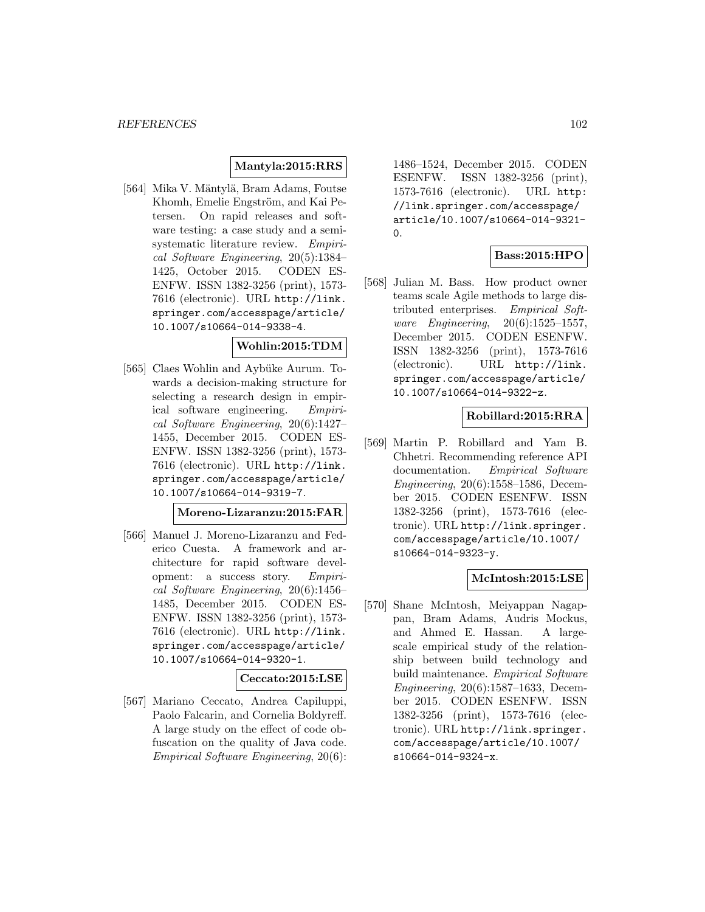## **Mantyla:2015:RRS**

[564] Mika V. Mäntylä, Bram Adams, Foutse Khomh, Emelie Engström, and Kai Petersen. On rapid releases and software testing: a case study and a semisystematic literature review. Empirical Software Engineering, 20(5):1384– 1425, October 2015. CODEN ES-ENFW. ISSN 1382-3256 (print), 1573- 7616 (electronic). URL http://link. springer.com/accesspage/article/ 10.1007/s10664-014-9338-4.

#### **Wohlin:2015:TDM**

[565] Claes Wohlin and Aybüke Aurum. Towards a decision-making structure for selecting a research design in empirical software engineering. Empirical Software Engineering, 20(6):1427– 1455, December 2015. CODEN ES-ENFW. ISSN 1382-3256 (print), 1573- 7616 (electronic). URL http://link. springer.com/accesspage/article/ 10.1007/s10664-014-9319-7.

## **Moreno-Lizaranzu:2015:FAR**

[566] Manuel J. Moreno-Lizaranzu and Federico Cuesta. A framework and architecture for rapid software development: a success story. Empirical Software Engineering, 20(6):1456– 1485, December 2015. CODEN ES-ENFW. ISSN 1382-3256 (print), 1573- 7616 (electronic). URL http://link. springer.com/accesspage/article/ 10.1007/s10664-014-9320-1.

## **Ceccato:2015:LSE**

[567] Mariano Ceccato, Andrea Capiluppi, Paolo Falcarin, and Cornelia Boldyreff. A large study on the effect of code obfuscation on the quality of Java code. Empirical Software Engineering, 20(6):

1486–1524, December 2015. CODEN ESENFW. ISSN 1382-3256 (print), 1573-7616 (electronic). URL http: //link.springer.com/accesspage/ article/10.1007/s10664-014-9321-  $\Omega$ 

## **Bass:2015:HPO**

[568] Julian M. Bass. How product owner teams scale Agile methods to large distributed enterprises. Empirical Software Engineering, 20(6):1525–1557, December 2015. CODEN ESENFW. ISSN 1382-3256 (print), 1573-7616 (electronic). URL http://link. springer.com/accesspage/article/ 10.1007/s10664-014-9322-z.

## **Robillard:2015:RRA**

[569] Martin P. Robillard and Yam B. Chhetri. Recommending reference API documentation. Empirical Software Engineering, 20(6):1558–1586, December 2015. CODEN ESENFW. ISSN 1382-3256 (print), 1573-7616 (electronic). URL http://link.springer. com/accesspage/article/10.1007/ s10664-014-9323-y.

#### **McIntosh:2015:LSE**

[570] Shane McIntosh, Meiyappan Nagappan, Bram Adams, Audris Mockus, and Ahmed E. Hassan. A largescale empirical study of the relationship between build technology and build maintenance. Empirical Software Engineering, 20(6):1587–1633, December 2015. CODEN ESENFW. ISSN 1382-3256 (print), 1573-7616 (electronic). URL http://link.springer. com/accesspage/article/10.1007/ s10664-014-9324-x.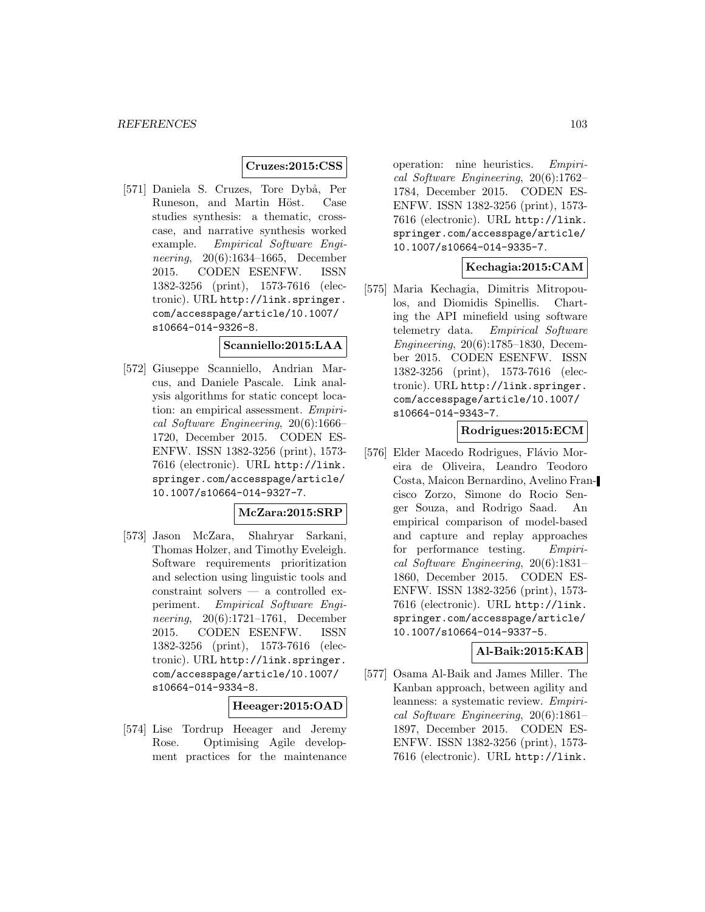## **Cruzes:2015:CSS**

[571] Daniela S. Cruzes, Tore Dybå, Per Runeson, and Martin Höst. Case studies synthesis: a thematic, crosscase, and narrative synthesis worked example. Empirical Software Engineering, 20(6):1634–1665, December 2015. CODEN ESENFW. ISSN 1382-3256 (print), 1573-7616 (electronic). URL http://link.springer. com/accesspage/article/10.1007/ s10664-014-9326-8.

#### **Scanniello:2015:LAA**

[572] Giuseppe Scanniello, Andrian Marcus, and Daniele Pascale. Link analysis algorithms for static concept location: an empirical assessment. *Empiri*cal Software Engineering, 20(6):1666– 1720, December 2015. CODEN ES-ENFW. ISSN 1382-3256 (print), 1573- 7616 (electronic). URL http://link. springer.com/accesspage/article/ 10.1007/s10664-014-9327-7.

## **McZara:2015:SRP**

[573] Jason McZara, Shahryar Sarkani, Thomas Holzer, and Timothy Eveleigh. Software requirements prioritization and selection using linguistic tools and constraint solvers — a controlled experiment. Empirical Software Engineering, 20(6):1721–1761, December 2015. CODEN ESENFW. ISSN 1382-3256 (print), 1573-7616 (electronic). URL http://link.springer. com/accesspage/article/10.1007/ s10664-014-9334-8.

#### **Heeager:2015:OAD**

[574] Lise Tordrup Heeager and Jeremy Rose. Optimising Agile development practices for the maintenance

operation: nine heuristics. Empirical Software Engineering, 20(6):1762– 1784, December 2015. CODEN ES-ENFW. ISSN 1382-3256 (print), 1573- 7616 (electronic). URL http://link. springer.com/accesspage/article/ 10.1007/s10664-014-9335-7.

## **Kechagia:2015:CAM**

[575] Maria Kechagia, Dimitris Mitropoulos, and Diomidis Spinellis. Charting the API minefield using software telemetry data. Empirical Software Engineering, 20(6):1785–1830, December 2015. CODEN ESENFW. ISSN 1382-3256 (print), 1573-7616 (electronic). URL http://link.springer. com/accesspage/article/10.1007/ s10664-014-9343-7.

#### **Rodrigues:2015:ECM**

[576] Elder Macedo Rodrigues, Flávio Moreira de Oliveira, Leandro Teodoro Costa, Maicon Bernardino, Avelino Francisco Zorzo, Simone do Rocio Senger Souza, and Rodrigo Saad. An empirical comparison of model-based and capture and replay approaches for performance testing. Empirical Software Engineering, 20(6):1831– 1860, December 2015. CODEN ES-ENFW. ISSN 1382-3256 (print), 1573- 7616 (electronic). URL http://link. springer.com/accesspage/article/ 10.1007/s10664-014-9337-5.

#### **Al-Baik:2015:KAB**

[577] Osama Al-Baik and James Miller. The Kanban approach, between agility and leanness: a systematic review. Empirical Software Engineering, 20(6):1861– 1897, December 2015. CODEN ES-ENFW. ISSN 1382-3256 (print), 1573- 7616 (electronic). URL http://link.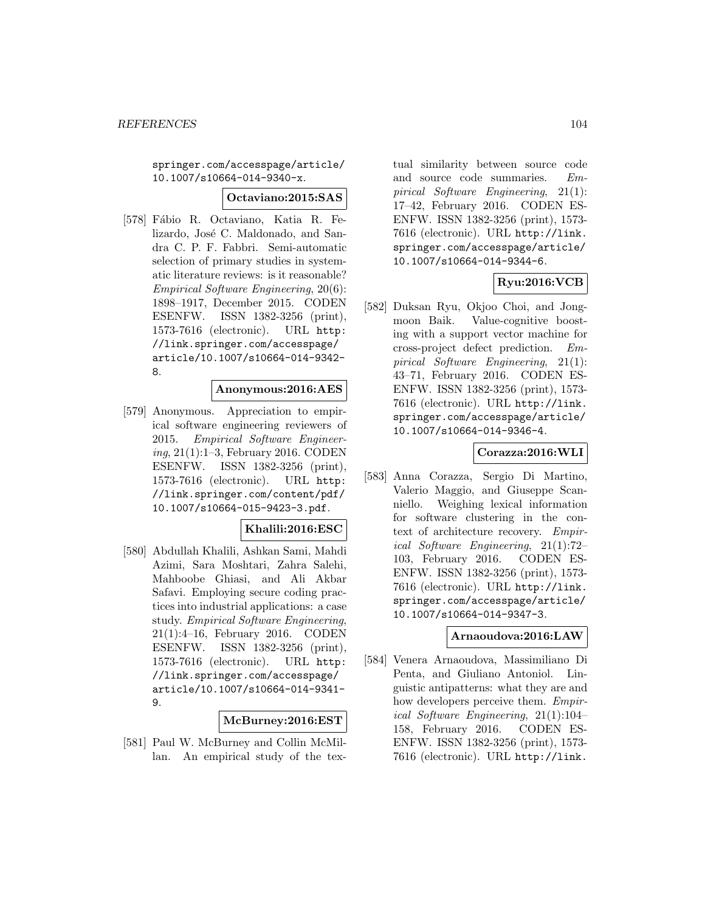springer.com/accesspage/article/ 10.1007/s10664-014-9340-x.

#### **Octaviano:2015:SAS**

[578] Fábio R. Octaviano, Katia R. Felizardo, José C. Maldonado, and Sandra C. P. F. Fabbri. Semi-automatic selection of primary studies in systematic literature reviews: is it reasonable? Empirical Software Engineering, 20(6): 1898–1917, December 2015. CODEN ESENFW. ISSN 1382-3256 (print), 1573-7616 (electronic). URL http: //link.springer.com/accesspage/ article/10.1007/s10664-014-9342- 8.

#### **Anonymous:2016:AES**

[579] Anonymous. Appreciation to empirical software engineering reviewers of 2015. Empirical Software Engineering, 21(1):1–3, February 2016. CODEN ESENFW. ISSN 1382-3256 (print), 1573-7616 (electronic). URL http: //link.springer.com/content/pdf/ 10.1007/s10664-015-9423-3.pdf.

## **Khalili:2016:ESC**

[580] Abdullah Khalili, Ashkan Sami, Mahdi Azimi, Sara Moshtari, Zahra Salehi, Mahboobe Ghiasi, and Ali Akbar Safavi. Employing secure coding practices into industrial applications: a case study. Empirical Software Engineering, 21(1):4–16, February 2016. CODEN ESENFW. ISSN 1382-3256 (print), 1573-7616 (electronic). URL http: //link.springer.com/accesspage/ article/10.1007/s10664-014-9341- 9.

## **McBurney:2016:EST**

[581] Paul W. McBurney and Collin McMillan. An empirical study of the textual similarity between source code and source code summaries. Empirical Software Engineering, 21(1): 17–42, February 2016. CODEN ES-ENFW. ISSN 1382-3256 (print), 1573- 7616 (electronic). URL http://link. springer.com/accesspage/article/ 10.1007/s10664-014-9344-6.

# **Ryu:2016:VCB**

[582] Duksan Ryu, Okjoo Choi, and Jongmoon Baik. Value-cognitive boosting with a support vector machine for cross-project defect prediction. Empirical Software Engineering, 21(1): 43–71, February 2016. CODEN ES-ENFW. ISSN 1382-3256 (print), 1573- 7616 (electronic). URL http://link. springer.com/accesspage/article/ 10.1007/s10664-014-9346-4.

## **Corazza:2016:WLI**

[583] Anna Corazza, Sergio Di Martino, Valerio Maggio, and Giuseppe Scanniello. Weighing lexical information for software clustering in the context of architecture recovery. Empirical Software Engineering, 21(1):72– 103, February 2016. CODEN ES-ENFW. ISSN 1382-3256 (print), 1573- 7616 (electronic). URL http://link. springer.com/accesspage/article/ 10.1007/s10664-014-9347-3.

## **Arnaoudova:2016:LAW**

[584] Venera Arnaoudova, Massimiliano Di Penta, and Giuliano Antoniol. Linguistic antipatterns: what they are and how developers perceive them. Empirical Software Engineering, 21(1):104– 158, February 2016. CODEN ES-ENFW. ISSN 1382-3256 (print), 1573- 7616 (electronic). URL http://link.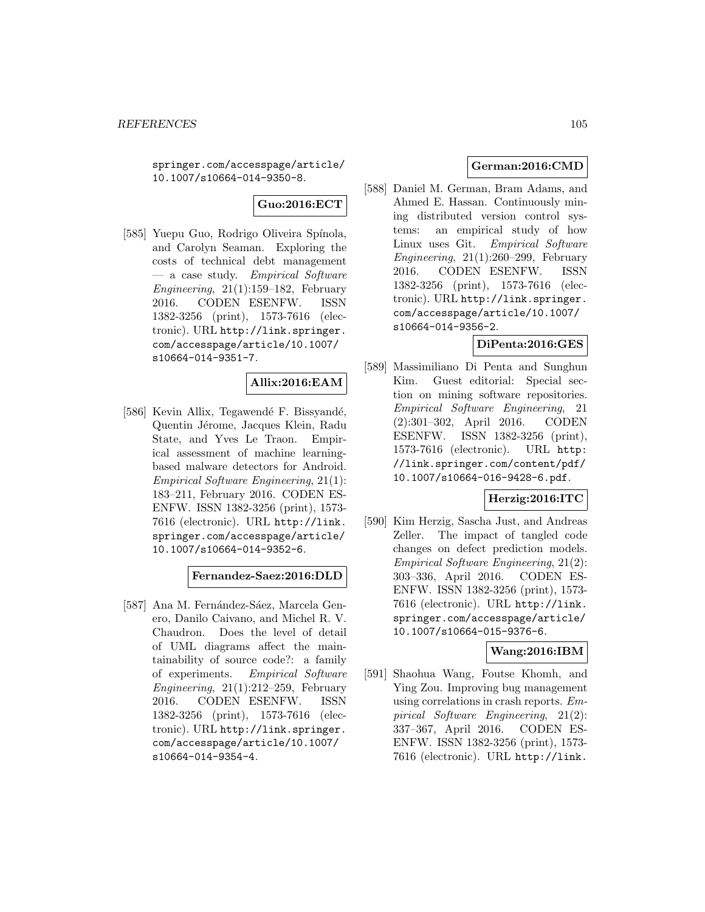springer.com/accesspage/article/ 10.1007/s10664-014-9350-8.

# **Guo:2016:ECT**

[585] Yuepu Guo, Rodrigo Oliveira Spínola, and Carolyn Seaman. Exploring the costs of technical debt management — a case study. Empirical Software Engineering, 21(1):159–182, February 2016. CODEN ESENFW. ISSN 1382-3256 (print), 1573-7616 (electronic). URL http://link.springer. com/accesspage/article/10.1007/ s10664-014-9351-7.

## **Allix:2016:EAM**

[586] Kevin Allix, Tegawendé F. Bissyandé, Quentin Jérome, Jacques Klein, Radu State, and Yves Le Traon. Empirical assessment of machine learningbased malware detectors for Android. Empirical Software Engineering, 21(1): 183–211, February 2016. CODEN ES-ENFW. ISSN 1382-3256 (print), 1573- 7616 (electronic). URL http://link. springer.com/accesspage/article/ 10.1007/s10664-014-9352-6.

## **Fernandez-Saez:2016:DLD**

[587] Ana M. Fernández-Sáez, Marcela Genero, Danilo Caivano, and Michel R. V. Chaudron. Does the level of detail of UML diagrams affect the maintainability of source code?: a family of experiments. Empirical Software Engineering,  $21(1):212-259$ , February 2016. CODEN ESENFW. ISSN 1382-3256 (print), 1573-7616 (electronic). URL http://link.springer. com/accesspage/article/10.1007/ s10664-014-9354-4.

# **German:2016:CMD**

[588] Daniel M. German, Bram Adams, and Ahmed E. Hassan. Continuously mining distributed version control systems: an empirical study of how Linux uses Git. Empirical Software Engineering,  $21(1):260-299$ , February 2016. CODEN ESENFW. ISSN 1382-3256 (print), 1573-7616 (electronic). URL http://link.springer. com/accesspage/article/10.1007/ s10664-014-9356-2.

## **DiPenta:2016:GES**

[589] Massimiliano Di Penta and Sunghun Kim. Guest editorial: Special section on mining software repositories. Empirical Software Engineering, 21 (2):301–302, April 2016. CODEN ESENFW. ISSN 1382-3256 (print), 1573-7616 (electronic). URL http: //link.springer.com/content/pdf/ 10.1007/s10664-016-9428-6.pdf.

## **Herzig:2016:ITC**

[590] Kim Herzig, Sascha Just, and Andreas Zeller. The impact of tangled code changes on defect prediction models. Empirical Software Engineering, 21(2): 303–336, April 2016. CODEN ES-ENFW. ISSN 1382-3256 (print), 1573- 7616 (electronic). URL http://link. springer.com/accesspage/article/ 10.1007/s10664-015-9376-6.

## **Wang:2016:IBM**

[591] Shaohua Wang, Foutse Khomh, and Ying Zou. Improving bug management using correlations in crash reports. Empirical Software Engineering, 21(2): 337–367, April 2016. CODEN ES-ENFW. ISSN 1382-3256 (print), 1573- 7616 (electronic). URL http://link.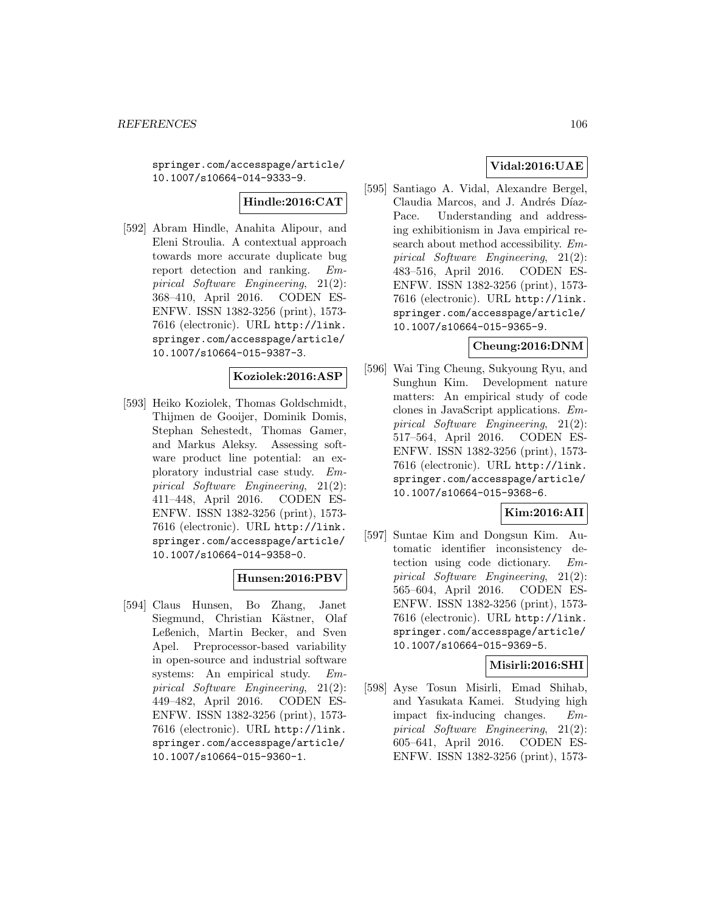springer.com/accesspage/article/ 10.1007/s10664-014-9333-9.

# **Hindle:2016:CAT**

[592] Abram Hindle, Anahita Alipour, and Eleni Stroulia. A contextual approach towards more accurate duplicate bug report detection and ranking. Empirical Software Engineering, 21(2): 368–410, April 2016. CODEN ES-ENFW. ISSN 1382-3256 (print), 1573- 7616 (electronic). URL http://link. springer.com/accesspage/article/ 10.1007/s10664-015-9387-3.

#### **Koziolek:2016:ASP**

[593] Heiko Koziolek, Thomas Goldschmidt, Thijmen de Gooijer, Dominik Domis, Stephan Sehestedt, Thomas Gamer, and Markus Aleksy. Assessing software product line potential: an exploratory industrial case study. Empirical Software Engineering, 21(2): 411–448, April 2016. CODEN ES-ENFW. ISSN 1382-3256 (print), 1573- 7616 (electronic). URL http://link. springer.com/accesspage/article/ 10.1007/s10664-014-9358-0.

## **Hunsen:2016:PBV**

[594] Claus Hunsen, Bo Zhang, Janet Siegmund, Christian Kästner, Olaf Leßenich, Martin Becker, and Sven Apel. Preprocessor-based variability in open-source and industrial software systems: An empirical study. Empirical Software Engineering, 21(2): 449–482, April 2016. CODEN ES-ENFW. ISSN 1382-3256 (print), 1573- 7616 (electronic). URL http://link. springer.com/accesspage/article/ 10.1007/s10664-015-9360-1.

# **Vidal:2016:UAE**

[595] Santiago A. Vidal, Alexandre Bergel, Claudia Marcos, and J. Andrés Díaz-Pace. Understanding and addressing exhibitionism in Java empirical research about method accessibility. Empirical Software Engineering, 21(2): 483–516, April 2016. CODEN ES-ENFW. ISSN 1382-3256 (print), 1573- 7616 (electronic). URL http://link. springer.com/accesspage/article/ 10.1007/s10664-015-9365-9.

#### **Cheung:2016:DNM**

[596] Wai Ting Cheung, Sukyoung Ryu, and Sunghun Kim. Development nature matters: An empirical study of code clones in JavaScript applications. Empirical Software Engineering, 21(2): 517–564, April 2016. CODEN ES-ENFW. ISSN 1382-3256 (print), 1573- 7616 (electronic). URL http://link. springer.com/accesspage/article/ 10.1007/s10664-015-9368-6.

# **Kim:2016:AII**

[597] Suntae Kim and Dongsun Kim. Automatic identifier inconsistency detection using code dictionary. Empirical Software Engineering, 21(2): 565–604, April 2016. CODEN ES-ENFW. ISSN 1382-3256 (print), 1573- 7616 (electronic). URL http://link. springer.com/accesspage/article/ 10.1007/s10664-015-9369-5.

## **Misirli:2016:SHI**

[598] Ayse Tosun Misirli, Emad Shihab, and Yasukata Kamei. Studying high impact fix-inducing changes. Empirical Software Engineering, 21(2): 605–641, April 2016. CODEN ES-ENFW. ISSN 1382-3256 (print), 1573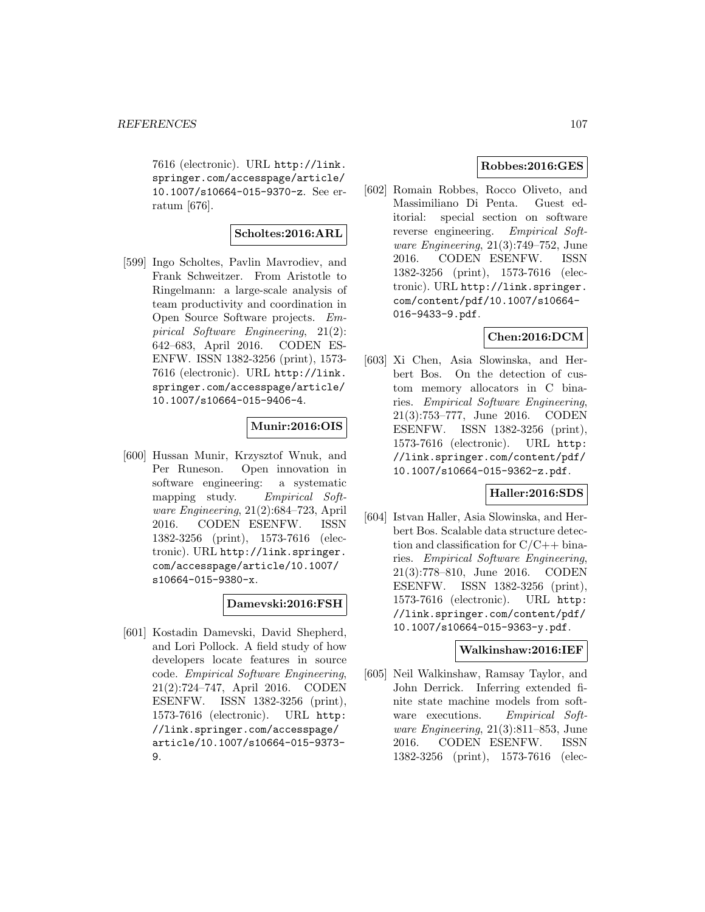7616 (electronic). URL http://link. springer.com/accesspage/article/ 10.1007/s10664-015-9370-z. See erratum [676].

## **Scholtes:2016:ARL**

[599] Ingo Scholtes, Pavlin Mavrodiev, and Frank Schweitzer. From Aristotle to Ringelmann: a large-scale analysis of team productivity and coordination in Open Source Software projects. Empirical Software Engineering, 21(2): 642–683, April 2016. CODEN ES-ENFW. ISSN 1382-3256 (print), 1573- 7616 (electronic). URL http://link. springer.com/accesspage/article/ 10.1007/s10664-015-9406-4.

## **Munir:2016:OIS**

[600] Hussan Munir, Krzysztof Wnuk, and Per Runeson. Open innovation in software engineering: a systematic mapping study. Empirical Software Engineering, 21(2):684–723, April 2016. CODEN ESENFW. ISSN 1382-3256 (print), 1573-7616 (electronic). URL http://link.springer. com/accesspage/article/10.1007/ s10664-015-9380-x.

## **Damevski:2016:FSH**

[601] Kostadin Damevski, David Shepherd, and Lori Pollock. A field study of how developers locate features in source code. Empirical Software Engineering, 21(2):724–747, April 2016. CODEN ESENFW. ISSN 1382-3256 (print), 1573-7616 (electronic). URL http: //link.springer.com/accesspage/ article/10.1007/s10664-015-9373- 9.

## **Robbes:2016:GES**

[602] Romain Robbes, Rocco Oliveto, and Massimiliano Di Penta. Guest editorial: special section on software reverse engineering. Empirical Software Engineering, 21(3):749–752, June 2016. CODEN ESENFW. ISSN 1382-3256 (print), 1573-7616 (electronic). URL http://link.springer. com/content/pdf/10.1007/s10664- 016-9433-9.pdf.

## **Chen:2016:DCM**

[603] Xi Chen, Asia Slowinska, and Herbert Bos. On the detection of custom memory allocators in C binaries. Empirical Software Engineering, 21(3):753–777, June 2016. CODEN ESENFW. ISSN 1382-3256 (print), 1573-7616 (electronic). URL http: //link.springer.com/content/pdf/ 10.1007/s10664-015-9362-z.pdf.

## **Haller:2016:SDS**

[604] Istvan Haller, Asia Slowinska, and Herbert Bos. Scalable data structure detection and classification for  $C/C++$  binaries. Empirical Software Engineering, 21(3):778–810, June 2016. CODEN ESENFW. ISSN 1382-3256 (print), 1573-7616 (electronic). URL http: //link.springer.com/content/pdf/ 10.1007/s10664-015-9363-y.pdf.

## **Walkinshaw:2016:IEF**

[605] Neil Walkinshaw, Ramsay Taylor, and John Derrick. Inferring extended finite state machine models from software executions. Empirical Software Engineering, 21(3):811–853, June 2016. CODEN ESENFW. ISSN 1382-3256 (print), 1573-7616 (elec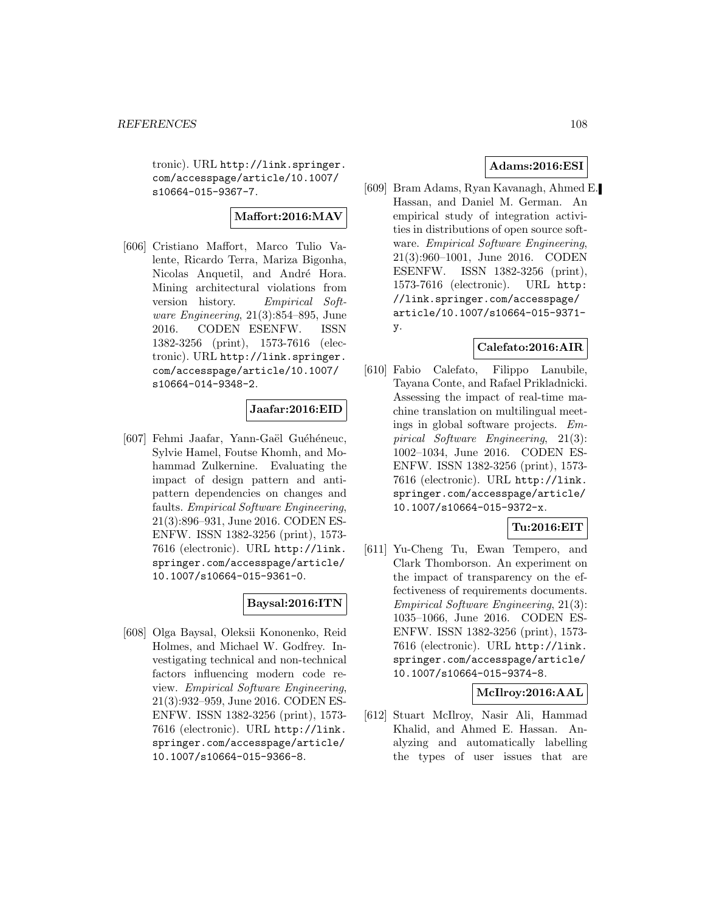tronic). URL http://link.springer. com/accesspage/article/10.1007/ s10664-015-9367-7.

## **Maffort:2016:MAV**

[606] Cristiano Maffort, Marco Tulio Valente, Ricardo Terra, Mariza Bigonha, Nicolas Anquetil, and André Hora. Mining architectural violations from version history. Empirical Software Engineering, 21(3):854–895, June 2016. CODEN ESENFW. ISSN 1382-3256 (print), 1573-7616 (electronic). URL http://link.springer. com/accesspage/article/10.1007/ s10664-014-9348-2.

## **Jaafar:2016:EID**

[607] Fehmi Jaafar, Yann-Gaël Guéhéneuc, Sylvie Hamel, Foutse Khomh, and Mohammad Zulkernine. Evaluating the impact of design pattern and antipattern dependencies on changes and faults. Empirical Software Engineering, 21(3):896–931, June 2016. CODEN ES-ENFW. ISSN 1382-3256 (print), 1573- 7616 (electronic). URL http://link. springer.com/accesspage/article/ 10.1007/s10664-015-9361-0.

## **Baysal:2016:ITN**

[608] Olga Baysal, Oleksii Kononenko, Reid Holmes, and Michael W. Godfrey. Investigating technical and non-technical factors influencing modern code review. Empirical Software Engineering, 21(3):932–959, June 2016. CODEN ES-ENFW. ISSN 1382-3256 (print), 1573- 7616 (electronic). URL http://link. springer.com/accesspage/article/ 10.1007/s10664-015-9366-8.

## **Adams:2016:ESI**

[609] Bram Adams, Ryan Kavanagh, Ahmed E. Hassan, and Daniel M. German. An empirical study of integration activities in distributions of open source software. Empirical Software Engineering, 21(3):960–1001, June 2016. CODEN ESENFW. ISSN 1382-3256 (print), 1573-7616 (electronic). URL http: //link.springer.com/accesspage/ article/10.1007/s10664-015-9371 y.

## **Calefato:2016:AIR**

[610] Fabio Calefato, Filippo Lanubile, Tayana Conte, and Rafael Prikladnicki. Assessing the impact of real-time machine translation on multilingual meetings in global software projects. Empirical Software Engineering, 21(3): 1002–1034, June 2016. CODEN ES-ENFW. ISSN 1382-3256 (print), 1573- 7616 (electronic). URL http://link. springer.com/accesspage/article/ 10.1007/s10664-015-9372-x.

## **Tu:2016:EIT**

[611] Yu-Cheng Tu, Ewan Tempero, and Clark Thomborson. An experiment on the impact of transparency on the effectiveness of requirements documents. Empirical Software Engineering, 21(3): 1035–1066, June 2016. CODEN ES-ENFW. ISSN 1382-3256 (print), 1573- 7616 (electronic). URL http://link. springer.com/accesspage/article/ 10.1007/s10664-015-9374-8.

## **McIlroy:2016:AAL**

[612] Stuart McIlroy, Nasir Ali, Hammad Khalid, and Ahmed E. Hassan. Analyzing and automatically labelling the types of user issues that are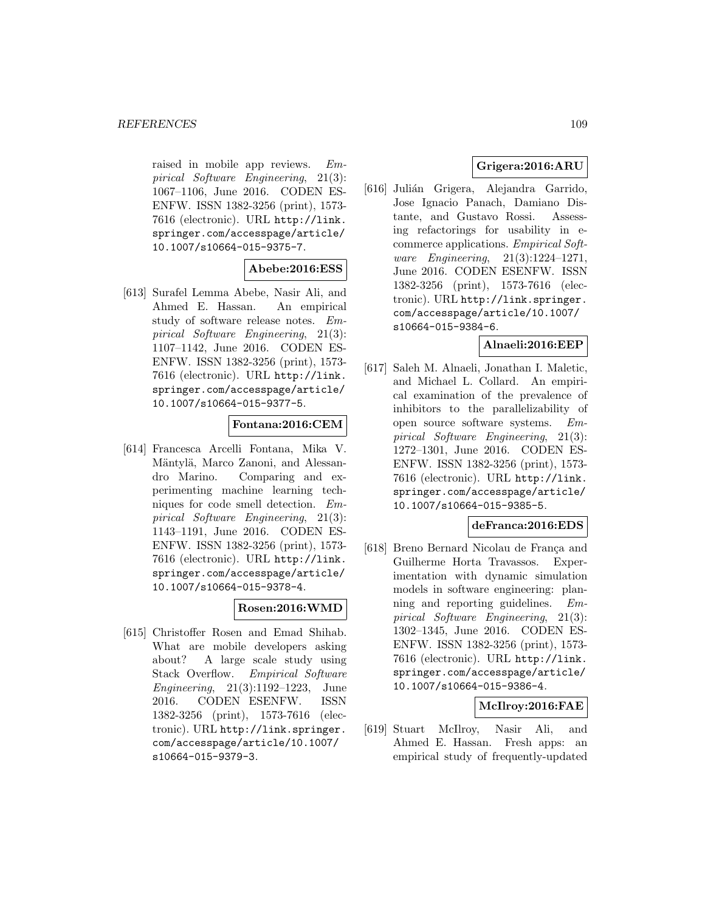raised in mobile app reviews. Empirical Software Engineering, 21(3): 1067–1106, June 2016. CODEN ES-ENFW. ISSN 1382-3256 (print), 1573- 7616 (electronic). URL http://link. springer.com/accesspage/article/ 10.1007/s10664-015-9375-7.

# **Abebe:2016:ESS**

[613] Surafel Lemma Abebe, Nasir Ali, and Ahmed E. Hassan. An empirical study of software release notes. Empirical Software Engineering, 21(3): 1107–1142, June 2016. CODEN ES-ENFW. ISSN 1382-3256 (print), 1573- 7616 (electronic). URL http://link. springer.com/accesspage/article/ 10.1007/s10664-015-9377-5.

## **Fontana:2016:CEM**

[614] Francesca Arcelli Fontana, Mika V. Mäntylä, Marco Zanoni, and Alessandro Marino. Comparing and experimenting machine learning techniques for code smell detection. Empirical Software Engineering, 21(3): 1143–1191, June 2016. CODEN ES-ENFW. ISSN 1382-3256 (print), 1573- 7616 (electronic). URL http://link. springer.com/accesspage/article/ 10.1007/s10664-015-9378-4.

## **Rosen:2016:WMD**

[615] Christoffer Rosen and Emad Shihab. What are mobile developers asking about? A large scale study using Stack Overflow. Empirical Software Engineering, 21(3):1192–1223, June 2016. CODEN ESENFW. ISSN 1382-3256 (print), 1573-7616 (electronic). URL http://link.springer. com/accesspage/article/10.1007/ s10664-015-9379-3.

# **Grigera:2016:ARU**

[616] Julián Grigera, Alejandra Garrido, Jose Ignacio Panach, Damiano Distante, and Gustavo Rossi. Assessing refactorings for usability in ecommerce applications. Empirical Software Engineering, 21(3):1224–1271, June 2016. CODEN ESENFW. ISSN 1382-3256 (print), 1573-7616 (electronic). URL http://link.springer. com/accesspage/article/10.1007/ s10664-015-9384-6.

## **Alnaeli:2016:EEP**

[617] Saleh M. Alnaeli, Jonathan I. Maletic, and Michael L. Collard. An empirical examination of the prevalence of inhibitors to the parallelizability of open source software systems. Empirical Software Engineering, 21(3): 1272–1301, June 2016. CODEN ES-ENFW. ISSN 1382-3256 (print), 1573- 7616 (electronic). URL http://link. springer.com/accesspage/article/ 10.1007/s10664-015-9385-5.

## **deFranca:2016:EDS**

[618] Breno Bernard Nicolau de França and Guilherme Horta Travassos. Experimentation with dynamic simulation models in software engineering: planning and reporting guidelines. Empirical Software Engineering, 21(3): 1302–1345, June 2016. CODEN ES-ENFW. ISSN 1382-3256 (print), 1573- 7616 (electronic). URL http://link. springer.com/accesspage/article/ 10.1007/s10664-015-9386-4.

# **McIlroy:2016:FAE**

[619] Stuart McIlroy, Nasir Ali, and Ahmed E. Hassan. Fresh apps: an empirical study of frequently-updated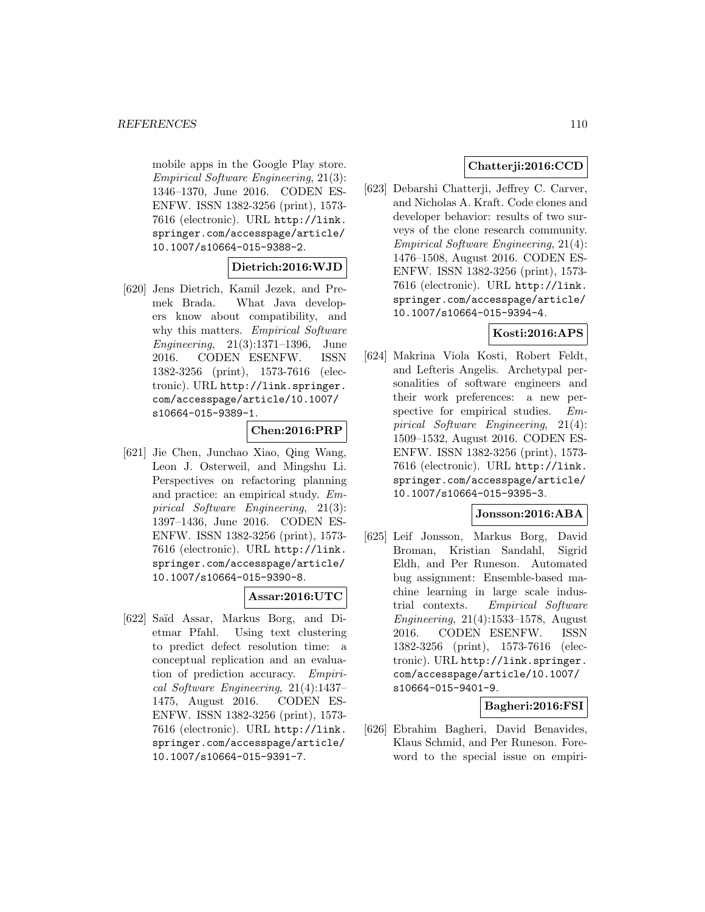mobile apps in the Google Play store. Empirical Software Engineering, 21(3): 1346–1370, June 2016. CODEN ES-ENFW. ISSN 1382-3256 (print), 1573- 7616 (electronic). URL http://link. springer.com/accesspage/article/ 10.1007/s10664-015-9388-2.

# **Dietrich:2016:WJD**

[620] Jens Dietrich, Kamil Jezek, and Premek Brada. What Java developers know about compatibility, and why this matters. *Empirical Software* Engineering, 21(3):1371–1396, June 2016. CODEN ESENFW. ISSN 1382-3256 (print), 1573-7616 (electronic). URL http://link.springer. com/accesspage/article/10.1007/ s10664-015-9389-1.

## **Chen:2016:PRP**

[621] Jie Chen, Junchao Xiao, Qing Wang, Leon J. Osterweil, and Mingshu Li. Perspectives on refactoring planning and practice: an empirical study. Empirical Software Engineering, 21(3): 1397–1436, June 2016. CODEN ES-ENFW. ISSN 1382-3256 (print), 1573- 7616 (electronic). URL http://link. springer.com/accesspage/article/ 10.1007/s10664-015-9390-8.

# **Assar:2016:UTC**

[622] Sa¨ıd Assar, Markus Borg, and Dietmar Pfahl. Using text clustering to predict defect resolution time: a conceptual replication and an evaluation of prediction accuracy. Empirical Software Engineering, 21(4):1437– 1475, August 2016. CODEN ES-ENFW. ISSN 1382-3256 (print), 1573- 7616 (electronic). URL http://link. springer.com/accesspage/article/ 10.1007/s10664-015-9391-7.

# **Chatterji:2016:CCD**

[623] Debarshi Chatterji, Jeffrey C. Carver, and Nicholas A. Kraft. Code clones and developer behavior: results of two surveys of the clone research community. Empirical Software Engineering, 21(4): 1476–1508, August 2016. CODEN ES-ENFW. ISSN 1382-3256 (print), 1573- 7616 (electronic). URL http://link. springer.com/accesspage/article/ 10.1007/s10664-015-9394-4.

## **Kosti:2016:APS**

[624] Makrina Viola Kosti, Robert Feldt, and Lefteris Angelis. Archetypal personalities of software engineers and their work preferences: a new perspective for empirical studies. Empirical Software Engineering, 21(4): 1509–1532, August 2016. CODEN ES-ENFW. ISSN 1382-3256 (print), 1573- 7616 (electronic). URL http://link. springer.com/accesspage/article/ 10.1007/s10664-015-9395-3.

## **Jonsson:2016:ABA**

[625] Leif Jonsson, Markus Borg, David Broman, Kristian Sandahl, Sigrid Eldh, and Per Runeson. Automated bug assignment: Ensemble-based machine learning in large scale industrial contexts. Empirical Software Engineering, 21(4):1533–1578, August 2016. CODEN ESENFW. ISSN 1382-3256 (print), 1573-7616 (electronic). URL http://link.springer. com/accesspage/article/10.1007/ s10664-015-9401-9.

#### **Bagheri:2016:FSI**

[626] Ebrahim Bagheri, David Benavides, Klaus Schmid, and Per Runeson. Foreword to the special issue on empiri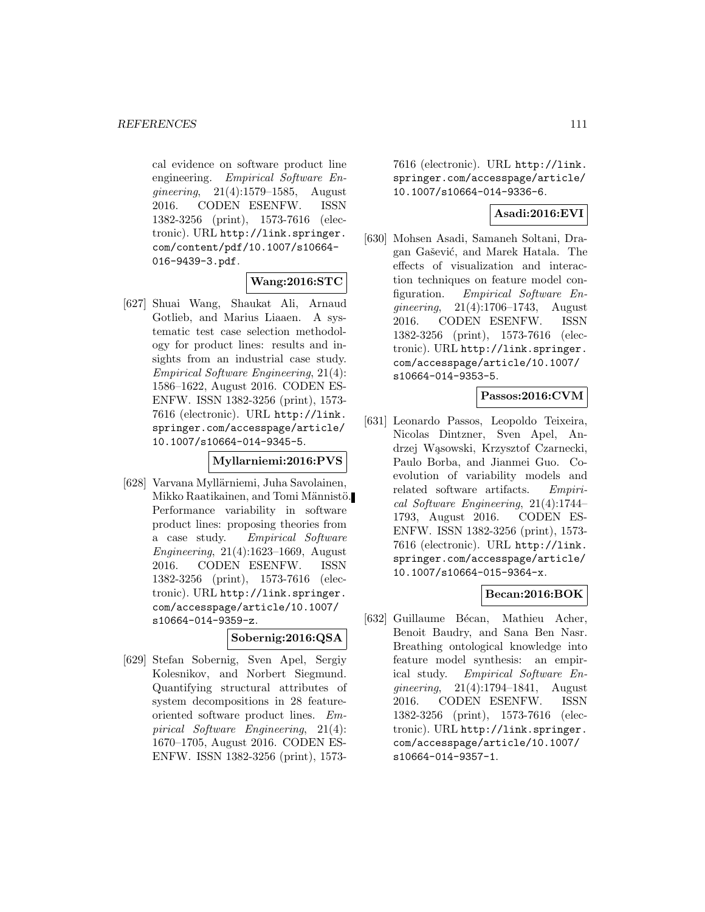cal evidence on software product line engineering. Empirical Software Engineering, 21(4):1579–1585, August 2016. CODEN ESENFW. ISSN 1382-3256 (print), 1573-7616 (electronic). URL http://link.springer. com/content/pdf/10.1007/s10664- 016-9439-3.pdf.

## **Wang:2016:STC**

[627] Shuai Wang, Shaukat Ali, Arnaud Gotlieb, and Marius Liaaen. A systematic test case selection methodology for product lines: results and insights from an industrial case study. Empirical Software Engineering, 21(4): 1586–1622, August 2016. CODEN ES-ENFW. ISSN 1382-3256 (print), 1573- 7616 (electronic). URL http://link. springer.com/accesspage/article/ 10.1007/s10664-014-9345-5.

#### **Myllarniemi:2016:PVS**

[628] Varvana Myllärniemi, Juha Savolainen, Mikko Raatikainen, and Tomi Männistö. Performance variability in software product lines: proposing theories from a case study. Empirical Software Engineering, 21(4):1623–1669, August 2016. CODEN ESENFW. ISSN 1382-3256 (print), 1573-7616 (electronic). URL http://link.springer. com/accesspage/article/10.1007/ s10664-014-9359-z.

# **Sobernig:2016:QSA**

[629] Stefan Sobernig, Sven Apel, Sergiy Kolesnikov, and Norbert Siegmund. Quantifying structural attributes of system decompositions in 28 featureoriented software product lines. Empirical Software Engineering, 21(4): 1670–1705, August 2016. CODEN ES-ENFW. ISSN 1382-3256 (print), 15737616 (electronic). URL http://link. springer.com/accesspage/article/ 10.1007/s10664-014-9336-6.

## **Asadi:2016:EVI**

[630] Mohsen Asadi, Samaneh Soltani, Dragan Gašević, and Marek Hatala. The effects of visualization and interaction techniques on feature model configuration. Empirical Software Engineering, 21(4):1706–1743, August 2016. CODEN ESENFW. ISSN 1382-3256 (print), 1573-7616 (electronic). URL http://link.springer. com/accesspage/article/10.1007/ s10664-014-9353-5.

# **Passos:2016:CVM**

[631] Leonardo Passos, Leopoldo Teixeira, Nicolas Dintzner, Sven Apel, Andrzej Wąsowski, Krzysztof Czarnecki, Paulo Borba, and Jianmei Guo. Coevolution of variability models and related software artifacts. Empirical Software Engineering, 21(4):1744– 1793, August 2016. CODEN ES-ENFW. ISSN 1382-3256 (print), 1573- 7616 (electronic). URL http://link. springer.com/accesspage/article/ 10.1007/s10664-015-9364-x.

## **Becan:2016:BOK**

[632] Guillaume Bécan, Mathieu Acher, Benoit Baudry, and Sana Ben Nasr. Breathing ontological knowledge into feature model synthesis: an empirical study. Empirical Software Engineering, 21(4):1794–1841, August 2016. CODEN ESENFW. ISSN 1382-3256 (print), 1573-7616 (electronic). URL http://link.springer. com/accesspage/article/10.1007/ s10664-014-9357-1.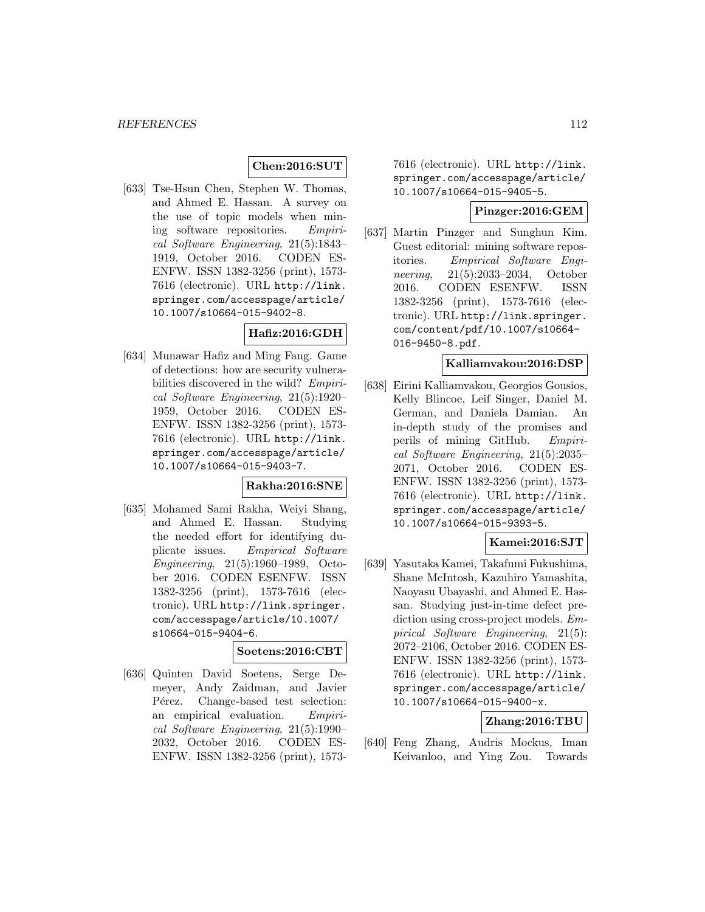#### **Chen:2016:SUT**

[633] Tse-Hsun Chen, Stephen W. Thomas, and Ahmed E. Hassan. A survey on the use of topic models when mining software repositories. Empirical Software Engineering, 21(5):1843– 1919, October 2016. CODEN ES-ENFW. ISSN 1382-3256 (print), 1573- 7616 (electronic). URL http://link. springer.com/accesspage/article/ 10.1007/s10664-015-9402-8.

## **Hafiz:2016:GDH**

[634] Munawar Hafiz and Ming Fang. Game of detections: how are security vulnerabilities discovered in the wild? Empirical Software Engineering, 21(5):1920– 1959, October 2016. CODEN ES-ENFW. ISSN 1382-3256 (print), 1573- 7616 (electronic). URL http://link. springer.com/accesspage/article/ 10.1007/s10664-015-9403-7.

#### **Rakha:2016:SNE**

[635] Mohamed Sami Rakha, Weiyi Shang, and Ahmed E. Hassan. Studying the needed effort for identifying duplicate issues. Empirical Software Engineering, 21(5):1960–1989, October 2016. CODEN ESENFW. ISSN 1382-3256 (print), 1573-7616 (electronic). URL http://link.springer. com/accesspage/article/10.1007/ s10664-015-9404-6.

#### **Soetens:2016:CBT**

[636] Quinten David Soetens, Serge Demeyer, Andy Zaidman, and Javier Pérez. Change-based test selection: an empirical evaluation. Empirical Software Engineering, 21(5):1990– 2032, October 2016. CODEN ES-ENFW. ISSN 1382-3256 (print), 15737616 (electronic). URL http://link. springer.com/accesspage/article/ 10.1007/s10664-015-9405-5.

#### **Pinzger:2016:GEM**

[637] Martin Pinzger and Sunghun Kim. Guest editorial: mining software repositories. Empirical Software Engineering, 21(5):2033–2034, October 2016. CODEN ESENFW. ISSN 1382-3256 (print), 1573-7616 (electronic). URL http://link.springer. com/content/pdf/10.1007/s10664- 016-9450-8.pdf.

#### **Kalliamvakou:2016:DSP**

[638] Eirini Kalliamvakou, Georgios Gousios, Kelly Blincoe, Leif Singer, Daniel M. German, and Daniela Damian. An in-depth study of the promises and perils of mining GitHub. Empirical Software Engineering, 21(5):2035– 2071, October 2016. CODEN ES-ENFW. ISSN 1382-3256 (print), 1573- 7616 (electronic). URL http://link. springer.com/accesspage/article/ 10.1007/s10664-015-9393-5.

## **Kamei:2016:SJT**

[639] Yasutaka Kamei, Takafumi Fukushima, Shane McIntosh, Kazuhiro Yamashita, Naoyasu Ubayashi, and Ahmed E. Hassan. Studying just-in-time defect prediction using cross-project models. Empirical Software Engineering, 21(5): 2072–2106, October 2016. CODEN ES-ENFW. ISSN 1382-3256 (print), 1573- 7616 (electronic). URL http://link. springer.com/accesspage/article/ 10.1007/s10664-015-9400-x.

## **Zhang:2016:TBU**

[640] Feng Zhang, Audris Mockus, Iman Keivanloo, and Ying Zou. Towards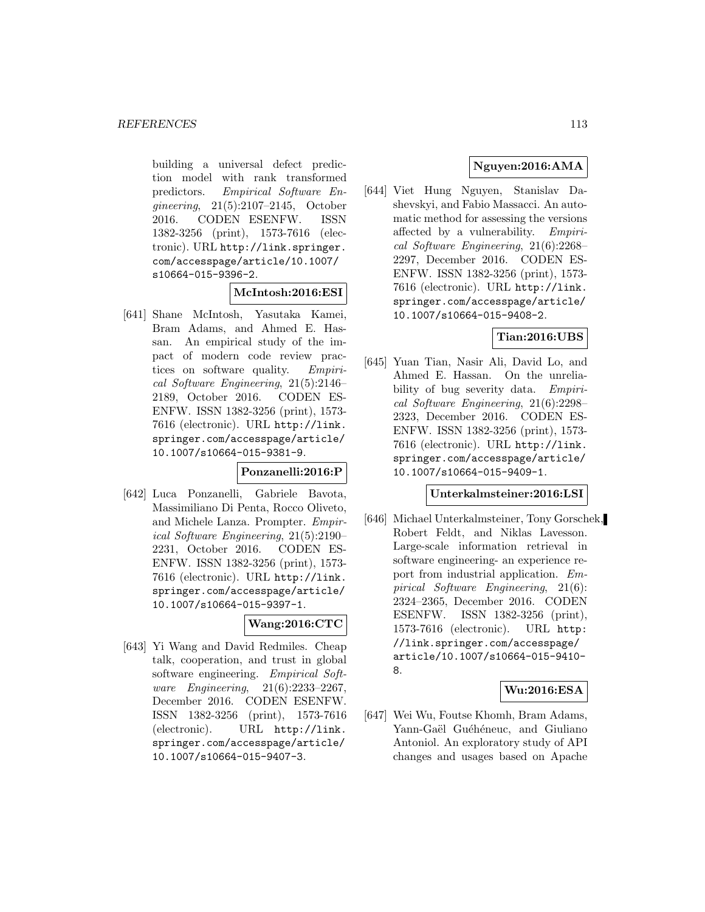building a universal defect prediction model with rank transformed predictors. Empirical Software Engineering, 21(5):2107–2145, October 2016. CODEN ESENFW. ISSN 1382-3256 (print), 1573-7616 (electronic). URL http://link.springer. com/accesspage/article/10.1007/ s10664-015-9396-2.

#### **McIntosh:2016:ESI**

[641] Shane McIntosh, Yasutaka Kamei, Bram Adams, and Ahmed E. Hassan. An empirical study of the impact of modern code review practices on software quality. Empirical Software Engineering, 21(5):2146– 2189, October 2016. CODEN ES-ENFW. ISSN 1382-3256 (print), 1573- 7616 (electronic). URL http://link. springer.com/accesspage/article/ 10.1007/s10664-015-9381-9.

#### **Ponzanelli:2016:P**

[642] Luca Ponzanelli, Gabriele Bavota, Massimiliano Di Penta, Rocco Oliveto, and Michele Lanza. Prompter. Empirical Software Engineering, 21(5):2190– 2231, October 2016. CODEN ES-ENFW. ISSN 1382-3256 (print), 1573- 7616 (electronic). URL http://link. springer.com/accesspage/article/ 10.1007/s10664-015-9397-1.

#### **Wang:2016:CTC**

[643] Yi Wang and David Redmiles. Cheap talk, cooperation, and trust in global software engineering. Empirical Software Engineering, 21(6):2233–2267, December 2016. CODEN ESENFW. ISSN 1382-3256 (print), 1573-7616 (electronic). URL http://link. springer.com/accesspage/article/ 10.1007/s10664-015-9407-3.

## **Nguyen:2016:AMA**

[644] Viet Hung Nguyen, Stanislav Dashevskyi, and Fabio Massacci. An automatic method for assessing the versions affected by a vulnerability. Empirical Software Engineering, 21(6):2268– 2297, December 2016. CODEN ES-ENFW. ISSN 1382-3256 (print), 1573- 7616 (electronic). URL http://link. springer.com/accesspage/article/ 10.1007/s10664-015-9408-2.

#### **Tian:2016:UBS**

[645] Yuan Tian, Nasir Ali, David Lo, and Ahmed E. Hassan. On the unreliability of bug severity data. Empirical Software Engineering, 21(6):2298– 2323, December 2016. CODEN ES-ENFW. ISSN 1382-3256 (print), 1573- 7616 (electronic). URL http://link. springer.com/accesspage/article/ 10.1007/s10664-015-9409-1.

#### **Unterkalmsteiner:2016:LSI**

[646] Michael Unterkalmsteiner, Tony Gorschek, Robert Feldt, and Niklas Lavesson. Large-scale information retrieval in software engineering- an experience report from industrial application. Empirical Software Engineering, 21(6): 2324–2365, December 2016. CODEN ESENFW. ISSN 1382-3256 (print), 1573-7616 (electronic). URL http: //link.springer.com/accesspage/ article/10.1007/s10664-015-9410- 8.

# **Wu:2016:ESA**

[647] Wei Wu, Foutse Khomh, Bram Adams, Yann-Gaël Guéhéneuc, and Giuliano Antoniol. An exploratory study of API changes and usages based on Apache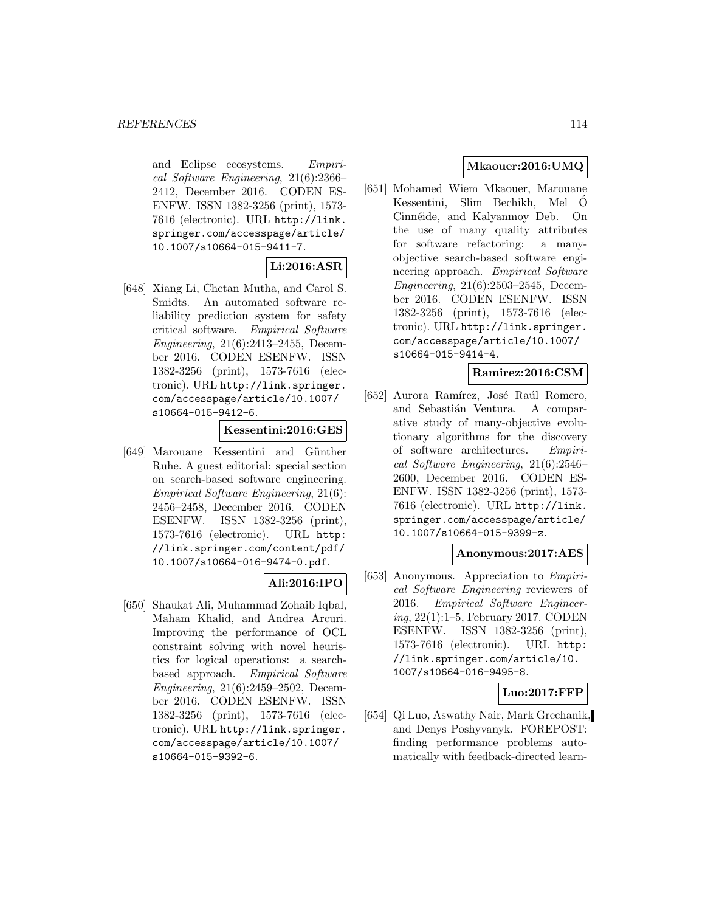and Eclipse ecosystems. Empirical Software Engineering, 21(6):2366– 2412, December 2016. CODEN ES-ENFW. ISSN 1382-3256 (print), 1573- 7616 (electronic). URL http://link. springer.com/accesspage/article/ 10.1007/s10664-015-9411-7.

# **Li:2016:ASR**

[648] Xiang Li, Chetan Mutha, and Carol S. Smidts. An automated software reliability prediction system for safety critical software. Empirical Software Engineering, 21(6):2413–2455, December 2016. CODEN ESENFW. ISSN 1382-3256 (print), 1573-7616 (electronic). URL http://link.springer. com/accesspage/article/10.1007/ s10664-015-9412-6.

#### **Kessentini:2016:GES**

[649] Marouane Kessentini and Günther Ruhe. A guest editorial: special section on search-based software engineering. Empirical Software Engineering, 21(6): 2456–2458, December 2016. CODEN ESENFW. ISSN 1382-3256 (print), 1573-7616 (electronic). URL http: //link.springer.com/content/pdf/ 10.1007/s10664-016-9474-0.pdf.

# **Ali:2016:IPO**

[650] Shaukat Ali, Muhammad Zohaib Iqbal, Maham Khalid, and Andrea Arcuri. Improving the performance of OCL constraint solving with novel heuristics for logical operations: a searchbased approach. *Empirical Software* Engineering, 21(6):2459–2502, December 2016. CODEN ESENFW. ISSN 1382-3256 (print), 1573-7616 (electronic). URL http://link.springer. com/accesspage/article/10.1007/ s10664-015-9392-6.

# **Mkaouer:2016:UMQ**

[651] Mohamed Wiem Mkaouer, Marouane Kessentini, Slim Bechikh, Mel O´ Cinnéide, and Kalyanmoy Deb. On the use of many quality attributes for software refactoring: a manyobjective search-based software engineering approach. Empirical Software Engineering, 21(6):2503–2545, December 2016. CODEN ESENFW. ISSN 1382-3256 (print), 1573-7616 (electronic). URL http://link.springer. com/accesspage/article/10.1007/ s10664-015-9414-4.

#### **Ramirez:2016:CSM**

[652] Aurora Ramírez, José Raúl Romero, and Sebastián Ventura. A comparative study of many-objective evolutionary algorithms for the discovery of software architectures. Empirical Software Engineering, 21(6):2546– 2600, December 2016. CODEN ES-ENFW. ISSN 1382-3256 (print), 1573- 7616 (electronic). URL http://link. springer.com/accesspage/article/ 10.1007/s10664-015-9399-z.

## **Anonymous:2017:AES**

[653] Anonymous. Appreciation to Empirical Software Engineering reviewers of 2016. Empirical Software Engineering, 22(1):1–5, February 2017. CODEN ESENFW. ISSN 1382-3256 (print), 1573-7616 (electronic). URL http: //link.springer.com/article/10. 1007/s10664-016-9495-8.

#### **Luo:2017:FFP**

[654] Qi Luo, Aswathy Nair, Mark Grechanik, and Denys Poshyvanyk. FOREPOST: finding performance problems automatically with feedback-directed learn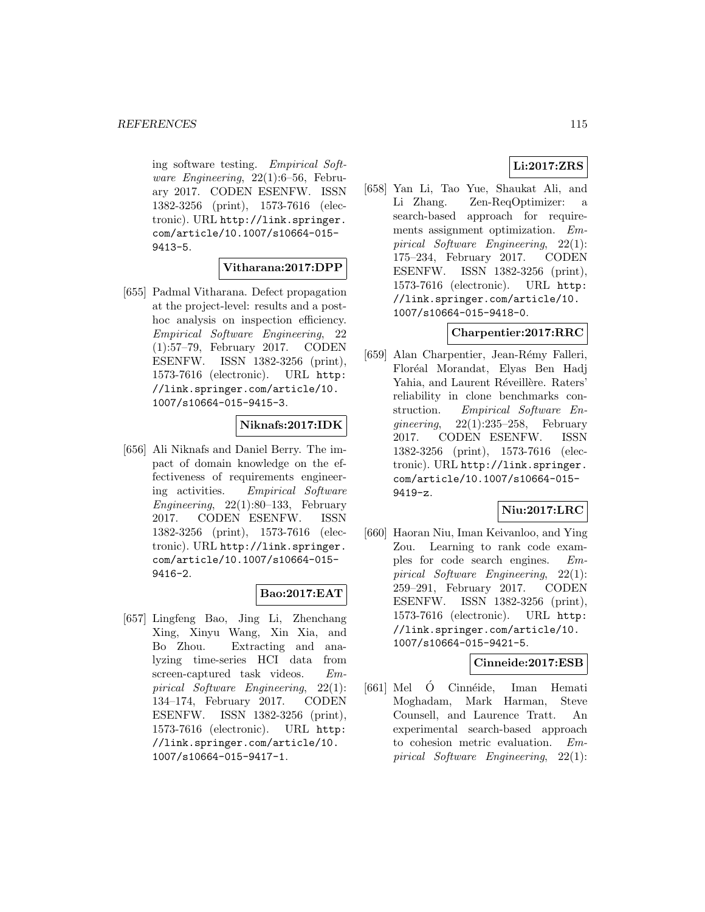ing software testing. Empirical Software Engineering, 22(1):6–56, February 2017. CODEN ESENFW. ISSN 1382-3256 (print), 1573-7616 (electronic). URL http://link.springer. com/article/10.1007/s10664-015- 9413-5.

## **Vitharana:2017:DPP**

[655] Padmal Vitharana. Defect propagation at the project-level: results and a posthoc analysis on inspection efficiency. Empirical Software Engineering, 22 (1):57–79, February 2017. CODEN ESENFW. ISSN 1382-3256 (print), 1573-7616 (electronic). URL http: //link.springer.com/article/10. 1007/s10664-015-9415-3.

## **Niknafs:2017:IDK**

[656] Ali Niknafs and Daniel Berry. The impact of domain knowledge on the effectiveness of requirements engineering activities. Empirical Software Engineering,  $22(1):80-133$ , February 2017. CODEN ESENFW. ISSN 1382-3256 (print), 1573-7616 (electronic). URL http://link.springer. com/article/10.1007/s10664-015- 9416-2.

#### **Bao:2017:EAT**

[657] Lingfeng Bao, Jing Li, Zhenchang Xing, Xinyu Wang, Xin Xia, and Bo Zhou. Extracting and analyzing time-series HCI data from screen-captured task videos. Empirical Software Engineering, 22(1): 134–174, February 2017. CODEN ESENFW. ISSN 1382-3256 (print), 1573-7616 (electronic). URL http: //link.springer.com/article/10. 1007/s10664-015-9417-1.

# **Li:2017:ZRS**

[658] Yan Li, Tao Yue, Shaukat Ali, and Li Zhang. Zen-ReqOptimizer: a search-based approach for requirements assignment optimization. Empirical Software Engineering, 22(1): 175–234, February 2017. CODEN ESENFW. ISSN 1382-3256 (print), 1573-7616 (electronic). URL http: //link.springer.com/article/10. 1007/s10664-015-9418-0.

#### **Charpentier:2017:RRC**

[659] Alan Charpentier, Jean-Rémy Falleri, Flor´eal Morandat, Elyas Ben Hadj Yahia, and Laurent Réveillère. Raters' reliability in clone benchmarks construction. Empirical Software Engineering, 22(1):235–258, February 2017. CODEN ESENFW. ISSN 1382-3256 (print), 1573-7616 (electronic). URL http://link.springer. com/article/10.1007/s10664-015- 9419-z.

#### **Niu:2017:LRC**

[660] Haoran Niu, Iman Keivanloo, and Ying Zou. Learning to rank code examples for code search engines. Empirical Software Engineering, 22(1): 259–291, February 2017. CODEN ESENFW. ISSN 1382-3256 (print), 1573-7616 (electronic). URL http: //link.springer.com/article/10. 1007/s10664-015-9421-5.

# **Cinneide:2017:ESB**

[661] Mel Ó Cinnéide, Iman Hemati Moghadam, Mark Harman, Steve Counsell, and Laurence Tratt. An experimental search-based approach to cohesion metric evaluation. Empirical Software Engineering, 22(1):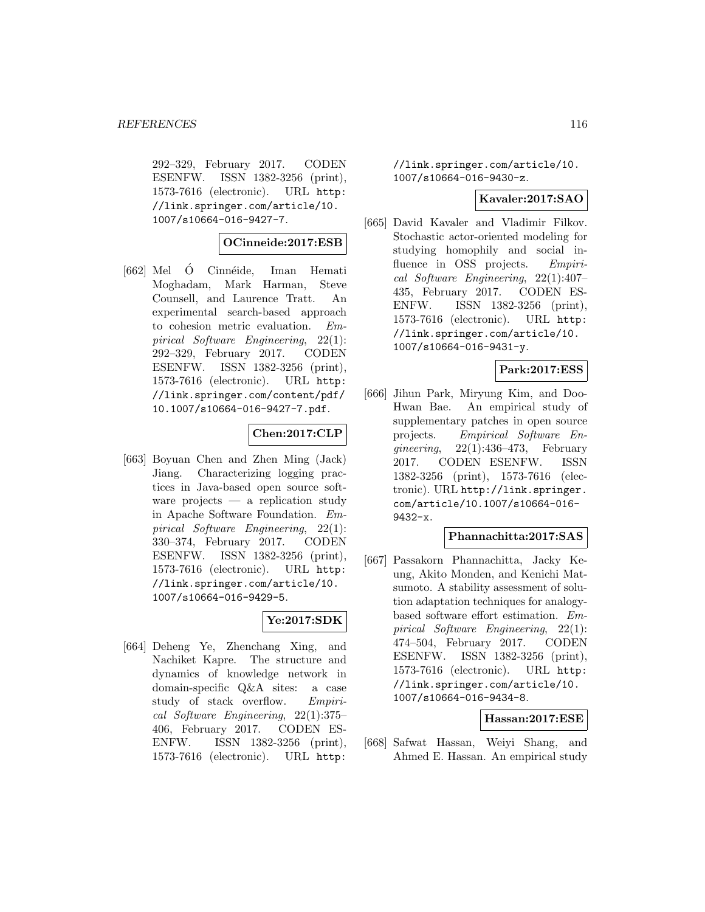292–329, February 2017. CODEN ESENFW. ISSN 1382-3256 (print), 1573-7616 (electronic). URL http: //link.springer.com/article/10. 1007/s10664-016-9427-7.

#### **OCinneide:2017:ESB**

 $[662]$  Mel  $\acute{O}$  Cinnéide, Iman Hemati Moghadam, Mark Harman, Steve Counsell, and Laurence Tratt. An experimental search-based approach to cohesion metric evaluation. Empirical Software Engineering, 22(1): 292–329, February 2017. CODEN ESENFW. ISSN 1382-3256 (print), 1573-7616 (electronic). URL http: //link.springer.com/content/pdf/ 10.1007/s10664-016-9427-7.pdf.

#### **Chen:2017:CLP**

[663] Boyuan Chen and Zhen Ming (Jack) Jiang. Characterizing logging practices in Java-based open source software projects — a replication study in Apache Software Foundation. Empirical Software Engineering, 22(1): 330–374, February 2017. CODEN ESENFW. ISSN 1382-3256 (print), 1573-7616 (electronic). URL http: //link.springer.com/article/10. 1007/s10664-016-9429-5.

## **Ye:2017:SDK**

[664] Deheng Ye, Zhenchang Xing, and Nachiket Kapre. The structure and dynamics of knowledge network in domain-specific Q&A sites: a case study of stack overflow. Empirical Software Engineering, 22(1):375– 406, February 2017. CODEN ES-ENFW. ISSN 1382-3256 (print), 1573-7616 (electronic). URL http:

//link.springer.com/article/10. 1007/s10664-016-9430-z.

#### **Kavaler:2017:SAO**

[665] David Kavaler and Vladimir Filkov. Stochastic actor-oriented modeling for studying homophily and social influence in OSS projects. Empirical Software Engineering, 22(1):407– 435, February 2017. CODEN ES-ENFW. ISSN 1382-3256 (print), 1573-7616 (electronic). URL http: //link.springer.com/article/10. 1007/s10664-016-9431-y.

#### **Park:2017:ESS**

[666] Jihun Park, Miryung Kim, and Doo-Hwan Bae. An empirical study of supplementary patches in open source projects. Empirical Software Engineering,  $22(1):436-473$ , February 2017. CODEN ESENFW. ISSN 1382-3256 (print), 1573-7616 (electronic). URL http://link.springer. com/article/10.1007/s10664-016- 9432-x.

#### **Phannachitta:2017:SAS**

[667] Passakorn Phannachitta, Jacky Keung, Akito Monden, and Kenichi Matsumoto. A stability assessment of solution adaptation techniques for analogybased software effort estimation. Empirical Software Engineering, 22(1): 474–504, February 2017. CODEN ESENFW. ISSN 1382-3256 (print), 1573-7616 (electronic). URL http: //link.springer.com/article/10. 1007/s10664-016-9434-8.

#### **Hassan:2017:ESE**

[668] Safwat Hassan, Weiyi Shang, and Ahmed E. Hassan. An empirical study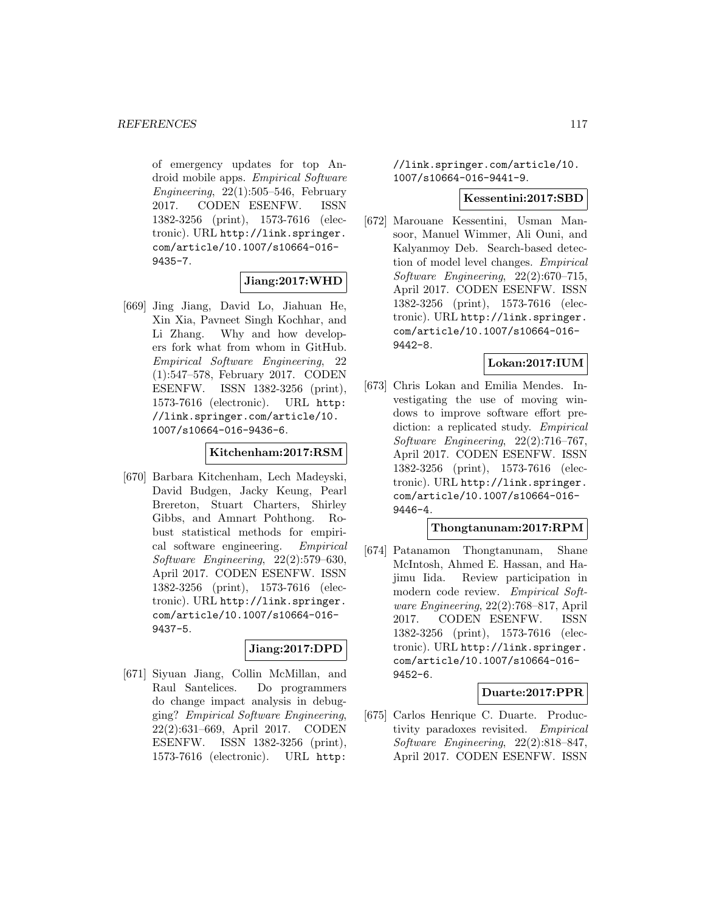of emergency updates for top Android mobile apps. Empirical Software  $Enaineering, 22(1):505-546, February$ 2017. CODEN ESENFW. ISSN 1382-3256 (print), 1573-7616 (electronic). URL http://link.springer. com/article/10.1007/s10664-016- 9435-7.

#### **Jiang:2017:WHD**

[669] Jing Jiang, David Lo, Jiahuan He, Xin Xia, Pavneet Singh Kochhar, and Li Zhang. Why and how developers fork what from whom in GitHub. Empirical Software Engineering, 22 (1):547–578, February 2017. CODEN ESENFW. ISSN 1382-3256 (print), 1573-7616 (electronic). URL http: //link.springer.com/article/10. 1007/s10664-016-9436-6.

#### **Kitchenham:2017:RSM**

[670] Barbara Kitchenham, Lech Madeyski, David Budgen, Jacky Keung, Pearl Brereton, Stuart Charters, Shirley Gibbs, and Amnart Pohthong. Robust statistical methods for empirical software engineering. Empirical Software Engineering, 22(2):579–630, April 2017. CODEN ESENFW. ISSN 1382-3256 (print), 1573-7616 (electronic). URL http://link.springer. com/article/10.1007/s10664-016- 9437-5.

#### **Jiang:2017:DPD**

[671] Siyuan Jiang, Collin McMillan, and Raul Santelices. Do programmers do change impact analysis in debugging? Empirical Software Engineering, 22(2):631–669, April 2017. CODEN ESENFW. ISSN 1382-3256 (print), 1573-7616 (electronic). URL http:

//link.springer.com/article/10. 1007/s10664-016-9441-9.

#### **Kessentini:2017:SBD**

[672] Marouane Kessentini, Usman Mansoor, Manuel Wimmer, Ali Ouni, and Kalyanmoy Deb. Search-based detection of model level changes. Empirical Software Engineering, 22(2):670–715, April 2017. CODEN ESENFW. ISSN 1382-3256 (print), 1573-7616 (electronic). URL http://link.springer. com/article/10.1007/s10664-016- 9442-8.

#### **Lokan:2017:IUM**

[673] Chris Lokan and Emilia Mendes. Investigating the use of moving windows to improve software effort prediction: a replicated study. *Empirical* Software Engineering, 22(2):716–767, April 2017. CODEN ESENFW. ISSN 1382-3256 (print), 1573-7616 (electronic). URL http://link.springer. com/article/10.1007/s10664-016- 9446-4.

#### **Thongtanunam:2017:RPM**

[674] Patanamon Thongtanunam, Shane McIntosh, Ahmed E. Hassan, and Hajimu Iida. Review participation in modern code review. Empirical Software Engineering, 22(2):768–817, April 2017. CODEN ESENFW. ISSN 1382-3256 (print), 1573-7616 (electronic). URL http://link.springer. com/article/10.1007/s10664-016- 9452-6.

#### **Duarte:2017:PPR**

[675] Carlos Henrique C. Duarte. Productivity paradoxes revisited. Empirical Software Engineering, 22(2):818–847, April 2017. CODEN ESENFW. ISSN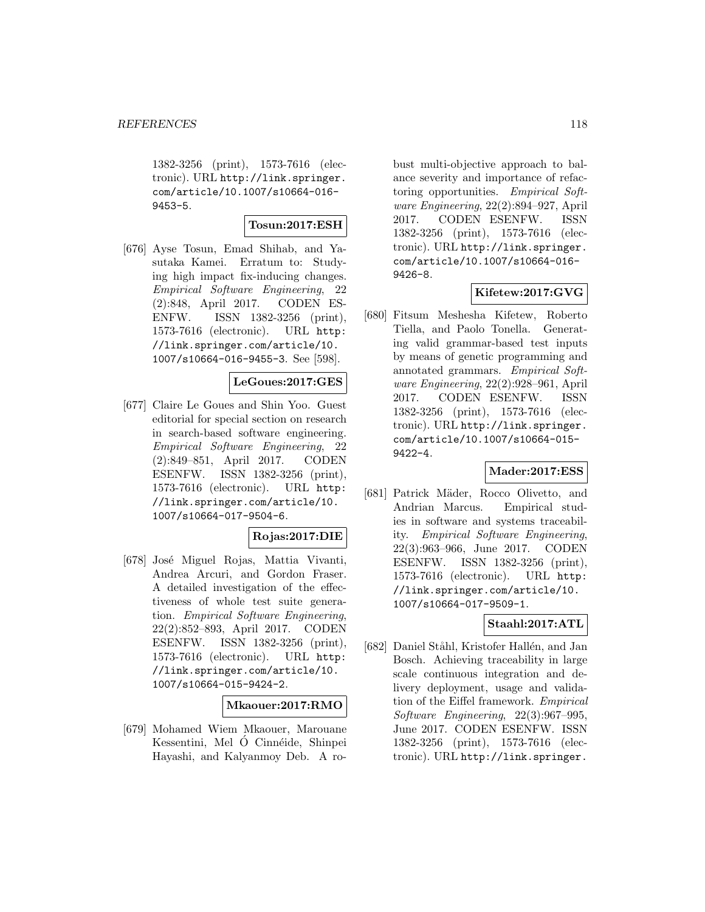1382-3256 (print), 1573-7616 (electronic). URL http://link.springer. com/article/10.1007/s10664-016- 9453-5.

## **Tosun:2017:ESH**

[676] Ayse Tosun, Emad Shihab, and Yasutaka Kamei. Erratum to: Studying high impact fix-inducing changes. Empirical Software Engineering, 22 (2):848, April 2017. CODEN ES-ENFW. ISSN 1382-3256 (print), 1573-7616 (electronic). URL http: //link.springer.com/article/10. 1007/s10664-016-9455-3. See [598].

#### **LeGoues:2017:GES**

[677] Claire Le Goues and Shin Yoo. Guest editorial for special section on research in search-based software engineering. Empirical Software Engineering, 22 (2):849–851, April 2017. CODEN ESENFW. ISSN 1382-3256 (print), 1573-7616 (electronic). URL http: //link.springer.com/article/10. 1007/s10664-017-9504-6.

#### **Rojas:2017:DIE**

[678] José Miguel Rojas, Mattia Vivanti, Andrea Arcuri, and Gordon Fraser. A detailed investigation of the effectiveness of whole test suite generation. Empirical Software Engineering, 22(2):852–893, April 2017. CODEN ESENFW. ISSN 1382-3256 (print), 1573-7616 (electronic). URL http: //link.springer.com/article/10. 1007/s10664-015-9424-2.

#### **Mkaouer:2017:RMO**

[679] Mohamed Wiem Mkaouer, Marouane Kessentini, Mel Ó Cinnéide, Shinpei Hayashi, and Kalyanmoy Deb. A ro-

bust multi-objective approach to balance severity and importance of refactoring opportunities. Empirical Software Engineering, 22(2):894–927, April 2017. CODEN ESENFW. ISSN 1382-3256 (print), 1573-7616 (electronic). URL http://link.springer. com/article/10.1007/s10664-016- 9426-8.

## **Kifetew:2017:GVG**

[680] Fitsum Meshesha Kifetew, Roberto Tiella, and Paolo Tonella. Generating valid grammar-based test inputs by means of genetic programming and annotated grammars. Empirical Software Engineering, 22(2):928–961, April 2017. CODEN ESENFW. ISSN 1382-3256 (print), 1573-7616 (electronic). URL http://link.springer. com/article/10.1007/s10664-015- 9422-4.

#### **Mader:2017:ESS**

[681] Patrick Mäder, Rocco Olivetto, and Andrian Marcus. Empirical studies in software and systems traceability. Empirical Software Engineering, 22(3):963–966, June 2017. CODEN ESENFW. ISSN 1382-3256 (print), 1573-7616 (electronic). URL http: //link.springer.com/article/10. 1007/s10664-017-9509-1.

# **Staahl:2017:ATL**

[682] Daniel Ståhl, Kristofer Hallén, and Jan Bosch. Achieving traceability in large scale continuous integration and delivery deployment, usage and validation of the Eiffel framework. Empirical Software Engineering, 22(3):967–995, June 2017. CODEN ESENFW. ISSN 1382-3256 (print), 1573-7616 (electronic). URL http://link.springer.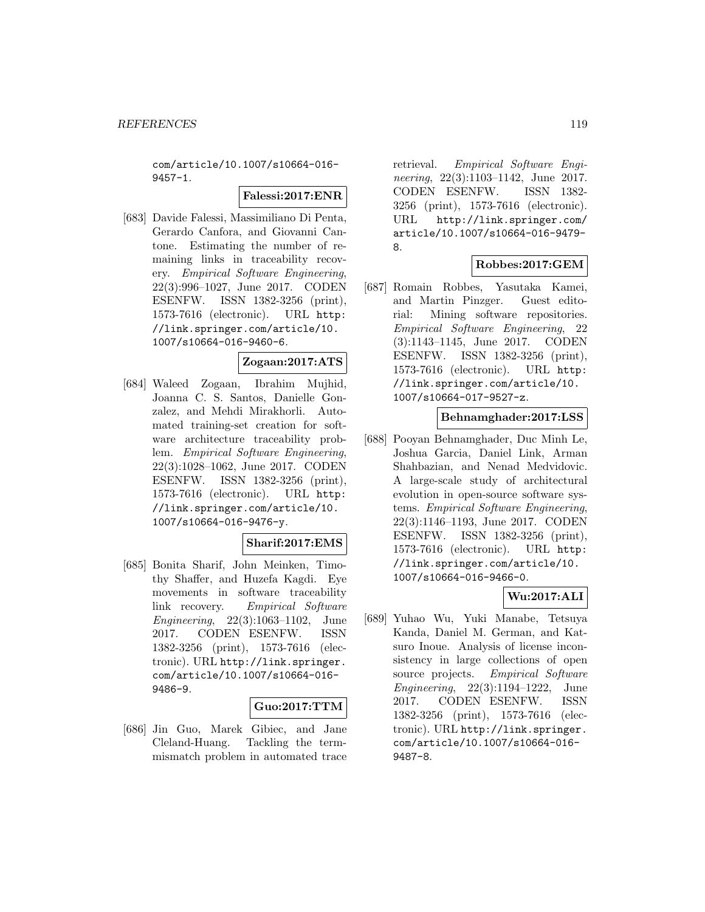com/article/10.1007/s10664-016- 9457-1.

## **Falessi:2017:ENR**

[683] Davide Falessi, Massimiliano Di Penta, Gerardo Canfora, and Giovanni Cantone. Estimating the number of remaining links in traceability recovery. Empirical Software Engineering, 22(3):996–1027, June 2017. CODEN ESENFW. ISSN 1382-3256 (print), 1573-7616 (electronic). URL http: //link.springer.com/article/10. 1007/s10664-016-9460-6.

# **Zogaan:2017:ATS**

[684] Waleed Zogaan, Ibrahim Mujhid, Joanna C. S. Santos, Danielle Gonzalez, and Mehdi Mirakhorli. Automated training-set creation for software architecture traceability problem. Empirical Software Engineering, 22(3):1028–1062, June 2017. CODEN ESENFW. ISSN 1382-3256 (print), 1573-7616 (electronic). URL http: //link.springer.com/article/10. 1007/s10664-016-9476-y.

#### **Sharif:2017:EMS**

[685] Bonita Sharif, John Meinken, Timothy Shaffer, and Huzefa Kagdi. Eye movements in software traceability link recovery. Empirical Software Engineering, 22(3):1063–1102, June 2017. CODEN ESENFW. ISSN 1382-3256 (print), 1573-7616 (electronic). URL http://link.springer. com/article/10.1007/s10664-016- 9486-9.

#### **Guo:2017:TTM**

[686] Jin Guo, Marek Gibiec, and Jane Cleland-Huang. Tackling the termmismatch problem in automated trace

retrieval. Empirical Software Engineering, 22(3):1103-1142, June 2017. CODEN ESENFW. ISSN 1382- 3256 (print), 1573-7616 (electronic). URL http://link.springer.com/ article/10.1007/s10664-016-9479- 8.

# **Robbes:2017:GEM**

[687] Romain Robbes, Yasutaka Kamei, and Martin Pinzger. Guest editorial: Mining software repositories. Empirical Software Engineering, 22 (3):1143–1145, June 2017. CODEN ESENFW. ISSN 1382-3256 (print), 1573-7616 (electronic). URL http: //link.springer.com/article/10. 1007/s10664-017-9527-z.

## **Behnamghader:2017:LSS**

[688] Pooyan Behnamghader, Duc Minh Le, Joshua Garcia, Daniel Link, Arman Shahbazian, and Nenad Medvidovic. A large-scale study of architectural evolution in open-source software systems. Empirical Software Engineering, 22(3):1146–1193, June 2017. CODEN ESENFW. ISSN 1382-3256 (print), 1573-7616 (electronic). URL http: //link.springer.com/article/10. 1007/s10664-016-9466-0.

## **Wu:2017:ALI**

[689] Yuhao Wu, Yuki Manabe, Tetsuya Kanda, Daniel M. German, and Katsuro Inoue. Analysis of license inconsistency in large collections of open source projects. Empirical Software Engineering, 22(3):1194–1222, June 2017. CODEN ESENFW. ISSN 1382-3256 (print), 1573-7616 (electronic). URL http://link.springer. com/article/10.1007/s10664-016- 9487-8.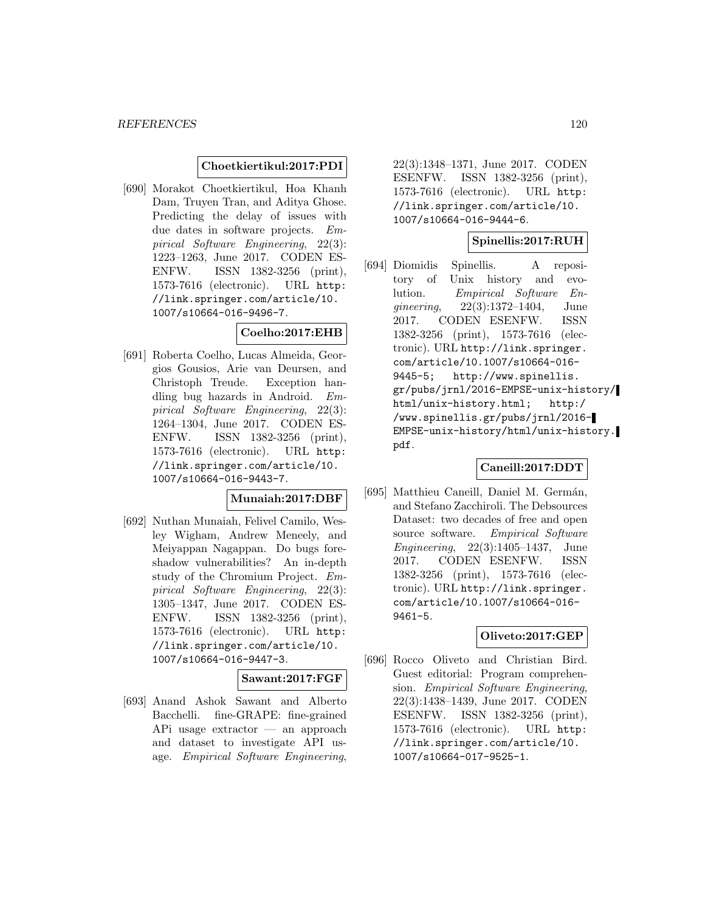#### **Choetkiertikul:2017:PDI**

[690] Morakot Choetkiertikul, Hoa Khanh Dam, Truyen Tran, and Aditya Ghose. Predicting the delay of issues with due dates in software projects. Empirical Software Engineering, 22(3): 1223–1263, June 2017. CODEN ES-ENFW. ISSN 1382-3256 (print), 1573-7616 (electronic). URL http: //link.springer.com/article/10. 1007/s10664-016-9496-7.

## **Coelho:2017:EHB**

[691] Roberta Coelho, Lucas Almeida, Georgios Gousios, Arie van Deursen, and Christoph Treude. Exception handling bug hazards in Android. Empirical Software Engineering, 22(3): 1264–1304, June 2017. CODEN ES-ENFW. ISSN 1382-3256 (print), 1573-7616 (electronic). URL http: //link.springer.com/article/10. 1007/s10664-016-9443-7.

#### **Munaiah:2017:DBF**

[692] Nuthan Munaiah, Felivel Camilo, Wesley Wigham, Andrew Meneely, and Meiyappan Nagappan. Do bugs foreshadow vulnerabilities? An in-depth study of the Chromium Project. Empirical Software Engineering, 22(3): 1305–1347, June 2017. CODEN ES-ENFW. ISSN 1382-3256 (print), 1573-7616 (electronic). URL http: //link.springer.com/article/10. 1007/s10664-016-9447-3.

# **Sawant:2017:FGF**

[693] Anand Ashok Sawant and Alberto Bacchelli. fine-GRAPE: fine-grained APi usage extractor — an approach and dataset to investigate API usage. Empirical Software Engineering,

22(3):1348–1371, June 2017. CODEN ESENFW. ISSN 1382-3256 (print), 1573-7616 (electronic). URL http: //link.springer.com/article/10. 1007/s10664-016-9444-6.

#### **Spinellis:2017:RUH**

[694] Diomidis Spinellis. A repository of Unix history and evolution. Empirical Software Engineering, 22(3):1372–1404, June 2017. CODEN ESENFW. ISSN 1382-3256 (print), 1573-7616 (electronic). URL http://link.springer. com/article/10.1007/s10664-016- 9445-5; http://www.spinellis. gr/pubs/jrnl/2016-EMPSE-unix-history/ html/unix-history.html; http:/ /www.spinellis.gr/pubs/jrnl/2016- EMPSE-unix-history/html/unix-history. pdf.

#### **Caneill:2017:DDT**

[695] Matthieu Caneill, Daniel M. Germán, and Stefano Zacchiroli. The Debsources Dataset: two decades of free and open source software. Empirical Software Engineering, 22(3):1405–1437, June 2017. CODEN ESENFW. ISSN 1382-3256 (print), 1573-7616 (electronic). URL http://link.springer. com/article/10.1007/s10664-016- 9461-5.

#### **Oliveto:2017:GEP**

[696] Rocco Oliveto and Christian Bird. Guest editorial: Program comprehension. Empirical Software Engineering, 22(3):1438–1439, June 2017. CODEN ESENFW. ISSN 1382-3256 (print), 1573-7616 (electronic). URL http: //link.springer.com/article/10. 1007/s10664-017-9525-1.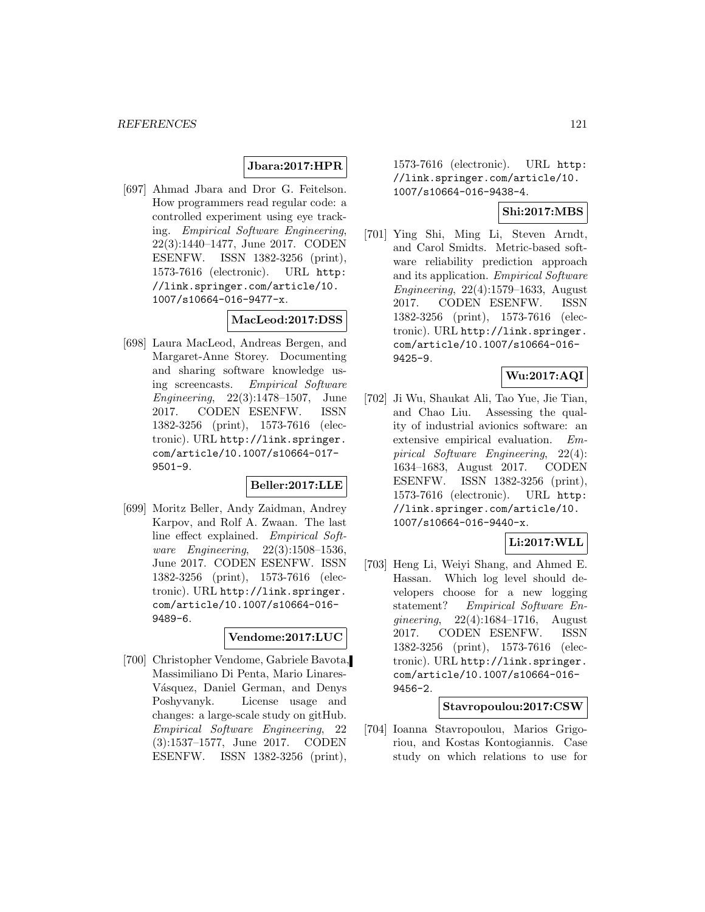## **Jbara:2017:HPR**

[697] Ahmad Jbara and Dror G. Feitelson. How programmers read regular code: a controlled experiment using eye tracking. Empirical Software Engineering, 22(3):1440–1477, June 2017. CODEN ESENFW. ISSN 1382-3256 (print), 1573-7616 (electronic). URL http: //link.springer.com/article/10. 1007/s10664-016-9477-x.

## **MacLeod:2017:DSS**

[698] Laura MacLeod, Andreas Bergen, and Margaret-Anne Storey. Documenting and sharing software knowledge using screencasts. Empirical Software Engineering, 22(3):1478–1507, June 2017. CODEN ESENFW. ISSN 1382-3256 (print), 1573-7616 (electronic). URL http://link.springer. com/article/10.1007/s10664-017- 9501-9.

## **Beller:2017:LLE**

[699] Moritz Beller, Andy Zaidman, Andrey Karpov, and Rolf A. Zwaan. The last line effect explained. Empirical Software Engineering, 22(3):1508–1536, June 2017. CODEN ESENFW. ISSN 1382-3256 (print), 1573-7616 (electronic). URL http://link.springer. com/article/10.1007/s10664-016- 9489-6.

#### **Vendome:2017:LUC**

[700] Christopher Vendome, Gabriele Bavota, Massimiliano Di Penta, Mario Linares-Vásquez, Daniel German, and Denys Poshyvanyk. License usage and changes: a large-scale study on gitHub. Empirical Software Engineering, 22 (3):1537–1577, June 2017. CODEN ESENFW. ISSN 1382-3256 (print),

1573-7616 (electronic). URL http: //link.springer.com/article/10. 1007/s10664-016-9438-4.

#### **Shi:2017:MBS**

[701] Ying Shi, Ming Li, Steven Arndt, and Carol Smidts. Metric-based software reliability prediction approach and its application. Empirical Software Engineering, 22(4):1579–1633, August 2017. CODEN ESENFW. ISSN 1382-3256 (print), 1573-7616 (electronic). URL http://link.springer. com/article/10.1007/s10664-016- 9425-9.

#### **Wu:2017:AQI**

[702] Ji Wu, Shaukat Ali, Tao Yue, Jie Tian, and Chao Liu. Assessing the quality of industrial avionics software: an extensive empirical evaluation. Empirical Software Engineering, 22(4): 1634–1683, August 2017. CODEN ESENFW. ISSN 1382-3256 (print), 1573-7616 (electronic). URL http: //link.springer.com/article/10. 1007/s10664-016-9440-x.

#### **Li:2017:WLL**

[703] Heng Li, Weiyi Shang, and Ahmed E. Hassan. Which log level should developers choose for a new logging statement? Empirical Software Engineering, 22(4):1684–1716, August 2017. CODEN ESENFW. ISSN 1382-3256 (print), 1573-7616 (electronic). URL http://link.springer. com/article/10.1007/s10664-016- 9456-2.

#### **Stavropoulou:2017:CSW**

[704] Ioanna Stavropoulou, Marios Grigoriou, and Kostas Kontogiannis. Case study on which relations to use for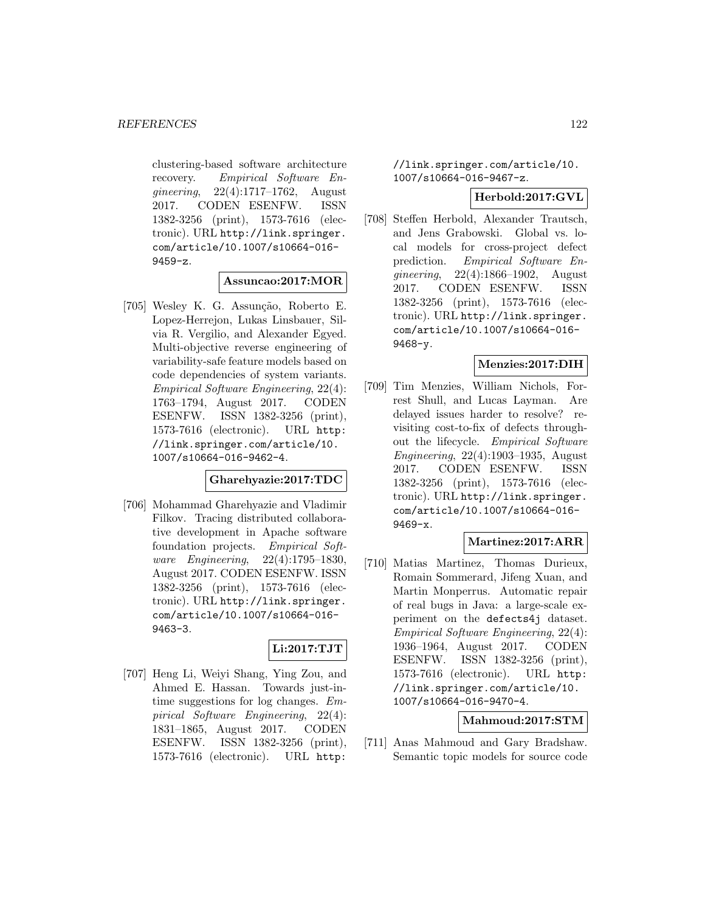clustering-based software architecture recovery. Empirical Software Engineering, 22(4):1717–1762, August 2017. CODEN ESENFW. ISSN 1382-3256 (print), 1573-7616 (electronic). URL http://link.springer. com/article/10.1007/s10664-016- 9459-z.

#### **Assuncao:2017:MOR**

[705] Wesley K. G. Assunção, Roberto E. Lopez-Herrejon, Lukas Linsbauer, Silvia R. Vergilio, and Alexander Egyed. Multi-objective reverse engineering of variability-safe feature models based on code dependencies of system variants. Empirical Software Engineering, 22(4): 1763–1794, August 2017. CODEN ESENFW. ISSN 1382-3256 (print), 1573-7616 (electronic). URL http: //link.springer.com/article/10. 1007/s10664-016-9462-4.

#### **Gharehyazie:2017:TDC**

[706] Mohammad Gharehyazie and Vladimir Filkov. Tracing distributed collaborative development in Apache software foundation projects. Empirical Software Engineering, 22(4):1795–1830, August 2017. CODEN ESENFW. ISSN 1382-3256 (print), 1573-7616 (electronic). URL http://link.springer. com/article/10.1007/s10664-016- 9463-3.

# **Li:2017:TJT**

[707] Heng Li, Weiyi Shang, Ying Zou, and Ahmed E. Hassan. Towards just-intime suggestions for log changes. Empirical Software Engineering, 22(4): 1831–1865, August 2017. CODEN ESENFW. ISSN 1382-3256 (print), 1573-7616 (electronic). URL http:

//link.springer.com/article/10. 1007/s10664-016-9467-z.

#### **Herbold:2017:GVL**

[708] Steffen Herbold, Alexander Trautsch, and Jens Grabowski. Global vs. local models for cross-project defect prediction. Empirical Software Engineering, 22(4):1866–1902, August 2017. CODEN ESENFW. ISSN 1382-3256 (print), 1573-7616 (electronic). URL http://link.springer. com/article/10.1007/s10664-016- 9468-y.

#### **Menzies:2017:DIH**

[709] Tim Menzies, William Nichols, Forrest Shull, and Lucas Layman. Are delayed issues harder to resolve? revisiting cost-to-fix of defects throughout the lifecycle. Empirical Software Engineering, 22(4):1903–1935, August 2017. CODEN ESENFW. ISSN 1382-3256 (print), 1573-7616 (electronic). URL http://link.springer. com/article/10.1007/s10664-016- 9469-x.

#### **Martinez:2017:ARR**

[710] Matias Martinez, Thomas Durieux, Romain Sommerard, Jifeng Xuan, and Martin Monperrus. Automatic repair of real bugs in Java: a large-scale experiment on the defects4j dataset. Empirical Software Engineering, 22(4): 1936–1964, August 2017. CODEN ESENFW. ISSN 1382-3256 (print), 1573-7616 (electronic). URL http: //link.springer.com/article/10. 1007/s10664-016-9470-4.

## **Mahmoud:2017:STM**

[711] Anas Mahmoud and Gary Bradshaw. Semantic topic models for source code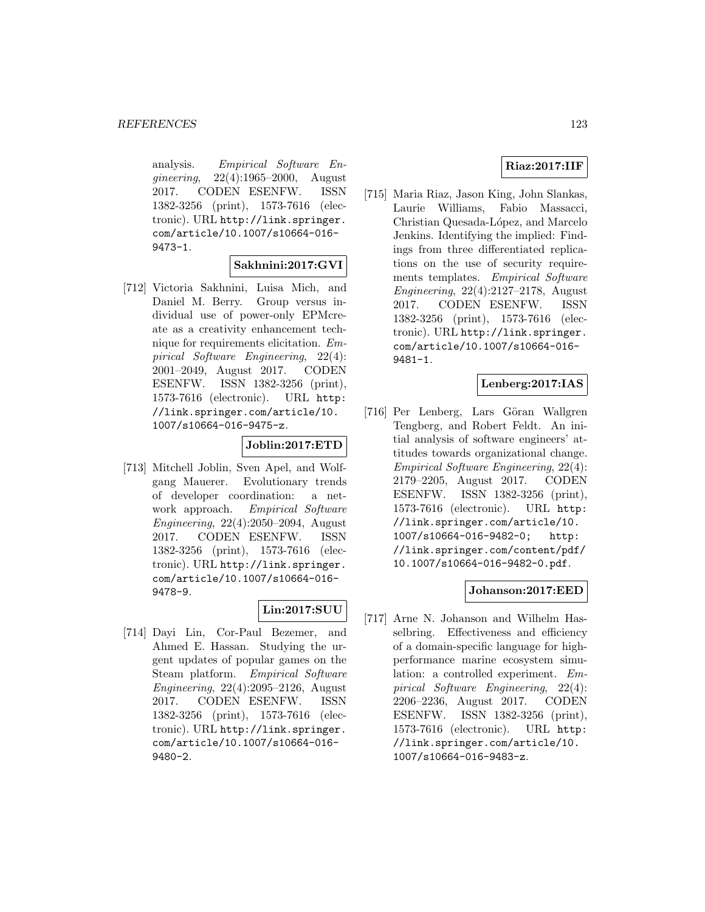analysis. Empirical Software Engineering, 22(4):1965–2000, August 2017. CODEN ESENFW. ISSN 1382-3256 (print), 1573-7616 (electronic). URL http://link.springer. com/article/10.1007/s10664-016- 9473-1.

# **Sakhnini:2017:GVI**

[712] Victoria Sakhnini, Luisa Mich, and Daniel M. Berry. Group versus individual use of power-only EPMcreate as a creativity enhancement technique for requirements elicitation. Empirical Software Engineering, 22(4): 2001–2049, August 2017. CODEN ESENFW. ISSN 1382-3256 (print), 1573-7616 (electronic). URL http: //link.springer.com/article/10. 1007/s10664-016-9475-z.

## **Joblin:2017:ETD**

[713] Mitchell Joblin, Sven Apel, and Wolfgang Mauerer. Evolutionary trends of developer coordination: a network approach. Empirical Software Engineering, 22(4):2050–2094, August 2017. CODEN ESENFW. ISSN 1382-3256 (print), 1573-7616 (electronic). URL http://link.springer. com/article/10.1007/s10664-016- 9478-9.

# **Lin:2017:SUU**

[714] Dayi Lin, Cor-Paul Bezemer, and Ahmed E. Hassan. Studying the urgent updates of popular games on the Steam platform. Empirical Software Engineering, 22(4):2095–2126, August 2017. CODEN ESENFW. ISSN 1382-3256 (print), 1573-7616 (electronic). URL http://link.springer. com/article/10.1007/s10664-016- 9480-2.

# **Riaz:2017:IIF**

[715] Maria Riaz, Jason King, John Slankas, Laurie Williams, Fabio Massacci, Christian Quesada-López, and Marcelo Jenkins. Identifying the implied: Findings from three differentiated replications on the use of security requirements templates. Empirical Software Engineering, 22(4):2127–2178, August 2017. CODEN ESENFW. ISSN 1382-3256 (print), 1573-7616 (electronic). URL http://link.springer. com/article/10.1007/s10664-016- 9481-1.

# **Lenberg:2017:IAS**

[716] Per Lenberg, Lars Göran Wallgren Tengberg, and Robert Feldt. An initial analysis of software engineers' attitudes towards organizational change. Empirical Software Engineering, 22(4): 2179–2205, August 2017. CODEN ESENFW. ISSN 1382-3256 (print), 1573-7616 (electronic). URL http: //link.springer.com/article/10. 1007/s10664-016-9482-0; http: //link.springer.com/content/pdf/ 10.1007/s10664-016-9482-0.pdf.

## **Johanson:2017:EED**

[717] Arne N. Johanson and Wilhelm Hasselbring. Effectiveness and efficiency of a domain-specific language for highperformance marine ecosystem simulation: a controlled experiment. Empirical Software Engineering, 22(4): 2206–2236, August 2017. CODEN ESENFW. ISSN 1382-3256 (print), 1573-7616 (electronic). URL http: //link.springer.com/article/10. 1007/s10664-016-9483-z.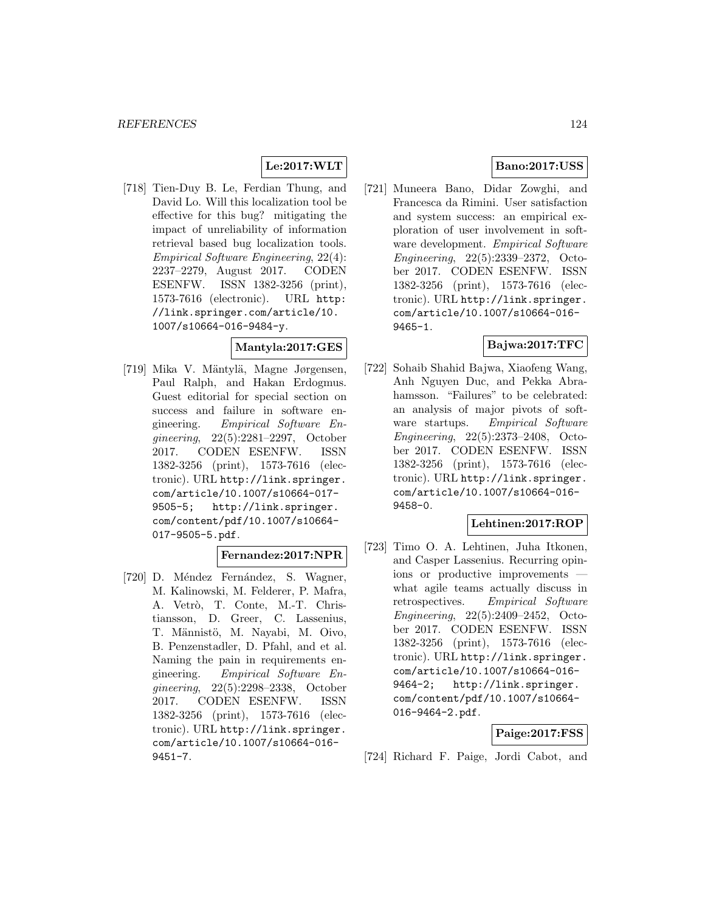# **Le:2017:WLT**

[718] Tien-Duy B. Le, Ferdian Thung, and David Lo. Will this localization tool be effective for this bug? mitigating the impact of unreliability of information retrieval based bug localization tools. Empirical Software Engineering, 22(4): 2237–2279, August 2017. CODEN ESENFW. ISSN 1382-3256 (print), 1573-7616 (electronic). URL http: //link.springer.com/article/10. 1007/s10664-016-9484-y.

#### **Mantyla:2017:GES**

[719] Mika V. Mäntylä, Magne Jørgensen, Paul Ralph, and Hakan Erdogmus. Guest editorial for special section on success and failure in software engineering. Empirical Software Engineering, 22(5):2281–2297, October 2017. CODEN ESENFW. ISSN 1382-3256 (print), 1573-7616 (electronic). URL http://link.springer. com/article/10.1007/s10664-017- 9505-5; http://link.springer. com/content/pdf/10.1007/s10664- 017-9505-5.pdf.

#### **Fernandez:2017:NPR**

[720] D. Méndez Fernández, S. Wagner, M. Kalinowski, M. Felderer, P. Mafra, A. Vetrò, T. Conte, M.-T. Christiansson, D. Greer, C. Lassenius, T. Männistö, M. Nayabi, M. Oivo, B. Penzenstadler, D. Pfahl, and et al. Naming the pain in requirements engineering. Empirical Software Engineering, 22(5):2298–2338, October 2017. CODEN ESENFW. ISSN 1382-3256 (print), 1573-7616 (electronic). URL http://link.springer. com/article/10.1007/s10664-016- 9451-7.

## **Bano:2017:USS**

[721] Muneera Bano, Didar Zowghi, and Francesca da Rimini. User satisfaction and system success: an empirical exploration of user involvement in software development. Empirical Software Engineering, 22(5):2339–2372, October 2017. CODEN ESENFW. ISSN 1382-3256 (print), 1573-7616 (electronic). URL http://link.springer. com/article/10.1007/s10664-016- 9465-1.

## **Bajwa:2017:TFC**

[722] Sohaib Shahid Bajwa, Xiaofeng Wang, Anh Nguyen Duc, and Pekka Abrahamsson. "Failures" to be celebrated: an analysis of major pivots of software startups. Empirical Software Engineering, 22(5):2373–2408, October 2017. CODEN ESENFW. ISSN 1382-3256 (print), 1573-7616 (electronic). URL http://link.springer. com/article/10.1007/s10664-016- 9458-0.

#### **Lehtinen:2017:ROP**

[723] Timo O. A. Lehtinen, Juha Itkonen, and Casper Lassenius. Recurring opinions or productive improvements what agile teams actually discuss in retrospectives. Empirical Software Engineering, 22(5):2409–2452, October 2017. CODEN ESENFW. ISSN 1382-3256 (print), 1573-7616 (electronic). URL http://link.springer. com/article/10.1007/s10664-016- 9464-2; http://link.springer. com/content/pdf/10.1007/s10664- 016-9464-2.pdf.

#### **Paige:2017:FSS**

[724] Richard F. Paige, Jordi Cabot, and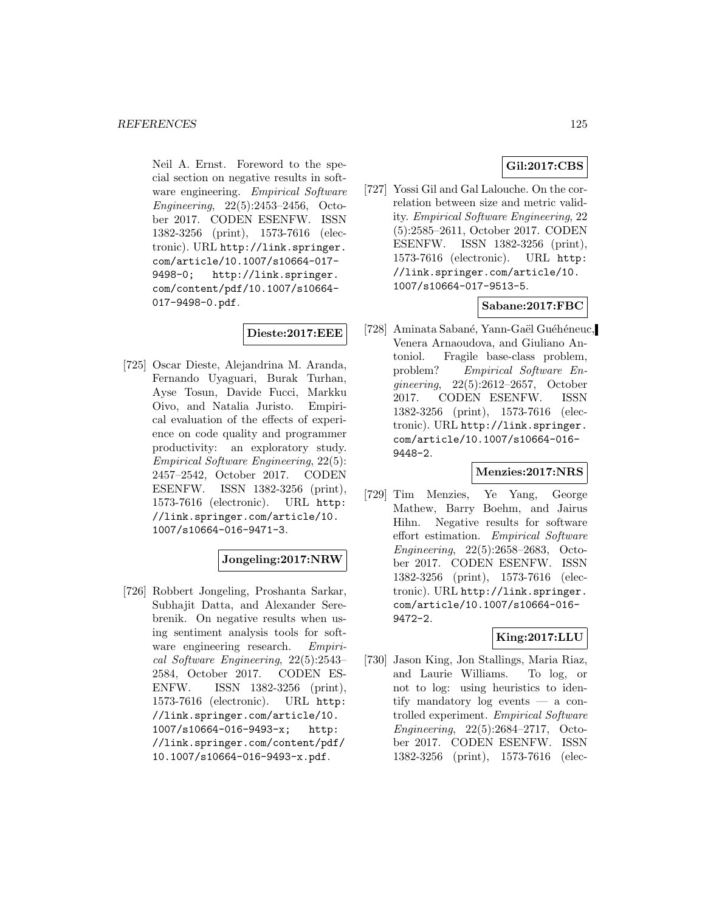Neil A. Ernst. Foreword to the special section on negative results in software engineering. Empirical Software Engineering, 22(5):2453–2456, October 2017. CODEN ESENFW. ISSN 1382-3256 (print), 1573-7616 (electronic). URL http://link.springer. com/article/10.1007/s10664-017- 9498-0; http://link.springer. com/content/pdf/10.1007/s10664- 017-9498-0.pdf.

# **Dieste:2017:EEE**

[725] Oscar Dieste, Alejandrina M. Aranda, Fernando Uyaguari, Burak Turhan, Ayse Tosun, Davide Fucci, Markku Oivo, and Natalia Juristo. Empirical evaluation of the effects of experience on code quality and programmer productivity: an exploratory study. Empirical Software Engineering, 22(5): 2457–2542, October 2017. CODEN ESENFW. ISSN 1382-3256 (print), 1573-7616 (electronic). URL http: //link.springer.com/article/10. 1007/s10664-016-9471-3.

#### **Jongeling:2017:NRW**

[726] Robbert Jongeling, Proshanta Sarkar, Subhajit Datta, and Alexander Serebrenik. On negative results when using sentiment analysis tools for software engineering research. Empirical Software Engineering, 22(5):2543– 2584, October 2017. CODEN ES-ENFW. ISSN 1382-3256 (print), 1573-7616 (electronic). URL http: //link.springer.com/article/10. 1007/s10664-016-9493-x; http: //link.springer.com/content/pdf/ 10.1007/s10664-016-9493-x.pdf.

## **Gil:2017:CBS**

[727] Yossi Gil and Gal Lalouche. On the correlation between size and metric validity. Empirical Software Engineering, 22 (5):2585–2611, October 2017. CODEN ESENFW. ISSN 1382-3256 (print), 1573-7616 (electronic). URL http: //link.springer.com/article/10. 1007/s10664-017-9513-5.

## **Sabane:2017:FBC**

[728] Aminata Sabané, Yann-Gaël Guéhéneuc, Venera Arnaoudova, and Giuliano Antoniol. Fragile base-class problem, problem? Empirical Software Engineering, 22(5):2612–2657, October 2017. CODEN ESENFW. ISSN 1382-3256 (print), 1573-7616 (electronic). URL http://link.springer. com/article/10.1007/s10664-016- 9448-2.

#### **Menzies:2017:NRS**

[729] Tim Menzies, Ye Yang, George Mathew, Barry Boehm, and Jairus Hihn. Negative results for software effort estimation. Empirical Software Engineering, 22(5):2658–2683, October 2017. CODEN ESENFW. ISSN 1382-3256 (print), 1573-7616 (electronic). URL http://link.springer. com/article/10.1007/s10664-016- 9472-2.

#### **King:2017:LLU**

[730] Jason King, Jon Stallings, Maria Riaz, and Laurie Williams. To log, or not to log: using heuristics to identify mandatory log events — a controlled experiment. Empirical Software Engineering, 22(5):2684–2717, October 2017. CODEN ESENFW. ISSN 1382-3256 (print), 1573-7616 (elec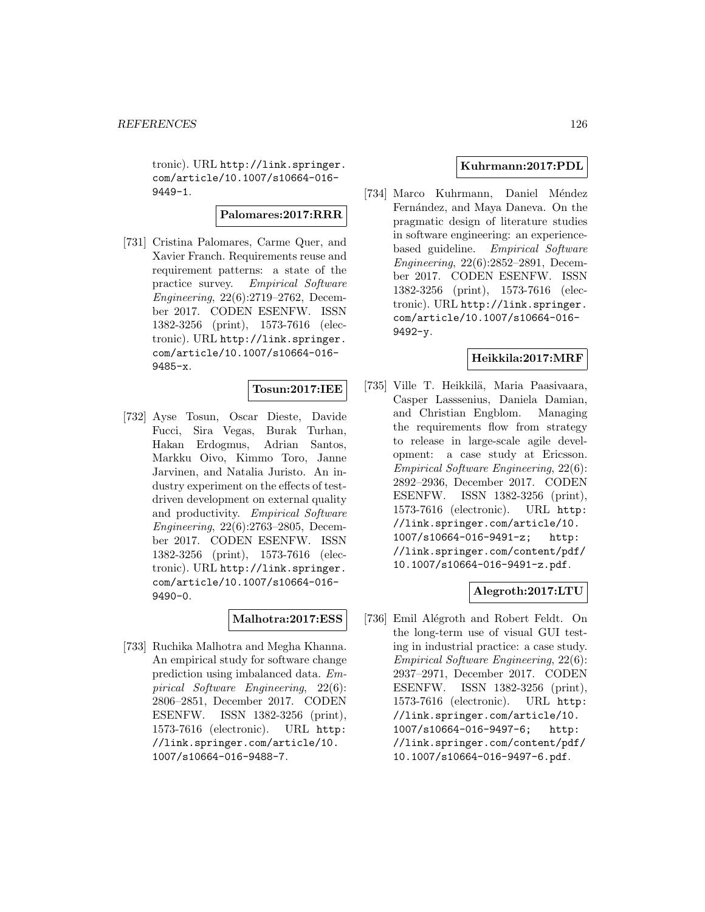tronic). URL http://link.springer. com/article/10.1007/s10664-016- 9449-1.

## **Palomares:2017:RRR**

[731] Cristina Palomares, Carme Quer, and Xavier Franch. Requirements reuse and requirement patterns: a state of the practice survey. Empirical Software Engineering, 22(6):2719–2762, December 2017. CODEN ESENFW. ISSN 1382-3256 (print), 1573-7616 (electronic). URL http://link.springer. com/article/10.1007/s10664-016- 9485-x.

#### **Tosun:2017:IEE**

[732] Ayse Tosun, Oscar Dieste, Davide Fucci, Sira Vegas, Burak Turhan, Hakan Erdogmus, Adrian Santos, Markku Oivo, Kimmo Toro, Janne Jarvinen, and Natalia Juristo. An industry experiment on the effects of testdriven development on external quality and productivity. Empirical Software Engineering, 22(6):2763–2805, December 2017. CODEN ESENFW. ISSN 1382-3256 (print), 1573-7616 (electronic). URL http://link.springer. com/article/10.1007/s10664-016- 9490-0.

## **Malhotra:2017:ESS**

[733] Ruchika Malhotra and Megha Khanna. An empirical study for software change prediction using imbalanced data. Empirical Software Engineering, 22(6): 2806–2851, December 2017. CODEN ESENFW. ISSN 1382-3256 (print), 1573-7616 (electronic). URL http: //link.springer.com/article/10. 1007/s10664-016-9488-7.

## **Kuhrmann:2017:PDL**

[734] Marco Kuhrmann, Daniel Méndez Fernández, and Maya Daneva. On the pragmatic design of literature studies in software engineering: an experiencebased guideline. Empirical Software Engineering, 22(6):2852–2891, December 2017. CODEN ESENFW. ISSN 1382-3256 (print), 1573-7616 (electronic). URL http://link.springer. com/article/10.1007/s10664-016- 9492-y.

#### **Heikkila:2017:MRF**

[735] Ville T. Heikkilä, Maria Paasivaara, Casper Lasssenius, Daniela Damian, and Christian Engblom. Managing the requirements flow from strategy to release in large-scale agile development: a case study at Ericsson. Empirical Software Engineering, 22(6): 2892–2936, December 2017. CODEN ESENFW. ISSN 1382-3256 (print), 1573-7616 (electronic). URL http: //link.springer.com/article/10. 1007/s10664-016-9491-z; http: //link.springer.com/content/pdf/ 10.1007/s10664-016-9491-z.pdf.

## **Alegroth:2017:LTU**

[736] Emil Alégroth and Robert Feldt. On the long-term use of visual GUI testing in industrial practice: a case study. Empirical Software Engineering, 22(6): 2937–2971, December 2017. CODEN ESENFW. ISSN 1382-3256 (print), 1573-7616 (electronic). URL http: //link.springer.com/article/10. 1007/s10664-016-9497-6; http: //link.springer.com/content/pdf/ 10.1007/s10664-016-9497-6.pdf.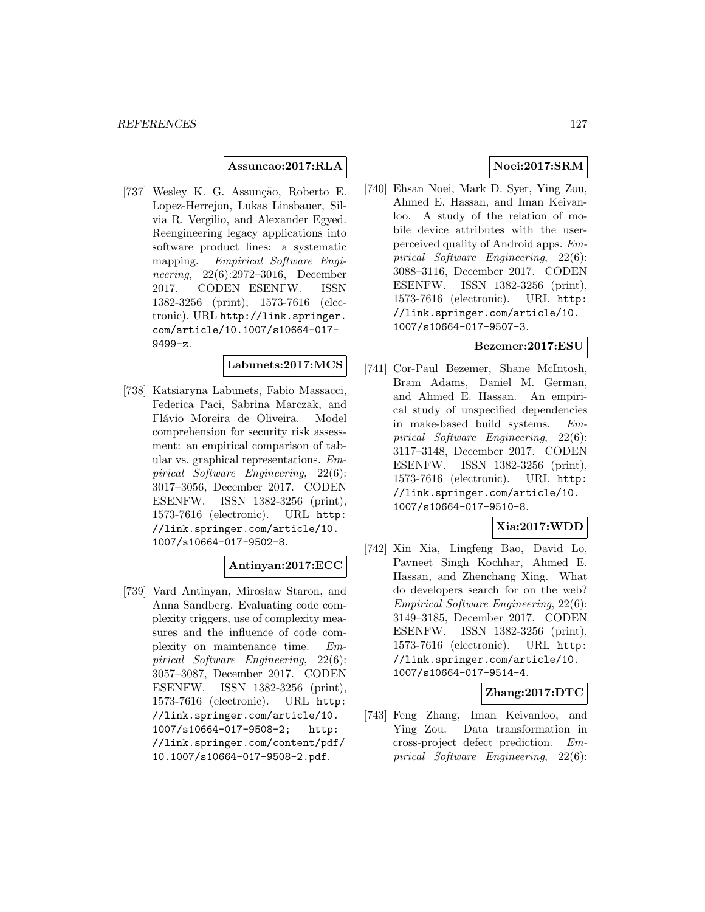## **Assuncao:2017:RLA**

[737] Wesley K. G. Assunção, Roberto E. Lopez-Herrejon, Lukas Linsbauer, Silvia R. Vergilio, and Alexander Egyed. Reengineering legacy applications into software product lines: a systematic mapping. Empirical Software Engineering, 22(6):2972–3016, December 2017. CODEN ESENFW. ISSN 1382-3256 (print), 1573-7616 (electronic). URL http://link.springer. com/article/10.1007/s10664-017- 9499-z.

# **Labunets:2017:MCS**

[738] Katsiaryna Labunets, Fabio Massacci, Federica Paci, Sabrina Marczak, and Flávio Moreira de Oliveira. Model comprehension for security risk assessment: an empirical comparison of tabular vs. graphical representations. Empirical Software Engineering, 22(6): 3017–3056, December 2017. CODEN ESENFW. ISSN 1382-3256 (print), 1573-7616 (electronic). URL http: //link.springer.com/article/10. 1007/s10664-017-9502-8.

#### **Antinyan:2017:ECC**

[739] Vard Antinyan, Mirosław Staron, and Anna Sandberg. Evaluating code complexity triggers, use of complexity measures and the influence of code complexity on maintenance time. Empirical Software Engineering, 22(6): 3057–3087, December 2017. CODEN ESENFW. ISSN 1382-3256 (print), 1573-7616 (electronic). URL http: //link.springer.com/article/10. 1007/s10664-017-9508-2; http: //link.springer.com/content/pdf/ 10.1007/s10664-017-9508-2.pdf.

# **Noei:2017:SRM**

[740] Ehsan Noei, Mark D. Syer, Ying Zou, Ahmed E. Hassan, and Iman Keivanloo. A study of the relation of mobile device attributes with the userperceived quality of Android apps. Empirical Software Engineering, 22(6): 3088–3116, December 2017. CODEN ESENFW. ISSN 1382-3256 (print), 1573-7616 (electronic). URL http: //link.springer.com/article/10. 1007/s10664-017-9507-3.

#### **Bezemer:2017:ESU**

[741] Cor-Paul Bezemer, Shane McIntosh, Bram Adams, Daniel M. German, and Ahmed E. Hassan. An empirical study of unspecified dependencies in make-based build systems. Empirical Software Engineering, 22(6): 3117–3148, December 2017. CODEN ESENFW. ISSN 1382-3256 (print), 1573-7616 (electronic). URL http: //link.springer.com/article/10. 1007/s10664-017-9510-8.

# **Xia:2017:WDD**

[742] Xin Xia, Lingfeng Bao, David Lo, Pavneet Singh Kochhar, Ahmed E. Hassan, and Zhenchang Xing. What do developers search for on the web? Empirical Software Engineering, 22(6): 3149–3185, December 2017. CODEN ESENFW. ISSN 1382-3256 (print), 1573-7616 (electronic). URL http: //link.springer.com/article/10. 1007/s10664-017-9514-4.

#### **Zhang:2017:DTC**

[743] Feng Zhang, Iman Keivanloo, and Ying Zou. Data transformation in cross-project defect prediction. Empirical Software Engineering, 22(6):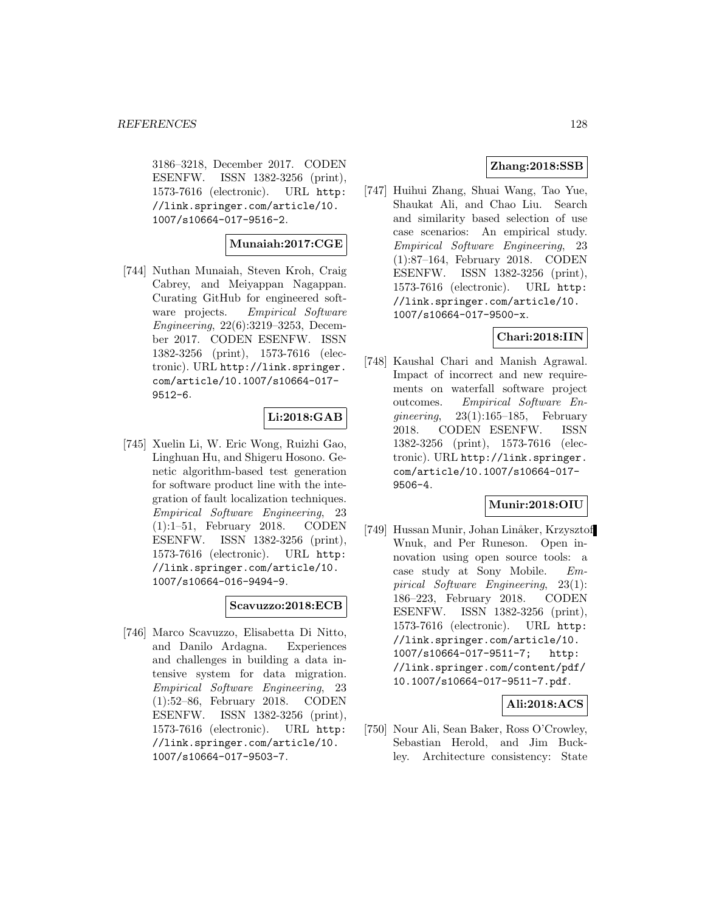3186–3218, December 2017. CODEN ESENFW. ISSN 1382-3256 (print), 1573-7616 (electronic). URL http: //link.springer.com/article/10. 1007/s10664-017-9516-2.

#### **Munaiah:2017:CGE**

[744] Nuthan Munaiah, Steven Kroh, Craig Cabrey, and Meiyappan Nagappan. Curating GitHub for engineered software projects. Empirical Software Engineering, 22(6):3219–3253, December 2017. CODEN ESENFW. ISSN 1382-3256 (print), 1573-7616 (electronic). URL http://link.springer. com/article/10.1007/s10664-017- 9512-6.

#### **Li:2018:GAB**

[745] Xuelin Li, W. Eric Wong, Ruizhi Gao, Linghuan Hu, and Shigeru Hosono. Genetic algorithm-based test generation for software product line with the integration of fault localization techniques. Empirical Software Engineering, 23 (1):1–51, February 2018. CODEN ESENFW. ISSN 1382-3256 (print), 1573-7616 (electronic). URL http: //link.springer.com/article/10. 1007/s10664-016-9494-9.

#### **Scavuzzo:2018:ECB**

[746] Marco Scavuzzo, Elisabetta Di Nitto, and Danilo Ardagna. Experiences and challenges in building a data intensive system for data migration. Empirical Software Engineering, 23 (1):52–86, February 2018. CODEN ESENFW. ISSN 1382-3256 (print), 1573-7616 (electronic). URL http: //link.springer.com/article/10. 1007/s10664-017-9503-7.

## **Zhang:2018:SSB**

[747] Huihui Zhang, Shuai Wang, Tao Yue, Shaukat Ali, and Chao Liu. Search and similarity based selection of use case scenarios: An empirical study. Empirical Software Engineering, 23 (1):87–164, February 2018. CODEN ESENFW. ISSN 1382-3256 (print), 1573-7616 (electronic). URL http: //link.springer.com/article/10. 1007/s10664-017-9500-x.

## **Chari:2018:IIN**

[748] Kaushal Chari and Manish Agrawal. Impact of incorrect and new requirements on waterfall software project outcomes. Empirical Software Enqineering,  $23(1):165-185$ , February 2018. CODEN ESENFW. ISSN 1382-3256 (print), 1573-7616 (electronic). URL http://link.springer. com/article/10.1007/s10664-017- 9506-4.

#### **Munir:2018:OIU**

[749] Hussan Munir, Johan Linåker, Krzysztof Wnuk, and Per Runeson. Open innovation using open source tools: a case study at Sony Mobile. Empirical Software Engineering, 23(1): 186–223, February 2018. CODEN ESENFW. ISSN 1382-3256 (print), 1573-7616 (electronic). URL http: //link.springer.com/article/10. 1007/s10664-017-9511-7; http: //link.springer.com/content/pdf/ 10.1007/s10664-017-9511-7.pdf.

## **Ali:2018:ACS**

[750] Nour Ali, Sean Baker, Ross O'Crowley, Sebastian Herold, and Jim Buckley. Architecture consistency: State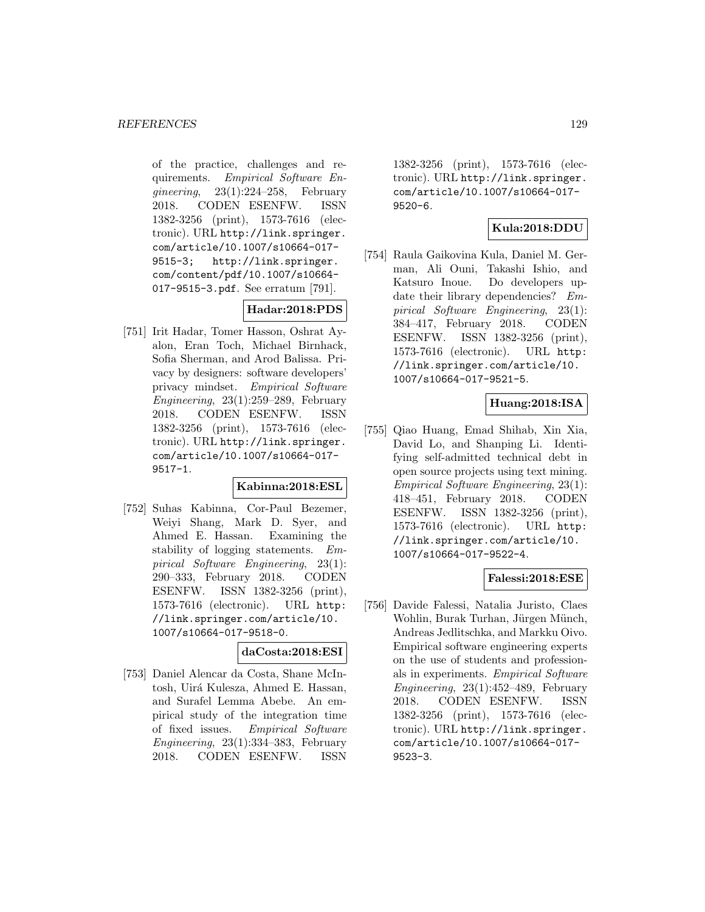of the practice, challenges and requirements. Empirical Software Enqineering,  $23(1):224-258$ , February 2018. CODEN ESENFW. ISSN 1382-3256 (print), 1573-7616 (electronic). URL http://link.springer. com/article/10.1007/s10664-017- 9515-3; http://link.springer. com/content/pdf/10.1007/s10664- 017-9515-3.pdf. See erratum [791].

# **Hadar:2018:PDS**

[751] Irit Hadar, Tomer Hasson, Oshrat Ayalon, Eran Toch, Michael Birnhack, Sofia Sherman, and Arod Balissa. Privacy by designers: software developers' privacy mindset. Empirical Software Engineering,  $23(1):259-289$ , February 2018. CODEN ESENFW. ISSN 1382-3256 (print), 1573-7616 (electronic). URL http://link.springer. com/article/10.1007/s10664-017- 9517-1.

#### **Kabinna:2018:ESL**

[752] Suhas Kabinna, Cor-Paul Bezemer, Weiyi Shang, Mark D. Syer, and Ahmed E. Hassan. Examining the stability of logging statements. Empirical Software Engineering, 23(1): 290–333, February 2018. CODEN ESENFW. ISSN 1382-3256 (print), 1573-7616 (electronic). URL http: //link.springer.com/article/10. 1007/s10664-017-9518-0.

## **daCosta:2018:ESI**

[753] Daniel Alencar da Costa, Shane McIntosh, Uirá Kulesza, Ahmed E. Hassan, and Surafel Lemma Abebe. An empirical study of the integration time of fixed issues. Empirical Software Engineering, 23(1):334–383, February 2018. CODEN ESENFW. ISSN

1382-3256 (print), 1573-7616 (electronic). URL http://link.springer. com/article/10.1007/s10664-017- 9520-6.

# **Kula:2018:DDU**

[754] Raula Gaikovina Kula, Daniel M. German, Ali Ouni, Takashi Ishio, and Katsuro Inoue. Do developers update their library dependencies? Empirical Software Engineering, 23(1): 384–417, February 2018. CODEN ESENFW. ISSN 1382-3256 (print), 1573-7616 (electronic). URL http: //link.springer.com/article/10. 1007/s10664-017-9521-5.

## **Huang:2018:ISA**

[755] Qiao Huang, Emad Shihab, Xin Xia, David Lo, and Shanping Li. Identifying self-admitted technical debt in open source projects using text mining. Empirical Software Engineering, 23(1): 418–451, February 2018. CODEN ESENFW. ISSN 1382-3256 (print), 1573-7616 (electronic). URL http: //link.springer.com/article/10. 1007/s10664-017-9522-4.

#### **Falessi:2018:ESE**

[756] Davide Falessi, Natalia Juristo, Claes Wohlin, Burak Turhan, Jürgen Münch, Andreas Jedlitschka, and Markku Oivo. Empirical software engineering experts on the use of students and professionals in experiments. Empirical Software Engineering,  $23(1):452-489$ , February 2018. CODEN ESENFW. ISSN 1382-3256 (print), 1573-7616 (electronic). URL http://link.springer. com/article/10.1007/s10664-017- 9523-3.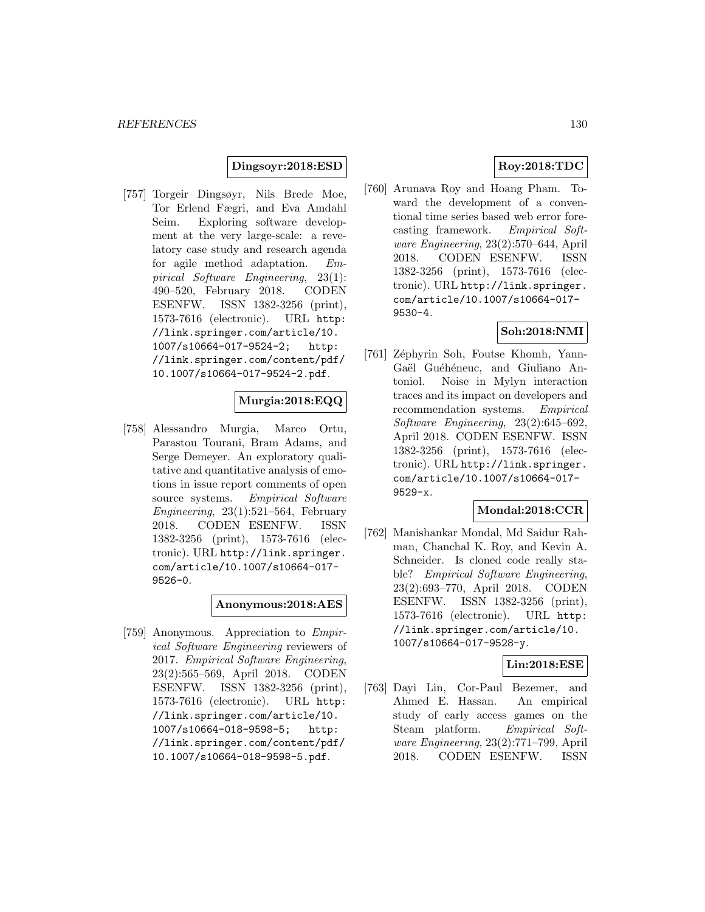#### **Dingsoyr:2018:ESD**

[757] Torgeir Dingsøyr, Nils Brede Moe, Tor Erlend Fægri, and Eva Amdahl Seim. Exploring software development at the very large-scale: a revelatory case study and research agenda for agile method adaptation. Empirical Software Engineering, 23(1): 490–520, February 2018. CODEN ESENFW. ISSN 1382-3256 (print), 1573-7616 (electronic). URL http: //link.springer.com/article/10. 1007/s10664-017-9524-2; http: //link.springer.com/content/pdf/ 10.1007/s10664-017-9524-2.pdf.

# **Murgia:2018:EQQ**

[758] Alessandro Murgia, Marco Ortu, Parastou Tourani, Bram Adams, and Serge Demeyer. An exploratory qualitative and quantitative analysis of emotions in issue report comments of open source systems. Empirical Software Engineering, 23(1):521–564, February 2018. CODEN ESENFW. ISSN 1382-3256 (print), 1573-7616 (electronic). URL http://link.springer. com/article/10.1007/s10664-017- 9526-0.

#### **Anonymous:2018:AES**

[759] Anonymous. Appreciation to Empirical Software Engineering reviewers of 2017. Empirical Software Engineering, 23(2):565–569, April 2018. CODEN ESENFW. ISSN 1382-3256 (print), 1573-7616 (electronic). URL http: //link.springer.com/article/10. 1007/s10664-018-9598-5; http: //link.springer.com/content/pdf/ 10.1007/s10664-018-9598-5.pdf.

## **Roy:2018:TDC**

[760] Arunava Roy and Hoang Pham. Toward the development of a conventional time series based web error forecasting framework. Empirical Software Engineering, 23(2):570–644, April 2018. CODEN ESENFW. ISSN 1382-3256 (print), 1573-7616 (electronic). URL http://link.springer. com/article/10.1007/s10664-017- 9530-4.

# **Soh:2018:NMI**

[761] Zéphyrin Soh, Foutse Khomh, Yann-Gaël Guéhéneuc, and Giuliano Antoniol. Noise in Mylyn interaction traces and its impact on developers and recommendation systems. Empirical Software Engineering, 23(2):645–692, April 2018. CODEN ESENFW. ISSN 1382-3256 (print), 1573-7616 (electronic). URL http://link.springer. com/article/10.1007/s10664-017- 9529-x.

#### **Mondal:2018:CCR**

[762] Manishankar Mondal, Md Saidur Rahman, Chanchal K. Roy, and Kevin A. Schneider. Is cloned code really stable? Empirical Software Engineering, 23(2):693–770, April 2018. CODEN ESENFW. ISSN 1382-3256 (print), 1573-7616 (electronic). URL http: //link.springer.com/article/10. 1007/s10664-017-9528-y.

#### **Lin:2018:ESE**

[763] Dayi Lin, Cor-Paul Bezemer, and Ahmed E. Hassan. An empirical study of early access games on the Steam platform. Empirical Software Engineering, 23(2):771–799, April 2018. CODEN ESENFW. ISSN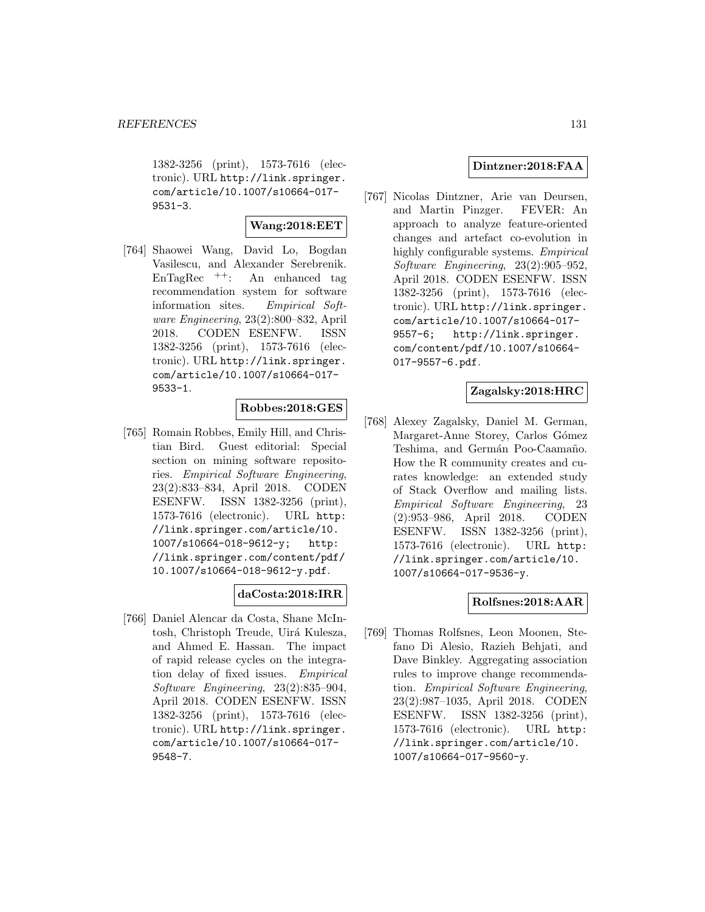1382-3256 (print), 1573-7616 (electronic). URL http://link.springer. com/article/10.1007/s10664-017- 9531-3.

#### **Wang:2018:EET**

[764] Shaowei Wang, David Lo, Bogdan Vasilescu, and Alexander Serebrenik. EnTagRec ++: An enhanced tag recommendation system for software information sites. Empirical Software Engineering, 23(2):800–832, April 2018. CODEN ESENFW. ISSN 1382-3256 (print), 1573-7616 (electronic). URL http://link.springer. com/article/10.1007/s10664-017- 9533-1.

## **Robbes:2018:GES**

[765] Romain Robbes, Emily Hill, and Christian Bird. Guest editorial: Special section on mining software repositories. Empirical Software Engineering, 23(2):833–834, April 2018. CODEN ESENFW. ISSN 1382-3256 (print), 1573-7616 (electronic). URL http: //link.springer.com/article/10. 1007/s10664-018-9612-y; http: //link.springer.com/content/pdf/ 10.1007/s10664-018-9612-y.pdf.

#### **daCosta:2018:IRR**

[766] Daniel Alencar da Costa, Shane McIntosh, Christoph Treude, Uirá Kulesza, and Ahmed E. Hassan. The impact of rapid release cycles on the integration delay of fixed issues. Empirical Software Engineering, 23(2):835–904, April 2018. CODEN ESENFW. ISSN 1382-3256 (print), 1573-7616 (electronic). URL http://link.springer. com/article/10.1007/s10664-017- 9548-7.

#### **Dintzner:2018:FAA**

[767] Nicolas Dintzner, Arie van Deursen, and Martin Pinzger. FEVER: An approach to analyze feature-oriented changes and artefact co-evolution in highly configurable systems. Empirical Software Engineering, 23(2):905–952, April 2018. CODEN ESENFW. ISSN 1382-3256 (print), 1573-7616 (electronic). URL http://link.springer. com/article/10.1007/s10664-017- 9557-6; http://link.springer. com/content/pdf/10.1007/s10664- 017-9557-6.pdf.

#### **Zagalsky:2018:HRC**

[768] Alexey Zagalsky, Daniel M. German, Margaret-Anne Storey, Carlos Gómez Teshima, and Germán Poo-Caamaño. How the R community creates and curates knowledge: an extended study of Stack Overflow and mailing lists. Empirical Software Engineering, 23 (2):953–986, April 2018. CODEN ESENFW. ISSN 1382-3256 (print), 1573-7616 (electronic). URL http: //link.springer.com/article/10. 1007/s10664-017-9536-y.

#### **Rolfsnes:2018:AAR**

[769] Thomas Rolfsnes, Leon Moonen, Stefano Di Alesio, Razieh Behjati, and Dave Binkley. Aggregating association rules to improve change recommendation. Empirical Software Engineering, 23(2):987–1035, April 2018. CODEN ESENFW. ISSN 1382-3256 (print), 1573-7616 (electronic). URL http: //link.springer.com/article/10. 1007/s10664-017-9560-y.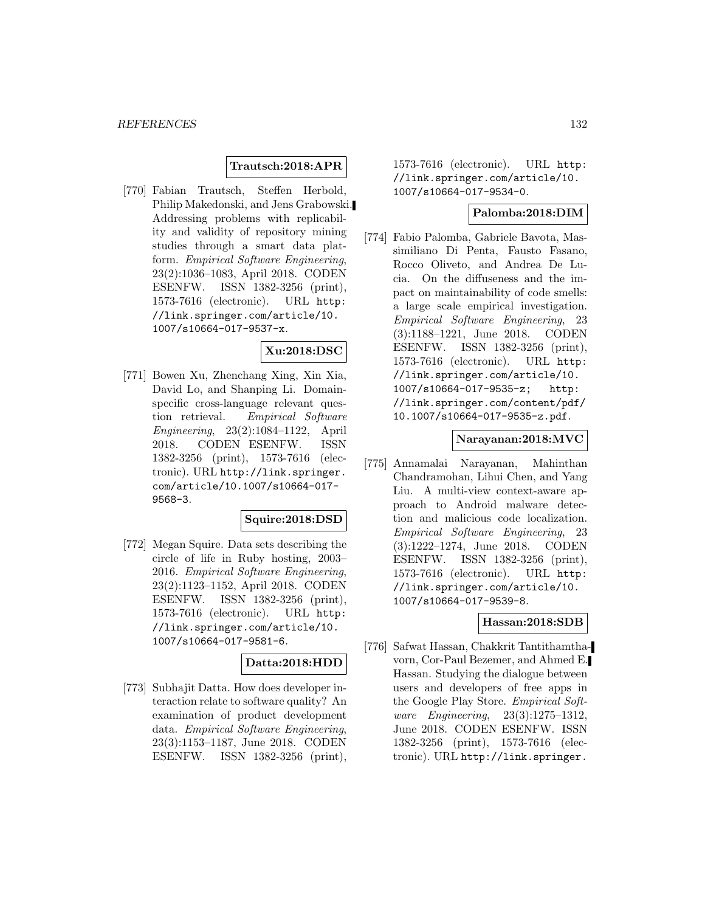## **Trautsch:2018:APR**

[770] Fabian Trautsch, Steffen Herbold, Philip Makedonski, and Jens Grabowski. Addressing problems with replicability and validity of repository mining studies through a smart data platform. Empirical Software Engineering, 23(2):1036–1083, April 2018. CODEN ESENFW. ISSN 1382-3256 (print), 1573-7616 (electronic). URL http: //link.springer.com/article/10. 1007/s10664-017-9537-x.

#### **Xu:2018:DSC**

[771] Bowen Xu, Zhenchang Xing, Xin Xia, David Lo, and Shanping Li. Domainspecific cross-language relevant question retrieval. Empirical Software Engineering, 23(2):1084–1122, April 2018. CODEN ESENFW. ISSN 1382-3256 (print), 1573-7616 (electronic). URL http://link.springer. com/article/10.1007/s10664-017- 9568-3.

#### **Squire:2018:DSD**

[772] Megan Squire. Data sets describing the circle of life in Ruby hosting, 2003– 2016. Empirical Software Engineering, 23(2):1123–1152, April 2018. CODEN ESENFW. ISSN 1382-3256 (print), 1573-7616 (electronic). URL http: //link.springer.com/article/10. 1007/s10664-017-9581-6.

## **Datta:2018:HDD**

[773] Subhajit Datta. How does developer interaction relate to software quality? An examination of product development data. Empirical Software Engineering, 23(3):1153–1187, June 2018. CODEN ESENFW. ISSN 1382-3256 (print), 1573-7616 (electronic). URL http: //link.springer.com/article/10. 1007/s10664-017-9534-0.

#### **Palomba:2018:DIM**

[774] Fabio Palomba, Gabriele Bavota, Massimiliano Di Penta, Fausto Fasano, Rocco Oliveto, and Andrea De Lucia. On the diffuseness and the impact on maintainability of code smells: a large scale empirical investigation. Empirical Software Engineering, 23 (3):1188–1221, June 2018. CODEN ESENFW. ISSN 1382-3256 (print), 1573-7616 (electronic). URL http: //link.springer.com/article/10. 1007/s10664-017-9535-z; http: //link.springer.com/content/pdf/ 10.1007/s10664-017-9535-z.pdf.

#### **Narayanan:2018:MVC**

[775] Annamalai Narayanan, Mahinthan Chandramohan, Lihui Chen, and Yang Liu. A multi-view context-aware approach to Android malware detection and malicious code localization. Empirical Software Engineering, 23 (3):1222–1274, June 2018. CODEN ESENFW. ISSN 1382-3256 (print), 1573-7616 (electronic). URL http: //link.springer.com/article/10. 1007/s10664-017-9539-8.

#### **Hassan:2018:SDB**

[776] Safwat Hassan, Chakkrit Tantithamthavorn, Cor-Paul Bezemer, and Ahmed E. Hassan. Studying the dialogue between users and developers of free apps in the Google Play Store. Empirical Software Engineering, 23(3):1275–1312, June 2018. CODEN ESENFW. ISSN 1382-3256 (print), 1573-7616 (electronic). URL http://link.springer.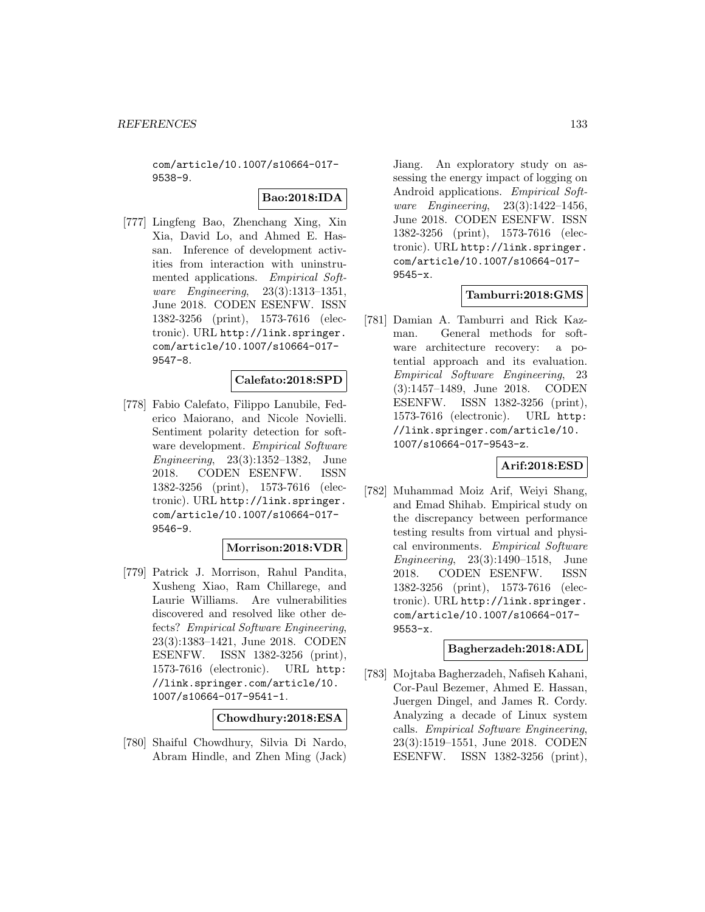com/article/10.1007/s10664-017- 9538-9.

# **Bao:2018:IDA**

[777] Lingfeng Bao, Zhenchang Xing, Xin Xia, David Lo, and Ahmed E. Hassan. Inference of development activities from interaction with uninstrumented applications. Empirical Software Engineering, 23(3):1313–1351, June 2018. CODEN ESENFW. ISSN 1382-3256 (print), 1573-7616 (electronic). URL http://link.springer. com/article/10.1007/s10664-017- 9547-8.

#### **Calefato:2018:SPD**

[778] Fabio Calefato, Filippo Lanubile, Federico Maiorano, and Nicole Novielli. Sentiment polarity detection for software development. Empirical Software Engineering, 23(3):1352–1382, June 2018. CODEN ESENFW. ISSN 1382-3256 (print), 1573-7616 (electronic). URL http://link.springer. com/article/10.1007/s10664-017- 9546-9.

#### **Morrison:2018:VDR**

[779] Patrick J. Morrison, Rahul Pandita, Xusheng Xiao, Ram Chillarege, and Laurie Williams. Are vulnerabilities discovered and resolved like other defects? Empirical Software Engineering, 23(3):1383–1421, June 2018. CODEN ESENFW. ISSN 1382-3256 (print), 1573-7616 (electronic). URL http: //link.springer.com/article/10. 1007/s10664-017-9541-1.

#### **Chowdhury:2018:ESA**

[780] Shaiful Chowdhury, Silvia Di Nardo, Abram Hindle, and Zhen Ming (Jack)

Jiang. An exploratory study on assessing the energy impact of logging on Android applications. Empirical Software Engineering, 23(3):1422–1456, June 2018. CODEN ESENFW. ISSN 1382-3256 (print), 1573-7616 (electronic). URL http://link.springer. com/article/10.1007/s10664-017- 9545-x.

#### **Tamburri:2018:GMS**

[781] Damian A. Tamburri and Rick Kazman. General methods for software architecture recovery: a potential approach and its evaluation. Empirical Software Engineering, 23 (3):1457–1489, June 2018. CODEN ESENFW. ISSN 1382-3256 (print), 1573-7616 (electronic). URL http: //link.springer.com/article/10. 1007/s10664-017-9543-z.

#### **Arif:2018:ESD**

[782] Muhammad Moiz Arif, Weiyi Shang, and Emad Shihab. Empirical study on the discrepancy between performance testing results from virtual and physical environments. Empirical Software Engineering, 23(3):1490–1518, June 2018. CODEN ESENFW. ISSN 1382-3256 (print), 1573-7616 (electronic). URL http://link.springer. com/article/10.1007/s10664-017- 9553-x.

#### **Bagherzadeh:2018:ADL**

[783] Mojtaba Bagherzadeh, Nafiseh Kahani, Cor-Paul Bezemer, Ahmed E. Hassan, Juergen Dingel, and James R. Cordy. Analyzing a decade of Linux system calls. Empirical Software Engineering, 23(3):1519–1551, June 2018. CODEN ESENFW. ISSN 1382-3256 (print),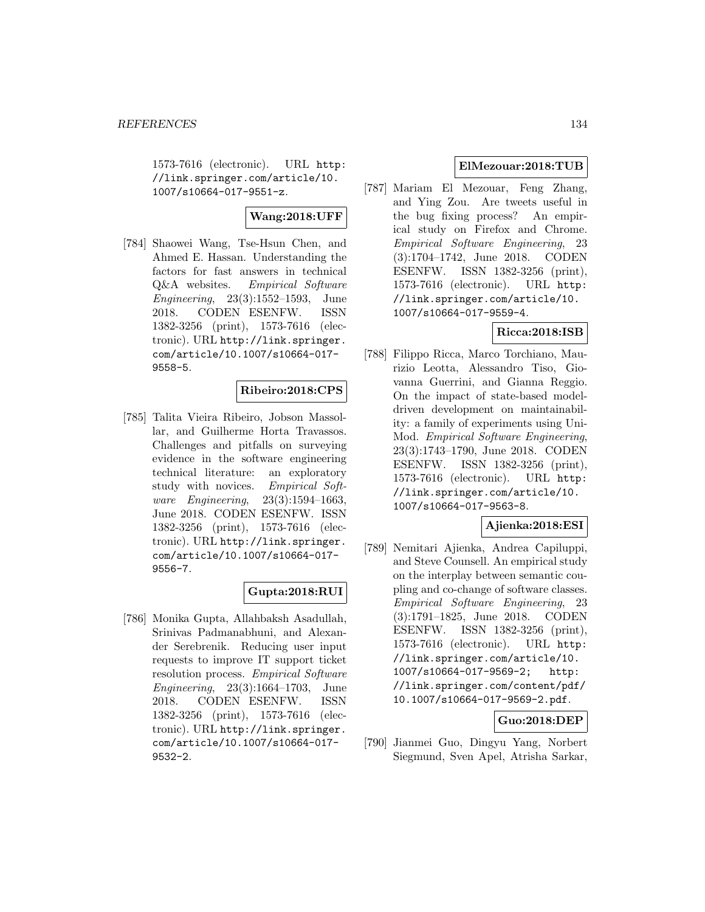1573-7616 (electronic). URL http: //link.springer.com/article/10. 1007/s10664-017-9551-z.

**Wang:2018:UFF**

[784] Shaowei Wang, Tse-Hsun Chen, and Ahmed E. Hassan. Understanding the factors for fast answers in technical Q&A websites. Empirical Software Engineering, 23(3):1552–1593, June 2018. CODEN ESENFW. ISSN 1382-3256 (print), 1573-7616 (electronic). URL http://link.springer. com/article/10.1007/s10664-017- 9558-5.

#### **Ribeiro:2018:CPS**

[785] Talita Vieira Ribeiro, Jobson Massollar, and Guilherme Horta Travassos. Challenges and pitfalls on surveying evidence in the software engineering technical literature: an exploratory study with novices. Empirical Software Engineering, 23(3):1594–1663, June 2018. CODEN ESENFW. ISSN 1382-3256 (print), 1573-7616 (electronic). URL http://link.springer. com/article/10.1007/s10664-017- 9556-7.

#### **Gupta:2018:RUI**

[786] Monika Gupta, Allahbaksh Asadullah, Srinivas Padmanabhuni, and Alexander Serebrenik. Reducing user input requests to improve IT support ticket resolution process. *Empirical Software* Engineering, 23(3):1664–1703, June 2018. CODEN ESENFW. ISSN 1382-3256 (print), 1573-7616 (electronic). URL http://link.springer. com/article/10.1007/s10664-017- 9532-2.

#### **ElMezouar:2018:TUB**

[787] Mariam El Mezouar, Feng Zhang, and Ying Zou. Are tweets useful in the bug fixing process? An empirical study on Firefox and Chrome. Empirical Software Engineering, 23 (3):1704–1742, June 2018. CODEN ESENFW. ISSN 1382-3256 (print), 1573-7616 (electronic). URL http: //link.springer.com/article/10. 1007/s10664-017-9559-4.

## **Ricca:2018:ISB**

[788] Filippo Ricca, Marco Torchiano, Maurizio Leotta, Alessandro Tiso, Giovanna Guerrini, and Gianna Reggio. On the impact of state-based modeldriven development on maintainability: a family of experiments using Uni-Mod. Empirical Software Engineering, 23(3):1743–1790, June 2018. CODEN ESENFW. ISSN 1382-3256 (print), 1573-7616 (electronic). URL http: //link.springer.com/article/10. 1007/s10664-017-9563-8.

#### **Ajienka:2018:ESI**

[789] Nemitari Ajienka, Andrea Capiluppi, and Steve Counsell. An empirical study on the interplay between semantic coupling and co-change of software classes. Empirical Software Engineering, 23 (3):1791–1825, June 2018. CODEN ESENFW. ISSN 1382-3256 (print), 1573-7616 (electronic). URL http: //link.springer.com/article/10. 1007/s10664-017-9569-2; http: //link.springer.com/content/pdf/ 10.1007/s10664-017-9569-2.pdf.

# **Guo:2018:DEP**

[790] Jianmei Guo, Dingyu Yang, Norbert Siegmund, Sven Apel, Atrisha Sarkar,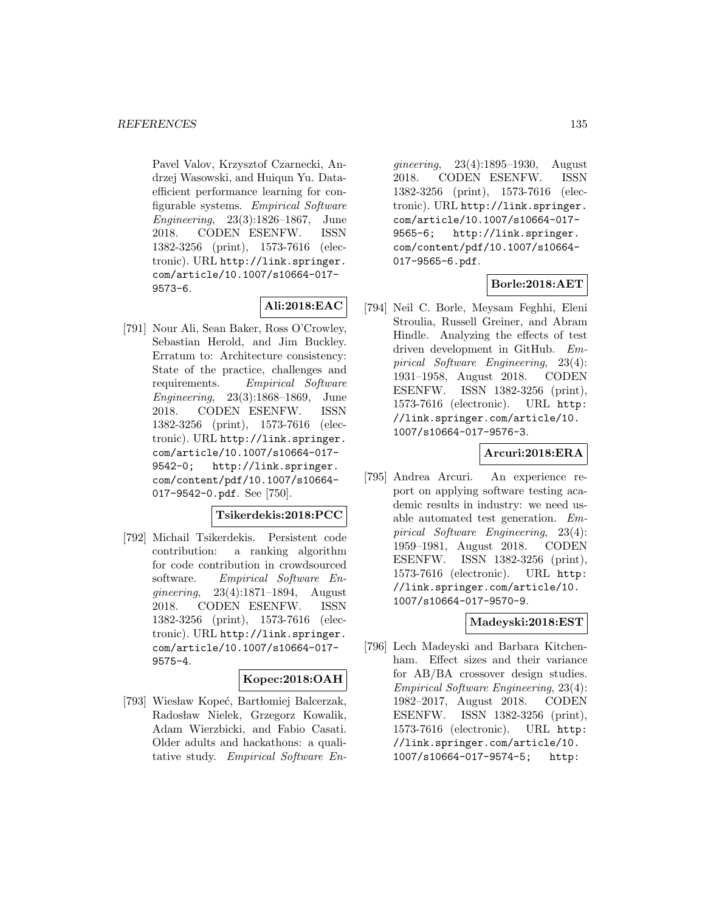Pavel Valov, Krzysztof Czarnecki, Andrzej Wasowski, and Huiqun Yu. Dataefficient performance learning for configurable systems. Empirical Software Engineering, 23(3):1826–1867, June 2018. CODEN ESENFW. ISSN 1382-3256 (print), 1573-7616 (electronic). URL http://link.springer. com/article/10.1007/s10664-017- 9573-6.

# **Ali:2018:EAC**

[791] Nour Ali, Sean Baker, Ross O'Crowley, Sebastian Herold, and Jim Buckley. Erratum to: Architecture consistency: State of the practice, challenges and requirements. Empirical Software Engineering, 23(3):1868–1869, June 2018. CODEN ESENFW. ISSN 1382-3256 (print), 1573-7616 (electronic). URL http://link.springer. com/article/10.1007/s10664-017- 9542-0; http://link.springer. com/content/pdf/10.1007/s10664- 017-9542-0.pdf. See [750].

## **Tsikerdekis:2018:PCC**

[792] Michail Tsikerdekis. Persistent code contribution: a ranking algorithm for code contribution in crowdsourced software. Empirical Software Engineering, 23(4):1871–1894, August 2018. CODEN ESENFW. ISSN 1382-3256 (print), 1573-7616 (electronic). URL http://link.springer. com/article/10.1007/s10664-017- 9575-4.

#### **Kopec:2018:OAH**

[793] Wiesław Kopeć, Bartłomiej Balcerzak, Radosław Nielek, Grzegorz Kowalik, Adam Wierzbicki, and Fabio Casati. Older adults and hackathons: a qualitative study. Empirical Software En-

gineering, 23(4):1895–1930, August 2018. CODEN ESENFW. ISSN 1382-3256 (print), 1573-7616 (electronic). URL http://link.springer. com/article/10.1007/s10664-017- 9565-6; http://link.springer. com/content/pdf/10.1007/s10664- 017-9565-6.pdf.

# **Borle:2018:AET**

[794] Neil C. Borle, Meysam Feghhi, Eleni Stroulia, Russell Greiner, and Abram Hindle. Analyzing the effects of test driven development in GitHub. Empirical Software Engineering, 23(4): 1931–1958, August 2018. CODEN ESENFW. ISSN 1382-3256 (print), 1573-7616 (electronic). URL http: //link.springer.com/article/10. 1007/s10664-017-9576-3.

## **Arcuri:2018:ERA**

[795] Andrea Arcuri. An experience report on applying software testing academic results in industry: we need usable automated test generation. Empirical Software Engineering, 23(4): 1959–1981, August 2018. CODEN ESENFW. ISSN 1382-3256 (print), 1573-7616 (electronic). URL http: //link.springer.com/article/10. 1007/s10664-017-9570-9.

#### **Madeyski:2018:EST**

[796] Lech Madeyski and Barbara Kitchenham. Effect sizes and their variance for AB/BA crossover design studies. Empirical Software Engineering, 23(4): 1982–2017, August 2018. CODEN ESENFW. ISSN 1382-3256 (print), 1573-7616 (electronic). URL http: //link.springer.com/article/10. 1007/s10664-017-9574-5; http: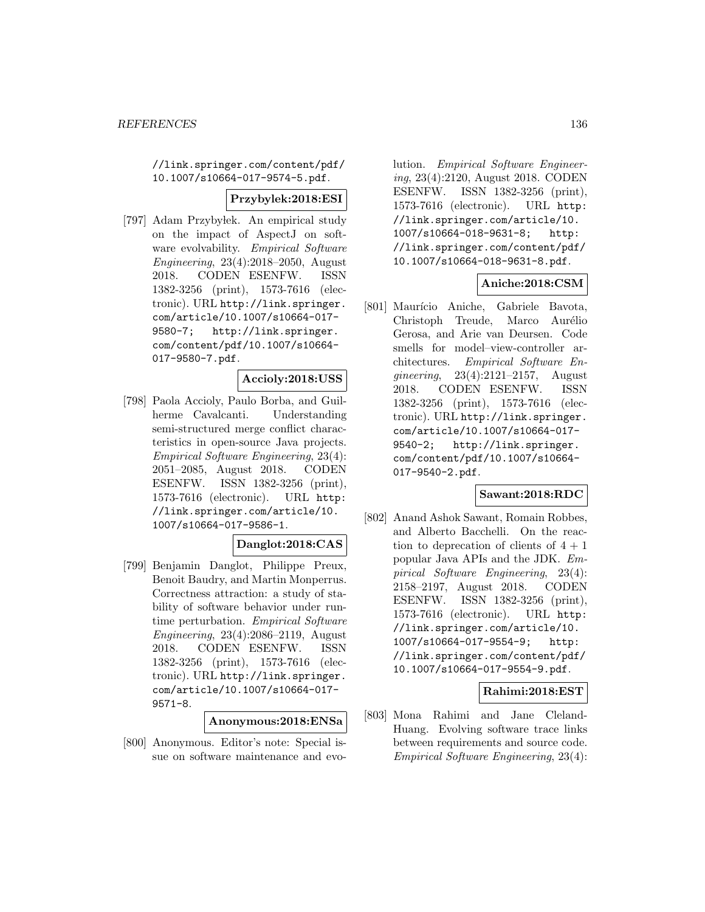//link.springer.com/content/pdf/ 10.1007/s10664-017-9574-5.pdf.

#### **Przybylek:2018:ESI**

[797] Adam Przyby lek. An empirical study on the impact of AspectJ on software evolvability. Empirical Software Engineering, 23(4):2018–2050, August 2018. CODEN ESENFW. ISSN 1382-3256 (print), 1573-7616 (electronic). URL http://link.springer. com/article/10.1007/s10664-017- 9580-7; http://link.springer. com/content/pdf/10.1007/s10664- 017-9580-7.pdf.

# **Accioly:2018:USS**

[798] Paola Accioly, Paulo Borba, and Guilherme Cavalcanti. Understanding semi-structured merge conflict characteristics in open-source Java projects. Empirical Software Engineering, 23(4): 2051–2085, August 2018. CODEN ESENFW. ISSN 1382-3256 (print), 1573-7616 (electronic). URL http: //link.springer.com/article/10. 1007/s10664-017-9586-1.

#### **Danglot:2018:CAS**

[799] Benjamin Danglot, Philippe Preux, Benoit Baudry, and Martin Monperrus. Correctness attraction: a study of stability of software behavior under runtime perturbation. Empirical Software Engineering, 23(4):2086–2119, August 2018. CODEN ESENFW. ISSN 1382-3256 (print), 1573-7616 (electronic). URL http://link.springer. com/article/10.1007/s10664-017- 9571-8.

#### **Anonymous:2018:ENSa**

[800] Anonymous. Editor's note: Special issue on software maintenance and evolution. Empirical Software Engineering, 23(4):2120, August 2018. CODEN ESENFW. ISSN 1382-3256 (print), 1573-7616 (electronic). URL http: //link.springer.com/article/10. 1007/s10664-018-9631-8; http: //link.springer.com/content/pdf/ 10.1007/s10664-018-9631-8.pdf.

#### **Aniche:2018:CSM**

[801] Maurício Aniche, Gabriele Bavota, Christoph Treude, Marco Aurélio Gerosa, and Arie van Deursen. Code smells for model–view-controller architectures. Empirical Software Engineering, 23(4):2121–2157, August 2018. CODEN ESENFW. ISSN 1382-3256 (print), 1573-7616 (electronic). URL http://link.springer. com/article/10.1007/s10664-017- 9540-2; http://link.springer. com/content/pdf/10.1007/s10664- 017-9540-2.pdf.

#### **Sawant:2018:RDC**

[802] Anand Ashok Sawant, Romain Robbes, and Alberto Bacchelli. On the reaction to deprecation of clients of  $4 + 1$ popular Java APIs and the JDK. Empirical Software Engineering, 23(4): 2158–2197, August 2018. CODEN ESENFW. ISSN 1382-3256 (print), 1573-7616 (electronic). URL http: //link.springer.com/article/10. 1007/s10664-017-9554-9; http: //link.springer.com/content/pdf/ 10.1007/s10664-017-9554-9.pdf.

#### **Rahimi:2018:EST**

[803] Mona Rahimi and Jane Cleland-Huang. Evolving software trace links between requirements and source code. Empirical Software Engineering, 23(4):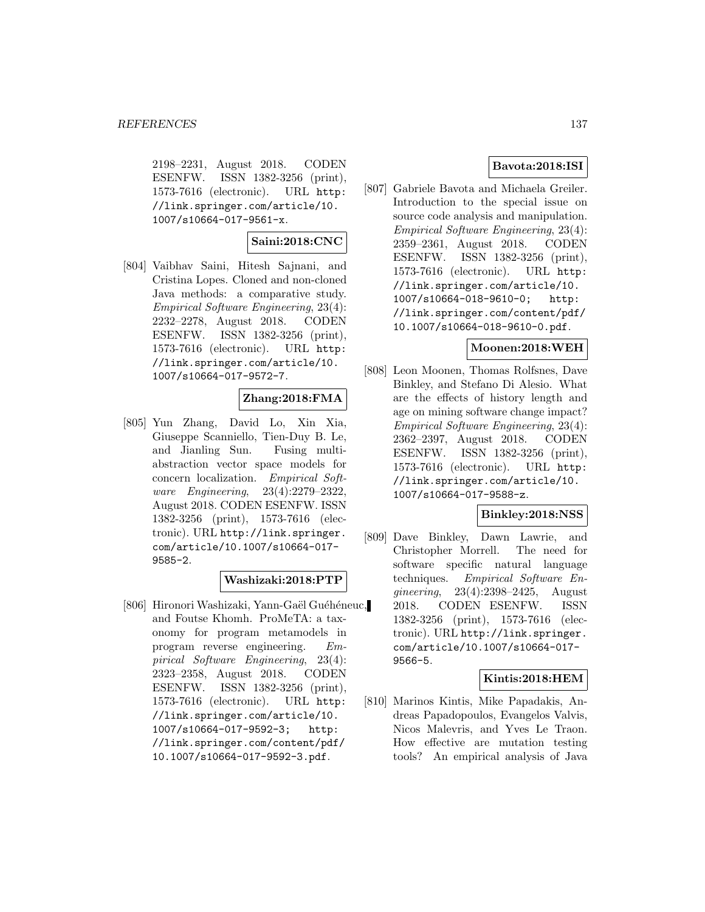2198–2231, August 2018. CODEN ESENFW. ISSN 1382-3256 (print), 1573-7616 (electronic). URL http: //link.springer.com/article/10. 1007/s10664-017-9561-x.

#### **Saini:2018:CNC**

[804] Vaibhav Saini, Hitesh Sajnani, and Cristina Lopes. Cloned and non-cloned Java methods: a comparative study. Empirical Software Engineering, 23(4): 2232–2278, August 2018. CODEN ESENFW. ISSN 1382-3256 (print), 1573-7616 (electronic). URL http: //link.springer.com/article/10. 1007/s10664-017-9572-7.

# **Zhang:2018:FMA**

[805] Yun Zhang, David Lo, Xin Xia, Giuseppe Scanniello, Tien-Duy B. Le, and Jianling Sun. Fusing multiabstraction vector space models for concern localization. Empirical Software Engineering, 23(4):2279–2322, August 2018. CODEN ESENFW. ISSN 1382-3256 (print), 1573-7616 (electronic). URL http://link.springer. com/article/10.1007/s10664-017- 9585-2.

#### **Washizaki:2018:PTP**

[806] Hironori Washizaki, Yann-Gaël Guéhéneuc, and Foutse Khomh. ProMeTA: a taxonomy for program metamodels in program reverse engineering. Empirical Software Engineering, 23(4): 2323–2358, August 2018. CODEN ESENFW. ISSN 1382-3256 (print), 1573-7616 (electronic). URL http: //link.springer.com/article/10. 1007/s10664-017-9592-3; http: //link.springer.com/content/pdf/ 10.1007/s10664-017-9592-3.pdf.

## **Bavota:2018:ISI**

[807] Gabriele Bavota and Michaela Greiler. Introduction to the special issue on source code analysis and manipulation. Empirical Software Engineering, 23(4): 2359–2361, August 2018. CODEN ESENFW. ISSN 1382-3256 (print), 1573-7616 (electronic). URL http: //link.springer.com/article/10. 1007/s10664-018-9610-0; http: //link.springer.com/content/pdf/ 10.1007/s10664-018-9610-0.pdf.

#### **Moonen:2018:WEH**

[808] Leon Moonen, Thomas Rolfsnes, Dave Binkley, and Stefano Di Alesio. What are the effects of history length and age on mining software change impact? Empirical Software Engineering, 23(4): 2362–2397, August 2018. CODEN ESENFW. ISSN 1382-3256 (print), 1573-7616 (electronic). URL http: //link.springer.com/article/10. 1007/s10664-017-9588-z.

## **Binkley:2018:NSS**

[809] Dave Binkley, Dawn Lawrie, and Christopher Morrell. The need for software specific natural language techniques. Empirical Software Engineering, 23(4):2398–2425, August 2018. CODEN ESENFW. ISSN 1382-3256 (print), 1573-7616 (electronic). URL http://link.springer. com/article/10.1007/s10664-017- 9566-5.

#### **Kintis:2018:HEM**

[810] Marinos Kintis, Mike Papadakis, Andreas Papadopoulos, Evangelos Valvis, Nicos Malevris, and Yves Le Traon. How effective are mutation testing tools? An empirical analysis of Java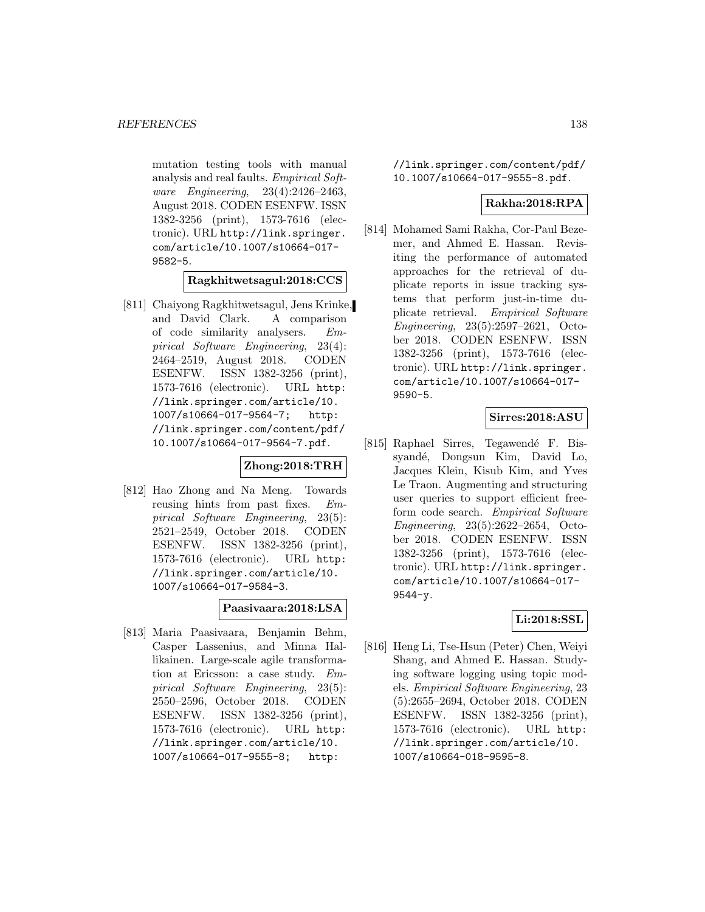mutation testing tools with manual analysis and real faults. Empirical Software Engineering, 23(4):2426–2463, August 2018. CODEN ESENFW. ISSN 1382-3256 (print), 1573-7616 (electronic). URL http://link.springer. com/article/10.1007/s10664-017- 9582-5.

**Ragkhitwetsagul:2018:CCS**

[811] Chaiyong Ragkhitwetsagul, Jens Krinke, and David Clark. A comparison of code similarity analysers. Empirical Software Engineering, 23(4): 2464–2519, August 2018. CODEN ESENFW. ISSN 1382-3256 (print), 1573-7616 (electronic). URL http: //link.springer.com/article/10. 1007/s10664-017-9564-7; http: //link.springer.com/content/pdf/ 10.1007/s10664-017-9564-7.pdf.

# **Zhong:2018:TRH**

[812] Hao Zhong and Na Meng. Towards reusing hints from past fixes. Empirical Software Engineering, 23(5): 2521–2549, October 2018. CODEN ESENFW. ISSN 1382-3256 (print), 1573-7616 (electronic). URL http: //link.springer.com/article/10. 1007/s10664-017-9584-3.

# **Paasivaara:2018:LSA**

[813] Maria Paasivaara, Benjamin Behm, Casper Lassenius, and Minna Hallikainen. Large-scale agile transformation at Ericsson: a case study. Empirical Software Engineering, 23(5): 2550–2596, October 2018. CODEN ESENFW. ISSN 1382-3256 (print), 1573-7616 (electronic). URL http: //link.springer.com/article/10. 1007/s10664-017-9555-8; http:

//link.springer.com/content/pdf/ 10.1007/s10664-017-9555-8.pdf.

## **Rakha:2018:RPA**

[814] Mohamed Sami Rakha, Cor-Paul Bezemer, and Ahmed E. Hassan. Revisiting the performance of automated approaches for the retrieval of duplicate reports in issue tracking systems that perform just-in-time duplicate retrieval. Empirical Software Engineering, 23(5):2597–2621, October 2018. CODEN ESENFW. ISSN 1382-3256 (print), 1573-7616 (electronic). URL http://link.springer. com/article/10.1007/s10664-017- 9590-5.

# **Sirres:2018:ASU**

[815] Raphael Sirres, Tegawendé F. Bissyandé, Dongsun Kim, David Lo, Jacques Klein, Kisub Kim, and Yves Le Traon. Augmenting and structuring user queries to support efficient freeform code search. Empirical Software Engineering, 23(5):2622–2654, October 2018. CODEN ESENFW. ISSN 1382-3256 (print), 1573-7616 (electronic). URL http://link.springer. com/article/10.1007/s10664-017- 9544-y.

#### **Li:2018:SSL**

[816] Heng Li, Tse-Hsun (Peter) Chen, Weiyi Shang, and Ahmed E. Hassan. Studying software logging using topic models. Empirical Software Engineering, 23 (5):2655–2694, October 2018. CODEN ESENFW. ISSN 1382-3256 (print), 1573-7616 (electronic). URL http: //link.springer.com/article/10. 1007/s10664-018-9595-8.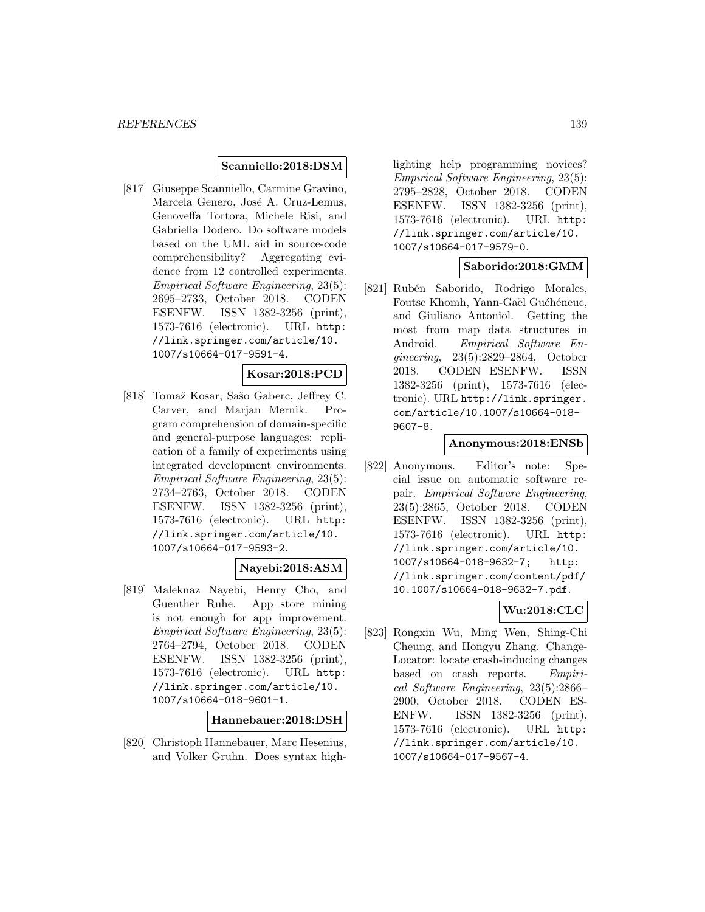## **Scanniello:2018:DSM**

[817] Giuseppe Scanniello, Carmine Gravino, Marcela Genero, José A. Cruz-Lemus, Genoveffa Tortora, Michele Risi, and Gabriella Dodero. Do software models based on the UML aid in source-code comprehensibility? Aggregating evidence from 12 controlled experiments. Empirical Software Engineering, 23(5): 2695–2733, October 2018. CODEN ESENFW. ISSN 1382-3256 (print), 1573-7616 (electronic). URL http: //link.springer.com/article/10. 1007/s10664-017-9591-4.

## **Kosar:2018:PCD**

[818] Tomaž Kosar, Sašo Gaberc, Jeffrey C. Carver, and Marjan Mernik. Program comprehension of domain-specific and general-purpose languages: replication of a family of experiments using integrated development environments. Empirical Software Engineering, 23(5): 2734–2763, October 2018. CODEN ESENFW. ISSN 1382-3256 (print), 1573-7616 (electronic). URL http: //link.springer.com/article/10. 1007/s10664-017-9593-2.

#### **Nayebi:2018:ASM**

[819] Maleknaz Nayebi, Henry Cho, and Guenther Ruhe. App store mining is not enough for app improvement. Empirical Software Engineering, 23(5): 2764–2794, October 2018. CODEN ESENFW. ISSN 1382-3256 (print), 1573-7616 (electronic). URL http: //link.springer.com/article/10. 1007/s10664-018-9601-1.

**Hannebauer:2018:DSH**

[820] Christoph Hannebauer, Marc Hesenius, and Volker Gruhn. Does syntax high-

lighting help programming novices? Empirical Software Engineering, 23(5): 2795–2828, October 2018. CODEN ESENFW. ISSN 1382-3256 (print), 1573-7616 (electronic). URL http: //link.springer.com/article/10. 1007/s10664-017-9579-0.

#### **Saborido:2018:GMM**

[821] Rubén Saborido, Rodrigo Morales, Foutse Khomh, Yann-Gaël Guéhéneuc, and Giuliano Antoniol. Getting the most from map data structures in Android. Empirical Software Engineering, 23(5):2829–2864, October 2018. CODEN ESENFW. ISSN 1382-3256 (print), 1573-7616 (electronic). URL http://link.springer. com/article/10.1007/s10664-018- 9607-8.

## **Anonymous:2018:ENSb**

[822] Anonymous. Editor's note: Special issue on automatic software repair. Empirical Software Engineering, 23(5):2865, October 2018. CODEN ESENFW. ISSN 1382-3256 (print), 1573-7616 (electronic). URL http: //link.springer.com/article/10. 1007/s10664-018-9632-7; http: //link.springer.com/content/pdf/ 10.1007/s10664-018-9632-7.pdf.

## **Wu:2018:CLC**

[823] Rongxin Wu, Ming Wen, Shing-Chi Cheung, and Hongyu Zhang. Change-Locator: locate crash-inducing changes based on crash reports. Empirical Software Engineering, 23(5):2866– 2900, October 2018. CODEN ES-ENFW. ISSN 1382-3256 (print), 1573-7616 (electronic). URL http: //link.springer.com/article/10. 1007/s10664-017-9567-4.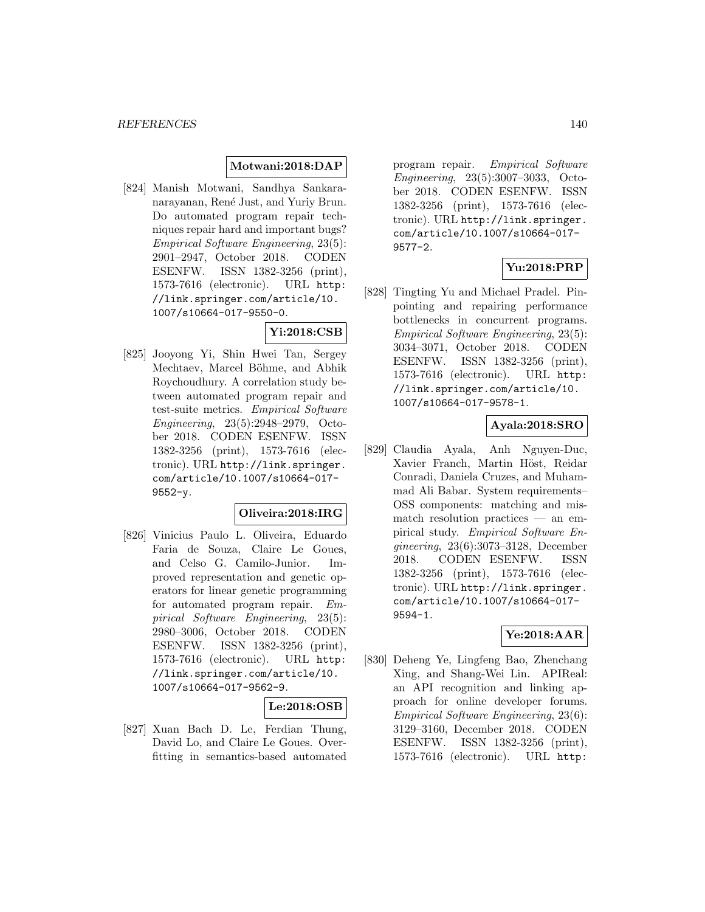#### **Motwani:2018:DAP**

[824] Manish Motwani, Sandhya Sankaranarayanan, René Just, and Yuriy Brun. Do automated program repair techniques repair hard and important bugs? Empirical Software Engineering, 23(5): 2901–2947, October 2018. CODEN ESENFW. ISSN 1382-3256 (print), 1573-7616 (electronic). URL http: //link.springer.com/article/10. 1007/s10664-017-9550-0.

# **Yi:2018:CSB**

[825] Jooyong Yi, Shin Hwei Tan, Sergey Mechtaev, Marcel Böhme, and Abhik Roychoudhury. A correlation study between automated program repair and test-suite metrics. Empirical Software Engineering, 23(5):2948–2979, October 2018. CODEN ESENFW. ISSN 1382-3256 (print), 1573-7616 (electronic). URL http://link.springer. com/article/10.1007/s10664-017- 9552-y.

# **Oliveira:2018:IRG**

[826] Vinicius Paulo L. Oliveira, Eduardo Faria de Souza, Claire Le Goues, and Celso G. Camilo-Junior. Improved representation and genetic operators for linear genetic programming for automated program repair. Empirical Software Engineering, 23(5): 2980–3006, October 2018. CODEN ESENFW. ISSN 1382-3256 (print), 1573-7616 (electronic). URL http: //link.springer.com/article/10. 1007/s10664-017-9562-9.

#### **Le:2018:OSB**

[827] Xuan Bach D. Le, Ferdian Thung, David Lo, and Claire Le Goues. Overfitting in semantics-based automated program repair. Empirical Software Engineering, 23(5):3007–3033, October 2018. CODEN ESENFW. ISSN 1382-3256 (print), 1573-7616 (electronic). URL http://link.springer. com/article/10.1007/s10664-017- 9577-2.

## **Yu:2018:PRP**

[828] Tingting Yu and Michael Pradel. Pinpointing and repairing performance bottlenecks in concurrent programs. Empirical Software Engineering, 23(5): 3034–3071, October 2018. CODEN ESENFW. ISSN 1382-3256 (print), 1573-7616 (electronic). URL http: //link.springer.com/article/10. 1007/s10664-017-9578-1.

#### **Ayala:2018:SRO**

[829] Claudia Ayala, Anh Nguyen-Duc, Xavier Franch, Martin Höst, Reidar Conradi, Daniela Cruzes, and Muhammad Ali Babar. System requirements– OSS components: matching and mismatch resolution practices — an empirical study. Empirical Software Engineering, 23(6):3073–3128, December 2018. CODEN ESENFW. ISSN 1382-3256 (print), 1573-7616 (electronic). URL http://link.springer. com/article/10.1007/s10664-017- 9594-1.

#### **Ye:2018:AAR**

[830] Deheng Ye, Lingfeng Bao, Zhenchang Xing, and Shang-Wei Lin. APIReal: an API recognition and linking approach for online developer forums. Empirical Software Engineering, 23(6): 3129–3160, December 2018. CODEN ESENFW. ISSN 1382-3256 (print), 1573-7616 (electronic). URL http: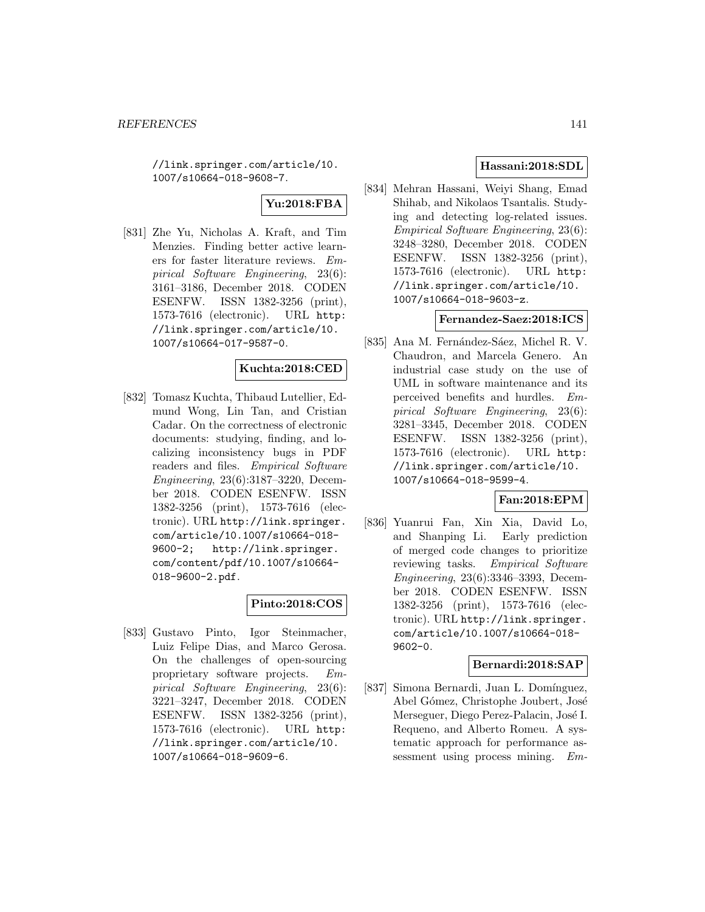//link.springer.com/article/10. 1007/s10664-018-9608-7.

# **Yu:2018:FBA**

[831] Zhe Yu, Nicholas A. Kraft, and Tim Menzies. Finding better active learners for faster literature reviews. Empirical Software Engineering, 23(6): 3161–3186, December 2018. CODEN ESENFW. ISSN 1382-3256 (print), 1573-7616 (electronic). URL http: //link.springer.com/article/10. 1007/s10664-017-9587-0.

#### **Kuchta:2018:CED**

[832] Tomasz Kuchta, Thibaud Lutellier, Edmund Wong, Lin Tan, and Cristian Cadar. On the correctness of electronic documents: studying, finding, and localizing inconsistency bugs in PDF readers and files. Empirical Software Engineering, 23(6):3187–3220, December 2018. CODEN ESENFW. ISSN 1382-3256 (print), 1573-7616 (electronic). URL http://link.springer. com/article/10.1007/s10664-018- 9600-2; http://link.springer. com/content/pdf/10.1007/s10664- 018-9600-2.pdf.

#### **Pinto:2018:COS**

[833] Gustavo Pinto, Igor Steinmacher, Luiz Felipe Dias, and Marco Gerosa. On the challenges of open-sourcing proprietary software projects. Empirical Software Engineering, 23(6): 3221–3247, December 2018. CODEN ESENFW. ISSN 1382-3256 (print), 1573-7616 (electronic). URL http: //link.springer.com/article/10. 1007/s10664-018-9609-6.

## **Hassani:2018:SDL**

[834] Mehran Hassani, Weiyi Shang, Emad Shihab, and Nikolaos Tsantalis. Studying and detecting log-related issues. Empirical Software Engineering, 23(6): 3248–3280, December 2018. CODEN ESENFW. ISSN 1382-3256 (print), 1573-7616 (electronic). URL http: //link.springer.com/article/10. 1007/s10664-018-9603-z.

#### **Fernandez-Saez:2018:ICS**

[835] Ana M. Fernández-Sáez, Michel R. V. Chaudron, and Marcela Genero. An industrial case study on the use of UML in software maintenance and its perceived benefits and hurdles. Empirical Software Engineering, 23(6): 3281–3345, December 2018. CODEN ESENFW. ISSN 1382-3256 (print), 1573-7616 (electronic). URL http: //link.springer.com/article/10. 1007/s10664-018-9599-4.

## **Fan:2018:EPM**

[836] Yuanrui Fan, Xin Xia, David Lo, and Shanping Li. Early prediction of merged code changes to prioritize reviewing tasks. Empirical Software Engineering, 23(6):3346–3393, December 2018. CODEN ESENFW. ISSN 1382-3256 (print), 1573-7616 (electronic). URL http://link.springer. com/article/10.1007/s10664-018- 9602-0.

#### **Bernardi:2018:SAP**

[837] Simona Bernardi, Juan L. Domínguez, Abel Gómez, Christophe Joubert, José Merseguer, Diego Perez-Palacin, José I. Requeno, and Alberto Romeu. A systematic approach for performance assessment using process mining. Em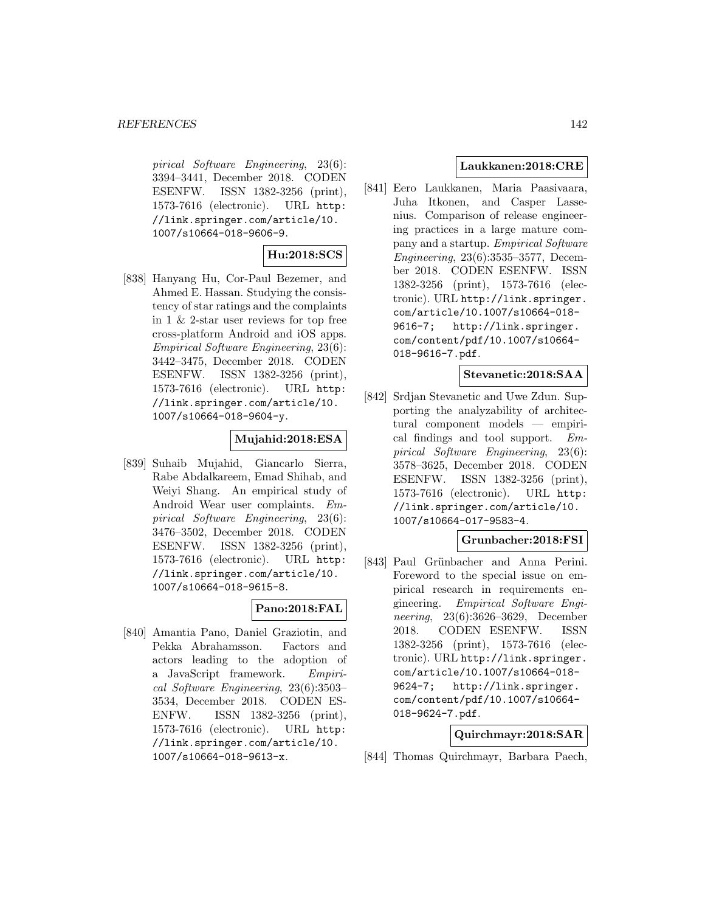pirical Software Engineering, 23(6): 3394–3441, December 2018. CODEN ESENFW. ISSN 1382-3256 (print), 1573-7616 (electronic). URL http: //link.springer.com/article/10. 1007/s10664-018-9606-9.

#### **Hu:2018:SCS**

[838] Hanyang Hu, Cor-Paul Bezemer, and Ahmed E. Hassan. Studying the consistency of star ratings and the complaints in 1 & 2-star user reviews for top free cross-platform Android and iOS apps. Empirical Software Engineering, 23(6): 3442–3475, December 2018. CODEN ESENFW. ISSN 1382-3256 (print), 1573-7616 (electronic). URL http: //link.springer.com/article/10. 1007/s10664-018-9604-y.

#### **Mujahid:2018:ESA**

[839] Suhaib Mujahid, Giancarlo Sierra, Rabe Abdalkareem, Emad Shihab, and Weiyi Shang. An empirical study of Android Wear user complaints. Empirical Software Engineering, 23(6): 3476–3502, December 2018. CODEN ESENFW. ISSN 1382-3256 (print), 1573-7616 (electronic). URL http: //link.springer.com/article/10. 1007/s10664-018-9615-8.

#### **Pano:2018:FAL**

[840] Amantia Pano, Daniel Graziotin, and Pekka Abrahamsson. Factors and actors leading to the adoption of a JavaScript framework. Empirical Software Engineering, 23(6):3503– 3534, December 2018. CODEN ES-ENFW. ISSN 1382-3256 (print), 1573-7616 (electronic). URL http: //link.springer.com/article/10. 1007/s10664-018-9613-x.

## **Laukkanen:2018:CRE**

[841] Eero Laukkanen, Maria Paasivaara, Juha Itkonen, and Casper Lassenius. Comparison of release engineering practices in a large mature company and a startup. Empirical Software Engineering, 23(6):3535–3577, December 2018. CODEN ESENFW. ISSN 1382-3256 (print), 1573-7616 (electronic). URL http://link.springer. com/article/10.1007/s10664-018- 9616-7; http://link.springer. com/content/pdf/10.1007/s10664- 018-9616-7.pdf.

#### **Stevanetic:2018:SAA**

[842] Srdjan Stevanetic and Uwe Zdun. Supporting the analyzability of architectural component models — empirical findings and tool support. Empirical Software Engineering, 23(6): 3578–3625, December 2018. CODEN ESENFW. ISSN 1382-3256 (print), 1573-7616 (electronic). URL http: //link.springer.com/article/10. 1007/s10664-017-9583-4.

#### **Grunbacher:2018:FSI**

[843] Paul Grünbacher and Anna Perini. Foreword to the special issue on empirical research in requirements engineering. Empirical Software Engineering, 23(6):3626–3629, December 2018. CODEN ESENFW. ISSN 1382-3256 (print), 1573-7616 (electronic). URL http://link.springer. com/article/10.1007/s10664-018- 9624-7; http://link.springer. com/content/pdf/10.1007/s10664- 018-9624-7.pdf.

#### **Quirchmayr:2018:SAR**

[844] Thomas Quirchmayr, Barbara Paech,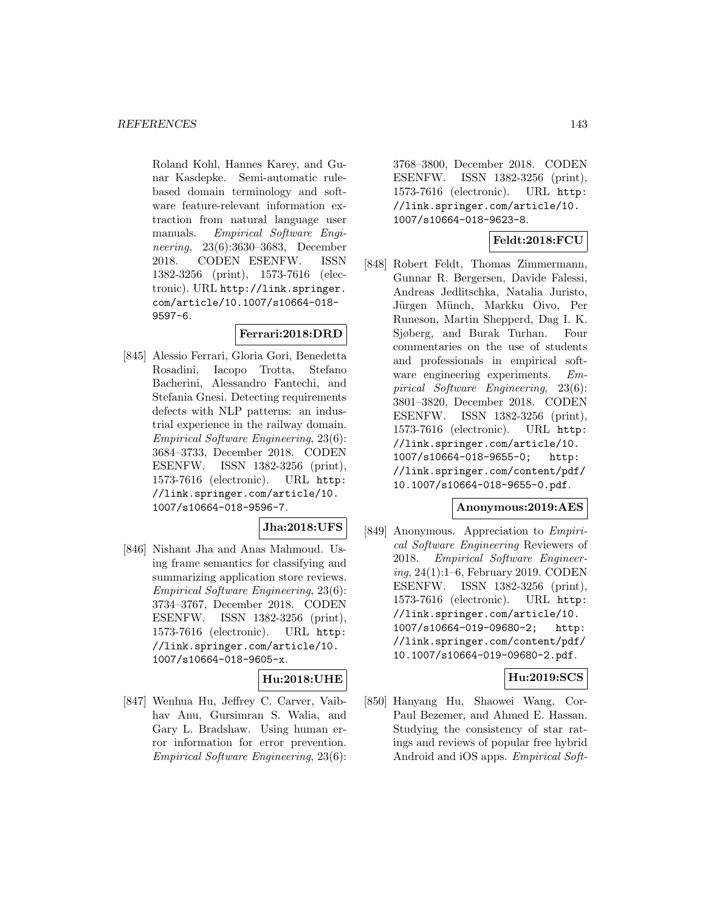Roland Kohl, Hannes Karey, and Gunar Kasdepke. Semi-automatic rulebased domain terminology and software feature-relevant information extraction from natural language user manuals. Empirical Software Engineering, 23(6):3630–3683, December 2018. CODEN ESENFW. ISSN 1382-3256 (print), 1573-7616 (electronic). URL http://link.springer. com/article/10.1007/s10664-018- 9597-6.

## **Ferrari:2018:DRD**

[845] Alessio Ferrari, Gloria Gori, Benedetta Rosadini, Iacopo Trotta, Stefano Bacherini, Alessandro Fantechi, and Stefania Gnesi. Detecting requirements defects with NLP patterns: an industrial experience in the railway domain. Empirical Software Engineering, 23(6): 3684–3733, December 2018. CODEN ESENFW. ISSN 1382-3256 (print), 1573-7616 (electronic). URL http: //link.springer.com/article/10. 1007/s10664-018-9596-7.

**Jha:2018:UFS**

[846] Nishant Jha and Anas Mahmoud. Using frame semantics for classifying and summarizing application store reviews. Empirical Software Engineering, 23(6): 3734–3767, December 2018. CODEN ESENFW. ISSN 1382-3256 (print), 1573-7616 (electronic). URL http: //link.springer.com/article/10. 1007/s10664-018-9605-x.

# **Hu:2018:UHE**

[847] Wenhua Hu, Jeffrey C. Carver, Vaibhav Anu, Gursimran S. Walia, and Gary L. Bradshaw. Using human error information for error prevention. Empirical Software Engineering, 23(6):

3768–3800, December 2018. CODEN ESENFW. ISSN 1382-3256 (print), 1573-7616 (electronic). URL http: //link.springer.com/article/10. 1007/s10664-018-9623-8.

# **Feldt:2018:FCU**

[848] Robert Feldt, Thomas Zimmermann, Gunnar R. Bergersen, Davide Falessi, Andreas Jedlitschka, Natalia Juristo, Jürgen Münch, Markku Oivo, Per Runeson, Martin Shepperd, Dag I. K. Sjøberg, and Burak Turhan. Four commentaries on the use of students and professionals in empirical software engineering experiments. Empirical Software Engineering, 23(6): 3801–3820, December 2018. CODEN ESENFW. ISSN 1382-3256 (print), 1573-7616 (electronic). URL http: //link.springer.com/article/10. 1007/s10664-018-9655-0; http: //link.springer.com/content/pdf/ 10.1007/s10664-018-9655-0.pdf.

#### **Anonymous:2019:AES**

[849] Anonymous. Appreciation to Empirical Software Engineering Reviewers of 2018. Empirical Software Engineering, 24(1):1–6, February 2019. CODEN ESENFW. ISSN 1382-3256 (print), 1573-7616 (electronic). URL http: //link.springer.com/article/10. 1007/s10664-019-09680-2; http: //link.springer.com/content/pdf/ 10.1007/s10664-019-09680-2.pdf.

# **Hu:2019:SCS**

[850] Hanyang Hu, Shaowei Wang, Cor-Paul Bezemer, and Ahmed E. Hassan. Studying the consistency of star ratings and reviews of popular free hybrid Android and iOS apps. Empirical Soft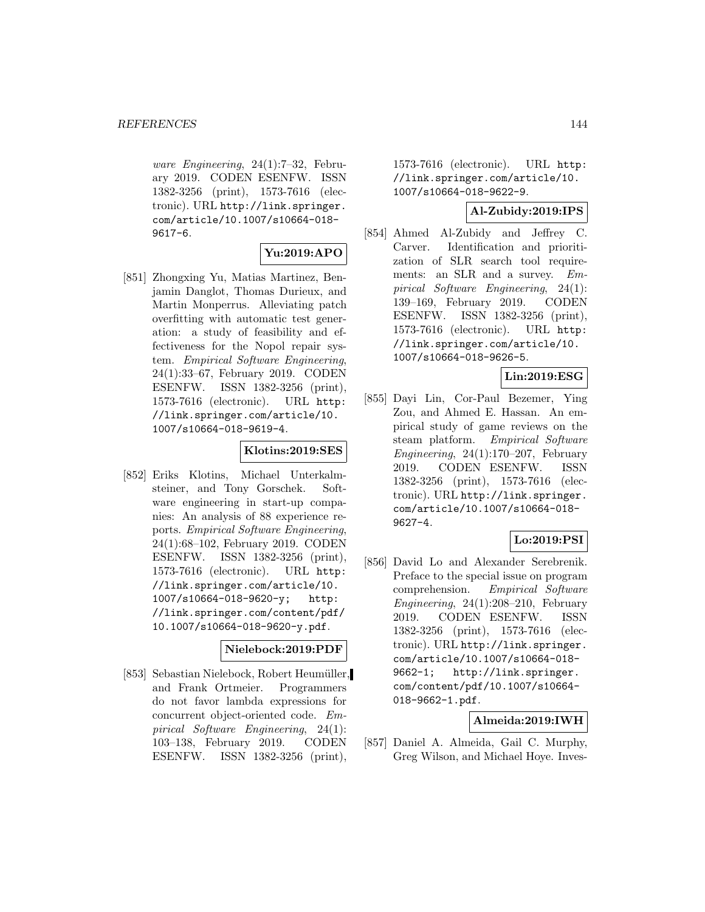ware Engineering, 24(1):7–32, February 2019. CODEN ESENFW. ISSN 1382-3256 (print), 1573-7616 (electronic). URL http://link.springer. com/article/10.1007/s10664-018- 9617-6.

#### **Yu:2019:APO**

[851] Zhongxing Yu, Matias Martinez, Benjamin Danglot, Thomas Durieux, and Martin Monperrus. Alleviating patch overfitting with automatic test generation: a study of feasibility and effectiveness for the Nopol repair system. Empirical Software Engineering, 24(1):33–67, February 2019. CODEN ESENFW. ISSN 1382-3256 (print), 1573-7616 (electronic). URL http: //link.springer.com/article/10. 1007/s10664-018-9619-4.

## **Klotins:2019:SES**

[852] Eriks Klotins, Michael Unterkalmsteiner, and Tony Gorschek. Software engineering in start-up companies: An analysis of 88 experience reports. Empirical Software Engineering, 24(1):68–102, February 2019. CODEN ESENFW. ISSN 1382-3256 (print), 1573-7616 (electronic). URL http: //link.springer.com/article/10. 1007/s10664-018-9620-y; http: //link.springer.com/content/pdf/ 10.1007/s10664-018-9620-y.pdf.

#### **Nielebock:2019:PDF**

[853] Sebastian Nielebock, Robert Heumüller, and Frank Ortmeier. Programmers do not favor lambda expressions for concurrent object-oriented code. Empirical Software Engineering, 24(1): 103–138, February 2019. CODEN ESENFW. ISSN 1382-3256 (print),

1573-7616 (electronic). URL http: //link.springer.com/article/10. 1007/s10664-018-9622-9.

#### **Al-Zubidy:2019:IPS**

[854] Ahmed Al-Zubidy and Jeffrey C. Carver. Identification and prioritization of SLR search tool requirements: an SLR and a survey. Empirical Software Engineering, 24(1): 139–169, February 2019. CODEN ESENFW. ISSN 1382-3256 (print), 1573-7616 (electronic). URL http: //link.springer.com/article/10. 1007/s10664-018-9626-5.

# **Lin:2019:ESG**

[855] Dayi Lin, Cor-Paul Bezemer, Ying Zou, and Ahmed E. Hassan. An empirical study of game reviews on the steam platform. Empirical Software Engineering,  $24(1):170-207$ , February 2019. CODEN ESENFW. ISSN 1382-3256 (print), 1573-7616 (electronic). URL http://link.springer. com/article/10.1007/s10664-018- 9627-4.

#### **Lo:2019:PSI**

[856] David Lo and Alexander Serebrenik. Preface to the special issue on program comprehension. Empirical Software Engineering,  $24(1):208-210$ , February 2019. CODEN ESENFW. ISSN 1382-3256 (print), 1573-7616 (electronic). URL http://link.springer. com/article/10.1007/s10664-018- 9662-1; http://link.springer. com/content/pdf/10.1007/s10664- 018-9662-1.pdf.

#### **Almeida:2019:IWH**

[857] Daniel A. Almeida, Gail C. Murphy, Greg Wilson, and Michael Hoye. Inves-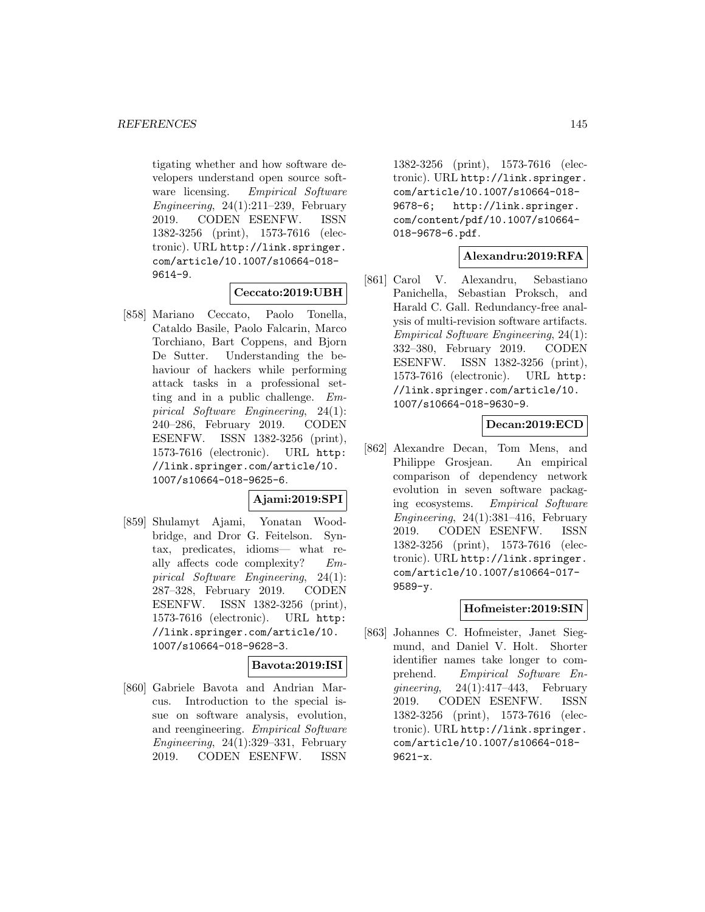tigating whether and how software developers understand open source software licensing. Empirical Software Engineering,  $24(1):211-239$ , February 2019. CODEN ESENFW. ISSN 1382-3256 (print), 1573-7616 (electronic). URL http://link.springer. com/article/10.1007/s10664-018- 9614-9.

# **Ceccato:2019:UBH**

[858] Mariano Ceccato, Paolo Tonella, Cataldo Basile, Paolo Falcarin, Marco Torchiano, Bart Coppens, and Bjorn De Sutter. Understanding the behaviour of hackers while performing attack tasks in a professional setting and in a public challenge. Empirical Software Engineering, 24(1): 240–286, February 2019. CODEN ESENFW. ISSN 1382-3256 (print), 1573-7616 (electronic). URL http: //link.springer.com/article/10. 1007/s10664-018-9625-6.

### **Ajami:2019:SPI**

[859] Shulamyt Ajami, Yonatan Woodbridge, and Dror G. Feitelson. Syntax, predicates, idioms— what really affects code complexity? Empirical Software Engineering, 24(1): 287–328, February 2019. CODEN ESENFW. ISSN 1382-3256 (print), 1573-7616 (electronic). URL http: //link.springer.com/article/10. 1007/s10664-018-9628-3.

# **Bavota:2019:ISI**

[860] Gabriele Bavota and Andrian Marcus. Introduction to the special issue on software analysis, evolution, and reengineering. Empirical Software Engineering,  $24(1):329-331$ , February 2019. CODEN ESENFW. ISSN

1382-3256 (print), 1573-7616 (electronic). URL http://link.springer. com/article/10.1007/s10664-018- 9678-6; http://link.springer. com/content/pdf/10.1007/s10664- 018-9678-6.pdf.

### **Alexandru:2019:RFA**

[861] Carol V. Alexandru, Sebastiano Panichella, Sebastian Proksch, and Harald C. Gall. Redundancy-free analysis of multi-revision software artifacts. Empirical Software Engineering, 24(1): 332–380, February 2019. CODEN ESENFW. ISSN 1382-3256 (print), 1573-7616 (electronic). URL http: //link.springer.com/article/10. 1007/s10664-018-9630-9.

### **Decan:2019:ECD**

[862] Alexandre Decan, Tom Mens, and Philippe Grosjean. An empirical comparison of dependency network evolution in seven software packaging ecosystems. Empirical Software Engineering,  $24(1):381-416$ , February 2019. CODEN ESENFW. ISSN 1382-3256 (print), 1573-7616 (electronic). URL http://link.springer. com/article/10.1007/s10664-017- 9589-y.

# **Hofmeister:2019:SIN**

[863] Johannes C. Hofmeister, Janet Siegmund, and Daniel V. Holt. Shorter identifier names take longer to comprehend. Empirical Software En- $\textit{qineering}, \quad 24(1):417-443, \quad \text{February}$ 2019. CODEN ESENFW. ISSN 1382-3256 (print), 1573-7616 (electronic). URL http://link.springer. com/article/10.1007/s10664-018- 9621-x.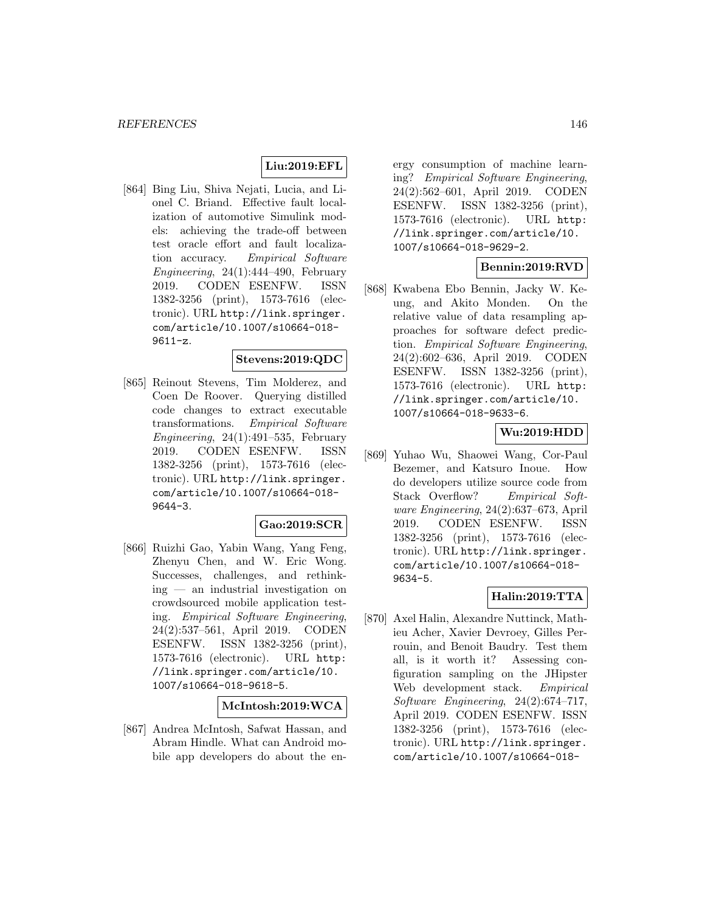# **Liu:2019:EFL**

[864] Bing Liu, Shiva Nejati, Lucia, and Lionel C. Briand. Effective fault localization of automotive Simulink models: achieving the trade-off between test oracle effort and fault localization accuracy. Empirical Software Engineering,  $24(1):444-490$ , February 2019. CODEN ESENFW. ISSN 1382-3256 (print), 1573-7616 (electronic). URL http://link.springer. com/article/10.1007/s10664-018- 9611-z.

### **Stevens:2019:QDC**

[865] Reinout Stevens, Tim Molderez, and Coen De Roover. Querying distilled code changes to extract executable transformations. Empirical Software Engineering,  $24(1):491-535$ , February 2019. CODEN ESENFW. ISSN 1382-3256 (print), 1573-7616 (electronic). URL http://link.springer. com/article/10.1007/s10664-018- 9644-3.

## **Gao:2019:SCR**

[866] Ruizhi Gao, Yabin Wang, Yang Feng, Zhenyu Chen, and W. Eric Wong. Successes, challenges, and rethinking — an industrial investigation on crowdsourced mobile application testing. Empirical Software Engineering, 24(2):537–561, April 2019. CODEN ESENFW. ISSN 1382-3256 (print), 1573-7616 (electronic). URL http: //link.springer.com/article/10. 1007/s10664-018-9618-5.

### **McIntosh:2019:WCA**

[867] Andrea McIntosh, Safwat Hassan, and Abram Hindle. What can Android mobile app developers do about the en-

ergy consumption of machine learning? Empirical Software Engineering, 24(2):562–601, April 2019. CODEN ESENFW. ISSN 1382-3256 (print), 1573-7616 (electronic). URL http: //link.springer.com/article/10. 1007/s10664-018-9629-2.

# **Bennin:2019:RVD**

[868] Kwabena Ebo Bennin, Jacky W. Keung, and Akito Monden. On the relative value of data resampling approaches for software defect prediction. Empirical Software Engineering, 24(2):602–636, April 2019. CODEN ESENFW. ISSN 1382-3256 (print), 1573-7616 (electronic). URL http: //link.springer.com/article/10. 1007/s10664-018-9633-6.

# **Wu:2019:HDD**

[869] Yuhao Wu, Shaowei Wang, Cor-Paul Bezemer, and Katsuro Inoue. How do developers utilize source code from Stack Overflow? Empirical Software Engineering, 24(2):637–673, April 2019. CODEN ESENFW. ISSN 1382-3256 (print), 1573-7616 (electronic). URL http://link.springer. com/article/10.1007/s10664-018- 9634-5.

# **Halin:2019:TTA**

[870] Axel Halin, Alexandre Nuttinck, Mathieu Acher, Xavier Devroey, Gilles Perrouin, and Benoit Baudry. Test them all, is it worth it? Assessing configuration sampling on the JHipster Web development stack. Empirical Software Engineering, 24(2):674–717, April 2019. CODEN ESENFW. ISSN 1382-3256 (print), 1573-7616 (electronic). URL http://link.springer. com/article/10.1007/s10664-018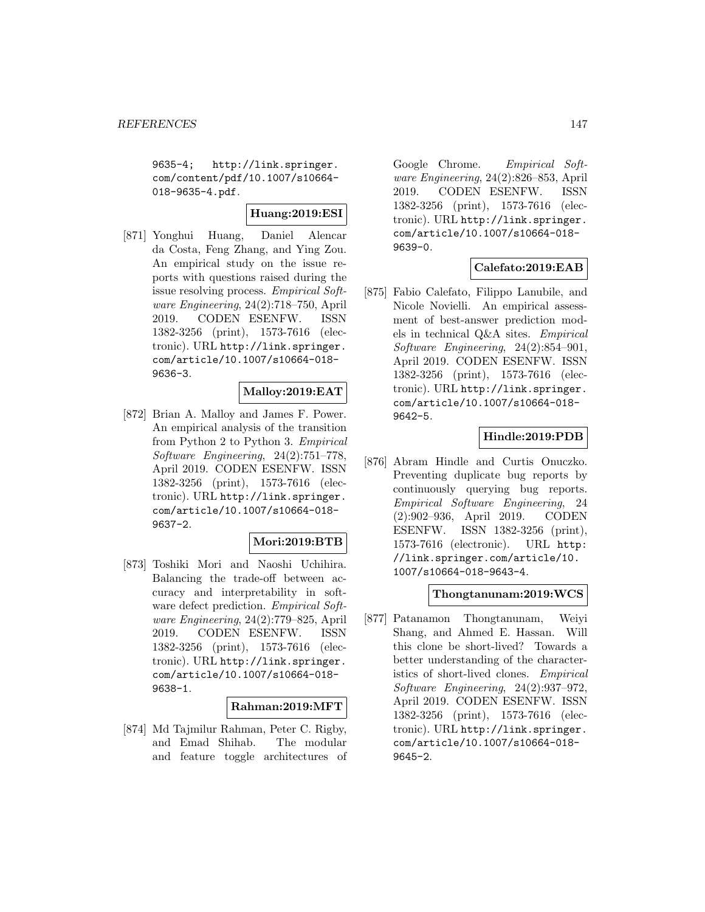9635-4; http://link.springer. com/content/pdf/10.1007/s10664- 018-9635-4.pdf.

# **Huang:2019:ESI**

[871] Yonghui Huang, Daniel Alencar da Costa, Feng Zhang, and Ying Zou. An empirical study on the issue reports with questions raised during the issue resolving process. Empirical Software Engineering, 24(2):718–750, April 2019. CODEN ESENFW. ISSN 1382-3256 (print), 1573-7616 (electronic). URL http://link.springer. com/article/10.1007/s10664-018- 9636-3.

### **Malloy:2019:EAT**

[872] Brian A. Malloy and James F. Power. An empirical analysis of the transition from Python 2 to Python 3. Empirical Software Engineering, 24(2):751–778, April 2019. CODEN ESENFW. ISSN 1382-3256 (print), 1573-7616 (electronic). URL http://link.springer. com/article/10.1007/s10664-018- 9637-2.

#### **Mori:2019:BTB**

[873] Toshiki Mori and Naoshi Uchihira. Balancing the trade-off between accuracy and interpretability in software defect prediction. Empirical Software Engineering, 24(2):779–825, April 2019. CODEN ESENFW. ISSN 1382-3256 (print), 1573-7616 (electronic). URL http://link.springer. com/article/10.1007/s10664-018- 9638-1.

### **Rahman:2019:MFT**

[874] Md Tajmilur Rahman, Peter C. Rigby, and Emad Shihab. The modular and feature toggle architectures of

Google Chrome. Empirical Software Engineering, 24(2):826–853, April 2019. CODEN ESENFW. ISSN 1382-3256 (print), 1573-7616 (electronic). URL http://link.springer. com/article/10.1007/s10664-018- 9639-0.

# **Calefato:2019:EAB**

[875] Fabio Calefato, Filippo Lanubile, and Nicole Novielli. An empirical assessment of best-answer prediction models in technical Q&A sites. Empirical Software Engineering, 24(2):854–901, April 2019. CODEN ESENFW. ISSN 1382-3256 (print), 1573-7616 (electronic). URL http://link.springer. com/article/10.1007/s10664-018- 9642-5.

# **Hindle:2019:PDB**

[876] Abram Hindle and Curtis Onuczko. Preventing duplicate bug reports by continuously querying bug reports. Empirical Software Engineering, 24 (2):902–936, April 2019. CODEN ESENFW. ISSN 1382-3256 (print), 1573-7616 (electronic). URL http: //link.springer.com/article/10. 1007/s10664-018-9643-4.

## **Thongtanunam:2019:WCS**

[877] Patanamon Thongtanunam, Weiyi Shang, and Ahmed E. Hassan. Will this clone be short-lived? Towards a better understanding of the characteristics of short-lived clones. Empirical Software Engineering, 24(2):937–972, April 2019. CODEN ESENFW. ISSN 1382-3256 (print), 1573-7616 (electronic). URL http://link.springer. com/article/10.1007/s10664-018- 9645-2.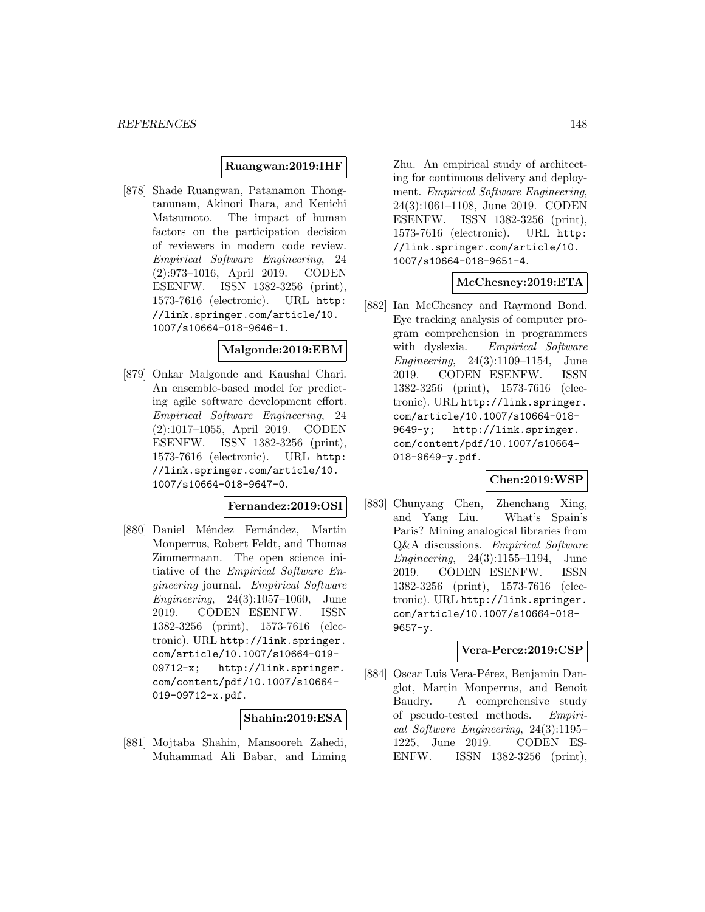### **Ruangwan:2019:IHF**

[878] Shade Ruangwan, Patanamon Thongtanunam, Akinori Ihara, and Kenichi Matsumoto. The impact of human factors on the participation decision of reviewers in modern code review. Empirical Software Engineering, 24 (2):973–1016, April 2019. CODEN ESENFW. ISSN 1382-3256 (print), 1573-7616 (electronic). URL http: //link.springer.com/article/10. 1007/s10664-018-9646-1.

### **Malgonde:2019:EBM**

[879] Onkar Malgonde and Kaushal Chari. An ensemble-based model for predicting agile software development effort. Empirical Software Engineering, 24 (2):1017–1055, April 2019. CODEN ESENFW. ISSN 1382-3256 (print), 1573-7616 (electronic). URL http: //link.springer.com/article/10. 1007/s10664-018-9647-0.

# **Fernandez:2019:OSI**

[880] Daniel Méndez Fernández, Martin Monperrus, Robert Feldt, and Thomas Zimmermann. The open science initiative of the Empirical Software Engineering journal. Empirical Software Engineering, 24(3):1057–1060, June 2019. CODEN ESENFW. ISSN 1382-3256 (print), 1573-7616 (electronic). URL http://link.springer. com/article/10.1007/s10664-019- 09712-x; http://link.springer. com/content/pdf/10.1007/s10664- 019-09712-x.pdf.

### **Shahin:2019:ESA**

[881] Mojtaba Shahin, Mansooreh Zahedi, Muhammad Ali Babar, and Liming

Zhu. An empirical study of architecting for continuous delivery and deployment. Empirical Software Engineering, 24(3):1061–1108, June 2019. CODEN ESENFW. ISSN 1382-3256 (print), 1573-7616 (electronic). URL http: //link.springer.com/article/10. 1007/s10664-018-9651-4.

### **McChesney:2019:ETA**

[882] Ian McChesney and Raymond Bond. Eye tracking analysis of computer program comprehension in programmers with dyslexia. Empirical Software Engineering, 24(3):1109–1154, June 2019. CODEN ESENFW. ISSN 1382-3256 (print), 1573-7616 (electronic). URL http://link.springer. com/article/10.1007/s10664-018- 9649-y; http://link.springer. com/content/pdf/10.1007/s10664- 018-9649-y.pdf.

### **Chen:2019:WSP**

[883] Chunyang Chen, Zhenchang Xing, and Yang Liu. What's Spain's Paris? Mining analogical libraries from Q&A discussions. Empirical Software Engineering, 24(3):1155–1194, June 2019. CODEN ESENFW. ISSN 1382-3256 (print), 1573-7616 (electronic). URL http://link.springer. com/article/10.1007/s10664-018- 9657-y.

#### **Vera-Perez:2019:CSP**

[884] Oscar Luis Vera-Pérez, Benjamin Danglot, Martin Monperrus, and Benoit Baudry. A comprehensive study of pseudo-tested methods. Empirical Software Engineering, 24(3):1195– 1225, June 2019. CODEN ES-ENFW. ISSN 1382-3256 (print),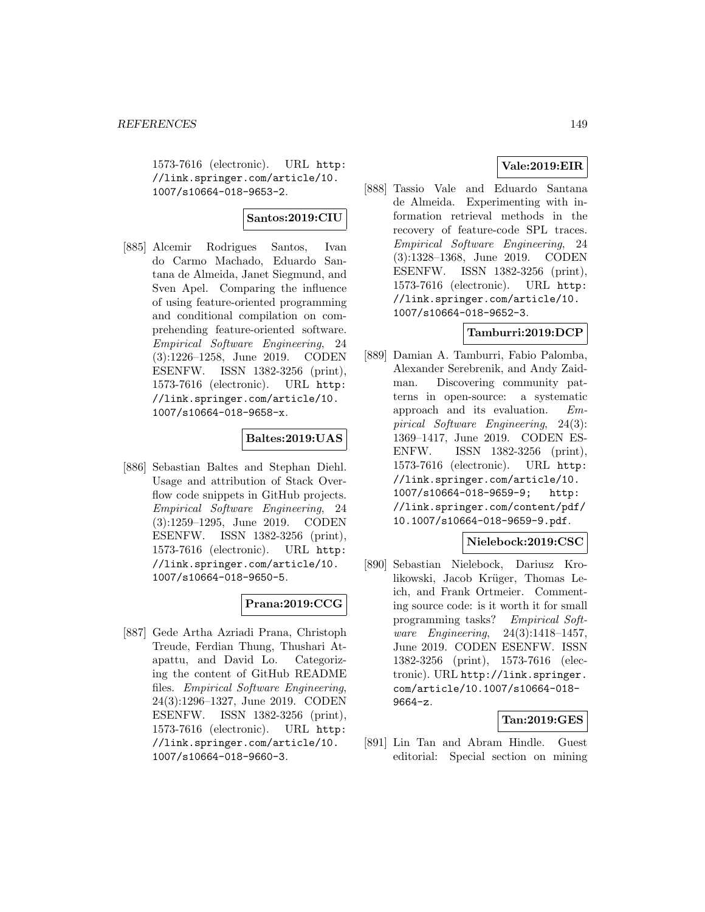1573-7616 (electronic). URL http: //link.springer.com/article/10. 1007/s10664-018-9653-2.

### **Santos:2019:CIU**

[885] Alcemir Rodrigues Santos, Ivan do Carmo Machado, Eduardo Santana de Almeida, Janet Siegmund, and Sven Apel. Comparing the influence of using feature-oriented programming and conditional compilation on comprehending feature-oriented software. Empirical Software Engineering, 24 (3):1226–1258, June 2019. CODEN ESENFW. ISSN 1382-3256 (print), 1573-7616 (electronic). URL http: //link.springer.com/article/10. 1007/s10664-018-9658-x.

# **Baltes:2019:UAS**

[886] Sebastian Baltes and Stephan Diehl. Usage and attribution of Stack Overflow code snippets in GitHub projects. Empirical Software Engineering, 24 (3):1259–1295, June 2019. CODEN ESENFW. ISSN 1382-3256 (print), 1573-7616 (electronic). URL http: //link.springer.com/article/10. 1007/s10664-018-9650-5.

# **Prana:2019:CCG**

[887] Gede Artha Azriadi Prana, Christoph Treude, Ferdian Thung, Thushari Atapattu, and David Lo. Categorizing the content of GitHub README files. Empirical Software Engineering, 24(3):1296–1327, June 2019. CODEN ESENFW. ISSN 1382-3256 (print), 1573-7616 (electronic). URL http: //link.springer.com/article/10. 1007/s10664-018-9660-3.

# **Vale:2019:EIR**

[888] Tassio Vale and Eduardo Santana de Almeida. Experimenting with information retrieval methods in the recovery of feature-code SPL traces. Empirical Software Engineering, 24 (3):1328–1368, June 2019. CODEN ESENFW. ISSN 1382-3256 (print), 1573-7616 (electronic). URL http: //link.springer.com/article/10. 1007/s10664-018-9652-3.

# **Tamburri:2019:DCP**

[889] Damian A. Tamburri, Fabio Palomba, Alexander Serebrenik, and Andy Zaidman. Discovering community patterns in open-source: a systematic approach and its evaluation. Empirical Software Engineering, 24(3): 1369–1417, June 2019. CODEN ES-ENFW. ISSN 1382-3256 (print), 1573-7616 (electronic). URL http: //link.springer.com/article/10. 1007/s10664-018-9659-9; http: //link.springer.com/content/pdf/ 10.1007/s10664-018-9659-9.pdf.

### **Nielebock:2019:CSC**

[890] Sebastian Nielebock, Dariusz Krolikowski, Jacob Krüger, Thomas Leich, and Frank Ortmeier. Commenting source code: is it worth it for small programming tasks? Empirical Software Engineering, 24(3):1418–1457, June 2019. CODEN ESENFW. ISSN 1382-3256 (print), 1573-7616 (electronic). URL http://link.springer. com/article/10.1007/s10664-018- 9664-z.

### **Tan:2019:GES**

[891] Lin Tan and Abram Hindle. Guest editorial: Special section on mining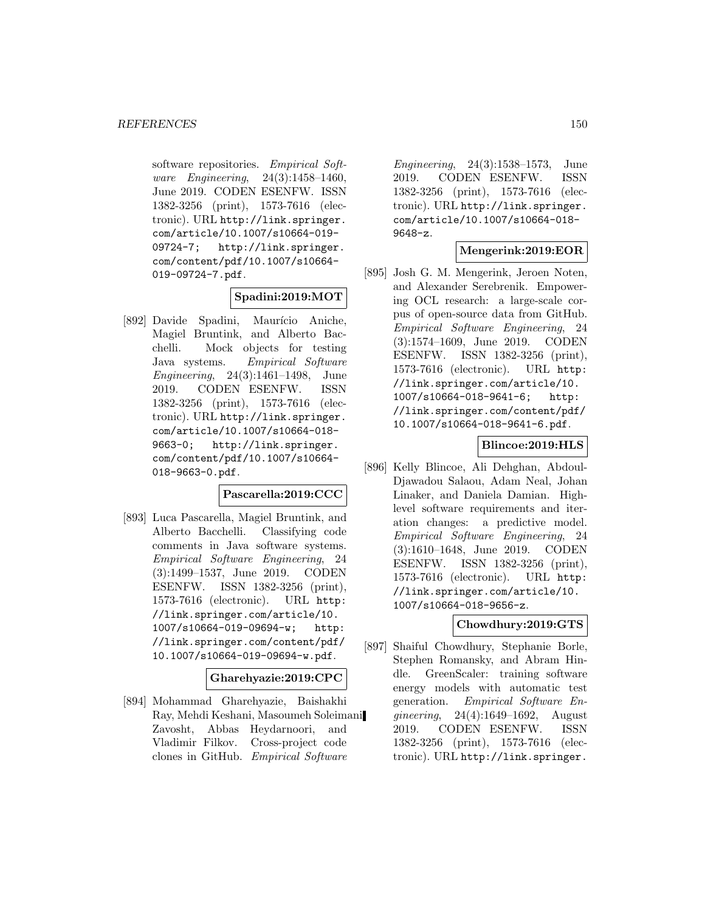software repositories. Empirical Software Engineering, 24(3):1458–1460, June 2019. CODEN ESENFW. ISSN 1382-3256 (print), 1573-7616 (electronic). URL http://link.springer. com/article/10.1007/s10664-019- 09724-7; http://link.springer. com/content/pdf/10.1007/s10664- 019-09724-7.pdf.

# **Spadini:2019:MOT**

[892] Davide Spadini, Maurício Aniche, Magiel Bruntink, and Alberto Bacchelli. Mock objects for testing Java systems. Empirical Software Engineering, 24(3):1461–1498, June 2019. CODEN ESENFW. ISSN 1382-3256 (print), 1573-7616 (electronic). URL http://link.springer. com/article/10.1007/s10664-018- 9663-0; http://link.springer. com/content/pdf/10.1007/s10664- 018-9663-0.pdf.

## **Pascarella:2019:CCC**

[893] Luca Pascarella, Magiel Bruntink, and Alberto Bacchelli. Classifying code comments in Java software systems. Empirical Software Engineering, 24 (3):1499–1537, June 2019. CODEN ESENFW. ISSN 1382-3256 (print), 1573-7616 (electronic). URL http: //link.springer.com/article/10. 1007/s10664-019-09694-w; http: //link.springer.com/content/pdf/ 10.1007/s10664-019-09694-w.pdf.

#### **Gharehyazie:2019:CPC**

[894] Mohammad Gharehyazie, Baishakhi Ray, Mehdi Keshani, Masoumeh Soleimani Zavosht, Abbas Heydarnoori, and Vladimir Filkov. Cross-project code clones in GitHub. Empirical Software

Engineering, 24(3):1538–1573, June 2019. CODEN ESENFW. ISSN 1382-3256 (print), 1573-7616 (electronic). URL http://link.springer. com/article/10.1007/s10664-018- 9648-z.

# **Mengerink:2019:EOR**

[895] Josh G. M. Mengerink, Jeroen Noten, and Alexander Serebrenik. Empowering OCL research: a large-scale corpus of open-source data from GitHub. Empirical Software Engineering, 24 (3):1574–1609, June 2019. CODEN ESENFW. ISSN 1382-3256 (print), 1573-7616 (electronic). URL http: //link.springer.com/article/10. 1007/s10664-018-9641-6; http: //link.springer.com/content/pdf/ 10.1007/s10664-018-9641-6.pdf.

### **Blincoe:2019:HLS**

[896] Kelly Blincoe, Ali Dehghan, Abdoul-Djawadou Salaou, Adam Neal, Johan Linaker, and Daniela Damian. Highlevel software requirements and iteration changes: a predictive model. Empirical Software Engineering, 24 (3):1610–1648, June 2019. CODEN ESENFW. ISSN 1382-3256 (print), 1573-7616 (electronic). URL http: //link.springer.com/article/10. 1007/s10664-018-9656-z.

### **Chowdhury:2019:GTS**

[897] Shaiful Chowdhury, Stephanie Borle, Stephen Romansky, and Abram Hindle. GreenScaler: training software energy models with automatic test generation. Empirical Software Engineering, 24(4):1649–1692, August 2019. CODEN ESENFW. ISSN 1382-3256 (print), 1573-7616 (electronic). URL http://link.springer.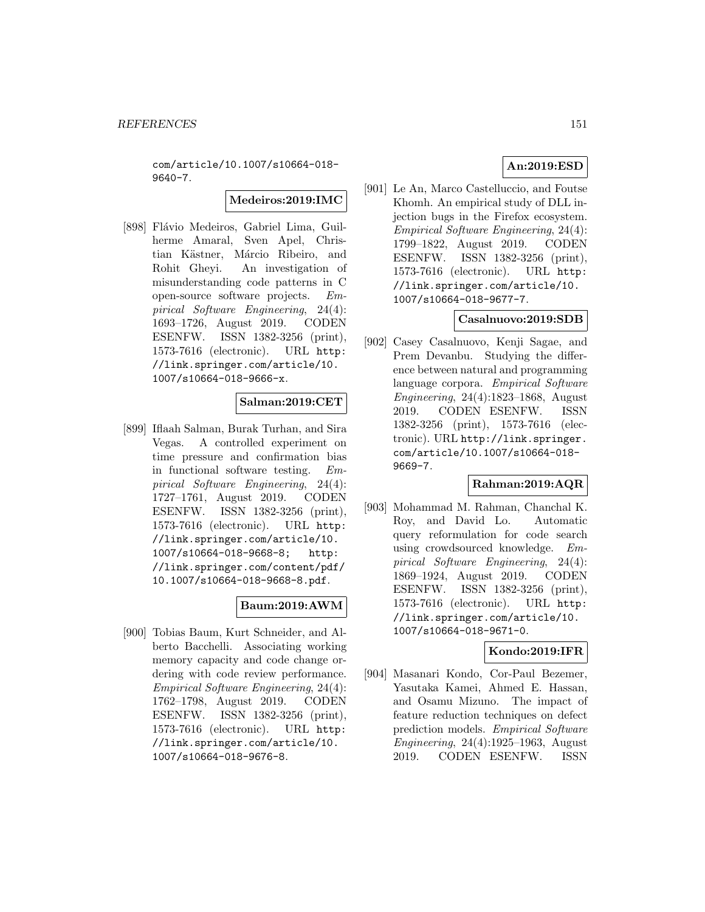com/article/10.1007/s10664-018- 9640-7.

**Medeiros:2019:IMC**

[898] Flávio Medeiros, Gabriel Lima, Guilherme Amaral, Sven Apel, Christian Kästner, Márcio Ribeiro, and Rohit Gheyi. An investigation of misunderstanding code patterns in C open-source software projects. Empirical Software Engineering, 24(4): 1693–1726, August 2019. CODEN ESENFW. ISSN 1382-3256 (print), 1573-7616 (electronic). URL http: //link.springer.com/article/10. 1007/s10664-018-9666-x.

# **Salman:2019:CET**

[899] Iflaah Salman, Burak Turhan, and Sira Vegas. A controlled experiment on time pressure and confirmation bias in functional software testing. Empirical Software Engineering, 24(4): 1727–1761, August 2019. CODEN ESENFW. ISSN 1382-3256 (print), 1573-7616 (electronic). URL http: //link.springer.com/article/10. 1007/s10664-018-9668-8; http: //link.springer.com/content/pdf/ 10.1007/s10664-018-9668-8.pdf.

# **Baum:2019:AWM**

[900] Tobias Baum, Kurt Schneider, and Alberto Bacchelli. Associating working memory capacity and code change ordering with code review performance. Empirical Software Engineering, 24(4): 1762–1798, August 2019. CODEN ESENFW. ISSN 1382-3256 (print), 1573-7616 (electronic). URL http: //link.springer.com/article/10. 1007/s10664-018-9676-8.

[901] Le An, Marco Castelluccio, and Foutse Khomh. An empirical study of DLL injection bugs in the Firefox ecosystem. Empirical Software Engineering, 24(4): 1799–1822, August 2019. CODEN ESENFW. ISSN 1382-3256 (print), 1573-7616 (electronic). URL http: //link.springer.com/article/10. 1007/s10664-018-9677-7.

#### **Casalnuovo:2019:SDB**

[902] Casey Casalnuovo, Kenji Sagae, and Prem Devanbu. Studying the difference between natural and programming language corpora. Empirical Software Engineering, 24(4):1823–1868, August 2019. CODEN ESENFW. ISSN 1382-3256 (print), 1573-7616 (electronic). URL http://link.springer. com/article/10.1007/s10664-018- 9669-7.

## **Rahman:2019:AQR**

[903] Mohammad M. Rahman, Chanchal K. Roy, and David Lo. Automatic query reformulation for code search using crowdsourced knowledge. Empirical Software Engineering, 24(4): 1869–1924, August 2019. CODEN ESENFW. ISSN 1382-3256 (print), 1573-7616 (electronic). URL http: //link.springer.com/article/10. 1007/s10664-018-9671-0.

### **Kondo:2019:IFR**

[904] Masanari Kondo, Cor-Paul Bezemer, Yasutaka Kamei, Ahmed E. Hassan, and Osamu Mizuno. The impact of feature reduction techniques on defect prediction models. Empirical Software Engineering, 24(4):1925–1963, August 2019. CODEN ESENFW. ISSN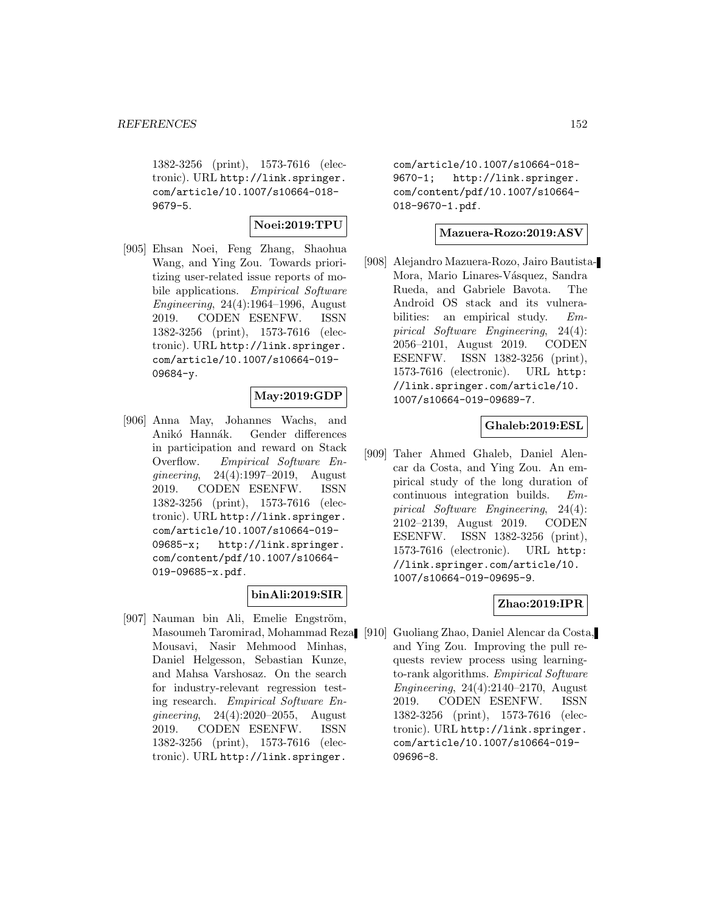1382-3256 (print), 1573-7616 (electronic). URL http://link.springer. com/article/10.1007/s10664-018- 9679-5.

### **Noei:2019:TPU**

[905] Ehsan Noei, Feng Zhang, Shaohua Wang, and Ying Zou. Towards prioritizing user-related issue reports of mobile applications. Empirical Software Engineering, 24(4):1964–1996, August 2019. CODEN ESENFW. ISSN 1382-3256 (print), 1573-7616 (electronic). URL http://link.springer. com/article/10.1007/s10664-019- 09684-y.

### **May:2019:GDP**

[906] Anna May, Johannes Wachs, and Anikó Hannák. Gender differences in participation and reward on Stack Overflow. Empirical Software Engineering, 24(4):1997–2019, August 2019. CODEN ESENFW. ISSN 1382-3256 (print), 1573-7616 (electronic). URL http://link.springer. com/article/10.1007/s10664-019- 09685-x; http://link.springer. com/content/pdf/10.1007/s10664- 019-09685-x.pdf.

### **binAli:2019:SIR**

[907] Nauman bin Ali, Emelie Engström, Masoumeh Taromirad, Mohammad Reza Mousavi, Nasir Mehmood Minhas, Daniel Helgesson, Sebastian Kunze, and Mahsa Varshosaz. On the search for industry-relevant regression testing research. Empirical Software Engineering, 24(4):2020–2055, August 2019. CODEN ESENFW. ISSN 1382-3256 (print), 1573-7616 (electronic). URL http://link.springer.

com/article/10.1007/s10664-018- 9670-1; http://link.springer. com/content/pdf/10.1007/s10664- 018-9670-1.pdf.

#### **Mazuera-Rozo:2019:ASV**

[908] Alejandro Mazuera-Rozo, Jairo Bautista-Mora, Mario Linares-Vásquez, Sandra Rueda, and Gabriele Bavota. The Android OS stack and its vulnerabilities: an empirical study. Empirical Software Engineering, 24(4): 2056–2101, August 2019. CODEN ESENFW. ISSN 1382-3256 (print), 1573-7616 (electronic). URL http: //link.springer.com/article/10. 1007/s10664-019-09689-7.

### **Ghaleb:2019:ESL**

[909] Taher Ahmed Ghaleb, Daniel Alencar da Costa, and Ying Zou. An empirical study of the long duration of continuous integration builds. Empirical Software Engineering, 24(4): 2102–2139, August 2019. CODEN ESENFW. ISSN 1382-3256 (print), 1573-7616 (electronic). URL http: //link.springer.com/article/10. 1007/s10664-019-09695-9.

### **Zhao:2019:IPR**

[910] Guoliang Zhao, Daniel Alencar da Costa, and Ying Zou. Improving the pull requests review process using learningto-rank algorithms. Empirical Software Engineering, 24(4):2140–2170, August 2019. CODEN ESENFW. ISSN 1382-3256 (print), 1573-7616 (electronic). URL http://link.springer. com/article/10.1007/s10664-019- 09696-8.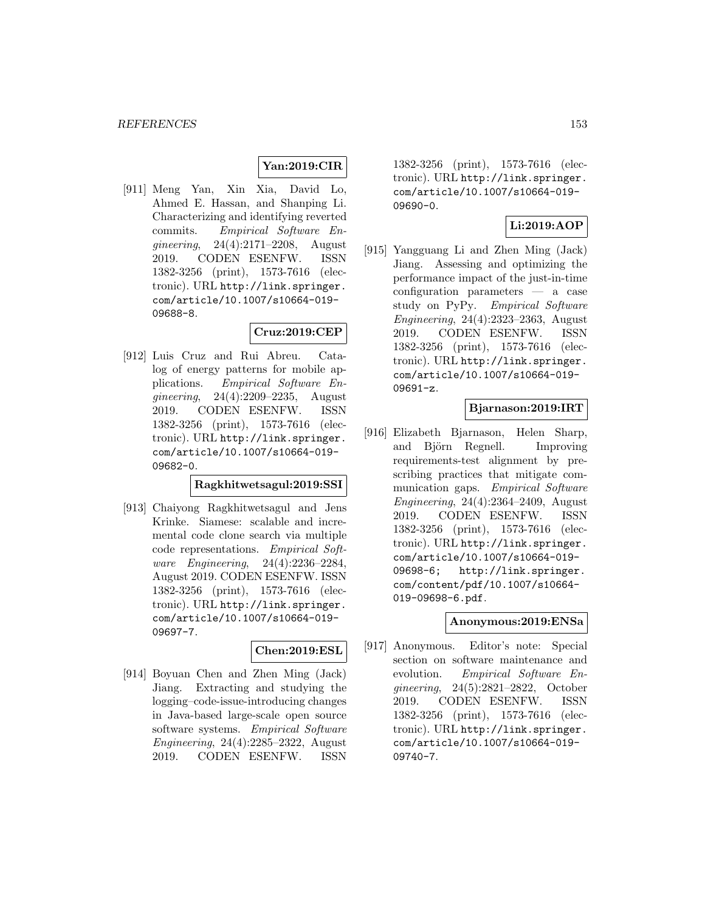# **Yan:2019:CIR**

[911] Meng Yan, Xin Xia, David Lo, Ahmed E. Hassan, and Shanping Li. Characterizing and identifying reverted commits. Empirical Software Engineering, 24(4):2171–2208, August 2019. CODEN ESENFW. ISSN 1382-3256 (print), 1573-7616 (electronic). URL http://link.springer. com/article/10.1007/s10664-019- 09688-8.

### **Cruz:2019:CEP**

[912] Luis Cruz and Rui Abreu. Catalog of energy patterns for mobile applications. Empirical Software Engineering, 24(4):2209–2235, August 2019. CODEN ESENFW. ISSN 1382-3256 (print), 1573-7616 (electronic). URL http://link.springer. com/article/10.1007/s10664-019- 09682-0.

### **Ragkhitwetsagul:2019:SSI**

[913] Chaiyong Ragkhitwetsagul and Jens Krinke. Siamese: scalable and incremental code clone search via multiple code representations. Empirical Software Engineering, 24(4):2236–2284, August 2019. CODEN ESENFW. ISSN 1382-3256 (print), 1573-7616 (electronic). URL http://link.springer. com/article/10.1007/s10664-019- 09697-7.

#### **Chen:2019:ESL**

[914] Boyuan Chen and Zhen Ming (Jack) Jiang. Extracting and studying the logging–code-issue-introducing changes in Java-based large-scale open source software systems. Empirical Software Engineering, 24(4):2285–2322, August 2019. CODEN ESENFW. ISSN

1382-3256 (print), 1573-7616 (electronic). URL http://link.springer. com/article/10.1007/s10664-019- 09690-0.

## **Li:2019:AOP**

[915] Yangguang Li and Zhen Ming (Jack) Jiang. Assessing and optimizing the performance impact of the just-in-time configuration parameters — a case study on PyPy. Empirical Software Engineering, 24(4):2323–2363, August 2019. CODEN ESENFW. ISSN 1382-3256 (print), 1573-7616 (electronic). URL http://link.springer. com/article/10.1007/s10664-019- 09691-z.

### **Bjarnason:2019:IRT**

[916] Elizabeth Bjarnason, Helen Sharp, and Björn Regnell. Improving requirements-test alignment by prescribing practices that mitigate communication gaps. Empirical Software Engineering, 24(4):2364–2409, August 2019. CODEN ESENFW. ISSN 1382-3256 (print), 1573-7616 (electronic). URL http://link.springer. com/article/10.1007/s10664-019- 09698-6; http://link.springer. com/content/pdf/10.1007/s10664- 019-09698-6.pdf.

### **Anonymous:2019:ENSa**

[917] Anonymous. Editor's note: Special section on software maintenance and evolution. Empirical Software Engineering, 24(5):2821–2822, October 2019. CODEN ESENFW. ISSN 1382-3256 (print), 1573-7616 (electronic). URL http://link.springer. com/article/10.1007/s10664-019- 09740-7.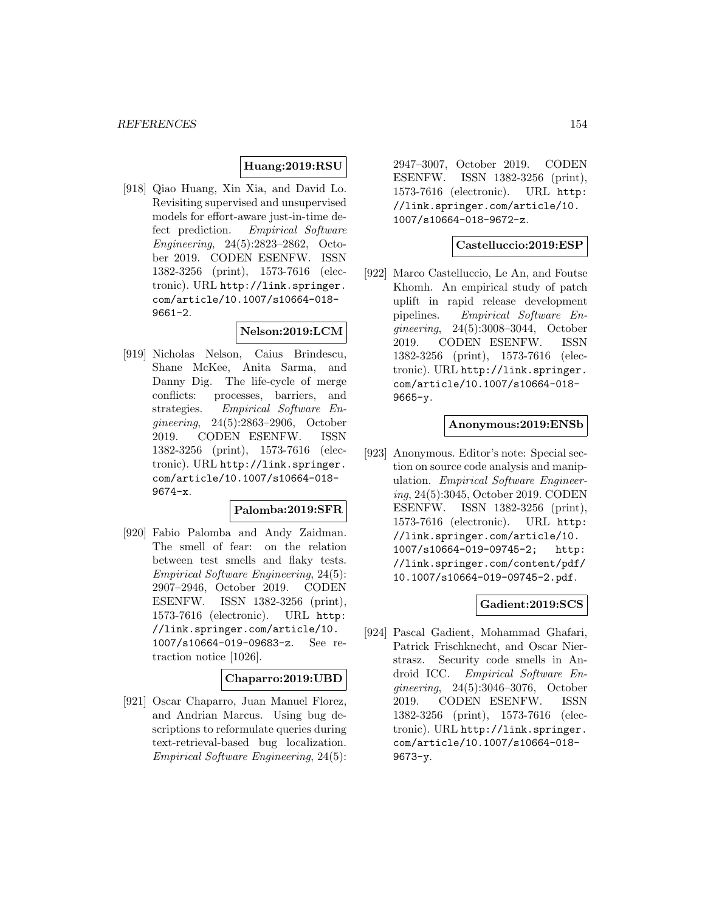# **Huang:2019:RSU**

[918] Qiao Huang, Xin Xia, and David Lo. Revisiting supervised and unsupervised models for effort-aware just-in-time defect prediction. Empirical Software Engineering, 24(5):2823–2862, October 2019. CODEN ESENFW. ISSN 1382-3256 (print), 1573-7616 (electronic). URL http://link.springer. com/article/10.1007/s10664-018- 9661-2.

### **Nelson:2019:LCM**

[919] Nicholas Nelson, Caius Brindescu, Shane McKee, Anita Sarma, and Danny Dig. The life-cycle of merge conflicts: processes, barriers, and strategies. Empirical Software Engineering, 24(5):2863–2906, October 2019. CODEN ESENFW. ISSN 1382-3256 (print), 1573-7616 (electronic). URL http://link.springer. com/article/10.1007/s10664-018- 9674-x.

#### **Palomba:2019:SFR**

[920] Fabio Palomba and Andy Zaidman. The smell of fear: on the relation between test smells and flaky tests. Empirical Software Engineering, 24(5): 2907–2946, October 2019. CODEN ESENFW. ISSN 1382-3256 (print), 1573-7616 (electronic). URL http: //link.springer.com/article/10. 1007/s10664-019-09683-z. See retraction notice [1026].

#### **Chaparro:2019:UBD**

[921] Oscar Chaparro, Juan Manuel Florez, and Andrian Marcus. Using bug descriptions to reformulate queries during text-retrieval-based bug localization. Empirical Software Engineering, 24(5):

2947–3007, October 2019. CODEN ESENFW. ISSN 1382-3256 (print), 1573-7616 (electronic). URL http: //link.springer.com/article/10. 1007/s10664-018-9672-z.

# **Castelluccio:2019:ESP**

[922] Marco Castelluccio, Le An, and Foutse Khomh. An empirical study of patch uplift in rapid release development pipelines. Empirical Software Engineering, 24(5):3008–3044, October 2019. CODEN ESENFW. ISSN 1382-3256 (print), 1573-7616 (electronic). URL http://link.springer. com/article/10.1007/s10664-018- 9665-y.

#### **Anonymous:2019:ENSb**

[923] Anonymous. Editor's note: Special section on source code analysis and manipulation. Empirical Software Engineering, 24(5):3045, October 2019. CODEN ESENFW. ISSN 1382-3256 (print), 1573-7616 (electronic). URL http: //link.springer.com/article/10. 1007/s10664-019-09745-2; http: //link.springer.com/content/pdf/ 10.1007/s10664-019-09745-2.pdf.

### **Gadient:2019:SCS**

[924] Pascal Gadient, Mohammad Ghafari, Patrick Frischknecht, and Oscar Nierstrasz. Security code smells in Android ICC. Empirical Software Engineering, 24(5):3046–3076, October 2019. CODEN ESENFW. ISSN 1382-3256 (print), 1573-7616 (electronic). URL http://link.springer. com/article/10.1007/s10664-018- 9673-y.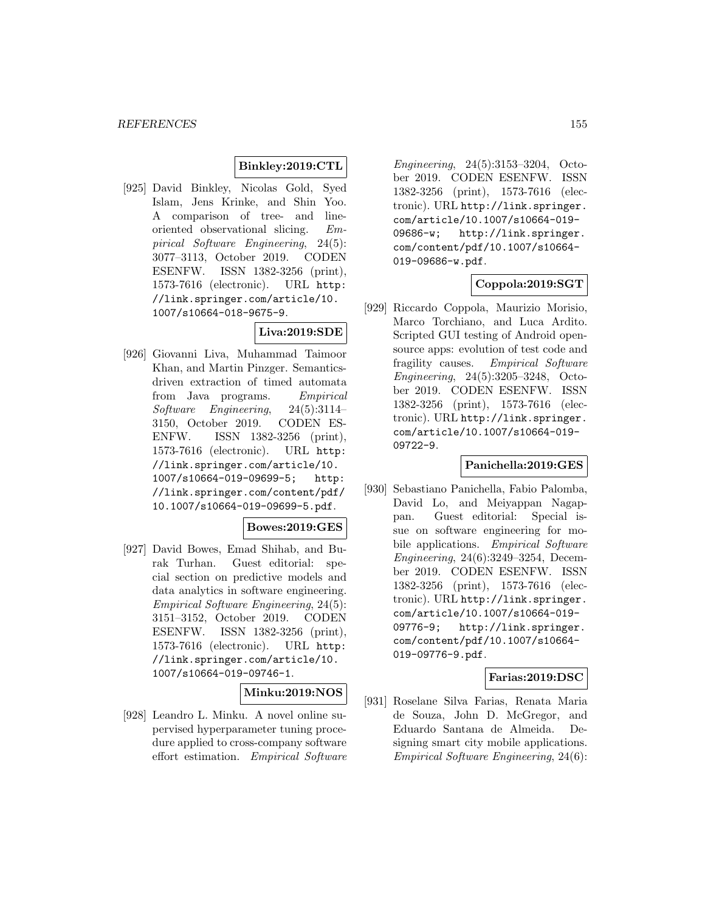### **Binkley:2019:CTL**

[925] David Binkley, Nicolas Gold, Syed Islam, Jens Krinke, and Shin Yoo. A comparison of tree- and lineoriented observational slicing. Empirical Software Engineering, 24(5): 3077–3113, October 2019. CODEN ESENFW. ISSN 1382-3256 (print), 1573-7616 (electronic). URL http: //link.springer.com/article/10. 1007/s10664-018-9675-9.

# **Liva:2019:SDE**

[926] Giovanni Liva, Muhammad Taimoor Khan, and Martin Pinzger. Semanticsdriven extraction of timed automata from Java programs. Empirical Software Engineering, 24(5):3114– 3150, October 2019. CODEN ES-ENFW. ISSN 1382-3256 (print), 1573-7616 (electronic). URL http: //link.springer.com/article/10. 1007/s10664-019-09699-5; http: //link.springer.com/content/pdf/ 10.1007/s10664-019-09699-5.pdf.

### **Bowes:2019:GES**

[927] David Bowes, Emad Shihab, and Burak Turhan. Guest editorial: special section on predictive models and data analytics in software engineering. Empirical Software Engineering, 24(5): 3151–3152, October 2019. CODEN ESENFW. ISSN 1382-3256 (print), 1573-7616 (electronic). URL http: //link.springer.com/article/10. 1007/s10664-019-09746-1.

## **Minku:2019:NOS**

[928] Leandro L. Minku. A novel online supervised hyperparameter tuning procedure applied to cross-company software effort estimation. Empirical Software

Engineering, 24(5):3153–3204, October 2019. CODEN ESENFW. ISSN 1382-3256 (print), 1573-7616 (electronic). URL http://link.springer. com/article/10.1007/s10664-019- 09686-w; http://link.springer. com/content/pdf/10.1007/s10664- 019-09686-w.pdf.

# **Coppola:2019:SGT**

[929] Riccardo Coppola, Maurizio Morisio, Marco Torchiano, and Luca Ardito. Scripted GUI testing of Android opensource apps: evolution of test code and fragility causes. Empirical Software Engineering, 24(5):3205–3248, October 2019. CODEN ESENFW. ISSN 1382-3256 (print), 1573-7616 (electronic). URL http://link.springer. com/article/10.1007/s10664-019- 09722-9.

#### **Panichella:2019:GES**

[930] Sebastiano Panichella, Fabio Palomba, David Lo, and Meiyappan Nagappan. Guest editorial: Special issue on software engineering for mobile applications. Empirical Software Engineering, 24(6):3249–3254, December 2019. CODEN ESENFW. ISSN 1382-3256 (print), 1573-7616 (electronic). URL http://link.springer. com/article/10.1007/s10664-019- 09776-9; http://link.springer. com/content/pdf/10.1007/s10664- 019-09776-9.pdf.

### **Farias:2019:DSC**

[931] Roselane Silva Farias, Renata Maria de Souza, John D. McGregor, and Eduardo Santana de Almeida. Designing smart city mobile applications. Empirical Software Engineering, 24(6):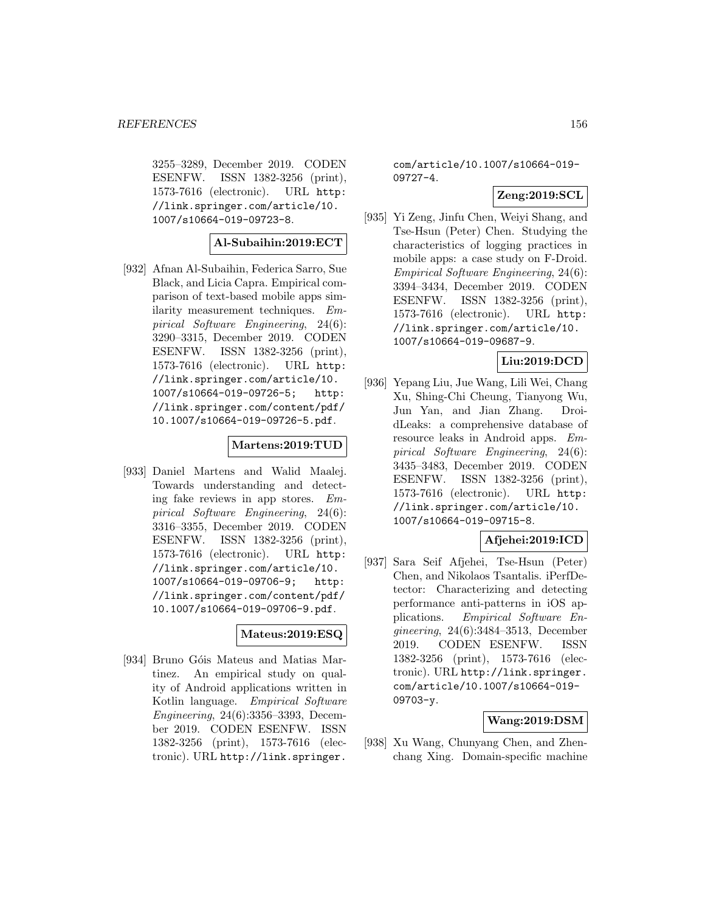3255–3289, December 2019. CODEN ESENFW. ISSN 1382-3256 (print), 1573-7616 (electronic). URL http: //link.springer.com/article/10. 1007/s10664-019-09723-8.

### **Al-Subaihin:2019:ECT**

[932] Afnan Al-Subaihin, Federica Sarro, Sue Black, and Licia Capra. Empirical comparison of text-based mobile apps similarity measurement techniques. Empirical Software Engineering, 24(6): 3290–3315, December 2019. CODEN ESENFW. ISSN 1382-3256 (print), 1573-7616 (electronic). URL http: //link.springer.com/article/10. 1007/s10664-019-09726-5; http: //link.springer.com/content/pdf/ 10.1007/s10664-019-09726-5.pdf.

### **Martens:2019:TUD**

[933] Daniel Martens and Walid Maalej. Towards understanding and detecting fake reviews in app stores. Empirical Software Engineering, 24(6): 3316–3355, December 2019. CODEN ESENFW. ISSN 1382-3256 (print), 1573-7616 (electronic). URL http: //link.springer.com/article/10. 1007/s10664-019-09706-9; http: //link.springer.com/content/pdf/ 10.1007/s10664-019-09706-9.pdf.

# **Mateus:2019:ESQ**

[934] Bruno Góis Mateus and Matias Martinez. An empirical study on quality of Android applications written in Kotlin language. Empirical Software Engineering, 24(6):3356–3393, December 2019. CODEN ESENFW. ISSN 1382-3256 (print), 1573-7616 (electronic). URL http://link.springer.

com/article/10.1007/s10664-019- 09727-4.

# **Zeng:2019:SCL**

[935] Yi Zeng, Jinfu Chen, Weiyi Shang, and Tse-Hsun (Peter) Chen. Studying the characteristics of logging practices in mobile apps: a case study on F-Droid. Empirical Software Engineering, 24(6): 3394–3434, December 2019. CODEN ESENFW. ISSN 1382-3256 (print), 1573-7616 (electronic). URL http: //link.springer.com/article/10. 1007/s10664-019-09687-9.

# **Liu:2019:DCD**

[936] Yepang Liu, Jue Wang, Lili Wei, Chang Xu, Shing-Chi Cheung, Tianyong Wu, Jun Yan, and Jian Zhang. DroidLeaks: a comprehensive database of resource leaks in Android apps. Empirical Software Engineering, 24(6): 3435–3483, December 2019. CODEN ESENFW. ISSN 1382-3256 (print), 1573-7616 (electronic). URL http: //link.springer.com/article/10. 1007/s10664-019-09715-8.

### **Afjehei:2019:ICD**

[937] Sara Seif Afjehei, Tse-Hsun (Peter) Chen, and Nikolaos Tsantalis. iPerfDetector: Characterizing and detecting performance anti-patterns in iOS applications. Empirical Software Engineering, 24(6):3484–3513, December 2019. CODEN ESENFW. ISSN 1382-3256 (print), 1573-7616 (electronic). URL http://link.springer. com/article/10.1007/s10664-019- 09703-y.

# **Wang:2019:DSM**

[938] Xu Wang, Chunyang Chen, and Zhenchang Xing. Domain-specific machine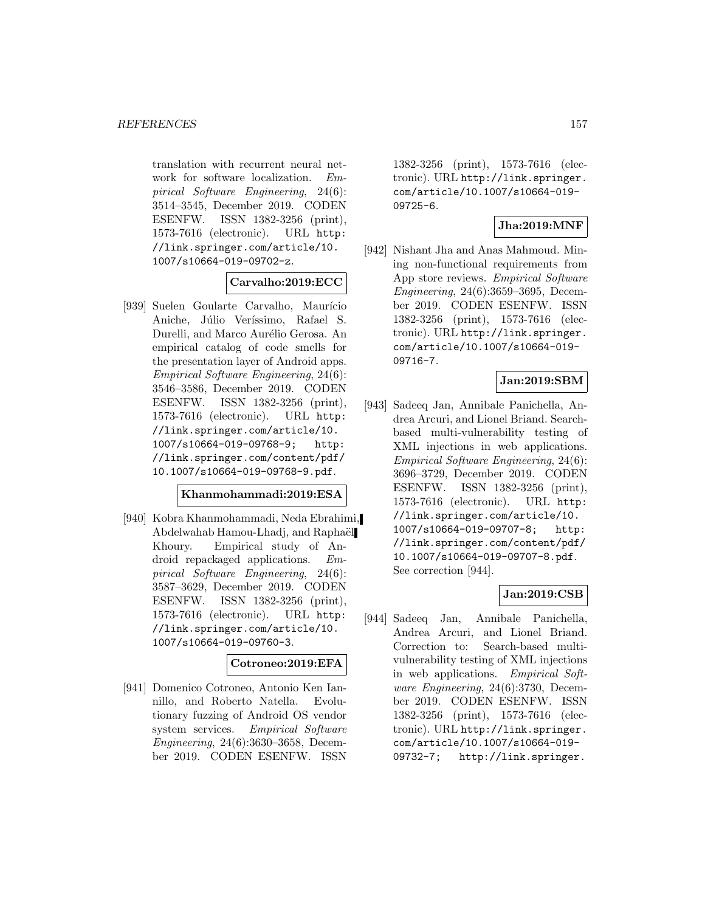translation with recurrent neural network for software localization. Empirical Software Engineering, 24(6): 3514–3545, December 2019. CODEN ESENFW. ISSN 1382-3256 (print), 1573-7616 (electronic). URL http: //link.springer.com/article/10. 1007/s10664-019-09702-z.

### **Carvalho:2019:ECC**

[939] Suelen Goularte Carvalho, Maurício Aniche, Júlio Veríssimo, Rafael S. Durelli, and Marco Aurélio Gerosa. An empirical catalog of code smells for the presentation layer of Android apps. Empirical Software Engineering, 24(6): 3546–3586, December 2019. CODEN ESENFW. ISSN 1382-3256 (print), 1573-7616 (electronic). URL http: //link.springer.com/article/10. 1007/s10664-019-09768-9; http: //link.springer.com/content/pdf/ 10.1007/s10664-019-09768-9.pdf.

# **Khanmohammadi:2019:ESA**

[940] Kobra Khanmohammadi, Neda Ebrahimi, Abdelwahab Hamou-Lhadj, and Raphaël Khoury. Empirical study of Android repackaged applications. Empirical Software Engineering, 24(6): 3587–3629, December 2019. CODEN ESENFW. ISSN 1382-3256 (print), 1573-7616 (electronic). URL http: //link.springer.com/article/10. 1007/s10664-019-09760-3.

### **Cotroneo:2019:EFA**

[941] Domenico Cotroneo, Antonio Ken Iannillo, and Roberto Natella. Evolutionary fuzzing of Android OS vendor system services. Empirical Software Engineering, 24(6):3630–3658, December 2019. CODEN ESENFW. ISSN

1382-3256 (print), 1573-7616 (electronic). URL http://link.springer. com/article/10.1007/s10664-019- 09725-6.

### **Jha:2019:MNF**

[942] Nishant Jha and Anas Mahmoud. Mining non-functional requirements from App store reviews. Empirical Software Engineering, 24(6):3659–3695, December 2019. CODEN ESENFW. ISSN 1382-3256 (print), 1573-7616 (electronic). URL http://link.springer. com/article/10.1007/s10664-019- 09716-7.

# **Jan:2019:SBM**

[943] Sadeeq Jan, Annibale Panichella, Andrea Arcuri, and Lionel Briand. Searchbased multi-vulnerability testing of XML injections in web applications. Empirical Software Engineering, 24(6): 3696–3729, December 2019. CODEN ESENFW. ISSN 1382-3256 (print), 1573-7616 (electronic). URL http: //link.springer.com/article/10. 1007/s10664-019-09707-8; http: //link.springer.com/content/pdf/ 10.1007/s10664-019-09707-8.pdf. See correction [944].

## **Jan:2019:CSB**

[944] Sadeeq Jan, Annibale Panichella, Andrea Arcuri, and Lionel Briand. Correction to: Search-based multivulnerability testing of XML injections in web applications. Empirical Software Engineering, 24(6):3730, December 2019. CODEN ESENFW. ISSN 1382-3256 (print), 1573-7616 (electronic). URL http://link.springer. com/article/10.1007/s10664-019- 09732-7; http://link.springer.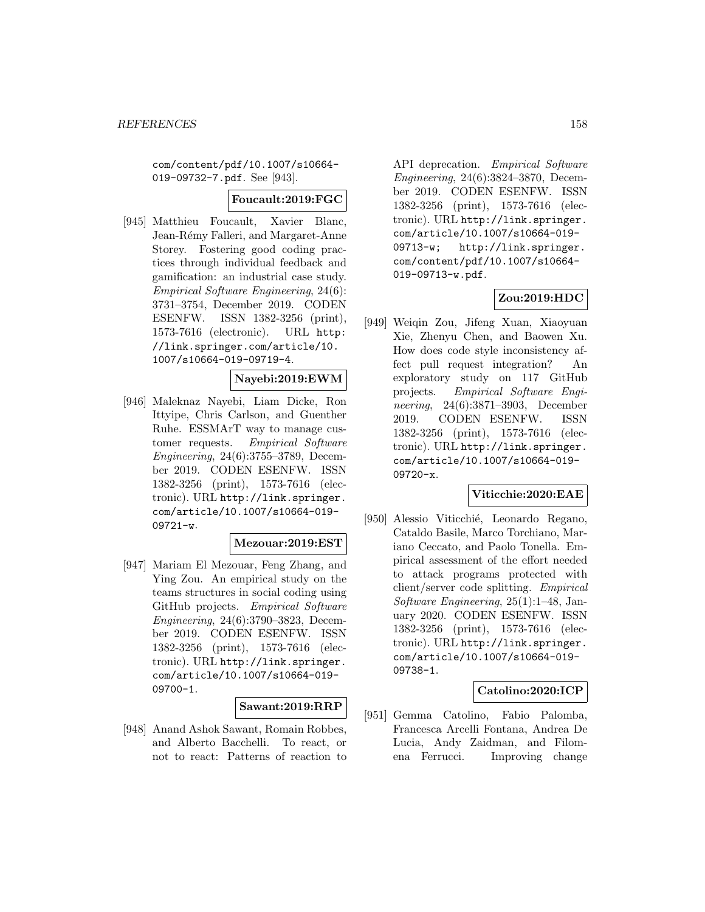com/content/pdf/10.1007/s10664- 019-09732-7.pdf. See [943].

### **Foucault:2019:FGC**

[945] Matthieu Foucault, Xavier Blanc, Jean-Rémy Falleri, and Margaret-Anne Storey. Fostering good coding practices through individual feedback and gamification: an industrial case study. Empirical Software Engineering, 24(6): 3731–3754, December 2019. CODEN ESENFW. ISSN 1382-3256 (print), 1573-7616 (electronic). URL http: //link.springer.com/article/10. 1007/s10664-019-09719-4.

# **Nayebi:2019:EWM**

[946] Maleknaz Nayebi, Liam Dicke, Ron Ittyipe, Chris Carlson, and Guenther Ruhe. ESSMArT way to manage customer requests. Empirical Software Engineering, 24(6):3755–3789, December 2019. CODEN ESENFW. ISSN 1382-3256 (print), 1573-7616 (electronic). URL http://link.springer. com/article/10.1007/s10664-019- 09721-w.

#### **Mezouar:2019:EST**

[947] Mariam El Mezouar, Feng Zhang, and Ying Zou. An empirical study on the teams structures in social coding using GitHub projects. Empirical Software Engineering, 24(6):3790–3823, December 2019. CODEN ESENFW. ISSN 1382-3256 (print), 1573-7616 (electronic). URL http://link.springer. com/article/10.1007/s10664-019- 09700-1.

# **Sawant:2019:RRP**

[948] Anand Ashok Sawant, Romain Robbes, and Alberto Bacchelli. To react, or not to react: Patterns of reaction to API deprecation. Empirical Software Engineering, 24(6):3824–3870, December 2019. CODEN ESENFW. ISSN 1382-3256 (print), 1573-7616 (electronic). URL http://link.springer. com/article/10.1007/s10664-019- 09713-w; http://link.springer. com/content/pdf/10.1007/s10664- 019-09713-w.pdf.

# **Zou:2019:HDC**

[949] Weiqin Zou, Jifeng Xuan, Xiaoyuan Xie, Zhenyu Chen, and Baowen Xu. How does code style inconsistency affect pull request integration? An exploratory study on 117 GitHub projects. Empirical Software Engineering, 24(6):3871–3903, December 2019. CODEN ESENFW. ISSN 1382-3256 (print), 1573-7616 (electronic). URL http://link.springer. com/article/10.1007/s10664-019- 09720-x.

### **Viticchie:2020:EAE**

[950] Alessio Viticchié, Leonardo Regano, Cataldo Basile, Marco Torchiano, Mariano Ceccato, and Paolo Tonella. Empirical assessment of the effort needed to attack programs protected with client/server code splitting. Empirical Software Engineering, 25(1):1–48, January 2020. CODEN ESENFW. ISSN 1382-3256 (print), 1573-7616 (electronic). URL http://link.springer. com/article/10.1007/s10664-019- 09738-1.

### **Catolino:2020:ICP**

[951] Gemma Catolino, Fabio Palomba, Francesca Arcelli Fontana, Andrea De Lucia, Andy Zaidman, and Filomena Ferrucci. Improving change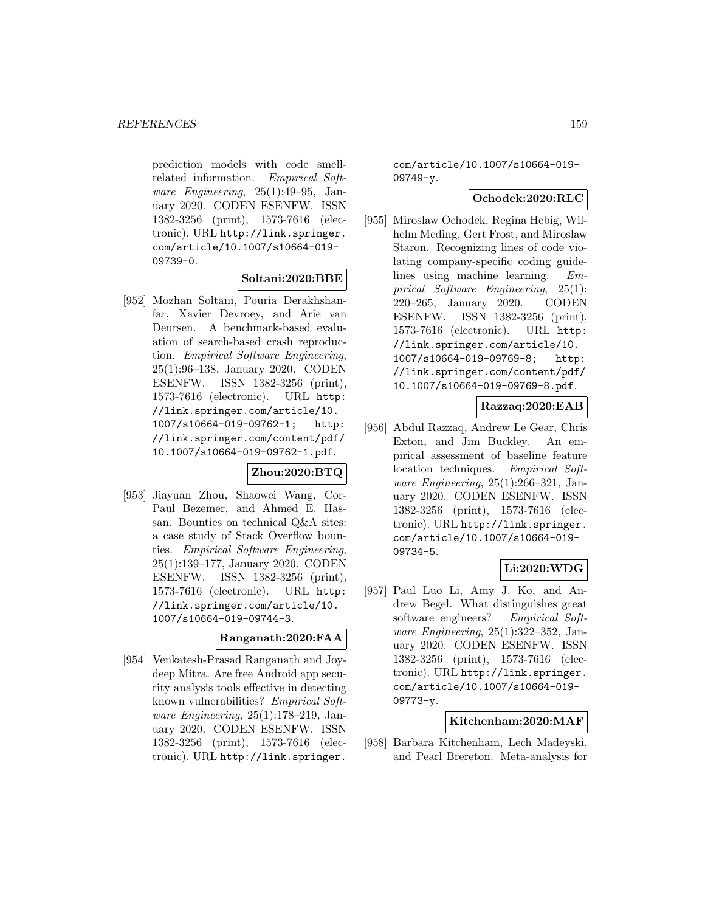prediction models with code smellrelated information. Empirical Software Engineering, 25(1):49–95, January 2020. CODEN ESENFW. ISSN 1382-3256 (print), 1573-7616 (electronic). URL http://link.springer. com/article/10.1007/s10664-019- 09739-0.

# **Soltani:2020:BBE**

[952] Mozhan Soltani, Pouria Derakhshanfar, Xavier Devroey, and Arie van Deursen. A benchmark-based evaluation of search-based crash reproduction. Empirical Software Engineering, 25(1):96–138, January 2020. CODEN ESENFW. ISSN 1382-3256 (print), 1573-7616 (electronic). URL http: //link.springer.com/article/10. 1007/s10664-019-09762-1; http: //link.springer.com/content/pdf/ 10.1007/s10664-019-09762-1.pdf.

# **Zhou:2020:BTQ**

[953] Jiayuan Zhou, Shaowei Wang, Cor-Paul Bezemer, and Ahmed E. Hassan. Bounties on technical Q&A sites: a case study of Stack Overflow bounties. Empirical Software Engineering, 25(1):139–177, January 2020. CODEN ESENFW. ISSN 1382-3256 (print), 1573-7616 (electronic). URL http: //link.springer.com/article/10. 1007/s10664-019-09744-3.

### **Ranganath:2020:FAA**

[954] Venkatesh-Prasad Ranganath and Joydeep Mitra. Are free Android app security analysis tools effective in detecting known vulnerabilities? Empirical Software Engineering, 25(1):178–219, January 2020. CODEN ESENFW. ISSN 1382-3256 (print), 1573-7616 (electronic). URL http://link.springer.

com/article/10.1007/s10664-019- 09749-y.

### **Ochodek:2020:RLC**

[955] Miroslaw Ochodek, Regina Hebig, Wilhelm Meding, Gert Frost, and Miroslaw Staron. Recognizing lines of code violating company-specific coding guidelines using machine learning. Empirical Software Engineering, 25(1): 220–265, January 2020. CODEN ESENFW. ISSN 1382-3256 (print), 1573-7616 (electronic). URL http: //link.springer.com/article/10. 1007/s10664-019-09769-8; http: //link.springer.com/content/pdf/ 10.1007/s10664-019-09769-8.pdf.

# **Razzaq:2020:EAB**

[956] Abdul Razzaq, Andrew Le Gear, Chris Exton, and Jim Buckley. An empirical assessment of baseline feature location techniques. Empirical Software Engineering, 25(1):266–321, January 2020. CODEN ESENFW. ISSN 1382-3256 (print), 1573-7616 (electronic). URL http://link.springer. com/article/10.1007/s10664-019- 09734-5.

# **Li:2020:WDG**

[957] Paul Luo Li, Amy J. Ko, and Andrew Begel. What distinguishes great software engineers? Empirical Software Engineering, 25(1):322–352, January 2020. CODEN ESENFW. ISSN 1382-3256 (print), 1573-7616 (electronic). URL http://link.springer. com/article/10.1007/s10664-019- 09773-y.

### **Kitchenham:2020:MAF**

[958] Barbara Kitchenham, Lech Madeyski, and Pearl Brereton. Meta-analysis for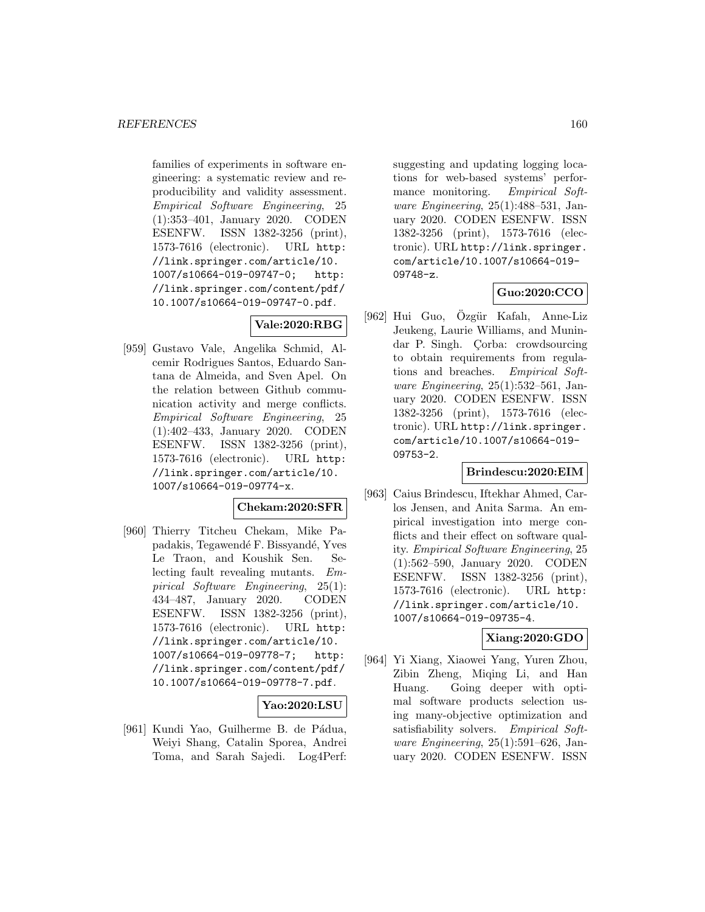families of experiments in software engineering: a systematic review and reproducibility and validity assessment. Empirical Software Engineering, 25 (1):353–401, January 2020. CODEN ESENFW. ISSN 1382-3256 (print), 1573-7616 (electronic). URL http: //link.springer.com/article/10. 1007/s10664-019-09747-0; http: //link.springer.com/content/pdf/ 10.1007/s10664-019-09747-0.pdf.

# **Vale:2020:RBG**

[959] Gustavo Vale, Angelika Schmid, Alcemir Rodrigues Santos, Eduardo Santana de Almeida, and Sven Apel. On the relation between Github communication activity and merge conflicts. Empirical Software Engineering, 25 (1):402–433, January 2020. CODEN ESENFW. ISSN 1382-3256 (print), 1573-7616 (electronic). URL http: //link.springer.com/article/10. 1007/s10664-019-09774-x.

# **Chekam:2020:SFR**

[960] Thierry Titcheu Chekam, Mike Papadakis, Tegawendé F. Bissyandé, Yves Le Traon, and Koushik Sen. Selecting fault revealing mutants. Empirical Software Engineering, 25(1): 434–487, January 2020. CODEN ESENFW. ISSN 1382-3256 (print), 1573-7616 (electronic). URL http: //link.springer.com/article/10. 1007/s10664-019-09778-7; http: //link.springer.com/content/pdf/ 10.1007/s10664-019-09778-7.pdf.

### **Yao:2020:LSU**

[961] Kundi Yao, Guilherme B. de Pádua, Weiyi Shang, Catalin Sporea, Andrei Toma, and Sarah Sajedi. Log4Perf: suggesting and updating logging locations for web-based systems' performance monitoring. Empirical Software Engineering, 25(1):488–531, January 2020. CODEN ESENFW. ISSN 1382-3256 (print), 1573-7616 (electronic). URL http://link.springer. com/article/10.1007/s10664-019- 09748-z.

# **Guo:2020:CCO**

[962] Hui Guo, Ozgür Kafalı, Anne-Liz Jeukeng, Laurie Williams, and Munindar P. Singh. Corba: crowdsourcing to obtain requirements from regulations and breaches. Empirical Software Engineering,  $25(1):532-561$ , January 2020. CODEN ESENFW. ISSN 1382-3256 (print), 1573-7616 (electronic). URL http://link.springer. com/article/10.1007/s10664-019- 09753-2.

### **Brindescu:2020:EIM**

[963] Caius Brindescu, Iftekhar Ahmed, Carlos Jensen, and Anita Sarma. An empirical investigation into merge conflicts and their effect on software quality. Empirical Software Engineering, 25 (1):562–590, January 2020. CODEN ESENFW. ISSN 1382-3256 (print), 1573-7616 (electronic). URL http: //link.springer.com/article/10. 1007/s10664-019-09735-4.

## **Xiang:2020:GDO**

[964] Yi Xiang, Xiaowei Yang, Yuren Zhou, Zibin Zheng, Miqing Li, and Han Huang. Going deeper with optimal software products selection using many-objective optimization and satisfiability solvers. Empirical Software Engineering, 25(1):591–626, January 2020. CODEN ESENFW. ISSN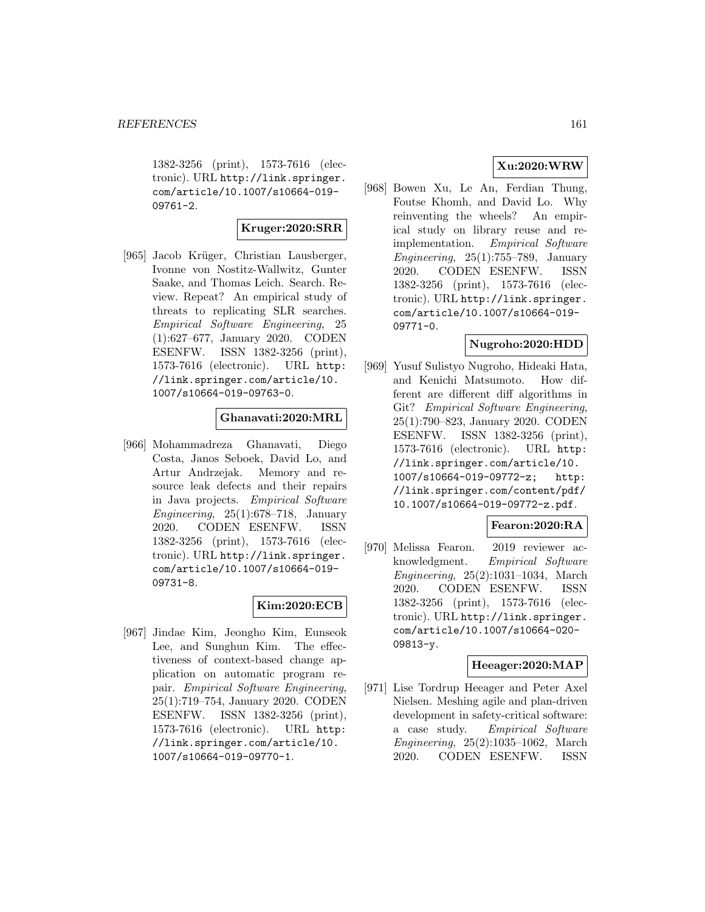1382-3256 (print), 1573-7616 (electronic). URL http://link.springer. com/article/10.1007/s10664-019- 09761-2.

# **Kruger:2020:SRR**

[965] Jacob Krüger, Christian Lausberger, Ivonne von Nostitz-Wallwitz, Gunter Saake, and Thomas Leich. Search. Review. Repeat? An empirical study of threats to replicating SLR searches. Empirical Software Engineering, 25 (1):627–677, January 2020. CODEN ESENFW. ISSN 1382-3256 (print), 1573-7616 (electronic). URL http: //link.springer.com/article/10. 1007/s10664-019-09763-0.

# **Ghanavati:2020:MRL**

[966] Mohammadreza Ghanavati, Diego Costa, Janos Seboek, David Lo, and Artur Andrzejak. Memory and resource leak defects and their repairs in Java projects. Empirical Software Engineering,  $25(1):678-718$ , January 2020. CODEN ESENFW. ISSN 1382-3256 (print), 1573-7616 (electronic). URL http://link.springer. com/article/10.1007/s10664-019- 09731-8.

### **Kim:2020:ECB**

[967] Jindae Kim, Jeongho Kim, Eunseok Lee, and Sunghun Kim. The effectiveness of context-based change application on automatic program repair. Empirical Software Engineering, 25(1):719–754, January 2020. CODEN ESENFW. ISSN 1382-3256 (print), 1573-7616 (electronic). URL http: //link.springer.com/article/10. 1007/s10664-019-09770-1.

# **Xu:2020:WRW**

[968] Bowen Xu, Le An, Ferdian Thung, Foutse Khomh, and David Lo. Why reinventing the wheels? An empirical study on library reuse and reimplementation. Empirical Software Engineering,  $25(1)$ :755–789, January 2020. CODEN ESENFW. ISSN 1382-3256 (print), 1573-7616 (electronic). URL http://link.springer. com/article/10.1007/s10664-019- 09771-0.

# **Nugroho:2020:HDD**

[969] Yusuf Sulistyo Nugroho, Hideaki Hata, and Kenichi Matsumoto. How different are different diff algorithms in Git? Empirical Software Engineering, 25(1):790–823, January 2020. CODEN ESENFW. ISSN 1382-3256 (print), 1573-7616 (electronic). URL http: //link.springer.com/article/10. 1007/s10664-019-09772-z; http: //link.springer.com/content/pdf/ 10.1007/s10664-019-09772-z.pdf.

### **Fearon:2020:RA**

[970] Melissa Fearon. 2019 reviewer acknowledgment. Empirical Software Engineering, 25(2):1031–1034, March 2020. CODEN ESENFW. ISSN 1382-3256 (print), 1573-7616 (electronic). URL http://link.springer. com/article/10.1007/s10664-020- 09813-y.

### **Heeager:2020:MAP**

[971] Lise Tordrup Heeager and Peter Axel Nielsen. Meshing agile and plan-driven development in safety-critical software: a case study. Empirical Software Engineering, 25(2):1035–1062, March 2020. CODEN ESENFW. ISSN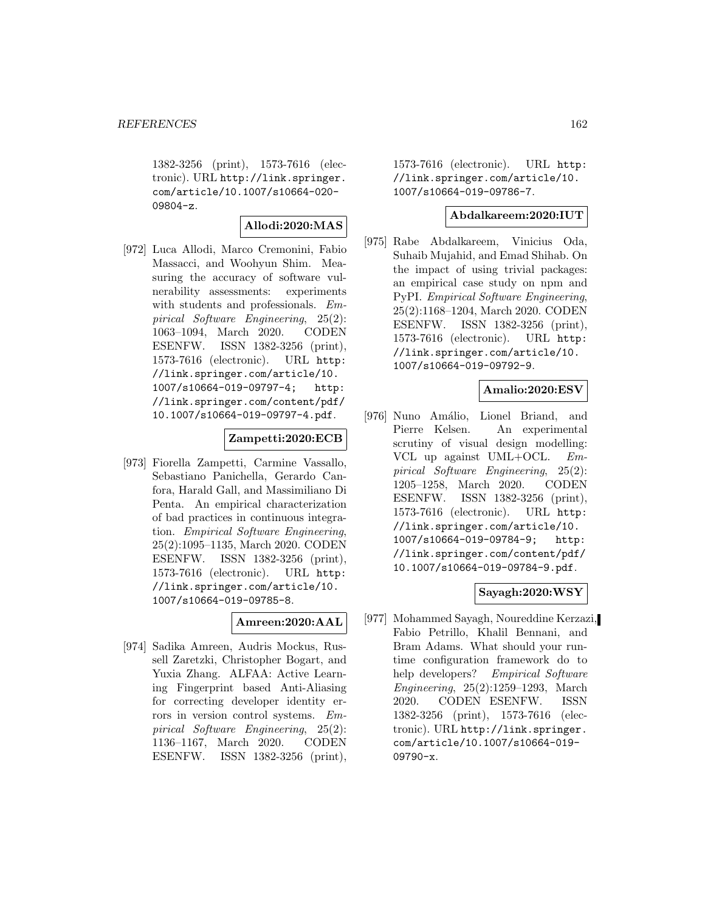1382-3256 (print), 1573-7616 (electronic). URL http://link.springer. com/article/10.1007/s10664-020- 09804-z.

### **Allodi:2020:MAS**

[972] Luca Allodi, Marco Cremonini, Fabio Massacci, and Woohyun Shim. Measuring the accuracy of software vulnerability assessments: experiments with students and professionals. Empirical Software Engineering, 25(2): 1063–1094, March 2020. CODEN ESENFW. ISSN 1382-3256 (print), 1573-7616 (electronic). URL http: //link.springer.com/article/10. 1007/s10664-019-09797-4; http: //link.springer.com/content/pdf/ 10.1007/s10664-019-09797-4.pdf.

### **Zampetti:2020:ECB**

[973] Fiorella Zampetti, Carmine Vassallo, Sebastiano Panichella, Gerardo Canfora, Harald Gall, and Massimiliano Di Penta. An empirical characterization of bad practices in continuous integration. Empirical Software Engineering, 25(2):1095–1135, March 2020. CODEN ESENFW. ISSN 1382-3256 (print), 1573-7616 (electronic). URL http: //link.springer.com/article/10. 1007/s10664-019-09785-8.

# **Amreen:2020:AAL**

[974] Sadika Amreen, Audris Mockus, Russell Zaretzki, Christopher Bogart, and Yuxia Zhang. ALFAA: Active Learning Fingerprint based Anti-Aliasing for correcting developer identity errors in version control systems. Empirical Software Engineering, 25(2): 1136–1167, March 2020. CODEN ESENFW. ISSN 1382-3256 (print),

1573-7616 (electronic). URL http: //link.springer.com/article/10. 1007/s10664-019-09786-7.

### **Abdalkareem:2020:IUT**

[975] Rabe Abdalkareem, Vinicius Oda, Suhaib Mujahid, and Emad Shihab. On the impact of using trivial packages: an empirical case study on npm and PyPI. Empirical Software Engineering, 25(2):1168–1204, March 2020. CODEN ESENFW. ISSN 1382-3256 (print), 1573-7616 (electronic). URL http: //link.springer.com/article/10. 1007/s10664-019-09792-9.

### **Amalio:2020:ESV**

[976] Nuno Amálio, Lionel Briand, and Pierre Kelsen. An experimental scrutiny of visual design modelling: VCL up against UML+OCL. Empirical Software Engineering, 25(2): 1205–1258, March 2020. CODEN ESENFW. ISSN 1382-3256 (print), 1573-7616 (electronic). URL http: //link.springer.com/article/10. 1007/s10664-019-09784-9; http: //link.springer.com/content/pdf/ 10.1007/s10664-019-09784-9.pdf.

### **Sayagh:2020:WSY**

[977] Mohammed Sayagh, Noureddine Kerzazi, Fabio Petrillo, Khalil Bennani, and Bram Adams. What should your runtime configuration framework do to help developers? Empirical Software Engineering, 25(2):1259–1293, March 2020. CODEN ESENFW. ISSN 1382-3256 (print), 1573-7616 (electronic). URL http://link.springer. com/article/10.1007/s10664-019- 09790-x.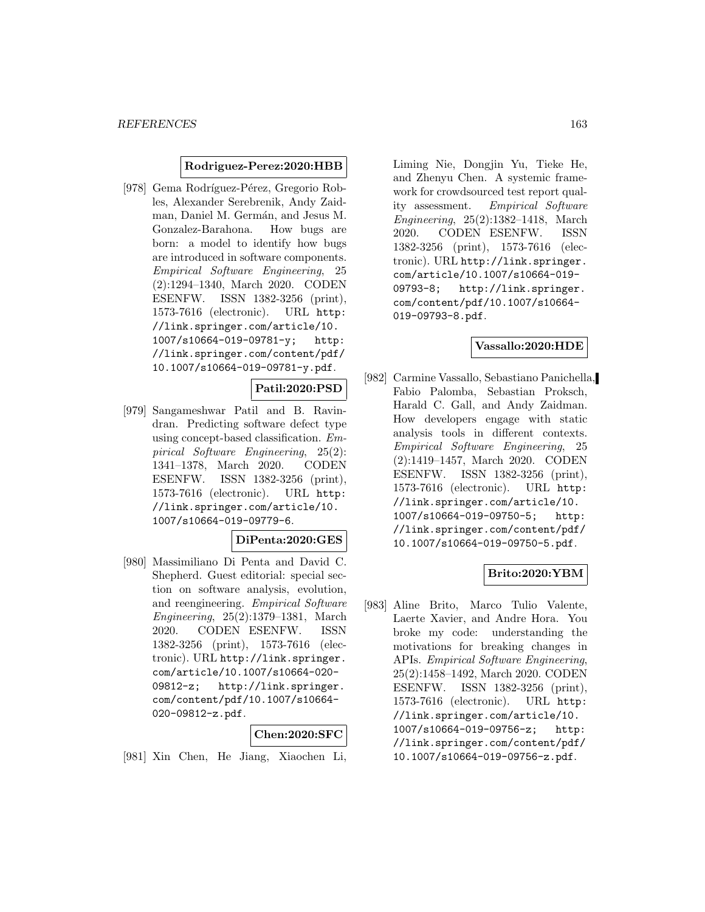### **Rodriguez-Perez:2020:HBB**

[978] Gema Rodríguez-Pérez, Gregorio Robles, Alexander Serebrenik, Andy Zaidman, Daniel M. Germán, and Jesus M. Gonzalez-Barahona. How bugs are born: a model to identify how bugs are introduced in software components. Empirical Software Engineering, 25 (2):1294–1340, March 2020. CODEN ESENFW. ISSN 1382-3256 (print), 1573-7616 (electronic). URL http: //link.springer.com/article/10. 1007/s10664-019-09781-y; http: //link.springer.com/content/pdf/ 10.1007/s10664-019-09781-y.pdf.

**Patil:2020:PSD**

[979] Sangameshwar Patil and B. Ravindran. Predicting software defect type using concept-based classification. Empirical Software Engineering, 25(2): 1341–1378, March 2020. CODEN ESENFW. ISSN 1382-3256 (print), 1573-7616 (electronic). URL http: //link.springer.com/article/10. 1007/s10664-019-09779-6.

#### **DiPenta:2020:GES**

[980] Massimiliano Di Penta and David C. Shepherd. Guest editorial: special section on software analysis, evolution, and reengineering. Empirical Software Engineering, 25(2):1379–1381, March 2020. CODEN ESENFW. ISSN 1382-3256 (print), 1573-7616 (electronic). URL http://link.springer. com/article/10.1007/s10664-020- 09812-z; http://link.springer. com/content/pdf/10.1007/s10664- 020-09812-z.pdf.

### **Chen:2020:SFC**

[981] Xin Chen, He Jiang, Xiaochen Li,

Liming Nie, Dongjin Yu, Tieke He, and Zhenyu Chen. A systemic framework for crowdsourced test report quality assessment. Empirical Software Engineering, 25(2):1382–1418, March 2020. CODEN ESENFW. ISSN 1382-3256 (print), 1573-7616 (electronic). URL http://link.springer. com/article/10.1007/s10664-019- 09793-8; http://link.springer. com/content/pdf/10.1007/s10664- 019-09793-8.pdf.

### **Vassallo:2020:HDE**

[982] Carmine Vassallo, Sebastiano Panichella, Fabio Palomba, Sebastian Proksch, Harald C. Gall, and Andy Zaidman. How developers engage with static analysis tools in different contexts. Empirical Software Engineering, 25 (2):1419–1457, March 2020. CODEN ESENFW. ISSN 1382-3256 (print), 1573-7616 (electronic). URL http: //link.springer.com/article/10. 1007/s10664-019-09750-5; http: //link.springer.com/content/pdf/ 10.1007/s10664-019-09750-5.pdf.

### **Brito:2020:YBM**

[983] Aline Brito, Marco Tulio Valente, Laerte Xavier, and Andre Hora. You broke my code: understanding the motivations for breaking changes in APIs. Empirical Software Engineering, 25(2):1458–1492, March 2020. CODEN ESENFW. ISSN 1382-3256 (print), 1573-7616 (electronic). URL http: //link.springer.com/article/10. 1007/s10664-019-09756-z; http: //link.springer.com/content/pdf/ 10.1007/s10664-019-09756-z.pdf.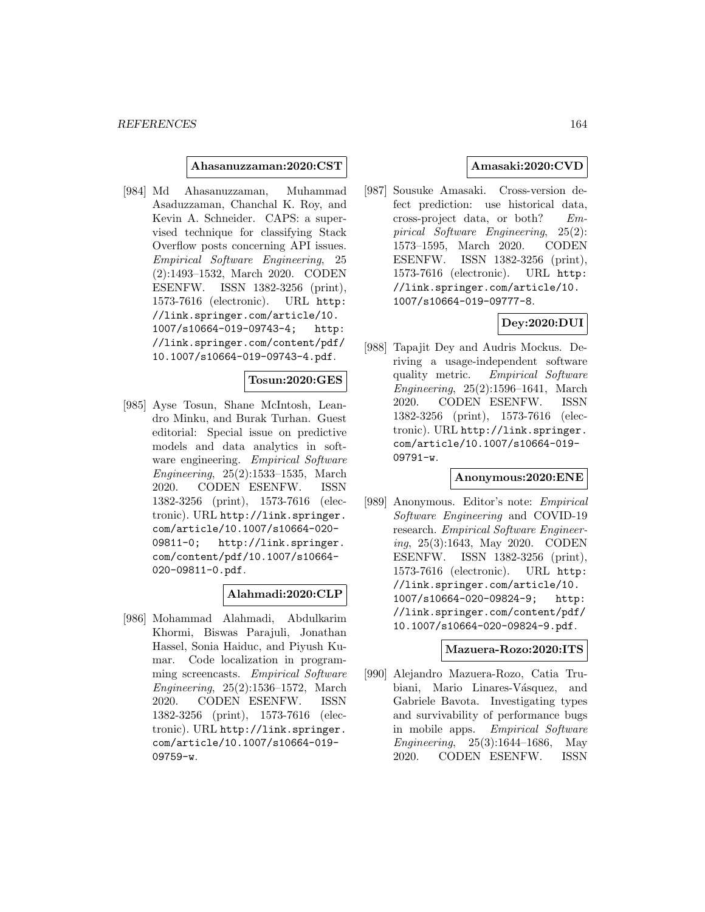#### **Ahasanuzzaman:2020:CST**

[984] Md Ahasanuzzaman, Muhammad Asaduzzaman, Chanchal K. Roy, and Kevin A. Schneider. CAPS: a supervised technique for classifying Stack Overflow posts concerning API issues. Empirical Software Engineering, 25 (2):1493–1532, March 2020. CODEN ESENFW. ISSN 1382-3256 (print), 1573-7616 (electronic). URL http: //link.springer.com/article/10. 1007/s10664-019-09743-4; http: //link.springer.com/content/pdf/ 10.1007/s10664-019-09743-4.pdf.

### **Tosun:2020:GES**

[985] Ayse Tosun, Shane McIntosh, Leandro Minku, and Burak Turhan. Guest editorial: Special issue on predictive models and data analytics in software engineering. Empirical Software Engineering, 25(2):1533–1535, March 2020. CODEN ESENFW. ISSN 1382-3256 (print), 1573-7616 (electronic). URL http://link.springer. com/article/10.1007/s10664-020- 09811-0; http://link.springer. com/content/pdf/10.1007/s10664- 020-09811-0.pdf.

#### **Alahmadi:2020:CLP**

[986] Mohammad Alahmadi, Abdulkarim Khormi, Biswas Parajuli, Jonathan Hassel, Sonia Haiduc, and Piyush Kumar. Code localization in programming screencasts. Empirical Software Engineering, 25(2):1536–1572, March 2020. CODEN ESENFW. ISSN 1382-3256 (print), 1573-7616 (electronic). URL http://link.springer. com/article/10.1007/s10664-019- 09759-w.

## **Amasaki:2020:CVD**

[987] Sousuke Amasaki. Cross-version defect prediction: use historical data, cross-project data, or both? Empirical Software Engineering, 25(2): 1573–1595, March 2020. CODEN ESENFW. ISSN 1382-3256 (print), 1573-7616 (electronic). URL http: //link.springer.com/article/10. 1007/s10664-019-09777-8.

# **Dey:2020:DUI**

[988] Tapajit Dey and Audris Mockus. Deriving a usage-independent software quality metric. Empirical Software Engineering, 25(2):1596–1641, March 2020. CODEN ESENFW. ISSN 1382-3256 (print), 1573-7616 (electronic). URL http://link.springer. com/article/10.1007/s10664-019- 09791-w.

### **Anonymous:2020:ENE**

[989] Anonymous. Editor's note: Empirical Software Engineering and COVID-19 research. Empirical Software Engineering, 25(3):1643, May 2020. CODEN ESENFW. ISSN 1382-3256 (print), 1573-7616 (electronic). URL http: //link.springer.com/article/10. 1007/s10664-020-09824-9; http: //link.springer.com/content/pdf/ 10.1007/s10664-020-09824-9.pdf.

#### **Mazuera-Rozo:2020:ITS**

[990] Alejandro Mazuera-Rozo, Catia Trubiani, Mario Linares-Vásquez, and Gabriele Bavota. Investigating types and survivability of performance bugs in mobile apps. Empirical Software Engineering, 25(3):1644–1686, May 2020. CODEN ESENFW. ISSN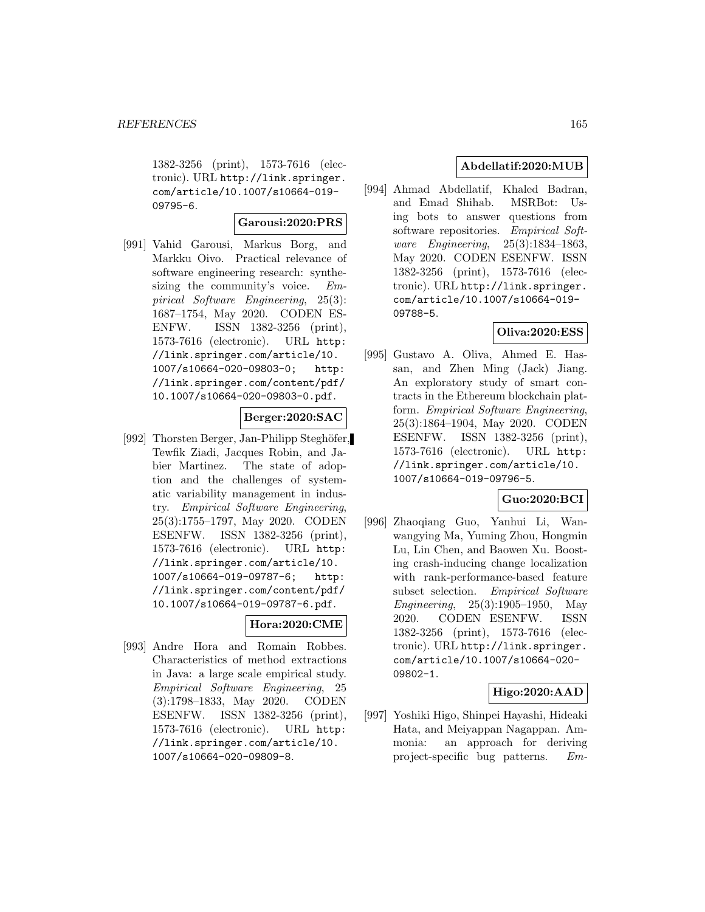1382-3256 (print), 1573-7616 (electronic). URL http://link.springer. com/article/10.1007/s10664-019- 09795-6.

### **Garousi:2020:PRS**

[991] Vahid Garousi, Markus Borg, and Markku Oivo. Practical relevance of software engineering research: synthesizing the community's voice. Empirical Software Engineering, 25(3): 1687–1754, May 2020. CODEN ES-ENFW. ISSN 1382-3256 (print), 1573-7616 (electronic). URL http: //link.springer.com/article/10. 1007/s10664-020-09803-0; http: //link.springer.com/content/pdf/ 10.1007/s10664-020-09803-0.pdf.

# **Berger:2020:SAC**

[992] Thorsten Berger, Jan-Philipp Steghöfer, Tewfik Ziadi, Jacques Robin, and Jabier Martinez. The state of adoption and the challenges of systematic variability management in industry. Empirical Software Engineering, 25(3):1755–1797, May 2020. CODEN ESENFW. ISSN 1382-3256 (print), 1573-7616 (electronic). URL http: //link.springer.com/article/10. 1007/s10664-019-09787-6; http: //link.springer.com/content/pdf/ 10.1007/s10664-019-09787-6.pdf.

## **Hora:2020:CME**

[993] Andre Hora and Romain Robbes. Characteristics of method extractions in Java: a large scale empirical study. Empirical Software Engineering, 25 (3):1798–1833, May 2020. CODEN ESENFW. ISSN 1382-3256 (print), 1573-7616 (electronic). URL http: //link.springer.com/article/10. 1007/s10664-020-09809-8.

## **Abdellatif:2020:MUB**

[994] Ahmad Abdellatif, Khaled Badran, and Emad Shihab. MSRBot: Using bots to answer questions from software repositories. Empirical Software Engineering, 25(3):1834–1863, May 2020. CODEN ESENFW. ISSN 1382-3256 (print), 1573-7616 (electronic). URL http://link.springer. com/article/10.1007/s10664-019- 09788-5.

### **Oliva:2020:ESS**

[995] Gustavo A. Oliva, Ahmed E. Hassan, and Zhen Ming (Jack) Jiang. An exploratory study of smart contracts in the Ethereum blockchain platform. Empirical Software Engineering, 25(3):1864–1904, May 2020. CODEN ESENFW. ISSN 1382-3256 (print), 1573-7616 (electronic). URL http: //link.springer.com/article/10. 1007/s10664-019-09796-5.

### **Guo:2020:BCI**

[996] Zhaoqiang Guo, Yanhui Li, Wanwangying Ma, Yuming Zhou, Hongmin Lu, Lin Chen, and Baowen Xu. Boosting crash-inducing change localization with rank-performance-based feature subset selection. Empirical Software Engineering, 25(3):1905–1950, May 2020. CODEN ESENFW. ISSN 1382-3256 (print), 1573-7616 (electronic). URL http://link.springer. com/article/10.1007/s10664-020- 09802-1.

### **Higo:2020:AAD**

[997] Yoshiki Higo, Shinpei Hayashi, Hideaki Hata, and Meiyappan Nagappan. Ammonia: an approach for deriving project-specific bug patterns. Em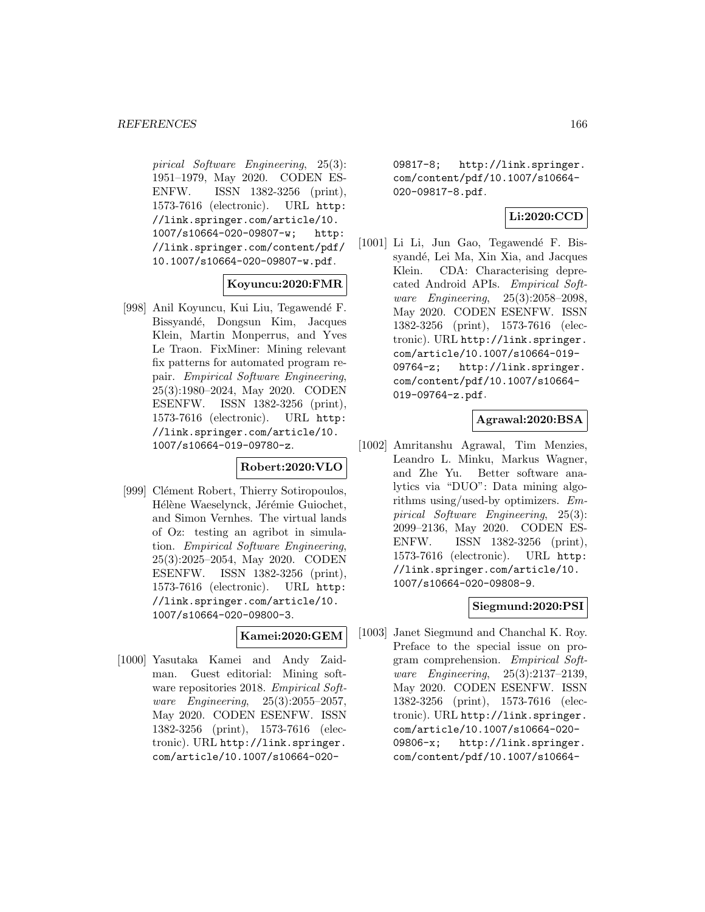pirical Software Engineering, 25(3): 1951–1979, May 2020. CODEN ES-ENFW. ISSN 1382-3256 (print), 1573-7616 (electronic). URL http: //link.springer.com/article/10. 1007/s10664-020-09807-w; http: //link.springer.com/content/pdf/ 10.1007/s10664-020-09807-w.pdf.

### **Koyuncu:2020:FMR**

[998] Anil Koyuncu, Kui Liu, Tegawendé F. Bissyand´e, Dongsun Kim, Jacques Klein, Martin Monperrus, and Yves Le Traon. FixMiner: Mining relevant fix patterns for automated program repair. Empirical Software Engineering, 25(3):1980–2024, May 2020. CODEN ESENFW. ISSN 1382-3256 (print), 1573-7616 (electronic). URL http: //link.springer.com/article/10. 1007/s10664-019-09780-z.

# **Robert:2020:VLO**

[999] Clément Robert, Thierry Sotiropoulos, Hélène Waeselynck, Jérémie Guiochet, and Simon Vernhes. The virtual lands of Oz: testing an agribot in simulation. Empirical Software Engineering, 25(3):2025–2054, May 2020. CODEN ESENFW. ISSN 1382-3256 (print), 1573-7616 (electronic). URL http: //link.springer.com/article/10. 1007/s10664-020-09800-3.

# **Kamei:2020:GEM**

[1000] Yasutaka Kamei and Andy Zaidman. Guest editorial: Mining software repositories 2018. Empirical Software Engineering, 25(3):2055–2057, May 2020. CODEN ESENFW. ISSN 1382-3256 (print), 1573-7616 (electronic). URL http://link.springer. com/article/10.1007/s10664-02009817-8; http://link.springer. com/content/pdf/10.1007/s10664- 020-09817-8.pdf.

## **Li:2020:CCD**

[1001] Li Li, Jun Gao, Tegawendé F. Bissyandé, Lei Ma, Xin Xia, and Jacques Klein. CDA: Characterising deprecated Android APIs. Empirical Software Engineering, 25(3):2058–2098, May 2020. CODEN ESENFW. ISSN 1382-3256 (print), 1573-7616 (electronic). URL http://link.springer. com/article/10.1007/s10664-019- 09764-z; http://link.springer. com/content/pdf/10.1007/s10664- 019-09764-z.pdf.

# **Agrawal:2020:BSA**

[1002] Amritanshu Agrawal, Tim Menzies, Leandro L. Minku, Markus Wagner, and Zhe Yu. Better software analytics via "DUO": Data mining algorithms using/used-by optimizers. Empirical Software Engineering, 25(3): 2099–2136, May 2020. CODEN ES-ENFW. ISSN 1382-3256 (print), 1573-7616 (electronic). URL http: //link.springer.com/article/10. 1007/s10664-020-09808-9.

### **Siegmund:2020:PSI**

[1003] Janet Siegmund and Chanchal K. Roy. Preface to the special issue on program comprehension. Empirical Software Engineering, 25(3):2137–2139, May 2020. CODEN ESENFW. ISSN 1382-3256 (print), 1573-7616 (electronic). URL http://link.springer. com/article/10.1007/s10664-020- 09806-x; http://link.springer. com/content/pdf/10.1007/s10664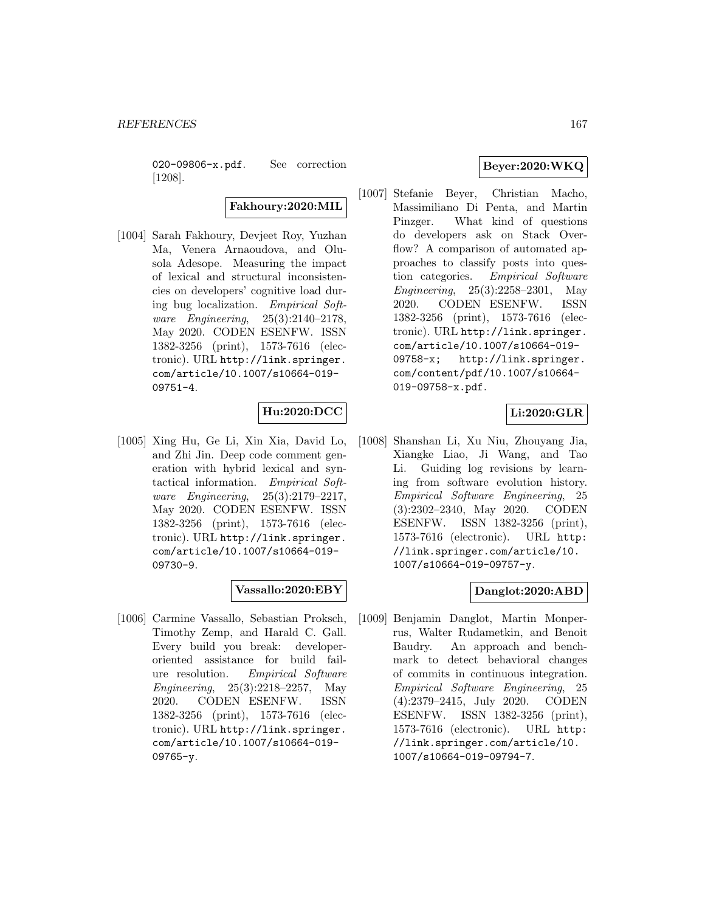020-09806-x.pdf. See correction [1208].

**Fakhoury:2020:MIL**

[1004] Sarah Fakhoury, Devjeet Roy, Yuzhan Ma, Venera Arnaoudova, and Olusola Adesope. Measuring the impact of lexical and structural inconsistencies on developers' cognitive load during bug localization. Empirical Software Engineering, 25(3):2140–2178, May 2020. CODEN ESENFW. ISSN 1382-3256 (print), 1573-7616 (electronic). URL http://link.springer. com/article/10.1007/s10664-019- 09751-4.

# **Hu:2020:DCC**

[1005] Xing Hu, Ge Li, Xin Xia, David Lo, and Zhi Jin. Deep code comment generation with hybrid lexical and syntactical information. Empirical Software Engineering, 25(3):2179–2217, May 2020. CODEN ESENFW. ISSN 1382-3256 (print), 1573-7616 (electronic). URL http://link.springer. com/article/10.1007/s10664-019- 09730-9.

# **Vassallo:2020:EBY**

[1006] Carmine Vassallo, Sebastian Proksch, Timothy Zemp, and Harald C. Gall. Every build you break: developeroriented assistance for build failure resolution. Empirical Software Engineering, 25(3):2218–2257, May 2020. CODEN ESENFW. ISSN 1382-3256 (print), 1573-7616 (electronic). URL http://link.springer. com/article/10.1007/s10664-019- 09765-y.

# **Beyer:2020:WKQ**

[1007] Stefanie Beyer, Christian Macho, Massimiliano Di Penta, and Martin Pinzger. What kind of questions do developers ask on Stack Overflow? A comparison of automated approaches to classify posts into question categories. Empirical Software Engineering, 25(3):2258–2301, May 2020. CODEN ESENFW. ISSN 1382-3256 (print), 1573-7616 (electronic). URL http://link.springer. com/article/10.1007/s10664-019- 09758-x; http://link.springer. com/content/pdf/10.1007/s10664- 019-09758-x.pdf.

# **Li:2020:GLR**

[1008] Shanshan Li, Xu Niu, Zhouyang Jia, Xiangke Liao, Ji Wang, and Tao Li. Guiding log revisions by learning from software evolution history. Empirical Software Engineering, 25 (3):2302–2340, May 2020. CODEN ESENFW. ISSN 1382-3256 (print), 1573-7616 (electronic). URL http: //link.springer.com/article/10. 1007/s10664-019-09757-y.

### **Danglot:2020:ABD**

[1009] Benjamin Danglot, Martin Monperrus, Walter Rudametkin, and Benoit Baudry. An approach and benchmark to detect behavioral changes of commits in continuous integration. Empirical Software Engineering, 25 (4):2379–2415, July 2020. CODEN ESENFW. ISSN 1382-3256 (print), 1573-7616 (electronic). URL http: //link.springer.com/article/10. 1007/s10664-019-09794-7.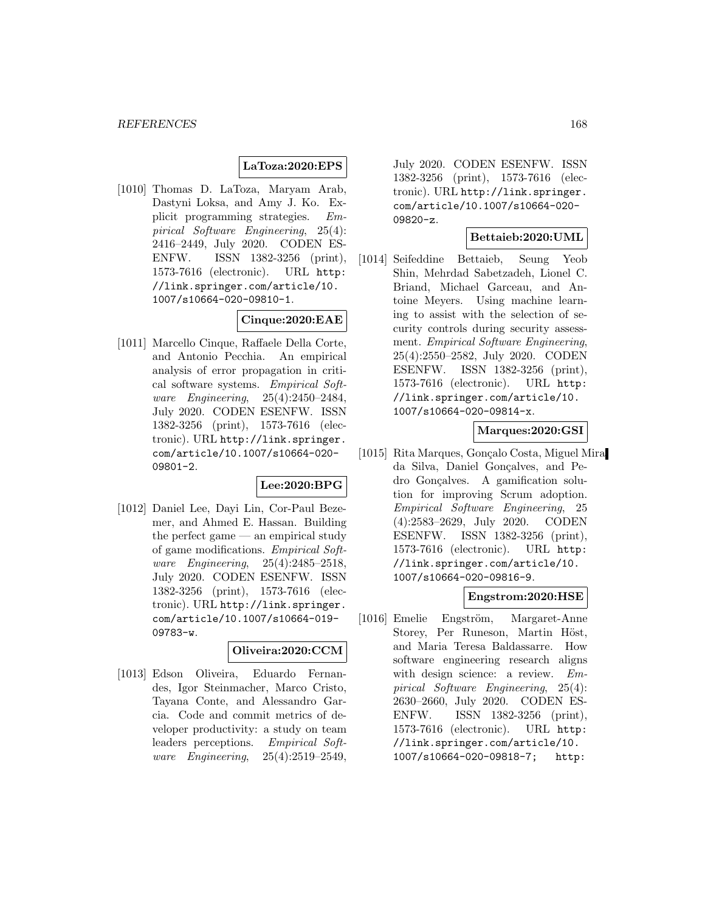## **LaToza:2020:EPS**

[1010] Thomas D. LaToza, Maryam Arab, Dastyni Loksa, and Amy J. Ko. Explicit programming strategies. Empirical Software Engineering, 25(4): 2416–2449, July 2020. CODEN ES-ENFW. ISSN 1382-3256 (print), 1573-7616 (electronic). URL http: //link.springer.com/article/10. 1007/s10664-020-09810-1.

## **Cinque:2020:EAE**

[1011] Marcello Cinque, Raffaele Della Corte, and Antonio Pecchia. An empirical analysis of error propagation in critical software systems. Empirical Software Engineering, 25(4):2450–2484, July 2020. CODEN ESENFW. ISSN 1382-3256 (print), 1573-7616 (electronic). URL http://link.springer. com/article/10.1007/s10664-020- 09801-2.

### **Lee:2020:BPG**

[1012] Daniel Lee, Dayi Lin, Cor-Paul Bezemer, and Ahmed E. Hassan. Building the perfect game — an empirical study of game modifications. Empirical Software Engineering, 25(4):2485–2518, July 2020. CODEN ESENFW. ISSN 1382-3256 (print), 1573-7616 (electronic). URL http://link.springer. com/article/10.1007/s10664-019- 09783-w.

#### **Oliveira:2020:CCM**

[1013] Edson Oliveira, Eduardo Fernandes, Igor Steinmacher, Marco Cristo, Tayana Conte, and Alessandro Garcia. Code and commit metrics of developer productivity: a study on team leaders perceptions. Empirical Software Engineering, 25(4):2519–2549,

July 2020. CODEN ESENFW. ISSN 1382-3256 (print), 1573-7616 (electronic). URL http://link.springer. com/article/10.1007/s10664-020- 09820-z.

### **Bettaieb:2020:UML**

[1014] Seifeddine Bettaieb, Seung Yeob Shin, Mehrdad Sabetzadeh, Lionel C. Briand, Michael Garceau, and Antoine Meyers. Using machine learning to assist with the selection of security controls during security assessment. Empirical Software Engineering, 25(4):2550–2582, July 2020. CODEN ESENFW. ISSN 1382-3256 (print), 1573-7616 (electronic). URL http: //link.springer.com/article/10. 1007/s10664-020-09814-x.

# **Marques:2020:GSI**

[1015] Rita Marques, Gonçalo Costa, Miguel Mira da Silva, Daniel Gonçalves, and Pedro Gonçalves. A gamification solution for improving Scrum adoption. Empirical Software Engineering, 25 (4):2583–2629, July 2020. CODEN ESENFW. ISSN 1382-3256 (print), 1573-7616 (electronic). URL http: //link.springer.com/article/10. 1007/s10664-020-09816-9.

#### **Engstrom:2020:HSE**

[1016] Emelie Engström, Margaret-Anne Storey, Per Runeson, Martin Höst, and Maria Teresa Baldassarre. How software engineering research aligns with design science: a review. Empirical Software Engineering, 25(4): 2630–2660, July 2020. CODEN ES-ENFW. ISSN 1382-3256 (print), 1573-7616 (electronic). URL http: //link.springer.com/article/10. 1007/s10664-020-09818-7; http: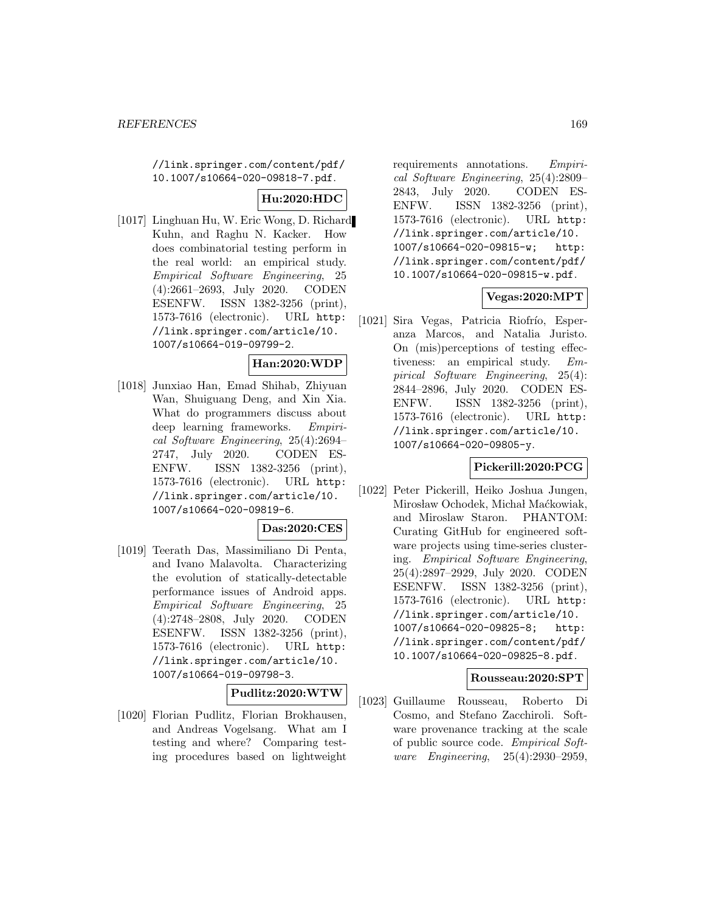//link.springer.com/content/pdf/ 10.1007/s10664-020-09818-7.pdf.

# **Hu:2020:HDC**

[1017] Linghuan Hu, W. Eric Wong, D. Richard Kuhn, and Raghu N. Kacker. How does combinatorial testing perform in the real world: an empirical study. Empirical Software Engineering, 25 (4):2661–2693, July 2020. CODEN ESENFW. ISSN 1382-3256 (print), 1573-7616 (electronic). URL http: //link.springer.com/article/10. 1007/s10664-019-09799-2.

# **Han:2020:WDP**

[1018] Junxiao Han, Emad Shihab, Zhiyuan Wan, Shuiguang Deng, and Xin Xia. What do programmers discuss about deep learning frameworks. Empirical Software Engineering, 25(4):2694– 2747, July 2020. CODEN ES-ENFW. ISSN 1382-3256 (print), 1573-7616 (electronic). URL http: //link.springer.com/article/10. 1007/s10664-020-09819-6.

### **Das:2020:CES**

[1019] Teerath Das, Massimiliano Di Penta, and Ivano Malavolta. Characterizing the evolution of statically-detectable performance issues of Android apps. Empirical Software Engineering, 25 (4):2748–2808, July 2020. CODEN ESENFW. ISSN 1382-3256 (print), 1573-7616 (electronic). URL http: //link.springer.com/article/10. 1007/s10664-019-09798-3.

## **Pudlitz:2020:WTW**

[1020] Florian Pudlitz, Florian Brokhausen, and Andreas Vogelsang. What am I testing and where? Comparing testing procedures based on lightweight

requirements annotations. Empirical Software Engineering, 25(4):2809– 2843, July 2020. CODEN ES-ENFW. ISSN 1382-3256 (print), 1573-7616 (electronic). URL http: //link.springer.com/article/10. 1007/s10664-020-09815-w; http: //link.springer.com/content/pdf/ 10.1007/s10664-020-09815-w.pdf.

### **Vegas:2020:MPT**

[1021] Sira Vegas, Patricia Riofrío, Esperanza Marcos, and Natalia Juristo. On (mis)perceptions of testing effectiveness: an empirical study. Empirical Software Engineering, 25(4): 2844–2896, July 2020. CODEN ES-ENFW. ISSN 1382-3256 (print), 1573-7616 (electronic). URL http: //link.springer.com/article/10. 1007/s10664-020-09805-y.

# **Pickerill:2020:PCG**

[1022] Peter Pickerill, Heiko Joshua Jungen, Mirosław Ochodek, Michał Maćkowiak, and Miroslaw Staron. PHANTOM: Curating GitHub for engineered software projects using time-series clustering. Empirical Software Engineering, 25(4):2897–2929, July 2020. CODEN ESENFW. ISSN 1382-3256 (print), 1573-7616 (electronic). URL http: //link.springer.com/article/10. 1007/s10664-020-09825-8; http: //link.springer.com/content/pdf/ 10.1007/s10664-020-09825-8.pdf.

### **Rousseau:2020:SPT**

[1023] Guillaume Rousseau, Roberto Di Cosmo, and Stefano Zacchiroli. Software provenance tracking at the scale of public source code. Empirical Software Engineering, 25(4):2930–2959,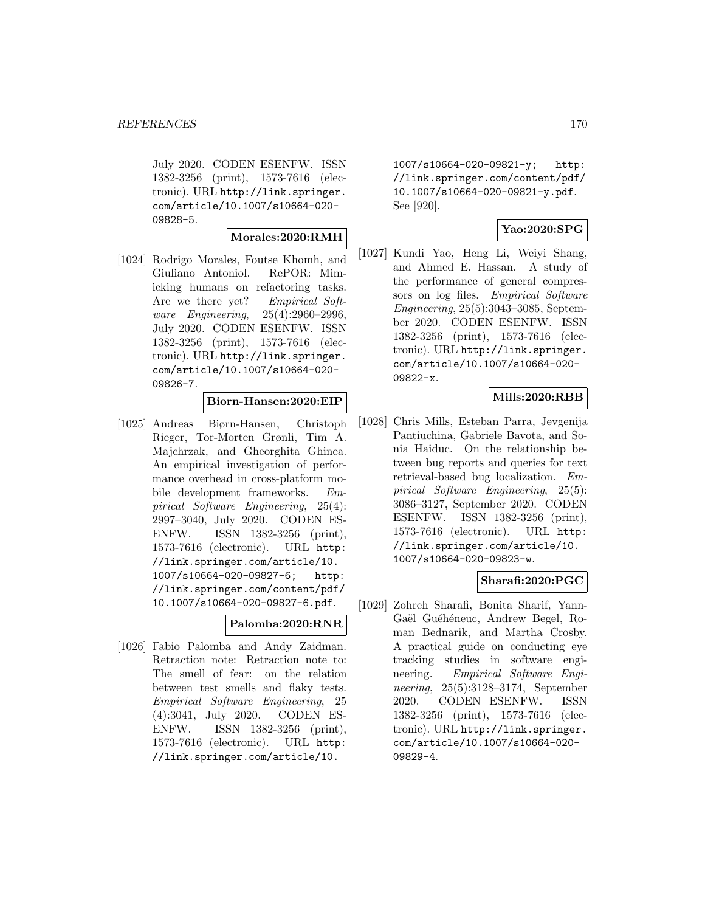July 2020. CODEN ESENFW. ISSN 1382-3256 (print), 1573-7616 (electronic). URL http://link.springer. com/article/10.1007/s10664-020- 09828-5.

#### **Morales:2020:RMH**

[1024] Rodrigo Morales, Foutse Khomh, and Giuliano Antoniol. RePOR: Mimicking humans on refactoring tasks. Are we there yet? Empirical Software Engineering, 25(4):2960–2996, July 2020. CODEN ESENFW. ISSN 1382-3256 (print), 1573-7616 (electronic). URL http://link.springer. com/article/10.1007/s10664-020- 09826-7.

# **Biorn-Hansen:2020:EIP**

[1025] Andreas Biørn-Hansen, Christoph Rieger, Tor-Morten Grønli, Tim A. Majchrzak, and Gheorghita Ghinea. An empirical investigation of performance overhead in cross-platform mobile development frameworks. Empirical Software Engineering, 25(4): 2997–3040, July 2020. CODEN ES-ENFW. ISSN 1382-3256 (print), 1573-7616 (electronic). URL http: //link.springer.com/article/10. 1007/s10664-020-09827-6; http: //link.springer.com/content/pdf/ 10.1007/s10664-020-09827-6.pdf.

#### **Palomba:2020:RNR**

[1026] Fabio Palomba and Andy Zaidman. Retraction note: Retraction note to: The smell of fear: on the relation between test smells and flaky tests. Empirical Software Engineering, 25 (4):3041, July 2020. CODEN ES-ENFW. ISSN 1382-3256 (print), 1573-7616 (electronic). URL http: //link.springer.com/article/10.

1007/s10664-020-09821-y; http: //link.springer.com/content/pdf/ 10.1007/s10664-020-09821-y.pdf. See [920].

# **Yao:2020:SPG**

[1027] Kundi Yao, Heng Li, Weiyi Shang, and Ahmed E. Hassan. A study of the performance of general compressors on log files. Empirical Software Engineering, 25(5):3043–3085, September 2020. CODEN ESENFW. ISSN 1382-3256 (print), 1573-7616 (electronic). URL http://link.springer. com/article/10.1007/s10664-020- 09822-x.

# **Mills:2020:RBB**

[1028] Chris Mills, Esteban Parra, Jevgenija Pantiuchina, Gabriele Bavota, and Sonia Haiduc. On the relationship between bug reports and queries for text retrieval-based bug localization. Empirical Software Engineering, 25(5): 3086–3127, September 2020. CODEN ESENFW. ISSN 1382-3256 (print), 1573-7616 (electronic). URL http: //link.springer.com/article/10. 1007/s10664-020-09823-w.

# **Sharafi:2020:PGC**

[1029] Zohreh Sharafi, Bonita Sharif, Yann-Gaël Guéhéneuc, Andrew Begel, Roman Bednarik, and Martha Crosby. A practical guide on conducting eye tracking studies in software engineering. Empirical Software Engineering, 25(5):3128–3174, September 2020. CODEN ESENFW. ISSN 1382-3256 (print), 1573-7616 (electronic). URL http://link.springer. com/article/10.1007/s10664-020- 09829-4.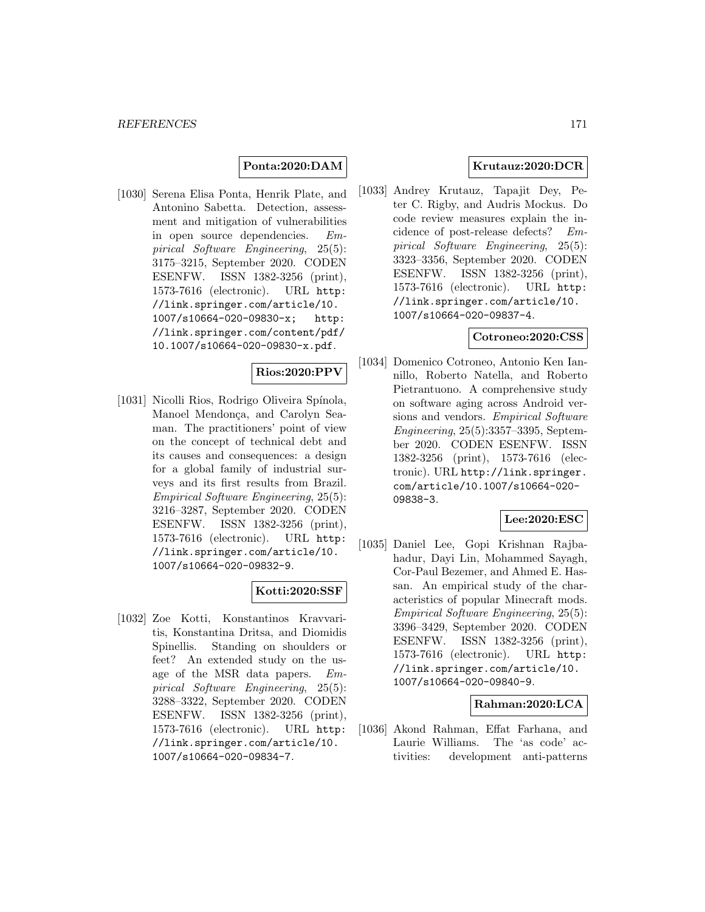## **Ponta:2020:DAM**

[1030] Serena Elisa Ponta, Henrik Plate, and Antonino Sabetta. Detection, assessment and mitigation of vulnerabilities in open source dependencies. Empirical Software Engineering, 25(5): 3175–3215, September 2020. CODEN ESENFW. ISSN 1382-3256 (print), 1573-7616 (electronic). URL http: //link.springer.com/article/10. 1007/s10664-020-09830-x; http: //link.springer.com/content/pdf/ 10.1007/s10664-020-09830-x.pdf.

### **Rios:2020:PPV**

[1031] Nicolli Rios, Rodrigo Oliveira Spínola, Manoel Mendonça, and Carolyn Seaman. The practitioners' point of view on the concept of technical debt and its causes and consequences: a design for a global family of industrial surveys and its first results from Brazil. Empirical Software Engineering, 25(5): 3216–3287, September 2020. CODEN ESENFW. ISSN 1382-3256 (print), 1573-7616 (electronic). URL http: //link.springer.com/article/10. 1007/s10664-020-09832-9.

### **Kotti:2020:SSF**

[1032] Zoe Kotti, Konstantinos Kravvaritis, Konstantina Dritsa, and Diomidis Spinellis. Standing on shoulders or feet? An extended study on the usage of the MSR data papers. Empirical Software Engineering, 25(5): 3288–3322, September 2020. CODEN ESENFW. ISSN 1382-3256 (print), 1573-7616 (electronic). URL http: //link.springer.com/article/10. 1007/s10664-020-09834-7.

### **Krutauz:2020:DCR**

[1033] Andrey Krutauz, Tapajit Dey, Peter C. Rigby, and Audris Mockus. Do code review measures explain the incidence of post-release defects? Empirical Software Engineering, 25(5): 3323–3356, September 2020. CODEN ESENFW. ISSN 1382-3256 (print), 1573-7616 (electronic). URL http: //link.springer.com/article/10. 1007/s10664-020-09837-4.

### **Cotroneo:2020:CSS**

[1034] Domenico Cotroneo, Antonio Ken Iannillo, Roberto Natella, and Roberto Pietrantuono. A comprehensive study on software aging across Android versions and vendors. Empirical Software Engineering, 25(5):3357–3395, September 2020. CODEN ESENFW. ISSN 1382-3256 (print), 1573-7616 (electronic). URL http://link.springer. com/article/10.1007/s10664-020- 09838-3.

# **Lee:2020:ESC**

[1035] Daniel Lee, Gopi Krishnan Rajbahadur, Dayi Lin, Mohammed Sayagh, Cor-Paul Bezemer, and Ahmed E. Hassan. An empirical study of the characteristics of popular Minecraft mods. Empirical Software Engineering, 25(5): 3396–3429, September 2020. CODEN ESENFW. ISSN 1382-3256 (print), 1573-7616 (electronic). URL http: //link.springer.com/article/10. 1007/s10664-020-09840-9.

### **Rahman:2020:LCA**

[1036] Akond Rahman, Effat Farhana, and Laurie Williams. The 'as code' activities: development anti-patterns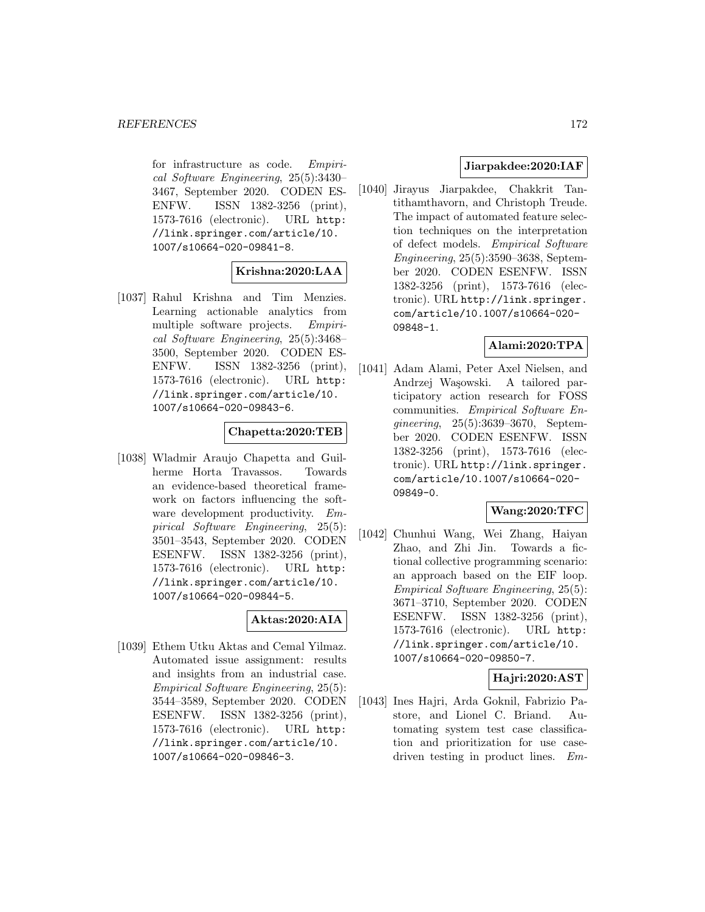for infrastructure as code. Empirical Software Engineering, 25(5):3430– 3467, September 2020. CODEN ES-ENFW. ISSN 1382-3256 (print), 1573-7616 (electronic). URL http: //link.springer.com/article/10. 1007/s10664-020-09841-8.

# **Krishna:2020:LAA**

[1037] Rahul Krishna and Tim Menzies. Learning actionable analytics from multiple software projects. Empirical Software Engineering, 25(5):3468– 3500, September 2020. CODEN ES-ENFW. ISSN 1382-3256 (print), 1573-7616 (electronic). URL http: //link.springer.com/article/10. 1007/s10664-020-09843-6.

### **Chapetta:2020:TEB**

[1038] Wladmir Araujo Chapetta and Guilherme Horta Travassos. Towards an evidence-based theoretical framework on factors influencing the software development productivity. Empirical Software Engineering, 25(5): 3501–3543, September 2020. CODEN ESENFW. ISSN 1382-3256 (print), 1573-7616 (electronic). URL http: //link.springer.com/article/10. 1007/s10664-020-09844-5.

### **Aktas:2020:AIA**

[1039] Ethem Utku Aktas and Cemal Yilmaz. Automated issue assignment: results and insights from an industrial case. Empirical Software Engineering, 25(5): 3544–3589, September 2020. CODEN ESENFW. ISSN 1382-3256 (print), 1573-7616 (electronic). URL http: //link.springer.com/article/10. 1007/s10664-020-09846-3.

# **Jiarpakdee:2020:IAF**

[1040] Jirayus Jiarpakdee, Chakkrit Tantithamthavorn, and Christoph Treude. The impact of automated feature selection techniques on the interpretation of defect models. Empirical Software Engineering, 25(5):3590–3638, September 2020. CODEN ESENFW. ISSN 1382-3256 (print), 1573-7616 (electronic). URL http://link.springer. com/article/10.1007/s10664-020- 09848-1.

## **Alami:2020:TPA**

[1041] Adam Alami, Peter Axel Nielsen, and Andrzej Wa¸sowski. A tailored participatory action research for FOSS communities. Empirical Software Engineering, 25(5):3639–3670, September 2020. CODEN ESENFW. ISSN 1382-3256 (print), 1573-7616 (electronic). URL http://link.springer. com/article/10.1007/s10664-020- 09849-0.

### **Wang:2020:TFC**

[1042] Chunhui Wang, Wei Zhang, Haiyan Zhao, and Zhi Jin. Towards a fictional collective programming scenario: an approach based on the EIF loop. Empirical Software Engineering, 25(5): 3671–3710, September 2020. CODEN ESENFW. ISSN 1382-3256 (print), 1573-7616 (electronic). URL http: //link.springer.com/article/10. 1007/s10664-020-09850-7.

### **Hajri:2020:AST**

[1043] Ines Hajri, Arda Goknil, Fabrizio Pastore, and Lionel C. Briand. Automating system test case classification and prioritization for use casedriven testing in product lines. Em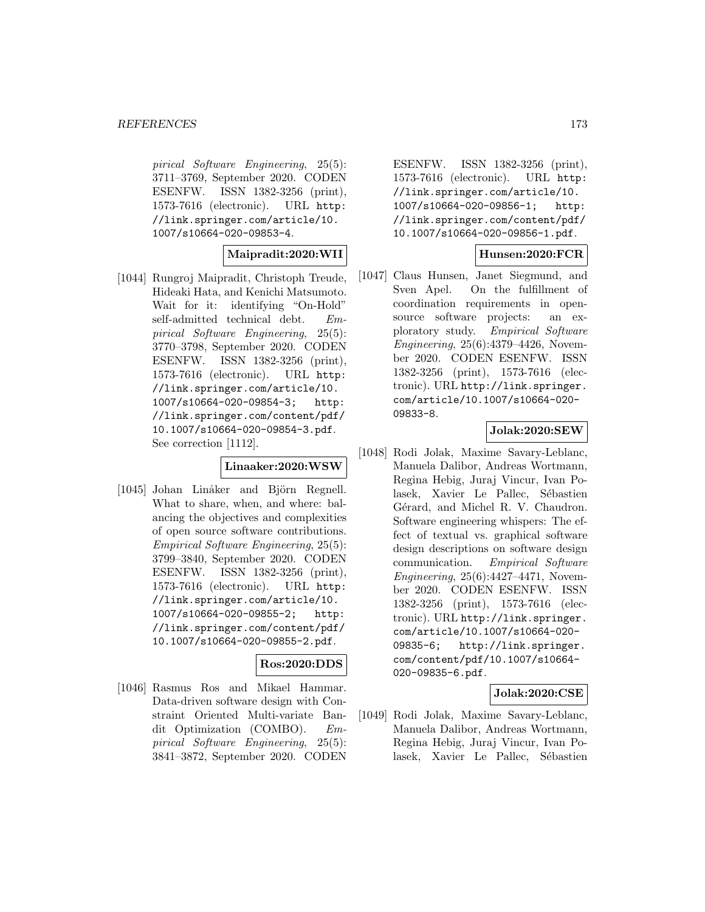pirical Software Engineering, 25(5): 3711–3769, September 2020. CODEN ESENFW. ISSN 1382-3256 (print), 1573-7616 (electronic). URL http: //link.springer.com/article/10. 1007/s10664-020-09853-4.

### **Maipradit:2020:WII**

[1044] Rungroj Maipradit, Christoph Treude, Hideaki Hata, and Kenichi Matsumoto. Wait for it: identifying "On-Hold" self-admitted technical debt. Empirical Software Engineering, 25(5): 3770–3798, September 2020. CODEN ESENFW. ISSN 1382-3256 (print), 1573-7616 (electronic). URL http: //link.springer.com/article/10. 1007/s10664-020-09854-3; http: //link.springer.com/content/pdf/ 10.1007/s10664-020-09854-3.pdf. See correction [1112].

#### **Linaaker:2020:WSW**

[1045] Johan Linåker and Björn Regnell. What to share, when, and where: balancing the objectives and complexities of open source software contributions. Empirical Software Engineering, 25(5): 3799–3840, September 2020. CODEN ESENFW. ISSN 1382-3256 (print), 1573-7616 (electronic). URL http: //link.springer.com/article/10. 1007/s10664-020-09855-2; http: //link.springer.com/content/pdf/ 10.1007/s10664-020-09855-2.pdf.

# **Ros:2020:DDS**

[1046] Rasmus Ros and Mikael Hammar. Data-driven software design with Constraint Oriented Multi-variate Bandit Optimization (COMBO). Empirical Software Engineering, 25(5): 3841–3872, September 2020. CODEN

ESENFW. ISSN 1382-3256 (print), 1573-7616 (electronic). URL http: //link.springer.com/article/10. 1007/s10664-020-09856-1; http: //link.springer.com/content/pdf/ 10.1007/s10664-020-09856-1.pdf.

### **Hunsen:2020:FCR**

[1047] Claus Hunsen, Janet Siegmund, and Sven Apel. On the fulfillment of coordination requirements in opensource software projects: an exploratory study. Empirical Software Engineering, 25(6):4379–4426, November 2020. CODEN ESENFW. ISSN 1382-3256 (print), 1573-7616 (electronic). URL http://link.springer. com/article/10.1007/s10664-020- 09833-8.

# **Jolak:2020:SEW**

[1048] Rodi Jolak, Maxime Savary-Leblanc, Manuela Dalibor, Andreas Wortmann, Regina Hebig, Juraj Vincur, Ivan Polasek, Xavier Le Pallec, Sébastien Gérard, and Michel R. V. Chaudron. Software engineering whispers: The effect of textual vs. graphical software design descriptions on software design communication. Empirical Software Engineering, 25(6):4427–4471, November 2020. CODEN ESENFW. ISSN 1382-3256 (print), 1573-7616 (electronic). URL http://link.springer. com/article/10.1007/s10664-020- 09835-6; http://link.springer. com/content/pdf/10.1007/s10664- 020-09835-6.pdf.

### **Jolak:2020:CSE**

[1049] Rodi Jolak, Maxime Savary-Leblanc, Manuela Dalibor, Andreas Wortmann, Regina Hebig, Juraj Vincur, Ivan Polasek, Xavier Le Pallec, Sébastien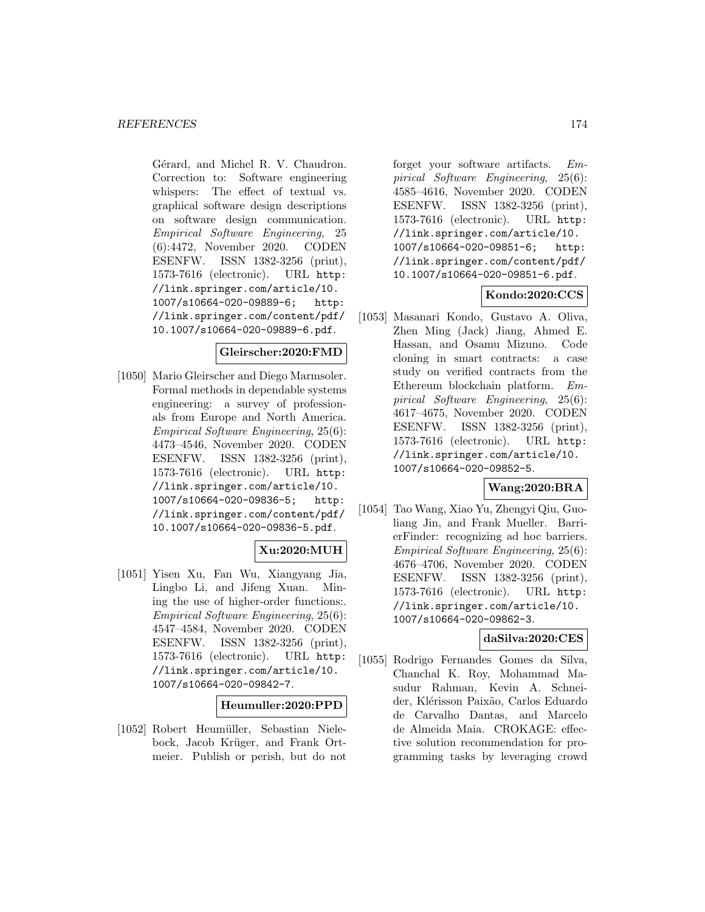Gérard, and Michel R. V. Chaudron. Correction to: Software engineering whispers: The effect of textual vs. graphical software design descriptions on software design communication. Empirical Software Engineering, 25 (6):4472, November 2020. CODEN ESENFW. ISSN 1382-3256 (print), 1573-7616 (electronic). URL http: //link.springer.com/article/10. 1007/s10664-020-09889-6; http: //link.springer.com/content/pdf/ 10.1007/s10664-020-09889-6.pdf.

### **Gleirscher:2020:FMD**

[1050] Mario Gleirscher and Diego Marmsoler. Formal methods in dependable systems engineering: a survey of professionals from Europe and North America. Empirical Software Engineering, 25(6): 4473–4546, November 2020. CODEN ESENFW. ISSN 1382-3256 (print), 1573-7616 (electronic). URL http: //link.springer.com/article/10. 1007/s10664-020-09836-5; http: //link.springer.com/content/pdf/ 10.1007/s10664-020-09836-5.pdf.

# **Xu:2020:MUH**

[1051] Yisen Xu, Fan Wu, Xiangyang Jia, Lingbo Li, and Jifeng Xuan. Mining the use of higher-order functions:. Empirical Software Engineering, 25(6): 4547–4584, November 2020. CODEN ESENFW. ISSN 1382-3256 (print), 1573-7616 (electronic). URL http: //link.springer.com/article/10. 1007/s10664-020-09842-7.

### **Heumuller:2020:PPD**

[1052] Robert Heumüller, Sebastian Nielebock, Jacob Krüger, and Frank Ortmeier. Publish or perish, but do not

forget your software artifacts. Empirical Software Engineering, 25(6): 4585–4616, November 2020. CODEN ESENFW. ISSN 1382-3256 (print), 1573-7616 (electronic). URL http: //link.springer.com/article/10. 1007/s10664-020-09851-6; http: //link.springer.com/content/pdf/ 10.1007/s10664-020-09851-6.pdf.

### **Kondo:2020:CCS**

[1053] Masanari Kondo, Gustavo A. Oliva, Zhen Ming (Jack) Jiang, Ahmed E. Hassan, and Osamu Mizuno. Code cloning in smart contracts: a case study on verified contracts from the Ethereum blockchain platform. Empirical Software Engineering, 25(6): 4617–4675, November 2020. CODEN ESENFW. ISSN 1382-3256 (print), 1573-7616 (electronic). URL http: //link.springer.com/article/10. 1007/s10664-020-09852-5.

# **Wang:2020:BRA**

[1054] Tao Wang, Xiao Yu, Zhengyi Qiu, Guoliang Jin, and Frank Mueller. BarrierFinder: recognizing ad hoc barriers. Empirical Software Engineering, 25(6): 4676–4706, November 2020. CODEN ESENFW. ISSN 1382-3256 (print), 1573-7616 (electronic). URL http: //link.springer.com/article/10. 1007/s10664-020-09862-3.

## **daSilva:2020:CES**

[1055] Rodrigo Fernandes Gomes da Silva, Chanchal K. Roy, Mohammad Masudur Rahman, Kevin A. Schneider, Klérisson Paixão, Carlos Eduardo de Carvalho Dantas, and Marcelo de Almeida Maia. CROKAGE: effective solution recommendation for programming tasks by leveraging crowd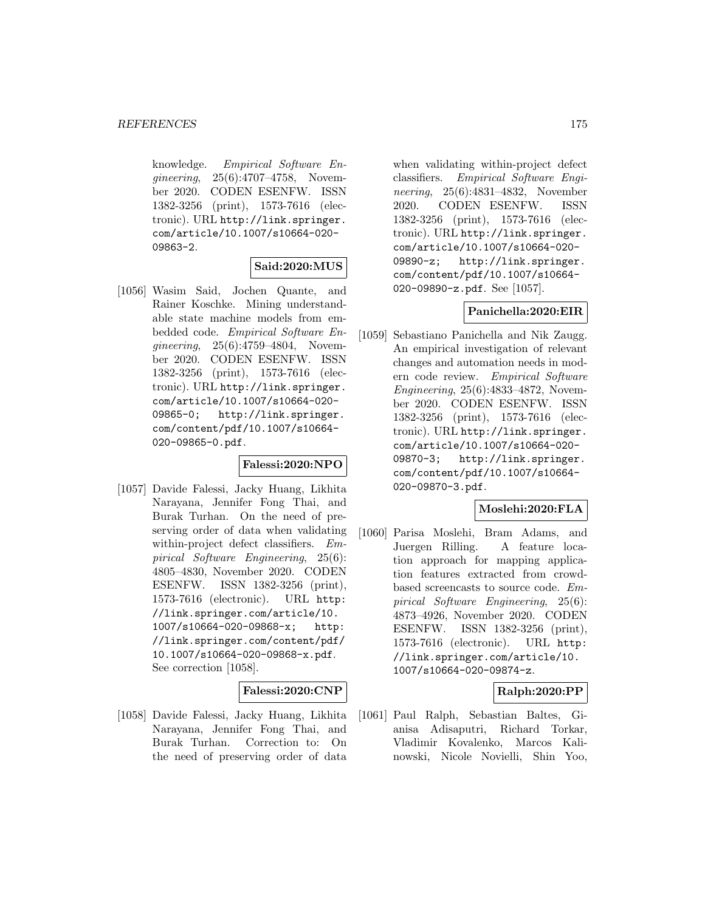knowledge. Empirical Software Engineering, 25(6):4707–4758, November 2020. CODEN ESENFW. ISSN 1382-3256 (print), 1573-7616 (electronic). URL http://link.springer. com/article/10.1007/s10664-020- 09863-2.

# **Said:2020:MUS**

[1056] Wasim Said, Jochen Quante, and Rainer Koschke. Mining understandable state machine models from embedded code. Empirical Software Engineering, 25(6):4759–4804, November 2020. CODEN ESENFW. ISSN 1382-3256 (print), 1573-7616 (electronic). URL http://link.springer. com/article/10.1007/s10664-020- 09865-0; http://link.springer. com/content/pdf/10.1007/s10664- 020-09865-0.pdf.

# **Falessi:2020:NPO**

[1057] Davide Falessi, Jacky Huang, Likhita Narayana, Jennifer Fong Thai, and Burak Turhan. On the need of preserving order of data when validating within-project defect classifiers. Empirical Software Engineering, 25(6): 4805–4830, November 2020. CODEN ESENFW. ISSN 1382-3256 (print), 1573-7616 (electronic). URL http: //link.springer.com/article/10. 1007/s10664-020-09868-x; http: //link.springer.com/content/pdf/ 10.1007/s10664-020-09868-x.pdf. See correction [1058].

# **Falessi:2020:CNP**

[1058] Davide Falessi, Jacky Huang, Likhita Narayana, Jennifer Fong Thai, and Burak Turhan. Correction to: On the need of preserving order of data

when validating within-project defect classifiers. Empirical Software Engineering, 25(6):4831–4832, November 2020. CODEN ESENFW. ISSN 1382-3256 (print), 1573-7616 (electronic). URL http://link.springer. com/article/10.1007/s10664-020- 09890-z; http://link.springer. com/content/pdf/10.1007/s10664- 020-09890-z.pdf. See [1057].

### **Panichella:2020:EIR**

[1059] Sebastiano Panichella and Nik Zaugg. An empirical investigation of relevant changes and automation needs in modern code review. Empirical Software Engineering, 25(6):4833–4872, November 2020. CODEN ESENFW. ISSN 1382-3256 (print), 1573-7616 (electronic). URL http://link.springer. com/article/10.1007/s10664-020- 09870-3; http://link.springer. com/content/pdf/10.1007/s10664- 020-09870-3.pdf.

### **Moslehi:2020:FLA**

[1060] Parisa Moslehi, Bram Adams, and Juergen Rilling. A feature location approach for mapping application features extracted from crowdbased screencasts to source code. Empirical Software Engineering, 25(6): 4873–4926, November 2020. CODEN ESENFW. ISSN 1382-3256 (print), 1573-7616 (electronic). URL http: //link.springer.com/article/10. 1007/s10664-020-09874-z.

### **Ralph:2020:PP**

[1061] Paul Ralph, Sebastian Baltes, Gianisa Adisaputri, Richard Torkar, Vladimir Kovalenko, Marcos Kalinowski, Nicole Novielli, Shin Yoo,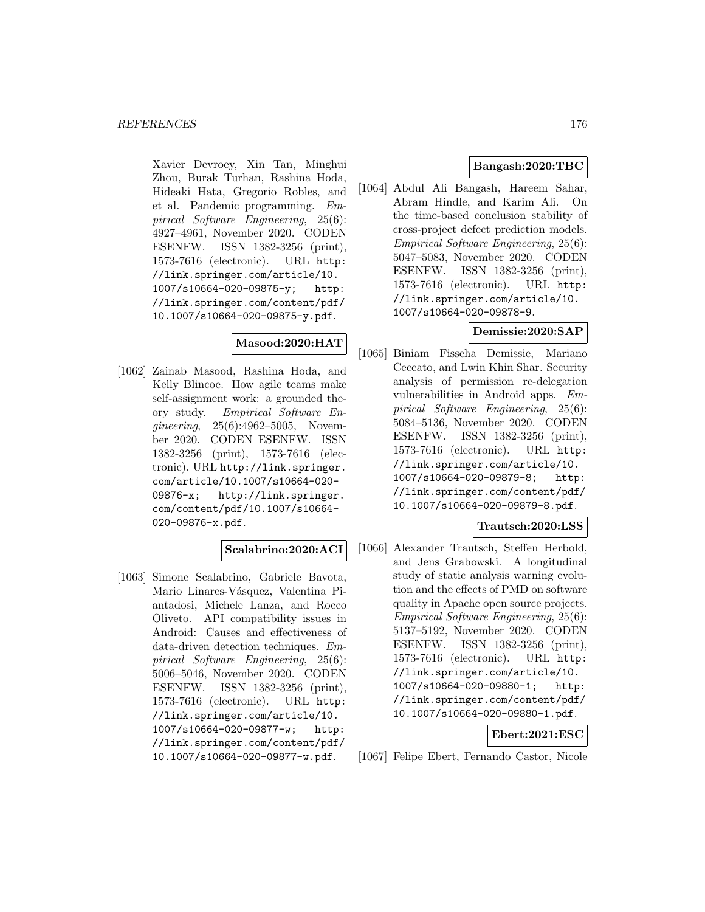Xavier Devroey, Xin Tan, Minghui Zhou, Burak Turhan, Rashina Hoda, Hideaki Hata, Gregorio Robles, and et al. Pandemic programming. Empirical Software Engineering, 25(6): 4927–4961, November 2020. CODEN ESENFW. ISSN 1382-3256 (print), 1573-7616 (electronic). URL http: //link.springer.com/article/10. 1007/s10664-020-09875-y; http: //link.springer.com/content/pdf/ 10.1007/s10664-020-09875-y.pdf.

# **Masood:2020:HAT**

[1062] Zainab Masood, Rashina Hoda, and Kelly Blincoe. How agile teams make self-assignment work: a grounded theory study. Empirical Software Engineering, 25(6):4962–5005, November 2020. CODEN ESENFW. ISSN 1382-3256 (print), 1573-7616 (electronic). URL http://link.springer. com/article/10.1007/s10664-020- 09876-x; http://link.springer. com/content/pdf/10.1007/s10664- 020-09876-x.pdf.

### **Scalabrino:2020:ACI**

[1063] Simone Scalabrino, Gabriele Bavota, Mario Linares-Vásquez, Valentina Piantadosi, Michele Lanza, and Rocco Oliveto. API compatibility issues in Android: Causes and effectiveness of data-driven detection techniques. Empirical Software Engineering, 25(6): 5006–5046, November 2020. CODEN ESENFW. ISSN 1382-3256 (print), 1573-7616 (electronic). URL http: //link.springer.com/article/10. 1007/s10664-020-09877-w; http: //link.springer.com/content/pdf/ 10.1007/s10664-020-09877-w.pdf.

### **Bangash:2020:TBC**

[1064] Abdul Ali Bangash, Hareem Sahar, Abram Hindle, and Karim Ali. On the time-based conclusion stability of cross-project defect prediction models. Empirical Software Engineering, 25(6): 5047–5083, November 2020. CODEN ESENFW. ISSN 1382-3256 (print), 1573-7616 (electronic). URL http: //link.springer.com/article/10. 1007/s10664-020-09878-9.

### **Demissie:2020:SAP**

[1065] Biniam Fisseha Demissie, Mariano Ceccato, and Lwin Khin Shar. Security analysis of permission re-delegation vulnerabilities in Android apps. Empirical Software Engineering, 25(6): 5084–5136, November 2020. CODEN ESENFW. ISSN 1382-3256 (print), 1573-7616 (electronic). URL http: //link.springer.com/article/10. 1007/s10664-020-09879-8; http: //link.springer.com/content/pdf/ 10.1007/s10664-020-09879-8.pdf.

### **Trautsch:2020:LSS**

[1066] Alexander Trautsch, Steffen Herbold, and Jens Grabowski. A longitudinal study of static analysis warning evolution and the effects of PMD on software quality in Apache open source projects. Empirical Software Engineering, 25(6): 5137–5192, November 2020. CODEN ESENFW. ISSN 1382-3256 (print), 1573-7616 (electronic). URL http: //link.springer.com/article/10. 1007/s10664-020-09880-1; http: //link.springer.com/content/pdf/ 10.1007/s10664-020-09880-1.pdf.

### **Ebert:2021:ESC**

[1067] Felipe Ebert, Fernando Castor, Nicole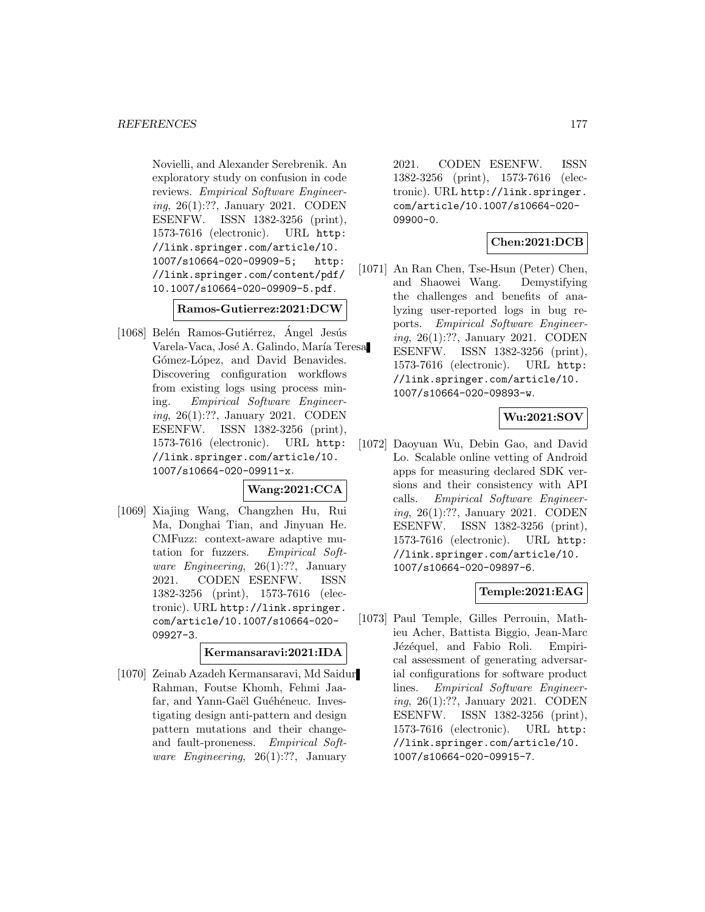Novielli, and Alexander Serebrenik. An exploratory study on confusion in code reviews. Empirical Software Engineering, 26(1):??, January 2021. CODEN ESENFW. ISSN 1382-3256 (print), 1573-7616 (electronic). URL http: //link.springer.com/article/10. 1007/s10664-020-09909-5; http: //link.springer.com/content/pdf/ 10.1007/s10664-020-09909-5.pdf.

### **Ramos-Gutierrez:2021:DCW**

 $[1068]$  Belén Ramos-Gutiérrez, Ángel Jesús Varela-Vaca, José A. Galindo, María Teresa Gómez-López, and David Benavides. Discovering configuration workflows from existing logs using process mining. Empirical Software Engineering, 26(1):??, January 2021. CODEN ESENFW. ISSN 1382-3256 (print), 1573-7616 (electronic). URL http: //link.springer.com/article/10. 1007/s10664-020-09911-x.

# **Wang:2021:CCA**

[1069] Xiajing Wang, Changzhen Hu, Rui Ma, Donghai Tian, and Jinyuan He. CMFuzz: context-aware adaptive mutation for fuzzers. Empirical Software *Engineering*, 26(1):??, January 2021. CODEN ESENFW. ISSN 1382-3256 (print), 1573-7616 (electronic). URL http://link.springer. com/article/10.1007/s10664-020- 09927-3.

### **Kermansaravi:2021:IDA**

[1070] Zeinab Azadeh Kermansaravi, Md Saidur Rahman, Foutse Khomh, Fehmi Jaafar, and Yann-Gaël Guéhéneuc. Investigating design anti-pattern and design pattern mutations and their changeand fault-proneness. Empirical Soft*ware Engineering*,  $26(1)$ :??, January

2021. CODEN ESENFW. ISSN 1382-3256 (print), 1573-7616 (electronic). URL http://link.springer. com/article/10.1007/s10664-020- 09900-0.

# **Chen:2021:DCB**

[1071] An Ran Chen, Tse-Hsun (Peter) Chen, and Shaowei Wang. Demystifying the challenges and benefits of analyzing user-reported logs in bug reports. Empirical Software Engineering, 26(1):??, January 2021. CODEN ESENFW. ISSN 1382-3256 (print), 1573-7616 (electronic). URL http: //link.springer.com/article/10. 1007/s10664-020-09893-w.

# **Wu:2021:SOV**

[1072] Daoyuan Wu, Debin Gao, and David Lo. Scalable online vetting of Android apps for measuring declared SDK versions and their consistency with API calls. Empirical Software Engineering, 26(1):??, January 2021. CODEN ESENFW. ISSN 1382-3256 (print), 1573-7616 (electronic). URL http: //link.springer.com/article/10. 1007/s10664-020-09897-6.

# **Temple:2021:EAG**

[1073] Paul Temple, Gilles Perrouin, Mathieu Acher, Battista Biggio, Jean-Marc Jézéquel, and Fabio Roli. Empirical assessment of generating adversarial configurations for software product lines. Empirical Software Engineering, 26(1):??, January 2021. CODEN ESENFW. ISSN 1382-3256 (print), 1573-7616 (electronic). URL http: //link.springer.com/article/10. 1007/s10664-020-09915-7.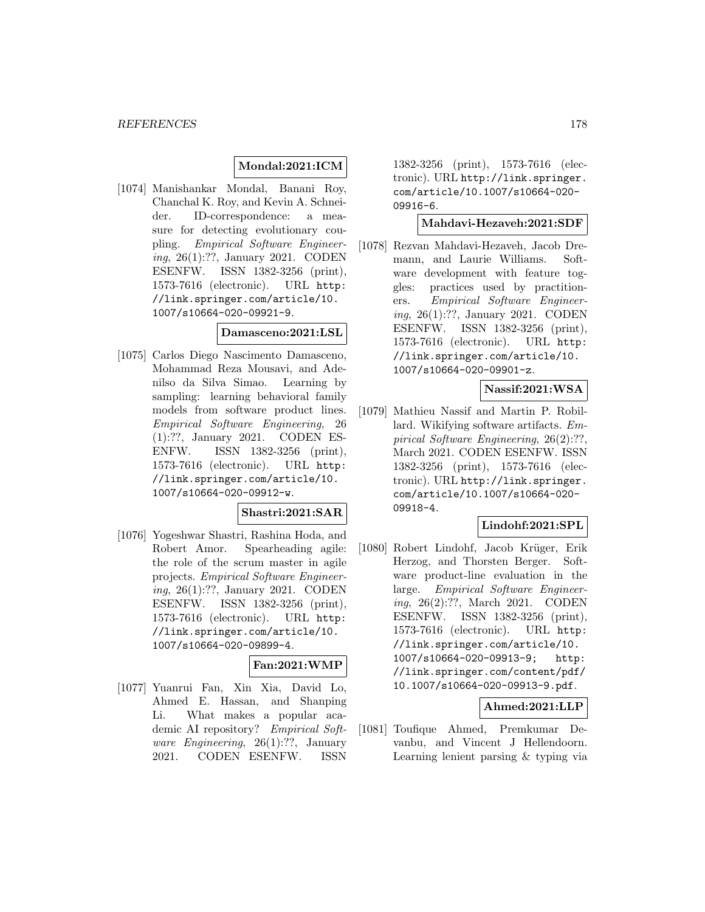### **Mondal:2021:ICM**

[1074] Manishankar Mondal, Banani Roy, Chanchal K. Roy, and Kevin A. Schneider. ID-correspondence: a measure for detecting evolutionary coupling. Empirical Software Engineering, 26(1):??, January 2021. CODEN ESENFW. ISSN 1382-3256 (print), 1573-7616 (electronic). URL http: //link.springer.com/article/10. 1007/s10664-020-09921-9.

### **Damasceno:2021:LSL**

[1075] Carlos Diego Nascimento Damasceno, Mohammad Reza Mousavi, and Adenilso da Silva Simao. Learning by sampling: learning behavioral family models from software product lines. Empirical Software Engineering, 26 (1):??, January 2021. CODEN ES-ENFW. ISSN 1382-3256 (print), 1573-7616 (electronic). URL http: //link.springer.com/article/10. 1007/s10664-020-09912-w.

# **Shastri:2021:SAR**

[1076] Yogeshwar Shastri, Rashina Hoda, and Robert Amor. Spearheading agile: the role of the scrum master in agile projects. Empirical Software Engineering, 26(1):??, January 2021. CODEN ESENFW. ISSN 1382-3256 (print), 1573-7616 (electronic). URL http: //link.springer.com/article/10. 1007/s10664-020-09899-4.

# **Fan:2021:WMP**

[1077] Yuanrui Fan, Xin Xia, David Lo, Ahmed E. Hassan, and Shanping Li. What makes a popular academic AI repository? Empirical Software Engineering, 26(1):??, January 2021. CODEN ESENFW. ISSN

1382-3256 (print), 1573-7616 (electronic). URL http://link.springer. com/article/10.1007/s10664-020- 09916-6.

### **Mahdavi-Hezaveh:2021:SDF**

[1078] Rezvan Mahdavi-Hezaveh, Jacob Dremann, and Laurie Williams. Software development with feature toggles: practices used by practitioners. Empirical Software Engineering, 26(1):??, January 2021. CODEN ESENFW. ISSN 1382-3256 (print), 1573-7616 (electronic). URL http: //link.springer.com/article/10. 1007/s10664-020-09901-z.

### **Nassif:2021:WSA**

[1079] Mathieu Nassif and Martin P. Robillard. Wikifying software artifacts. Empirical Software Engineering, 26(2):??, March 2021. CODEN ESENFW. ISSN 1382-3256 (print), 1573-7616 (electronic). URL http://link.springer. com/article/10.1007/s10664-020- 09918-4.

# **Lindohf:2021:SPL**

[1080] Robert Lindohf, Jacob Krüger, Erik Herzog, and Thorsten Berger. Software product-line evaluation in the large. Empirical Software Engineering, 26(2):??, March 2021. CODEN ESENFW. ISSN 1382-3256 (print), 1573-7616 (electronic). URL http: //link.springer.com/article/10. 1007/s10664-020-09913-9; http: //link.springer.com/content/pdf/ 10.1007/s10664-020-09913-9.pdf.

### **Ahmed:2021:LLP**

[1081] Toufique Ahmed, Premkumar Devanbu, and Vincent J Hellendoorn. Learning lenient parsing & typing via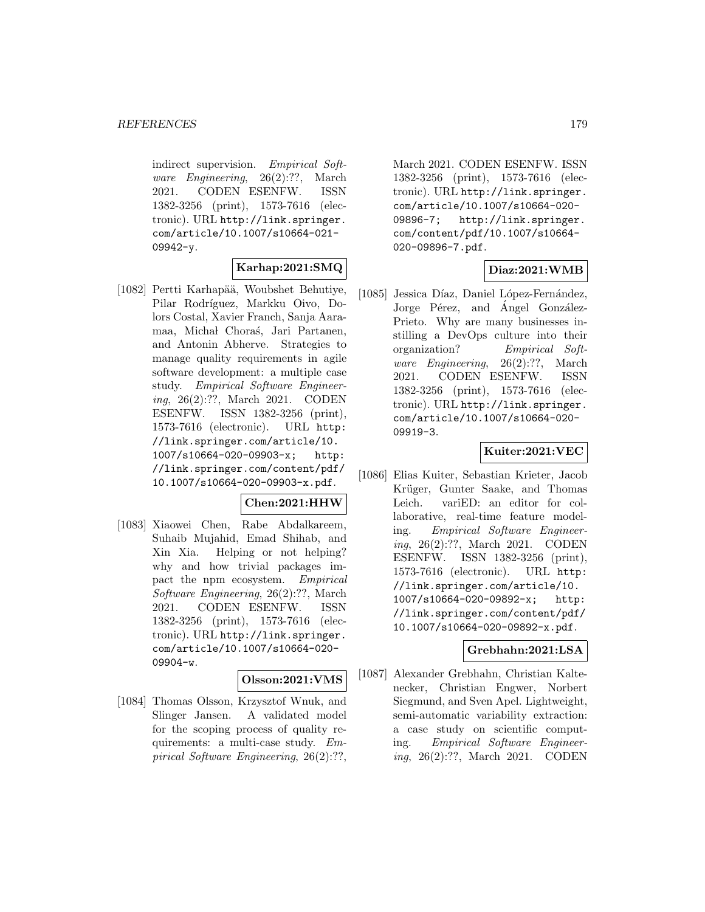indirect supervision. Empirical Software Engineering, 26(2):??, March 2021. CODEN ESENFW. ISSN 1382-3256 (print), 1573-7616 (electronic). URL http://link.springer. com/article/10.1007/s10664-021- 09942-y.

# **Karhap:2021:SMQ**

[1082] Pertti Karhapää, Woubshet Behutiye, Pilar Rodríguez, Markku Oivo, Dolors Costal, Xavier Franch, Sanja Aaramaa, Michał Choraś, Jari Partanen, and Antonin Abherve. Strategies to manage quality requirements in agile software development: a multiple case study. Empirical Software Engineering, 26(2):??, March 2021. CODEN ESENFW. ISSN 1382-3256 (print), 1573-7616 (electronic). URL http: //link.springer.com/article/10. 1007/s10664-020-09903-x; http: //link.springer.com/content/pdf/ 10.1007/s10664-020-09903-x.pdf.

### **Chen:2021:HHW**

[1083] Xiaowei Chen, Rabe Abdalkareem, Suhaib Mujahid, Emad Shihab, and Xin Xia. Helping or not helping? why and how trivial packages impact the npm ecosystem. Empirical Software Engineering, 26(2):??, March 2021. CODEN ESENFW. ISSN 1382-3256 (print), 1573-7616 (electronic). URL http://link.springer. com/article/10.1007/s10664-020- 09904-w.

#### **Olsson:2021:VMS**

[1084] Thomas Olsson, Krzysztof Wnuk, and Slinger Jansen. A validated model for the scoping process of quality requirements: a multi-case study. Empirical Software Engineering, 26(2):??, March 2021. CODEN ESENFW. ISSN 1382-3256 (print), 1573-7616 (electronic). URL http://link.springer. com/article/10.1007/s10664-020- 09896-7; http://link.springer. com/content/pdf/10.1007/s10664- 020-09896-7.pdf.

# **Diaz:2021:WMB**

[1085] Jessica Díaz, Daniel López-Fernández, Jorge Pérez, and Angel González-Prieto. Why are many businesses instilling a DevOps culture into their organization? Empirical Software Engineering, 26(2):??, March 2021. CODEN ESENFW. ISSN 1382-3256 (print), 1573-7616 (electronic). URL http://link.springer. com/article/10.1007/s10664-020- 09919-3.

### **Kuiter:2021:VEC**

[1086] Elias Kuiter, Sebastian Krieter, Jacob Krüger, Gunter Saake, and Thomas Leich. variED: an editor for collaborative, real-time feature modeling. Empirical Software Engineering, 26(2):??, March 2021. CODEN ESENFW. ISSN 1382-3256 (print), 1573-7616 (electronic). URL http: //link.springer.com/article/10. 1007/s10664-020-09892-x; http: //link.springer.com/content/pdf/ 10.1007/s10664-020-09892-x.pdf.

### **Grebhahn:2021:LSA**

[1087] Alexander Grebhahn, Christian Kaltenecker, Christian Engwer, Norbert Siegmund, and Sven Apel. Lightweight, semi-automatic variability extraction: a case study on scientific computing. Empirical Software Engineering, 26(2):??, March 2021. CODEN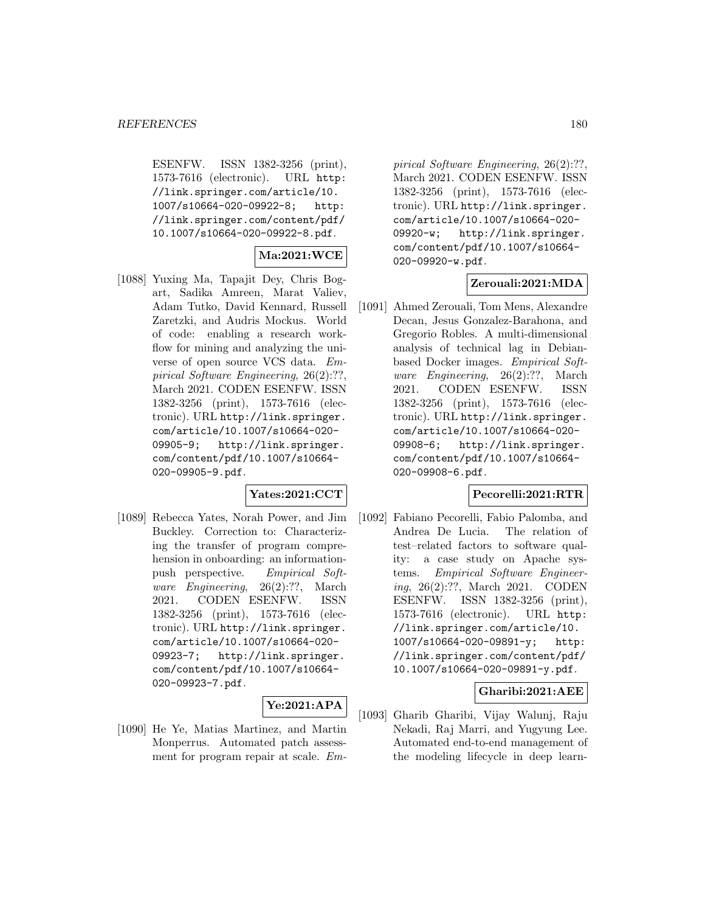ESENFW. ISSN 1382-3256 (print), 1573-7616 (electronic). URL http: //link.springer.com/article/10. 1007/s10664-020-09922-8; http: //link.springer.com/content/pdf/ 10.1007/s10664-020-09922-8.pdf.

# **Ma:2021:WCE**

[1088] Yuxing Ma, Tapajit Dey, Chris Bogart, Sadika Amreen, Marat Valiev, Adam Tutko, David Kennard, Russell Zaretzki, and Audris Mockus. World of code: enabling a research workflow for mining and analyzing the universe of open source VCS data. Empirical Software Engineering, 26(2):??, March 2021. CODEN ESENFW. ISSN 1382-3256 (print), 1573-7616 (electronic). URL http://link.springer. com/article/10.1007/s10664-020- 09905-9; http://link.springer. com/content/pdf/10.1007/s10664- 020-09905-9.pdf.

### **Yates:2021:CCT**

[1089] Rebecca Yates, Norah Power, and Jim Buckley. Correction to: Characterizing the transfer of program comprehension in onboarding: an informationpush perspective. Empirical Software Engineering, 26(2):??, March 2021. CODEN ESENFW. ISSN 1382-3256 (print), 1573-7616 (electronic). URL http://link.springer. com/article/10.1007/s10664-020- 09923-7; http://link.springer. com/content/pdf/10.1007/s10664- 020-09923-7.pdf.

# **Ye:2021:APA**

[1090] He Ye, Matias Martinez, and Martin Monperrus. Automated patch assessment for program repair at scale. Em-

pirical Software Engineering, 26(2):??, March 2021. CODEN ESENFW. ISSN 1382-3256 (print), 1573-7616 (electronic). URL http://link.springer. com/article/10.1007/s10664-020- 09920-w; http://link.springer. com/content/pdf/10.1007/s10664- 020-09920-w.pdf.

### **Zerouali:2021:MDA**

[1091] Ahmed Zerouali, Tom Mens, Alexandre Decan, Jesus Gonzalez-Barahona, and Gregorio Robles. A multi-dimensional analysis of technical lag in Debianbased Docker images. Empirical Software Engineering, 26(2):??, March 2021. CODEN ESENFW. ISSN 1382-3256 (print), 1573-7616 (electronic). URL http://link.springer. com/article/10.1007/s10664-020- 09908-6; http://link.springer. com/content/pdf/10.1007/s10664- 020-09908-6.pdf.

#### **Pecorelli:2021:RTR**

[1092] Fabiano Pecorelli, Fabio Palomba, and Andrea De Lucia. The relation of test–related factors to software quality: a case study on Apache systems. Empirical Software Engineering, 26(2):??, March 2021. CODEN ESENFW. ISSN 1382-3256 (print), 1573-7616 (electronic). URL http: //link.springer.com/article/10. 1007/s10664-020-09891-y; http: //link.springer.com/content/pdf/ 10.1007/s10664-020-09891-y.pdf.

# **Gharibi:2021:AEE**

[1093] Gharib Gharibi, Vijay Walunj, Raju Nekadi, Raj Marri, and Yugyung Lee. Automated end-to-end management of the modeling lifecycle in deep learn-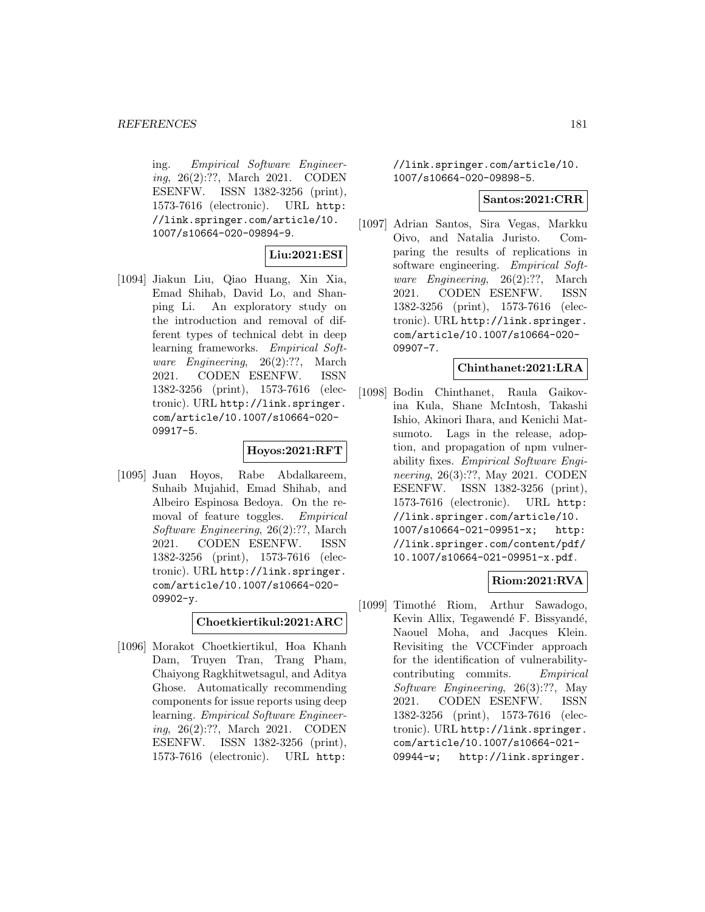ing. Empirical Software Engineering, 26(2):??, March 2021. CODEN ESENFW. ISSN 1382-3256 (print), 1573-7616 (electronic). URL http: //link.springer.com/article/10. 1007/s10664-020-09894-9.

## **Liu:2021:ESI**

[1094] Jiakun Liu, Qiao Huang, Xin Xia, Emad Shihab, David Lo, and Shanping Li. An exploratory study on the introduction and removal of different types of technical debt in deep learning frameworks. Empirical Software Engineering, 26(2):??, March 2021. CODEN ESENFW. ISSN 1382-3256 (print), 1573-7616 (electronic). URL http://link.springer. com/article/10.1007/s10664-020- 09917-5.

## **Hoyos:2021:RFT**

[1095] Juan Hoyos, Rabe Abdalkareem, Suhaib Mujahid, Emad Shihab, and Albeiro Espinosa Bedoya. On the removal of feature toggles. Empirical Software Engineering, 26(2):??, March 2021. CODEN ESENFW. ISSN 1382-3256 (print), 1573-7616 (electronic). URL http://link.springer. com/article/10.1007/s10664-020- 09902-y.

**Choetkiertikul:2021:ARC**

[1096] Morakot Choetkiertikul, Hoa Khanh Dam, Truyen Tran, Trang Pham, Chaiyong Ragkhitwetsagul, and Aditya Ghose. Automatically recommending components for issue reports using deep learning. Empirical Software Engineering, 26(2):??, March 2021. CODEN ESENFW. ISSN 1382-3256 (print), 1573-7616 (electronic). URL http:

//link.springer.com/article/10. 1007/s10664-020-09898-5.

### **Santos:2021:CRR**

[1097] Adrian Santos, Sira Vegas, Markku Oivo, and Natalia Juristo. Comparing the results of replications in software engineering. Empirical Software Engineering, 26(2):??, March 2021. CODEN ESENFW. ISSN 1382-3256 (print), 1573-7616 (electronic). URL http://link.springer. com/article/10.1007/s10664-020- 09907-7.

### **Chinthanet:2021:LRA**

[1098] Bodin Chinthanet, Raula Gaikovina Kula, Shane McIntosh, Takashi Ishio, Akinori Ihara, and Kenichi Matsumoto. Lags in the release, adoption, and propagation of npm vulnerability fixes. Empirical Software Engineering, 26(3):??, May 2021. CODEN ESENFW. ISSN 1382-3256 (print), 1573-7616 (electronic). URL http: //link.springer.com/article/10. 1007/s10664-021-09951-x; http: //link.springer.com/content/pdf/ 10.1007/s10664-021-09951-x.pdf.

# **Riom:2021:RVA**

[1099] Timothé Riom, Arthur Sawadogo, Kevin Allix, Tegawendé F. Bissyandé, Naouel Moha, and Jacques Klein. Revisiting the VCCFinder approach for the identification of vulnerabilitycontributing commits. Empirical Software Engineering, 26(3):??, May 2021. CODEN ESENFW. ISSN 1382-3256 (print), 1573-7616 (electronic). URL http://link.springer. com/article/10.1007/s10664-021- 09944-w; http://link.springer.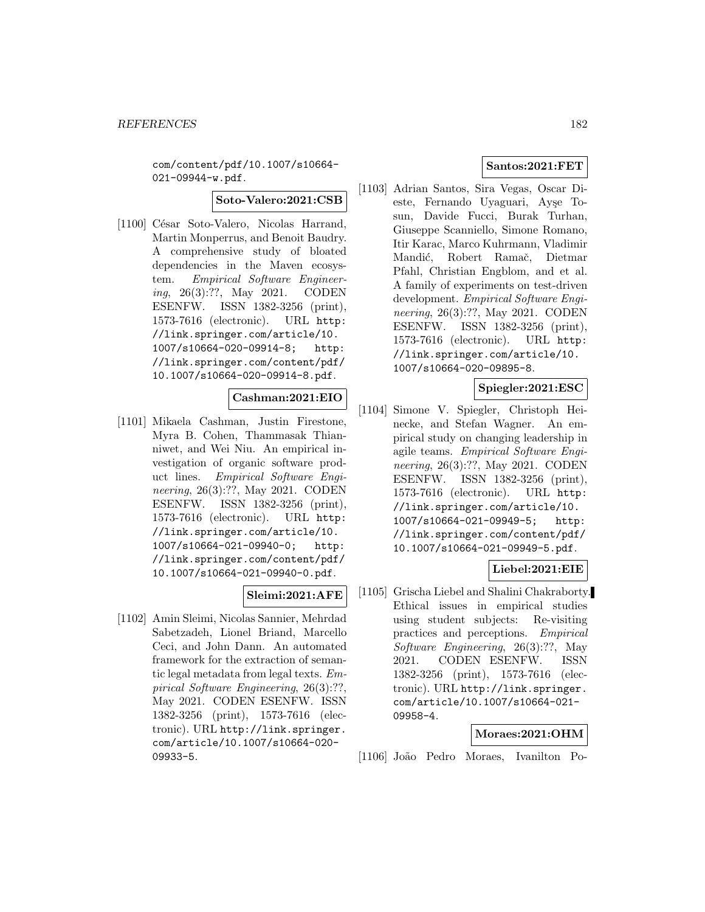com/content/pdf/10.1007/s10664- 021-09944-w.pdf.

#### **Soto-Valero:2021:CSB**

[1100] César Soto-Valero, Nicolas Harrand, Martin Monperrus, and Benoit Baudry. A comprehensive study of bloated dependencies in the Maven ecosystem. Empirical Software Engineering, 26(3):??, May 2021. CODEN ESENFW. ISSN 1382-3256 (print), 1573-7616 (electronic). URL http: //link.springer.com/article/10. 1007/s10664-020-09914-8; http: //link.springer.com/content/pdf/ 10.1007/s10664-020-09914-8.pdf.

## **Cashman:2021:EIO**

[1101] Mikaela Cashman, Justin Firestone, Myra B. Cohen, Thammasak Thianniwet, and Wei Niu. An empirical investigation of organic software product lines. Empirical Software Engineering, 26(3):??, May 2021. CODEN ESENFW. ISSN 1382-3256 (print), 1573-7616 (electronic). URL http: //link.springer.com/article/10. 1007/s10664-021-09940-0; http: //link.springer.com/content/pdf/ 10.1007/s10664-021-09940-0.pdf.

### **Sleimi:2021:AFE**

[1102] Amin Sleimi, Nicolas Sannier, Mehrdad Sabetzadeh, Lionel Briand, Marcello Ceci, and John Dann. An automated framework for the extraction of semantic legal metadata from legal texts. Empirical Software Engineering, 26(3):??, May 2021. CODEN ESENFW. ISSN 1382-3256 (print), 1573-7616 (electronic). URL http://link.springer. com/article/10.1007/s10664-020- 09933-5.

## **Santos:2021:FET**

[1103] Adrian Santos, Sira Vegas, Oscar Dieste, Fernando Uyaguari, Ayşe Tosun, Davide Fucci, Burak Turhan, Giuseppe Scanniello, Simone Romano, Itir Karac, Marco Kuhrmann, Vladimir Mandić, Robert Ramač, Dietmar Pfahl, Christian Engblom, and et al. A family of experiments on test-driven development. Empirical Software Engineering, 26(3):??, May 2021. CODEN ESENFW. ISSN 1382-3256 (print), 1573-7616 (electronic). URL http: //link.springer.com/article/10. 1007/s10664-020-09895-8.

**Spiegler:2021:ESC**

[1104] Simone V. Spiegler, Christoph Heinecke, and Stefan Wagner. An empirical study on changing leadership in agile teams. Empirical Software Engineering, 26(3):??, May 2021. CODEN ESENFW. ISSN 1382-3256 (print), 1573-7616 (electronic). URL http: //link.springer.com/article/10. 1007/s10664-021-09949-5; http: //link.springer.com/content/pdf/ 10.1007/s10664-021-09949-5.pdf.

# **Liebel:2021:EIE**

[1105] Grischa Liebel and Shalini Chakraborty. Ethical issues in empirical studies using student subjects: Re-visiting practices and perceptions. Empirical Software Engineering, 26(3):??, May 2021. CODEN ESENFW. ISSN 1382-3256 (print), 1573-7616 (electronic). URL http://link.springer. com/article/10.1007/s10664-021- 09958-4.

### **Moraes:2021:OHM**

[1106] Jo˜ao Pedro Moraes, Ivanilton Po-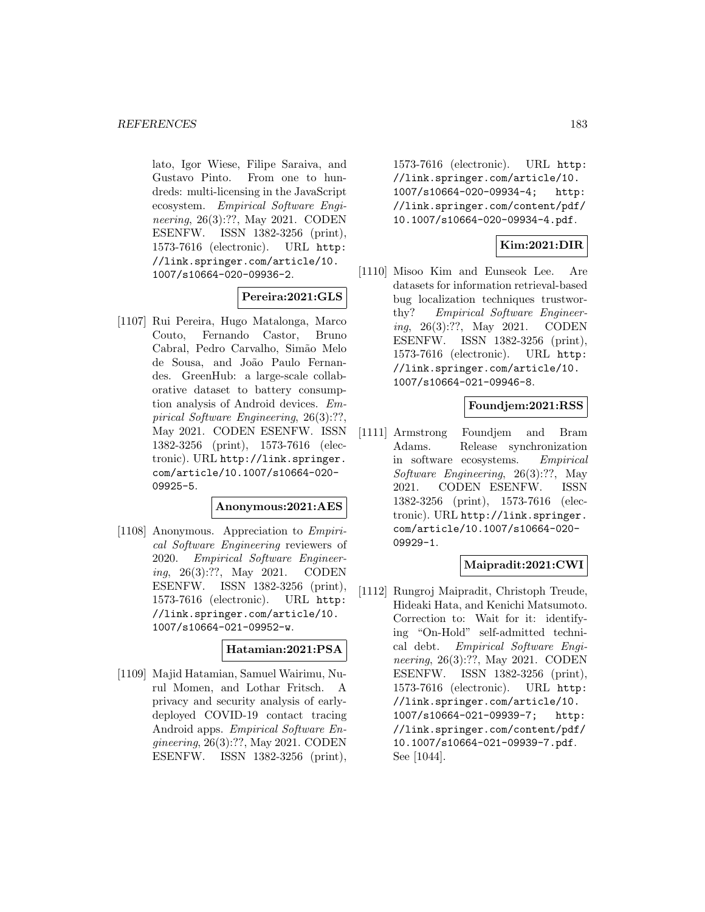lato, Igor Wiese, Filipe Saraiva, and Gustavo Pinto. From one to hundreds: multi-licensing in the JavaScript ecosystem. Empirical Software Engineering, 26(3):??, May 2021. CODEN ESENFW. ISSN 1382-3256 (print), 1573-7616 (electronic). URL http: //link.springer.com/article/10. 1007/s10664-020-09936-2.

## **Pereira:2021:GLS**

[1107] Rui Pereira, Hugo Matalonga, Marco Couto, Fernando Castor, Bruno Cabral, Pedro Carvalho, Sim˜ao Melo de Sousa, and Jo˜ao Paulo Fernandes. GreenHub: a large-scale collaborative dataset to battery consumption analysis of Android devices. Empirical Software Engineering, 26(3):??, May 2021. CODEN ESENFW. ISSN 1382-3256 (print), 1573-7616 (electronic). URL http://link.springer. com/article/10.1007/s10664-020- 09925-5.

### **Anonymous:2021:AES**

[1108] Anonymous. Appreciation to Empirical Software Engineering reviewers of 2020. Empirical Software Engineering, 26(3):??, May 2021. CODEN ESENFW. ISSN 1382-3256 (print), 1573-7616 (electronic). URL http: //link.springer.com/article/10. 1007/s10664-021-09952-w.

#### **Hatamian:2021:PSA**

[1109] Majid Hatamian, Samuel Wairimu, Nurul Momen, and Lothar Fritsch. A privacy and security analysis of earlydeployed COVID-19 contact tracing Android apps. Empirical Software Engineering, 26(3):??, May 2021. CODEN ESENFW. ISSN 1382-3256 (print),

1573-7616 (electronic). URL http: //link.springer.com/article/10. 1007/s10664-020-09934-4; http: //link.springer.com/content/pdf/ 10.1007/s10664-020-09934-4.pdf.

# **Kim:2021:DIR**

[1110] Misoo Kim and Eunseok Lee. Are datasets for information retrieval-based bug localization techniques trustworthy? Empirical Software Engineering, 26(3):??, May 2021. CODEN ESENFW. ISSN 1382-3256 (print), 1573-7616 (electronic). URL http: //link.springer.com/article/10. 1007/s10664-021-09946-8.

## **Foundjem:2021:RSS**

[1111] Armstrong Foundjem and Bram Adams. Release synchronization in software ecosystems. Empirical Software Engineering, 26(3):??, May 2021. CODEN ESENFW. ISSN 1382-3256 (print), 1573-7616 (electronic). URL http://link.springer. com/article/10.1007/s10664-020- 09929-1.

### **Maipradit:2021:CWI**

[1112] Rungroj Maipradit, Christoph Treude, Hideaki Hata, and Kenichi Matsumoto. Correction to: Wait for it: identifying "On-Hold" self-admitted technical debt. Empirical Software Engineering, 26(3):??, May 2021. CODEN ESENFW. ISSN 1382-3256 (print), 1573-7616 (electronic). URL http: //link.springer.com/article/10. 1007/s10664-021-09939-7; http: //link.springer.com/content/pdf/ 10.1007/s10664-021-09939-7.pdf. See [1044].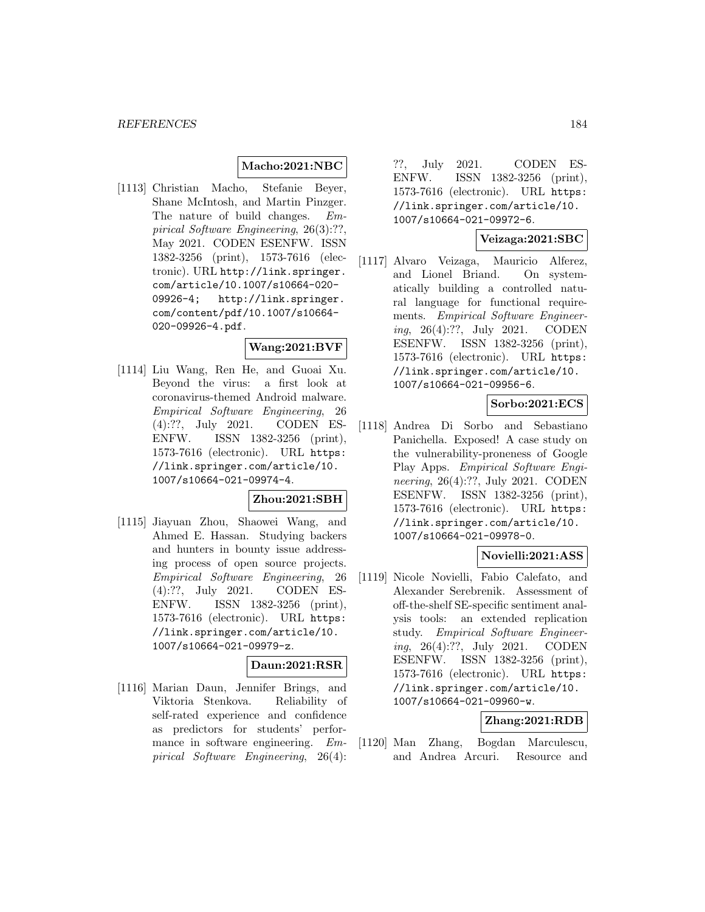## **Macho:2021:NBC**

[1113] Christian Macho, Stefanie Beyer, Shane McIntosh, and Martin Pinzger. The nature of build changes. Empirical Software Engineering, 26(3):??, May 2021. CODEN ESENFW. ISSN 1382-3256 (print), 1573-7616 (electronic). URL http://link.springer. com/article/10.1007/s10664-020- 09926-4; http://link.springer. com/content/pdf/10.1007/s10664- 020-09926-4.pdf.

#### **Wang:2021:BVF**

[1114] Liu Wang, Ren He, and Guoai Xu. Beyond the virus: a first look at coronavirus-themed Android malware. Empirical Software Engineering, 26 (4):??, July 2021. CODEN ES-ENFW. ISSN 1382-3256 (print), 1573-7616 (electronic). URL https: //link.springer.com/article/10. 1007/s10664-021-09974-4.

### **Zhou:2021:SBH**

[1115] Jiayuan Zhou, Shaowei Wang, and Ahmed E. Hassan. Studying backers and hunters in bounty issue addressing process of open source projects. Empirical Software Engineering, 26 (4):??, July 2021. CODEN ES-ENFW. ISSN 1382-3256 (print), 1573-7616 (electronic). URL https: //link.springer.com/article/10. 1007/s10664-021-09979-z.

## **Daun:2021:RSR**

[1116] Marian Daun, Jennifer Brings, and Viktoria Stenkova. Reliability of self-rated experience and confidence as predictors for students' performance in software engineering. Empirical Software Engineering, 26(4):

??, July 2021. CODEN ES-ENFW. ISSN 1382-3256 (print), 1573-7616 (electronic). URL https: //link.springer.com/article/10. 1007/s10664-021-09972-6.

## **Veizaga:2021:SBC**

[1117] Alvaro Veizaga, Mauricio Alferez, and Lionel Briand. On systematically building a controlled natural language for functional requirements. Empirical Software Engineering, 26(4):??, July 2021. CODEN ESENFW. ISSN 1382-3256 (print), 1573-7616 (electronic). URL https: //link.springer.com/article/10. 1007/s10664-021-09956-6.

## **Sorbo:2021:ECS**

[1118] Andrea Di Sorbo and Sebastiano Panichella. Exposed! A case study on the vulnerability-proneness of Google Play Apps. Empirical Software Engineering, 26(4):??, July 2021. CODEN ESENFW. ISSN 1382-3256 (print), 1573-7616 (electronic). URL https: //link.springer.com/article/10. 1007/s10664-021-09978-0.

## **Novielli:2021:ASS**

[1119] Nicole Novielli, Fabio Calefato, and Alexander Serebrenik. Assessment of off-the-shelf SE-specific sentiment analysis tools: an extended replication study. Empirical Software Engineering, 26(4):??, July 2021. CODEN ESENFW. ISSN 1382-3256 (print), 1573-7616 (electronic). URL https: //link.springer.com/article/10. 1007/s10664-021-09960-w.

#### **Zhang:2021:RDB**

[1120] Man Zhang, Bogdan Marculescu, and Andrea Arcuri. Resource and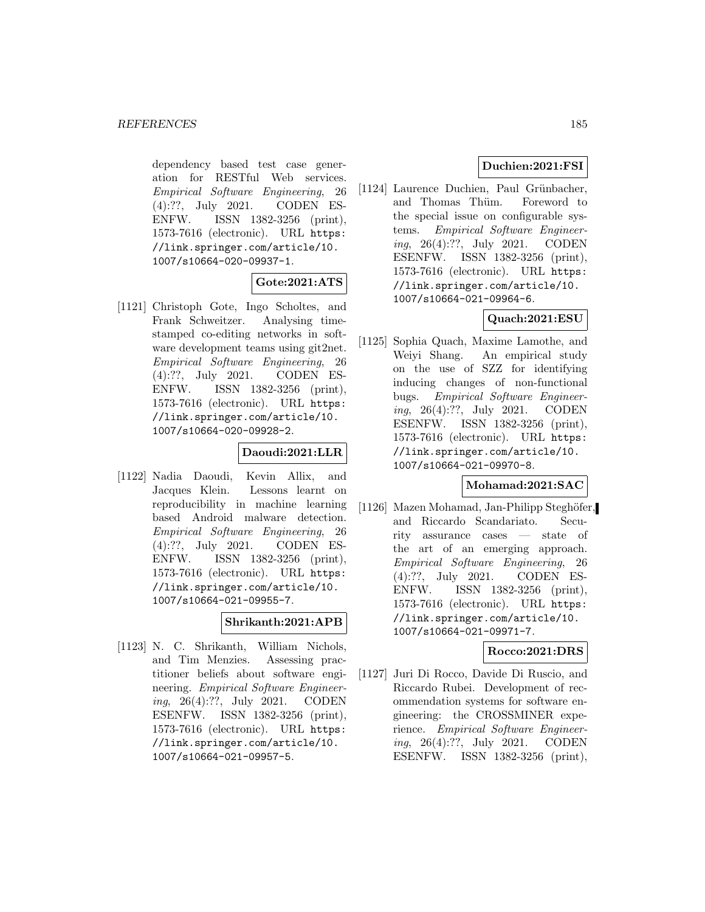dependency based test case generation for RESTful Web services. Empirical Software Engineering, 26 (4):??, July 2021. CODEN ES-ENFW. ISSN 1382-3256 (print), 1573-7616 (electronic). URL https: //link.springer.com/article/10. 1007/s10664-020-09937-1.

### **Gote:2021:ATS**

[1121] Christoph Gote, Ingo Scholtes, and Frank Schweitzer. Analysing timestamped co-editing networks in software development teams using git2net. Empirical Software Engineering, 26 (4):??, July 2021. CODEN ES-ENFW. ISSN 1382-3256 (print), 1573-7616 (electronic). URL https: //link.springer.com/article/10. 1007/s10664-020-09928-2.

## **Daoudi:2021:LLR**

[1122] Nadia Daoudi, Kevin Allix, and Jacques Klein. Lessons learnt on reproducibility in machine learning based Android malware detection. Empirical Software Engineering, 26 (4):??, July 2021. CODEN ES-ENFW. ISSN 1382-3256 (print), 1573-7616 (electronic). URL https: //link.springer.com/article/10. 1007/s10664-021-09955-7.

### **Shrikanth:2021:APB**

[1123] N. C. Shrikanth, William Nichols, and Tim Menzies. Assessing practitioner beliefs about software engineering. Empirical Software Engineering, 26(4):??, July 2021. CODEN ESENFW. ISSN 1382-3256 (print), 1573-7616 (electronic). URL https: //link.springer.com/article/10. 1007/s10664-021-09957-5.

# **Duchien:2021:FSI**

[1124] Laurence Duchien, Paul Grünbacher, and Thomas Thüm. Foreword to the special issue on configurable systems. Empirical Software Engineering, 26(4):??, July 2021. CODEN ESENFW. ISSN 1382-3256 (print), 1573-7616 (electronic). URL https: //link.springer.com/article/10. 1007/s10664-021-09964-6.

## **Quach:2021:ESU**

[1125] Sophia Quach, Maxime Lamothe, and Weiyi Shang. An empirical study on the use of SZZ for identifying inducing changes of non-functional bugs. Empirical Software Engineering, 26(4):??, July 2021. CODEN ESENFW. ISSN 1382-3256 (print), 1573-7616 (electronic). URL https: //link.springer.com/article/10. 1007/s10664-021-09970-8.

## **Mohamad:2021:SAC**

[1126] Mazen Mohamad, Jan-Philipp Steghöfer, and Riccardo Scandariato. Security assurance cases — state of the art of an emerging approach. Empirical Software Engineering, 26 (4):??, July 2021. CODEN ES-ENFW. ISSN 1382-3256 (print), 1573-7616 (electronic). URL https: //link.springer.com/article/10. 1007/s10664-021-09971-7.

## **Rocco:2021:DRS**

[1127] Juri Di Rocco, Davide Di Ruscio, and Riccardo Rubei. Development of recommendation systems for software engineering: the CROSSMINER experience. Empirical Software Engineering, 26(4):??, July 2021. CODEN ESENFW. ISSN 1382-3256 (print),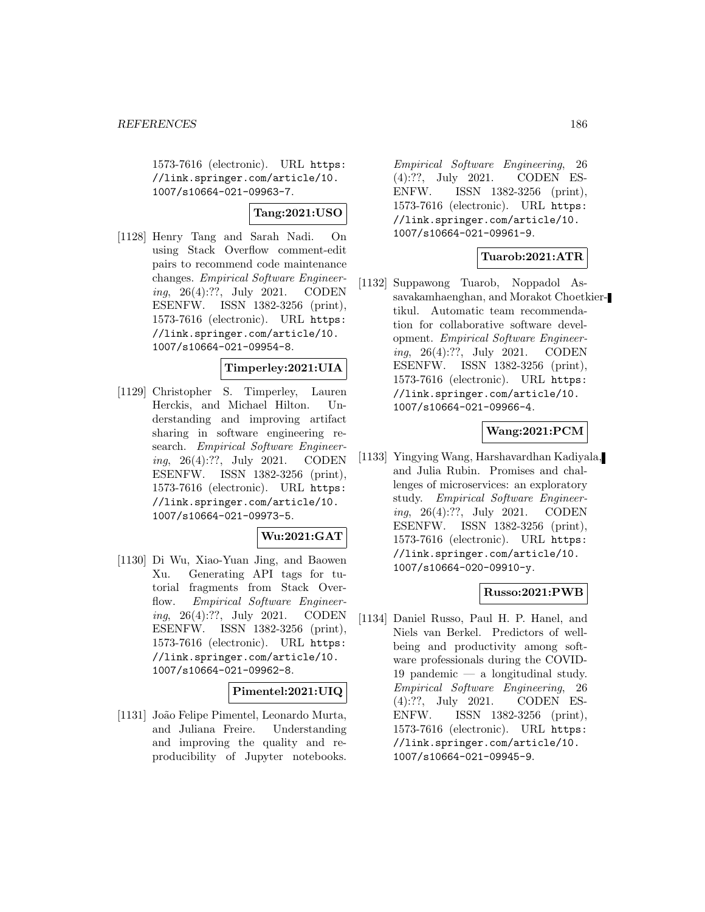1573-7616 (electronic). URL https: //link.springer.com/article/10. 1007/s10664-021-09963-7.

# **Tang:2021:USO**

[1128] Henry Tang and Sarah Nadi. On using Stack Overflow comment-edit pairs to recommend code maintenance changes. Empirical Software Engineering, 26(4):??, July 2021. CODEN ESENFW. ISSN 1382-3256 (print), 1573-7616 (electronic). URL https: //link.springer.com/article/10. 1007/s10664-021-09954-8.

## **Timperley:2021:UIA**

[1129] Christopher S. Timperley, Lauren Herckis, and Michael Hilton. Understanding and improving artifact sharing in software engineering research. Empirical Software Engineering, 26(4):??, July 2021. CODEN ESENFW. ISSN 1382-3256 (print), 1573-7616 (electronic). URL https: //link.springer.com/article/10. 1007/s10664-021-09973-5.

### **Wu:2021:GAT**

[1130] Di Wu, Xiao-Yuan Jing, and Baowen Xu. Generating API tags for tutorial fragments from Stack Overflow. Empirical Software Engineering, 26(4):??, July 2021. CODEN ESENFW. ISSN 1382-3256 (print), 1573-7616 (electronic). URL https: //link.springer.com/article/10. 1007/s10664-021-09962-8.

## **Pimentel:2021:UIQ**

[1131] João Felipe Pimentel, Leonardo Murta, and Juliana Freire. Understanding and improving the quality and reproducibility of Jupyter notebooks.

Empirical Software Engineering, 26 (4):??, July 2021. CODEN ES-ENFW. ISSN 1382-3256 (print), 1573-7616 (electronic). URL https: //link.springer.com/article/10. 1007/s10664-021-09961-9.

## **Tuarob:2021:ATR**

[1132] Suppawong Tuarob, Noppadol Assavakamhaenghan, and Morakot Choetkiertikul. Automatic team recommendation for collaborative software development. Empirical Software Engineering, 26(4):??, July 2021. CODEN ESENFW. ISSN 1382-3256 (print), 1573-7616 (electronic). URL https: //link.springer.com/article/10. 1007/s10664-021-09966-4.

## **Wang:2021:PCM**

[1133] Yingying Wang, Harshavardhan Kadiyala, and Julia Rubin. Promises and challenges of microservices: an exploratory study. Empirical Software Engineering, 26(4):??, July 2021. CODEN ESENFW. ISSN 1382-3256 (print), 1573-7616 (electronic). URL https: //link.springer.com/article/10. 1007/s10664-020-09910-y.

### **Russo:2021:PWB**

[1134] Daniel Russo, Paul H. P. Hanel, and Niels van Berkel. Predictors of wellbeing and productivity among software professionals during the COVID-19 pandemic — a longitudinal study. Empirical Software Engineering, 26 (4):??, July 2021. CODEN ES-ENFW. ISSN 1382-3256 (print), 1573-7616 (electronic). URL https: //link.springer.com/article/10. 1007/s10664-021-09945-9.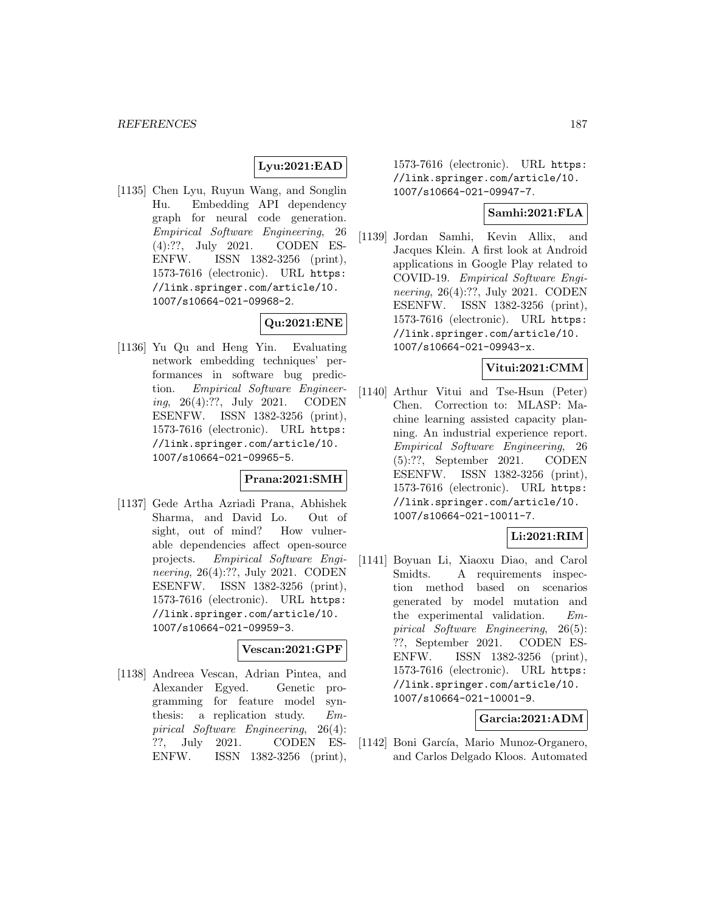# **Lyu:2021:EAD**

[1135] Chen Lyu, Ruyun Wang, and Songlin Hu. Embedding API dependency graph for neural code generation. Empirical Software Engineering, 26 (4):??, July 2021. CODEN ES-ENFW. ISSN 1382-3256 (print), 1573-7616 (electronic). URL https: //link.springer.com/article/10. 1007/s10664-021-09968-2.

# **Qu:2021:ENE**

[1136] Yu Qu and Heng Yin. Evaluating network embedding techniques' performances in software bug prediction. Empirical Software Engineering, 26(4):??, July 2021. CODEN ESENFW. ISSN 1382-3256 (print), 1573-7616 (electronic). URL https: //link.springer.com/article/10. 1007/s10664-021-09965-5.

# **Prana:2021:SMH**

[1137] Gede Artha Azriadi Prana, Abhishek Sharma, and David Lo. Out of sight, out of mind? How vulnerable dependencies affect open-source projects. Empirical Software Engineering, 26(4):??, July 2021. CODEN ESENFW. ISSN 1382-3256 (print), 1573-7616 (electronic). URL https: //link.springer.com/article/10. 1007/s10664-021-09959-3.

#### **Vescan:2021:GPF**

[1138] Andreea Vescan, Adrian Pintea, and Alexander Egyed. Genetic programming for feature model synthesis: a replication study. Empirical Software Engineering, 26(4): ??, July 2021. CODEN ES-ENFW. ISSN 1382-3256 (print),

1573-7616 (electronic). URL https: //link.springer.com/article/10. 1007/s10664-021-09947-7.

## **Samhi:2021:FLA**

[1139] Jordan Samhi, Kevin Allix, and Jacques Klein. A first look at Android applications in Google Play related to COVID-19. Empirical Software Engineering, 26(4):??, July 2021. CODEN ESENFW. ISSN 1382-3256 (print), 1573-7616 (electronic). URL https: //link.springer.com/article/10. 1007/s10664-021-09943-x.

### **Vitui:2021:CMM**

[1140] Arthur Vitui and Tse-Hsun (Peter) Chen. Correction to: MLASP: Machine learning assisted capacity planning. An industrial experience report. Empirical Software Engineering, 26 (5):??, September 2021. CODEN ESENFW. ISSN 1382-3256 (print), 1573-7616 (electronic). URL https: //link.springer.com/article/10. 1007/s10664-021-10011-7.

### **Li:2021:RIM**

[1141] Boyuan Li, Xiaoxu Diao, and Carol Smidts. A requirements inspection method based on scenarios generated by model mutation and the experimental validation. Empirical Software Engineering, 26(5): ??, September 2021. CODEN ES-ENFW. ISSN 1382-3256 (print), 1573-7616 (electronic). URL https: //link.springer.com/article/10. 1007/s10664-021-10001-9.

### **Garcia:2021:ADM**

[1142] Boni García, Mario Munoz-Organero, and Carlos Delgado Kloos. Automated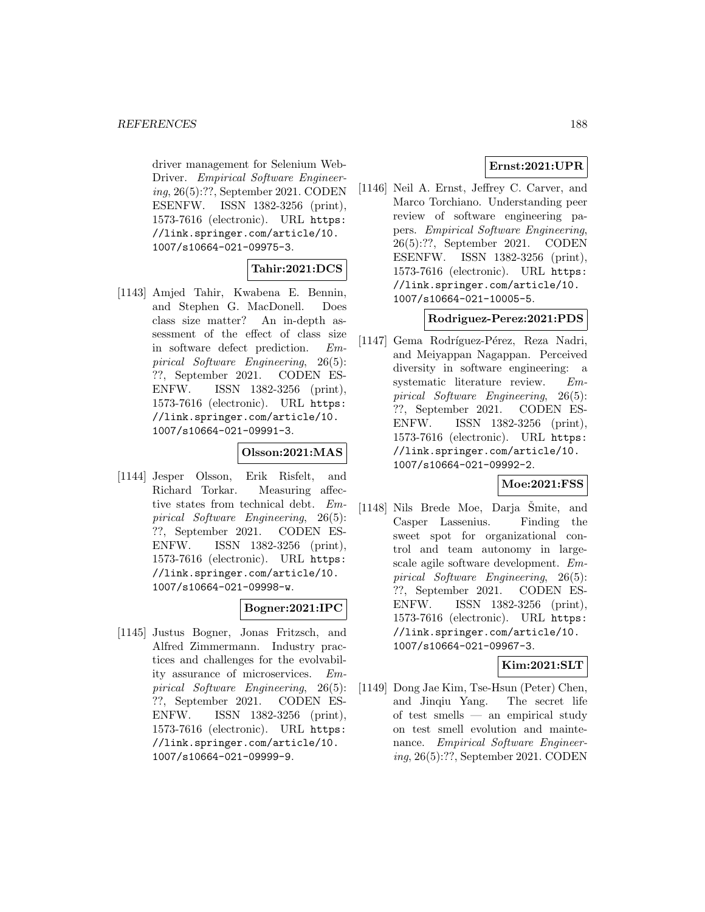driver management for Selenium Web-Driver. Empirical Software Engineering, 26(5):??, September 2021. CODEN ESENFW. ISSN 1382-3256 (print), 1573-7616 (electronic). URL https: //link.springer.com/article/10. 1007/s10664-021-09975-3.

## **Tahir:2021:DCS**

[1143] Amjed Tahir, Kwabena E. Bennin, and Stephen G. MacDonell. Does class size matter? An in-depth assessment of the effect of class size in software defect prediction. Empirical Software Engineering, 26(5): ??, September 2021. CODEN ES-ENFW. ISSN 1382-3256 (print), 1573-7616 (electronic). URL https: //link.springer.com/article/10. 1007/s10664-021-09991-3.

## **Olsson:2021:MAS**

[1144] Jesper Olsson, Erik Risfelt, and Richard Torkar. Measuring affective states from technical debt. Empirical Software Engineering, 26(5): ??, September 2021. CODEN ES-ENFW. ISSN 1382-3256 (print), 1573-7616 (electronic). URL https: //link.springer.com/article/10. 1007/s10664-021-09998-w.

### **Bogner:2021:IPC**

[1145] Justus Bogner, Jonas Fritzsch, and Alfred Zimmermann. Industry practices and challenges for the evolvability assurance of microservices. Empirical Software Engineering, 26(5): ??, September 2021. CODEN ES-ENFW. ISSN 1382-3256 (print), 1573-7616 (electronic). URL https: //link.springer.com/article/10. 1007/s10664-021-09999-9.

# **Ernst:2021:UPR**

[1146] Neil A. Ernst, Jeffrey C. Carver, and Marco Torchiano. Understanding peer review of software engineering papers. Empirical Software Engineering, 26(5):??, September 2021. CODEN ESENFW. ISSN 1382-3256 (print), 1573-7616 (electronic). URL https: //link.springer.com/article/10. 1007/s10664-021-10005-5.

### **Rodriguez-Perez:2021:PDS**

[1147] Gema Rodríguez-Pérez, Reza Nadri, and Meiyappan Nagappan. Perceived diversity in software engineering: a systematic literature review. Empirical Software Engineering, 26(5): ??, September 2021. CODEN ES-ENFW. ISSN 1382-3256 (print), 1573-7616 (electronic). URL https: //link.springer.com/article/10. 1007/s10664-021-09992-2.

### **Moe:2021:FSS**

 $[1148]$  Nils Brede Moe, Darja Šmite, and Casper Lassenius. Finding the sweet spot for organizational control and team autonomy in largescale agile software development. Empirical Software Engineering, 26(5): ??, September 2021. CODEN ES-ENFW. ISSN 1382-3256 (print), 1573-7616 (electronic). URL https: //link.springer.com/article/10. 1007/s10664-021-09967-3.

# **Kim:2021:SLT**

[1149] Dong Jae Kim, Tse-Hsun (Peter) Chen, and Jinqiu Yang. The secret life of test smells — an empirical study on test smell evolution and maintenance. Empirical Software Engineering, 26(5):??, September 2021. CODEN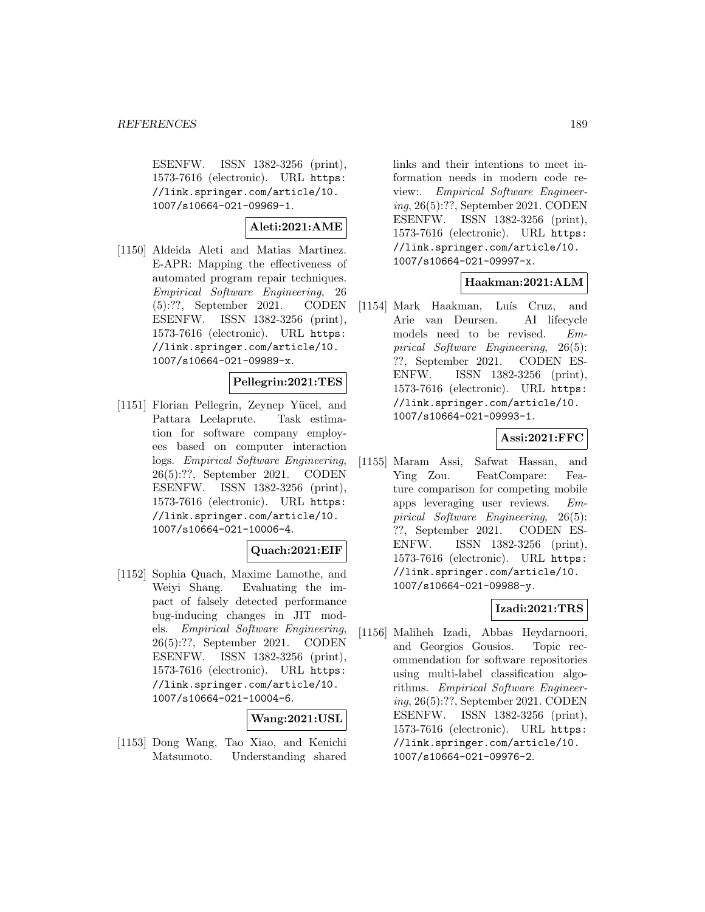ESENFW. ISSN 1382-3256 (print), 1573-7616 (electronic). URL https: //link.springer.com/article/10. 1007/s10664-021-09969-1.

# **Aleti:2021:AME**

[1150] Aldeida Aleti and Matias Martinez. E-APR: Mapping the effectiveness of automated program repair techniques. Empirical Software Engineering, 26 (5):??, September 2021. CODEN ESENFW. ISSN 1382-3256 (print), 1573-7616 (electronic). URL https: //link.springer.com/article/10. 1007/s10664-021-09989-x.

## **Pellegrin:2021:TES**

[1151] Florian Pellegrin, Zeynep Yücel, and Pattara Leelaprute. Task estimation for software company employees based on computer interaction logs. Empirical Software Engineering, 26(5):??, September 2021. CODEN ESENFW. ISSN 1382-3256 (print), 1573-7616 (electronic). URL https: //link.springer.com/article/10. 1007/s10664-021-10006-4.

# **Quach:2021:EIF**

[1152] Sophia Quach, Maxime Lamothe, and Weiyi Shang. Evaluating the impact of falsely detected performance bug-inducing changes in JIT models. Empirical Software Engineering, 26(5):??, September 2021. CODEN ESENFW. ISSN 1382-3256 (print), 1573-7616 (electronic). URL https: //link.springer.com/article/10. 1007/s10664-021-10004-6.

# **Wang:2021:USL**

[1153] Dong Wang, Tao Xiao, and Kenichi Matsumoto. Understanding shared links and their intentions to meet information needs in modern code review:. Empirical Software Engineering, 26(5):??, September 2021. CODEN ESENFW. ISSN 1382-3256 (print), 1573-7616 (electronic). URL https: //link.springer.com/article/10. 1007/s10664-021-09997-x.

# **Haakman:2021:ALM**

[1154] Mark Haakman, Luís Cruz, and Arie van Deursen. AI lifecycle models need to be revised. Empirical Software Engineering, 26(5): ??, September 2021. CODEN ES-ENFW. ISSN 1382-3256 (print), 1573-7616 (electronic). URL https: //link.springer.com/article/10. 1007/s10664-021-09993-1.

# **Assi:2021:FFC**

[1155] Maram Assi, Safwat Hassan, and Ying Zou. FeatCompare: Feature comparison for competing mobile apps leveraging user reviews. Empirical Software Engineering, 26(5): ??, September 2021. CODEN ES-ENFW. ISSN 1382-3256 (print), 1573-7616 (electronic). URL https: //link.springer.com/article/10. 1007/s10664-021-09988-y.

# **Izadi:2021:TRS**

[1156] Maliheh Izadi, Abbas Heydarnoori, and Georgios Gousios. Topic recommendation for software repositories using multi-label classification algorithms. Empirical Software Engineering, 26(5):??, September 2021. CODEN ESENFW. ISSN 1382-3256 (print), 1573-7616 (electronic). URL https: //link.springer.com/article/10. 1007/s10664-021-09976-2.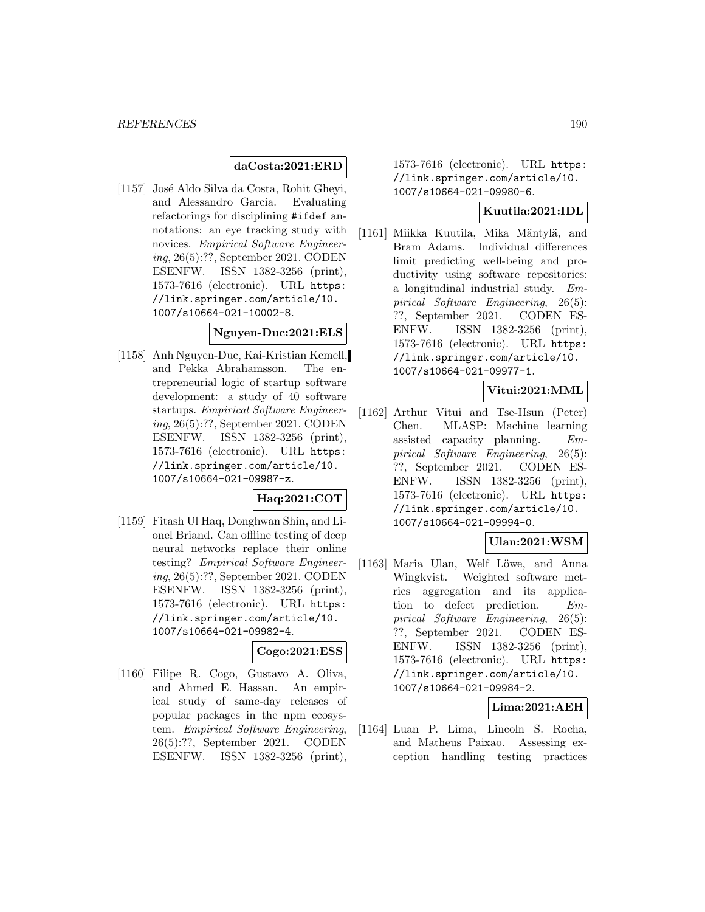## **daCosta:2021:ERD**

[1157] José Aldo Silva da Costa, Rohit Gheyi, and Alessandro Garcia. Evaluating refactorings for disciplining #ifdef annotations: an eye tracking study with novices. Empirical Software Engineering, 26(5):??, September 2021. CODEN ESENFW. ISSN 1382-3256 (print), 1573-7616 (electronic). URL https: //link.springer.com/article/10. 1007/s10664-021-10002-8.

#### **Nguyen-Duc:2021:ELS**

[1158] Anh Nguyen-Duc, Kai-Kristian Kemell, and Pekka Abrahamsson. The entrepreneurial logic of startup software development: a study of 40 software startups. Empirical Software Engineering, 26(5):??, September 2021. CODEN ESENFW. ISSN 1382-3256 (print), 1573-7616 (electronic). URL https: //link.springer.com/article/10. 1007/s10664-021-09987-z.

### **Haq:2021:COT**

[1159] Fitash Ul Haq, Donghwan Shin, and Lionel Briand. Can offline testing of deep neural networks replace their online testing? Empirical Software Engineering, 26(5):??, September 2021. CODEN ESENFW. ISSN 1382-3256 (print), 1573-7616 (electronic). URL https: //link.springer.com/article/10. 1007/s10664-021-09982-4.

#### **Cogo:2021:ESS**

[1160] Filipe R. Cogo, Gustavo A. Oliva, and Ahmed E. Hassan. An empirical study of same-day releases of popular packages in the npm ecosystem. Empirical Software Engineering, 26(5):??, September 2021. CODEN ESENFW. ISSN 1382-3256 (print),

1573-7616 (electronic). URL https: //link.springer.com/article/10. 1007/s10664-021-09980-6.

# **Kuutila:2021:IDL**

[1161] Miikka Kuutila, Mika Mäntylä, and Bram Adams. Individual differences limit predicting well-being and productivity using software repositories: a longitudinal industrial study. Empirical Software Engineering, 26(5): ??, September 2021. CODEN ES-ENFW. ISSN 1382-3256 (print), 1573-7616 (electronic). URL https: //link.springer.com/article/10. 1007/s10664-021-09977-1.

### **Vitui:2021:MML**

[1162] Arthur Vitui and Tse-Hsun (Peter) Chen. MLASP: Machine learning assisted capacity planning. Empirical Software Engineering, 26(5): ??, September 2021. CODEN ES-ENFW. ISSN 1382-3256 (print), 1573-7616 (electronic). URL https: //link.springer.com/article/10. 1007/s10664-021-09994-0.

#### **Ulan:2021:WSM**

[1163] Maria Ulan, Welf Löwe, and Anna Wingkvist. Weighted software metrics aggregation and its application to defect prediction. Empirical Software Engineering, 26(5): ??, September 2021. CODEN ES-ENFW. ISSN 1382-3256 (print), 1573-7616 (electronic). URL https: //link.springer.com/article/10. 1007/s10664-021-09984-2.

## **Lima:2021:AEH**

[1164] Luan P. Lima, Lincoln S. Rocha, and Matheus Paixao. Assessing exception handling testing practices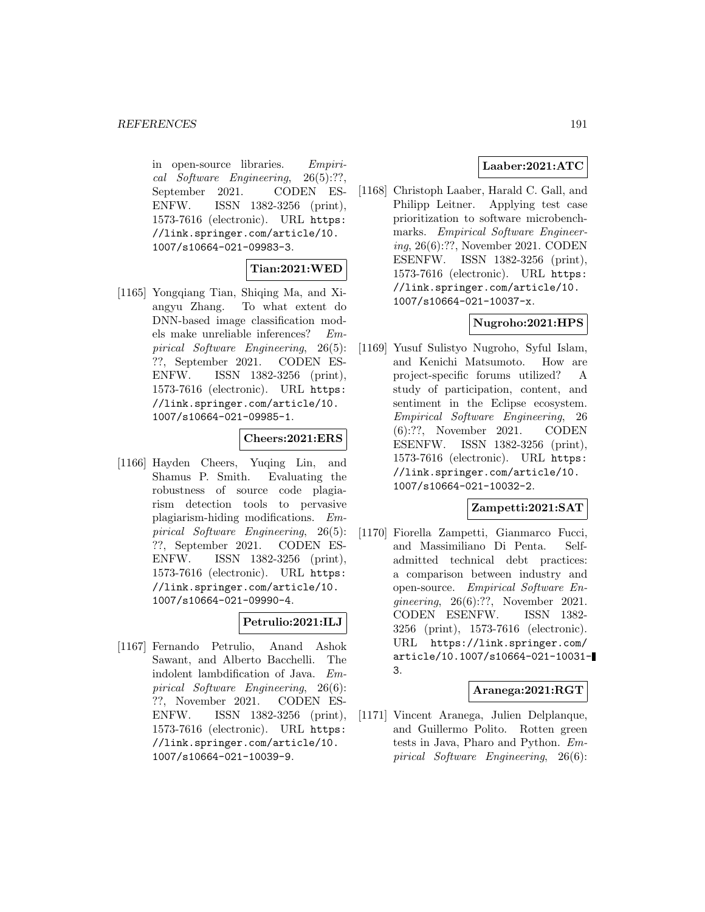in open-source libraries. Empirical Software Engineering, 26(5):??, September 2021. CODEN ES-ENFW. ISSN 1382-3256 (print), 1573-7616 (electronic). URL https: //link.springer.com/article/10. 1007/s10664-021-09983-3.

## **Tian:2021:WED**

[1165] Yongqiang Tian, Shiqing Ma, and Xiangyu Zhang. To what extent do DNN-based image classification models make unreliable inferences? Empirical Software Engineering, 26(5): ??, September 2021. CODEN ES-<br>ENFW. ISSN 1382-3256 (print), ENFW. ISSN 1382-3256 (print), 1573-7616 (electronic). URL https: //link.springer.com/article/10. 1007/s10664-021-09985-1.

# **Cheers:2021:ERS**

[1166] Hayden Cheers, Yuqing Lin, and Shamus P. Smith. Evaluating the robustness of source code plagiarism detection tools to pervasive plagiarism-hiding modifications. Empirical Software Engineering, 26(5): ??, September 2021. CODEN ES-ENFW. ISSN 1382-3256 (print), 1573-7616 (electronic). URL https: //link.springer.com/article/10. 1007/s10664-021-09990-4.

### **Petrulio:2021:ILJ**

[1167] Fernando Petrulio, Anand Ashok Sawant, and Alberto Bacchelli. The indolent lambdification of Java. Empirical Software Engineering, 26(6): ??, November 2021. CODEN ES-ENFW. ISSN 1382-3256 (print), 1573-7616 (electronic). URL https: //link.springer.com/article/10. 1007/s10664-021-10039-9.

# **Laaber:2021:ATC**

[1168] Christoph Laaber, Harald C. Gall, and Philipp Leitner. Applying test case prioritization to software microbenchmarks. Empirical Software Engineering, 26(6):??, November 2021. CODEN ESENFW. ISSN 1382-3256 (print), 1573-7616 (electronic). URL https: //link.springer.com/article/10. 1007/s10664-021-10037-x.

## **Nugroho:2021:HPS**

[1169] Yusuf Sulistyo Nugroho, Syful Islam, and Kenichi Matsumoto. How are project-specific forums utilized? A study of participation, content, and sentiment in the Eclipse ecosystem. Empirical Software Engineering, 26 (6):??, November 2021. CODEN ESENFW. ISSN 1382-3256 (print), 1573-7616 (electronic). URL https: //link.springer.com/article/10. 1007/s10664-021-10032-2.

### **Zampetti:2021:SAT**

[1170] Fiorella Zampetti, Gianmarco Fucci, and Massimiliano Di Penta. Selfadmitted technical debt practices: a comparison between industry and open-source. Empirical Software Engineering, 26(6):??, November 2021. CODEN ESENFW. ISSN 1382- 3256 (print), 1573-7616 (electronic). URL https://link.springer.com/ article/10.1007/s10664-021-10031- 3.

# **Aranega:2021:RGT**

[1171] Vincent Aranega, Julien Delplanque, and Guillermo Polito. Rotten green tests in Java, Pharo and Python. Empirical Software Engineering, 26(6):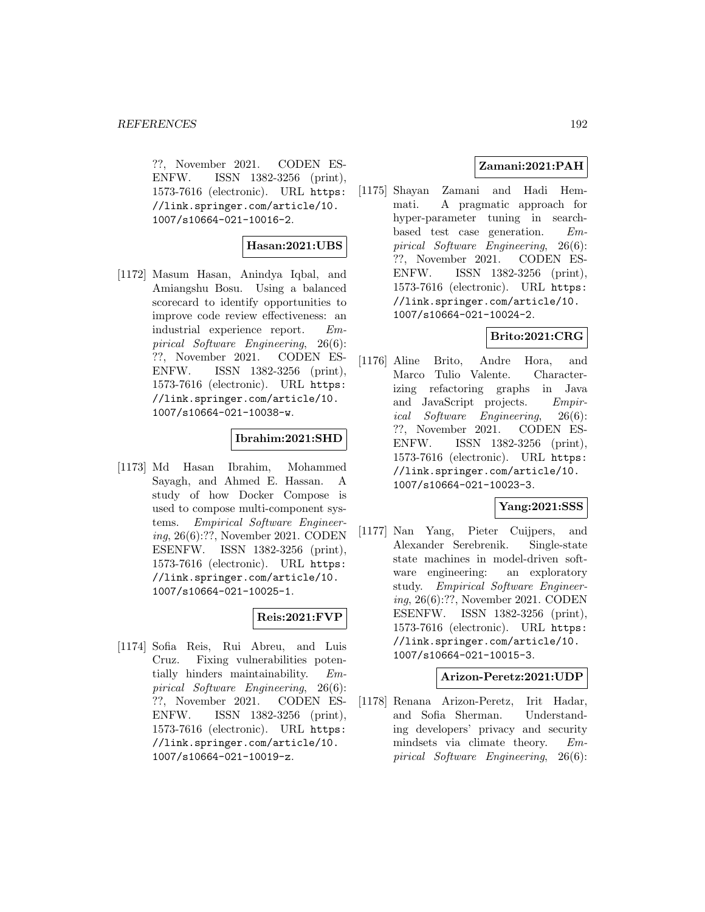??, November 2021. CODEN ES-ENFW. ISSN 1382-3256 (print), 1573-7616 (electronic). URL https: //link.springer.com/article/10. 1007/s10664-021-10016-2.

# **Hasan:2021:UBS**

[1172] Masum Hasan, Anindya Iqbal, and Amiangshu Bosu. Using a balanced scorecard to identify opportunities to improve code review effectiveness: an industrial experience report. Empirical Software Engineering, 26(6): ??, November 2021. CODEN ES-ENFW. ISSN 1382-3256 (print), 1573-7616 (electronic). URL https: //link.springer.com/article/10. 1007/s10664-021-10038-w.

# **Ibrahim:2021:SHD**

[1173] Md Hasan Ibrahim, Mohammed Sayagh, and Ahmed E. Hassan. A study of how Docker Compose is used to compose multi-component systems. Empirical Software Engineering, 26(6):??, November 2021. CODEN ESENFW. ISSN 1382-3256 (print), 1573-7616 (electronic). URL https: //link.springer.com/article/10. 1007/s10664-021-10025-1.

### **Reis:2021:FVP**

[1174] Sofia Reis, Rui Abreu, and Luis Cruz. Fixing vulnerabilities potentially hinders maintainability. Empirical Software Engineering, 26(6): ??, November 2021. CODEN ES-ENFW. ISSN 1382-3256 (print), 1573-7616 (electronic). URL https: //link.springer.com/article/10. 1007/s10664-021-10019-z.

# **Zamani:2021:PAH**

[1175] Shayan Zamani and Hadi Hemmati. A pragmatic approach for hyper-parameter tuning in searchbased test case generation. Empirical Software Engineering, 26(6): ??, November 2021. CODEN ES-ENFW. ISSN 1382-3256 (print), 1573-7616 (electronic). URL https: //link.springer.com/article/10. 1007/s10664-021-10024-2.

# **Brito:2021:CRG**

[1176] Aline Brito, Andre Hora, and Marco Tulio Valente. Characterizing refactoring graphs in Java and JavaScript projects. Empirical Software Engineering, 26(6): ??, November 2021. CODEN ES-ENFW. ISSN 1382-3256 (print), 1573-7616 (electronic). URL https: //link.springer.com/article/10. 1007/s10664-021-10023-3.

### **Yang:2021:SSS**

[1177] Nan Yang, Pieter Cuijpers, and Alexander Serebrenik. Single-state state machines in model-driven software engineering: an exploratory study. Empirical Software Engineering, 26(6):??, November 2021. CODEN ESENFW. ISSN 1382-3256 (print), 1573-7616 (electronic). URL https: //link.springer.com/article/10. 1007/s10664-021-10015-3.

### **Arizon-Peretz:2021:UDP**

[1178] Renana Arizon-Peretz, Irit Hadar, and Sofia Sherman. Understanding developers' privacy and security mindsets via climate theory. Empirical Software Engineering, 26(6):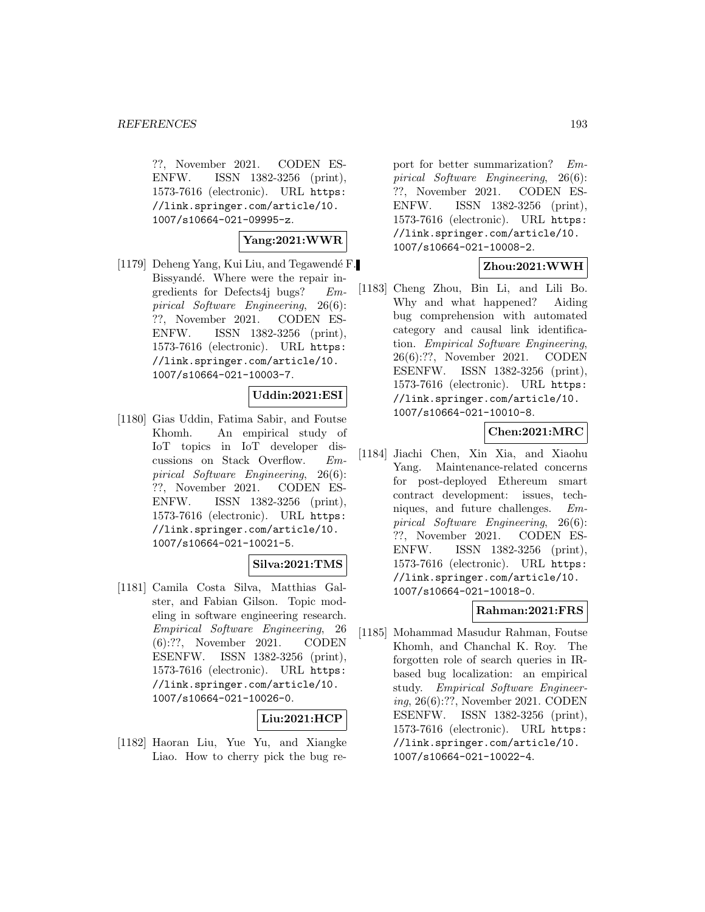??, November 2021. CODEN ES-ENFW. ISSN 1382-3256 (print), 1573-7616 (electronic). URL https: //link.springer.com/article/10. 1007/s10664-021-09995-z.

# **Yang:2021:WWR**

[1179] Deheng Yang, Kui Liu, and Tegawendé F. Bissyandé. Where were the repair ingredients for Defects4j bugs? Empirical Software Engineering, 26(6): ??, November 2021. CODEN ES-ENFW. ISSN 1382-3256 (print), 1573-7616 (electronic). URL https: //link.springer.com/article/10. 1007/s10664-021-10003-7.

### **Uddin:2021:ESI**

[1180] Gias Uddin, Fatima Sabir, and Foutse Khomh. An empirical study of IoT topics in IoT developer discussions on Stack Overflow. Empirical Software Engineering, 26(6): ??, November 2021. CODEN ES-ENFW. ISSN 1382-3256 (print), 1573-7616 (electronic). URL https: //link.springer.com/article/10. 1007/s10664-021-10021-5.

### **Silva:2021:TMS**

[1181] Camila Costa Silva, Matthias Galster, and Fabian Gilson. Topic modeling in software engineering research. Empirical Software Engineering, 26 (6):??, November 2021. CODEN ESENFW. ISSN 1382-3256 (print), 1573-7616 (electronic). URL https: //link.springer.com/article/10. 1007/s10664-021-10026-0.

# **Liu:2021:HCP**

[1182] Haoran Liu, Yue Yu, and Xiangke Liao. How to cherry pick the bug re-

port for better summarization? Empirical Software Engineering, 26(6): ??, November 2021. CODEN ES-ENFW. ISSN 1382-3256 (print), 1573-7616 (electronic). URL https: //link.springer.com/article/10. 1007/s10664-021-10008-2.

# **Zhou:2021:WWH**

[1183] Cheng Zhou, Bin Li, and Lili Bo. Why and what happened? Aiding bug comprehension with automated category and causal link identification. Empirical Software Engineering, 26(6):??, November 2021. CODEN ESENFW. ISSN 1382-3256 (print), 1573-7616 (electronic). URL https: //link.springer.com/article/10. 1007/s10664-021-10010-8.

# **Chen:2021:MRC**

[1184] Jiachi Chen, Xin Xia, and Xiaohu Yang. Maintenance-related concerns for post-deployed Ethereum smart contract development: issues, techniques, and future challenges. Empirical Software Engineering, 26(6): ??, November 2021. CODEN ES-ENFW. ISSN 1382-3256 (print), 1573-7616 (electronic). URL https: //link.springer.com/article/10. 1007/s10664-021-10018-0.

## **Rahman:2021:FRS**

[1185] Mohammad Masudur Rahman, Foutse Khomh, and Chanchal K. Roy. The forgotten role of search queries in IRbased bug localization: an empirical study. Empirical Software Engineering, 26(6):??, November 2021. CODEN ESENFW. ISSN 1382-3256 (print), 1573-7616 (electronic). URL https: //link.springer.com/article/10. 1007/s10664-021-10022-4.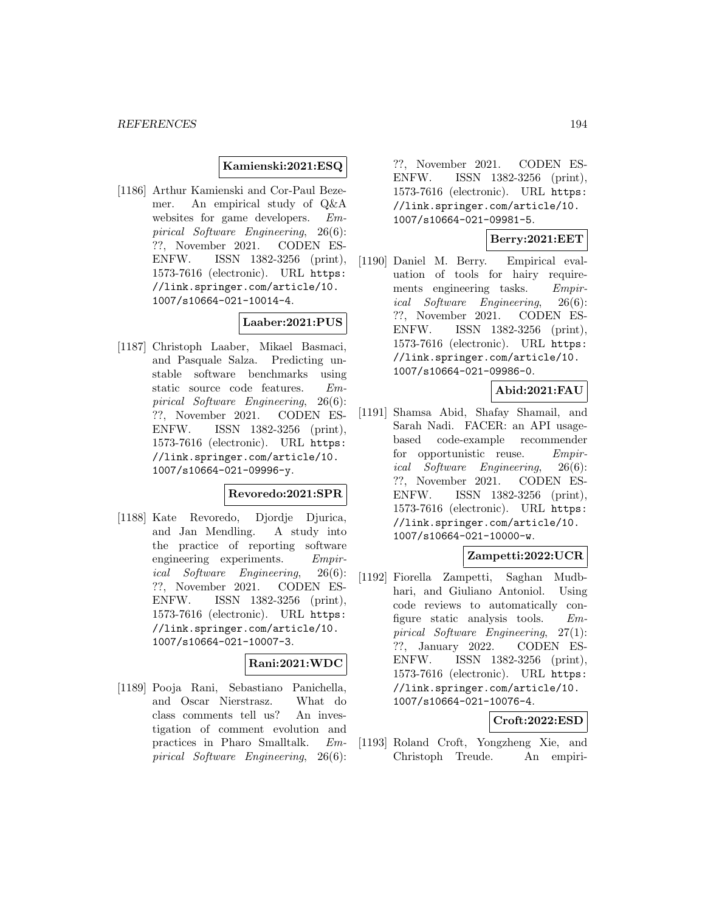### **Kamienski:2021:ESQ**

[1186] Arthur Kamienski and Cor-Paul Bezemer. An empirical study of Q&A websites for game developers. Empirical Software Engineering, 26(6): ??, November 2021. CODEN ES-ENFW. ISSN 1382-3256 (print), 1573-7616 (electronic). URL https: //link.springer.com/article/10. 1007/s10664-021-10014-4.

# **Laaber:2021:PUS**

[1187] Christoph Laaber, Mikael Basmaci, and Pasquale Salza. Predicting unstable software benchmarks using static source code features. Empirical Software Engineering, 26(6): ??, November 2021. CODEN ES-ENFW. ISSN 1382-3256 (print), 1573-7616 (electronic). URL https: //link.springer.com/article/10. 1007/s10664-021-09996-y.

## **Revoredo:2021:SPR**

[1188] Kate Revoredo, Djordje Djurica, and Jan Mendling. A study into the practice of reporting software engineering experiments. Empirical Software Engineering, 26(6): ??, November 2021. CODEN ES-ENFW. ISSN 1382-3256 (print), 1573-7616 (electronic). URL https: //link.springer.com/article/10. 1007/s10664-021-10007-3.

### **Rani:2021:WDC**

[1189] Pooja Rani, Sebastiano Panichella, and Oscar Nierstrasz. What do class comments tell us? An investigation of comment evolution and practices in Pharo Smalltalk. Empirical Software Engineering, 26(6):

??, November 2021. CODEN ES-ENFW. ISSN 1382-3256 (print), 1573-7616 (electronic). URL https: //link.springer.com/article/10. 1007/s10664-021-09981-5.

#### **Berry:2021:EET**

[1190] Daniel M. Berry. Empirical evaluation of tools for hairy requirements engineering tasks. Empirical Software Engineering, 26(6): ??, November 2021. CODEN ES-ENFW. ISSN 1382-3256 (print), 1573-7616 (electronic). URL https: //link.springer.com/article/10. 1007/s10664-021-09986-0.

**Abid:2021:FAU**

[1191] Shamsa Abid, Shafay Shamail, and Sarah Nadi. FACER: an API usagebased code-example recommender for opportunistic reuse. Empirical Software Engineering, 26(6): ??, November 2021. CODEN ES-ENFW. ISSN 1382-3256 (print), 1573-7616 (electronic). URL https: //link.springer.com/article/10. 1007/s10664-021-10000-w.

### **Zampetti:2022:UCR**

[1192] Fiorella Zampetti, Saghan Mudbhari, and Giuliano Antoniol. Using code reviews to automatically configure static analysis tools. Empirical Software Engineering, 27(1): ??, January 2022. CODEN ES-ENFW. ISSN 1382-3256 (print), 1573-7616 (electronic). URL https: //link.springer.com/article/10. 1007/s10664-021-10076-4.

## **Croft:2022:ESD**

[1193] Roland Croft, Yongzheng Xie, and Christoph Treude. An empiri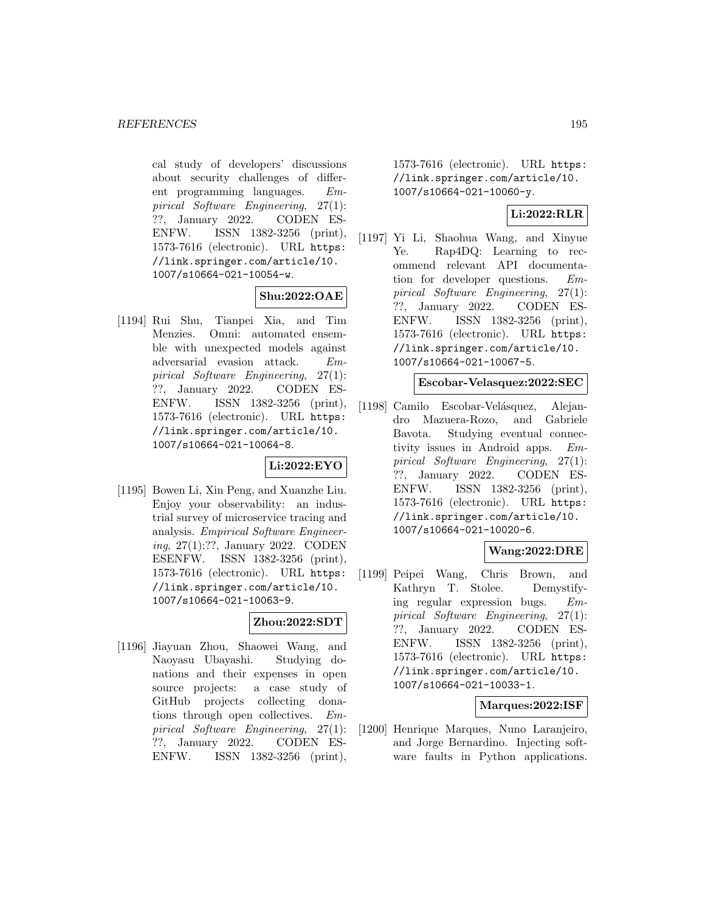cal study of developers' discussions about security challenges of different programming languages. Empirical Software Engineering, 27(1): ??, January 2022. CODEN ES-ENFW. ISSN 1382-3256 (print), 1573-7616 (electronic). URL https: //link.springer.com/article/10. 1007/s10664-021-10054-w.

# **Shu:2022:OAE**

[1194] Rui Shu, Tianpei Xia, and Tim Menzies. Omni: automated ensemble with unexpected models against adversarial evasion attack. Empirical Software Engineering, 27(1): ??, January 2022. CODEN ES-ENFW. ISSN 1382-3256 (print), 1573-7616 (electronic). URL https: //link.springer.com/article/10. 1007/s10664-021-10064-8.

# **Li:2022:EYO**

[1195] Bowen Li, Xin Peng, and Xuanzhe Liu. Enjoy your observability: an industrial survey of microservice tracing and analysis. Empirical Software Engineering, 27(1):??, January 2022. CODEN ESENFW. ISSN 1382-3256 (print), 1573-7616 (electronic). URL https: //link.springer.com/article/10. 1007/s10664-021-10063-9.

# **Zhou:2022:SDT**

[1196] Jiayuan Zhou, Shaowei Wang, and Naoyasu Ubayashi. Studying donations and their expenses in open source projects: a case study of GitHub projects collecting donations through open collectives. Empirical Software Engineering, 27(1): ??, January 2022. CODEN ES-ENFW. ISSN 1382-3256 (print),

1573-7616 (electronic). URL https: //link.springer.com/article/10. 1007/s10664-021-10060-y.

# **Li:2022:RLR**

[1197] Yi Li, Shaohua Wang, and Xinyue Ye. Rap4DQ: Learning to recommend relevant API documentation for developer questions. Empirical Software Engineering, 27(1): ??, January 2022. CODEN ES-ENFW. ISSN 1382-3256 (print), 1573-7616 (electronic). URL https: //link.springer.com/article/10. 1007/s10664-021-10067-5.

## **Escobar-Velasquez:2022:SEC**

[1198] Camilo Escobar-Velásquez, Alejandro Mazuera-Rozo, and Gabriele Bavota. Studying eventual connectivity issues in Android apps. Empirical Software Engineering, 27(1): ??, January 2022. CODEN ES-ENFW. ISSN 1382-3256 (print), 1573-7616 (electronic). URL https: //link.springer.com/article/10. 1007/s10664-021-10020-6.

# **Wang:2022:DRE**

[1199] Peipei Wang, Chris Brown, and Kathryn T. Stolee. Demystifying regular expression bugs. Empirical Software Engineering, 27(1): ??, January 2022. CODEN ES-ENFW. ISSN 1382-3256 (print), 1573-7616 (electronic). URL https: //link.springer.com/article/10. 1007/s10664-021-10033-1.

### **Marques:2022:ISF**

[1200] Henrique Marques, Nuno Laranjeiro, and Jorge Bernardino. Injecting software faults in Python applications.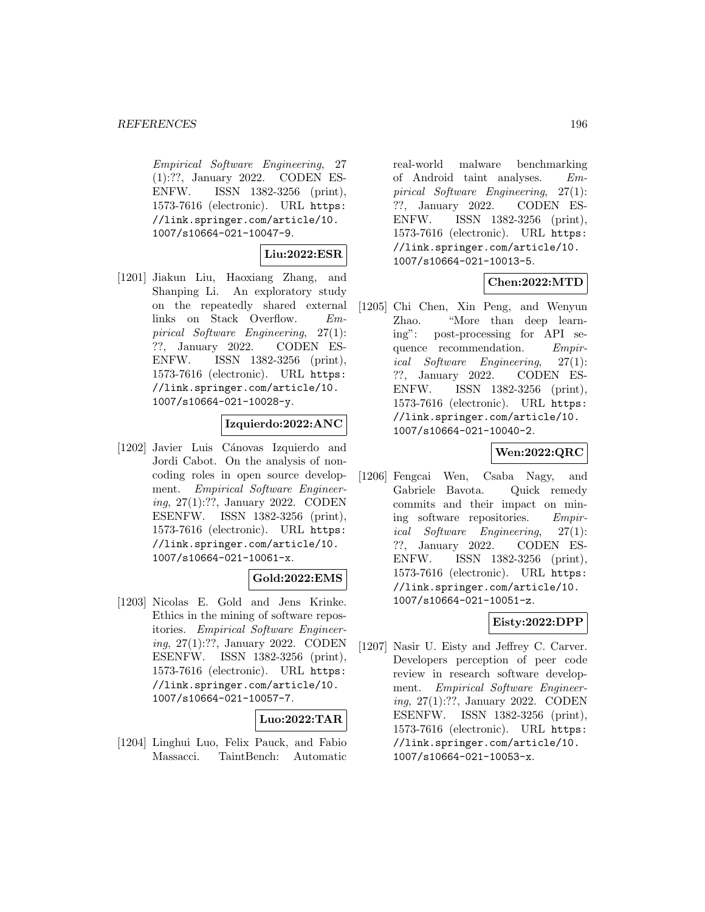Empirical Software Engineering, 27 (1):??, January 2022. CODEN ES-ENFW. ISSN 1382-3256 (print), 1573-7616 (electronic). URL https: //link.springer.com/article/10. 1007/s10664-021-10047-9.

**Liu:2022:ESR**

[1201] Jiakun Liu, Haoxiang Zhang, and Shanping Li. An exploratory study on the repeatedly shared external links on Stack Overflow. Empirical Software Engineering, 27(1): ??, January 2022. CODEN ES-ENFW. ISSN 1382-3256 (print), 1573-7616 (electronic). URL https: //link.springer.com/article/10. 1007/s10664-021-10028-y.

## **Izquierdo:2022:ANC**

[1202] Javier Luis Cánovas Izquierdo and Jordi Cabot. On the analysis of noncoding roles in open source development. Empirical Software Engineering, 27(1):??, January 2022. CODEN ESENFW. ISSN 1382-3256 (print), 1573-7616 (electronic). URL https: //link.springer.com/article/10. 1007/s10664-021-10061-x.

#### **Gold:2022:EMS**

[1203] Nicolas E. Gold and Jens Krinke. Ethics in the mining of software repositories. Empirical Software Engineering, 27(1):??, January 2022. CODEN ESENFW. ISSN 1382-3256 (print), 1573-7616 (electronic). URL https: //link.springer.com/article/10. 1007/s10664-021-10057-7.

## **Luo:2022:TAR**

[1204] Linghui Luo, Felix Pauck, and Fabio Massacci. TaintBench: Automatic

real-world malware benchmarking of Android taint analyses. Empirical Software Engineering, 27(1): ??, January 2022. CODEN ES-ENFW. ISSN 1382-3256 (print), 1573-7616 (electronic). URL https: //link.springer.com/article/10. 1007/s10664-021-10013-5.

## **Chen:2022:MTD**

[1205] Chi Chen, Xin Peng, and Wenyun Zhao. "More than deep learning": post-processing for API sequence recommendation. Empirical Software Engineering, 27(1): ??, January 2022. CODEN ES-ENFW. ISSN 1382-3256 (print), 1573-7616 (electronic). URL https: //link.springer.com/article/10. 1007/s10664-021-10040-2.

# **Wen:2022:QRC**

[1206] Fengcai Wen, Csaba Nagy, and Gabriele Bavota. Quick remedy commits and their impact on mining software repositories. Empirical Software Engineering, 27(1): ??, January 2022. CODEN ES-ENFW. ISSN 1382-3256 (print), 1573-7616 (electronic). URL https: //link.springer.com/article/10. 1007/s10664-021-10051-z.

# **Eisty:2022:DPP**

[1207] Nasir U. Eisty and Jeffrey C. Carver. Developers perception of peer code review in research software development. Empirical Software Engineering, 27(1):??, January 2022. CODEN ESENFW. ISSN 1382-3256 (print), 1573-7616 (electronic). URL https: //link.springer.com/article/10. 1007/s10664-021-10053-x.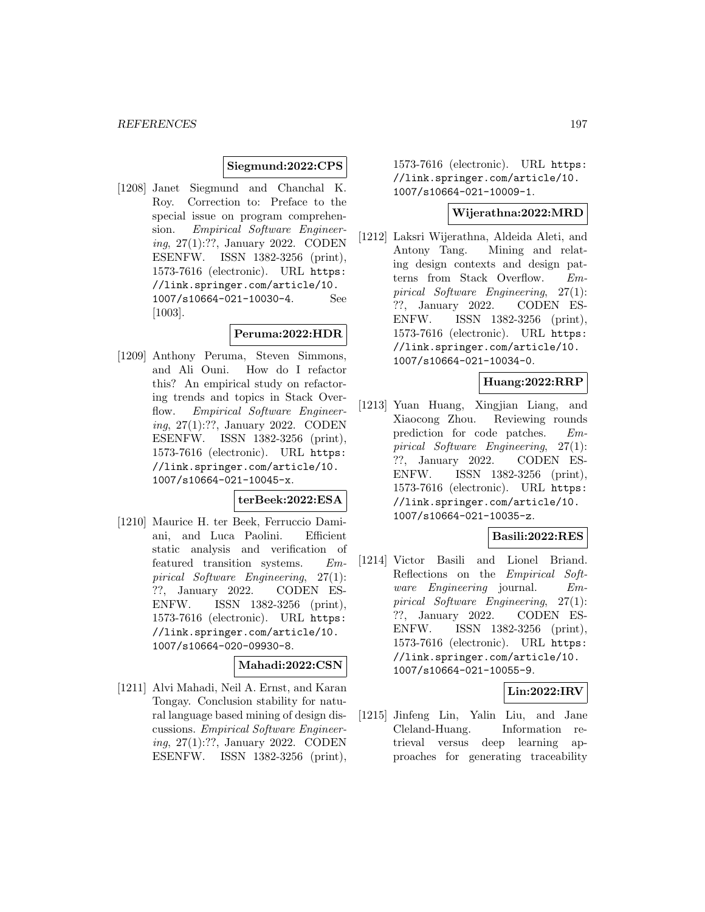## **Siegmund:2022:CPS**

[1208] Janet Siegmund and Chanchal K. Roy. Correction to: Preface to the special issue on program comprehension. Empirical Software Engineering, 27(1):??, January 2022. CODEN ESENFW. ISSN 1382-3256 (print), 1573-7616 (electronic). URL https: //link.springer.com/article/10. 1007/s10664-021-10030-4. See [1003].

#### **Peruma:2022:HDR**

[1209] Anthony Peruma, Steven Simmons, and Ali Ouni. How do I refactor this? An empirical study on refactoring trends and topics in Stack Overflow. Empirical Software Engineering, 27(1):??, January 2022. CODEN ESENFW. ISSN 1382-3256 (print), 1573-7616 (electronic). URL https: //link.springer.com/article/10. 1007/s10664-021-10045-x.

## **terBeek:2022:ESA**

[1210] Maurice H. ter Beek, Ferruccio Damiani, and Luca Paolini. Efficient static analysis and verification of featured transition systems. Empirical Software Engineering, 27(1): ??, January 2022. CODEN ES-ENFW. ISSN 1382-3256 (print), 1573-7616 (electronic). URL https: //link.springer.com/article/10. 1007/s10664-020-09930-8.

# **Mahadi:2022:CSN**

[1211] Alvi Mahadi, Neil A. Ernst, and Karan Tongay. Conclusion stability for natural language based mining of design discussions. Empirical Software Engineering, 27(1):??, January 2022. CODEN ESENFW. ISSN 1382-3256 (print),

1573-7616 (electronic). URL https: //link.springer.com/article/10. 1007/s10664-021-10009-1.

#### **Wijerathna:2022:MRD**

[1212] Laksri Wijerathna, Aldeida Aleti, and Antony Tang. Mining and relating design contexts and design patterns from Stack Overflow. Empirical Software Engineering, 27(1): ??, January 2022. CODEN ES-ENFW. ISSN 1382-3256 (print), 1573-7616 (electronic). URL https: //link.springer.com/article/10. 1007/s10664-021-10034-0.

# **Huang:2022:RRP**

[1213] Yuan Huang, Xingjian Liang, and Xiaocong Zhou. Reviewing rounds prediction for code patches. Empirical Software Engineering, 27(1): ??, January 2022. CODEN ES-ENFW. ISSN 1382-3256 (print), 1573-7616 (electronic). URL https: //link.springer.com/article/10. 1007/s10664-021-10035-z.

## **Basili:2022:RES**

[1214] Victor Basili and Lionel Briand. Reflections on the Empirical Software Engineering journal. Empirical Software Engineering, 27(1): ??, January 2022. CODEN ES-ENFW. ISSN 1382-3256 (print), 1573-7616 (electronic). URL https: //link.springer.com/article/10. 1007/s10664-021-10055-9.

# **Lin:2022:IRV**

[1215] Jinfeng Lin, Yalin Liu, and Jane Cleland-Huang. Information retrieval versus deep learning approaches for generating traceability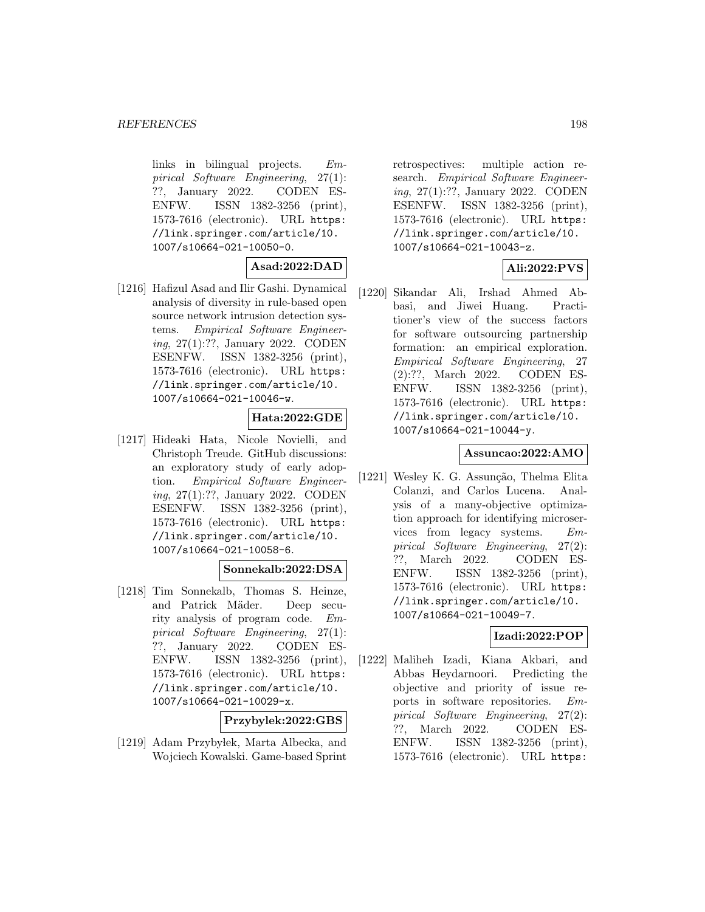links in bilingual projects.  $Em$ pirical Software Engineering, 27(1): ??, January 2022. CODEN ES-ENFW. ISSN 1382-3256 (print), 1573-7616 (electronic). URL https: //link.springer.com/article/10. 1007/s10664-021-10050-0.

## **Asad:2022:DAD**

[1216] Hafizul Asad and Ilir Gashi. Dynamical analysis of diversity in rule-based open source network intrusion detection systems. Empirical Software Engineering, 27(1):??, January 2022. CODEN ESENFW. ISSN 1382-3256 (print), 1573-7616 (electronic). URL https: //link.springer.com/article/10. 1007/s10664-021-10046-w.

## **Hata:2022:GDE**

[1217] Hideaki Hata, Nicole Novielli, and Christoph Treude. GitHub discussions: an exploratory study of early adoption. Empirical Software Engineering, 27(1):??, January 2022. CODEN ESENFW. ISSN 1382-3256 (print), 1573-7616 (electronic). URL https: //link.springer.com/article/10. 1007/s10664-021-10058-6.

### **Sonnekalb:2022:DSA**

[1218] Tim Sonnekalb, Thomas S. Heinze, and Patrick Mäder. Deep security analysis of program code. Empirical Software Engineering, 27(1): ??, January 2022. CODEN ES-ENFW. ISSN 1382-3256 (print), 1573-7616 (electronic). URL https: //link.springer.com/article/10. 1007/s10664-021-10029-x.

#### **Przybylek:2022:GBS**

[1219] Adam Przyby lek, Marta Albecka, and Wojciech Kowalski. Game-based Sprint

retrospectives: multiple action research. Empirical Software Engineering, 27(1):??, January 2022. CODEN ESENFW. ISSN 1382-3256 (print), 1573-7616 (electronic). URL https: //link.springer.com/article/10. 1007/s10664-021-10043-z.

## **Ali:2022:PVS**

[1220] Sikandar Ali, Irshad Ahmed Abbasi, and Jiwei Huang. Practitioner's view of the success factors for software outsourcing partnership formation: an empirical exploration. Empirical Software Engineering, 27 (2):??, March 2022. CODEN ES-ENFW. ISSN 1382-3256 (print), 1573-7616 (electronic). URL https: //link.springer.com/article/10. 1007/s10664-021-10044-y.

### **Assuncao:2022:AMO**

[1221] Wesley K. G. Assunção, Thelma Elita Colanzi, and Carlos Lucena. Analysis of a many-objective optimization approach for identifying microservices from legacy systems. Empirical Software Engineering, 27(2): ??, March 2022. CODEN ES-ENFW. ISSN 1382-3256 (print), 1573-7616 (electronic). URL https: //link.springer.com/article/10. 1007/s10664-021-10049-7.

### **Izadi:2022:POP**

[1222] Maliheh Izadi, Kiana Akbari, and Abbas Heydarnoori. Predicting the objective and priority of issue reports in software repositories. Empirical Software Engineering, 27(2): ??, March 2022. CODEN ES-ENFW. ISSN 1382-3256 (print), 1573-7616 (electronic). URL https: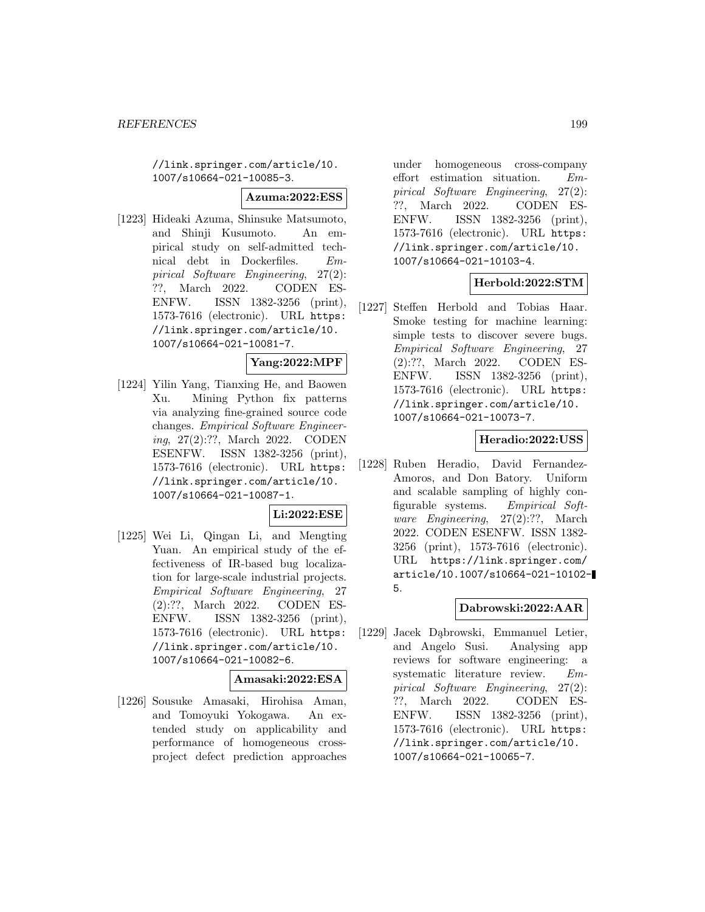//link.springer.com/article/10. 1007/s10664-021-10085-3.

**Azuma:2022:ESS**

[1223] Hideaki Azuma, Shinsuke Matsumoto, and Shinji Kusumoto. An empirical study on self-admitted technical debt in Dockerfiles. Empirical Software Engineering, 27(2): ??, March 2022. CODEN ES-ENFW. ISSN 1382-3256 (print), 1573-7616 (electronic). URL https: //link.springer.com/article/10. 1007/s10664-021-10081-7.

### **Yang:2022:MPF**

[1224] Yilin Yang, Tianxing He, and Baowen Xu. Mining Python fix patterns via analyzing fine-grained source code changes. Empirical Software Engineering, 27(2):??, March 2022. CODEN ESENFW. ISSN 1382-3256 (print), 1573-7616 (electronic). URL https: //link.springer.com/article/10. 1007/s10664-021-10087-1.

## **Li:2022:ESE**

[1225] Wei Li, Qingan Li, and Mengting Yuan. An empirical study of the effectiveness of IR-based bug localization for large-scale industrial projects. Empirical Software Engineering, 27 (2):??, March 2022. CODEN ES-ENFW. ISSN 1382-3256 (print), 1573-7616 (electronic). URL https: //link.springer.com/article/10. 1007/s10664-021-10082-6.

#### **Amasaki:2022:ESA**

[1226] Sousuke Amasaki, Hirohisa Aman, and Tomoyuki Yokogawa. An extended study on applicability and performance of homogeneous crossproject defect prediction approaches under homogeneous cross-company effort estimation situation. Empirical Software Engineering, 27(2): ??, March 2022. CODEN ES-ENFW. ISSN 1382-3256 (print), 1573-7616 (electronic). URL https: //link.springer.com/article/10. 1007/s10664-021-10103-4.

## **Herbold:2022:STM**

[1227] Steffen Herbold and Tobias Haar. Smoke testing for machine learning: simple tests to discover severe bugs. Empirical Software Engineering, 27 (2):??, March 2022. CODEN ES-ENFW. ISSN 1382-3256 (print), 1573-7616 (electronic). URL https: //link.springer.com/article/10. 1007/s10664-021-10073-7.

# **Heradio:2022:USS**

[1228] Ruben Heradio, David Fernandez-Amoros, and Don Batory. Uniform and scalable sampling of highly configurable systems. Empirical Software Engineering, 27(2):??, March 2022. CODEN ESENFW. ISSN 1382- 3256 (print), 1573-7616 (electronic). URL https://link.springer.com/ article/10.1007/s10664-021-10102- 5.

### **Dabrowski:2022:AAR**

[1229] Jacek Dąbrowski, Emmanuel Letier, and Angelo Susi. Analysing app reviews for software engineering: a systematic literature review. Empirical Software Engineering, 27(2): ??, March 2022. CODEN ES-ENFW. ISSN 1382-3256 (print), 1573-7616 (electronic). URL https: //link.springer.com/article/10. 1007/s10664-021-10065-7.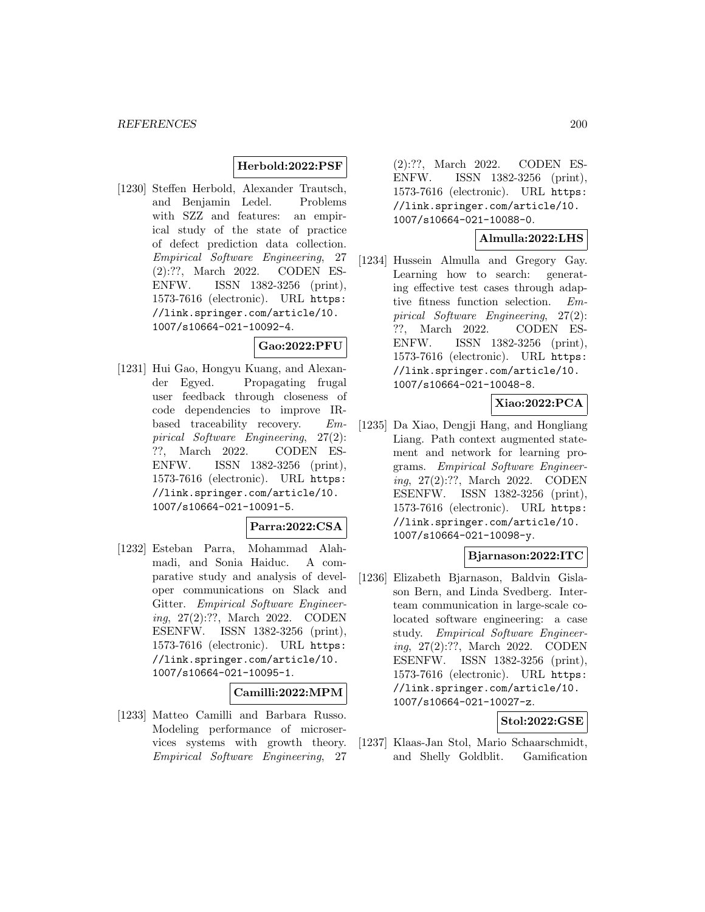#### **Herbold:2022:PSF**

[1230] Steffen Herbold, Alexander Trautsch, and Benjamin Ledel. Problems with SZZ and features: an empirical study of the state of practice of defect prediction data collection. Empirical Software Engineering, 27 (2):??, March 2022. CODEN ES-ENFW. ISSN 1382-3256 (print), 1573-7616 (electronic). URL https: //link.springer.com/article/10. 1007/s10664-021-10092-4.

#### **Gao:2022:PFU**

[1231] Hui Gao, Hongyu Kuang, and Alexander Egyed. Propagating frugal user feedback through closeness of code dependencies to improve IRbased traceability recovery. Empirical Software Engineering, 27(2): ??, March 2022. CODEN ES-ENFW. ISSN 1382-3256 (print), 1573-7616 (electronic). URL https: //link.springer.com/article/10. 1007/s10664-021-10091-5.

#### **Parra:2022:CSA**

[1232] Esteban Parra, Mohammad Alahmadi, and Sonia Haiduc. A comparative study and analysis of developer communications on Slack and Gitter. Empirical Software Engineering, 27(2):??, March 2022. CODEN ESENFW. ISSN 1382-3256 (print), 1573-7616 (electronic). URL https: //link.springer.com/article/10. 1007/s10664-021-10095-1.

#### **Camilli:2022:MPM**

[1233] Matteo Camilli and Barbara Russo. Modeling performance of microservices systems with growth theory. Empirical Software Engineering, 27

(2):??, March 2022. CODEN ES-ENFW. ISSN 1382-3256 (print), 1573-7616 (electronic). URL https: //link.springer.com/article/10. 1007/s10664-021-10088-0.

### **Almulla:2022:LHS**

[1234] Hussein Almulla and Gregory Gay. Learning how to search: generating effective test cases through adaptive fitness function selection. Empirical Software Engineering, 27(2): ??, March 2022. CODEN ES-ENFW. ISSN 1382-3256 (print), 1573-7616 (electronic). URL https: //link.springer.com/article/10. 1007/s10664-021-10048-8.

# **Xiao:2022:PCA**

[1235] Da Xiao, Dengji Hang, and Hongliang Liang. Path context augmented statement and network for learning programs. Empirical Software Engineering, 27(2):??, March 2022. CODEN ESENFW. ISSN 1382-3256 (print), 1573-7616 (electronic). URL https: //link.springer.com/article/10. 1007/s10664-021-10098-y.

## **Bjarnason:2022:ITC**

[1236] Elizabeth Bjarnason, Baldvin Gislason Bern, and Linda Svedberg. Interteam communication in large-scale colocated software engineering: a case study. Empirical Software Engineering, 27(2):??, March 2022. CODEN ESENFW. ISSN 1382-3256 (print), 1573-7616 (electronic). URL https: //link.springer.com/article/10. 1007/s10664-021-10027-z.

#### **Stol:2022:GSE**

[1237] Klaas-Jan Stol, Mario Schaarschmidt, and Shelly Goldblit. Gamification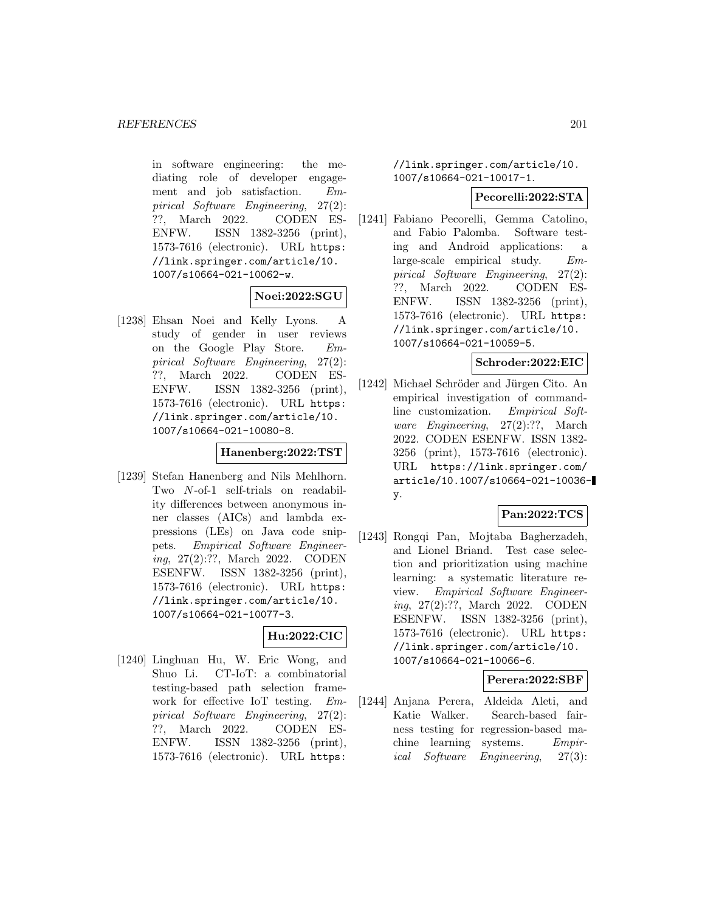in software engineering: the mediating role of developer engagement and job satisfaction. Empirical Software Engineering, 27(2): ??, March 2022. CODEN ES-ENFW. ISSN 1382-3256 (print), 1573-7616 (electronic). URL https: //link.springer.com/article/10. 1007/s10664-021-10062-w.

# **Noei:2022:SGU**

[1238] Ehsan Noei and Kelly Lyons. A study of gender in user reviews on the Google Play Store. Empirical Software Engineering, 27(2): ??, March 2022. CODEN ES-ENFW. ISSN 1382-3256 (print), 1573-7616 (electronic). URL https: //link.springer.com/article/10. 1007/s10664-021-10080-8.

### **Hanenberg:2022:TST**

[1239] Stefan Hanenberg and Nils Mehlhorn. Two N-of-1 self-trials on readability differences between anonymous inner classes (AICs) and lambda expressions (LEs) on Java code snippets. Empirical Software Engineering, 27(2):??, March 2022. CODEN ESENFW. ISSN 1382-3256 (print), 1573-7616 (electronic). URL https: //link.springer.com/article/10. 1007/s10664-021-10077-3.

### **Hu:2022:CIC**

[1240] Linghuan Hu, W. Eric Wong, and Shuo Li. CT-IoT: a combinatorial testing-based path selection framework for effective IoT testing. Empirical Software Engineering, 27(2): ??, March 2022. CODEN ES-ENFW. ISSN 1382-3256 (print), 1573-7616 (electronic). URL https:

//link.springer.com/article/10. 1007/s10664-021-10017-1.

#### **Pecorelli:2022:STA**

[1241] Fabiano Pecorelli, Gemma Catolino, and Fabio Palomba. Software testing and Android applications: a large-scale empirical study. Empirical Software Engineering, 27(2): ??, March 2022. CODEN ES-ENFW. ISSN 1382-3256 (print), 1573-7616 (electronic). URL https: //link.springer.com/article/10. 1007/s10664-021-10059-5.

## **Schroder:2022:EIC**

[1242] Michael Schröder and Jürgen Cito. An empirical investigation of commandline customization. Empirical Software *Engineering*, 27(2):??, March 2022. CODEN ESENFW. ISSN 1382- 3256 (print), 1573-7616 (electronic). URL https://link.springer.com/ article/10.1007/s10664-021-10036 y.

# **Pan:2022:TCS**

[1243] Rongqi Pan, Mojtaba Bagherzadeh, and Lionel Briand. Test case selection and prioritization using machine learning: a systematic literature review. Empirical Software Engineering, 27(2):??, March 2022. CODEN ESENFW. ISSN 1382-3256 (print), 1573-7616 (electronic). URL https: //link.springer.com/article/10. 1007/s10664-021-10066-6.

### **Perera:2022:SBF**

[1244] Anjana Perera, Aldeida Aleti, and Katie Walker. Search-based fairness testing for regression-based machine learning systems. Empirical Software Engineering, 27(3):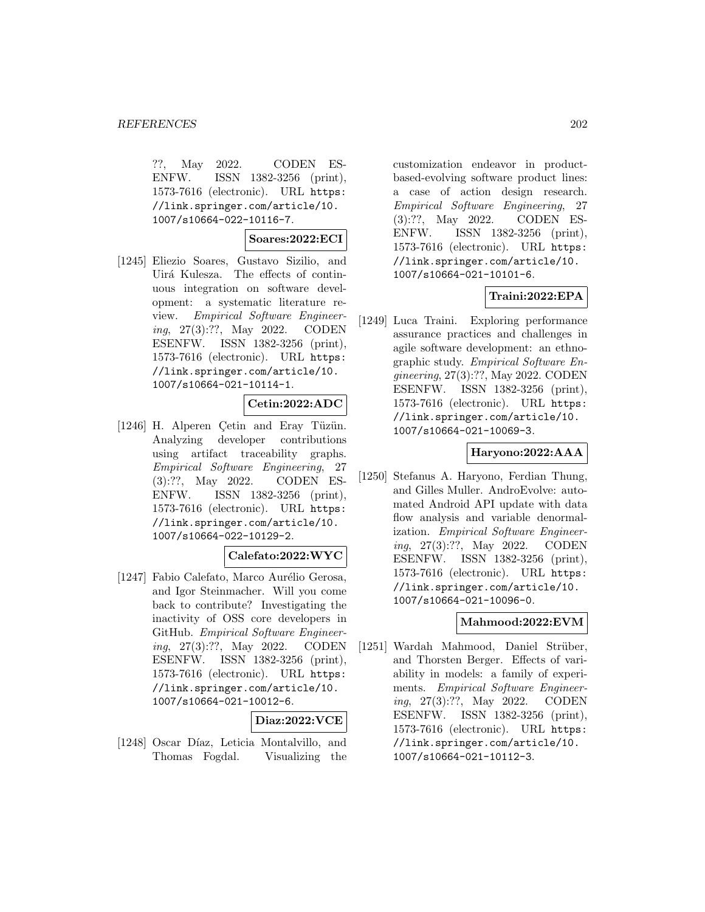??, May 2022. CODEN ES-ENFW. ISSN 1382-3256 (print), 1573-7616 (electronic). URL https: //link.springer.com/article/10. 1007/s10664-022-10116-7.

### **Soares:2022:ECI**

[1245] Eliezio Soares, Gustavo Sizilio, and Uirá Kulesza. The effects of continuous integration on software development: a systematic literature review. Empirical Software Engineering, 27(3):??, May 2022. CODEN ESENFW. ISSN 1382-3256 (print), 1573-7616 (electronic). URL https: //link.springer.com/article/10. 1007/s10664-021-10114-1.

### **Cetin:2022:ADC**

[1246] H. Alperen Çetin and Eray Tüzün. Analyzing developer contributions using artifact traceability graphs. Empirical Software Engineering, 27 (3):??, May 2022. CODEN ES-ENFW. ISSN 1382-3256 (print), 1573-7616 (electronic). URL https: //link.springer.com/article/10. 1007/s10664-022-10129-2.

#### **Calefato:2022:WYC**

[1247] Fabio Calefato, Marco Aurélio Gerosa, and Igor Steinmacher. Will you come back to contribute? Investigating the inactivity of OSS core developers in GitHub. Empirical Software Engineering, 27(3):??, May 2022. CODEN ESENFW. ISSN 1382-3256 (print), 1573-7616 (electronic). URL https: //link.springer.com/article/10. 1007/s10664-021-10012-6.

# **Diaz:2022:VCE**

[1248] Oscar Díaz, Leticia Montalvillo, and Thomas Fogdal. Visualizing the

customization endeavor in productbased-evolving software product lines: a case of action design research. Empirical Software Engineering, 27 (3):??, May 2022. CODEN ES-ENFW. ISSN 1382-3256 (print), 1573-7616 (electronic). URL https: //link.springer.com/article/10. 1007/s10664-021-10101-6.

### **Traini:2022:EPA**

[1249] Luca Traini. Exploring performance assurance practices and challenges in agile software development: an ethnographic study. Empirical Software Engineering, 27(3):??, May 2022. CODEN ESENFW. ISSN 1382-3256 (print), 1573-7616 (electronic). URL https: //link.springer.com/article/10. 1007/s10664-021-10069-3.

### **Haryono:2022:AAA**

[1250] Stefanus A. Haryono, Ferdian Thung, and Gilles Muller. AndroEvolve: automated Android API update with data flow analysis and variable denormalization. Empirical Software Engineering, 27(3):??, May 2022. CODEN ESENFW. ISSN 1382-3256 (print), 1573-7616 (electronic). URL https: //link.springer.com/article/10. 1007/s10664-021-10096-0.

### **Mahmood:2022:EVM**

[1251] Wardah Mahmood, Daniel Strüber, and Thorsten Berger. Effects of variability in models: a family of experiments. Empirical Software Engineering, 27(3):??, May 2022. CODEN ESENFW. ISSN 1382-3256 (print), 1573-7616 (electronic). URL https: //link.springer.com/article/10. 1007/s10664-021-10112-3.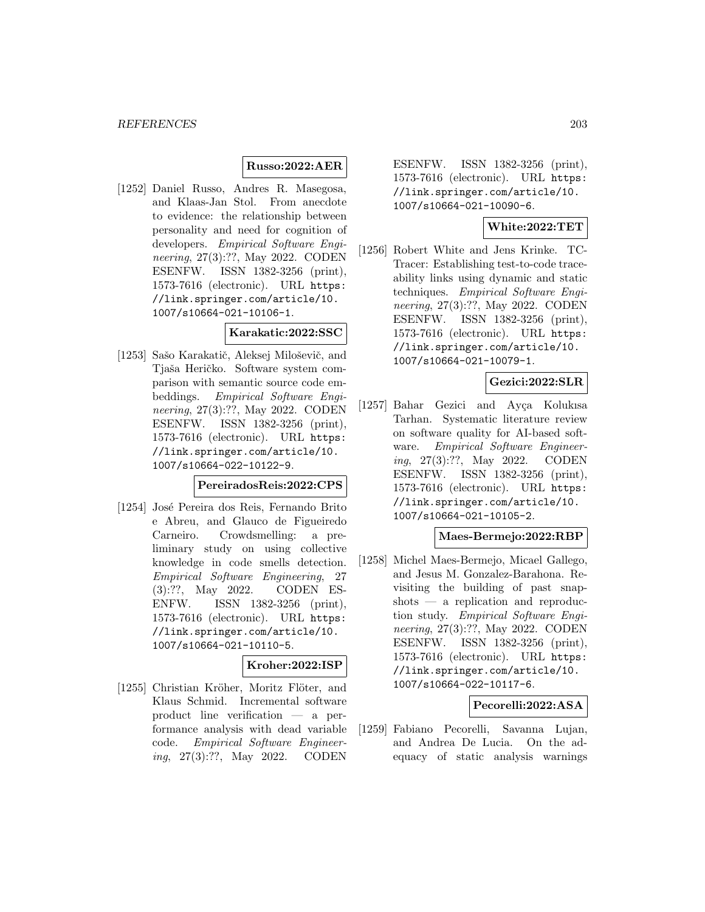## **Russo:2022:AER**

[1252] Daniel Russo, Andres R. Masegosa, and Klaas-Jan Stol. From anecdote to evidence: the relationship between personality and need for cognition of developers. Empirical Software Engineering, 27(3):??, May 2022. CODEN ESENFW. ISSN 1382-3256 (print), 1573-7616 (electronic). URL https: //link.springer.com/article/10. 1007/s10664-021-10106-1.

#### **Karakatic:2022:SSC**

[1253] Sašo Karakatič, Aleksej Miloševič, and Tjaša Heričko. Software system comparison with semantic source code embeddings. Empirical Software Engineering, 27(3):??, May 2022. CODEN ESENFW. ISSN 1382-3256 (print), 1573-7616 (electronic). URL https: //link.springer.com/article/10. 1007/s10664-022-10122-9.

#### **PereiradosReis:2022:CPS**

[1254] José Pereira dos Reis, Fernando Brito e Abreu, and Glauco de Figueiredo Carneiro. Crowdsmelling: a preliminary study on using collective knowledge in code smells detection. Empirical Software Engineering, 27 (3):??, May 2022. CODEN ES-ENFW. ISSN 1382-3256 (print), 1573-7616 (electronic). URL https: //link.springer.com/article/10. 1007/s10664-021-10110-5.

# **Kroher:2022:ISP**

[1255] Christian Kröher, Moritz Flöter, and Klaus Schmid. Incremental software product line verification — a performance analysis with dead variable code. Empirical Software Engineering, 27(3):??, May 2022. CODEN

ESENFW. ISSN 1382-3256 (print), 1573-7616 (electronic). URL https: //link.springer.com/article/10. 1007/s10664-021-10090-6.

### **White:2022:TET**

[1256] Robert White and Jens Krinke. TC-Tracer: Establishing test-to-code traceability links using dynamic and static techniques. Empirical Software Engineering, 27(3):??, May 2022. CODEN ESENFW. ISSN 1382-3256 (print), 1573-7616 (electronic). URL https: //link.springer.com/article/10. 1007/s10664-021-10079-1.

# **Gezici:2022:SLR**

[1257] Bahar Gezici and Ayça Kolukısa Tarhan. Systematic literature review on software quality for AI-based software. Empirical Software Engineering, 27(3):??, May 2022. CODEN ESENFW. ISSN 1382-3256 (print), 1573-7616 (electronic). URL https: //link.springer.com/article/10. 1007/s10664-021-10105-2.

### **Maes-Bermejo:2022:RBP**

[1258] Michel Maes-Bermejo, Micael Gallego, and Jesus M. Gonzalez-Barahona. Revisiting the building of past snapshots — a replication and reproduction study. Empirical Software Engineering, 27(3):??, May 2022. CODEN ESENFW. ISSN 1382-3256 (print), 1573-7616 (electronic). URL https: //link.springer.com/article/10. 1007/s10664-022-10117-6.

## **Pecorelli:2022:ASA**

[1259] Fabiano Pecorelli, Savanna Lujan, and Andrea De Lucia. On the adequacy of static analysis warnings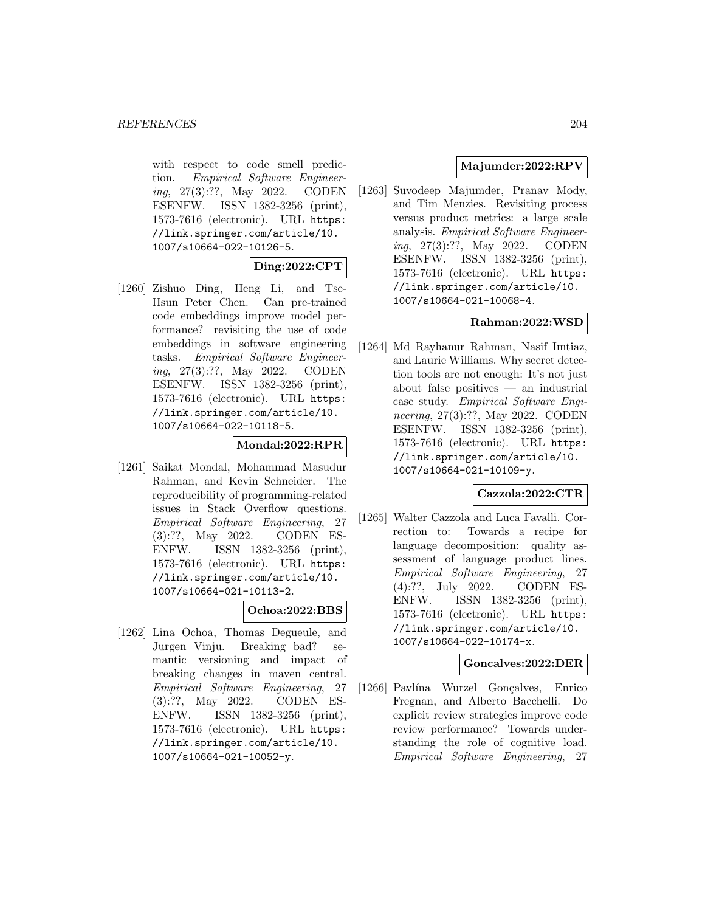with respect to code smell prediction. Empirical Software Engineering, 27(3):??, May 2022. CODEN ESENFW. ISSN 1382-3256 (print), 1573-7616 (electronic). URL https: //link.springer.com/article/10. 1007/s10664-022-10126-5.

# **Ding:2022:CPT**

[1260] Zishuo Ding, Heng Li, and Tse-Hsun Peter Chen. Can pre-trained code embeddings improve model performance? revisiting the use of code embeddings in software engineering tasks. Empirical Software Engineering, 27(3):??, May 2022. CODEN ESENFW. ISSN 1382-3256 (print), 1573-7616 (electronic). URL https: //link.springer.com/article/10. 1007/s10664-022-10118-5.

## **Mondal:2022:RPR**

[1261] Saikat Mondal, Mohammad Masudur Rahman, and Kevin Schneider. The reproducibility of programming-related issues in Stack Overflow questions. Empirical Software Engineering, 27 (3):??, May 2022. CODEN ES-ENFW. ISSN 1382-3256 (print), 1573-7616 (electronic). URL https: //link.springer.com/article/10. 1007/s10664-021-10113-2.

### **Ochoa:2022:BBS**

[1262] Lina Ochoa, Thomas Degueule, and Jurgen Vinju. Breaking bad? semantic versioning and impact of breaking changes in maven central. Empirical Software Engineering, 27 (3):??, May 2022. CODEN ES-ENFW. ISSN 1382-3256 (print), 1573-7616 (electronic). URL https: //link.springer.com/article/10. 1007/s10664-021-10052-y.

## **Majumder:2022:RPV**

[1263] Suvodeep Majumder, Pranav Mody, and Tim Menzies. Revisiting process versus product metrics: a large scale analysis. Empirical Software Engineering, 27(3):??, May 2022. CODEN ESENFW. ISSN 1382-3256 (print), 1573-7616 (electronic). URL https: //link.springer.com/article/10. 1007/s10664-021-10068-4.

# **Rahman:2022:WSD**

[1264] Md Rayhanur Rahman, Nasif Imtiaz, and Laurie Williams. Why secret detection tools are not enough: It's not just about false positives — an industrial case study. Empirical Software Engineering, 27(3):??, May 2022. CODEN ESENFW. ISSN 1382-3256 (print), 1573-7616 (electronic). URL https: //link.springer.com/article/10. 1007/s10664-021-10109-y.

# **Cazzola:2022:CTR**

[1265] Walter Cazzola and Luca Favalli. Correction to: Towards a recipe for language decomposition: quality assessment of language product lines. Empirical Software Engineering, 27 (4):??, July 2022. CODEN ES-ENFW. ISSN 1382-3256 (print), 1573-7616 (electronic). URL https: //link.springer.com/article/10. 1007/s10664-022-10174-x.

### **Goncalves:2022:DER**

[1266] Pavlína Wurzel Gonçalves, Enrico Fregnan, and Alberto Bacchelli. Do explicit review strategies improve code review performance? Towards understanding the role of cognitive load. Empirical Software Engineering, 27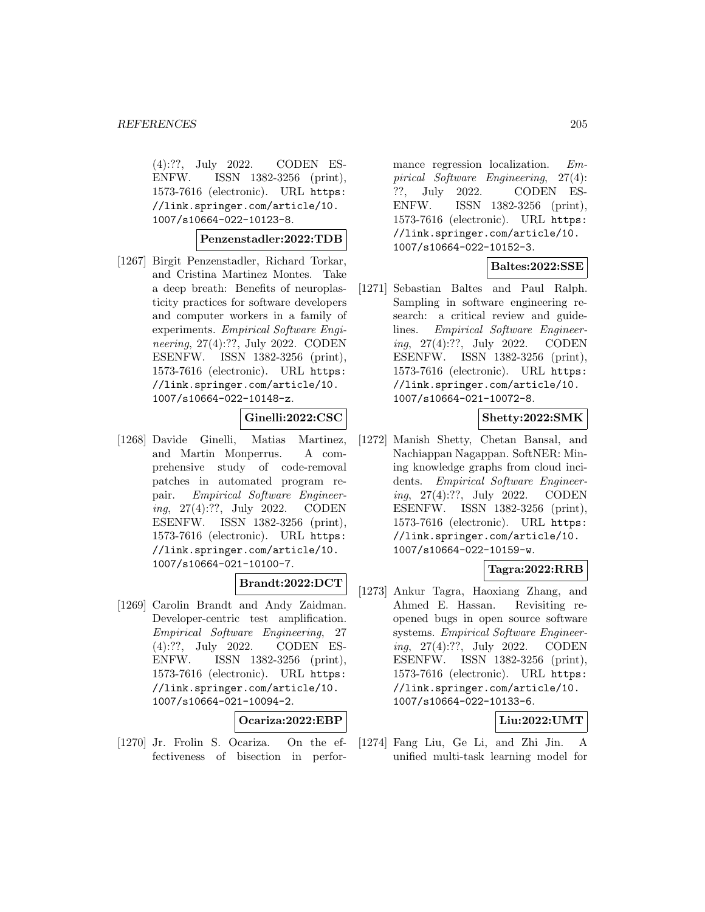(4):??, July 2022. CODEN ES-ENFW. ISSN 1382-3256 (print), 1573-7616 (electronic). URL https: //link.springer.com/article/10. 1007/s10664-022-10123-8.

#### **Penzenstadler:2022:TDB**

[1267] Birgit Penzenstadler, Richard Torkar, and Cristina Martinez Montes. Take a deep breath: Benefits of neuroplasticity practices for software developers and computer workers in a family of experiments. Empirical Software Engineering, 27(4):??, July 2022. CODEN ESENFW. ISSN 1382-3256 (print), 1573-7616 (electronic). URL https: //link.springer.com/article/10. 1007/s10664-022-10148-z.

**Ginelli:2022:CSC**

[1268] Davide Ginelli, Matias Martinez, and Martin Monperrus. A comprehensive study of code-removal patches in automated program repair. Empirical Software Engineering, 27(4):??, July 2022. CODEN ESENFW. ISSN 1382-3256 (print), 1573-7616 (electronic). URL https: //link.springer.com/article/10. 1007/s10664-021-10100-7.

# **Brandt:2022:DCT**

[1269] Carolin Brandt and Andy Zaidman. Developer-centric test amplification. Empirical Software Engineering, 27 (4):??, July 2022. CODEN ES-ENFW. ISSN 1382-3256 (print), 1573-7616 (electronic). URL https: //link.springer.com/article/10. 1007/s10664-021-10094-2.

### **Ocariza:2022:EBP**

[1270] Jr. Frolin S. Ocariza. On the effectiveness of bisection in perfor-

mance regression localization. Empirical Software Engineering, 27(4): ??, July 2022. CODEN ES-ENFW. ISSN 1382-3256 (print), 1573-7616 (electronic). URL https: //link.springer.com/article/10. 1007/s10664-022-10152-3.

## **Baltes:2022:SSE**

[1271] Sebastian Baltes and Paul Ralph. Sampling in software engineering research: a critical review and guidelines. Empirical Software Engineering, 27(4):??, July 2022. CODEN ESENFW. ISSN 1382-3256 (print), 1573-7616 (electronic). URL https: //link.springer.com/article/10. 1007/s10664-021-10072-8.

# **Shetty:2022:SMK**

[1272] Manish Shetty, Chetan Bansal, and Nachiappan Nagappan. SoftNER: Mining knowledge graphs from cloud incidents. Empirical Software Engineering, 27(4):??, July 2022. CODEN ESENFW. ISSN 1382-3256 (print), 1573-7616 (electronic). URL https: //link.springer.com/article/10. 1007/s10664-022-10159-w.

# **Tagra:2022:RRB**

[1273] Ankur Tagra, Haoxiang Zhang, and Ahmed E. Hassan. Revisiting reopened bugs in open source software systems. Empirical Software Engineering, 27(4):??, July 2022. CODEN ESENFW. ISSN 1382-3256 (print), 1573-7616 (electronic). URL https: //link.springer.com/article/10. 1007/s10664-022-10133-6.

## **Liu:2022:UMT**

[1274] Fang Liu, Ge Li, and Zhi Jin. A unified multi-task learning model for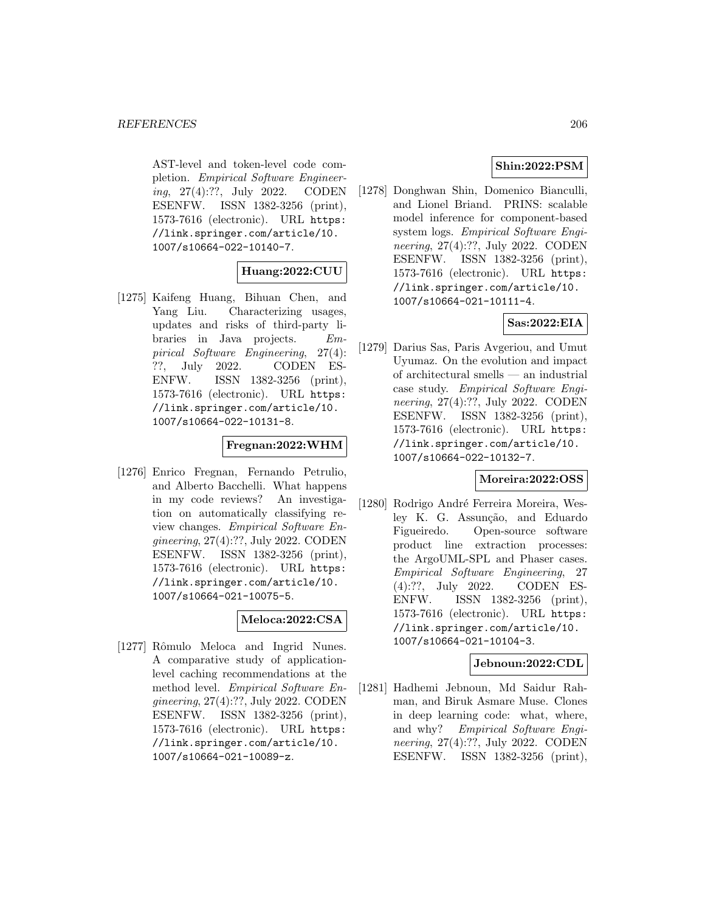AST-level and token-level code completion. Empirical Software Engineering, 27(4):??, July 2022. CODEN ESENFW. ISSN 1382-3256 (print), 1573-7616 (electronic). URL https: //link.springer.com/article/10. 1007/s10664-022-10140-7.

## **Huang:2022:CUU**

[1275] Kaifeng Huang, Bihuan Chen, and Yang Liu. Characterizing usages, updates and risks of third-party libraries in Java projects. Empirical Software Engineering, 27(4): ??, July 2022. CODEN ES-ENFW. ISSN 1382-3256 (print), 1573-7616 (electronic). URL https: //link.springer.com/article/10. 1007/s10664-022-10131-8.

#### **Fregnan:2022:WHM**

[1276] Enrico Fregnan, Fernando Petrulio, and Alberto Bacchelli. What happens in my code reviews? An investigation on automatically classifying review changes. Empirical Software Engineering, 27(4):??, July 2022. CODEN ESENFW. ISSN 1382-3256 (print), 1573-7616 (electronic). URL https: //link.springer.com/article/10. 1007/s10664-021-10075-5.

# **Meloca:2022:CSA**

[1277] Rômulo Meloca and Ingrid Nunes. A comparative study of applicationlevel caching recommendations at the method level. Empirical Software Engineering, 27(4):??, July 2022. CODEN ESENFW. ISSN 1382-3256 (print), 1573-7616 (electronic). URL https: //link.springer.com/article/10. 1007/s10664-021-10089-z.

# **Shin:2022:PSM**

[1278] Donghwan Shin, Domenico Bianculli, and Lionel Briand. PRINS: scalable model inference for component-based system logs. Empirical Software Engineering, 27(4):??, July 2022. CODEN ESENFW. ISSN 1382-3256 (print), 1573-7616 (electronic). URL https: //link.springer.com/article/10. 1007/s10664-021-10111-4.

# **Sas:2022:EIA**

[1279] Darius Sas, Paris Avgeriou, and Umut Uyumaz. On the evolution and impact of architectural smells — an industrial case study. Empirical Software Engineering, 27(4):??, July 2022. CODEN ESENFW. ISSN 1382-3256 (print), 1573-7616 (electronic). URL https: //link.springer.com/article/10. 1007/s10664-022-10132-7.

### **Moreira:2022:OSS**

[1280] Rodrigo André Ferreira Moreira, Wesley K. G. Assunção, and Eduardo Figueiredo. Open-source software product line extraction processes: the ArgoUML-SPL and Phaser cases. Empirical Software Engineering, 27 (4):??, July 2022. CODEN ES-ENFW. ISSN 1382-3256 (print), 1573-7616 (electronic). URL https: //link.springer.com/article/10. 1007/s10664-021-10104-3.

# **Jebnoun:2022:CDL**

[1281] Hadhemi Jebnoun, Md Saidur Rahman, and Biruk Asmare Muse. Clones in deep learning code: what, where, and why? Empirical Software Engineering, 27(4):??, July 2022. CODEN ESENFW. ISSN 1382-3256 (print),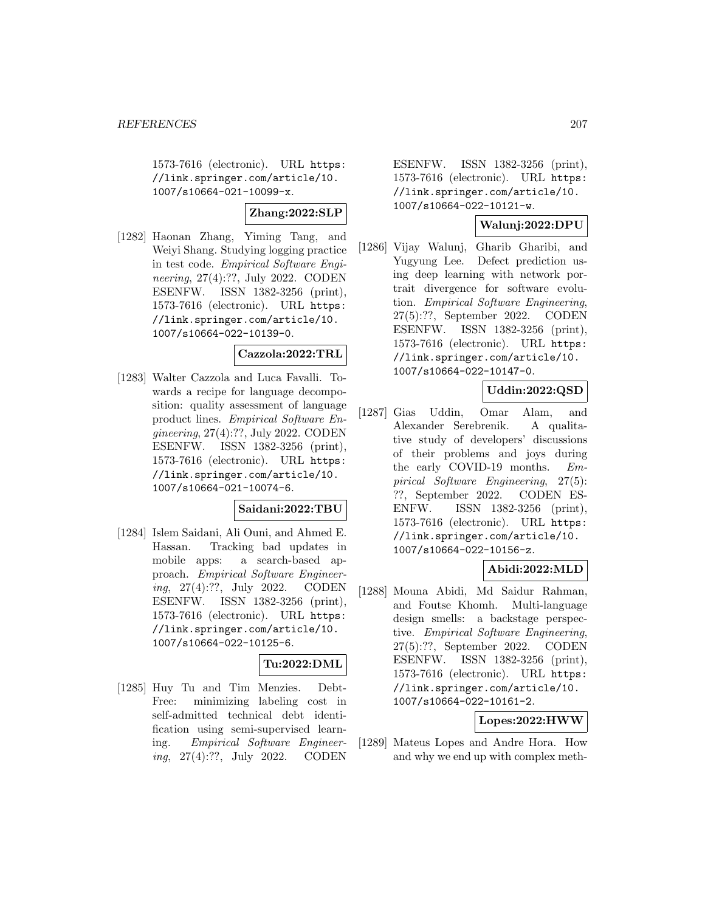1573-7616 (electronic). URL https: //link.springer.com/article/10. 1007/s10664-021-10099-x.

### **Zhang:2022:SLP**

[1282] Haonan Zhang, Yiming Tang, and Weiyi Shang. Studying logging practice in test code. Empirical Software Engineering, 27(4):??, July 2022. CODEN ESENFW. ISSN 1382-3256 (print), 1573-7616 (electronic). URL https: //link.springer.com/article/10. 1007/s10664-022-10139-0.

### **Cazzola:2022:TRL**

[1283] Walter Cazzola and Luca Favalli. Towards a recipe for language decomposition: quality assessment of language product lines. Empirical Software Engineering, 27(4):??, July 2022. CODEN ESENFW. ISSN 1382-3256 (print), 1573-7616 (electronic). URL https: //link.springer.com/article/10. 1007/s10664-021-10074-6.

#### **Saidani:2022:TBU**

[1284] Islem Saidani, Ali Ouni, and Ahmed E. Hassan. Tracking bad updates in mobile apps: a search-based approach. Empirical Software Engineering, 27(4):??, July 2022. CODEN ESENFW. ISSN 1382-3256 (print), 1573-7616 (electronic). URL https: //link.springer.com/article/10. 1007/s10664-022-10125-6.

## **Tu:2022:DML**

[1285] Huy Tu and Tim Menzies. Debt-Free: minimizing labeling cost in self-admitted technical debt identification using semi-supervised learning. Empirical Software Engineering, 27(4):??, July 2022. CODEN

ESENFW. ISSN 1382-3256 (print), 1573-7616 (electronic). URL https: //link.springer.com/article/10. 1007/s10664-022-10121-w.

## **Walunj:2022:DPU**

[1286] Vijay Walunj, Gharib Gharibi, and Yugyung Lee. Defect prediction using deep learning with network portrait divergence for software evolution. Empirical Software Engineering, 27(5):??, September 2022. CODEN ESENFW. ISSN 1382-3256 (print), 1573-7616 (electronic). URL https: //link.springer.com/article/10. 1007/s10664-022-10147-0.

## **Uddin:2022:QSD**

[1287] Gias Uddin, Omar Alam, and Alexander Serebrenik. A qualitative study of developers' discussions of their problems and joys during the early COVID-19 months. Empirical Software Engineering, 27(5): ??, September 2022. CODEN ES-ENFW. ISSN 1382-3256 (print), 1573-7616 (electronic). URL https: //link.springer.com/article/10. 1007/s10664-022-10156-z.

# **Abidi:2022:MLD**

[1288] Mouna Abidi, Md Saidur Rahman, and Foutse Khomh. Multi-language design smells: a backstage perspective. Empirical Software Engineering, 27(5):??, September 2022. CODEN ESENFW. ISSN 1382-3256 (print), 1573-7616 (electronic). URL https: //link.springer.com/article/10. 1007/s10664-022-10161-2.

### **Lopes:2022:HWW**

[1289] Mateus Lopes and Andre Hora. How and why we end up with complex meth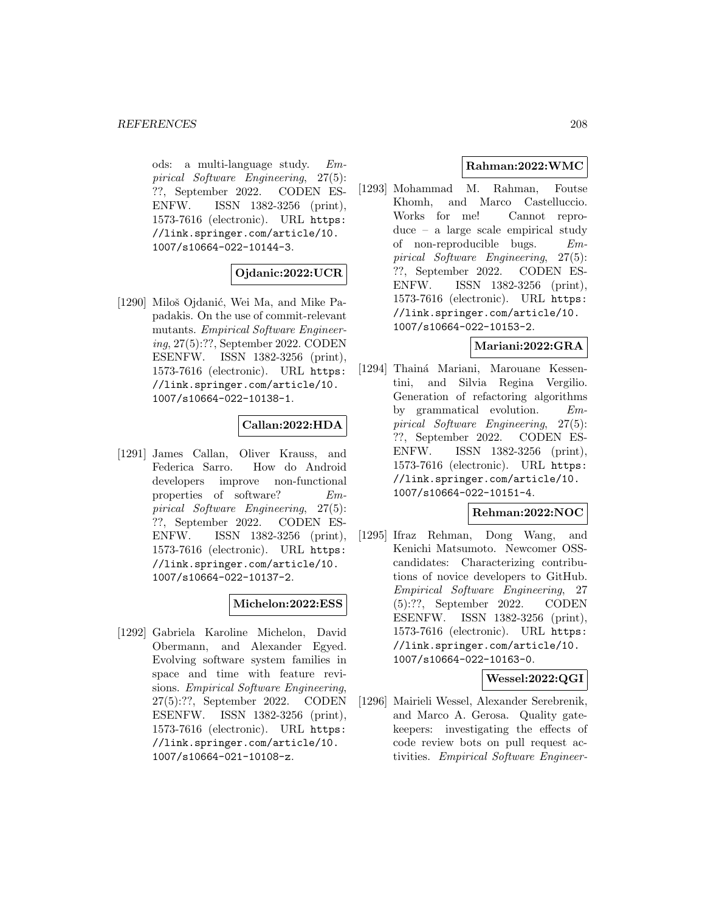ods: a multi-language study. Empirical Software Engineering, 27(5): ??, September 2022. CODEN ES-ENFW. ISSN 1382-3256 (print), 1573-7616 (electronic). URL https: //link.springer.com/article/10. 1007/s10664-022-10144-3.

# **Ojdanic:2022:UCR**

[1290] Miloš Ojdanić, Wei Ma, and Mike Papadakis. On the use of commit-relevant mutants. Empirical Software Engineering, 27(5):??, September 2022. CODEN ESENFW. ISSN 1382-3256 (print), 1573-7616 (electronic). URL https: //link.springer.com/article/10. 1007/s10664-022-10138-1.

# **Callan:2022:HDA**

[1291] James Callan, Oliver Krauss, and Federica Sarro. How do Android developers improve non-functional properties of software? Empirical Software Engineering, 27(5): ??, September 2022. CODEN ES-ENFW. ISSN 1382-3256 (print), 1573-7616 (electronic). URL https: //link.springer.com/article/10. 1007/s10664-022-10137-2.

# **Michelon:2022:ESS**

[1292] Gabriela Karoline Michelon, David Obermann, and Alexander Egyed. Evolving software system families in space and time with feature revisions. Empirical Software Engineering, 27(5):??, September 2022. CODEN ESENFW. ISSN 1382-3256 (print), 1573-7616 (electronic). URL https: //link.springer.com/article/10. 1007/s10664-021-10108-z.

# **Rahman:2022:WMC**

[1293] Mohammad M. Rahman, Foutse Khomh, and Marco Castelluccio. Works for me! Cannot reproduce – a large scale empirical study of non-reproducible bugs. Empirical Software Engineering, 27(5): ??, September 2022. CODEN ES-ENFW. ISSN 1382-3256 (print), 1573-7616 (electronic). URL https: //link.springer.com/article/10. 1007/s10664-022-10153-2.

## **Mariani:2022:GRA**

[1294] Thainá Mariani, Marouane Kessentini, and Silvia Regina Vergilio. Generation of refactoring algorithms by grammatical evolution. Empirical Software Engineering, 27(5): ??, September 2022. CODEN ES-ENFW. ISSN 1382-3256 (print), 1573-7616 (electronic). URL https: //link.springer.com/article/10. 1007/s10664-022-10151-4.

## **Rehman:2022:NOC**

[1295] Ifraz Rehman, Dong Wang, and Kenichi Matsumoto. Newcomer OSScandidates: Characterizing contributions of novice developers to GitHub. Empirical Software Engineering, 27 (5):??, September 2022. CODEN ESENFW. ISSN 1382-3256 (print), 1573-7616 (electronic). URL https: //link.springer.com/article/10. 1007/s10664-022-10163-0.

**Wessel:2022:QGI**

[1296] Mairieli Wessel, Alexander Serebrenik, and Marco A. Gerosa. Quality gatekeepers: investigating the effects of code review bots on pull request activities. Empirical Software Engineer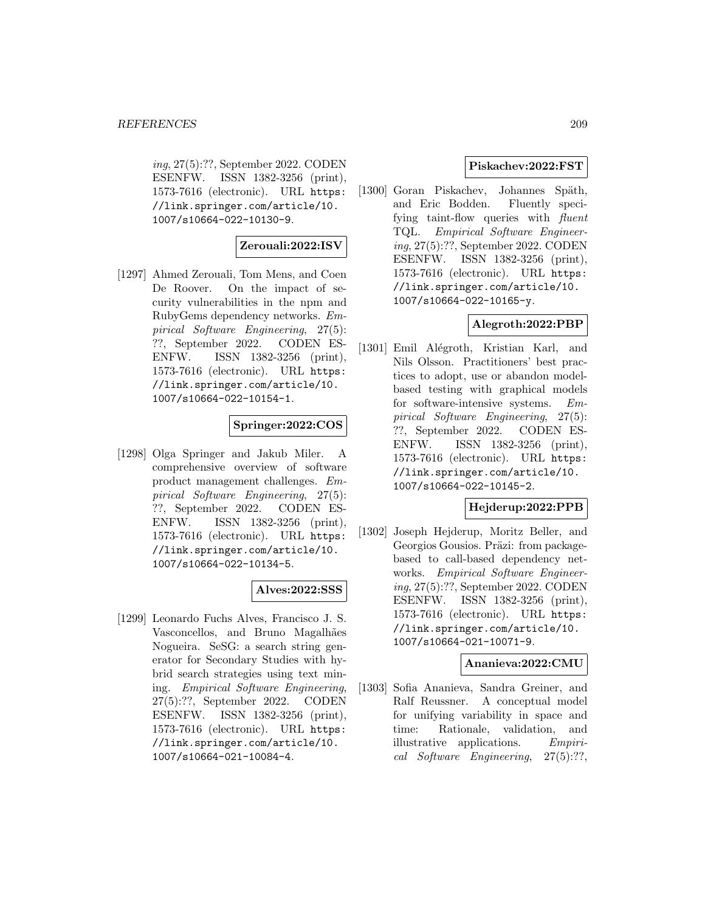ing, 27(5):??, September 2022. CODEN ESENFW. ISSN 1382-3256 (print), 1573-7616 (electronic). URL https: //link.springer.com/article/10. 1007/s10664-022-10130-9.

# **Zerouali:2022:ISV**

[1297] Ahmed Zerouali, Tom Mens, and Coen De Roover. On the impact of security vulnerabilities in the npm and RubyGems dependency networks. Empirical Software Engineering, 27(5): ??, September 2022. CODEN ES-ENFW. ISSN 1382-3256 (print), 1573-7616 (electronic). URL https: //link.springer.com/article/10. 1007/s10664-022-10154-1.

# **Springer:2022:COS**

[1298] Olga Springer and Jakub Miler. A comprehensive overview of software product management challenges. Empirical Software Engineering, 27(5): ??, September 2022. CODEN ES-ENFW. ISSN 1382-3256 (print), 1573-7616 (electronic). URL https: //link.springer.com/article/10. 1007/s10664-022-10134-5.

## **Alves:2022:SSS**

[1299] Leonardo Fuchs Alves, Francisco J. S. Vasconcellos, and Bruno Magalhães Nogueira. SeSG: a search string generator for Secondary Studies with hybrid search strategies using text mining. Empirical Software Engineering, 27(5):??, September 2022. CODEN ESENFW. ISSN 1382-3256 (print), 1573-7616 (electronic). URL https: //link.springer.com/article/10. 1007/s10664-021-10084-4.

## **Piskachev:2022:FST**

[1300] Goran Piskachev, Johannes Späth, and Eric Bodden. Fluently specifying taint-flow queries with *fluent* TQL. Empirical Software Engineering, 27(5):??, September 2022. CODEN ESENFW. ISSN 1382-3256 (print), 1573-7616 (electronic). URL https: //link.springer.com/article/10. 1007/s10664-022-10165-y.

## **Alegroth:2022:PBP**

[1301] Emil Alégroth, Kristian Karl, and Nils Olsson. Practitioners' best practices to adopt, use or abandon modelbased testing with graphical models for software-intensive systems. Empirical Software Engineering, 27(5): ??, September 2022. CODEN ES-ENFW. ISSN 1382-3256 (print), 1573-7616 (electronic). URL https: //link.springer.com/article/10. 1007/s10664-022-10145-2.

### **Hejderup:2022:PPB**

[1302] Joseph Hejderup, Moritz Beller, and Georgios Gousios. Präzi: from packagebased to call-based dependency networks. Empirical Software Engineering, 27(5):??, September 2022. CODEN ESENFW. ISSN 1382-3256 (print), 1573-7616 (electronic). URL https: //link.springer.com/article/10. 1007/s10664-021-10071-9.

### **Ananieva:2022:CMU**

[1303] Sofia Ananieva, Sandra Greiner, and Ralf Reussner. A conceptual model for unifying variability in space and time: Rationale, validation, and illustrative applications. Empirical Software Engineering, 27(5):??,